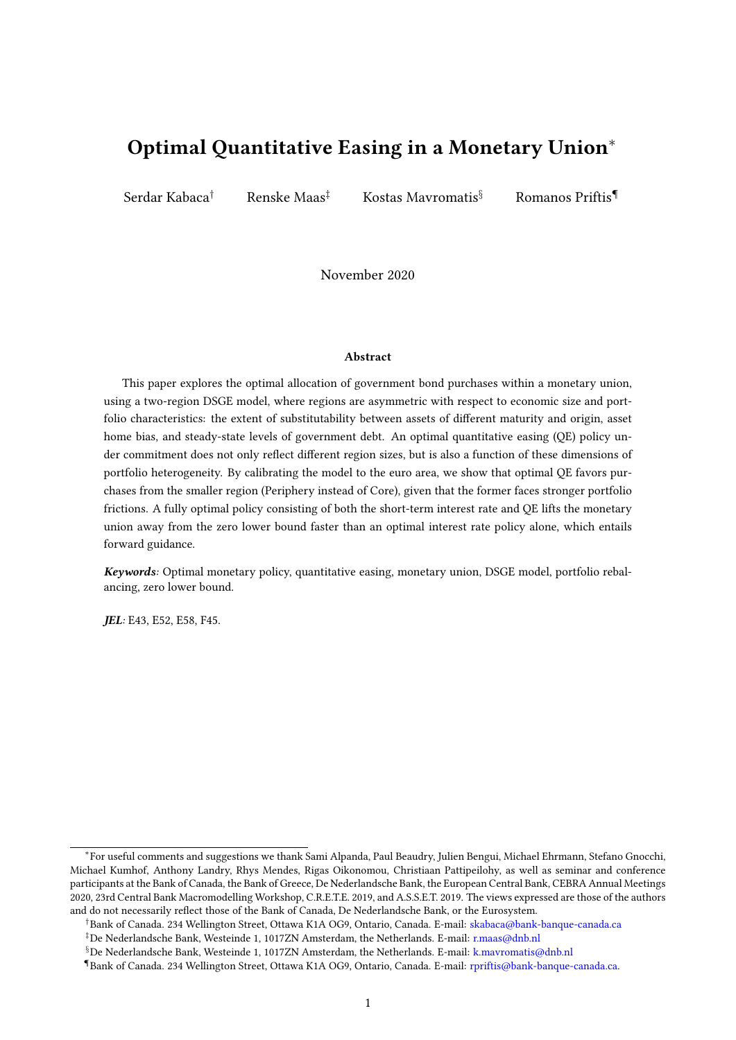# Optimal Quantitative Easing in a Monetary Union<sup>∗</sup>

Serdar Kabaca† Renske Maas‡ Kostas Mavromatis§ Romanos Priftis¶

November 2020

#### Abstract

This paper explores the optimal allocation of government bond purchases within a monetary union, using a two-region DSGE model, where regions are asymmetric with respect to economic size and portfolio characteristics: the extent of substitutability between assets of different maturity and origin, asset home bias, and steady-state levels of government debt. An optimal quantitative easing (QE) policy under commitment does not only reflect different region sizes, but is also a function of these dimensions of portfolio heterogeneity. By calibrating the model to the euro area, we show that optimal QE favors purchases from the smaller region (Periphery instead of Core), given that the former faces stronger portfolio frictions. A fully optimal policy consisting of both the short-term interest rate and QE lifts the monetary union away from the zero lower bound faster than an optimal interest rate policy alone, which entails forward guidance.

Keywords: Optimal monetary policy, quantitative easing, monetary union, DSGE model, portfolio rebalancing, zero lower bound.

JEL: E43, E52, E58, F45.

<sup>∗</sup> For useful comments and suggestions we thank Sami Alpanda, Paul Beaudry, Julien Bengui, Michael Ehrmann, Stefano Gnocchi, Michael Kumhof, Anthony Landry, Rhys Mendes, Rigas Oikonomou, Christiaan Pattipeilohy, as well as seminar and conference participants at the Bank of Canada, the Bank of Greece, De Nederlandsche Bank, the European Central Bank, CEBRA Annual Meetings 2020, 23rd Central Bank Macromodelling Workshop, C.R.E.T.E. 2019, and A.S.S.E.T. 2019. The views expressed are those of the authors and do not necessarily reflect those of the Bank of Canada, De Nederlandsche Bank, or the Eurosystem.

<sup>†</sup>Bank of Canada. 234 Wellington Street, Ottawa K1A OG9, Ontario, Canada. E-mail: [skabaca@bank-banque-canada.ca](http://SKabaca%5C%5C%5C%5C%5C%5C%5C%5C%5C%5C%5C%5C%5C%5C%5C%5C%5C%5C%5C%5C%5C%5C%5C%5C%5C%5C%5C%5C%5C%5C%5C%5C%5C%5C%5C%5C%5C%5C%5C%5C%5C%5C%5C%5C%5C%5C%5C%5C%5C%5C%5C%5C%5C%5C%5C%5C%5C%5C%5C%5C%5C%5C%5C%5C%5C%5C%5C%5C%5C%5C%5C%5C%5C%5C%5C%5C%5C%5C%5C%5C%5C%5C%5C%5C%5C%5C%5C%5C%5C%5C%5C%5C%5C%5C%5C%5C%5C%5C%5C%5C%5C%5C%5C%5C%5C%5C%5C%5C%5C%5C%5C%5C%5C%5C%5C%5C%5C%5C%5C%5C%5C%5C%5C%5C%5C%5C%5C%5C%5C%5C%5C%5C%5C%5C%5C%5C%5C%5C%5C%5C%5C%5C%5C%5C%5C%5C%5C%5C%5C%5C%5C%5C%5C%5C%5C%5C%5C%5C%5C%5C%5C%5C%5C%5C%5C%5C%5C%5C%5C%5C%5C%5C%5C%5C%5C%5C%5C%5C%5C%5C%5C%5C%5C%5C%5C%5C%5C%5C%5C%5C%5C%5C%5C%5C%5C%5C%5C%5C%5C%5C%5C%5C%5C%5C%5C%5C%5C%5C%5C%5C%5C%5C%5C%5C%5C%5C%5C%5C%5C%5C%5C%5C%5C%5C%5C%5C%5C%5C%5C%5C%5C%5C%5C%5C%5C%5C%5C%5C%5C%5C%5C%5C%5C%5C%5C%5C%5C%5C%5C%5C%5C%5C%5C%5C%5C%5C%5C%5C%5C%5C%5C%5C%5C%5C%5C%5C%5C%5C%5C%5C%5C%5C%5C%5C%5C%5C%5C%5C%5C%5C%5C%5C%5C%5C%5C%5C%5C%5C%5C%5C%5C%5C%5C%5C%5C%5C%5C%5C%5C%5C%5C%5C%5C%5C%5C%5C%5C%5C%5C%5C%5C%5C%5C%5C%5C%5C%5C%5C%5C%5C%5C%5C%5C%5C%5C%5C%5C%5C%5C%5C%5C%5C%5C%5C%5C%5C%5C%5C%5C%5C%5C%5C%5C%5C%5C%5C%5C%5C%5C%5C%5C%5C%5C%5C%5C%5C%5C%5C%5C%5C%5C%5C%5C%5C%5C%5C%5C%5C%5C%5C%5C%5C%5C%5C%5C%5C%5C%5C%5C%5C%5C%5C%5C%5C%5C%5C%5C%5C%5C%5C%5C%5C%5C%5C%5C%5C%5C%5C%5C%5C%5C%5C%5C%5C%5C%5C%5C%5C%5C%5C%5C%5C%5C%5C%5C%5C%5C%5C%5C%5C%5C%5C%5C%5C%5C%5C%5C%5C%5C%5C%5C%5C%5C%5C%5C%5C%5C%5C%5C%5C%5C%5C%5C%5C%5C%5C%5C%5C%5C%5C%5C%5C%5C%5C%5C%5C%5C%5C%5C%5C%5C%5C%5C%5C%5C%5C%5C%5C%5C%5C%5C%5C%5C%5C%5C%5C%5C%5C%5C%5C%5C%5C%5C%5C%5C%5C%5C%5C%5C%5C%5C%5C%5C%5C%5C%5C%5C%5C%5C%5C%5C%5C%5C%5C%5C%5C%5C%5C%5C%5C%5C%5C%5C%5C%5C%5C%5C%5C%5C%5C%5C%5C%5C%5C%5C%5C%5C%5C%5C%5C%5C%5C%5C%5C%5C%5C%5C%5C%5C%5C%5C%5C%5C%5C%5C%5C%5C%5C%5C%5C%5C%5C%5C%5C%5C%5C%5C%5C%5C%5C%5C%5C%5C%5C%5C%5C%5C%5C%5C%5C%5C%5C%5C%5C%5C%5C%5C%5C%5C%5C%5C%5C%5C%5C%5C%5C%5C%5C%5C%5C%5C%5C%5C%5C%5C%5C%5C%5C%5C%5C%5C%5C%5C%5C%5C%5C%5C%5C%5C%5C%5C%5C%5C%5C%5C%5C%5C%5C%5C%5C%5C%5C%5C%5C%5C%5C%5C%5C%5C%5C%5C%5C%5C%5C%5C%5C%5C%5C%5C%5C%5C%5C%5C%5C%5C%5C%5C%5C%5C%5C%5C%5C%5C%5C%5C%5C%5C%5C%5C%5C%5C%5C%5C%5C%5C%5C%5C%5C%5C%5C%5C%5C%5C%5C%5C%5C%5C%5C%5C%5C%5C%5C%5C%5C%5C%5C%5C%5C%5C%5C%5C%5C%5C%5C%5C%5C%5C%5C%5C%5C%5C%5C%5C%5C%5C%5C%5C%5C%5C%5C%5C%5C%5C%5C%5C%5C%5C%5C%5C%5C%5C%5C%5C%5C%5C%5C%5C%5C%5C%5C%5C%5C%5C%5C%5C%5C%5C%5C%5C%5C%5C%5C%5C%5C%5C%5C%5C%5C%5C%5C%5C%5C%5C%5C%5C%5C%5C%5C%5C%5C%5C%5C%5C%5C%5C%5C%5C%5C%5C%5C%5C%5C%5C%5C%5C%5C%5C%5C%5C%5C%5C%5C%5C%5C%5C%5C%5C%5C%5C%5C%5C%5C%5C%5C%5C%5C%5C%5C%5C%5C%5C%5C%5C%5C%5C%5C%5C%5C%5C%5C%5C%5C%5C%5C%5C%5C%5C%5C%5C%5C%5C%5C%5C%5C%5C%5C%5C%5C%5C%5C%5C%5C%5C%5C%5C%5C%5C%5C%5C%5C%5C%5C%5C%5C%5C%5C%5C%5C%5C%5C%5C%5C%5C%5C%5C%5C%5C%5C%5C%5C%5C%5C%5C%5C%5C%5C%5C%5C%5C%5C%5C%5C%5C%5C%5C%5C%5C%5C%5C%5C%5C%5C%5C%5C%5C%5C%5C%5C%5C%5C%5C%5C%5C%5C%5C%5C%5C%5C%5C%5C%5C%5C%5C%5C%5C%5C%5C%5C%5C%5C%5C%5C%5C%5C%5C%5C%5C%5C%5C%5C%5C%5C%5C%5C%5C%5C%5C%5C%5C%5C%5C%5C%5C%5C%5C%5C%5C%5C%5C%5C%5C%5C%5C%5C%5C%5C%5C%5C%5C%5C%5C%5C%5C%5C%5C%5C%5C%5C%5C%5C%5C%5C%5C%5C%5C%5C%5C%5C%5C%5C%5C%5C%5C%5C%5C%5C%5C%5C%5C%5C%5C%5C%5C%5C%5C%5C%5C%5C%5C%5C%5C%5C%5C%5C%5C%5C%5C%5C%5C%5C%5C%5C%5C%5C%5C%5C%5C%5C%5C%5C%5C%5C%5C%5C%5C%5C%5C%5C%5C%5C%5C%5C%5C%5C%5C%5C%5C%5C%5C%5C%5C%5C%5C%5C%5C%5C%5C%5C%5C%5C%5C%5C%5C%5C%5C%5C%5C%5C%5C%5C%5C%5C%5C%5C%5C%5C%5C%5C%5C%5C%5C%5C%5C%5C%5C%5C%5C%5C%5C%5C%5C%5C%5C%5C%5C%5C%5C%5C%5C%5C%5C%5C%5C%5C%5C%5C%5C%5C%5C%5C%5C%5C%5C%5C%5C%5C%5C%5C%5C%5C%5C%5C%5C%5C%5C%5C%5C%5C%5C%5C%5C%5C%5C%5C%5C%5C%5C%5C%5C%5C%5C%5C%5C%5C%5C%5C%5C%5C%5C%5C%5C%5C%5C%5C%5C%5C%5C%5C%5C%5C%5C%5C%5C%5C%5C%5C%5C%5C%5C%5C%5C%5C%5C%5C%5C%5C%5C%5C%5C%5C%5C%5C%5C%5C%5C%5C%5C%5C%5C%5C%5C%5C%5C%5C%5C%5C%5C%5C%5C%5C%5C%5C%5C%5C%5C%5C%5C%5C%5C%5C%5C%5C%5C%5C%5C%5C%5C%5C%5C%5C%5C%5C%5C%5C%5C%5C%5C%5C%5C%5C%5C%5C%5C%5C%5C%5C%5C%5C%5C%5C%5C%5C%5C%5C%5C%5C%5C%5C%5C%5C%5C%5C%5C%5C%5C%5C%5C%5C%5C%5C%5C%5C%5C%5C%5C%5C%5C%5C%5C%5C%5C%5C%5C%5C%5C%5C%5C%5C%5C%5C%5C%5C%5C%5C%5C%5C%5C%5C%5C%5C%5C%5C%5C%5C%5C%5C%5C%5C%5C%5C%5C%5C%5C%5C%5C%5C%5C%5C%5C%5C%5C%5C%5C%5C%5C%5C%5C%5C%5C%5C%5C%5C%5C%5C%5C%5C%5C%5C%5C%5C%5C%5C%5C%5C%5C%5C%5C%5C%5C%5C%5C%5C%5C%5C%5C%5C%5C%5C%5C%5C%5C%5C%5C%5C%5C%5C%5C%5C%5C%5C%5C%5C%5C%5C%5C%5C%5C%5C%5C%5C%5C%5C%5C%5C%5C%5C%5C%5C%5C%5C%5C%5C%5C%5C%5C%5C%5C%5C%5C%5C%5C%5C%5C%5C%5C%5C%5C%5C%5C%5C%5C%5C%5C%5C%5C%5C%5C%5C%5C%5C%5C%5C%5C%5C%5C%5C%5C%5C%5C%5C%5C%5C%5C%5C%5C%5C%5C%5C%5C%5C%5C%5C%5C%5C%5C%5C%5C%5C%5C%5C%5C%5C%5C%5C%5C%5C%5C%5C%5C%5C%5C%5C%5C%5C%5C%5C%5C%5C%5C%5C%5C%5C%5C%5C%5C%5C%5C%5C%5C%5C%5C%5C%5C%5C%5C%5C%5C%5C%5C%5C%5C%5C%5C%5C%5C%5C%5C%5C%5C%5C%5C%5C%5C%5C%5C%5C%5C%5C%5C%5C%5C%5C%5C%5C%5C%5C%5C%5C%5C%5C%5C%5C%5C%5C%5C%5C%5C%5C%5C%5C%5C%5C%5C%5C%5C%5C%5C%5C%5C%5C%5C%5C%5C%5C%5C%5C%5C%5C%5C%5C%5C%5C%5C%5C%5C%5C%5C%5C%5C%5C%5C%5C%5C%5C%5C%5C%5C%5C%5C%5C%5C%5C%5C%5C%5C%5C%5C%5C%5C%5C%5C%5C%5C%5C%5C%5C%5C%5C%5C%5C%5C%5C%5C%5C%5C%5C%5C%5C%5C%5C%5C%5C%5C%5C%5C%5C%5C%5C%5C%5C%5C%5C%5C%5C%5C%5C%5C%5C%5C%5C%5C%5C%5C%5C%5C%5C%5C%5C%5C%5C%5C%5C%5C%5C%5C%5C%5C%5C%5C%5C%5C%5C%5C%5C%5C%5C%5C%5C%5C%5C%5C%5C%5C%5C%5C%5C%5C%5C%5C%5C%5C%5C%5C%5C%5C%5C%5C%5C%5C%5C%5C%5C%5C%5C%5C%5C%5C%5C%5C%5C%5C%5C%5C%5C%5C%5C%5C%5C%5C%5C%5C%5C%5C%5C%5C%5C%5C%5C%5C%5C%5C%5C%5C%5C%5C%5C%5C%5C%5C%5C%5C%5C%5C%5C%5C%5C%5C%5C%5C%5C%5C%5C%5C%5C%5C%5C%5C%5C%5C%5C%5C%5C%5C%5C%5C%5C%5C%5C%5C%5C%5C%5C%5C%5C%5C%5C%5C%5C%5C%5C%5C%5C%5C%5C%5C%5C%5C%5C%5C%5C%5C%5C%5C%5C%5C%5C%5C%5C%5C%5C%5C%5C%5C%5C%5C%5C%5C%5C%5C%5C%5C%5C%5C%5C%5C%5C%5C%5C%5C%5C%5C%5C%5C%5C%5C%5C%5C%5C%5C%5C%5C%5C%5C%5C%5C%5C%5C%5C%5C%5C%5C%5C%5C%5C%5C%5C%5C%5C%5C%5C%5C%5C%5C%5C%5C%5C%5C%5C%5C%5C%5C%5C%5C%5C%5C%5C%5C%5C%5C%5C%5C%5C%5C%5C%5C%5C%5C%5C%5C%5C%5C%5C%5C%5C%5C%5C%5C%5C%5C%5C%5C%5C%5C%5C%5C%5C%5C%5C%5C%5C%5C%5C%5C%5C%5C%5C%5C%5C%5C%5C%5C%5C%5C%5C%5C%5C%5C%5C%5C%5C%5C%5C%5C%5C%5C%5C%5C%5C%5C%5C%5C%5C%5C%5C%5C%5C%5C%5C%5C%5C%5C%5C%5C%5C%5C%5C%5C%5C%5C%5C%5C%5C%5C%5C%5C%5C%5C%5C%5C%5C%5C%5C%5C%5C%5C%5C%5C%5C%5C%5C%5C%5C%5C%5C%5C%5C%5C%5C%5C%5C%5C%5C%5C%5C%5C%5C%5C%5C%5C%5C%5C%5C%5C%5C%5C%5C%5C%5C%5C%5C%5C%5C%5C%5C%5C%5C%5C%5C%5C%5C%5C%5C%5C%5C%5C%5C%5C%5C%5C%5C%5C%5C%5C%5C%5C%5C%5C%5C%5C%5C%5C%5C%5C%5C%5C%5C%5C%5C%5C%5C%5C%5C%5C%5C%5C%5C%5C%5C%5C%5C%5C%5C%5C%5C%5C%5C%5C%5C%5C%5C%5C%5C%5C%5C%5C%5C%5C%5C%5C%5C%5C%5C%5C%5C%5C%5C%5C%5C%5C%5C%5C%5C%5C%5C%5C%5C%5C%5C%5C%5C%5C%5C%5C%5C%5C%5C%5C%5C%5C%5C%5C%5C%5C%5C%5C%5C%5C%5C%5C%5C%5C%5C%5C%5C%5C%5C%5C%5C%5C%5C%5C%5C%5C%5C%5C%5C%5C%5C%5C%5C%5C%5C%5C%5C%5C%5C%5C%5C%5C%5C%5C%5C%5C%5C%5C%5C%5C%5C%5C%5C%5C%5C%5C%5C%5C%5C%5C%5C%5C%5C%5C%5C%5C%5C%5C%5C%5C%5C%5C%5C%5C%5C%5C%5C%5C%5C%5C%5C%5C%5C%5C%5C%5C%5C%5C%5C%5C%5C%5C%5C%5C%5C%5C%5C%5C%5C%5C%5C%5C%5C%5C%5C%5C%5C%5C%5C%5C%5C%5C%5C%5C%5C%5C%5C%5C%5C%5C%5C%5C%5C%5C%5C%5C%5C%5C%5C%5C%5C%5C%5C%5C%5C%5C%5C%5C%5C%5C%5C%5C%5C%5C%5C%5C%5C%5C%5C%5C%5C%5C%5C%5C%5C%5C%5C%5C%5C%5C%5C%5C%5C%5C%5C%5C%5C%5C%5C%5C%5C%5C%5C%5C%5C%5C%5C%5C%5C%5C%5C%5C%5C%5C%5C%5C%5C%5C%5C%5C%5C%5C%5C%5C%5C%5C%5C%5C%5C%5C%5C%5C%5C%5C%5C%5C%5C%5C%5C%5C%5C%5C%5C%5C%5C%5C%5C%5C%5C%5C%5C%5C%5C%5C%5C%5C%5C%5C%5C%5C%5C%5C%5C%5C%5C%5C%5C%5C%5C%5C%5C%5C%5C%5C%5C%5C%5C%5C%5C%5C%5C%5C%5C%5C%5C%5C%5C%5C%5C%5C%5C%5C%5C%5C%5C%5C%5C%5C%5C%5C%5C%5C%5C%5C%5C%5C%5C%5C%5C%5C%5C%5C%5C%5C%5C%5C%5C%5C%5C%5C%5C%5C%5C%5C%5C%5C%5C%5C%5C%5C%5C%5C%5C%5C%5C%5C%5C%5C%5C%5C%5C%5C%5C%5C%5C%5C%5C%5C%5C%5C%5C%5C%5C%5C%5C%5C%5C%5C%5C%5C%5C%5C%5C%5C%5C%5C%5C%5C%5C%5C%5C%5C%5C%5C%5C%5C%5C%5C%5C%5C%5C%5C%5C%5C%5C%5C%5C%5C%5C%5C%5C%5C%5C%5C%5C%5C%5C%5C%5C%5C%5C%5C%5C%5C%5C%5C%5C%5C%5C%5C%5C%5C%5C%5C%5C%5C%5C%5C%5C%5C%5C%5C%5C%5C%5C%5C%5C%5C%5C%5C%5C%5C%5C%5C%5C%5C%5C%5C%5C%5C%5C%5C%5C%5C%5C%5C%5C%5C%5C%5C%5C%5C%5C%5C%5C%5C%5C%5C%5C%5C%5C%5C%5C%5C%5C%5C%5C%5C%5C%5C%5C%5C%5C%5C%5C%5C%5C%5C%5C%5C%5C%5C%5C%5C%5C%5C%5C%5C%5C%5C%5C%5C%5C%5C%5C%5C%5C%5C%5C%5C%5C%5C%5C%5C%5C%5C%5C%5C%5C%5C%5C%5C%5C%5C%5C%5C%5C%5C%5C%5C%5C%5C%5C%5C%5C%5C%5C%5C%5C%5C%5C%5C%5C%5C%5C%5C%5C%5C%5C%5C%5C%5C%5C%5C%5C%5C%5C%5C%5C%5C%5C%5C%5C%5C%5C%5C%5C%5C%5C%5C%5C%5C%5C%5C%5C%5C%5C%5C%5C%5C%5C%5C%5C%5C%5C%5C%5C%5C%5C%5C%5C%5C%5C%5C%5C%5C%5C%5C%5C%5C%5C%5C%5C%5C%5C%5C%5C%5C%5C%5C%5C%5C%5C%5C%5C%5C%5C%5C%5C%5C%5C%5C%5C%5C%5C%5C%5C%5C%5C%5C%5C%5C%5C%5C%5C%5C%5C%5C%5C%5C%5C%5C%5C%5C%5C%5C%5C%5C%5C%5C%5C%5C%5C%5C%5C%5C%5C%5C%5C%5C%5C%5C%5C%5C%5C%5C%5C%5C%5C%5C%5C%5C%5C%5C%5C%5C%5C%5C%5C%5C%5C%5C%5C%5C%5C%5C%5C%5C%5C%5C%5C%5C%5C%5C%5C%5C%5C%5C%5C%5C%5C%5C%5C%5C%5C%5C%5C%5C%5C%5C%5C%5C%5C%5C%5C%5C%5C%5C%5C%5C%5C%5C%5C%5C%5C%5C%5C%5C%5C%5C%5C%5C%5C%5C%5C%5C%5C%5C%5C%5C%5C%5C%5C%5C%5C%5C%5C%5C%5C%5C%5C%5C%5C%5C%5C%5C%5C%5C%5C%5C%5C%5C%5C%5C%5C%5C%5C%5C%5C%5C%5C%5C%5C%5C%5C%5C%5C%5C%5C%5C%5C%5C%5C%5C%5C%5C%5C%5C%5C%5C%5C%5C%5C%5C%5C%5C%5C%5C%5C%5C%5C%5C%5C%5C%5C%5C%5C%5C%5C%5C%5C%5C%5C%5C%5C%5C%5C%5C%5C%5C%5C%5C%5C%5C%5C%5C%5C%5C%5C%5C%5C%5C%5C%5C%5C%5C%5C%5C%5C%5C%5C%5C%5C%5C%5C%5C%5C%5C%5C%5C%5C%5C%5C%5C%5C%5C%5C%5C%5C%5C%5C%5C%5C%5C%5C%5C%5C%5C%5C%5C%5C%5C%5C%5C%5C%5C%5C%5C%5C%5C%5C%5C%5C%5C%5C%5C%5C%5C%5C%5C%5C%5C%5C%5C%5C%5C%5C%5C%5C%5C%5C%5C%5C%5C%5C%5C%5C%5C%5C%5C%5C%5C%5C%5C%5C%5C%5C%5C%5C%5C%5C%5C%5C%5C%5C%5C%5C%5C%5C%5C%5C%5C%5C%5C%5C%5C%5C%5C%5C%5C%5C%5C%5C%5C%5C%5C%5C%5C%5C%5C%5C%5C%5C%5C%5C%5C%5C%5C%5C%5C%5C%5C%5C%5C%5C%5C%5C%5C%5C%5C%5C%5C%5C%5C%5C%5C%5C%5C%5C%5C%5C%5C%5C%5C%5C%5C%5C%5C%5C%5C%5C%5C%5C%5C%5C%5C%5C%5C%5C%5C%5C%5C%5C%5C%5C%5C%5C%5C%5C%5C%5C%5C%5C%5C%5C%5C%5C%5C%5C%5C%5C%5C%5C%5C%5C%5C%5C%5C%5C%5C%5C%5C%5C%5C%5C%5C%5C%5C%5C%5C%5C%5C%5C%5C%5C%5C%5C%5C%5C%5C%5C%5C%5C%5C%5C%5C%5C%5C%5C%5C%5C%5C%5C%5C%5C%5C%5C%5C%5C%5C%5C%5C%5C%5C%5C%5C%5C%5C%5C%5C%5C%5C%5C%5C%5C%5C%5C%5C%5C%5C%5C%5C%5C%5C%5C%5C%5C%5C%5C%5C%5C%5C%5C%5C%5C%5C%5C%5C%5C%5C%5C%5C%5C%5C%5C%5C%5C%5C%5C%5C%5C%5C%5C%5C%5C%5C%5C%5C%5C%5C%5C%5C%5C%5C%5C%5C%5C%5C%5C%5C%5C%5C%5C%5C%5C%5C%5C%5C%5C%5C%5C%5C%5C%5C%5C%5C%5C%5C%5C%5C%5C%5C%5C%5C%5C%5C%5C%5C%5C%5C%5C%5C%5C%5C%5C%5C%5C%5C%5C%5C%5C%5C%5C%5C%5C%5C%5C%5C%5C%5C%5C%5C%5C%5C%5C%5C%5C%5C%5C%5C%5C%5C%5C%5C%5C%5C%5C%5C%5C%5C%5C%5C%5C%5C%5C%5C%5C%5C%5C%5C%5C%5C%5C%5C%5C%5C%5C%5C%5C%5C%5C%5C%5C%5C%5C%5C%5C%5C%5C%5C%5C%5C%5C%5C%5C%5C%5C%5C%5C%5C%5C%5C%5C%5C%5C%5C%5C%5C%5C%5C%5C%5C%5C%5C%5C%5C%5C%5C%5C%5C%5C%5C%5C%5C%5C%5C%5C%5C%5C%5C%5C%5C%5C%5C%5C%5C%5C%5C%5C%5C%5C%5C%5C%5C%5C%5C%5C%5C%5C%5C%5C%5C%5C%5C%5C%5C%5C%5C%5C%5C%5C%5C%5C%5C%5C%5C%5C%5C%5C%5C%5C%5C%5C%5C%5C%5C%5C%5C%5C%5C%5C%5C%5C%5C%5C%5C%5C%5C%5C%5C%5C%5C%5C%5C%5C%5C%5C%5C%5C%5C%5C%5C%5C%5C%5C%5C%5C%5C%5C%5C%5C%5C%5C%5C%5C%5C%5C%5C%5C%5C%5C%5C%5C%5C%5C%5C%5C%5C%5C%5C%5C%5C%5C%5C%5C%5C%5C%5C%5C%5C%5C%5C%5C%5C%5C%5C%5C%5C%5C%5C%5C%5C%5C%5C%5C%5C%5C%5C%5C%5C%5C%5C%5C%5C%5C%5C%5C%5C%5C%5C%5C%5C%5C%5C%5C%5C%5C%5C%5C%5C%5C%5C%5C%5C%5C%5C%5C%5C%5C%5C%5C%5C%5C%5C%5C%5C%5C%5C%5C%5C%5C%5C%5C%5C%5C%5C%5C%5C%5C%5C%5C%5C%5C%5C%5C%5C%5C%5C%5C%5C%5C%5C%5C%5C%5C%5C%5C%5C%5C%5C%5C%5C%5C%5C%5C%5C%5C%5C%5C%5C%5C%5C%5C%5C%5C%5C%5C%5C%5C%5C%5C%5C%5C%5C%5C%5C%5C%5C%5C%5C%5C%5C%5C%5C%5C%5C%5C%5C%5C%5C%5C%5C%5C%5C%5C%5C%5C%5C%5C%5C%5C%5C%5C%5C%5C%5C%5C%5C%5C%5C%5C%5C%5C%5C%5C%5C%5C%5C%5C%5C%5C%5C%5C%5C%5C%5C%5C%5C%5C%5C%5C%5C%5C%5C%5C%5C%5C%5C%5C%5C%5C%5C%5C%5C%5C%5C%5C%5C%5C%5C%5C%5C%5C%5C%5C%5C%5C%5C%5C%5C%5C%5C%5C%5C%5C%5C%5C%5C%5C%5C%5C%5C%5C%5C%5C%5C%5C%5C%5C%5C%5C%5C%5C%5C%5C%5C%5C%5C%5C%5C%5C%5C%5C%5C%5C%5C%5C%5C%5C%5C%5C%5C%5C%5C%5C%5C%5C%5C%5C%5C%5C%5C%5C%5C%5C%5C%5C%5C%5C%5C%5C%5C%5C%5C%5C%5C%5C%5C%5C%5C%5C%5C%5C%5C%5C%5C%5C%5C%5C%5C%5C%5C%5C%5C%5C%5C%5C%5C%5C%5C%5C%5C%5C%5C%5C%5C%5C%5C%5C%5C%5C%5C%5C%5C%5C%5C%5C%5C%5C%5C%5C%5C%5C%5C%5C%5C%5C%5C%5C%5C%5C%5C%5C%5C%5C%5C%5C%5C%5C%5C%5C%5C%5C%5C%5C%5C%5C%5C%5C%5C%5C%5C%5C%5C%5C%5C%5C%5C%5C%5C%5C%5C%5C%5C%5C%5C%5C%5C%5C%5C%5C%5C%5C%5C%5C%5C%5C%5C%5C%5C%5C%5C%5C%5C%5C%5C%5C%5C%5C%5C%5C%5C%5C%5C%5C%5C%5C%5C%5C%5C%5C%5C%5C%5C%5C%5C%5C%5C%5C%5C%5C%5C%5C%5C%5C%5C%5C%5C%5C%5C%5C%5C%5C%5C%5C%5C%5C%5C%5C%5C%5C%5C%5C%5C%5C%5C%5C%5C%5C%5C%5C%5C%5C%5C%5C%5C%5C%5C%5C%5C%5C%5C%5C%5C%5C%5C%5C%5C%5C%5C%5C%5C%5C%5C%5C%5C%5C%5C%5C%5C%5C%5C%5C%5C%5C%5C%5C%5C%5C%5C%5C%5C%5C%5C%5C%5C%5C%5C%5C%5C%5C%5C%5C%5C%5C%5C%5C%5C%5C%5C%5C%5C%5C%5C%5C%5C%5C%5C%5C%5C%5C%5C%5C%5C%5C%5C%5C%5C%5C%5C%5C%5C%5C%5C%5C%5C%5C%5C%5C%5C%5C%5C%5C%5C%5C%5C%5C%5C%5C%5C%5C%5C%5C%5C%5C%5C%5C%5C%5C%5C%5C%5C%5C%5C%5C%5C%5C%5C%5C%5C%5C%5C%5C%5C%5C%5C%5C%5C%5C%5C%5C%5C%5C%5C%5C%5C%5C%5C%5C%5C%5C%5C%5C%5C%5C%5C%5C%5C%5C%5C%5C%5C%5C%5C%5C%5C%5C%5C%5C%5C%5C%5C%5C%5C%5C%5C%5C%5C%5C%5C%5C%5C%5C%5C%5C%5C%5C%5C%5C%5C%5C%5C%5C%5C%5C%5C%5C%5C%5C%5C%5C%5C%5C%5C%5C%5C%5C%5C%5C%5C%5C%5C%5C%5C%5C%5C%5C%5C%5C%5C%5C%5C%5C%5C%5C%5C%5C%5C%5C%5C%5C%5C%5C%5C%5C%5C%5C%5C%5C%5C%5C%5C%5C%5C%5C%5C%5C%5C%5C%5C%5C%5C%5C%5C%5C%5C%5C%5C%5C%5C%5C%5C%5C%5C%5C%5C%5C%5C%5C%5C%5C%5C%5C%5C%5C%5C%5C%5C%5C%5C%5C%5C%5C%5C%5C%5C%5C%5C%5C%5C%5C%5C%5C%5C%5C%5C%5C%5C%5C%5C%5C%5C%5C%5C%5C%5C%5C%5C%5C%5C%5C%5C%5C%5C%5C%5C%5C%5C%5C%5C%5C%5C%5C%5C%5C%5C%5C%5C%5C%5C%5C%5C%5C%5C%5C%5C%5C%5C%5C%5C%5C%5C%5C%5C%5C%5C%5C%5C%5C%5C%5C%5C%5C%5C%5C%5C%5C%5C%5C%5C%5C%5C%5C%5C%5C%5C%5C%5C%5C%5C%5C%5C%5C%5C%5C%5C%5C%5C%5C%5C%5C%5C%5C%5C%5C%5C%5C%5C%5C%5C%5C%5C%5C%5C%5C%5C%5C%5C%5C%5C%5C%5C%5C%5C%5C%5C%5C%5C%5C%5C%5C%5C%5C%5C%5C%5C%5C%5C%5C%5C%5C%5C%5C%5C%5C%5C%5C%5C%5C%5C%5C%5C%5C%5C%5C%5C%5C%5C%5C%5C%5C%5C%5C%5C%5C%5C%5C%5C%5C%5C%5C%5C%5C%5C%5C%5C%5C%5C%5C%5C%5C%5C%5C%5C%5C%5C%5C%5C%5C%5C%5C%5C%5C%5C%5C%5C%5C%5C%5C%5C%5C%5C%5C%5C%5C%5C%5C%5C%5C%5C%5C%5C%5C%5C%5C%5C%5C%5C%5C%5C%5C%5C%5C%5C%5C%5C%5C%5C%5C%5C%5C%5C%5C%5C%5C%5C%5C%5C%5C%5C%5C%5C%5C%5C%5C%5C%5C%5C%5C%5C%5C%5C%5C%5C%5C%5C%5C%5C%5C%5C%5C%5C%5C%5C%5C%5C%5C%5C%5C%5C%5C%5C%5C%5C%5C%5C%5C%5C%5C%5C%5C%5C%5C%5C%5C%5C%5C%5C%5C%5C%5C%5C%5C%5C%5C%5C%5C%5C%5C%5C%5C%5C%5C%5C%5C%5C%5C%5C%5C%5C%5C%5C%5C%5C%5C%5C%5C%5C%5C%5C%5C%5C%5C%5C%5C%5C%5C%5C%5C%5C%5C%5C%5C%5C%5C%5C%5C%5C%5C%5C%5C%5C%5C%5C%5C%5C%5C%5C%5C%5C%5C%5C%5C%5C%5C%5C%5C%5C%5C%5C%5C%5C%5C%5C%5C%5C%5C%5C%5C%5C%5C%5C%5C%5C%5C%5C%5C%5C%5C%5C%5C%5C%5C%5C%5C%5C%5C%5C%5C%5C%5C%5C%5C%5C%5C%5C%5C%5C%5C%5C%5C%5C%5C%5C%5C%5C%5C%5C%5C%5C%5C%5C%5C%5C%5C%5C%5C%5C%5C%5C%5C%5C%5C%5C%5C%5C%5C%5C%5C%5C%5C%5C%5C%5C%5C%5C%5C%5C%5C%5C%5C%5C%5C%5C%5C%5C%5C%5C%5C%5C%5C%5C%5C%5C%5C%5C%5C%5C%5C%5C%5C%5C%5C%5C%5C%5C%5C%5C%5C%5C%5C%5C%5C%5C%5C%5C%5C%5C%5C%5C%5C%5C%5C%5C%5C%5C%5C%5C%5C%5C%5C%5C%5C%5C%5C%5C%5C%5C%5C%5C%5C%5C%5C%5C%5C%5C%5C%5C%5C%5C%5C%5C%5C%5C%5C%5C%5C%5C%5C%5C%5C%5C%5C%5C%5C%5C%5C%5C%5C%5C%5C%5C%5C%5C%5C%5C%5C%5C%5C%5C%5C%5C%5C%5C%5C%5C%5C%5C%5C%5C%5C%5C%5C%5C%5C%5C%5C%5C%5C%5C%5C%5C%5C%5C%5C%5C%5C%5C%5C%5C%5C%5C%5C%5C%5C%5C%5C%5C%5C%5C%5C%5C%5C%5C%5C%5C%5C%5C%5C%5C%5C%5C%5C%5C%5C%5C%5C%5C%5C%5C%5C%5C%5C%5C%5C%5C%5C%5C%5C%5C%5C%5C%5C%5C%5C%5C%5C%5C%5C%5C%5C%5C%5C%5C%5C%5C%5C%5C%5C%5C%5C%5C%5C%5C%5C%5C%5C%5C%5C%5C%5C%5C%5C%5C%5C%5C%5C%5C%5C%5C%5C%5C%5C%5C%5C%5C%5C%5C%5C%5C%5C%5C%5C%5C%5C%5C%5C%5C%5C%5C%5C%5C%5C%5C%5C%5C%5C%5C%5C%5C%5C%5C%5C%5C%5C%5C%5C%5C%5C%5C%5C%5C%5C%5C%5C%5C%5C%5C%5C%5C%5C%5C%5C%5C%5C%5C%5C%5C%5C%5C%5C%5C%5C%5C%5C%5C%5C%5C%5C%5C%5C%5C%5C%5C%5C%5C%5C%5C%5C%5C%5C%5C%5C%5C%5C%5C%5C%5C%5C%5C%5C%5C%5C%5C%5C%5C%5C%5C%5C%5C%5C%5C%5C%5C%5C%5C%5C%5C%5C%5C%5C%5C%5C%5C%5C%5C%5C%5C%5C%5C%5C%5C%5C%5C%5C%5C%5C%5C%5C%5C%5C%5C%5C%5C%5C%5C%5C%5C%5C%5C%5C%5C%5C%5C%5C%5C%5C%5C%5C%5C%5C%5C%5C%5C%5C%5C%5C%5C%5C%5C%5C%5C%5C%5C%5C%5C%5C%5C%5C%5C%5C%5C%5C%5C%5C%5C%5C%5C%5C%5C%5C%5C%5C%5C%5C%5C%5C%5C%5C%5C%5C%5C%5C%5C%5C%5C%5C%5C%5C%5C%5C%5C%5C%5C%5C%5C%5C%5C%5C%5C%5C%5C%5C%5C%5C%5C%5C%5C%5C%5C%5C%5C%5C%5C%5C%5C%5C%5C%5C%5C%5C%5C%5C%5C%5C%5C%5C%5C%5C%5C%5C%5C%5C%5C%5C%5C%5C%5C%5C%5C%5C%5C%5C%5C%5C%5C%5C%5C%5C%5C%5C%5C%5C%5C%5C%5C%5C%5C%5C%5C%5C%5C%5C%5C%5C%5C%5C%5C%5C%5C%5C%5C%5C%5C%5C%5C%5C%5C%5C%5C%5C%5C%5C%5C%5C%5C%5C%5C%5C%5C%5C%5C%5C%5C%5C%5C%5C%5C%5C%5C%5C%5C%5C%5C%5C%5C%5C%5C%5C%5C%5C%5C%5C%5C%5C%5C%5C%5C%5C%5C%5C%5C%5C%5C%5C%5C%5C%5C%5C%5C%5C%5C%5C%5C%5C%5C%5C%5C%5C%5C%5C%5C%5C%5C%5C%5C%5C%5C%5C%5C%5C%5C%5C%5C%5C%5C%5C%5C%5C%5C%5C%5C%5C%5C%5C%5C%5C%5C%5C%5C%5C%5C%5C%5C%5C%5C%5C%5C%5C%5C%5C%5C%5C%5C%5C%5C%5C%5C%5C%5C%5C%5C%5C%5C%5C%5C%5C%5C%5C%5C%5C%5C%5C%5C%5C%5C%5C%5C%5C%5C%5C%5C%5C%5C%5C%5C%5C%5C%5C%5C%5C%5C%5C%5C%5C%5C%5C%5C%5C%5C%5C%5C%5C%5C%5C%5C%5C%5C%5C%5C%5C%5C%5C%5C%5C%5C%5C%5C%5C%5C%5C%5C%5C%5C%5C%5C%5C%5C%5C%5C%5C%5C%5C%5C%5C%5C%5C%5C%5C%5C%5C%5C%5C%5C%5C%5C%5C%5C%5C%5C%5C%5C%5C%5C%5C%5C%5C%5C%5C%5C%5C%5C%5C%5C%5C%5C%5C%5C%5C%5C%5C%5C%5C%5C%5C%5C%5C%5C%5C%5C%5C%5C%5C%5C%5C%5C%5C%5C%5C%5C%5C%5C%5C%5C%5C%5C%5C%5C%5C%5C%5C%5C%5C%5C%5C%5C%5C%5C%5C%5C%5C%5C%5C%5C%5C%5C%5C%5C%5C%5C%5C%5C%5C%5C%5C%5C%5C%5C%5C%5C%5C%5C%5C%5C%5C%5C%5C%5C%5C%5C%5C%5C%5C%5C%5C%5C%5C%5C%5C%5C%5C%5C%5C%5C%5C%5C%5C%5C%5C%5C%5C%5C%5C%5C%5C%5C%5C%5C%5C%5C%5C%5C%5C%5C%5C%5C%5C%5C%5C%5C%5C%5C%5C%5C%5C%5C%5C%5C%5C%5C%5C%5C%5C%5C%5C%5C%5C%5C%5C%5C%5C%5C%5C%5C%5C%5C%5C%5C%5C%5C%5C%5C%5C%5C%5C%5C%5C%5C%5C%5C%5C%5C%5C%5C%5C%5C%5C%5C%5C%5C%5C%5C%5C%5C%5C%5C%5C%5C%5C%5C%5C%5C%5C%5C%5C%5C%5C%5C%5C%5C%5C%5C%5C%5C%5C%5C%5C%5C%5C%5C%5C%5C%5C%5C%5C%5C%5C%5C%5C%5C%5C%5C%5C%5C%5C%5C%5C%5C%5C%5C%5C%5C%5C%5C%5C%5C%5C%5C%5C%5C%5C%5C%5C%5C%5C%5C%5C%5C%5C%5C%5C%5C%5C%5C%5C%5C%5C%5C%5C%5C%5C%5C%5C%5C%5C%5C%5C%5C%5C%5C%5C%5C%5C%5C%5C%5C%5C%5C%5C%5C%5C%5C%5C%5C%5C%5C%5C%5C%5C%5C%5C%5C%5C%5C%5C%5C%5C%5C%5C%5C%5C%5C%5C%5C%5C%5C%5C%5C%5C%5C%5C%5C%5C%5C%5C%5C%5C%5C%5C%5C%5C%5C%5C%5C%5C%5C%5C%5C%5C%5C%5C%5C%5C%5C%5C%5C%5C%5C%5C%5C%5C%5C%5C%5C%5C%5C%5C%5C%5C%5C%5C%5C%5C%5C%5C%5C%5C%5C%5C%5C%5C%5C%5C%5C%5C%5C%5C%5C%5C%5C%5C%5C%5C%5C%5C%5C%5C%5C%5C%5C%5C%5C%5C%5C%5C%5C%5C%5C%5C%5C%5C%5C%5C%5C%5C%5C%5C%5C%5C%5C%5C%5C%5C%5C%5C%5C%5C%5C%5C%5C%5C%5C%5C%5C%5C%5C%5C%5C%5C%5C%5C%5C%5C%5C%5C%5C%5C%5C%5C%5C%5C%5C%5C%5C%5C%5C%5C%5C%5C%5C%5C%5C%5C%5C%5C%5C%5C%5C%5C%5C%5C%5C%5C%5C%5C%5C%5C%5C%5C%5C%5C%5C%5C%5C%5C%5C%5C%5C%5C%5C%5C%5C%5C%5C%5C%5C%5C%5C%5C%5C%5C%5C%5C%5C%5C%5C%5C%5C%5C%5C%5C%5C%5C%5C%5C%5C%5C%5C%5C%5C%5C%5C%5C%5C%5C%5C%5C%5C%5C%5C%5C%5C%5C%5C%5C%5C%5C%5C%5C%5C%5C%5C%5C%5C%5C%5C%5C%5C%5C%5C%5C%5C%5C%5C%5C%5C%5C%5C%5C%5C%5C%5C%5C%5C%5C%5C%5C%5C%5C%5C%5C%5C%5C%5C%5C%5C%5C%5C%5C%5C%5C%5C%5C%5C%5C%5C%5C%5C%5C%5C%5C%5C%5C%5C%5C%5C%5C%5C%5C%5C%5C%5C%5C%5C%5C%5C%5C%5C%5C%5C%5C%5C%5C%5C%5C%5C%5C%5C%5C%5C%5C%5C%5C%5C%5C%5C%5C%5C%5C%5C%5C%5C%5C%5C%5C%5C%5C%5C%5C%5C%5C%5C%5C%5C%5C%5C%5C%5C%5C%5C%5C%5C%5C%5C%5C%5C%5C%5C%5C%5C%5C%5C%5C%5C%5C%5C%5C%5C%5C%5C%5C%5C%5C%5C%5C%5C%5C%5C%5C%5C%5C%5C%5C%5C%5C%5C%5C%5C%5C%5C%5C%5C%5C%5C%5C%5C%5C%5C%5C%5C%5C%5C%5C%5C%5C%5C%5C%5C%5C%5C%5C%5C%5C%5C%5C%5C%5C%5C%5C%5C%5C%5C%5C%5C%5C%5C%5C%5C%5C%5C%5C%5C%5C%5C%5C%5C%5C%5C%5C%5C%5C%5C%5C%5C%5C%5C%5C%5C%5C%5C%5C%5C%5C%5C%5C%5C%5C%5C%5C%5C%5C%5C%5C%5C%5C%5C%5C%5C%5C%5C%5C%5C%5C%5C%5C%5C%5C%5C%5C%5C%5C%5C%5C%5C%5C%5C%5C%5C%5C%5C%5C%5C%5C%5C%5C%5C%5C%5C%5C%5C%5C%5C%5C%5C%5C%5C%5C%5C%5C%5C%5C%5C%5C%5C%5C%5C%5C%5C%5C%5C%5C%5C%5C%5C%5C%5C%5C%5C%5C%5C%5C%5C%5C%5C%5C%5C%5C%5C%5C%5C%5C%5C%5C%5C%5C%5C%5C%5C%5C%5C%5C%5C%5C%5C%5C%5C%5C%5C%5C%5C%5C%5C%5C%5C%5C%5C%5C%5C%5C%5C%5C%5C%5C%5C%5C%5C%5C%5C%5C%5C%5C%5C%5C%5C%5C%5C%5C%5C%5C%5C%5C%5C%5C%5C%5C%5C%5C%5C%5C%5C%5C%5C%5C%5C%5C%5C%5C%5C%5C%5C%5C%5C%5C%5C%5C%5C%5C%5C%5C%5C%5C%5C%5C%5C%5C%5C%5C%5C%5C%5C%5C%5C%5C%5C%5C%5C%5C%5C%5C%5C%5C%5C%5C%5C%5C%5C%5C%5C%5C%5C%5C%5C%5C%5C%5C%5C%5C%5C%5C%5C%5C%5C%5C%5C%5C%5C%5C%5C%5C%5C%5C%5C%5C%5C%5C%5C%5C%5C%5C%5C%5C%5C%5C%5C%5C%5C%5C%5C%5C%5C%5C%5C%5C%5C%5C%5C%5C%5C%5C%5C%5C%5C%5C%5C%5C%5C%5C%5C%5C%5C%5C%5C%5C%5C%5C%5C%5C%5C%5C%5C%5C%5C%5C%5C%5C%5C%5C%5C%5C%5C%5C%5C%5C%5C%5C%5C%5C%5C%5C%5C%5C%5C%5C%5C%5C%5C%5C%5C%5C%5C%5C%5C%5C%5C%5C%5C%5C%5C%5C%5C%5C%5C%5C%5C%5C%5C%5C%5C%5C%5C%5C%5C%5C%5C%5C%5C%5C%5C%5C%5C%5C%5C%5C%5C%5C%5C%5C%5C%5C%5C%5C%5C%5C%5C%5C%5C%5C%5C%5C%5C%5C%5C%5C%5C%5C%5C%5C%5C%5C%5C%5C%5C%5C%5C%5C%5C%5C%5C%5C%5C%5C%5C%5C%5C%5C%5C%5C%5C%5C%5C%5C%5C%5C%5C%5C%5C%5C%5C%5C%5C%5C%5C%5C%5C%5C%5C%5C%5C%5C%5C%5C%5C%5C%5C%5C%5C%5C%5C%5C%5C%5C%5C%5C%5C%5C%5C%5C%5C%5C%5C%5C%5C%5C%5C%5C%5C%5C%5C%5C%5C%5C%5C%5C%5C%5C%5C%5C%5C%5C%5C%5C%5C%5C%5C%5C%5C%5C%5C%5C%5C%5C%5C%5C%5C%5C%5C%5C%5C%5C%5C%5C%5C%5C%5C%5C%5C%5C%5C%5C%5C%5C%5C%5C%5C%5C%5C%5C%5C%5C%5C%5C%5C%5C%5C%5C%5C%5C%5C%5C%5C%5C%5C%5C%5C%5C%5C%5C%5C%5C%5C%5C%5C%5C%5C%5C%5C%5C%5C%5C%5C%5C%5C%5C%5C%5C%5C%5C%5C%5C%5C%5C%5C%5C%5C%5C%5C%5C%5C%5C%5C%5C%5C%5C%5C%5C%5C%5C%5C%5C%5C%5C%5C%5C%5C%5C%5C%5C%5C%5C%5C%5C%5C%5C%5C%5C%5C%5C%5C%5C%5C%5C%5C%5C%5C%5C%5C%5C%5C%5C%5C%5C%5C%5C%5C%5C%5C%5C%5C%5C%5C%5C%5C%5C%5C%5C%5C%5C%5C%5C%5C%5C%5C%5C%5C%5C%5C%5C%5C%5C%5C%5C%5C%5C%5C%5C%5C%5C%5C%5C%5C%5C%5C%5C%5C%5C%5C%5C%5C%5C%5C%5C%5C%5C%5C%5C%5C%5C%5C%5C%5C%5C%5C%5C%5C%5C%5C%5C%5C%5C%5C%5C%5C%5C%5C%5C%5C%5C%5C%5C%5C%5C%5C%5C%5C%5C%5C%5C%5C%5C%5C%5C%5C%5C%5C%5C%5C%5C%5C%5C%5C%5C%5C%5C%5C%5C%5C%5C%5C%5C%5C%5C%5C%5C%5C%5C%5C%5C%5C%5C%5C%5C%5C%5C%5C%5C%5C%5C%5C%5C%5C%5C%5C%5C%5C%5C%5C%5C%5C%5C%5C%5C%5C%5C%5C%5C%5C%5C%5C%5C%5C%5C%5C%5C%5C%5C%5C%5C%5C%5C%5C%5C%5C%5C%5C%5C%5C%5C%5C%5C%5C%5C%5C%5C%5C%5C%5C%5C%5C%5C%5C%5C%5C%5C%5C%5C%5C%5C%5C%5C%5C%5C%5C%5C%5C%5C%5C%5C%5C%5C%5C%5C%5C%5C%5C%5C%5C%5C%5C%5C%5C%5C%5C%5C%5C%5C%5C%5C%5C%5C%5C%5C%5C%5C%5C%5C%5C%5C%5C%5C%5C%5C%5C%5C%5C%5C%5C%5C%5C%5C%5C%5C%5C%5C%5C%5C%5C%5C%5C%5C%5C%5C%5C%5C%5C%5C%5C%5C%5C%5C%5C%5C%5C%5C%5C%5C%5C%5C%5C%5C%5C%5C%5C%5C%5C%5C%5C%5C%5C%5C%5C%5C%5C%5C%5C%5C%5C%5C%5C%5C%5C%5C%5C%5C%5C%5C%5C%5C%5C%5C%5C%5C%5C%5C%5C%5C%5C%5C%5C%5C%5C%5C%5C%5C%5C%5C%5C%5C%5C%5C%5C%5C%5C%5C%5C%5C%5C%5C%5C%5C%5C%5C%5C%5C%5C%5C%5C%5C%5C%5C%5C%5C%5C%5C%5C%5C%5C%5C%5C%5C%5C%5C%5C%5C%5C%5C%5C%5C%5C%5C%5C%5C%5C%5C%5C%5C%5C%5C%5C%5C%5C%5C%5C%5C%5C%5C%5C%5C%5C%5C%5C%5C%5C%5C%5C%5C%5C%5C%5C%5C%5C%5C%5C%5C%5C%5C%5C%5C%5C%5C%5C%5C%5C%5C%5C%5C%5C%5C%5C%5C%5C%5C%5C%5C%5C%5C%5C%5C%5C%5C%5C%5C%5C%5C%5C%5C%5C%5C%5C%5C%5C%5C%5C%5C%5C%5C%5C%5C%5C%5C%5C%5C%5C%5C%5C%5C%5C%5C%5C%5C%5C%5C%5C%5C%5C%5C%5C%5C%5C%5C%5C%5C%5C%5C%5C%5C%5C%5C%5C%5C%5C%5C%5C%5C%5C%5C%5C%5C%5C%5C%5C%5C%5C%5C%5C%5C%5C%5C%5C%5C%5C%5C%5C%5C%5C%5C%5C%5C%5C%5C%5C%5C%5C%5C%5C%5C%5C%5C%5C%5C%5C%5C%5C%5C%5C%5C%5C%5C%5C%5C%5C%5C%5C%5C%5C%5C%5C%5C%5C%5C%5C%5C%5C%5C%5C%5C%5C%5C%5C%5C%5C%5C%5C%5C%5C%5C%5C%5C%5C%5C%5C%5C%5C%5C%5C%5C%5C%5C%5C%5C%5C%5C%5C%5C%5C%5C%5C%5C%5C%5C%5C%5C%5C%5C%5C%5C%5C%5C%5C%5C%5C%5C%5C%5C%5C%5C%5C%5C%5C%5C%5C%5C%5C%5C%5C%5C%5C%5C%5C%5C%5C%5C%5C%5C%5C%5C%5C%5C%5C%5C%5C%5C%5C%5C%5C%5C%5C%5C%5C%5C%5C%5C%5C%5C%5C%5C%5C%5C%5C%5C%5C%5C%5C%5C%5C%5C%5C%5C%5C%5C%5C%5C%5C%5C%5C%5C%5C%5C%5C%5C%5C%5C%5C%5C%5C%5C%5C%5C%5C%5C%5C%5C%5C%5C%5C%5C%5C%5C%5C%5C%5C%5C%5C%5C%5C%5C%5C%5C%5C%5C%5C%5C%5C%5C%5C%5C%5C%5C%5C%5C%5C%5C%5C%5C%5C%5C%5C%5C%5C%5C%5C%5C%5C%5C%5C%5C%5C%5C%5C%5C%5C%5C%5C%5C%5C%5C%5C%5C%5C%5C%5C%5C%5C%5C%5C%5C%5C%5C%5C%5C%5C%5C%5C%5C%5C%5C%5C%5C%5C%5C%5C%5C%5C%5C%5C%5C%5C%5C%5C%5C%5C%5C%5C%5C%5C%5C%5C%5C%5C%5C%5C%5C%5C%5C%5C%5C%5C%5C%5C%5C%5C%5C%5C%5C%5C%5C%5C%5C%5C%5C%5C%5C%5C%5C%5C%5C%5C%5C%5C%5C%5C%5C%5C%5C%5C%5C%5C%5C%5C%5C%5C%5C%5C%5C%5C%5C%5C%5C%5C%5C%5C%5C%5C%5C%5C%5C%5C%5C%5C%5C%5C%5C%5C%5C%5C%5C%5C%5C%5C%5C%5C%5C%5C%5C%5C%5C%5C%5C%5C%5C%5C%5C%5C%5C%5C%5C%5C%5C%5C%5C%5C%5C%5C%5C%5C%5C%5C%5C%5C%5C%5C%5C%5C%5C%5C%5C%5C%5C%5C%5C%5C%5C%5C%5C%5C%5C%5C%5C%5C%5C%5C%5C%5C%5C%5C%5C%5C%5C%5C%5C%5C%5C%5C%5C%5C%5C%5C%5C%5C%5C%5C%5C%5C%5C%5C%5C%5C%5C%5C%5C%5C%5C%5C%5C%5C%5C%5C%5C%5C%5C%5C%5C%5C%5C%5C%5C%5C%5C%5C%5C%5C%5C%5C%5C%5C%5C%5C%5C%5C%5C%5C%5C%5C%5C%5C%5C%5C%5C%5C%5C%5C%5C%5C%5C%5C%5C%5C%5C%5C%5C%5C%5C%5C%5C%5C%5C%5C%5C%5C%5C%5C%5C%5C%5C%5C%5C%5C%5C%5C%5C%5C%5C%5C%5C%5C%5C%5C%5C%5C%5C%5C%5C%5C%5C%5C%5C%5C%5C%5C%5C%5C%5C%5C%5C%5C%5C%5C%5C%5C%5C%5C%5C%5C%5C%5C%5C%5C%5C%5C%5C%5C%5C%5C%5C%5C%5C%5C%5C%5C%5C%5C%5C%5C%5C%5C%5C%5C%5C%5C%5C%5C%5C%5C%5C%5C%5C%5C%5C%5C%5C%5C%5C%5C%5C%5C%5C%5C%5C%5C%5C%5C%5C%5C%5C%5C%5C%5C%5C%5C%5C%5C%5C%5C%5C%5C%5C%5C%5C%5C%5C%5C%5C%5C%5C%5C%5C%5C%5C%5C%5C%5C%5C%5C%5C%5C%5C%5C%5C%5C%5C%5C%5C%5C%5C%5C%5C%5C%5C%5C%5C%5C%5C%5C%5C%5C%5C%5C%5C%5C%5C%5C%5C%5C%5C%5C%5C%5C%5C%5C%5C%5C%5C%5C%5C%5C%5C%5C%5C%5C%5C%5C%5C%5C%5C%5C%5C%5C%5C%5C%5C%5C%5C%5C%5C%5C%5C%5C%5C%5C%5C%5C%5C%5C%5C%5C%5C%5C%5C%5C%5C%5C%5C%5C%5C%5C%5C%5C%5C%5C%5C%5C%5C%5C%5C%5C%5C%5C%5C%5C%5C%5C%5C%5C%5C%5C%5C%5C%5C%5C%5C%5C%5C%5C%5C%5C%5C%5C%5C%5C%5C%5C%5C%5C%5C%5C%5C%5C%5C%5C%5C%5C%5C%5C%5C%5C%5C%5C%5C%5C%5C%5C%5C%5C%5C%5C%5C%5C%5C%5C%5C%5C%5C%5C%5C%5C%5C%5C%5C%5C%5C%5C%5C%5C%5C%5C%5C%5C%5C%5C%5C%5C%5C%5C%5C%5C%5C%5C%5C%5C%5C%5C%5C%5C%5C%5C%5C%5C%5C%5C%5C%5C%5C%5C%5C%5C%5C%5C%5C%5C%5C%5C%5C%5C%5C%5C%5C%5C%5C%5C%5C%5C%5C%5C%5C%5C%5C%5C%5C%5C%5C%5C%5C%5C%5C%5C%5C%5C%5C%5C%5C%5C%5C%5C%5C%5C%5C%5C%5C%5C%5C%5C%5C%5C%5C%5C%5C%5C%5C%5C%5C%5C%5C%5C%5C%5C%5C%5C%5C%5C%5C%5C%5C%5C%5C%5C%5C%5C%5C%5C%5C%5C%5C%5C%5C%5C%5C%5C%5C%5C%5C%5C%5C%5C%5C%5C%5C%5C%5C%5C%5C%5C%5C%5C%5C%5C%5C%5C%5C%5C%5C%5C%5C%5C%5C%5C%5C%5C%5C%5C%5C%5C%5C%5C%5C%5C%5C%5C%5C%5C%5C%5C%5C%5C%5C%5C%5C%5C%5C%5C%5C%5C%5C%5C%5C%5C%5C%5C%5C%5C%5C%5C%5C%5C%5C%5C%5C%5C%5C%5C%5C%5C%5C%5C%5C%5C%5C%5C%5C%5C%5C%5C%5C%5C%5C%5C%5C%5C%5C%5C%5C%5C%5C%5C%5C%5C%5C%5C%5C%5C%5C%5C%5C%5C%5C%5C%5C%5C%5C%5C%5C%5C%5C%5C%5C%5C%5C%5C%5C%5C%5C%5C%5C%5C%5C%5C%5C%5C%5C%5C%5C%5C%5C%5C%5C%5C%5C%5C%5C%5C%5C%5C%5C%5C%5C%5C%5C%5C%5C%5C%5C%5C%5C%5C%5C%5C%5C%5C%5C%5C%5C%5C%5C%5C%5C%5C%5C%5C%5C%5C%5C%5C%5C%5C%5C%5C%5C%5C%5C%5C%5C%5C%5C%5C%5C%5C%5C%5C%5C%5C%5C%5C%5C%5C%5C%5C%5C%5C%5C%5C%5C%5C%5C%5C%5C%5C%5C%5C%5C%5C%5C%5C%5C%5C%5C%5C%5C%5C%5C%5C%5C%5C%5C%5C%5C%5C%5C%5C%5C%5C%5C%5C%5C%5C%5C%5C%5C%5C%5C%5C%5C%5C%5C%5C%5C%5C%5C%5C%5C%5C%5C%5C%5C%5C%5C%5C%5C%5C%5C%5C%5C%5C%5C%5C%5C%5C%5C%5C%5C%5C%5C%5C%5C%5C%5C%5C%5C%5C%5C%5C%5C%5C%5C%5C%5C%5C%5C%5C%5C%5C%5C%5C%5C%5C%5C%5C%5C%5C%5C%5C%5C%5C%5C%5C%5C%5C%5C%5C%5C%5C%5C%5C%5C%5C%5C%5C%5C%5C%5C%5C%5C%5C%5C%5C%5C%5C%5C%5C%5C%5C%5C%5C%5C%5C%5C%5C%5C%5C%5C%5C%5C%5C%5C%5C%5C%5C%5C%5C%5C%5C%5C%5C%5C%5C%5C%5C%5C%5C%5C%5C%5C%5C%5C%5C%5C%5C%5C%5C%5C%5C%5C%5C%5C%5C%5C%5C%5C%5C%5C%5C%5C%5C%5C%5C%5C%5C%5C%5C%5C%5C%5C%5C%5C%5C%5C%5C%5C%5C%5C%5C%5C%5C%5C%5C%5C%5C%5C%5C%5C%5C%5C%5C%5C%5C%5C%5C%5C%5C%5C%5C%5C%5C%5C%5C%5C%5C%5C%5C%5C%5C%5C%5C%5C%5C%5C%5C%5C%5C%5C%5C%5C%5C%5C%5C%5C%5C%5C%5C%5C%5C%5C%5C%5C%5C%5C%5C%5C%5C%5C%5C%5C%5C%5C%5C%5C%5C%5C%5C%5C%5C%5C%5C%5C%5C%5C%5C%5C%5C%5C%5C%5C%5C%5C%5C%5C%5C%5C%5C%5C%5C%5C%5C%5C%5C%5C%5C%5C%5C%5C%5C%5C%5C%5C%5C%5C%5C%5C%5C%5C%5C%5C%5C%5C%5C%5C%5C%5C%5C%5C%5C%5C%5C%5C%5C%5C%5C%5C%5C%5C%5C%5C%5C%5C%5C%5C%5C%5C%5C%5C%5C%5C%5C%5C%5C%5C%5C%5C%5C%5C%5C%5C%5C%5C%5C%5C%5C%5C%5C%5C%5C%5C%5C%5C%5C%5C%5C%5C%5C%5C%5C%5C%5C%5C%5C%5C%5C%5C%5C%5C%5C%5C%5C%5C%5C%5C%5C%5C%5C%5C%5C%5C%5C%5C%5C%5C%5C%5C%5C%5C%5C%5C%5C%5C%5C%5C%5C%5C%5C%5C%5C%5C%5C%5C%5C%5C%5C%5C%5C%5C%5C%5C%5C%5C%5C%5C%5C%5C%5C%5C%5C%5C%5C%5C%5C%5C%5C%5C%5C%5C%5C%5C%5C%5C%5C%5C%5C%5C%5C%5C%5C%5C%5C%5C%5C%5C%5C%5C%5C%5C%5C%5C%5C%5C%5C%5C%5C%5C%5C%5C%5C%5C%5C%5C%5C%5C%5C%5C%5C%5C%5C%5C%5C%5C%5C%5C%5C%5C%5C%5C%5C%5C%5C%5C%5C%5C%5C%5C%5C%5C%5C%5C%5C%5C%5C%5C%5C%5C%5C%5C%5C%5C%5C%5C%5C%5C%5C%5C%5C%5C%5C%5C%5C%5C%5C%5C%5C%5C%5C%5C%5C%5C%5C%5C%5C%5C%5C%5C%5C%5C%5C%5C%5C%5C%5C%5C%5C%5C%5C%5C%5C%5C%5C%5C%5C%5C%5C%5C%5C%5C%5C%5C%5C%5C%5C%5C%5C%5C%5C%5C%5C%5C%5C%5C%5C%5C%5C%5C%5C%5C%5C%5C%5C%5C%5C%5C%5C%5C%5C%5C%5C%5C%5C%5C%5C%5C%5C%5C%5C%5C%5C%5C%5C%5C%5C%5C%5C%5C%5C%5C%5C%5C%5C%5C%5C%5C%5C%5C%5C%5C%5C%5C%5C%5C%5C%5C%5C%5C%5C%5C%5C%5C%5C%5C%5C%5C%5C%5C%5C%5C%5C%5C%5C%5C%5C%5C%5C%5C%5C%5C%5C%5C%5C%5C%5C%5C%5C%5C%5C%5C%5C%5C%5C%5C%5C%5C%5C%5C%5C%5C%5C%5C%5C%5C%5C%5C%5C%5C%5C%5C%5C%5C%5C%5C%5C%5C%5C%5C%5C%5C%5C%5C%5C%5C%5C%5C%5C%5C%5C%5C%5C%5C%5C%5C%5C%5C%5C%5C%5C%5C%5C%5C%5C%5C%5C%5C%5C%5C%5C%5C%5C%5C%5C%5C%5C%5C%5C%5C%5C%5C%5C%5C%5C%5C%5C%5C%5C%5C%5C%5C%5C%5C%5C%5C%5C%5C%5C%5C%5C%5C%5C%5C%5C%5C%5C%5C%5C%5C%5C%5C%5C%5C%5C%5C%5C%5C%5C%5C%5C%5C%5C%5C%5C%5C%5C%5C%5C%5C%5C%5C%5C%5C%5C%5C%5C%5C%5C%5C%5C%5C%5C%5C%5C%5C%5C%5C%5C%5C%5C%5C%5C%5C%5C%5C%5C%5C%5C%5C%5C%5C%5C%5C%5C%5C%5C%5C%5C%5C%5C%5C%5C%5C%5C%5C%5C%5C%5C%5C%5C%5C%5C%5C%5C%5C%5C%5C%5C%5C%5C%5C%5C%5C%5C%5C%5C%5C%5C%5C%5C%5C%5C%5C%5C%5C%5C%5C%5C%5C%5C%5C%5C%5C%5C%5C%5C%5C%5C%5C%5C%5C%5C%5C%5C%5C%5C%5C%5C%5C%5C%5C%5C%5C%5C%5C%5C%5C%5C%5C%5C%5C%5C%5C%5C%5C%5C%5C%5C%5C%5C%5C%5C%5C%5C%5C%5C%5C%5C%5C%5C%5C%5C%5C%5C%5C%5C%5C%5C%5C%5C%5C%5C%5C%5C%5C%5C%5C%5C%5C%5C%5C%5C%5C%5C%5C%5C%5C%5C%5C%5C%5C%5C%5C%5C%5C%5C%5C%5C%5C%5C%5C%5C%5C%5C%5C%5C%5C%5C%5C%5C%5C%5C%5C%5C%5C%5C%5C%5C%5C%5C%5C%5C%5C%5C%5C%5C%5C%5C%5C%5C%5C%5C%5C%5C%5C%5C%5C%5C%5C%5C%5C%5C%5C%5C%5C%5C%5C%5C%5C%5C%5C%5C%5C%5C%5C%5C%5C%5C%5C%5C%5C%5C%5C%5C%5C%5C%5C%5C%5C%5C%5C%5C%5C%5C%5C%5C%5C%5C%5C%5C%5C%5C%5C%5C%5C%5C%5C%5C%5C%5C%5C%5C%5C%5C%5C%5C%5C%5C%5C%5C%5C%5C%5C%5C%5C%5C%5C%5C%5C%5C%5C%5C%5C%5C%5C%5C%5C%5C%5C%5C%5C%5C%5C%5C%5C%5C%5C%5C%5C%5C%5C%5C%5C%5C%5C%5C%5C%5C%5C%5C%5C%5C%5C%5C%5C%5C%5C%5C%5C%5C%5C%5C%5C%5C%5C%5C%5C%5C%5C%5C%5C%5C%5C%5C%5C%5C%5C%5C%5C%5C%5C%5C%5C%5C%5C%5C%5C%5C%5C%5C%5C%5C%5C%5C%5C%5C%5C%5C%5C%5C%5C%5C%5C%5C%5C%5C%5C%5C%5C%5C%5C%5C%5C%5C%5C%5C%5C%5C%5C%5C%5C%5C%5C%5C%5C%5C%5C%5C%5C%5C%5C%5C%5C%5C%5C%5C%5C%5C%5C%5C%5C%5C%5C%5C%5C%5C%5C%5C%5C%5C%5C%5C%5C%5C%5C%5C%5C%5C%5C%5C%5C%5C%5C%5C%5C%5C%5C%5C%5C%5C%5C%5C%5C%5C%5C%5C%5C%5C%5C%5C%5C%5C%5C%5C%5C%5C%5C%5C%5C%5C%5C%5C%5C%5C%5C%5C%5C%5C%5C%5C%5C%5C%5C%5C%5C%5C%5C%5C%5C%5C%5C%5C%5C%5C%5C%5C%5C%5C%5C%5C%5C%5C%5C%5C%5C%5C%5C%5C%5C%5C%5C%5C%5C%5C%5C%5C%5C%5C%5C%5C%5C%5C%5C%5C%5C%5C%5C%5C%5C%5C%5C%5C%5C%5C%5C%5C%5C%5C%5C%5C%5C%5C%5C%5C%5C%5C%5C%5C%5C%5C%5C%5C%5C%5C%5C%5C%5C%5C%5C%5C%5C%5C%5C%5C%5C%5C%5C%5C%5C%5C%5C%5C%5C%5C%5C%5C%5C%5C%5C%5C%5C%5C%5C%5C%5C%5C%5C%5C%5C%5C%5C%5C%5C%5C%5C%5C%5C%5C%5C%5C%5C%5C%5C%5C%5C%5C%5C%5C%5C%5C%5C%5C%5C%5C%5C%5C%5C%5C%5C%5C%5C%5C%5C%5C%5C%5C%5C%5C%5C%5C%5C%5C%5C%5C%5C%5C%5C%5C%5C%5C%5C%5C%5C%5C%5C%5C%5C%5C%5C%5C%5C%5C%5C%5C%5C%5C%5C%5C%5C%5C%5C%5C%5C%5C%5C%5C%5C%5C%5C%5C%5C%5C%5C%5C%5C%5C%5C%5C%5C%5C%5C%5C%5C%5C%5C%5C%5C%5C%5C%5C%5C%5C%5C%5C%5C%5C%5C%5C%5C%5C%5C%5C%5C%5C%5C%5C%5C%5C%5C%5C%5C%5C%5C%5C%5C%5C%5C%5C%5C%5C%5C%5C%5C%5C%5C%5C%5C%5C%5C%5C%5C%5C%5C%5C%5C%5C%5C%5C%5C%5C%5C%5C%5C%5C%5C%5C%5C%5C%5C%5C%5C%5C%5C%5C%5C%5C%5C%5C%5C%5C%5C%5C%5C%5C%5C%5C%5C%5C%5C%5C%5C%5C%5C%5C%5C%5C%5C%5C%5C%5C%5C%5C%5C%5C%5C%5C%5C%5C%5C%5C%5C%5C%5C%5C%5C%5C%5C%5C%5C%5C%5C%5C%5C%5C%5C%5C%5C%5C%5C%5C%5C%5C%5C%5C%5C%5C%5C%5C%5C%5C%5C%5C%5C%5C%5C%5C%5C%5C%5C%5C%5C%5C%5C%5C%5C%5C%5C%5C%5C%5C%5C%5C%5C%5C%5C%5C%5C%5C%5C%5C%5C%5C%5C%5C%5C%5C%5C%5C%5C%5C%5C%5C%5C%5C%5C%5C%5C%5C%5C%5C%5C%5C%5C%5C%5C%5C%5C%5C%5C%5C%5C%5C%5C%5C%5C%5C%5C%5C%5C%5C%5C%5C%5C%5C%5C%5C%5C%5C%5C%5C%5C%5C%5C%5C%5C%5C%5C%5C%5C%5C%5C%5C%5C%5C%5C%5C%5C%5C%5C%5C%5C%5C%5C%5C%5C%5C%5C%5C%5C%5C%5C%5C%5C%5C%5C%5C%5C%5C%5C%5C%5C%5C%5C%5C%5C%5C%5C%5C%5C%5C%5C%5C%5C%5C%5C%5C%5C%5C%5C%5C%5C%5C%5C%5C%5C%5C%5C%5C%5C%5C%5C%5C%5C%5C%5C%5C%5C%5C%5C%5C%5C%5C%5C%5C%5C%5C%5C%5C%5C%5C%5C%5C%5C%5C%5C%5C%5C%5C%5C%5C%5C%5C%5C%5C%5C%5C%5C%5C%5C%5C%5C%5C%5C%5C%5C%5C%5C%5C%5C%5C%5C%5C%5C%5C%5C%5C%5C%5C%5C%5C%5C%5C%5C%5C%5C%5C%5C%5C%5C%5C%5C%5C%5C%5C%5C%5C%5C%5C%5C%5C%5C%5C%5C%5C%5C%5C%5C%5C%5C%5C%5C%5C%5C%5C%5C%5C%5C%5C%5C%5C%5C%5C%5C%5C%5C%5C%5C%5C%5C%5C%5C%5C%5C%5C%5C%5C%5C%5C%5C%5C%5C%5C%5C%5C%5C%5C%5C%5C%5C%5C%5C%5C%5C%5C%5C%5C%5C%5C%5C%5C%5C%5C%5C%5C%5C%5C%5C%5C%5C%5C%5C%5C%5C%5C%5C%5C%5C%5C%5C%5C%5C%5C%5C%5C%5C%5C%5C%5C%5C%5C%5C%5C%5C%5C%5C%5C%5C%5C%5C%5C%5C%5C%5C%5C%5C%5C%5C%5C%5C%5C%5C%5C%5C%5C%5C%5C%5C%5C%5C%5C%5C%5C%5C%5C%5C%5C%5C%5C%5C%5C%5C%5C%5C%5C%5C%5C%5C%5C%5C%5C%5C%5C%5C%5C%5C%5C%5C%5C%5C%5C%5C%5C%5C%5C%5C%5C%5C%5C%5C%5C%5C%5C%5C%5C%5C%5C%5C%5C%5C%5C%5C%5C%5C%5C%5C%5C%5C%5C%5C%5C%5C%5C%5C%5C%5C%5C%5C%5C%5C%5C%5C%5C%5C%5C%5C%5C%5C%5C%5C%5C%5C%5C%5C%5C%5C%5C%5C%5C%5C%5C%5C%5C%5C%5C%5C%5C%5C%5C%5C%5C%5C%5C%5C%5C%5C%5C%5C%5C%5C%5C%5C%5C%5C%5C%5C%5C%5C%5C%5C%5C%5C%5C%5C%5C%5C%5C%5C%5C%5C%5C%5C%5C%5C%5C%5C%5C%5C%5C%5C%5C%5C%5C%5C%5C%5C%5C%5C%5C%5C%5C%5C%5C%5C%5C%5C%5C%5C%5C%5C%5C%5C%5C%5C%5C%5C%5C%5C%5C%5C%5C%5C%5C%5C%5C%5C%5C%5C%5C%5C%5C%5C%5C%5C%5C%5C%5C%5C%5C%5C%5C%5C%5C%5C%5C%5C%5C%5C%5C%5C%5C%5C%5C%5C%5C%5C%5C%5C%5C%5C%5C%5C%5C%5C%5C%5C%5C%5C%5C%5C%5C%5C%5C%5C%5C%5C%5C%5C%5C%5C%5C%5C%5C%5C%5C%5C%5C%5C%5C%5C%5C%5C%5C%5C%5C%5C%5C%5C%5C%5C%5C%5C%5C%5C%5C%5C%5C%5C%5C%5C%5C%5C%5C%5C%5C%5C%5C%5C%5C%5C%5C%5C%5C%5C%5C%5C%5C%5C%5C%5C%5C%5C%5C%5C%5C%5C%5C%5C%5C%5C%5C%5C%5C%5C%5C%5C%5C%5C%5C%5C%5C%5C%5C%5C%5C%5C%5C%5C%5C%5C%5C%5C%5C%5C%5C%5C%5C%5C%5C%5C%5C%5C%5C%5C%5C%5C%5C%5C%5C%5C%5C%5C%5C%5C%5C%5C%5C%5C%5C%5C%5C%5C%5C%5C%5C%5C%5C%5C%5C%5C%5C%5C%5C%5C%5C%5C%5C%5C%5C%5C%5C%5C%5C%5C%5C%5C%5C%5C%5C%5C%5C%5C%5C%5C%5C%5C%5C%5C%5C%5C%5C%5C%5C%5C%5C%5C%5C%5C%5C%5C%5C%5C%5C%5C%5C%5C%5C%5C%5C%5C%5C%5C%5C%5C%5C%5C%5C%5C%5C%5C%5C%5C%5C%5C%5C%5C%5C%5C%5C%5C%5C%5C%5C%5C%5C%5C%5C%5C%5C%5C%5C%5C%5C%5C%5C%5C%5C%5C%5C%5C%5C%5C%5C%5C%5C%5C%5C%5C%5C%5C%5C%5C%5C%5C%5C%5C%5C%5C%5C%5C%5C%5C%5C%5C%5C%5C%5C%5C%5C%5C%5C%5C%5C%5C%5C%5C%5C%5C%5C%5C%5C%5C%5C%5C%5C%5C%5C%5C%5C%5C%5C%5C%5C%5C%5C%5C%5C%5C%5C%5C%5C%5C%5C%5C%5C%5C%5C%5C%5C%5C%5C%5C%5C%5C%5C%5C%5C%5C%5C%5C%5C%5C%5C%5C%5C%5C%5C%5C%5C%5C%5C%5C%5C%5C%5C%5C%5C%5C%5C%5C%5C%5C%5C%5C%5C%5C%5C%5C%5C%5C%5C%5C%5C%5C%5C%5C%5C%5C%5C%5C%5C%5C%5C%5C%5C%5C%5C%5C%5C%5C%5C%5C%5C%5C%5C%5C%5C%5C%5C%5C%5C%5C%5C%5C%5C%5C%5C%5C%5C%5C%5C%5C%5C%5C%5C%5C%5C%5C%5C%5C%5C%5C%5C%5C%5C%5C%5C%5C%5C%5C%5C%5C%5C%5C%5C%5C%5C%5C%5C%5C%5C%5C%5C%5C%5C%5C%5C%5C%5C%5C%5C%5C%5C%5C%5C%5C%5C%5C%5C%5C%5C%5C%5C%5C%5C%5C%5C%5C%5C%5C%5C%5C%5C%5C%5C%5C%5C%5C%5C%5C%5C%5C%5C%5C%5C%5C%5C%5C%5C%5C%5C%5C%5C%5C%5C%5C%5C%5C%5C%5C%5C%5C%5C%5C%5C%5C%5C%5C%5C%5C%5C%5C%5C%5C%5C%5C%5C%5C%5C%5C%5C%5C%5C%5C%5C%5C%5C%5C%5C%5C%5C%5C%5C%5C%5C%5C%5C%5C%5C%5C%5C%5C%5C%5C%5C%5C%5C%5C%5C%5C%5C%5C%5C%5C%5C%5C%5C%5C%5C%5C%5C%5C%5C%5C%5C%5C%5C%5C%5C%5C%5C%5C%5C%5C%5C%5C%5C%5C%5C%5C%5C%5C%5C%5C%5C%5C%5C%5C%5C%5C%5C%5C%5C%5C%5C%5C%5C%5C%5C%5C%5C%5C%5C%5C%5C%5C%5C%5C%5C%5C%5C%5C%5C%5C%5C%5C%5C%5C%5C%5C%5C%5C%5C%5C%5C%5C%5C%5C%5C%5C%5C%5C%5C%5C%5C%5C%5C%5C%5C%5C%5C%5C%5C%5C%5C%5C%5C%5C%5C%5C%5C%5C%5C%5C%5C%5C%5C%5C%5C%5C%5C%5C%5C%5C%5C%5C%5C%5C%5C%5C%5C%5C%5C%5C%5C%5C%5C%5C%5C%5C%5C%5C%5C%5C%5C%5C%5C%5C%5C%5C%5C%5C%5C%5C%5C%5C%5C%5C%5C%5C%5C%5C%5C%5C%5C%5C%5C%5C%5C%5C%5C%5C%5C%5C%5C%5C%5C%5C%5C%5C%5C%5C%5C%5C%5C%5C%5C%5C%5C%5C%5C%5C%5C%5C%5C%5C%5C%5C%5C%5C%5C%5C%5C%5C%5C%5C%5C%5C%5C%5C%5C%5C%5C%5C%5C%5C%5C%5C%5C%5C%5C%5C%5C%5C%5C%5C%5C%5C%5C%5C%5C%5C%5C%5C%5C%5C%5C%5C%5C%5C%5C%5C%5C%5C%5C%5C%5C%5C%5C%5C%5C%5C%5C%5C%5C%5C%5C%5C%5C%5C%5C%5C%5C%5C%5C%5C%5C%5C%5C%5C%5C%5C%5C%5C%5C%5C%5C%5C%5C%5C%5C%5C%5C%5C%5C%5C%5C%5C%5C%5C%5C%5C%5C%5C%5C%5C%5C%5C%5C%5C%5C%5C%5C%5C%5C%5C%5C%5C%5C%5C%5C%5C%5C%5C%5C%5C%5C%5C%5C%5C%5C%5C%5C%5C%5C%5C%5C%5C%5C%5C%5C%5C%5C%5C%5C%5C%5C%5C%5C%5C%5C%5C%5C%5C%5C%5C%5C%5C%5C%5C%5C%5C%5C%5C%5C%5C%5C%5C%5C%5C%5C%5C%5C%5C%5C%5C%5C%5C%5C%5C%5C%5C%5C%5C%5C%5C%5C%5C%5C%5C%5C%5C%5C%5C%5C%5C%5C%5C%5C%5C%5C%5C%5C%5C%5C%5C%5C%5C%5C%5C%5C%5C%5C%5C%5C%5C%5C%5C%5C%5C%5C%5C%5C%5C%5C%5C%5C%5C%5C%5C%5C%5C%5C%5C%5C%5C%5C%5C%5C%5C%5C%5C%5C%5C%5C%5C%5C%5C%5C%5C%5C%5C%5C%5C%5C%5C%5C%5C%5C%5C%5C%5C%5C%5C%5C%5C%5C%5C%5C%5C%5C%5C%5C%5C%5C%5C%5C%5C%5C%5C%5C%5C%5C%5C%5C%5C%5C%5C%5C%5C%5C%5C%5C%5C%5C%5C%5C%5C%5C%5C%5C%5C%5C%5C%5C%5C%5C%5C%5C%5C%5C%5C%5C%5C%5C%5C%5C%5C%5C%5C%5C%5C%5C%5C%5C%5C%5C%5C%5C%5C%5C%5C%5C%5C%5C%5C%5C%5C%5C%5C%5C%5C%5C%5C%5C%5C%5C%5C%5C%5C%5C%5C%5C%5C%5C%5C%5C%5C%5C%5C%5C%5C%5C%5C%5C%5C%5C%5C%5C%5C%5C%5C%5C%5C%5C%5C%5C%5C%5C%5C%5C%5C%5C%5C%5C%5C%5C%5C%5C%5C%5C%5C%5C%5C%5C%5C%5C%5C%5C%5C%5C%5C%5C%5C%5C%5C%5C%5C%5C%5C%5C%5C%5C%5C%5C%5C%5C%5C%5C%5C%5C%5C%5C%5C%5C%5C%5C%5C%5C%5C%5C%5C%5C%5C%5C%5C%5C%5C%5C%5C%5C%5C%5C%5C%5C%5C%5C%5C%5C%5C%5C%5C%5C%5C%5C%5C%5C%5C%5C%5C%5C%5C%5C%5C%5C%5C%5C%5C%5C%5C%5C%5C%5C%5C%5C%5C%5C%5C%5C%5C%5C%5C%5C%5C%5C%5C%5C%5C%5C%5C%5C%5C%5C%5C%5C%5C%5C%5C%5C%5C%5C%5C%5C%5C%5C%5C%5C%5C%5C%5C%5C%5C%5C%5C%5C%5C%5C%5C%5C%5C%5C%5C%5C%5C%5C%5C%5C%5C%5C%5C%5C%5C%5C%5C%5C%5C%5C%5C%5C%5C%5C%5C%5C%5C%5C%5C%5C%5C%5C%5C%5C%5C%5C%5C%5C%5C%5C%5C%5C%5C%5C%5C%5C%5C%5C%5C%5C%5C%5C%5C%5C%5C%5C%5C%5C%5C%5C%5C%5C%5C%5C%5C%5C%5C%5C%5C%5C%5C%5C%5C%5C%5C%5C%5C%5C%5C%5C%5C%5C%5C%5C%5C%5C%5C%5C%5C%5C%5C%5C%5C%5C%5C%5C%5C%5C%5C%5C%5C%5C%5C%5C%5C%5C%5C%5C%5C%5C%5C%5C%5C%5C%5C%5C%5C%5C%5C%5C%5C%5C%5C%5C%5C%5C%5C%5C%5C%5C%5C%5C%5C%5C%5C%5C%5C%5C%5C%5C%5C%5C%5C%5C%5C%5C%5C%5C%5C%5C%5C%5C%5C%5C%5C%5C%5C%5C%5C%5C%5C%5C%5C%5C%5C%5C%5C%5C%5C%5C%5C%5C%5C%5C%5C%5C%5C%5C%5C%5C%5C%5C%5C%5C%5C%5C%5C%5C%5C%5C%5C%5C%5C%5C%5C%5C%5C%5C%5C%5C%5C%5C%5C%5C%5C%5C%5C%5C%5C%5C%5C%5C%5C%5C%5C%5C%5C%5C%5C%5C%5C%5C%5C%5C%5C%5C%5C%5C%5C%5C%5C%5C%5C%5C%5C%5C%5C%5C%5C%5C%5C%5C%5C%5C%5C%5C%5C%5C%5C%5C%5C%5C%5C%5C%5C%5C%5C%5C%5C%5C%5C%5C%5C%5C%5C%5C%5C%5C%5C%5C%5C%5C%5C%5C%5C%5C%5C%5C%5C%5C%5C%5C%5C%5C%5C%5C%5C%5C%5C%5C%5C%5C%5C%5C%5C%5C%5C%5C%5C%5C%5C%5C%5C%5C%5C%5C%5C%5C%5C%5C%5C%5C%5C%5C%5C%5C%5C%5C%5C%5C%5C%5C%5C%5C%5C%5C%5C%5C%5C%5C%5C%5C%5C%5C%5C%5C%5C%5C%5C%5C%5C%5C%5C%5C%5C%5C%5C%5C%5C%5C%5C%5C%5C%5C%5C%5C%5C%5C%5C%5C%5C%5C%5C%5C%5C%5C%5C%5C%5C%5C%5C%5C%5C%5C%5C%5C%5C%5C%5C%5C%5C%5C%5C%5C%5C%5C%5C%5C%5C%5C%5C%5C%5C%5C%5C%5C%5C%5C%5C%5C%5C%5C%5C%5C%5C%5C%5C%5C%5C%5C%5C%5C%5C%5C%5C%5C%5C%5C%5C%5C%5C%5C%5C%5C%5C%5C%5C%5C%5C%5C%5C%5C%5C%5C%5C%5C%5C%5C%5C%5C%5C%5C%5C%5C%5C%5C%5C%5C%5C%5C%5C%5C%5C%5C%5C%5C%5C%5C%5C%5C%5C%5C%5C%5C%5C%5C%5C%5C%5C%5C%5C%5C%5C%5C%5C%5C%5C%5C%5C%5C%5C%5C%5C%5C%5C%5C%5C%5C%5C%5C%5C%5C%5C%5C%5C%5C%5C%5C%5C%5C%5C%5C%5C%5C%5C%5C%5C%5C%5C%5C%5C%5C%5C%5C%5C%5C%5C%5C%5C%5C%5C%5C%5C%5C%5C%5C%5C%5C%5C%5C%5C%5C%5C%5C%5C%5C%5C%5C%5C%5C%5C%5C%5C%5C%5C%5C%5C%5C%5C%5C%5C%5C%5C%5C%5C%5C%5C%5C%5C%5C%5C%5C%5C%5C%5C%5C%5C%5C%5C%5C%5C%5C%5C%5C%5C%5C%5C%5C%5C%5C%5C%5C%5C%5C%5C%5C%5C%5C%5C%5C%5C%5C%5C%5C%5C%5C%5C%5C%5C%5C%5C%5C%5C%5C%5C%5C%5C%5C%5C%5C%5C%5C%5C%5C%5C%5C%5C%5C%5C%5C%5C%5C%5C%5C%5C%5C%5C%5C%5C%5C%5C%5C%5C%5C%5C%5C%5C%5C%5C%5C%5C%5C%5C%5C%5C%5C%5C%5C%5C%5C%5C%5C%5C%5C%5C%5C%5C%5C%5C%5C%5C%5C%5C%5C%5C%5C%5C%5C%5C%5C%5C%5C%5C%5C%5C%5C%5C%5C%5C%5C%5C%5C%5C%5C%5C%5C%5C%5C%5C%5C%5C%5C%5C%5C%5C%5C%5C%5C%5C%5C%5C%5C%5C%5C%5C%5C%5C%5C%5C%5C%5C%5C%5C%5C%5C%5C%5C%5C%5C%5C%5C%5C%5C%5C%5C%5C%5C%5C%5C%5C%5C%5C%5C%5C%5C%5C%5C%5C%5C%5C%5C%5C%5C%5C%5C%5C%5C%5C%5C%5C%5C%5C%5C%5C%5C%5C%5C%5C%5C%5C%5C%5C%5C%5C%5C%5C%5C%5C%5C%5C%5C%5C%5C%5C%5C%5C%5C%5C%5C%5C%5C%5C%5C%5C%5C%5C%5C%5C%5C%5C%5C%5C%5C%5C%5C%5C%5C%5C%5C%5C%5C%5C%5C%5C%5C%5C%5C%5C%5C%5C%5C%5C%5C%5C%5C%5C%5C%5C%5C%5C%5C%5C%5C%5C%5C%5C%5C%5C%5C%5C%5C%5C%5C%5C%5C%5C%5C%5C%5C%5C%5C%5C%5C%5C%5C%5C%5C%5C%5C%5C%5C%5C%5C%5C%5C%5C%5C%5C%5C%5C%5C%5C%5C%5C%5C%5C%5C%5C%5C%5C%5C%5C%5C%5C%5C%5C%5C%5C%5C%5C%5C%5C%5C%5C%5C%5C%5C%5C%5C%5C%5C%5C%5C%5C%5C%5C%5C%5C%5C%5C%5C%5C%5C%5C%5C%5C%5C%5C%5C%5C%5C%5C%5C%5C%5C%5C%5C%5C%5C%5C%5C%5C%5C%5C%5C%5C%5C%5C%5C%5C%5C%5C%5C%5C%5C%5C%5C%5C%5C%5C%5C%5C%5C%5C%5C%5C%5C%5C%5C%5C%5C%5C%5C%5C%5C%5C%5C%5C%5C%5C%5C%5C%5C%5C%5C%5C%5C%5C%5C%5C%5C%5C%5C%5C%5C%5C%5C%5C%5C%5C%5C%5C%5C%5C%5C%5C%5C%5C%5C%5C%5C%5C%5C%5C%5C%5C%5C%5C%5C%5C%5C%5C%5C%5C%5C%5C%5C%5C%5C%5C%5C%5C%5C%5C%5C%5C%5C%5C%5C%5C%5C%5C%5C%5C%5C%5C%5C%5C%5C%5C%5C%5C%5C%5C%5C%5C%5C%5C%5C%5C%5C%5C%5C%5C%5C%5C%5C%5C%5C%5C%5C%5C%5C%5C%5C%5C%5C%5C%5C%5C%5C%5C%5C%5C%5C%5C%5C%5C%5C%5C%5C%5C%5C%5C%5C%5C%5C%5C%5C%5C%5C%5C%5C%5C%5C%5C%5C%5C%5C%5C%5C%5C%5C%5C%5C%5C%5C%5C%5C%5C%5C%5C%5C%5C%5C%5C%5C%5C%5C%5C%5C%5C%5C%5C%5C%5C%5C%5C%5C%5C%5C%5C%5C%5C%5C%5C%5C%5C%5C%5C%5C%5C%5C%5C%5C%5C%5C%5C%5C%5C%5C%5C%5C%5C%5C%5C%5C%5C%5C%5C%5C%5C%5C%5C%5C%5C%5C%5C%5C%5C%5C%5C%5C%5C%5C%5C%5C%5C%5C%5C%5C%5C%5C%5C%5C%5C%5C%5C%5C%5C%5C%5C%5C%5C%5C%5C%5C%5C%5C%5C%5C%5C%5C%5C%5C%5C%5C%5C%5C%5C%5C%5C%5C%5C%5C%5C%5C%5C%5C%5C%5C%5C%5C%5C%5C%5C%5C%5C%5C%5C%5C%5C%5C%5C%5C%5C%5C%5C%5C%5C%5C%5C%5C%5C%5C%5C%5C%5C%5C%5C%5C%5C%5C%5C%5C%5C%5C%5C%5C%5C%5C%5C%5C%5C%5C%5C%5C%5C%5C%5C%5C%5C%5C%5C%5C%5C%5C%5C%5C%5C%5C%5C%5C%5C%5C%5C%5C%5C%5C%5C%5C%5C%5C%5C%5C%5C%5C%5C%5C%5C%5C%5C%5C%5C%5C%5C%5C%5C%5C%5C%5C%5C%5C%5C%5C%5C%5C%5C%5C%5C%5C%5C%5C%5C%5C%5C%5C%5C%5C%5C%5C%5C%5C%5C%5C%5C%5C%5C%5C%5C%5C%5C%5C%5C%5C%5C%5C%5C%5C%5C%5C%5C%5C%5C%5C%5C%5C%5C%5C%5C%5C%5C%5C%5C%5C%5C%5C%5C%5C%5C%5C%5C%5C%5C%5C%5C%5C%5C%5C%5C%5C%5C%5C%5C%5C%5C%5C%5C%5C%5C%5C%5C%5C%5C%5C%5C%5C%5C%5C%5C%5C%5C%5C%5C%5C%5C%5C%5C%5C%5C%5C%5C%5C%5C%5C%5C%5C%5C%5C%5C%5C%5C%5C%5C%5C%5C%5C%5C%5C%5C%5C%5C%5C%5C%5C%5C%5C%5C%5C%5C%5C%5C%5C%5C%5C%5C%5C%5C%5C%5C%5C%5C%5C%5C%5C%5C%5C%5C%5C%5C%5C%5C%5C%5C%5C%5C%5C%5C%5C%5C%5C%5C%5C%5C%5C%5C%5C%5C%5C%5C%5C%5C%5C%5C%5C%5C%5C%5C%5C%5C%5C%5C%5C%5C%5C%5C%5C%5C%5C%5C%5C%5C%5C%5C%5C%5C%5C%5C%5C%5C%5C%5C%5C%5C%5C%5C%5C%5C%5C%5C%5C%5C%5C%5C%5C%5C%5C%5C%5C%5C%5C%5C%5C%5C%5C%5C%5C%5C%5C%5C%5C%5C%5C%5C%5C%5C%5C%5C%5C%5C%5C%5C%5C%5C%5C%5C%5C%5C%5C%5C%5C%5C%5C%5C%5C%5C%5C%5C%5C%5C%5C%5C%5C%5C%5C%5C%5C%5C%5C%5C%5C%5C%5C%5C%5C%5C%5C%5C%5C%5C%5C%5C%5C%5C%5C%5C%5C%5C%5C%5C%5C%5C%5C%5C%5C%5C%5C%5C%5C%5C%5C%5C%5C%5C%5C%5C%5C%5C%5C%5C%5C%5C%5C%5C%5C%5C%5C%5C%5C%5C%5C%5C%5C%5C%5C%5C%5C%5C%5C%5C%5C%5C%5C%5C%5C%5C%5C%5C%5C%5C%5C%5C%5C%5C%5C%5C%5C%5C%5C%5C%5C%5C%5C%5C%5C%5C%5C%5C%5C%5C%5C%5C%5C%5C%5C%5C%5C%5C%5C%5C%5C%5C%5C%5C%5C%5C%5C%5C%5C%5C%5C%5C%5C%5C%5C%5C%5C%5C%5C%5C%5C%5C%5C%5C%5C%5C%5C%5C%5C%5C%5C%5C%5C%5C%5C%5C%5C%5C%5C%5C%5C%5C%5C%5C%5C%5C%5C%5C%5C%5C%5C%5C%5C%5C%5C%5C%5C%5C%5C%5C%5C%5C%5C%5C%5C%5C%5C%5C%5C%5C%5C%5C%5C%5C%5C%5C%5C%5C%5C%5C%5C%5C%5C%5C%5C%5C%5C%5C%5C%5C%5C%5C%5C%5C%5C%5C%5C%5C%5C%5C%5C%5C%5C%5C%5C%5C%5C%5C%5C%5C%5C%5C%5C%5C%5C%5C%5C%5C%5C%5C%5C%5C%5C%5C%5C%5C%5C%5C%5C%5C%5C%5C%5C%5C%5C%5C%5C%5C%5C%5C%5C%5C%5C%5C%5C%5C%5C%5C%5C%5C%5C%5C%5C%5C%5C%5C%5C%5C%5C%5C%5C%5C%5C%5C%5C%5C%5C%5C%5C%5C%5C%5C%5C%5C%5C%5C%5C%5C%5C%5C%5C%5C%5C%5C%5C%5C%5C%5C%5C%5C%5C%5C%5C%5C%5C%5C%5C%5C%5C%5C%5C%5C%5C%5C%5C%5C%5C%5C%5C%5C%5C%5C%5C%5C%5C%5C%5C%5C%5C%5C%5C%5C%5C%5C%5C%5C%5C%5C%5C%5C%5C%5C%5C%5C%5C%5C%5C%5C%5C%5C%5C%5C%5C%5C%5C%5C%5C%5C%5C%5C%5C%5C%5C%5C%5C%5C%5C%5C%5C%5C%5C%5C%5C%5C%5C%5C%5C%5C%5C%5C%5C%5C%5C%5C%5C%5C%5C%5C%5C%5C%5C%5C%5C%5C%5C%5C%5C%5C%5C%5C%5C%5C%5C%5C%5C%5C%5C%5C%5C%5C%5C%5C%5C%5C%5C%5C%5C%5C%5C%5C%5C%5C%5C%5C%5C%5C%5C%5C%5C%5C%5C%5C%5C%5C%5C%5C%5C%5C%5C%5C%5C%5C%5C%5C%5C%5C%5C%5C%5C%5C%5C%5C%5C%5C%5C%5C%5C%5C%5C%5C%5C%5C%5C%5C%5C%5C%5C%5C%5C%5C%5C%5C%5C%5C%5C%5C%5C%5C%5C%5C%5C%5C%5C%5C%5C%5C%5C%5C%5C%5C%5C%5C%5C%5C%5C%5C%5C%5C%5C%5C%5C%5C%5C%5C%5C%5C%5C%5C%5C%5C%5C%5C%5C%5C%5C%5C%5C%5C%5C%5C%5C%5C%5C%5C%5C%5C%5C%5C%5C%5C%5C%5C%5C%5C%5C%5C%5C%5C%5C%5C%5C%5C%5C%5C%5C%5C%5C%5C%5C%5C%5C%5C%5C%5C%5C%5C%5C%5C%5C%5C%5C%5C%5C%5C%5C%5C%5C%5C%5C%5C%5C%5C%5C%5C%5C%5C%5C%5C%5C%5C%5C%5C%5C%5C%5C%5C%5C%5C%5C%5C%5C%5C%5C%5C%5C%5C%5C%5C%5C%5C%5C%5C%5C%5C%5C%5C%5C%5C%5C%5C%5C%5C%5C%5C%5C%5C%5C%5C%5C%5C%5C%5C%5C%5C%5C%5C%5C%5C%5C%5C%5C%5C%5C%5C%5C%5C%5C%5C%5C%5C%5C%5C%5C%5C%5C%5C%5C%5C%5C%5C%5C%5C%5C%5C%5C%5C%5C%5C%5C%5C%5C%5C%5C%5C%5C%5C%5C%5C%5C%5C%5C%5C%5C%5C%5C%5C%5C%5C%5C%5C%5C%5C%5C%5C%5C%5C%5C%5C%5C%5C%5C%5C%5C%5C%5C%5C%5C%5C%5C%5C%5C%5C%5C%5C%5C%5C%5C%5C%5C%5C%5C%5C%5C%5C%5C%5C%5C%5C%5C%5C%5C%5C%5C%5C%5C%5C%5C%5C%5C%5C%5C%5C%5C%5C%5C%5C%5C%5C%5C%5C%5C%5C%5C%5C%5C%5C%5C%5C%5C%5C%5C%5C%5C%5C%5C%5C%5C%5C%5C%5C%5C%5C%5C%5C%5C%5C%5C%5C%5C%5C%5C%5C%5C%5C%5C%5C%5C%5C%5C%5C%5C%5C%5C%5C%5C%5C%5C%5C%5C%5C%5C%5C%5C%5C%5C%5C%5C%5C%5C%5C%5C%5C%5C%5C%5C%5C%5C%5C%5C%5C%5C%5C%5C%5C%5C%5C%5C%5C%5C%5C%5C%5C%5C%5C%5C%5C%5C%5C%5C%5C%5C%5C%5C%5C%5C%5C%5C%5C%5C%5C%5C%5C%5C%5C%5C%5C%5C%5C%5C%5C%5C%5C%5C%5C%5C%5C%5C%5C%5C%5C%5C%5C%5C%5C%5C%5C%5C%5C%5C%5C%5C%5C%5C%5C%5C%5C%5C%5C%5C%5C%5C%5C%5C%5C%5C%5C%5C%5C%5C%5C%5C%5C%5C%5C%5C%5C%5C%5C%5C%5C%5C%5C%5C%5C%5C%5C%5C%5C%5C%5C%5C%5C%5C%5C%5C%5C%5C%5C%5C%5C%5C%5C%5C%5C%5C%5C%5C%5C%5C%5C%5C%5C%5C%5C%5C%5C%5C%5C%5C%5C%5C%5C%5C%5C%5C%5C%5C%5C%5C%5C%5C%5C%5C%5C%5C%5C%5C%5C%5C%5C%5C%5C%5C%5C%5C%5C%5C%5C%5C%5C%5C%5C%5C%5C%5C%5C%5C%5C%5C%5C%5C%5C%5C%5C%5C%5C%5C%5C%5C%5C%5C%5C%5C%5C%5C%5C%5C%5C%5C%5C%5C%5C%5C%5C%5C%5C%5C%5C%5C%5C%5C%5C%5C%5C%5C%5C%5C%5C%5C%5C%5C%5C%5C%5C%5C%5C%5C%5C%5C%5C%5C%5C%5C%5C%5C%5C%5C%5C%5C%5C%5C%5C%5C%5C%5C%5C%5C%5C%5C%5C%5C%5C%5C%5C%5C%5C%5C%5C%5C%5C%5C%5C%5C%5C%5C%5C%5C%5C%5C%5C%5C%5C%5C%5C%5C%5C%5C%5C%5C%5C%5C%5C%5C%5C%5C%5C%5C%5C%5C%5C%5C%5C%5C%5C%5C%5C%5C%5C%5C%5C%5C%5C%5C%5C%5C%5C%5C%5C%5C%5C%5C%5C%5C%5C%5C%5C%5C%5C%5C%5C%5C%5C%5C%5C%5C%5C%5C%5C%5C%5C%5C%5C%5C%5C%5C%5C%5C%5C%5C%5C%5C%5C%5C%5C%5C%5C%5C%5C%5C%5C%5C%5C%5C%5C%5C%5C%5C%5C%5C%5C%5C%5C%5C%5C%5C%5C%5C%5C%5C%5C%5C%5C%5C%5C%5C%5C%5C%5C%5C%5C%5C%5C%5C%5C%5C%5C%5C%5C%5C%5C%5C%5C%5C%5C%5C%5C%5C%5C%5C%5C%5C%5C%5C%5C%5C%5C%5C%5C%5C%5C%5C%5C%5C%5C%5C%5C%5C%5C%5C%5C%5C%5C%5C%5C%5C%5C%5C%5C%5C%5C%5C%5C%5C%5C%5C%5C%5C%5C%5C%5C%5C%5C%5C%5C%5C%5C%5C%5C%5C%5C%5C%5C%5C%5C%5C%5C%5C%5C%5C%5C%5C%5C%5C%5C%5C%5C%5C%5C%5C%5C%5C%5C%5C%5C%5C%5C%5C%5C%5C%5C%5C%5C%5C%5C%5C%5C%5C%5C%5C%5C%5C%5C%5C%5C%5C%5C%5C%5C%5C%5C%5C%5C%5C%5C%5C%5C%5C%5C%5C%5C%5C%5C%5C%5C%5C%5C%5C%5C%5C%5C%5C%5C%5C%5C%5C%5C%5C%5C%5C%5C%5C%5C%5C%5C%5C%5C%5C%5C%5C%5C%5C%5C%5C%5C%5C%5C%5C%5C%5C%5C%5C%5C%5C%5C%5C%5C%5C%5C%5C%5C%5C%5C%5C%5C%5C%5C%5C%5C%5C%5C%5C%5C%5C%5C%5C%5C%5C%5C%5C%5C%5C%5C%5C%5C%5C%5C%5C%5C%5C%5C%5C%5C%5C%5C%5C%5C%5C%5C%5C%5C%5C%5C%5C%5C%5C%5C%5C%5C%5C%5C%5C%5C%5C%5C%5C%5C%5C%5C%5C%5C%5C%5C%5C%5C%5C%5C%5C%5C%5C%5C%5C%5C%5C%5C%5C%5C%5C%5C%5C%5C%5C%5C%5C%5C%5C%5C%5C%5C%5C%5C%5C%5C%5C%5C%5C%5C%5C%5C%5C%5C%5C%5C%5C%5C%5C%5C%5C%5C%5C%5C%5C%5C%5C%5C%5C%5C%5C%5C%5C%5C%5C%5C%5C%5C%5C%5C%5C%5C%5C%5C%5C%5C%5C%5C%5C%5C%5C%5C%5C%5C%5C%5C%5C%5C%5C%5C%5C%5C%5C%5C%5C%5C%5C%5C%5C%5C%5C%5C%5C%5C%5C%5C%5C%5C%5C%5C%5C%5C%5C%5C%5C%5C%5C%5C%5C%5C%5C%5C%5C%5C%5C%5C%5C%5C%5C%5C%5C%5C%5C%5C%5C%5C%5C%5C%5C%5C%5C%5C%5C%5C%5C%5C%5C%5C%5C%5C%5C%5C%5C%5C%5C%5C%5C%5C%5C%5C%5C%5C%5C%5C%5C%5C%5C%5C%5C%5C%5C%5C%5C%5C%5C%5C%5C%5C%5C%5C%5C%5C%5C%5C%5C%5C%5C%5C%5C%5C%5C%5C%5C%5C%5C%5C%5C%5C%5C%5C%5C%5C%5C%5C%5C%5C%5C%5C%5C%5C%5C%5C%5C%5C%5C%5C%5C%5C%5C%5C%5C%5C%5C%5C%5C%5C%5C%5C%5C%5C%5C%5C%5C%5C%5C%5C%5C%5C%5C%5C%5C%5C%5C%5C%5C%5C%5C%5C%5C%5C%5C%5C%5C%5C%5C%5C%5C%5C%5C%5C%5C%5C%5C%5C%5C%5C%5C%5C%5C%5C%5C%5C%5C%5C%5C%5C%5C%5C%5C%5C%5C%5C%5C%5C%5C%5C%5C%5C%5C%5C%5C%5C%5C%5C%5C%5C%5C%5C%5C%5C%5C%5C%5C%5C%5C%5C%5C%5C%5C%5C%5C%5C%5C%5C%5C%5C%5C%5C%5C%5C%5C%5C%5C%5C%5C%5C%5C%5C%5C%5C%5C%5C%5C%5C%5C%5C%5C%5C%5C%5C%5C%5C%5C%5C%5C%5C%5C%5C%5C%5C%5C%5C%5C%5C%5C%5C%5C%5C%5C%5C%5C%5C%5C%5C%5C%5C%5C%5C%5C%5C%5C%5C%5C%5C%5C%5C%5C%5C%5C%5C%5C%5C%5C%5C%5C%5C%5C%5C%5C%5C%5C%5C%5C%5C%5C%5C%5C%5C%5C%5C%5C%5C%5C%5C%5C%5C%5C%5C%5C%5C%5C%5C%5C%5C%5C%5C%5C%5C%5C%5C%5C%5C%5C%5C%5C%5C%5C%5C%5C%5C%5C%5C%5C%5C%5C%5C%5C%5C%5C%5C%5C%5C%5C%5C%5C%5C%5C%5C%5C%5C%5C%5C%5C%5C%5C%5C%5C%5C%5C%5C%5C%5C%5C%5C%5C%5C%5C%5C%5C%5C%5C%5C%5C%5C%5C%5C%5C%5C%5C%5C%5C%5C%5C%5C%5C%5C%5C%5C%5C%5C%5C%5C%5C%5C%5C%5C%5C%5C%5C%5C%5C%5C%5C%5C%5C%5C%5C%5C%5C%5C%5C%5C%5C%5C%5C%5C%5C%5C%5C%5C%5C%5C%5C%5C%5C%5C%5C%5C%5C%5C%5C%5C%5C%5C%5C%5C%5C%5C%5C%5C%5C%5C%5C%5C%5C%5C%5C%5C%5C%5C%5C%5C%5C%5C%5C%5C%5C%5C%5C%5C%5C%5C%5C%5C%5C%5C%5C%5C%5C%5C%5C%5C%5C%5C%5C%5C%5C%5C%5C%5C%5C%5C%5C%5C%5C%5C%5C%5C%5C%5C%5C%5C%5C%5C%5C%5C%5C%5C%5C%5C%5C%5C%5C%5C%5C%5C%5C%5C%5C%5C%5C%5C%5C%5C%5C%5C%5C%5C%5C%5C%5C%5C%5C%5C%5C%5C%5C%5C%5C%5C%5C%5C%5C%5C%5C%5C%5C%5C%5C%5C%5C%5C%5C%5C%5C%5C%5C%5C%5C%5C%5C%5C%5C%5C%5C%5C%5C%5C%5C%5C%5C%5C%5C%5C%5C%5C%5C%5C%5C%5C%5C%5C%5C%5C%5C%5C%5C%5C%5C%5C%5C%5C%5C%5C%5C%5C%5C%5C%5C%5C%5C%5C%5C%5C%5C%5C%5C%5C%5C%5C%5C%5C%5C%5C%5C%5C%5C%5C%5C%5C%5C%5C%5C%5C%5C%5C%5C%5C%5C%5C%5C%5C%5C%5C%5C%5C%5C%5C%5C%5C%5C%5C%5C%5C%5C%5C%5C%5C%5C%5C%5C%5C%5C%5C%5C%5C%5C%5C%5C%5C%5C%5C%5C%5C%5C%5C%5C%5C%5C%5C%5C%5C%5C%5C%5C%5C%5C%5C%5C%5C%5C%5C%5C%5C%5C%5C%5C%5C%5C%5C%5C%5C%5C%5C%5C%5C%5C%5C%5C%5C%5C%5C%5C%5C%5C%5C%5C%5C%5C%5C%5C%5C%5C%5C%5C%5C%5C%5C%5C%5C%5C%5C%5C%5C%5C%5C%5C%5C%5C%5C%5C%5C%5C%5C%5C%5C%5C%5C%5C%5C%5C%5C%5C%5C%5C%5C%5C%5C%5C%5C%5C%5C%5C%5C%5C%5C%5C%5C%5C%5C%5C%5C%5C%5C%5C%5C%5C%5C%5C%5C%5C%5C%5C%5C%5C%5C%5C%5C%5C%5C%5C%5C%5C%5C%5C%5C%5C%5C%5C%5C%5C%5C%5C%5C%5C%5C%5C%5C%5C%5C%5C%5C%5C%5C%5C%5C%5C%5C%5C%5C%5C%5C%5C%5C%5C%5C%5C%5C%5C%5C%5C%5C%5C%5C%5C%5C%5C%5C%5C%5C%5C%5C%5C%5C%5C%5C%5C%5C%5C%5C%5C%5C%5C%5C%5C%5C%5C%5C%5C%5C%5C%5C%5C%5C%5C%5C%5C%5C%5C%5C%5C%5C%5C%5C%5C%5C%5C%5C%5C%5C%5C%5C%5C%5C%5C%5C%5C%5C%5C%5C%5C%5C%5C%5C%5C%5C%5C%5C%5C%5C%5C%5C%5C%5C%5C%5C%5C%5C%5C%5C%5C%5C%5C%5C%5C%5C%5C%5C%5C%5C%5C%5C%5C%5C%5C%5C%5C%5C%5C%5C%5C%5C%5C%5C%5C%5C%5C%5C%5C%5C%5C%5C%5C%5C%5C%5C%5C%5C%5C%5C%5C%5C%5C%5C%5C%5C%5C%5C%5C%5C%5C%5C%5C%5C%5C%5C%5C%5C%5C%5C%5C%5C%5C%5C%5C%5C%5C%5C%5C%5C%5C%5C%5C%5C%5C%5C%5C%5C%5C%5C%5C%5C%5C%5C%5C%5C%5C%5C%5C%5C%5C%5C%5C%5C%5C%5C%5C%5C%5C%5C%5C%5C%5C%5C%5C%5C%5C%5C%5C%5C%5C%5C%5C%5C%5C%5C%5C%5C%5C%5C%5C%5C%5C%5C%5C%5C%5C%5C%5C%5C%5C%5C%5C%5C%5C%5C%5C%5C%5C%5C%5C%5C%5C%5C%5C%5C%5C%5C%5C%5C%5C%5C%5C%5C%5C%5C%5C%5C%5C%5C%5C%5C%5C%5C%5C%5C%5C%5C%5C%5C%5C%5C%5C%5C%5C%5C%5C%5C%5C%5C%5C%5C%5C%5C%5C%5C%5C%5C%5C%5C%5C%5C%5C%5C%5C%5C%5C%5C%5C%5C%5C%5C%5C%5C%5C%5C%5C%5C%5C%5C%5C%5C%5C%5C%5C%5C%5C%5C%5C%5C%5C%5C%5C%5C%5C%5C%5C%5C%5C%5C%5C%5C%5C%5C%5C%5C%5C%5C%5C%5C%5C%5C%5C%5C%5C%5C%5C%5C%5C%5C%5C%5C%5C%5C%5C%5C%5C%5C%5C%5C%5C%5C%5C%5C%5C%5C%5C%5C%5C%5C%5C%5C%5C%5C%5C%5C%5C%5C%5C%5C%5C%5C%5C%5C%5C%5C%5C%5C%5C%5C%5C%5C%5C%5C%5C%5C%5C%5C%5C%5C%5C%5C%5C%5C%5C%5C%5C%5C%5C%5C%5C%5C%5C%5C%5C%5C%5C%5C%5C%5C%5C%5C%5C%5C%5C%5C%5C%5C%5C%5C%5C%5C%5C%5C%5C%5C%5C%5C%5C%5C%5C%5C%5C%5C%5C%5C%5C%5C%5C%5C%5C%5C%5C%5C%5C%5C%5C%5C%5C%5C%5C%5C%5C%5C%5C%5C%5C%5C%5C%5C%5C%5C%5C%5C%5C%5C%5C%5C%5C%5C%5C%5C%5C%5C%5C%5C%5C%5C%5C%5C%5C%5C%5C%5C%5C%5C%5C%5C%5C%5C%5C%5C%5C%5C%5C%5C%5C%5C%5C%5C%5C%5C%5C%5C%5C%5C%5C%5C%5C%5C%5C%5C%5C%5C%5C%5C%5C%5C%5C%5C%5C%5C%5C%5C%5C%5C%5C%5C%5C%5C%5C%5C%5C%5C%5C%5C%5C%5C%5C%5C%5C%5C%5C%5C%5C%5C%5C%5C%5C%5C%5C%5C%5C%5C%5C%5C%5C%5C%5C%5C%5C%5C%5C%5C%5C%5C%5C%5C%5C%5C%5C%5C%5C%5C%5C%5C%5C%5C%5C%5C%5C%5C%5C%5C%5C%5C%5C%5C%5C%5C%5C%5C%5C%5C%5C%5C%5C%5C%5C%5C%5C%5C%5C%5C%5C%5C%5C%5C%5C%5C%5C%5C%5C%5C%5C%5C%5C%5C%5C%5C%5C%5C%5C%5C%5C%5C%5C%5C%5C%5C%5C%5C%5C%5C%5C%5C%5C%5C%5C%5C%5C%5C%5C%5C%5C%5C%5C%5C%5C%5C%5C%5C%5C%5C%5C%5C%5C%5C%5C%5C%5C%5C%5C%5C%5C%5C%5C%5C%5C%5C%5C%5C%5C%5C%5C%5C%5C%5C%5C%5C%5C%5C%5C%5C%5C%5C%5C%5C%5C%5C%5C%5C%5C%5C%5C%5C%5C%5C%5C%5C%5C%5C%5C%5C%5C%5C%5C%5C%5C%5C%5C%5C%5C%5C%5C%5C%5C%5C%5C%5C%5C%5C%5C%5C%5C%5C%5C%5C%5C%5C%5C%5C%5C%5C%5C%5C%5C%5C%5C%5C%5C%5C%5C%5C%5C%5C%5C%5C%5C%5C%5C%5C%5C%5C%5C%5C%5C%5C%5C%5C%5C%5C%5C%5C%5C%5C%5C%5C%5C%5C%5C%5C%5C%5C%5C%5C%5C%5C%5C%5C%5C%5C%5C%5C%5C%5C%5C%5C%5C%5C%5C%5C%5C%5C%5C%5C%5C%5C%5C%5C%5C%5C%5C%5C%5C%5C%5C%5C%5C%5C%5C%5C%5C%5C%5C%5C%5C%5C%5C%5C%5C%5C%5C%5C%5C%5C%5C%5C%5C%5C%5C%5C%5C%5C%5C%5C%5C%5C%5C%5C%5C%5C%5C%5C%5C%5C%5C%5C%5C%5C%5C%5C%5C%5C%5C%5C%5C%5C%5C%5C%5C%5C%5C%5C%5C%5C%5C%5C%5C%5C%5C%5C%5C%5C%5C%5C%5C%5C%5C%5C%5C%5C%5C%5C%5C%5C%5C%5C%5C%5C%5C%5C%5C%5C%5C%5C%5C%5C%5C%5C%5C%5C%5C%5C%5C%5C%5C%5C%5C%5C%5C%5C%5C%5C%5C%5C%5C%5C%5C%5C%5C%5C%5C%5C%5C%5C%5C%5C%5C%5C%5C%5C%5C%5C%5C%5C%5C%5C%5C%5C%5C%5C%5C%5C%5C%5C%5C%5C%5C%5C%5C%5C%5C%5C%5C%5C%5C%5C%5C%5C%5C%5C%5C%5C%5C%5C%5C%5C%5C%5C%5C%5C%5C%5C%5C%5C%5C%5C%5C%5C%5C%5C%5C%5C%5C%5C%5C%5C%5C%5C%5C%5C%5C%5C%5C%5C%5C%5C%5C%5C%5C%5C%5C%5C%5C%5C%5C%5C%5C%5C%5C%5C%5C%5C%5C%5C%5C%5C%5C%5C%5C%5C%5C%5C%5C%5C%5C%5C%5C%5C%5C%5C%5C%5C%5C%5C%5C%5C%5C%5C%5C%5C%5C%5C%5C%5C%5C%5C%5C%5C%5C%5C%5C%5C%5C%5C%5C%5C%40bank-banque-canada.ca)

<sup>‡</sup>De Nederlandsche Bank, Westeinde 1, 1017ZN Amsterdam, the Netherlands. E-mail: [r.maas@dnb.nl](http://R.Maas%5C%5C%5C%5C%5C%5C%5C%5C%5C%5C%5C%5C%5C%5C%5C%5C%5C%5C%5C%5C%5C%5C%5C%5C%5C%5C%5C%5C%5C%5C%5C%5C%5C%5C%5C%5C%5C%5C%5C%5C%5C%5C%5C%5C%5C%5C%5C%5C%5C%5C%5C%5C%5C%5C%5C%5C%5C%5C%5C%5C%5C%5C%5C%5C%5C%5C%5C%5C%5C%5C%5C%5C%5C%5C%5C%5C%5C%5C%5C%5C%5C%5C%5C%5C%5C%5C%5C%5C%5C%5C%5C%5C%5C%5C%5C%5C%5C%5C%5C%5C%5C%5C%5C%5C%5C%5C%5C%5C%5C%5C%5C%5C%5C%5C%5C%5C%5C%5C%5C%5C%5C%5C%5C%5C%5C%5C%5C%5C%5C%5C%5C%5C%5C%5C%5C%5C%5C%5C%5C%5C%5C%5C%5C%5C%5C%5C%5C%5C%5C%5C%5C%5C%5C%5C%5C%5C%5C%5C%5C%5C%5C%5C%5C%5C%5C%5C%5C%5C%5C%5C%5C%5C%5C%5C%5C%5C%5C%5C%5C%5C%5C%5C%5C%5C%5C%5C%5C%5C%5C%5C%5C%5C%5C%5C%5C%5C%5C%5C%5C%5C%5C%5C%5C%5C%5C%5C%5C%5C%5C%5C%5C%5C%5C%5C%5C%5C%5C%5C%5C%5C%5C%5C%5C%5C%5C%5C%5C%5C%5C%5C%5C%5C%5C%5C%5C%5C%5C%5C%5C%5C%5C%5C%5C%5C%5C%5C%5C%5C%5C%5C%5C%5C%5C%5C%5C%5C%5C%5C%5C%5C%5C%5C%5C%5C%5C%5C%5C%5C%5C%5C%5C%5C%5C%5C%5C%5C%5C%5C%5C%5C%5C%5C%5C%5C%5C%5C%5C%5C%5C%5C%5C%5C%5C%5C%5C%5C%5C%5C%5C%5C%5C%5C%5C%5C%5C%5C%5C%5C%5C%5C%5C%5C%5C%5C%5C%5C%5C%5C%5C%5C%5C%5C%5C%5C%5C%5C%5C%5C%5C%5C%5C%5C%5C%5C%5C%5C%5C%5C%5C%5C%5C%5C%5C%5C%5C%5C%5C%5C%5C%5C%5C%5C%5C%5C%5C%5C%5C%5C%5C%5C%5C%5C%5C%5C%5C%5C%5C%5C%5C%5C%5C%5C%5C%5C%5C%5C%5C%5C%5C%5C%5C%5C%5C%5C%5C%5C%5C%5C%5C%5C%5C%5C%5C%5C%5C%5C%5C%5C%5C%5C%5C%5C%5C%5C%5C%5C%5C%5C%5C%5C%5C%5C%5C%5C%5C%5C%5C%5C%5C%5C%5C%5C%5C%5C%5C%5C%5C%5C%5C%5C%5C%5C%5C%5C%5C%5C%5C%5C%5C%5C%5C%5C%5C%5C%5C%5C%5C%5C%5C%5C%5C%5C%5C%5C%5C%5C%5C%5C%5C%5C%5C%5C%5C%5C%5C%5C%5C%5C%5C%5C%5C%5C%5C%5C%5C%5C%5C%5C%5C%5C%5C%5C%5C%5C%5C%5C%5C%5C%5C%5C%5C%5C%5C%5C%5C%5C%5C%5C%5C%5C%5C%5C%5C%5C%5C%5C%5C%5C%5C%5C%5C%5C%5C%5C%5C%5C%5C%5C%5C%5C%5C%5C%5C%5C%5C%5C%5C%5C%5C%5C%5C%5C%5C%5C%5C%5C%5C%5C%5C%5C%5C%5C%5C%5C%5C%5C%5C%5C%5C%5C%5C%5C%5C%5C%5C%5C%5C%5C%5C%5C%5C%5C%5C%5C%5C%5C%5C%5C%5C%5C%5C%5C%5C%5C%5C%5C%5C%5C%5C%5C%5C%5C%5C%5C%5C%5C%5C%5C%5C%5C%5C%5C%5C%5C%5C%5C%5C%5C%5C%5C%5C%5C%5C%5C%5C%5C%5C%5C%5C%5C%5C%5C%5C%5C%5C%5C%5C%5C%5C%5C%5C%5C%5C%5C%5C%5C%5C%5C%5C%5C%5C%5C%5C%5C%5C%5C%5C%5C%5C%5C%5C%5C%5C%5C%5C%5C%5C%5C%5C%5C%5C%5C%5C%5C%5C%5C%5C%5C%5C%5C%5C%5C%5C%5C%5C%5C%5C%5C%5C%5C%5C%5C%5C%5C%5C%5C%5C%5C%5C%5C%5C%5C%5C%5C%5C%5C%5C%5C%5C%5C%5C%5C%5C%5C%5C%5C%5C%5C%5C%5C%5C%5C%5C%5C%5C%5C%5C%5C%5C%5C%5C%5C%5C%5C%5C%5C%5C%5C%5C%5C%5C%5C%5C%5C%5C%5C%5C%5C%5C%5C%5C%5C%5C%5C%5C%5C%5C%5C%5C%5C%5C%5C%5C%5C%5C%5C%5C%5C%5C%5C%5C%5C%5C%5C%5C%5C%5C%5C%5C%5C%5C%5C%5C%5C%5C%5C%5C%5C%5C%5C%5C%5C%5C%5C%5C%5C%5C%5C%5C%5C%5C%5C%5C%5C%5C%5C%5C%5C%5C%5C%5C%5C%5C%5C%5C%5C%5C%5C%5C%5C%5C%5C%5C%5C%5C%5C%5C%5C%5C%5C%5C%5C%5C%5C%5C%5C%5C%5C%5C%5C%5C%5C%5C%5C%5C%5C%5C%5C%5C%5C%5C%5C%5C%5C%5C%5C%5C%5C%5C%5C%5C%5C%5C%5C%5C%5C%5C%5C%5C%5C%5C%5C%5C%5C%5C%5C%5C%5C%5C%5C%5C%5C%5C%5C%5C%5C%5C%5C%5C%5C%5C%5C%5C%5C%5C%5C%5C%5C%5C%5C%5C%5C%5C%5C%5C%5C%5C%5C%5C%5C%5C%5C%5C%5C%5C%5C%5C%5C%5C%5C%5C%5C%5C%5C%5C%5C%5C%5C%5C%5C%5C%5C%5C%5C%5C%5C%5C%5C%5C%5C%5C%5C%5C%5C%5C%5C%5C%5C%5C%5C%5C%5C%5C%5C%5C%5C%5C%5C%5C%5C%5C%5C%5C%5C%5C%5C%5C%5C%5C%5C%5C%5C%5C%5C%5C%5C%5C%5C%5C%5C%5C%5C%5C%5C%5C%5C%5C%5C%5C%5C%5C%5C%5C%5C%5C%5C%5C%5C%5C%5C%5C%5C%5C%5C%5C%5C%5C%5C%5C%5C%5C%5C%5C%5C%5C%5C%5C%5C%5C%5C%5C%5C%5C%5C%5C%5C%5C%5C%5C%5C%5C%5C%5C%5C%5C%5C%5C%5C%5C%5C%5C%5C%5C%5C%5C%5C%5C%5C%5C%5C%5C%5C%5C%5C%5C%5C%5C%5C%5C%5C%5C%5C%5C%5C%5C%5C%5C%5C%5C%5C%5C%5C%5C%5C%5C%5C%5C%5C%5C%5C%5C%5C%5C%5C%5C%5C%5C%5C%5C%5C%5C%5C%5C%5C%5C%5C%5C%5C%5C%5C%5C%5C%5C%5C%5C%5C%5C%5C%5C%5C%5C%5C%5C%5C%5C%5C%5C%5C%5C%5C%5C%5C%5C%5C%5C%5C%5C%5C%5C%5C%5C%5C%5C%5C%5C%5C%5C%5C%5C%5C%5C%5C%5C%5C%5C%5C%5C%5C%5C%5C%5C%5C%5C%5C%5C%5C%5C%5C%5C%5C%5C%5C%5C%5C%5C%5C%5C%5C%5C%5C%5C%5C%5C%5C%5C%5C%5C%5C%5C%5C%5C%5C%5C%5C%5C%5C%5C%5C%5C%5C%5C%5C%5C%5C%5C%5C%5C%5C%5C%5C%5C%5C%5C%5C%5C%5C%5C%5C%5C%5C%5C%5C%5C%5C%5C%5C%5C%5C%5C%5C%5C%5C%5C%5C%5C%5C%5C%5C%5C%5C%5C%5C%5C%5C%5C%5C%5C%5C%5C%5C%5C%5C%5C%5C%5C%5C%5C%5C%5C%5C%5C%5C%5C%5C%5C%5C%5C%5C%5C%5C%5C%5C%5C%5C%5C%5C%5C%5C%5C%5C%5C%5C%5C%5C%5C%5C%5C%5C%5C%5C%5C%5C%5C%5C%5C%5C%5C%5C%5C%5C%5C%5C%5C%5C%5C%5C%5C%5C%5C%5C%5C%5C%5C%5C%5C%5C%5C%5C%5C%5C%5C%5C%5C%5C%5C%5C%5C%5C%5C%5C%5C%5C%5C%5C%5C%5C%5C%5C%5C%5C%5C%5C%5C%5C%5C%5C%5C%5C%5C%5C%5C%5C%5C%5C%5C%5C%5C%5C%5C%5C%5C%5C%5C%5C%5C%5C%5C%5C%5C%5C%5C%5C%5C%5C%5C%5C%5C%5C%5C%5C%5C%5C%5C%5C%5C%5C%5C%5C%5C%5C%5C%5C%5C%5C%5C%5C%5C%5C%5C%5C%5C%5C%5C%5C%5C%5C%5C%5C%5C%5C%5C%5C%5C%5C%5C%5C%5C%5C%5C%5C%5C%5C%5C%5C%5C%5C%5C%5C%5C%5C%5C%5C%5C%5C%5C%5C%5C%5C%5C%5C%5C%5C%5C%5C%5C%5C%5C%5C%5C%5C%5C%5C%5C%5C%5C%5C%5C%5C%5C%5C%5C%5C%5C%5C%5C%5C%5C%5C%5C%5C%5C%5C%5C%5C%5C%5C%5C%5C%5C%5C%5C%5C%5C%5C%5C%5C%5C%5C%5C%5C%5C%5C%5C%5C%5C%5C%5C%5C%5C%5C%5C%5C%5C%5C%5C%5C%5C%5C%5C%5C%5C%5C%5C%5C%5C%5C%5C%5C%5C%5C%5C%5C%5C%5C%5C%5C%5C%5C%5C%5C%5C%5C%5C%5C%5C%5C%5C%5C%5C%5C%5C%5C%5C%5C%5C%5C%5C%5C%5C%5C%5C%5C%5C%5C%5C%5C%5C%5C%5C%5C%5C%5C%5C%5C%5C%5C%5C%5C%5C%5C%5C%5C%5C%5C%5C%5C%5C%5C%5C%5C%5C%5C%5C%5C%5C%5C%5C%5C%5C%5C%5C%5C%5C%5C%5C%5C%5C%5C%5C%5C%5C%5C%5C%5C%5C%5C%5C%5C%5C%5C%5C%5C%5C%5C%5C%5C%5C%5C%5C%5C%5C%5C%5C%5C%5C%5C%5C%5C%5C%5C%5C%5C%5C%5C%5C%5C%5C%5C%5C%5C%5C%5C%5C%5C%5C%5C%5C%5C%5C%5C%5C%5C%5C%5C%5C%5C%5C%5C%5C%5C%5C%5C%5C%5C%5C%5C%5C%5C%5C%5C%5C%5C%5C%5C%5C%5C%5C%5C%5C%5C%5C%5C%5C%5C%5C%5C%5C%5C%5C%5C%5C%5C%5C%5C%5C%5C%5C%5C%5C%5C%5C%5C%5C%5C%5C%5C%5C%5C%5C%5C%5C%5C%5C%5C%5C%5C%5C%5C%5C%5C%5C%5C%5C%5C%5C%5C%5C%5C%5C%5C%5C%5C%5C%5C%5C%5C%5C%5C%5C%5C%5C%5C%5C%5C%5C%5C%5C%5C%5C%5C%5C%5C%5C%5C%5C%5C%5C%5C%5C%5C%5C%5C%5C%5C%5C%5C%5C%5C%5C%5C%5C%5C%5C%5C%5C%5C%5C%5C%5C%5C%5C%5C%5C%5C%5C%5C%5C%5C%5C%5C%5C%5C%5C%5C%5C%5C%5C%5C%5C%5C%5C%5C%5C%5C%5C%5C%5C%5C%5C%5C%5C%5C%5C%5C%5C%5C%5C%5C%5C%5C%5C%5C%5C%5C%5C%5C%5C%5C%5C%5C%5C%5C%5C%5C%5C%5C%5C%5C%5C%5C%5C%5C%5C%5C%5C%5C%5C%5C%5C%5C%5C%5C%5C%5C%5C%5C%5C%5C%5C%5C%5C%5C%5C%5C%5C%5C%5C%5C%5C%5C%5C%5C%5C%5C%5C%5C%5C%5C%5C%5C%5C%5C%5C%5C%5C%5C%5C%5C%5C%5C%5C%5C%5C%5C%5C%5C%5C%5C%5C%5C%5C%5C%5C%5C%5C%5C%5C%5C%5C%5C%5C%5C%5C%5C%5C%5C%5C%5C%5C%5C%5C%5C%5C%5C%5C%5C%5C%5C%5C%5C%5C%5C%5C%5C%5C%5C%5C%5C%5C%5C%5C%5C%5C%5C%5C%5C%5C%5C%5C%5C%5C%5C%5C%5C%5C%5C%5C%5C%5C%5C%5C%5C%5C%5C%5C%5C%5C%5C%5C%5C%5C%5C%5C%5C%5C%5C%5C%5C%5C%5C%5C%5C%5C%5C%5C%5C%5C%5C%5C%5C%5C%5C%5C%5C%5C%5C%5C%5C%5C%5C%5C%5C%5C%5C%5C%5C%5C%5C%5C%5C%5C%5C%5C%5C%5C%5C%5C%5C%5C%5C%5C%5C%5C%5C%5C%5C%5C%5C%5C%5C%5C%5C%5C%5C%5C%5C%5C%5C%5C%5C%5C%5C%5C%5C%5C%5C%5C%5C%5C%5C%5C%5C%5C%5C%5C%5C%5C%5C%5C%5C%5C%5C%5C%5C%5C%5C%5C%5C%5C%5C%5C%5C%5C%5C%5C%5C%5C%5C%5C%5C%5C%5C%5C%5C%5C%5C%5C%5C%5C%5C%5C%5C%5C%5C%5C%5C%5C%5C%5C%5C%5C%5C%5C%5C%5C%5C%5C%5C%5C%5C%5C%5C%5C%5C%5C%5C%5C%5C%5C%5C%5C%5C%5C%5C%5C%5C%5C%5C%5C%5C%5C%5C%5C%5C%5C%5C%5C%5C%5C%5C%5C%5C%5C%5C%5C%5C%5C%5C%5C%5C%5C%5C%5C%5C%5C%5C%5C%5C%5C%5C%5C%5C%5C%5C%5C%5C%5C%5C%5C%5C%5C%5C%5C%5C%5C%5C%5C%5C%5C%5C%5C%5C%5C%5C%5C%5C%5C%5C%5C%5C%5C%5C%5C%5C%5C%5C%5C%5C%5C%5C%5C%5C%5C%5C%5C%5C%5C%5C%5C%5C%5C%5C%5C%5C%5C%5C%5C%5C%5C%5C%5C%5C%5C%5C%5C%5C%5C%5C%5C%5C%5C%5C%5C%5C%5C%5C%5C%5C%5C%5C%5C%5C%5C%5C%5C%5C%5C%5C%5C%5C%5C%5C%5C%5C%5C%5C%5C%5C%5C%5C%5C%5C%5C%5C%5C%5C%5C%5C%5C%5C%5C%5C%5C%5C%5C%5C%5C%5C%5C%5C%5C%5C%5C%5C%5C%5C%5C%5C%5C%5C%5C%5C%5C%5C%5C%5C%5C%5C%5C%5C%5C%5C%5C%5C%5C%5C%5C%5C%5C%5C%5C%5C%5C%5C%5C%5C%5C%5C%5C%5C%5C%5C%5C%5C%5C%5C%5C%5C%5C%5C%5C%5C%5C%5C%5C%5C%5C%5C%5C%5C%5C%5C%5C%5C%5C%5C%5C%5C%5C%5C%5C%5C%5C%5C%5C%5C%5C%5C%5C%5C%5C%5C%5C%5C%5C%5C%5C%5C%5C%5C%5C%5C%5C%5C%5C%5C%5C%5C%5C%5C%5C%5C%5C%5C%5C%5C%5C%5C%5C%5C%5C%5C%5C%5C%5C%5C%5C%5C%5C%5C%5C%5C%5C%5C%5C%5C%5C%5C%5C%5C%5C%5C%5C%5C%5C%5C%5C%5C%5C%5C%5C%5C%5C%5C%5C%5C%5C%5C%5C%5C%5C%5C%5C%5C%5C%5C%5C%5C%5C%5C%5C%5C%5C%5C%5C%5C%5C%5C%5C%5C%5C%5C%5C%5C%5C%5C%5C%5C%5C%5C%5C%5C%5C%5C%5C%5C%5C%5C%5C%5C%5C%5C%5C%5C%5C%5C%5C%5C%5C%5C%5C%5C%5C%5C%5C%5C%5C%5C%5C%5C%5C%5C%5C%5C%5C%5C%5C%5C%5C%5C%5C%5C%5C%5C%5C%5C%5C%5C%5C%5C%5C%5C%5C%5C%5C%5C%5C%5C%5C%5C%5C%5C%5C%5C%5C%5C%5C%5C%5C%5C%5C%5C%5C%5C%5C%5C%5C%5C%5C%5C%5C%5C%5C%5C%5C%5C%5C%5C%5C%5C%5C%5C%5C%5C%5C%5C%5C%5C%5C%5C%5C%5C%5C%5C%5C%5C%5C%5C%5C%5C%5C%5C%5C%5C%5C%5C%5C%5C%5C%5C%5C%5C%5C%5C%5C%5C%5C%5C%5C%5C%5C%5C%5C%5C%5C%5C%5C%5C%5C%5C%5C%5C%5C%5C%5C%5C%5C%5C%5C%5C%5C%5C%5C%5C%5C%5C%5C%5C%5C%5C%5C%5C%5C%5C%5C%5C%5C%5C%5C%5C%5C%5C%5C%5C%5C%5C%5C%5C%5C%5C%5C%5C%5C%5C%5C%5C%5C%5C%5C%5C%5C%5C%5C%5C%5C%5C%5C%5C%5C%5C%5C%5C%5C%5C%5C%5C%5C%5C%5C%5C%5C%5C%5C%5C%5C%5C%5C%5C%5C%5C%5C%5C%5C%5C%5C%5C%5C%5C%5C%5C%5C%5C%5C%5C%5C%5C%5C%5C%5C%5C%5C%5C%5C%5C%5C%5C%5C%5C%5C%5C%5C%5C%5C%5C%5C%5C%5C%5C%5C%5C%5C%5C%5C%5C%5C%5C%5C%5C%5C%5C%5C%5C%5C%5C%5C%5C%5C%5C%5C%5C%5C%5C%5C%5C%5C%5C%5C%5C%5C%5C%5C%5C%5C%5C%5C%5C%5C%5C%5C%5C%5C%5C%5C%5C%5C%5C%5C%5C%5C%5C%5C%5C%5C%5C%5C%5C%5C%5C%5C%5C%5C%5C%5C%5C%5C%5C%5C%5C%5C%5C%5C%5C%5C%5C%5C%5C%5C%5C%5C%5C%5C%5C%5C%5C%5C%5C%5C%5C%5C%5C%5C%5C%5C%5C%5C%5C%5C%5C%5C%5C%5C%5C%5C%5C%5C%5C%5C%5C%5C%5C%5C%5C%5C%5C%5C%5C%5C%5C%5C%5C%5C%5C%5C%5C%5C%5C%5C%5C%5C%5C%5C%5C%5C%5C%5C%5C%5C%5C%5C%5C%5C%5C%5C%5C%5C%5C%5C%5C%5C%5C%5C%5C%5C%5C%5C%5C%5C%5C%5C%5C%5C%5C%5C%5C%5C%5C%5C%5C%5C%5C%5C%5C%5C%5C%5C%5C%5C%5C%5C%5C%5C%5C%5C%5C%5C%5C%5C%5C%5C%5C%5C%5C%5C%5C%5C%5C%5C%5C%5C%5C%5C%5C%5C%5C%5C%5C%5C%5C%5C%5C%5C%5C%5C%5C%5C%5C%5C%5C%5C%5C%5C%5C%5C%5C%5C%5C%5C%5C%5C%5C%5C%5C%5C%5C%5C%5C%5C%5C%5C%5C%5C%5C%5C%5C%5C%5C%5C%5C%5C%5C%5C%5C%5C%5C%5C%5C%5C%5C%5C%5C%5C%5C%5C%5C%5C%5C%5C%5C%5C%5C%5C%5C%5C%5C%5C%5C%5C%5C%5C%5C%5C%5C%5C%5C%5C%5C%5C%5C%5C%5C%5C%5C%5C%5C%5C%5C%5C%5C%5C%5C%5C%5C%5C%5C%5C%5C%5C%5C%5C%5C%5C%5C%5C%5C%5C%5C%5C%5C%5C%5C%5C%5C%5C%5C%5C%5C%5C%5C%5C%5C%5C%5C%5C%5C%5C%5C%5C%5C%5C%5C%5C%5C%5C%5C%5C%5C%5C%5C%5C%5C%5C%5C%5C%5C%5C%5C%5C%5C%5C%5C%5C%5C%5C%5C%5C%5C%5C%5C%5C%5C%5C%5C%5C%5C%5C%5C%5C%5C%5C%5C%5C%5C%5C%5C%5C%5C%5C%5C%5C%5C%5C%5C%5C%5C%5C%5C%5C%5C%5C%5C%5C%5C%5C%5C%5C%5C%5C%5C%5C%5C%5C%5C%5C%5C%5C%5C%5C%5C%5C%5C%5C%5C%5C%5C%5C%5C%5C%5C%5C%5C%5C%5C%5C%5C%5C%5C%5C%5C%5C%5C%5C%5C%5C%5C%5C%5C%5C%5C%5C%5C%5C%5C%5C%5C%5C%5C%5C%5C%5C%5C%5C%5C%5C%5C%5C%5C%5C%5C%5C%5C%5C%5C%5C%5C%5C%5C%5C%5C%5C%5C%5C%5C%5C%5C%5C%5C%5C%5C%5C%5C%5C%5C%5C%5C%5C%5C%5C%5C%5C%5C%5C%5C%5C%5C%5C%5C%5C%5C%5C%5C%5C%5C%5C%5C%5C%5C%5C%5C%5C%5C%5C%5C%5C%5C%5C%5C%5C%5C%5C%5C%5C%5C%5C%5C%5C%5C%5C%5C%5C%5C%5C%5C%5C%5C%5C%5C%5C%5C%5C%5C%5C%5C%5C%5C%5C%5C%5C%5C%5C%5C%5C%5C%5C%5C%5C%5C%5C%5C%5C%5C%5C%5C%5C%5C%5C%5C%5C%5C%5C%5C%5C%5C%5C%5C%5C%5C%5C%5C%5C%5C%5C%5C%5C%5C%5C%5C%5C%5C%5C%5C%5C%5C%5C%5C%5C%5C%5C%5C%5C%5C%5C%5C%5C%5C%5C%5C%5C%5C%5C%5C%5C%5C%5C%5C%5C%5C%5C%5C%5C%5C%5C%5C%5C%5C%5C%5C%5C%5C%5C%5C%5C%5C%5C%5C%5C%5C%5C%5C%5C%5C%5C%5C%5C%5C%5C%5C%5C%5C%5C%5C%5C%5C%5C%5C%5C%5C%5C%5C%5C%5C%5C%5C%5C%5C%5C%5C%5C%5C%5C%5C%5C%5C%5C%5C%5C%5C%5C%5C%5C%5C%5C%5C%5C%5C%5C%5C%5C%5C%5C%5C%5C%5C%5C%5C%5C%5C%5C%5C%5C%5C%5C%5C%5C%5C%5C%5C%5C%5C%5C%5C%5C%5C%5C%5C%5C%5C%5C%5C%5C%5C%5C%5C%5C%5C%5C%5C%5C%5C%5C%5C%5C%5C%5C%5C%5C%5C%5C%5C%5C%5C%5C%5C%5C%5C%5C%5C%5C%5C%5C%5C%5C%5C%5C%5C%5C%5C%5C%5C%5C%5C%5C%5C%5C%5C%5C%5C%5C%5C%5C%5C%5C%5C%5C%5C%5C%5C%5C%5C%5C%5C%5C%5C%5C%5C%5C%5C%5C%5C%5C%5C%5C%5C%5C%5C%5C%5C%5C%5C%5C%5C%5C%5C%5C%5C%5C%5C%5C%5C%5C%5C%5C%5C%5C%5C%5C%5C%5C%5C%5C%5C%5C%5C%5C%5C%5C%5C%5C%5C%5C%5C%5C%5C%5C%5C%5C%5C%5C%5C%5C%5C%5C%5C%5C%5C%5C%5C%5C%5C%5C%5C%5C%5C%5C%5C%5C%5C%5C%5C%5C%5C%5C%5C%5C%5C%5C%5C%5C%5C%5C%5C%5C%5C%5C%5C%5C%5C%5C%5C%5C%5C%5C%5C%5C%5C%5C%5C%5C%5C%5C%5C%5C%5C%5C%5C%5C%5C%5C%5C%5C%5C%5C%5C%5C%5C%5C%5C%5C%5C%5C%5C%5C%5C%5C%5C%5C%5C%5C%5C%5C%5C%5C%5C%5C%5C%5C%5C%5C%5C%5C%5C%5C%5C%5C%5C%5C%5C%5C%5C%5C%5C%5C%5C%5C%5C%5C%5C%5C%5C%5C%5C%5C%5C%5C%5C%5C%5C%5C%5C%5C%5C%5C%5C%5C%5C%5C%5C%5C%5C%5C%5C%5C%5C%5C%5C%5C%5C%5C%5C%5C%5C%5C%5C%5C%5C%5C%5C%5C%5C%5C%5C%5C%5C%5C%5C%5C%5C%5C%5C%5C%5C%5C%5C%5C%5C%5C%5C%5C%5C%5C%5C%5C%5C%5C%5C%5C%5C%5C%5C%5C%5C%5C%5C%5C%5C%5C%5C%5C%5C%5C%5C%5C%5C%5C%5C%5C%5C%5C%5C%5C%5C%5C%5C%5C%5C%5C%5C%5C%5C%5C%5C%5C%5C%5C%5C%5C%5C%5C%5C%5C%5C%5C%5C%5C%5C%5C%5C%5C%5C%5C%5C%5C%5C%5C%5C%5C%5C%5C%5C%5C%5C%5C%5C%5C%5C%5C%5C%5C%5C%5C%5C%5C%5C%5C%5C%5C%5C%5C%5C%5C%5C%5C%5C%5C%5C%5C%5C%5C%5C%5C%5C%5C%5C%5C%5C%5C%5C%5C%5C%5C%5C%5C%5C%5C%5C%5C%5C%5C%5C%5C%5C%5C%5C%5C%5C%5C%5C%5C%5C%5C%5C%5C%5C%5C%5C%5C%5C%5C%5C%5C%5C%5C%5C%5C%5C%5C%5C%5C%5C%5C%5C%5C%5C%5C%5C%5C%5C%5C%5C%5C%5C%5C%5C%5C%5C%5C%5C%5C%5C%5C%5C%5C%5C%5C%5C%5C%5C%5C%5C%5C%5C%5C%5C%5C%5C%5C%5C%5C%5C%5C%5C%5C%5C%5C%5C%5C%5C%5C%5C%5C%5C%5C%5C%5C%5C%5C%5C%5C%5C%5C%5C%5C%5C%5C%5C%5C%5C%5C%5C%5C%5C%5C%5C%5C%5C%5C%5C%5C%5C%5C%5C%5C%5C%5C%5C%5C%5C%5C%5C%5C%5C%5C%5C%5C%5C%5C%5C%5C%5C%5C%5C%5C%5C%5C%5C%5C%5C%5C%5C%5C%5C%5C%5C%5C%5C%5C%5C%5C%5C%5C%5C%5C%5C%5C%5C%5C%5C%5C%5C%5C%5C%5C%5C%5C%5C%5C%5C%5C%5C%5C%5C%5C%5C%5C%5C%5C%5C%5C%5C%5C%5C%5C%5C%5C%5C%5C%5C%5C%5C%5C%5C%5C%5C%5C%5C%5C%5C%5C%5C%5C%5C%5C%5C%5C%5C%5C%5C%5C%5C%5C%5C%5C%5C%5C%5C%5C%5C%5C%5C%5C%5C%5C%5C%5C%5C%5C%5C%5C%5C%5C%5C%5C%5C%5C%5C%5C%5C%5C%5C%5C%5C%5C%5C%5C%5C%5C%5C%5C%5C%5C%5C%5C%5C%5C%5C%5C%5C%5C%5C%5C%5C%5C%5C%5C%5C%5C%5C%5C%5C%5C%5C%5C%5C%5C%5C%5C%5C%5C%5C%5C%5C%5C%5C%5C%5C%5C%5C%5C%5C%5C%5C%5C%5C%5C%5C%5C%5C%5C%5C%5C%5C%5C%5C%5C%5C%5C%5C%5C%5C%5C%5C%5C%5C%5C%5C%5C%5C%5C%5C%5C%5C%5C%5C%5C%5C%5C%5C%5C%5C%5C%5C%5C%5C%5C%5C%5C%5C%5C%5C%5C%5C%5C%5C%5C%5C%5C%5C%5C%5C%5C%5C%5C%5C%5C%5C%5C%5C%5C%5C%5C%5C%5C%5C%5C%5C%5C%5C%5C%5C%5C%5C%5C%5C%5C%5C%5C%5C%5C%5C%5C%5C%5C%5C%5C%5C%5C%5C%5C%5C%5C%5C%5C%5C%5C%5C%5C%5C%5C%5C%5C%5C%5C%5C%5C%5C%5C%5C%5C%5C%5C%5C%5C%5C%5C%5C%5C%5C%5C%5C%5C%5C%5C%5C%5C%5C%5C%5C%5C%5C%5C%5C%5C%5C%5C%5C%5C%5C%5C%5C%5C%5C%5C%5C%5C%5C%5C%5C%5C%5C%5C%5C%5C%5C%5C%5C%5C%5C%5C%5C%5C%5C%5C%5C%5C%5C%5C%5C%5C%5C%5C%5C%5C%5C%5C%5C%5C%5C%5C%5C%5C%5C%5C%5C%5C%5C%5C%5C%5C%5C%5C%5C%5C%5C%5C%5C%5C%5C%5C%5C%5C%5C%5C%5C%5C%5C%5C%5C%5C%5C%5C%5C%5C%5C%5C%5C%5C%5C%5C%5C%5C%5C%5C%5C%5C%5C%5C%5C%5C%5C%5C%5C%5C%5C%5C%5C%5C%5C%5C%5C%5C%5C%5C%5C%5C%5C%5C%5C%5C%5C%5C%5C%5C%5C%5C%5C%5C%5C%5C%5C%5C%5C%5C%5C%5C%5C%5C%5C%5C%5C%5C%5C%5C%5C%5C%5C%5C%5C%5C%5C%5C%5C%5C%5C%5C%5C%5C%5C%5C%5C%5C%5C%5C%5C%5C%5C%5C%5C%5C%5C%5C%5C%5C%5C%5C%5C%5C%5C%5C%5C%5C%5C%5C%5C%5C%5C%5C%5C%5C%5C%5C%5C%5C%5C%5C%5C%5C%5C%5C%5C%5C%5C%5C%5C%5C%5C%5C%5C%5C%5C%5C%5C%5C%5C%5C%5C%5C%5C%5C%5C%5C%5C%5C%5C%5C%5C%5C%5C%5C%5C%5C%5C%5C%5C%5C%5C%5C%5C%5C%5C%5C%5C%5C%5C%5C%5C%5C%5C%5C%5C%5C%5C%5C%5C%5C%5C%5C%5C%5C%5C%5C%5C%5C%5C%5C%5C%5C%5C%5C%5C%5C%5C%5C%5C%5C%5C%5C%5C%5C%5C%5C%5C%5C%5C%5C%5C%5C%5C%5C%5C%5C%5C%5C%5C%5C%5C%5C%5C%5C%5C%5C%5C%5C%5C%5C%5C%5C%5C%5C%5C%5C%5C%5C%5C%5C%5C%5C%5C%5C%5C%5C%5C%5C%5C%5C%5C%5C%5C%5C%5C%5C%5C%5C%5C%5C%5C%5C%5C%5C%5C%5C%5C%5C%5C%5C%5C%5C%5C%5C%5C%5C%5C%5C%5C%5C%5C%5C%5C%5C%5C%5C%5C%5C%5C%5C%5C%5C%5C%5C%5C%5C%5C%5C%5C%5C%5C%5C%5C%5C%5C%5C%5C%5C%5C%5C%5C%5C%5C%5C%5C%5C%5C%5C%5C%5C%5C%5C%5C%5C%5C%5C%5C%5C%5C%5C%5C%5C%5C%5C%5C%5C%5C%5C%5C%5C%5C%5C%5C%5C%5C%5C%5C%5C%5C%5C%5C%5C%5C%5C%5C%5C%5C%5C%5C%5C%5C%5C%5C%5C%5C%5C%5C%5C%5C%5C%5C%5C%5C%5C%5C%5C%5C%5C%5C%5C%5C%5C%5C%5C%5C%5C%5C%5C%5C%5C%5C%5C%5C%5C%5C%5C%5C%5C%5C%5C%5C%5C%5C%5C%5C%5C%5C%5C%5C%5C%5C%5C%5C%5C%5C%5C%5C%5C%5C%5C%5C%5C%5C%5C%5C%5C%5C%5C%5C%5C%5C%5C%5C%5C%5C%5C%5C%5C%5C%5C%5C%5C%5C%5C%5C%5C%5C%5C%5C%5C%5C%5C%5C%5C%5C%5C%5C%5C%5C%5C%5C%5C%5C%5C%5C%5C%5C%5C%5C%5C%5C%5C%5C%5C%5C%5C%5C%5C%5C%5C%5C%5C%5C%5C%5C%5C%5C%5C%5C%5C%5C%5C%5C%5C%5C%5C%5C%5C%5C%5C%5C%5C%5C%5C%5C%5C%5C%5C%5C%5C%5C%5C%5C%5C%5C%5C%5C%5C%5C%5C%5C%5C%5C%5C%5C%5C%5C%5C%5C%5C%5C%5C%5C%5C%5C%5C%5C%5C%5C%5C%5C%5C%5C%5C%5C%5C%5C%5C%5C%5C%5C%5C%5C%5C%5C%5C%5C%5C%5C%5C%5C%5C%5C%5C%5C%5C%5C%5C%5C%5C%5C%5C%5C%5C%5C%5C%5C%5C%5C%5C%5C%5C%5C%5C%5C%5C%5C%5C%5C%5C%5C%5C%5C%5C%5C%5C%5C%5C%5C%5C%5C%5C%5C%5C%5C%5C%5C%5C%5C%5C%5C%5C%5C%5C%5C%5C%5C%5C%5C%5C%5C%5C%5C%5C%5C%5C%5C%5C%5C%5C%5C%5C%5C%5C%5C%5C%5C%5C%5C%5C%5C%5C%5C%5C%5C%5C%5C%5C%5C%5C%5C%5C%5C%5C%5C%5C%5C%5C%5C%5C%5C%5C%5C%5C%5C%5C%5C%5C%5C%5C%5C%5C%5C%5C%5C%5C%5C%5C%5C%5C%5C%5C%5C%5C%5C%5C%5C%5C%5C%5C%5C%5C%5C%5C%5C%5C%5C%5C%5C%5C%5C%5C%5C%5C%5C%5C%5C%5C%5C%5C%5C%5C%5C%5C%5C%5C%5C%5C%5C%5C%5C%5C%5C%5C%5C%5C%5C%5C%5C%5C%5C%5C%5C%5C%5C%5C%5C%5C%5C%5C%5C%5C%5C%5C%5C%5C%5C%5C%5C%5C%5C%5C%5C%5C%5C%5C%5C%5C%5C%5C%5C%5C%5C%5C%5C%5C%5C%5C%5C%5C%5C%5C%5C%5C%5C%5C%5C%5C%5C%5C%5C%5C%5C%5C%5C%5C%5C%5C%5C%5C%5C%5C%5C%5C%5C%5C%5C%5C%5C%5C%5C%5C%5C%5C%5C%5C%5C%5C%5C%5C%5C%5C%5C%5C%5C%5C%5C%5C%5C%5C%5C%5C%5C%5C%5C%5C%5C%5C%5C%5C%5C%5C%5C%5C%5C%5C%5C%5C%5C%5C%5C%5C%5C%5C%5C%5C%5C%5C%5C%5C%5C%5C%5C%5C%5C%5C%5C%5C%5C%5C%5C%5C%5C%5C%5C%5C%5C%5C%5C%5C%5C%5C%5C%5C%5C%5C%5C%5C%5C%5C%5C%5C%5C%5C%5C%5C%5C%5C%5C%5C%5C%5C%5C%5C%5C%5C%5C%5C%5C%5C%5C%5C%5C%5C%5C%5C%5C%5C%5C%5C%5C%5C%5C%5C%5C%5C%5C%5C%5C%5C%5C%5C%5C%5C%5C%5C%5C%5C%5C%5C%5C%5C%5C%5C%5C%5C%5C%5C%5C%5C%5C%5C%5C%5C%5C%5C%5C%5C%5C%5C%5C%5C%5C%5C%5C%5C%5C%5C%5C%5C%5C%5C%5C%5C%5C%5C%5C%5C%5C%5C%5C%5C%5C%5C%5C%5C%5C%5C%5C%5C%5C%5C%5C%5C%5C%5C%5C%5C%5C%5C%5C%5C%5C%5C%5C%5C%5C%5C%5C%5C%5C%5C%5C%5C%5C%5C%5C%5C%5C%5C%5C%5C%5C%5C%5C%5C%5C%5C%5C%5C%5C%5C%5C%5C%5C%5C%5C%5C%5C%5C%5C%5C%5C%5C%5C%5C%5C%5C%5C%5C%5C%5C%5C%5C%5C%5C%5C%5C%5C%5C%5C%5C%5C%5C%5C%5C%5C%5C%5C%5C%5C%5C%5C%5C%5C%5C%5C%5C%5C%5C%5C%5C%5C%5C%5C%5C%5C%5C%5C%5C%5C%5C%5C%5C%5C%5C%5C%5C%5C%5C%5C%5C%5C%5C%5C%5C%5C%5C%5C%5C%5C%5C%5C%5C%5C%5C%5C%5C%5C%5C%5C%5C%5C%5C%5C%5C%5C%5C%5C%5C%5C%5C%5C%5C%5C%5C%5C%5C%5C%5C%5C%5C%5C%5C%5C%5C%5C%5C%5C%5C%5C%5C%5C%5C%5C%5C%5C%5C%5C%5C%5C%5C%5C%5C%5C%5C%5C%5C%5C%5C%5C%5C%5C%5C%5C%5C%5C%5C%5C%5C%5C%5C%5C%5C%5C%5C%5C%5C%5C%5C%5C%5C%5C%5C%5C%5C%5C%5C%5C%5C%5C%5C%5C%5C%5C%5C%5C%5C%5C%5C%5C%5C%5C%5C%5C%5C%5C%5C%5C%5C%5C%5C%5C%5C%5C%5C%5C%5C%5C%5C%5C%5C%5C%5C%5C%5C%5C%5C%5C%5C%5C%5C%5C%5C%5C%5C%5C%5C%5C%5C%5C%5C%5C%5C%5C%5C%5C%5C%5C%5C%5C%5C%5C%5C%5C%5C%5C%5C%5C%5C%5C%5C%5C%5C%5C%5C%5C%5C%5C%5C%5C%5C%5C%5C%5C%5C%5C%5C%5C%5C%5C%5C%5C%5C%5C%5C%5C%5C%5C%5C%5C%5C%5C%5C%5C%5C%5C%5C%5C%5C%5C%5C%5C%5C%5C%5C%5C%5C%5C%5C%5C%5C%5C%5C%5C%5C%5C%5C%5C%5C%5C%5C%5C%5C%5C%5C%5C%5C%5C%5C%5C%5C%5C%5C%5C%5C%5C%5C%5C%5C%5C%5C%5C%5C%5C%5C%5C%5C%5C%5C%5C%5C%5C%5C%5C%5C%5C%5C%5C%5C%5C%5C%5C%5C%5C%5C%5C%5C%5C%5C%5C%5C%5C%5C%5C%5C%5C%5C%5C%5C%5C%5C%5C%5C%5C%5C%5C%5C%5C%5C%5C%5C%5C%5C%5C%5C%5C%5C%5C%5C%5C%5C%5C%5C%5C%5C%5C%5C%5C%5C%5C%5C%5C%5C%5C%5C%5C%5C%5C%5C%5C%5C%5C%5C%5C%5C%5C%5C%5C%5C%5C%5C%5C%5C%5C%5C%5C%5C%5C%5C%5C%5C%5C%5C%5C%5C%5C%5C%5C%5C%5C%5C%5C%5C%5C%5C%5C%5C%5C%5C%5C%5C%5C%5C%5C%5C%5C%5C%5C%5C%5C%5C%5C%5C%5C%5C%5C%5C%5C%5C%5C%5C%5C%5C%5C%5C%5C%5C%5C%5C%5C%5C%5C%5C%5C%5C%5C%5C%5C%5C%5C%5C%5C%5C%5C%5C%5C%5C%5C%5C%5C%5C%5C%5C%5C%5C%5C%5C%5C%5C%5C%5C%5C%5C%5C%5C%5C%5C%5C%5C%5C%5C%5C%5C%5C%5C%5C%5C%5C%5C%5C%5C%5C%5C%5C%5C%5C%5C%5C%5C%5C%5C%5C%5C%5C%5C%5C%5C%5C%5C%5C%5C%5C%5C%5C%5C%5C%5C%5C%5C%5C%5C%5C%5C%5C%5C%5C%5C%5C%5C%5C%5C%5C%5C%5C%5C%5C%5C%5C%5C%5C%5C%5C%5C%5C%5C%5C%5C%5C%5C%5C%5C%5C%5C%5C%5C%5C%5C%5C%5C%5C%5C%5C%5C%5C%5C%5C%5C%5C%5C%5C%5C%5C%5C%5C%5C%5C%5C%5C%5C%5C%5C%5C%5C%5C%5C%5C%5C%5C%5C%5C%5C%5C%5C%5C%5C%5C%5C%5C%5C%5C%5C%5C%5C%5C%5C%5C%5C%5C%5C%5C%5C%5C%5C%5C%5C%5C%5C%5C%5C%5C%5C%5C%5C%5C%5C%5C%5C%5C%5C%5C%5C%5C%5C%5C%5C%5C%5C%5C%5C%5C%5C%5C%5C%5C%5C%5C%5C%5C%5C%5C%5C%5C%5C%5C%5C%5C%5C%5C%5C%5C%5C%5C%5C%5C%5C%5C%5C%5C%5C%5C%5C%5C%5C%5C%5C%5C%5C%5C%5C%5C%5C%5C%5C%5C%5C%5C%5C%5C%5C%5C%5C%5C%5C%5C%5C%5C%5C%5C%5C%5C%5C%5C%5C%5C%5C%5C%5C%5C%5C%5C%5C%5C%5C%5C%5C%5C%5C%5C%5C%5C%5C%5C%5C%5C%5C%5C%5C%5C%5C%5C%5C%5C%5C%5C%5C%5C%5C%5C%5C%5C%5C%5C%5C%5C%5C%5C%5C%5C%5C%5C%5C%5C%5C%5C%5C%5C%5C%5C%5C%5C%5C%5C%5C%5C%5C%5C%5C%5C%5C%5C%5C%5C%5C%5C%5C%5C%5C%5C%5C%5C%5C%5C%5C%5C%5C%5C%5C%5C%5C%5C%5C%5C%5C%5C%5C%5C%5C%5C%5C%5C%5C%5C%5C%5C%5C%5C%5C%5C%5C%5C%5C%5C%5C%5C%5C%5C%5C%5C%5C%5C%5C%5C%5C%5C%5C%5C%5C%5C%5C%5C%5C%5C%5C%5C%5C%5C%5C%5C%5C%5C%5C%5C%5C%5C%5C%5C%5C%5C%5C%5C%5C%5C%5C%5C%5C%5C%5C%5C%5C%5C%5C%5C%5C%5C%5C%5C%5C%5C%5C%5C%5C%5C%5C%5C%5C%5C%5C%5C%5C%5C%5C%5C%5C%5C%5C%5C%5C%5C%5C%5C%5C%5C%5C%5C%5C%5C%5C%5C%5C%5C%5C%5C%5C%5C%5C%5C%5C%5C%5C%5C%5C%5C%5C%5C%5C%5C%5C%5C%5C%5C%5C%5C%5C%5C%5C%5C%5C%5C%5C%5C%5C%5C%5C%5C%5C%5C%5C%5C%5C%5C%5C%5C%5C%5C%5C%5C%5C%5C%5C%5C%5C%5C%5C%5C%5C%5C%5C%5C%5C%5C%5C%5C%5C%5C%5C%5C%5C%5C%5C%5C%5C%5C%5C%5C%5C%5C%5C%5C%5C%5C%5C%5C%5C%5C%5C%5C%5C%5C%5C%5C%5C%5C%5C%5C%5C%5C%5C%5C%5C%5C%5C%5C%5C%5C%5C%5C%5C%5C%5C%5C%5C%5C%5C%5C%5C%5C%5C%5C%5C%5C%5C%5C%5C%5C%5C%5C%5C%5C%5C%5C%5C%5C%5C%5C%5C%5C%5C%5C%5C%5C%5C%5C%5C%5C%5C%5C%5C%5C%5C%5C%5C%5C%5C%5C%5C%5C%5C%5C%5C%5C%5C%5C%5C%5C%5C%5C%5C%5C%5C%5C%5C%5C%5C%5C%5C%5C%5C%5C%5C%5C%5C%5C%5C%5C%5C%5C%5C%5C%5C%5C%5C%5C%5C%5C%5C%5C%5C%5C%5C%5C%5C%5C%5C%5C%5C%5C%5C%5C%5C%5C%5C%5C%5C%5C%5C%5C%5C%5C%5C%5C%5C%5C%5C%5C%5C%5C%5C%5C%5C%5C%5C%5C%5C%5C%5C%5C%5C%5C%5C%5C%5C%5C%5C%5C%5C%5C%5C%5C%5C%5C%5C%5C%5C%5C%5C%5C%5C%5C%5C%5C%5C%5C%5C%5C%5C%5C%5C%5C%5C%5C%5C%5C%5C%5C%5C%5C%5C%5C%5C%5C%5C%5C%5C%5C%5C%5C%5C%5C%5C%5C%5C%5C%5C%5C%5C%5C%5C%5C%5C%5C%5C%5C%5C%5C%5C%5C%5C%5C%5C%5C%5C%5C%5C%5C%5C%5C%5C%5C%5C%5C%5C%5C%5C%5C%5C%5C%5C%5C%5C%5C%5C%5C%5C%5C%5C%5C%5C%5C%5C%5C%5C%5C%5C%5C%5C%5C%5C%5C%5C%5C%5C%5C%5C%5C%5C%5C%5C%5C%5C%5C%5C%5C%5C%5C%5C%5C%5C%5C%5C%5C%5C%5C%5C%5C%5C%5C%5C%5C%5C%5C%5C%5C%5C%5C%5C%5C%5C%5C%5C%5C%5C%5C%5C%5C%5C%5C%5C%5C%5C%5C%5C%5C%5C%5C%5C%5C%5C%5C%5C%5C%5C%5C%5C%5C%5C%5C%5C%5C%5C%5C%5C%5C%5C%5C%5C%5C%5C%5C%5C%5C%5C%5C%5C%5C%5C%5C%5C%5C%5C%5C%5C%5C%5C%5C%5C%5C%5C%5C%5C%5C%5C%5C%5C%5C%5C%5C%5C%5C%5C%5C%5C%5C%5C%5C%5C%5C%5C%5C%5C%5C%5C%5C%5C%5C%5C%5C%5C%5C%5C%5C%5C%5C%5C%5C%5C%5C%5C%5C%5C%5C%5C%5C%5C%5C%5C%5C%5C%5C%5C%5C%5C%5C%5C%5C%5C%5C%5C%5C%5C%5C%5C%5C%5C%5C%5C%5C%5C%5C%5C%5C%5C%5C%5C%5C%5C%5C%5C%5C%5C%5C%5C%5C%5C%5C%5C%5C%5C%5C%5C%5C%5C%5C%5C%5C%5C%5C%5C%5C%5C%5C%5C%5C%5C%5C%5C%5C%5C%5C%5C%5C%5C%5C%5C%5C%5C%5C%5C%5C%5C%5C%5C%5C%5C%5C%5C%5C%5C%5C%5C%5C%5C%5C%5C%5C%5C%5C%5C%5C%5C%5C%5C%5C%5C%5C%5C%5C%5C%5C%5C%5C%5C%5C%5C%5C%5C%5C%5C%5C%5C%5C%5C%5C%5C%5C%5C%5C%5C%5C%5C%5C%5C%5C%5C%5C%5C%5C%5C%5C%5C%5C%5C%5C%5C%5C%5C%5C%5C%5C%5C%5C%5C%5C%5C%5C%5C%5C%5C%5C%5C%5C%5C%5C%5C%5C%5C%5C%5C%5C%5C%5C%5C%5C%5C%5C%5C%5C%5C%5C%5C%5C%5C%5C%5C%5C%5C%5C%5C%5C%5C%5C%5C%5C%5C%5C%5C%5C%5C%5C%5C%5C%5C%5C%5C%5C%5C%5C%5C%5C%5C%5C%5C%5C%5C%5C%5C%5C%5C%5C%5C%5C%5C%5C%5C%5C%5C%5C%5C%5C%5C%5C%5C%5C%5C%5C%5C%5C%5C%5C%5C%5C%5C%5C%5C%5C%5C%5C%5C%5C%5C%5C%5C%5C%5C%5C%5C%5C%5C%5C%5C%5C%5C%5C%5C%5C%5C%5C%5C%5C%5C%5C%5C%5C%5C%5C%5C%5C%5C%5C%5C%5C%5C%5C%5C%5C%5C%5C%5C%5C%5C%5C%5C%5C%5C%5C%5C%5C%5C%5C%5C%5C%5C%5C%5C%5C%5C%5C%5C%5C%5C%5C%5C%5C%5C%5C%5C%5C%5C%5C%5C%5C%5C%5C%5C%5C%5C%5C%5C%5C%5C%5C%5C%5C%5C%5C%5C%5C%5C%5C%5C%5C%5C%5C%5C%5C%5C%5C%5C%5C%5C%5C%5C%5C%5C%5C%5C%5C%5C%5C%5C%5C%5C%5C%5C%5C%5C%5C%5C%5C%5C%5C%5C%5C%5C%5C%5C%5C%5C%5C%5C%5C%5C%5C%5C%5C%5C%5C%5C%5C%5C%5C%5C%5C%5C%5C%5C%5C%5C%5C%5C%5C%5C%5C%5C%5C%5C%5C%5C%5C%5C%5C%5C%5C%5C%5C%5C%5C%5C%5C%5C%5C%5C%5C%5C%5C%5C%5C%5C%5C%5C%5C%5C%5C%5C%5C%5C%5C%5C%5C%5C%5C%5C%5C%5C%5C%5C%5C%5C%5C%5C%5C%5C%5C%5C%5C%5C%5C%5C%5C%5C%5C%5C%5C%5C%5C%5C%5C%5C%5C%5C%5C%5C%5C%5C%5C%5C%5C%5C%5C%5C%5C%5C%5C%5C%5C%5C%5C%5C%5C%5C%5C%5C%5C%5C%5C%5C%5C%5C%5C%5C%5C%5C%5C%5C%5C%5C%5C%5C%5C%5C%5C%5C%5C%5C%5C%5C%5C%5C%5C%5C%5C%5C%5C%5C%5C%5C%5C%5C%5C%5C%5C%5C%5C%5C%5C%5C%5C%5C%5C%5C%5C%5C%5C%5C%5C%5C%5C%5C%5C%5C%5C%5C%5C%5C%5C%5C%5C%5C%5C%5C%5C%5C%5C%5C%5C%5C%5C%5C%5C%5C%5C%5C%5C%5C%5C%5C%5C%5C%5C%5C%5C%5C%5C%5C%5C%5C%5C%5C%5C%5C%5C%5C%5C%5C%5C%5C%5C%5C%5C%5C%5C%5C%5C%5C%5C%5C%5C%5C%5C%5C%5C%5C%5C%5C%5C%5C%5C%5C%5C%5C%5C%5C%5C%5C%5C%5C%5C%5C%5C%5C%5C%5C%5C%5C%5C%5C%5C%5C%5C%5C%5C%5C%5C%5C%5C%5C%5C%5C%5C%5C%5C%5C%5C%5C%5C%5C%5C%5C%5C%5C%5C%5C%5C%5C%5C%5C%5C%5C%5C%5C%5C%5C%5C%5C%5C%5C%5C%5C%5C%5C%5C%5C%5C%5C%5C%5C%5C%5C%5C%5C%5C%5C%5C%5C%5C%5C%5C%5C%5C%5C%5C%5C%5C%5C%5C%5C%5C%5C%5C%5C%5C%5C%5C%5C%5C%5C%5C%5C%5C%5C%5C%5C%5C%5C%5C%5C%5C%5C%5C%5C%5C%5C%5C%5C%5C%5C%5C%5C%5C%5C%5C%5C%5C%5C%5C%5C%5C%5C%5C%5C%5C%5C%5C%5C%5C%5C%5C%5C%5C%5C%5C%5C%5C%5C%5C%5C%5C%5C%5C%5C%5C%5C%5C%5C%5C%5C%5C%5C%5C%5C%5C%5C%5C%5C%5C%5C%5C%5C%5C%5C%5C%5C%5C%5C%5C%5C%5C%5C%5C%5C%5C%5C%5C%5C%5C%5C%5C%5C%5C%5C%5C%5C%5C%5C%5C%5C%5C%5C%5C%5C%5C%5C%5C%5C%5C%5C%5C%5C%5C%5C%5C%5C%5C%5C%5C%5C%5C%5C%5C%5C%5C%5C%5C%5C%5C%5C%5C%5C%5C%5C%5C%5C%5C%5C%5C%5C%5C%5C%5C%5C%5C%5C%5C%5C%5C%5C%5C%5C%5C%5C%5C%5C%5C%5C%5C%5C%5C%5C%5C%5C%5C%5C%5C%5C%5C%5C%5C%5C%5C%5C%5C%5C%5C%5C%5C%5C%5C%5C%5C%5C%5C%5C%5C%5C%5C%5C%5C%5C%5C%5C%5C%5C%5C%5C%5C%5C%5C%5C%5C%5C%5C%5C%5C%5C%5C%5C%5C%5C%5C%5C%5C%5C%5C%5C%5C%5C%5C%5C%5C%5C%5C%5C%5C%5C%5C%5C%5C%5C%5C%5C%5C%5C%5C%5C%5C%5C%5C%5C%5C%5C%5C%5C%5C%5C%5C%5C%5C%5C%5C%5C%5C%5C%5C%5C%5C%5C%5C%5C%5C%5C%5C%5C%5C%5C%5C%5C%5C%5C%5C%5C%5C%5C%5C%5C%5C%5C%5C%5C%5C%5C%5C%5C%5C%5C%5C%5C%5C%5C%5C%5C%5C%5C%5C%5C%5C%5C%5C%5C%5C%5C%5C%5C%5C%5C%5C%5C%5C%5C%5C%5C%5C%5C%5C%5C%5C%5C%5C%5C%5C%5C%5C%5C%5C%5C%5C%5C%5C%5C%5C%5C%5C%5C%5C%5C%5C%5C%5C%5C%5C%5C%5C%5C%5C%5C%5C%5C%5C%5C%5C%5C%5C%5C%5C%5C%5C%5C%5C%5C%5C%5C%5C%5C%5C%5C%5C%5C%5C%5C%5C%5C%5C%5C%5C%5C%5C%5C%5C%5C%5C%5C%5C%5C%5C%5C%5C%5C%5C%5C%5C%5C%5C%5C%5C%5C%5C%5C%5C%5C%5C%5C%5C%5C%5C%5C%5C%5C%5C%5C%5C%5C%5C%5C%5C%5C%5C%5C%5C%5C%5C%5C%5C%5C%5C%5C%5C%5C%5C%5C%5C%5C%5C%5C%5C%5C%5C%5C%5C%5C%5C%5C%5C%5C%5C%5C%5C%5C%5C%5C%5C%5C%5C%5C%5C%5C%5C%5C%5C%5C%5C%5C%5C%5C%5C%5C%5C%5C%5C%5C%5C%5C%5C%5C%5C%5C%5C%5C%5C%5C%5C%5C%5C%5C%5C%5C%5C%5C%5C%5C%5C%5C%5C%5C%5C%5C%5C%5C%5C%5C%5C%5C%5C%5C%5C%5C%5C%5C%5C%5C%5C%5C%5C%5C%5C%5C%5C%5C%5C%5C%5C%5C%5C%5C%5C%5C%5C%5C%5C%5C%5C%5C%5C%5C%5C%5C%5C%5C%5C%5C%5C%5C%5C%5C%5C%5C%5C%5C%5C%5C%5C%5C%5C%5C%5C%5C%5C%5C%5C%5C%5C%5C%5C%5C%5C%5C%5C%5C%5C%5C%5C%5C%5C%5C%5C%5C%5C%5C%5C%5C%5C%5C%5C%5C%5C%5C%5C%5C%5C%5C%5C%5C%5C%5C%5C%5C%5C%5C%5C%5C%5C%5C%5C%5C%5C%5C%5C%5C%5C%5C%5C%5C%5C%5C%5C%5C%5C%5C%5C%5C%5C%5C%5C%5C%5C%5C%5C%5C%5C%5C%5C%5C%5C%5C%5C%5C%5C%5C%5C%5C%5C%5C%5C%5C%5C%5C%5C%5C%5C%5C%5C%5C%5C%5C%5C%5C%5C%5C%5C%5C%5C%5C%5C%5C%5C%5C%5C%5C%5C%5C%5C%5C%5C%5C%5C%5C%5C%5C%5C%5C%5C%5C%5C%5C%5C%5C%5C%5C%5C%5C%5C%5C%5C%5C%5C%5C%5C%5C%5C%5C%5C%5C%5C%5C%5C%5C%5C%5C%5C%5C%5C%5C%5C%5C%5C%5C%5C%5C%5C%5C%5C%5C%5C%5C%5C%5C%5C%5C%5C%5C%5C%5C%5C%5C%5C%5C%5C%5C%5C%5C%5C%5C%5C%5C%5C%5C%5C%5C%5C%5C%5C%5C%5C%5C%5C%5C%5C%5C%5C%5C%5C%5C%5C%5C%5C%5C%5C%5C%5C%5C%5C%5C%5C%5C%5C%5C%5C%5C%5C%5C%5C%5C%5C%5C%5C%5C%5C%5C%5C%5C%5C%5C%5C%5C%5C%5C%5C%5C%5C%5C%5C%5C%5C%5C%5C%5C%5C%5C%5C%5C%5C%5C%5C%5C%5C%5C%5C%5C%5C%5C%5C%5C%5C%5C%5C%5C%5C%5C%5C%5C%5C%5C%5C%5C%5C%5C%5C%5C%5C%5C%5C%5C%5C%5C%5C%5C%5C%5C%5C%5C%5C%5C%5C%5C%5C%5C%5C%5C%5C%5C%5C%5C%5C%5C%5C%5C%5C%5C%5C%5C%5C%5C%5C%5C%5C%5C%5C%5C%5C%5C%5C%5C%5C%5C%5C%5C%5C%5C%5C%5C%5C%5C%5C%5C%5C%5C%5C%5C%5C%5C%5C%5C%5C%5C%5C%5C%5C%5C%5C%5C%5C%5C%5C%5C%5C%5C%5C%5C%5C%5C%5C%5C%5C%5C%5C%5C%5C%5C%5C%5C%5C%5C%5C%5C%5C%5C%5C%5C%5C%5C%5C%5C%5C%5C%5C%5C%5C%5C%5C%5C%5C%5C%5C%5C%5C%5C%5C%5C%5C%5C%5C%5C%5C%5C%5C%5C%5C%5C%5C%5C%5C%5C%5C%5C%5C%5C%5C%5C%5C%5C%5C%5C%5C%5C%5C%5C%5C%5C%5C%5C%5C%5C%5C%5C%5C%5C%5C%5C%5C%5C%5C%5C%5C%5C%5C%5C%5C%5C%5C%5C%5C%5C%5C%5C%5C%5C%5C%5C%5C%5C%5C%5C%5C%5C%5C%5C%5C%5C%5C%5C%5C%5C%5C%5C%5C%5C%5C%5C%5C%5C%5C%5C%5C%5C%5C%5C%5C%5C%5C%5C%5C%5C%5C%5C%5C%5C%5C%5C%5C%5C%5C%5C%5C%5C%5C%5C%5C%5C%5C%5C%5C%5C%5C%5C%5C%5C%5C%5C%5C%5C%5C%5C%5C%5C%5C%5C%5C%5C%5C%5C%5C%5C%5C%5C%5C%5C%5C%5C%5C%5C%5C%5C%5C%5C%5C%5C%5C%5C%5C%5C%5C%5C%5C%5C%5C%5C%5C%5C%5C%5C%5C%5C%5C%5C%5C%5C%5C%5C%5C%5C%5C%5C%5C%5C%5C%5C%5C%5C%5C%5C%5C%5C%5C%5C%5C%5C%5C%5C%5C%5C%5C%5C%5C%5C%5C%5C%5C%5C%5C%5C%5C%5C%5C%5C%5C%5C%5C%5C%5C%5C%5C%5C%5C%5C%5C%5C%5C%5C%5C%5C%5C%5C%5C%5C%5C%5C%5C%5C%5C%5C%5C%5C%5C%5C%5C%5C%5C%5C%5C%5C%5C%5C%5C%5C%5C%5C%5C%5C%5C%5C%5C%5C%5C%5C%5C%5C%5C%5C%5C%5C%5C%5C%5C%5C%5C%5C%5C%5C%5C%5C%5C%5C%5C%5C%5C%5C%5C%5C%5C%5C%5C%5C%5C%5C%5C%5C%5C%5C%5C%5C%5C%5C%5C%5C%5C%5C%5C%5C%5C%5C%5C%5C%5C%5C%5C%5C%5C%5C%5C%5C%5C%5C%5C%5C%5C%5C%5C%5C%5C%5C%5C%5C%5C%5C%5C%5C%5C%5C%5C%5C%5C%5C%5C%5C%5C%5C%5C%5C%5C%5C%5C%5C%5C%5C%5C%5C%5C%5C%5C%5C%5C%5C%5C%5C%5C%5C%5C%5C%5C%5C%5C%5C%5C%5C%5C%5C%5C%5C%5C%5C%5C%5C%5C%5C%5C%5C%5C%5C%5C%5C%5C%5C%5C%5C%5C%5C%5C%5C%5C%5C%5C%5C%5C%5C%5C%5C%5C%5C%5C%5C%5C%5C%5C%5C%5C%5C%5C%5C%5C%5C%5C%5C%5C%5C%5C%5C%5C%5C%5C%5C%5C%5C%5C%5C%5C%5C%5C%5C%5C%5C%5C%5C%5C%5C%5C%5C%5C%5C%5C%5C%5C%5C%5C%5C%5C%5C%5C%5C%5C%5C%5C%5C%5C%5C%5C%5C%5C%5C%5C%5C%5C%5C%5C%5C%5C%5C%5C%5C%5C%5C%5C%5C%5C%5C%5C%5C%5C%5C%5C%5C%5C%5C%5C%5C%5C%5C%5C%5C%5C%5C%5C%5C%5C%5C%5C%5C%5C%5C%5C%5C%5C%5C%5C%5C%5C%5C%5C%5C%5C%5C%5C%5C%5C%5C%5C%5C%5C%5C%5C%5C%5C%5C%5C%5C%5C%5C%5C%5C%5C%5C%5C%5C%5C%5C%5C%5C%5C%5C%5C%5C%5C%5C%5C%5C%5C%5C%5C%5C%5C%5C%5C%5C%5C%5C%5C%5C%5C%5C%5C%5C%5C%5C%5C%5C%5C%5C%5C%5C%5C%5C%5C%5C%5C%5C%5C%5C%5C%5C%5C%5C%5C%5C%5C%5C%5C%5C%5C%5C%5C%5C%5C%5C%5C%5C%5C%5C%5C%5C%5C%5C%5C%5C%5C%5C%5C%5C%5C%5C%5C%5C%5C%5C%5C%5C%5C%5C%5C%5C%5C%5C%5C%5C%5C%5C%5C%5C%5C%5C%5C%5C%5C%5C%5C%5C%5C%5C%5C%5C%5C%5C%5C%5C%5C%5C%5C%5C%5C%5C%5C%5C%5C%5C%5C%5C%5C%5C%5C%5C%5C%5C%5C%5C%5C%5C%5C%5C%5C%5C%5C%5C%5C%5C%5C%5C%5C%5C%5C%5C%5C%5C%5C%5C%5C%5C%5C%5C%5C%5C%5C%5C%5C%5C%5C%5C%5C%5C%5C%5C%5C%5C%5C%5C%5C%5C%5C%5C%5C%5C%5C%5C%5C%5C%5C%5C%5C%5C%5C%5C%5C%5C%5C%5C%5C%5C%5C%5C%5C%5C%5C%5C%5C%5C%5C%5C%5C%5C%5C%5C%5C%5C%5C%5C%5C%5C%5C%5C%5C%5C%5C%5C%5C%5C%5C%5C%5C%5C%5C%5C%5C%5C%5C%5C%5C%5C%5C%5C%5C%5C%5C%5C%5C%5C%5C%5C%5C%5C%5C%5C%5C%5C%5C%5C%5C%5C%5C%5C%5C%5C%5C%5C%5C%5C%5C%5C%5C%5C%5C%5C%5C%5C%5C%5C%5C%5C%5C%5C%5C%5C%5C%5C%5C%5C%5C%5C%5C%5C%5C%5C%5C%5C%5C%5C%5C%5C%5C%5C%5C%5C%5C%5C%5C%5C%5C%5C%5C%5C%5C%5C%5C%5C%5C%5C%5C%5C%5C%5C%5C%5C%5C%5C%5C%5C%5C%5C%5C%5C%5C%5C%5C%5C%5C%5C%5C%5C%5C%5C%5C%5C%5C%5C%5C%5C%5C%5C%5C%5C%5C%5C%5C%5C%5C%5C%5C%5C%5C%5C%5C%5C%5C%5C%5C%5C%5C%5C%5C%5C%5C%5C%5C%5C%5C%5C%5C%5C%5C%5C%5C%5C%5C%5C%5C%5C%5C%5C%5C%5C%5C%5C%5C%5C%5C%5C%5C%5C%5C%5C%5C%5C%5C%5C%5C%5C%5C%5C%5C%5C%5C%5C%5C%5C%5C%5C%5C%5C%5C%5C%5C%5C%5C%5C%5C%5C%5C%5C%5C%5C%5C%5C%5C%5C%5C%5C%5C%5C%5C%5C%5C%5C%5C%5C%5C%5C%5C%5C%5C%5C%5C%5C%5C%5C%5C%5C%5C%5C%5C%5C%5C%5C%5C%5C%5C%5C%5C%5C%5C%5C%5C%5C%5C%5C%5C%5C%5C%5C%5C%5C%5C%5C%5C%5C%5C%5C%5C%5C%5C%5C%5C%5C%5C%5C%5C%5C%5C%5C%5C%5C%5C%5C%5C%5C%5C%5C%5C%5C%5C%5C%5C%5C%5C%5C%5C%5C%5C%5C%5C%5C%5C%5C%5C%5C%5C%5C%5C%5C%5C%5C%5C%5C%5C%5C%5C%5C%5C%5C%5C%5C%5C%5C%5C%5C%5C%5C%5C%5C%5C%5C%5C%5C%5C%5C%5C%5C%5C%5C%5C%5C%5C%5C%5C%5C%5C%5C%5C%5C%5C%5C%5C%5C%5C%5C%5C%5C%5C%5C%5C%5C%5C%5C%5C%5C%5C%5C%5C%5C%5C%5C%5C%5C%5C%5C%5C%5C%5C%5C%5C%5C%5C%5C%5C%5C%5C%5C%5C%5C%5C%5C%5C%5C%5C%5C%5C%5C%5C%5C%5C%5C%5C%5C%5C%5C%5C%5C%5C%5C%5C%5C%5C%5C%5C%5C%5C%5C%5C%5C%5C%5C%5C%5C%5C%5C%5C%5C%5C%5C%5C%5C%5C%5C%5C%5C%5C%5C%5C%5C%5C%5C%5C%5C%5C%5C%5C%5C%5C%5C%5C%5C%5C%5C%5C%5C%5C%5C%5C%5C%5C%5C%5C%5C%5C%5C%5C%5C%5C%5C%5C%5C%5C%5C%5C%5C%5C%5C%5C%5C%5C%5C%5C%5C%5C%5C%5C%5C%5C%5C%5C%5C%5C%5C%5C%5C%5C%5C%5C%5C%5C%5C%5C%5C%5C%5C%5C%5C%5C%5C%5C%5C%5C%5C%5C%5C%5C%5C%5C%5C%5C%5C%5C%5C%5C%5C%5C%5C%5C%5C%5C%5C%5C%5C%5C%5C%5C%5C%5C%5C%5C%5C%5C%5C%5C%5C%5C%5C%5C%5C%5C%5C%5C%5C%5C%5C%5C%5C%5C%5C%5C%5C%5C%5C%5C%5C%5C%5C%5C%5C%5C%5C%5C%5C%5C%5C%5C%5C%5C%5C%5C%5C%5C%5C%5C%5C%5C%5C%5C%5C%5C%5C%5C%5C%5C%5C%5C%5C%5C%5C%5C%5C%5C%5C%5C%5C%5C%5C%5C%5C%5C%5C%5C%5C%5C%5C%5C%5C%5C%5C%5C%5C%5C%5C%5C%5C%5C%5C%5C%5C%5C%5C%5C%5C%5C%5C%5C%5C%5C%5C%5C%5C%5C%5C%5C%5C%5C%5C%5C%5C%5C%5C%5C%5C%5C%5C%5C%5C%5C%5C%5C%5C%5C%5C%5C%5C%5C%5C%5C%5C%5C%5C%5C%5C%5C%5C%5C%5C%5C%5C%5C%5C%5C%5C%5C%5C%5C%5C%5C%5C%5C%5C%5C%5C%5C%5C%5C%5C%5C%5C%5C%5C%5C%5C%5C%5C%5C%5C%5C%5C%5C%5C%5C%5C%5C%5C%5C%5C%5C%5C%5C%5C%5C%5C%5C%5C%5C%5C%5C%5C%5C%5C%5C%5C%5C%5C%5C%5C%5C%5C%5C%5C%5C%5C%5C%5C%5C%5C%5C%5C%5C%5C%5C%5C%5C%5C%5C%5C%5C%5C%5C%5C%5C%5C%5C%5C%5C%5C%5C%5C%5C%5C%5C%5C%5C%5C%5C%5C%5C%5C%5C%5C%5C%5C%5C%5C%5C%5C%5C%5C%5C%5C%5C%5C%5C%5C%5C%5C%5C%5C%5C%5C%5C%5C%5C%5C%5C%5C%5C%5C%5C%5C%5C%5C%5C%5C%5C%5C%5C%5C%5C%5C%5C%5C%5C%5C%5C%5C%5C%5C%5C%5C%5C%5C%5C%5C%5C%5C%5C%5C%5C%5C%5C%5C%5C%5C%5C%5C%5C%5C%5C%5C%5C%5C%5C%5C%5C%5C%5C%5C%5C%5C%5C%5C%5C%5C%5C%5C%5C%5C%5C%5C%5C%5C%5C%5C%5C%5C%5C%5C%5C%5C%5C%5C%5C%5C%5C%5C%5C%5C%5C%5C%5C%5C%5C%5C%5C%5C%5C%5C%5C%5C%5C%5C%5C%5C%5C%5C%5C%5C%5C%5C%5C%5C%5C%5C%5C%5C%5C%5C%5C%5C%5C%5C%5C%5C%5C%5C%5C%5C%5C%5C%5C%5C%5C%5C%5C%5C%5C%5C%5C%5C%5C%5C%5C%5C%5C%5C%5C%5C%5C%5C%5C%5C%5C%5C%5C%5C%5C%5C%5C%5C%5C%5C%5C%5C%5C%5C%5C%5C%5C%5C%5C%5C%5C%5C%5C%5C%5C%5C%5C%5C%5C%5C%5C%5C%5C%5C%5C%5C%5C%5C%5C%5C%5C%5C%5C%5C%5C%5C%5C%5C%5C%5C%5C%5C%5C%5C%5C%5C%5C%5C%5C%5C%5C%5C%5C%5C%5C%5C%5C%5C%5C%5C%5C%5C%5C%5C%5C%5C%5C%5C%5C%5C%5C%5C%5C%5C%5C%5C%5C%5C%5C%5C%5C%5C%5C%5C%5C%5C%5C%5C%5C%5C%5C%5C%5C%5C%5C%5C%5C%5C%5C%5C%5C%5C%5C%5C%5C%5C%5C%5C%5C%5C%5C%5C%5C%5C%5C%5C%5C%5C%5C%5C%5C%5C%5C%5C%5C%5C%5C%5C%5C%5C%5C%5C%5C%5C%5C%5C%5C%5C%5C%5C%5C%5C%5C%5C%5C%5C%5C%5C%5C%5C%5C%5C%5C%5C%5C%5C%5C%5C%5C%5C%5C%5C%5C%5C%5C%5C%5C%5C%5C%5C%5C%5C%5C%5C%5C%5C%5C%5C%5C%5C%5C%5C%5C%5C%5C%5C%5C%5C%5C%5C%5C%5C%5C%5C%5C%5C%5C%5C%5C%5C%5C%5C%5C%5C%5C%5C%5C%5C%5C%5C%5C%5C%5C%5C%5C%5C%5C%5C%5C%5C%5C%5C%5C%5C%5C%5C%5C%5C%5C%5C%5C%5C%5C%5C%5C%5C%5C%5C%5C%5C%5C%5C%5C%5C%5C%5C%5C%5C%5C%5C%5C%5C%5C%5C%5C%5C%5C%5C%5C%5C%5C%5C%5C%5C%5C%5C%5C%5C%5C%5C%5C%5C%5C%5C%5C%5C%5C%5C%5C%5C%5C%5C%5C%5C%5C%5C%5C%5C%5C%5C%5C%5C%5C%5C%5C%5C%5C%5C%5C%5C%5C%5C%5C%5C%5C%5C%5C%5C%5C%5C%5C%5C%5C%5C%5C%5C%5C%5C%5C%5C%5C%5C%5C%5C%5C%5C%5C%5C%5C%5C%5C%5C%5C%5C%5C%5C%5C%5C%5C%5C%5C%5C%5C%5C%5C%5C%5C%5C%5C%5C%5C%5C%5C%5C%5C%5C%5C%5C%5C%5C%5C%5C%5C%5C%5C%5C%5C%5C%5C%5C%5C%5C%5C%5C%5C%5C%5C%5C%5C%5C%5C%5C%5C%5C%5C%5C%5C%5C%5C%5C%5C%5C%5C%5C%5C%5C%5C%5C%5C%5C%5C%5C%5C%5C%5C%5C%5C%5C%5C%5C%5C%5C%5C%5C%5C%5C%5C%5C%5C%5C%5C%5C%5C%5C%5C%5C%5C%5C%5C%5C%5C%5C%5C%5C%5C%5C%5C%5C%5C%5C%5C%5C%5C%5C%5C%5C%5C%5C%5C%5C%5C%5C%5C%5C%5C%5C%5C%5C%5C%5C%5C%5C%5C%5C%5C%5C%5C%5C%5C%5C%5C%5C%5C%5C%5C%5C%5C%5C%5C%5C%5C%5C%5C%5C%5C%5C%5C%5C%5C%5C%5C%5C%5C%5C%5C%5C%5C%5C%5C%5C%5C%5C%5C%5C%5C%5C%5C%5C%5C%5C%5C%5C%5C%5C%5C%5C%5C%5C%5C%5C%5C%5C%5C%5C%5C%5C%5C%5C%5C%5C%5C%5C%5C%5C%5C%5C%5C%5C%5C%5C%5C%5C%5C%5C%5C%5C%5C%5C%5C%5C%5C%5C%5C%5C%5C%5C%5C%5C%5C%5C%5C%5C%5C%5C%5C%5C%5C%5C%5C%5C%5C%5C%5C%5C%5C%5C%5C%5C%5C%5C%5C%5C%5C%5C%5C%5C%5C%5C%5C%5C%5C%5C%5C%5C%5C%5C%5C%5C%5C%5C%5C%5C%5C%5C%5C%5C%5C%5C%5C%5C%5C%5C%5C%5C%5C%5C%5C%5C%5C%5C%5C%5C%5C%5C%5C%5C%5C%5C%5C%5C%5C%5C%5C%5C%5C%5C%5C%5C%5C%5C%5C%5C%5C%5C%5C%5C%5C%5C%5C%5C%5C%5C%5C%5C%5C%5C%5C%5C%5C%5C%5C%5C%5C%5C%5C%5C%5C%5C%5C%5C%5C%5C%5C%5C%5C%5C%5C%5C%5C%5C%5C%5C%5C%5C%5C%5C%5C%5C%5C%5C%5C%5C%5C%5C%5C%5C%5C%5C%5C%5C%5C%5C%5C%5C%5C%5C%5C%5C%5C%5C%5C%5C%5C%5C%5C%5C%5C%5C%5C%5C%5C%5C%5C%5C%5C%5C%5C%5C%5C%5C%5C%5C%5C%5C%5C%5C%5C%5C%5C%5C%5C%5C%5C%5C%5C%5C%5C%5C%5C%5C%5C%5C%5C%5C%5C%5C%5C%5C%5C%5C%5C%5C%5C%5C%5C%5C%5C%5C%5C%5C%5C%5C%5C%5C%5C%5C%5C%5C%5C%5C%5C%5C%5C%5C%5C%5C%5C%5C%5C%5C%5C%5C%5C%5C%5C%5C%5C%5C%5C%5C%5C%5C%5C%5C%5C%5C%5C%5C%5C%5C%5C%5C%5C%5C%5C%5C%5C%5C%5C%5C%5C%5C%5C%5C%5C%5C%5C%5C%5C%5C%5C%5C%5C%5C%5C%5C%5C%5C%5C%5C%5C%5C%5C%5C%5C%5C%5C%5C%5C%5C%5C%5C%5C%5C%5C%5C%5C%5C%5C%5C%5C%5C%5C%5C%5C%5C%5C%5C%5C%5C%5C%5C%5C%5C%5C%5C%5C%5C%5C%5C%5C%5C%5C%5C%5C%5C%5C%5C%5C%5C%5C%5C%5C%5C%5C%5C%5C%5C%5C%5C%5C%5C%5C%5C%5C%5C%5C%5C%5C%5C%5C%5C%5C%5C%5C%5C%5C%5C%5C%5C%5C%5C%5C%5C%5C%5C%5C%5C%5C%5C%5C%5C%5C%5C%5C%5C%5C%5C%5C%5C%5C%5C%5C%5C%5C%5C%5C%5C%5C%5C%5C%5C%5C%5C%5C%5C%5C%5C%5C%5C%5C%5C%5C%5C%5C%5C%5C%5C%5C%5C%5C%5C%5C%5C%5C%5C%5C%5C%5C%5C%5C%5C%5C%5C%5C%5C%5C%5C%5C%5C%5C%5C%5C%5C%5C%5C%5C%5C%5C%5C%5C%5C%5C%5C%5C%5C%5C%5C%5C%5C%5C%5C%5C%5C%5C%5C%5C%5C%5C%5C%5C%5C%5C%5C%5C%5C%5C%5C%5C%5C%5C%5C%5C%5C%5C%5C%5C%5C%5C%5C%5C%5C%5C%5C%5C%5C%5C%5C%5C%5C%5C%5C%5C%5C%5C%5C%5C%5C%5C%5C%5C%5C%5C%5C%5C%5C%5C%5C%5C%5C%5C%5C%5C%5C%5C%5C%5C%5C%5C%5C%5C%5C%5C%5C%5C%5C%5C%5C%5C%5C%5C%5C%5C%5C%5C%5C%5C%5C%5C%5C%5C%5C%5C%5C%5C%5C%5C%5C%5C%5C%5C%5C%5C%5C%5C%5C%5C%5C%5C%5C%5C%5C%5C%5C%5C%5C%5C%5C%5C%5C%5C%5C%5C%5C%5C%5C%5C%5C%5C%5C%5C%5C%5C%5C%5C%5C%5C%5C%5C%5C%5C%5C%5C%5C%5C%5C%5C%5C%5C%5C%5C%5C%5C%5C%5C%5C%5C%5C%5C%5C%5C%5C%5C%5C%5C%5C%5C%5C%5C%5C%5C%5C%5C%5C%5C%5C%5C%5C%5C%5C%5C%5C%5C%5C%5C%5C%5C%5C%5C%5C%5C%5C%5C%5C%5C%5C%5C%5C%5C%5C%5C%5C%5C%5C%5C%5C%5C%5C%5C%5C%5C%5C%5C%5C%5C%5C%5C%5C%5C%5C%5C%5C%5C%5C%5C%5C%5C%5C%5C%5C%5C%5C%5C%5C%5C%5C%5C%5C%5C%5C%5C%5C%5C%5C%5C%5C%5C%5C%5C%5C%5C%5C%5C%5C%5C%5C%5C%5C%5C%5C%5C%5C%5C%5C%5C%5C%5C%5C%5C%5C%5C%5C%5C%5C%5C%5C%5C%5C%5C%5C%5C%5C%5C%5C%5C%5C%5C%5C%5C%5C%5C%5C%5C%5C%5C%5C%5C%5C%5C%5C%5C%5C%5C%5C%5C%5C%5C%5C%5C%5C%5C%5C%5C%5C%5C%5C%5C%5C%5C%5C%5C%5C%5C%5C%5C%5C%5C%5C%5C%5C%5C%5C%5C%5C%5C%5C%5C%5C%5C%5C%5C%5C%5C%5C%5C%5C%5C%5C%5C%5C%5C%5C%5C%5C%5C%5C%5C%5C%5C%5C%5C%5C%5C%5C%5C%5C%5C%5C%5C%5C%5C%5C%5C%5C%5C%5C%5C%5C%5C%5C%5C%5C%5C%5C%5C%5C%5C%5C%5C%5C%5C%5C%5C%5C%5C%5C%5C%5C%5C%5C%5C%5C%5C%5C%5C%5C%5C%5C%5C%5C%5C%5C%5C%5C%5C%5C%5C%5C%5C%5C%5C%5C%5C%5C%5C%5C%5C%5C%5C%5C%5C%5C%5C%5C%5C%5C%5C%5C%5C%5C%5C%5C%5C%5C%5C%5C%5C%5C%5C%5C%5C%5C%5C%5C%5C%5C%5C%5C%5C%5C%5C%5C%5C%5C%5C%5C%5C%5C%5C%5C%5C%5C%5C%5C%5C%5C%5C%5C%5C%5C%5C%5C%5C%5C%5C%5C%5C%5C%5C%5C%5C%5C%5C%5C%5C%5C%5C%5C%5C%5C%5C%5C%5C%5C%5C%5C%5C%5C%5C%5C%5C%5C%5C%5C%5C%5C%5C%5C%5C%5C%5C%5C%5C%5C%5C%5C%5C%5C%5C%5C%5C%5C%5C%5C%5C%5C%5C%5C%5C%5C%5C%5C%5C%5C%5C%5C%5C%5C%5C%5C%5C%5C%5C%5C%5C%5C%5C%5C%5C%5C%5C%5C%5C%5C%5C%5C%5C%5C%5C%5C%5C%5C%5C%5C%5C%5C%5C%5C%5C%5C%5C%5C%5C%5C%5C%5C%5C%5C%5C%5C%5C%5C%5C%5C%5C%5C%5C%5C%5C%5C%5C%5C%5C%5C%5C%5C%5C%5C%5C%5C%5C%5C%5C%5C%5C%5C%5C%5C%5C%5C%5C%5C%5C%5C%5C%5C%5C%5C%5C%5C%5C%5C%5C%5C%5C%5C%5C%5C%5C%5C%5C%5C%5C%5C%5C%5C%5C%5C%5C%5C%5C%5C%5C%5C%5C%5C%5C%5C%5C%5C%5C%5C%5C%5C%5C%5C%5C%5C%5C%5C%5C%5C%5C%5C%5C%5C%5C%5C%5C%5C%5C%5C%5C%5C%5C%5C%5C%5C%5C%5C%5C%5C%5C%5C%5C%5C%5C%5C%5C%5C%5C%5C%5C%5C%5C%5C%5C%5C%5C%5C%5C%5C%5C%5C%5C%5C%5C%5C%5C%5C%5C%5C%5C%5C%5C%5C%5C%5C%5C%5C%5C%5C%5C%5C%5C%5C%5C%5C%5C%5C%5C%5C%5C%5C%5C%5C%5C%5C%5C%5C%5C%5C%5C%5C%5C%5C%5C%5C%5C%5C%5C%5C%5C%5C%5C%5C%5C%5C%5C%5C%5C%5C%5C%5C%5C%5C%5C%5C%5C%5C%5C%5C%5C%5C%5C%5C%5C%5C%5C%5C%5C%5C%5C%5C%5C%5C%5C%5C%5C%5C%5C%5C%5C%5C%5C%5C%5C%5C%5C%5C%5C%5C%5C%5C%5C%5C%5C%5C%5C%5C%5C%5C%5C%5C%5C%5C%5C%5C%5C%5C%5C%5C%5C%5C%5C%5C%5C%5C%5C%5C%5C%5C%5C%5C%5C%5C%5C%5C%5C%5C%5C%5C%5C%5C%5C%5C%5C%5C%5C%5C%5C%5C%5C%5C%5C%5C%5C%5C%5C%5C%5C%5C%5C%5C%5C%5C%5C%5C%5C%5C%5C%5C%5C%5C%5C%5C%5C%5C%5C%5C%5C%5C%5C%5C%5C%5C%5C%5C%5C%5C%5C%5C%5C%5C%5C%5C%5C%5C%5C%5C%5C%5C%5C%5C%5C%5C%5C%5C%5C%5C%5C%5C%5C%5C%5C%5C%5C%5C%5C%5C%5C%5C%5C%5C%5C%5C%5C%5C%5C%5C%5C%5C%5C%5C%5C%5C%5C%5C%5C%5C%5C%5C%5C%5C%5C%5C%5C%5C%5C%5C%5C%5C%5C%5C%5C%5C%5C%5C%5C%5C%5C%5C%5C%5C%5C%5C%5C%5C%5C%5C%5C%5C%5C%5C%5C%5C%5C%5C%5C%5C%5C%5C%5C%5C%5C%5C%5C%5C%5C%5C%5C%5C%5C%5C%5C%5C%5C%5C%5C%5C%5C%5C%5C%5C%5C%5C%5C%5C%5C%5C%5C%5C%5C%5C%5C%5C%5C%5C%5C%5C%5C%5C%5C%5C%5C%5C%5C%5C%5C%5C%5C%5C%5C%5C%5C%5C%5C%5C%5C%5C%5C%5C%5C%5C%5C%5C%5C%5C%5C%5C%5C%5C%5C%5C%5C%5C%5C%5C%5C%5C%5C%5C%5C%5C%5C%5C%5C%5C%5C%5C%5C%5C%5C%5C%5C%5C%5C%5C%5C%5C%5C%5C%5C%5C%5C%5C%5C%5C%5C%5C%5C%5C%5C%5C%5C%5C%5C%5C%5C%5C%5C%5C%5C%5C%5C%5C%5C%5C%5C%5C%5C%5C%5C%5C%5C%5C%5C%5C%5C%5C%5C%5C%5C%5C%5C%5C%5C%5C%5C%5C%5C%5C%5C%5C%5C%5C%5C%5C%5C%5C%5C%5C%5C%5C%5C%5C%5C%5C%5C%5C%5C%5C%5C%5C%5C%5C%5C%5C%5C%5C%5C%5C%5C%5C%5C%5C%5C%5C%5C%5C%5C%5C%5C%5C%5C%5C%5C%5C%5C%5C%5C%5C%5C%5C%5C%5C%5C%5C%5C%5C%5C%5C%5C%5C%5C%5C%5C%5C%5C%5C%5C%5C%5C%5C%5C%5C%5C%5C%5C%5C%5C%5C%5C%5C%5C%5C%5C%5C%5C%5C%5C%5C%5C%5C%5C%5C%5C%5C%5C%5C%5C%5C%5C%5C%5C%5C%5C%5C%5C%5C%5C%5C%5C%5C%5C%5C%5C%5C%5C%5C%5C%5C%5C%5C%5C%5C%5C%5C%5C%5C%5C%5C%5C%5C%5C%5C%5C%5C%5C%5C%5C%5C%5C%5C%5C%5C%5C%5C%5C%5C%5C%5C%5C%5C%5C%5C%5C%5C%5C%5C%5C%5C%5C%5C%5C%5C%5C%5C%5C%5C%5C%5C%5C%5C%5C%5C%5C%5C%5C%5C%5C%5C%5C%5C%5C%5C%5C%5C%5C%5C%5C%5C%5C%5C%5C%5C%5C%5C%5C%5C%5C%5C%5C%5C%5C%5C%5C%5C%5C%5C%5C%5C%5C%5C%5C%5C%5C%5C%5C%5C%5C%5C%5C%5C%5C%5C%5C%5C%5C%5C%5C%5C%5C%5C%5C%5C%5C%5C%5C%5C%5C%5C%5C%5C%5C%5C%5C%5C%5C%5C%5C%5C%5C%5C%5C%5C%5C%5C%5C%5C%5C%5C%5C%5C%5C%5C%5C%5C%5C%5C%5C%5C%5C%5C%5C%5C%5C%5C%5C%5C%5C%5C%5C%5C%5C%5C%5C%5C%5C%5C%5C%5C%5C%5C%5C%5C%5C%5C%5C%5C%5C%5C%5C%5C%5C%5C%5C%5C%5C%5C%5C%5C%5C%5C%5C%5C%5C%5C%5C%5C%5C%5C%5C%5C%5C%5C%5C%5C%5C%5C%5C%5C%5C%5C%5C%5C%5C%5C%5C%5C%5C%5C%5C%5C%5C%5C%5C%5C%5C%5C%5C%5C%5C%5C%5C%5C%5C%5C%5C%5C%5C%5C%5C%5C%5C%5C%5C%5C%5C%5C%5C%5C%5C%5C%5C%5C%5C%5C%5C%5C%5C%5C%5C%5C%5C%5C%5C%5C%5C%5C%5C%5C%5C%5C%5C%5C%5C%5C%5C%5C%5C%5C%5C%5C%5C%5C%5C%5C%5C%5C%5C%5C%5C%5C%5C%5C%5C%5C%5C%5C%5C%5C%5C%5C%5C%5C%5C%5C%5C%5C%5C%5C%5C%5C%5C%5C%5C%5C%5C%5C%5C%5C%5C%5C%5C%5C%5C%5C%5C%5C%5C%5C%5C%5C%5C%5C%5C%5C%5C%5C%5C%5C%5C%5C%5C%5C%5C%5C%5C%5C%5C%5C%5C%5C%5C%5C%5C%5C%5C%5C%5C%5C%5C%5C%5C%5C%5C%5C%5C%5C%5C%5C%5C%5C%5C%5C%5C%5C%5C%5C%5C%5C%5C%5C%5C%5C%5C%5C%5C%5C%5C%5C%5C%5C%5C%5C%5C%5C%5C%5C%5C%5C%5C%5C%5C%5C%5C%5C%5C%5C%5C%5C%5C%5C%5C%5C%5C%5C%5C%5C%5C%5C%5C%5C%5C%5C%5C%5C%5C%5C%5C%5C%5C%5C%5C%5C%5C%5C%5C%5C%5C%5C%5C%5C%5C%5C%5C%5C%5C%5C%5C%5C%5C%5C%5C%5C%5C%5C%5C%5C%5C%5C%5C%5C%5C%5C%5C%5C%5C%5C%5C%5C%5C%5C%5C%5C%5C%5C%5C%5C%5C%5C%5C%5C%5C%5C%5C%5C%5C%5C%5C%5C%5C%5C%5C%5C%5C%5C%5C%5C%5C%5C%5C%5C%5C%5C%5C%5C%5C%5C%5C%5C%5C%5C%5C%5C%5C%5C%5C%5C%5C%5C%5C%5C%5C%5C%5C%5C%5C%5C%5C%5C%5C%5C%5C%5C%5C%5C%5C%5C%5C%5C%5C%5C%5C%5C%5C%5C%5C%5C%5C%5C%5C%5C%5C%5C%5C%5C%5C%5C%5C%5C%5C%5C%5C%5C%5C%5C%5C%5C%5C%5C%5C%5C%5C%5C%5C%5C%5C%5C%5C%5C%5C%5C%5C%5C%5C%5C%5C%5C%5C%5C%5C%5C%5C%5C%5C%5C%5C%5C%5C%5C%5C%5C%5C%5C%5C%5C%5C%5C%5C%5C%5C%5C%5C%5C%5C%5C%5C%5C%5C%5C%5C%5C%5C%5C%5C%5C%5C%5C%5C%5C%5C%5C%5C%5C%5C%5C%5C%5C%5C%5C%5C%5C%5C%5C%5C%5C%5C%5C%5C%5C%5C%5C%5C%5C%5C%5C%5C%5C%5C%5C%5C%5C%5C%5C%5C%5C%5C%5C%5C%5C%5C%5C%5C%5C%5C%5C%5C%5C%5C%5C%5C%5C%5C%5C%5C%5C%5C%5C%5C%5C%5C%5C%5C%5C%5C%5C%5C%5C%5C%5C%5C%5C%5C%5C%5C%5C%5C%5C%5C%5C%5C%5C%5C%5C%5C%5C%5C%5C%5C%5C%5C%5C%5C%5C%5C%5C%5C%5C%5C%5C%5C%5C%5C%5C%5C%5C%5C%5C%5C%5C%5C%5C%5C%5C%5C%5C%5C%5C%5C%5C%5C%5C%5C%5C%5C%5C%5C%5C%5C%5C%5C%5C%5C%5C%5C%5C%5C%5C%5C%5C%5C%5C%5C%5C%5C%5C%5C%5C%5C%5C%5C%5C%5C%5C%5C%5C%5C%5C%5C%5C%5C%5C%5C%5C%5C%5C%5C%5C%5C%5C%5C%5C%5C%5C%5C%5C%5C%5C%5C%5C%5C%5C%5C%5C%5C%5C%5C%5C%5C%5C%5C%5C%5C%5C%5C%5C%5C%5C%5C%5C%5C%5C%5C%5C%5C%5C%5C%5C%5C%5C%5C%5C%5C%5C%5C%5C%5C%5C%5C%5C%5C%5C%5C%5C%5C%5C%5C%5C%5C%5C%5C%5C%5C%5C%5C%5C%5C%5C%5C%5C%5C%5C%5C%5C%5C%5C%5C%5C%5C%5C%5C%5C%5C%5C%5C%5C%5C%5C%5C%5C%5C%5C%5C%5C%5C%5C%5C%5C%5C%5C%5C%5C%5C%5C%5C%5C%5C%5C%5C%5C%5C%5C%5C%5C%5C%5C%5C%5C%5C%5C%5C%5C%5C%5C%5C%5C%5C%5C%5C%5C%5C%5C%5C%5C%5C%5C%5C%5C%5C%5C%5C%5C%5C%5C%5C%5C%5C%5C%5C%5C%5C%5C%5C%5C%5C%5C%5C%5C%5C%5C%5C%5C%5C%5C%5C%5C%5C%5C%5C%5C%5C%5C%5C%5C%5C%5C%5C%5C%5C%5C%5C%5C%5C%5C%5C%5C%5C%5C%5C%5C%5C%5C%5C%5C%5C%5C%5C%5C%5C%5C%5C%5C%5C%5C%5C%5C%5C%5C%5C%5C%5C%5C%5C%5C%5C%5C%5C%5C%5C%5C%5C%5C%5C%5C%5C%5C%5C%5C%5C%5C%5C%5C%5C%5C%5C%5C%5C%5C%5C%5C%5C%5C%5C%5C%5C%5C%5C%5C%5C%5C%5C%5C%5C%5C%5C%5C%5C%5C%5C%5C%5C%5C%5C%5C%5C%5C%5C%5C%5C%5C%5C%5C%5C%5C%5C%5C%5C%5C%5C%5C%5C%5C%5C%5C%5C%5C%5C%5C%5C%5C%5C%5C%5C%5C%5C%5C%5C%5C%5C%5C%5C%5C%5C%5C%5C%5C%5C%5C%5C%5C%5C%5C%5C%5C%5C%5C%5C%5C%5C%5C%5C%5C%5C%5C%5C%5C%5C%5C%5C%5C%5C%5C%5C%5C%5C%5C%5C%5C%5C%5C%5C%5C%5C%5C%5C%5C%5C%5C%5C%5C%5C%5C%5C%5C%5C%5C%5C%5C%5C%5C%5C%5C%5C%5C%5C%5C%5C%5C%5C%5C%5C%5C%5C%5C%5C%5C%5C%5C%5C%5C%5C%5C%5C%5C%5C%5C%5C%5C%5C%5C%5C%5C%5C%5C%5C%5C%5C%5C%5C%5C%5C%5C%5C%5C%5C%5C%5C%5C%5C%5C%5C%5C%5C%5C%5C%5C%5C%5C%5C%5C%5C%5C%5C%5C%5C%5C%5C%5C%5C%5C%5C%5C%5C%5C%5C%5C%5C%5C%5C%5C%5C%5C%5C%5C%5C%5C%5C%5C%5C%5C%5C%5C%5C%5C%5C%5C%5C%5C%5C%5C%5C%5C%5C%5C%5C%5C%5C%5C%5C%5C%5C%5C%5C%5C%5C%5C%5C%5C%5C%5C%5C%5C%5C%5C%5C%5C%5C%5C%5C%5C%5C%5C%5C%5C%5C%5C%5C%5C%5C%5C%5C%5C%5C%5C%5C%5C%5C%5C%5C%5C%5C%5C%5C%5C%5C%5C%5C%5C%5C%5C%5C%5C%5C%5C%5C%5C%5C%5C%5C%5C%5C%5C%5C%5C%5C%5C%5C%5C%5C%5C%5C%5C%5C%5C%5C%5C%5C%5C%5C%5C%5C%5C%5C%5C%5C%5C%5C%5C%5C%5C%5C%5C%5C%5C%5C%5C%5C%5C%5C%5C%5C%5C%5C%5C%5C%5C%5C%5C%5C%5C%5C%5C%5C%5C%5C%5C%5C%5C%5C%5C%5C%5C%5C%5C%5C%5C%5C%5C%5C%5C%5C%5C%5C%5C%5C%5C%5C%5C%5C%5C%5C%5C%5C%5C%5C%5C%5C%5C%5C%5C%5C%5C%5C%5C%5C%5C%5C%5C%5C%5C%5C%5C%5C%5C%5C%5C%5C%5C%5C%5C%5C%5C%5C%5C%5C%5C%5C%5C%5C%5C%5C%5C%5C%5C%5C%5C%5C%5C%5C%5C%5C%5C%5C%5C%5C%5C%5C%5C%5C%5C%5C%5C%5C%5C%5C%5C%5C%5C%5C%5C%5C%5C%5C%5C%5C%5C%5C%5C%5C%5C%5C%5C%5C%5C%5C%5C%5C%5C%5C%5C%5C%5C%5C%5C%5C%5C%5C%5C%5C%5C%5C%5C%5C%5C%5C%5C%5C%5C%5C%5C%5C%5C%5C%5C%5C%5C%5C%5C%5C%5C%5C%5C%5C%5C%5C%5C%5C%5C%5C%5C%5C%5C%5C%5C%5C%5C%5C%5C%5C%5C%5C%5C%5C%5C%5C%5C%5C%5C%5C%5C%5C%5C%5C%5C%5C%5C%5C%5C%5C%5C%5C%5C%5C%5C%5C%5C%5C%5C%5C%5C%5C%5C%5C%5C%5C%5C%5C%5C%5C%5C%5C%5C%5C%5C%5C%5C%5C%5C%5C%5C%5C%5C%5C%5C%5C%5C%5C%5C%5C%5C%5C%5C%5C%5C%5C%5C%5C%5C%5C%5C%5C%5C%5C%5C%5C%5C%5C%5C%5C%5C%5C%5C%5C%5C%5C%5C%5C%5C%5C%5C%5C%5C%5C%5C%5C%5C%5C%5C%5C%5C%5C%5C%5C%5C%5C%5C%5C%5C%5C%5C%5C%5C%5C%5C%5C%5C%5C%5C%5C%5C%5C%5C%5C%5C%5C%5C%5C%5C%5C%5C%5C%5C%5C%5C%5C%5C%5C%5C%5C%5C%5C%5C%5C%5C%5C%5C%5C%5C%5C%5C%5C%5C%5C%5C%5C%5C%5C%5C%5C%5C%5C%5C%5C%5C%5C%5C%5C%5C%5C%5C%5C%5C%5C%5C%5C%5C%5C%5C%5C%5C%5C%5C%5C%5C%5C%5C%5C%5C%5C%5C%5C%5C%5C%5C%5C%5C%5C%5C%5C%5C%5C%5C%5C%5C%5C%5C%5C%5C%5C%5C%5C%5C%5C%5C%5C%5C%5C%5C%5C%5C%5C%5C%5C%5C%5C%5C%5C%5C%5C%5C%5C%5C%5C%5C%5C%5C%5C%5C%5C%5C%5C%5C%5C%5C%5C%5C%5C%5C%5C%5C%5C%5C%5C%5C%5C%5C%5C%5C%5C%5C%5C%5C%5C%5C%5C%5C%5C%5C%5C%5C%5C%5C%5C%5C%5C%5C%5C%5C%5C%5C%5C%5C%5C%5C%5C%5C%5C%5C%5C%5C%5C%5C%5C%5C%5C%5C%5C%5C%5C%5C%5C%5C%5C%5C%5C%5C%5C%5C%5C%5C%5C%5C%5C%5C%5C%5C%5C%5C%5C%5C%5C%5C%5C%5C%5C%5C%5C%5C%5C%5C%5C%5C%5C%5C%5C%5C%5C%5C%5C%5C%5C%5C%5C%5C%5C%5C%5C%5C%5C%5C%5C%5C%5C%5C%5C%5C%5C%5C%5C%5C%5C%5C%5C%5C%5C%5C%5C%5C%5C%5C%5C%5C%5C%5C%5C%5C%5C%5C%5C%5C%5C%5C%5C%5C%5C%5C%5C%5C%5C%5C%5C%5C%5C%5C%5C%5C%5C%5C%5C%5C%5C%5C%5C%5C%5C%5C%5C%5C%5C%5C%5C%5C%5C%5C%5C%5C%5C%5C%5C%5C%5C%5C%5C%5C%5C%5C%5C%5C%5C%5C%5C%5C%5C%5C%5C%5C%5C%5C%5C%5C%5C%5C%5C%5C%5C%5C%5C%5C%5C%5C%5C%5C%5C%5C%5C%5C%5C%5C%5C%5C%5C%5C%5C%5C%5C%5C%5C%5C%5C%5C%5C%5C%5C%5C%5C%5C%5C%5C%5C%5C%5C%5C%5C%5C%5C%5C%5C%5C%5C%5C%5C%5C%5C%5C%5C%5C%5C%5C%5C%5C%5C%5C%5C%5C%5C%5C%5C%5C%5C%5C%5C%5C%5C%5C%5C%5C%5C%5C%5C%5C%5C%5C%5C%5C%5C%5C%5C%5C%5C%5C%5C%5C%5C%5C%5C%5C%5C%5C%5C%5C%5C%5C%5C%5C%5C%5C%5C%5C%5C%5C%5C%5C%5C%5C%5C%5C%5C%5C%5C%5C%5C%5C%5C%5C%5C%5C%5C%5C%5C%5C%5C%5C%5C%5C%5C%5C%5C%5C%5C%5C%5C%5C%5C%5C%5C%5C%5C%5C%5C%5C%5C%5C%5C%5C%5C%5C%5C%5C%5C%5C%5C%5C%5C%5C%5C%5C%5C%5C%5C%5C%5C%5C%5C%5C%5C%5C%5C%5C%5C%5C%5C%5C%5C%5C%5C%5C%5C%5C%5C%5C%5C%5C%5C%5C%5C%5C%5C%5C%5C%5C%5C%5C%5C%5C%5C%5C%5C%5C%5C%5C%5C%5C%5C%5C%5C%5C%5C%5C%5C%5C%5C%5C%5C%5C%5C%5C%5C%5C%5C%5C%5C%5C%5C%5C%5C%5C%5C%5C%5C%5C%5C%5C%5C%5C%5C%5C%5C%5C%5C%5C%5C%5C%5C%5C%5C%5C%5C%5C%5C%5C%5C%5C%5C%5C%5C%5C%5C%5C%5C%5C%5C%5C%5C%5C%5C%5C%5C%5C%5C%5C%5C%5C%5C%5C%5C%5C%5C%5C%5C%5C%5C%5C%5C%5C%5C%5C%5C%5C%5C%5C%5C%5C%5C%5C%5C%5C%5C%5C%5C%5C%5C%5C%5C%5C%5C%5C%5C%5C%5C%5C%5C%5C%5C%5C%5C%5C%5C%5C%5C%5C%5C%5C%5C%5C%5C%5C%5C%5C%5C%5C%5C%5C%5C%5C%5C%5C%5C%5C%5C%5C%5C%5C%5C%5C%5C%5C%5C%5C%5C%5C%5C%5C%5C%5C%5C%5C%5C%5C%5C%5C%5C%5C%5C%5C%5C%5C%5C%5C%5C%5C%5C%5C%5C%5C%5C%5C%5C%5C%5C%5C%5C%5C%5C%5C%5C%5C%5C%5C%5C%5C%5C%5C%5C%5C%5C%5C%5C%5C%5C%5C%5C%5C%5C%5C%5C%5C%5C%5C%5C%5C%5C%5C%5C%5C%5C%5C%5C%5C%5C%5C%5C%5C%5C%5C%5C%5C%5C%5C%5C%5C%5C%5C%5C%5C%5C%5C%5C%5C%5C%5C%5C%5C%5C%5C%5C%5C%5C%5C%5C%5C%5C%5C%5C%5C%5C%5C%5C%5C%5C%5C%5C%5C%5C%5C%5C%5C%5C%5C%5C%5C%5C%5C%5C%5C%5C%5C%5C%5C%5C%5C%5C%5C%5C%5C%5C%5C%5C%5C%5C%5C%5C%5C%5C%5C%5C%5C%5C%5C%5C%5C%5C%5C%5C%5C%5C%5C%5C%5C%5C%5C%5C%5C%5C%5C%5C%5C%5C%5C%5C%5C%5C%5C%5C%5C%5C%5C%5C%5C%5C%5C%5C%5C%5C%5C%5C%5C%5C%5C%5C%5C%5C%5C%5C%5C%5C%5C%5C%5C%5C%5C%5C%5C%5C%5C%5C%5C%5C%5C%5C%5C%5C%5C%5C%5C%5C%5C%5C%5C%5C%5C%5C%5C%5C%5C%5C%5C%5C%5C%5C%5C%5C%5C%5C%5C%5C%5C%5C%5C%5C%5C%5C%5C%5C%5C%5C%5C%5C%5C%5C%5C%5C%5C%5C%5C%5C%5C%5C%5C%5C%5C%5C%5C%5C%5C%5C%5C%5C%5C%5C%5C%5C%5C%5C%5C%5C%5C%5C%5C%5C%5C%5C%5C%5C%5C%5C%5C%5C%5C%5C%5C%5C%5C%5C%5C%5C%5C%5C%5C%5C%5C%5C%5C%5C%5C%5C%5C%5C%5C%5C%5C%5C%5C%5C%5C%5C%5C%5C%5C%5C%5C%5C%5C%5C%5C%5C%5C%5C%5C%5C%5C%5C%5C%5C%5C%5C%5C%5C%5C%5C%5C%5C%5C%5C%5C%5C%5C%5C%5C%5C%5C%5C%5C%5C%5C%5C%5C%5C%5C%5C%5C%5C%5C%5C%5C%5C%5C%5C%5C%5C%5C%5C%5C%5C%5C%5C%5C%5C%5C%5C%5C%5C%5C%5C%5C%5C%5C%5C%5C%5C%5C%5C%5C%5C%5C%5C%5C%5C%5C%5C%5C%5C%5C%5C%5C%5C%5C%5C%5C%5C%5C%5C%5C%5C%5C%5C%5C%5C%5C%5C%5C%5C%5C%5C%5C%5C%5C%5C%5C%5C%5C%5C%5C%5C%5C%5C%5C%5C%5C%5C%5C%5C%5C%5C%5C%5C%5C%5C%5C%5C%5C%5C%5C%5C%5C%5C%5C%5C%5C%5C%5C%5C%5C%5C%5C%5C%5C%5C%5C%5C%5C%5C%5C%5C%5C%5C%5C%5C%5C%5C%5C%5C%5C%5C%5C%5C%5C%5C%5C%5C%5C%5C%5C%5C%5C%5C%5C%5C%5C%5C%5C%5C%5C%5C%5C%5C%5C%5C%5C%5C%5C%5C%5C%5C%5C%5C%5C%5C%5C%5C%5C%5C%5C%5C%5C%5C%5C%5C%5C%5C%5C%5C%5C%5C%5C%5C%5C%5C%5C%5C%5C%5C%5C%5C%5C%5C%5C%5C%5C%5C%5C%5C%5C%5C%5C%5C%5C%5C%5C%5C%5C%5C%5C%5C%5C%5C%5C%5C%5C%5C%5C%5C%5C%5C%5C%5C%5C%5C%5C%5C%5C%5C%5C%5C%5C%5C%5C%5C%5C%5C%5C%5C%5C%5C%5C%5C%5C%5C%5C%5C%5C%5C%5C%5C%5C%5C%5C%5C%5C%5C%5C%5C%5C%5C%5C%5C%5C%5C%5C%5C%5C%5C%5C%5C%5C%5C%5C%5C%5C%5C%5C%5C%5C%5C%5C%5C%5C%5C%5C%5C%5C%5C%5C%5C%5C%5C%5C%5C%5C%5C%5C%5C%5C%5C%5C%5C%5C%5C%5C%5C%5C%5C%5C%5C%5C%5C%5C%5C%5C%5C%5C%5C%5C%5C%5C%5C%5C%5C%5C%5C%5C%5C%5C%5C%5C%5C%5C%5C%5C%5C%5C%5C%5C%5C%5C%5C%5C%5C%5C%5C%5C%5C%5C%5C%5C%5C%5C%5C%5C%5C%5C%5C%5C%5C%5C%5C%5C%5C%5C%5C%5C%5C%5C%5C%5C%5C%5C%5C%5C%5C%5C%5C%5C%5C%5C%5C%5C%5C%5C%5C%5C%5C%5C%5C%5C%5C%5C%5C%5C%5C%5C%5C%5C%5C%5C%5C%5C%5C%5C%5C%5C%5C%5C%5C%5C%5C%5C%5C%5C%5C%5C%5C%5C%5C%5C%5C%5C%5C%5C%5C%5C%5C%5C%5C%5C%5C%5C%5C%5C%5C%5C%5C%5C%5C%5C%5C%5C%5C%5C%5C%5C%5C%5C%5C%5C%5C%5C%5C%5C%5C%5C%5C%5C%5C%5C%5C%5C%5C%5C%5C%5C%5C%5C%5C%5C%5C%5C%5C%5C%5C%5C%5C%5C%5C%5C%5C%5C%5C%5C%5C%5C%5C%5C%5C%5C%5C%5C%5C%5C%5C%5C%5C%5C%5C%5C%5C%5C%5C%5C%5C%5C%5C%5C%5C%5C%5C%5C%5C%5C%5C%5C%5C%5C%5C%5C%5C%5C%5C%5C%5C%5C%5C%5C%5C%5C%5C%5C%5C%5C%5C%5C%5C%5C%5C%5C%5C%5C%5C%5C%5C%5C%5C%5C%5C%5C%5C%5C%5C%5C%5C%5C%5C%5C%5C%5C%5C%5C%5C%5C%5C%5C%5C%5C%5C%5C%5C%5C%5C%5C%5C%5C%5C%5C%5C%5C%5C%5C%5C%5C%5C%5C%5C%5C%5C%5C%5C%5C%5C%5C%5C%5C%5C%5C%5C%5C%5C%5C%5C%5C%5C%5C%5C%5C%5C%5C%5C%5C%5C%5C%5C%5C%5C%5C%5C%5C%5C%5C%5C%5C%5C%5C%5C%5C%5C%5C%5C%5C%5C%5C%5C%5C%5C%5C%5C%5C%5C%5C%5C%5C%5C%5C%5C%5C%5C%5C%5C%5C%5C%5C%5C%5C%5C%5C%5C%5C%5C%5C%5C%5C%5C%5C%5C%5C%5C%5C%5C%5C%5C%5C%5C%5C%5C%5C%5C%5C%5C%5C%5C%5C%5C%5C%5C%5C%5C%5C%5C%5C%5C%5C%5C%5C%5C%5C%5C%5C%5C%5C%5C%5C%5C%5C%5C%5C%5C%5C%5C%5C%5C%5C%5C%5C%5C%5C%5C%5C%5C%5C%5C%5C%5C%5C%5C%5C%5C%5C%5C%5C%5C%5C%5C%5C%5C%5C%5C%5C%5C%5C%5C%5C%5C%5C%5C%5C%5C%5C%5C%5C%5C%5C%5C%5C%5C%5C%5C%5C%5C%5C%5C%5C%5C%5C%5C%5C%5C%5C%5C%5C%5C%5C%5C%5C%5C%5C%5C%5C%5C%5C%5C%5C%5C%5C%5C%5C%5C%5C%5C%5C%5C%5C%5C%5C%5C%5C%5C%5C%5C%5C%5C%5C%5C%5C%5C%5C%5C%5C%5C%5C%5C%5C%5C%5C%5C%5C%5C%5C%5C%5C%5C%5C%5C%5C%5C%5C%5C%5C%5C%5C%5C%5C%5C%5C%5C%5C%5C%5C%5C%5C%5C%5C%5C%5C%5C%5C%5C%5C%5C%5C%5C%5C%5C%5C%5C%5C%5C%5C%5C%5C%5C%5C%5C%5C%5C%5C%5C%5C%5C%5C%5C%5C%5C%5C%5C%5C%5C%5C%5C%5C%5C%5C%5C%5C%5C%5C%5C%5C%5C%5C%5C%5C%5C%5C%5C%5C%5C%5C%5C%5C%5C%5C%5C%5C%5C%5C%5C%5C%5C%5C%5C%5C%5C%5C%5C%5C%5C%5C%5C%5C%5C%5C%5C%5C%5C%5C%5C%5C%5C%5C%5C%5C%5C%5C%5C%5C%5C%5C%5C%5C%5C%5C%5C%5C%5C%5C%5C%5C%5C%5C%5C%5C%5C%5C%5C%5C%5C%5C%5C%5C%5C%5C%5C%5C%5C%5C%5C%5C%5C%5C%5C%5C%5C%5C%5C%5C%5C%5C%5C%5C%5C%5C%5C%5C%5C%5C%5C%5C%5C%5C%5C%5C%5C%5C%5C%5C%5C%5C%5C%5C%5C%5C%5C%5C%5C%5C%5C%5C%5C%5C%5C%5C%5C%5C%5C%5C%5C%5C%5C%5C%5C%5C%5C%5C%5C%5C%5C%5C%5C%5C%5C%5C%5C%5C%5C%5C%5C%5C%5C%5C%5C%5C%5C%5C%5C%5C%5C%5C%5C%5C%5C%5C%5C%5C%5C%5C%5C%5C%5C%5C%5C%5C%5C%5C%5C%5C%5C%5C%5C%5C%5C%5C%5C%5C%5C%5C%5C%5C%5C%5C%5C%5C%5C%5C%5C%5C%5C%5C%5C%5C%5C%5C%5C%5C%5C%5C%5C%5C%5C%5C%5C%5C%5C%5C%5C%5C%5C%5C%5C%5C%5C%5C%5C%5C%5C%5C%5C%5C%5C%5C%5C%5C%5C%5C%5C%5C%5C%5C%5C%5C%5C%5C%5C%5C%5C%5C%5C%5C%5C%5C%5C%5C%5C%5C%5C%5C%5C%5C%5C%5C%5C%5C%5C%5C%5C%5C%5C%5C%5C%5C%5C%5C%5C%5C%5C%5C%5C%5C%5C%5C%5C%5C%5C%5C%5C%5C%5C%5C%5C%5C%5C%5C%5C%5C%5C%5C%5C%5C%5C%5C%5C%5C%5C%5C%5C%5C%5C%5C%5C%5C%5C%5C%5C%5C%5C%5C%5C%5C%5C%5C%5C%5C%5C%5C%5C%5C%5C%5C%5C%5C%5C%5C%5C%5C%5C%5C%5C%5C%5C%5C%5C%5C%5C%5C%5C%5C%5C%5C%5C%5C%5C%5C%5C%5C%5C%5C%40dnb.nl)

 $\S$ De Nederlandsche Bank, Westeinde 1, 1017ZN Amsterdam, the Netherlands. E-mail: [k.mavromatis@dnb.nl](http://K.Mavromatis%5C%5C%5C%5C%5C%5C%5C%5C%5C%5C%5C%5C%5C%5C%5C%5C%5C%5C%5C%5C%5C%5C%5C%5C%5C%5C%5C%5C%5C%5C%5C%5C%5C%5C%5C%5C%5C%5C%5C%5C%5C%5C%5C%5C%5C%5C%5C%5C%5C%5C%5C%5C%5C%5C%5C%5C%5C%5C%5C%5C%5C%5C%5C%5C%5C%5C%5C%5C%5C%5C%5C%5C%5C%5C%5C%5C%5C%5C%5C%5C%5C%5C%5C%5C%5C%5C%5C%5C%5C%5C%5C%5C%5C%5C%5C%5C%5C%5C%5C%5C%5C%5C%5C%5C%5C%5C%5C%5C%5C%5C%5C%5C%5C%5C%5C%5C%5C%5C%5C%5C%5C%5C%5C%5C%5C%5C%5C%5C%5C%5C%5C%5C%5C%5C%5C%5C%5C%5C%5C%5C%5C%5C%5C%5C%5C%5C%5C%5C%5C%5C%5C%5C%5C%5C%5C%5C%5C%5C%5C%5C%5C%5C%5C%5C%5C%5C%5C%5C%5C%5C%5C%5C%5C%5C%5C%5C%5C%5C%5C%5C%5C%5C%5C%5C%5C%5C%5C%5C%5C%5C%5C%5C%5C%5C%5C%5C%5C%5C%5C%5C%5C%5C%5C%5C%5C%5C%5C%5C%5C%5C%5C%5C%5C%5C%5C%5C%5C%5C%5C%5C%5C%5C%5C%5C%5C%5C%5C%5C%5C%5C%5C%5C%5C%5C%5C%5C%5C%5C%5C%5C%5C%5C%5C%5C%5C%5C%5C%5C%5C%5C%5C%5C%5C%5C%5C%5C%5C%5C%5C%5C%5C%5C%5C%5C%5C%5C%5C%5C%5C%5C%5C%5C%5C%5C%5C%5C%5C%5C%5C%5C%5C%5C%5C%5C%5C%5C%5C%5C%5C%5C%5C%5C%5C%5C%5C%5C%5C%5C%5C%5C%5C%5C%5C%5C%5C%5C%5C%5C%5C%5C%5C%5C%5C%5C%5C%5C%5C%5C%5C%5C%5C%5C%5C%5C%5C%5C%5C%5C%5C%5C%5C%5C%5C%5C%5C%5C%5C%5C%5C%5C%5C%5C%5C%5C%5C%5C%5C%5C%5C%5C%5C%5C%5C%5C%5C%5C%5C%5C%5C%5C%5C%5C%5C%5C%5C%5C%5C%5C%5C%5C%5C%5C%5C%5C%5C%5C%5C%5C%5C%5C%5C%5C%5C%5C%5C%5C%5C%5C%5C%5C%5C%5C%5C%5C%5C%5C%5C%5C%5C%5C%5C%5C%5C%5C%5C%5C%5C%5C%5C%5C%5C%5C%5C%5C%5C%5C%5C%5C%5C%5C%5C%5C%5C%5C%5C%5C%5C%5C%5C%5C%5C%5C%5C%5C%5C%5C%5C%5C%5C%5C%5C%5C%5C%5C%5C%5C%5C%5C%5C%5C%5C%5C%5C%5C%5C%5C%5C%5C%5C%5C%5C%5C%5C%5C%5C%5C%5C%5C%5C%5C%5C%5C%5C%5C%5C%5C%5C%5C%5C%5C%5C%5C%5C%5C%5C%5C%5C%5C%5C%5C%5C%5C%5C%5C%5C%5C%5C%5C%5C%5C%5C%5C%5C%5C%5C%5C%5C%5C%5C%5C%5C%5C%5C%5C%5C%5C%5C%5C%5C%5C%5C%5C%5C%5C%5C%5C%5C%5C%5C%5C%5C%5C%5C%5C%5C%5C%5C%5C%5C%5C%5C%5C%5C%5C%5C%5C%5C%5C%5C%5C%5C%5C%5C%5C%5C%5C%5C%5C%5C%5C%5C%5C%5C%5C%5C%5C%5C%5C%5C%5C%5C%5C%5C%5C%5C%5C%5C%5C%5C%5C%5C%5C%5C%5C%5C%5C%5C%5C%5C%5C%5C%5C%5C%5C%5C%5C%5C%5C%5C%5C%5C%5C%5C%5C%5C%5C%5C%5C%5C%5C%5C%5C%5C%5C%5C%5C%5C%5C%5C%5C%5C%5C%5C%5C%5C%5C%5C%5C%5C%5C%5C%5C%5C%5C%5C%5C%5C%5C%5C%5C%5C%5C%5C%5C%5C%5C%5C%5C%5C%5C%5C%5C%5C%5C%5C%5C%5C%5C%5C%5C%5C%5C%5C%5C%5C%5C%5C%5C%5C%5C%5C%5C%5C%5C%5C%5C%5C%5C%5C%5C%5C%5C%5C%5C%5C%5C%5C%5C%5C%5C%5C%5C%5C%5C%5C%5C%5C%5C%5C%5C%5C%5C%5C%5C%5C%5C%5C%5C%5C%5C%5C%5C%5C%5C%5C%5C%5C%5C%5C%5C%5C%5C%5C%5C%5C%5C%5C%5C%5C%5C%5C%5C%5C%5C%5C%5C%5C%5C%5C%5C%5C%5C%5C%5C%5C%5C%5C%5C%5C%5C%5C%5C%5C%5C%5C%5C%5C%5C%5C%5C%5C%5C%5C%5C%5C%5C%5C%5C%5C%5C%5C%5C%5C%5C%5C%5C%5C%5C%5C%5C%5C%5C%5C%5C%5C%5C%5C%5C%5C%5C%5C%5C%5C%5C%5C%5C%5C%5C%5C%5C%5C%5C%5C%5C%5C%5C%5C%5C%5C%5C%5C%5C%5C%5C%5C%5C%5C%5C%5C%5C%5C%5C%5C%5C%5C%5C%5C%5C%5C%5C%5C%5C%5C%5C%5C%5C%5C%5C%5C%5C%5C%5C%5C%5C%5C%5C%5C%5C%5C%5C%5C%5C%5C%5C%5C%5C%5C%5C%5C%5C%5C%5C%5C%5C%5C%5C%5C%5C%5C%5C%5C%5C%5C%5C%5C%5C%5C%5C%5C%5C%5C%5C%5C%5C%5C%5C%5C%5C%5C%5C%5C%5C%5C%5C%5C%5C%5C%5C%5C%5C%5C%5C%5C%5C%5C%5C%5C%5C%5C%5C%5C%5C%5C%5C%5C%5C%5C%5C%5C%5C%5C%5C%5C%5C%5C%5C%5C%5C%5C%5C%5C%5C%5C%5C%5C%5C%5C%5C%5C%5C%5C%5C%5C%5C%5C%5C%5C%5C%5C%5C%5C%5C%5C%5C%5C%5C%5C%5C%5C%5C%5C%5C%5C%5C%5C%5C%5C%5C%5C%5C%5C%5C%5C%5C%5C%5C%5C%5C%5C%5C%5C%5C%5C%5C%5C%5C%5C%5C%5C%5C%5C%5C%5C%5C%5C%5C%5C%5C%5C%5C%5C%5C%5C%5C%5C%5C%5C%5C%5C%5C%5C%5C%5C%5C%5C%5C%5C%5C%5C%5C%5C%5C%5C%5C%5C%5C%5C%5C%5C%5C%5C%5C%5C%5C%5C%5C%5C%5C%5C%5C%5C%5C%5C%5C%5C%5C%5C%5C%5C%5C%5C%5C%5C%5C%5C%5C%5C%5C%5C%5C%5C%5C%5C%5C%5C%5C%5C%5C%5C%5C%5C%5C%5C%5C%5C%5C%5C%5C%5C%5C%5C%5C%5C%5C%5C%5C%5C%5C%5C%5C%5C%5C%5C%5C%5C%5C%5C%5C%5C%5C%5C%5C%5C%5C%5C%5C%5C%5C%5C%5C%5C%5C%5C%5C%5C%5C%5C%5C%5C%5C%5C%5C%5C%5C%5C%5C%5C%5C%5C%5C%5C%5C%5C%5C%5C%5C%5C%5C%5C%5C%5C%5C%5C%5C%5C%5C%5C%5C%5C%5C%5C%5C%5C%5C%5C%5C%5C%5C%5C%5C%5C%5C%5C%5C%5C%5C%5C%5C%5C%5C%5C%5C%5C%5C%5C%5C%5C%5C%5C%5C%5C%5C%5C%5C%5C%5C%5C%5C%5C%5C%5C%5C%5C%5C%5C%5C%5C%5C%5C%5C%5C%5C%5C%5C%5C%5C%5C%5C%5C%5C%5C%5C%5C%5C%5C%5C%5C%5C%5C%5C%5C%5C%5C%5C%5C%5C%5C%5C%5C%5C%5C%5C%5C%5C%5C%5C%5C%5C%5C%5C%5C%5C%5C%5C%5C%5C%5C%5C%5C%5C%5C%5C%5C%5C%5C%5C%5C%5C%5C%5C%5C%5C%5C%5C%5C%5C%5C%5C%5C%5C%5C%5C%5C%5C%5C%5C%5C%5C%5C%5C%5C%5C%5C%5C%5C%5C%5C%5C%5C%5C%5C%5C%5C%5C%5C%5C%5C%5C%5C%5C%5C%5C%5C%5C%5C%5C%5C%5C%5C%5C%5C%5C%5C%5C%5C%5C%5C%5C%5C%5C%5C%5C%5C%5C%5C%5C%5C%5C%5C%5C%5C%5C%5C%5C%5C%5C%5C%5C%5C%5C%5C%5C%5C%5C%5C%5C%5C%5C%5C%5C%5C%5C%5C%5C%5C%5C%5C%5C%5C%5C%5C%5C%5C%5C%5C%5C%5C%5C%5C%5C%5C%5C%5C%5C%5C%5C%5C%5C%5C%5C%5C%5C%5C%5C%5C%5C%5C%5C%5C%5C%5C%5C%5C%5C%5C%5C%5C%5C%5C%5C%5C%5C%5C%5C%5C%5C%5C%5C%5C%5C%5C%5C%5C%5C%5C%5C%5C%5C%5C%5C%5C%5C%5C%5C%5C%5C%5C%5C%5C%5C%5C%5C%5C%5C%5C%5C%5C%5C%5C%5C%5C%5C%5C%5C%5C%5C%5C%5C%5C%5C%5C%5C%5C%5C%5C%5C%5C%5C%5C%5C%5C%5C%5C%5C%5C%5C%5C%5C%5C%5C%5C%5C%5C%5C%5C%5C%5C%5C%5C%5C%5C%5C%5C%5C%5C%5C%5C%5C%5C%5C%5C%5C%5C%5C%5C%5C%5C%5C%5C%5C%5C%5C%5C%5C%5C%5C%5C%5C%5C%5C%5C%5C%5C%5C%5C%5C%5C%5C%5C%5C%5C%5C%5C%5C%5C%5C%5C%5C%5C%5C%5C%5C%5C%5C%5C%5C%5C%5C%5C%5C%5C%5C%5C%5C%5C%5C%5C%5C%5C%5C%5C%5C%5C%5C%5C%5C%5C%5C%5C%5C%5C%5C%5C%5C%5C%5C%5C%5C%5C%5C%5C%5C%5C%5C%5C%5C%5C%5C%5C%5C%5C%5C%5C%5C%5C%5C%5C%5C%5C%5C%5C%5C%5C%5C%5C%5C%5C%5C%5C%5C%5C%5C%5C%5C%5C%5C%5C%5C%5C%5C%5C%5C%5C%5C%5C%5C%5C%5C%5C%5C%5C%5C%5C%5C%5C%5C%5C%5C%5C%5C%5C%5C%5C%5C%5C%5C%5C%5C%5C%5C%5C%5C%5C%5C%5C%5C%5C%5C%5C%5C%5C%5C%5C%5C%5C%5C%5C%5C%5C%5C%5C%5C%5C%5C%5C%5C%5C%5C%5C%5C%5C%5C%5C%5C%5C%5C%5C%5C%5C%5C%5C%5C%5C%5C%5C%5C%5C%5C%5C%5C%5C%5C%5C%5C%5C%5C%5C%5C%5C%5C%5C%5C%5C%5C%5C%5C%5C%5C%5C%5C%5C%5C%5C%5C%5C%5C%5C%5C%5C%5C%5C%5C%5C%5C%5C%5C%5C%5C%5C%5C%5C%5C%5C%5C%5C%5C%5C%5C%5C%5C%5C%5C%5C%5C%5C%5C%5C%5C%5C%5C%5C%5C%5C%5C%5C%5C%5C%5C%5C%5C%5C%5C%5C%5C%5C%5C%5C%5C%5C%5C%5C%5C%5C%5C%5C%5C%5C%5C%5C%5C%5C%5C%5C%5C%5C%5C%5C%5C%5C%5C%5C%5C%5C%5C%5C%5C%5C%5C%5C%5C%5C%5C%5C%5C%5C%5C%5C%5C%5C%5C%5C%5C%5C%5C%5C%5C%5C%5C%5C%5C%5C%5C%5C%5C%5C%5C%5C%5C%5C%5C%5C%5C%5C%5C%5C%5C%5C%5C%5C%5C%5C%5C%5C%5C%5C%5C%5C%5C%5C%5C%5C%5C%5C%5C%5C%5C%5C%5C%5C%5C%5C%5C%5C%5C%5C%5C%5C%5C%5C%5C%5C%5C%5C%5C%5C%5C%5C%5C%5C%5C%5C%5C%5C%5C%5C%5C%5C%5C%5C%5C%5C%5C%5C%5C%5C%5C%5C%5C%5C%5C%5C%5C%5C%5C%5C%5C%5C%5C%5C%5C%5C%5C%5C%5C%5C%5C%5C%5C%5C%5C%5C%5C%5C%5C%5C%5C%5C%5C%5C%5C%5C%5C%5C%5C%5C%5C%5C%5C%5C%5C%5C%5C%5C%5C%5C%5C%5C%5C%5C%5C%5C%5C%5C%5C%5C%5C%5C%5C%5C%5C%5C%5C%5C%5C%5C%5C%5C%5C%5C%5C%5C%5C%5C%5C%5C%5C%5C%5C%5C%5C%5C%5C%5C%5C%5C%5C%5C%5C%5C%5C%5C%5C%5C%5C%5C%5C%5C%5C%5C%5C%5C%5C%5C%5C%5C%5C%5C%5C%5C%5C%5C%5C%5C%5C%5C%5C%5C%5C%5C%5C%5C%5C%5C%5C%5C%5C%5C%5C%5C%5C%5C%5C%5C%5C%5C%5C%5C%5C%5C%5C%5C%5C%5C%5C%5C%5C%5C%5C%5C%5C%5C%5C%5C%5C%5C%5C%5C%5C%5C%5C%5C%5C%5C%5C%5C%5C%5C%5C%5C%5C%5C%5C%5C%5C%5C%5C%5C%5C%5C%5C%5C%5C%5C%5C%5C%5C%5C%5C%5C%5C%5C%5C%5C%5C%5C%5C%5C%5C%5C%5C%5C%5C%5C%5C%5C%5C%5C%5C%5C%5C%5C%5C%5C%5C%5C%5C%5C%5C%5C%5C%5C%5C%5C%5C%5C%5C%5C%5C%5C%5C%5C%5C%5C%5C%5C%5C%5C%5C%5C%5C%5C%5C%5C%5C%5C%5C%5C%5C%5C%5C%5C%5C%5C%5C%5C%5C%5C%5C%5C%5C%5C%5C%5C%5C%5C%5C%5C%5C%5C%5C%5C%5C%5C%5C%5C%5C%5C%5C%5C%5C%5C%5C%5C%5C%5C%5C%5C%5C%5C%5C%5C%5C%5C%5C%5C%5C%5C%5C%5C%5C%5C%5C%5C%5C%5C%5C%5C%5C%5C%5C%5C%5C%5C%5C%5C%5C%5C%5C%5C%5C%5C%5C%5C%5C%5C%5C%5C%5C%5C%5C%5C%5C%5C%5C%5C%5C%5C%5C%5C%5C%5C%5C%5C%5C%5C%5C%5C%5C%5C%5C%5C%5C%5C%5C%5C%5C%5C%5C%5C%5C%5C%5C%5C%5C%5C%5C%5C%5C%5C%5C%5C%5C%5C%5C%5C%5C%5C%5C%5C%5C%5C%5C%5C%5C%5C%5C%5C%5C%5C%5C%5C%5C%5C%5C%5C%5C%5C%5C%5C%5C%5C%5C%5C%5C%5C%5C%5C%5C%5C%5C%5C%5C%5C%5C%5C%5C%5C%5C%5C%5C%5C%5C%5C%5C%5C%5C%5C%5C%5C%5C%5C%5C%5C%5C%5C%5C%5C%5C%5C%5C%5C%5C%5C%5C%5C%5C%5C%5C%5C%5C%5C%5C%5C%5C%5C%5C%5C%5C%5C%5C%5C%5C%5C%5C%5C%5C%5C%5C%5C%5C%5C%5C%5C%5C%5C%5C%5C%5C%5C%5C%5C%5C%5C%5C%5C%5C%5C%5C%5C%5C%5C%5C%5C%5C%5C%5C%5C%5C%5C%5C%5C%5C%5C%5C%5C%5C%5C%5C%5C%5C%5C%5C%5C%5C%5C%5C%5C%5C%5C%5C%5C%5C%5C%5C%5C%5C%5C%5C%5C%5C%5C%5C%5C%5C%5C%5C%5C%5C%5C%5C%5C%5C%5C%5C%5C%5C%5C%5C%5C%5C%5C%5C%5C%5C%5C%5C%5C%5C%5C%5C%5C%5C%5C%5C%5C%5C%5C%5C%5C%5C%5C%5C%5C%5C%5C%5C%5C%5C%5C%5C%5C%5C%5C%5C%5C%5C%5C%5C%5C%5C%5C%5C%5C%5C%5C%5C%5C%5C%5C%5C%5C%5C%5C%5C%5C%5C%5C%5C%5C%5C%5C%5C%5C%5C%5C%5C%5C%5C%5C%5C%5C%5C%5C%5C%5C%5C%5C%5C%5C%5C%5C%5C%5C%5C%5C%5C%5C%5C%5C%5C%5C%5C%5C%5C%5C%5C%5C%5C%5C%5C%5C%5C%5C%5C%5C%5C%5C%5C%5C%5C%5C%5C%5C%5C%5C%5C%5C%5C%5C%5C%5C%5C%5C%5C%5C%5C%5C%5C%5C%5C%5C%5C%5C%5C%5C%5C%5C%5C%5C%5C%5C%5C%5C%5C%5C%5C%5C%5C%5C%5C%5C%5C%5C%5C%5C%5C%5C%5C%5C%5C%5C%5C%5C%5C%5C%5C%5C%5C%5C%5C%5C%5C%5C%5C%5C%5C%5C%5C%5C%5C%5C%5C%5C%5C%5C%5C%5C%5C%5C%5C%5C%5C%5C%5C%5C%5C%5C%5C%5C%5C%5C%5C%5C%5C%5C%5C%5C%5C%5C%5C%5C%5C%5C%5C%5C%5C%5C%5C%5C%5C%5C%5C%5C%5C%5C%5C%5C%5C%5C%5C%5C%5C%5C%5C%5C%5C%5C%5C%5C%5C%5C%5C%5C%5C%5C%5C%5C%5C%5C%5C%5C%5C%5C%5C%5C%5C%5C%5C%5C%5C%5C%5C%5C%5C%5C%5C%5C%5C%5C%5C%5C%5C%5C%5C%5C%5C%5C%5C%5C%5C%5C%5C%5C%5C%5C%5C%5C%5C%5C%5C%5C%5C%5C%5C%5C%5C%5C%5C%5C%5C%5C%5C%5C%5C%5C%5C%5C%5C%5C%5C%5C%5C%5C%5C%5C%5C%5C%5C%5C%5C%5C%5C%5C%5C%5C%5C%5C%5C%5C%5C%5C%5C%5C%5C%5C%5C%5C%5C%5C%5C%5C%5C%5C%5C%5C%5C%5C%5C%5C%5C%5C%5C%5C%5C%5C%5C%5C%5C%5C%5C%5C%5C%5C%5C%5C%5C%5C%5C%5C%5C%5C%5C%5C%5C%5C%5C%5C%5C%5C%5C%5C%5C%5C%5C%5C%5C%5C%5C%5C%5C%5C%5C%5C%5C%5C%5C%5C%5C%5C%5C%5C%5C%5C%5C%5C%5C%5C%5C%5C%5C%5C%5C%5C%5C%5C%5C%5C%5C%5C%5C%5C%5C%5C%5C%5C%5C%5C%5C%5C%5C%5C%5C%5C%5C%5C%5C%5C%5C%5C%5C%5C%5C%5C%5C%5C%5C%5C%5C%5C%5C%5C%5C%5C%5C%5C%5C%5C%5C%5C%5C%5C%5C%5C%5C%5C%5C%5C%5C%5C%5C%5C%5C%5C%5C%5C%5C%5C%5C%5C%5C%5C%5C%5C%5C%5C%5C%5C%5C%5C%5C%5C%5C%5C%5C%5C%5C%5C%5C%5C%5C%5C%5C%5C%5C%5C%5C%5C%5C%5C%5C%5C%5C%5C%5C%5C%5C%5C%5C%5C%5C%5C%5C%5C%5C%5C%5C%5C%5C%5C%5C%5C%5C%5C%5C%5C%5C%5C%5C%5C%5C%5C%5C%5C%5C%5C%5C%5C%5C%5C%5C%5C%5C%5C%5C%5C%5C%5C%5C%5C%5C%5C%5C%5C%5C%5C%5C%5C%5C%5C%5C%5C%5C%5C%5C%5C%5C%5C%5C%5C%5C%5C%5C%5C%5C%5C%5C%5C%5C%5C%5C%5C%5C%5C%5C%5C%5C%5C%5C%5C%5C%5C%5C%5C%5C%5C%5C%5C%5C%5C%5C%5C%5C%5C%5C%5C%5C%5C%5C%5C%5C%5C%5C%5C%5C%5C%5C%5C%5C%5C%5C%5C%5C%5C%5C%5C%5C%5C%5C%5C%5C%5C%5C%5C%5C%5C%5C%5C%5C%5C%5C%5C%5C%5C%5C%5C%5C%5C%5C%5C%5C%5C%5C%5C%5C%5C%5C%5C%5C%5C%5C%5C%5C%5C%5C%5C%5C%5C%5C%5C%5C%5C%5C%5C%5C%5C%5C%5C%5C%5C%5C%5C%5C%5C%5C%5C%5C%5C%5C%5C%5C%5C%5C%5C%5C%5C%5C%5C%5C%5C%5C%5C%5C%5C%5C%5C%5C%5C%5C%5C%5C%5C%5C%5C%5C%5C%5C%5C%5C%5C%5C%5C%5C%5C%5C%5C%5C%5C%5C%5C%5C%5C%5C%5C%5C%5C%5C%5C%5C%5C%5C%5C%5C%5C%5C%5C%5C%5C%5C%5C%5C%5C%5C%5C%5C%5C%5C%5C%5C%5C%5C%5C%5C%5C%5C%5C%5C%5C%5C%5C%5C%5C%5C%5C%5C%5C%5C%5C%5C%5C%5C%5C%5C%5C%5C%5C%5C%5C%5C%5C%5C%5C%5C%5C%5C%5C%5C%5C%5C%5C%5C%5C%5C%5C%5C%5C%5C%5C%5C%5C%5C%5C%5C%5C%5C%5C%5C%5C%5C%5C%5C%5C%5C%5C%5C%5C%5C%5C%5C%5C%5C%5C%5C%5C%5C%5C%5C%5C%5C%5C%5C%5C%5C%5C%5C%5C%5C%5C%5C%5C%5C%5C%5C%5C%5C%5C%5C%5C%5C%5C%5C%5C%5C%5C%5C%5C%5C%5C%5C%5C%5C%5C%5C%5C%5C%5C%5C%5C%5C%5C%5C%5C%5C%5C%5C%5C%5C%5C%5C%5C%5C%5C%5C%5C%5C%5C%5C%5C%5C%5C%5C%5C%5C%5C%5C%5C%5C%5C%5C%5C%5C%5C%5C%5C%5C%5C%5C%5C%5C%5C%5C%5C%5C%5C%5C%5C%5C%5C%5C%5C%5C%5C%5C%5C%5C%5C%5C%5C%5C%5C%5C%5C%5C%5C%5C%5C%5C%5C%5C%5C%5C%5C%5C%5C%5C%5C%5C%5C%5C%5C%5C%5C%5C%5C%5C%5C%5C%5C%5C%5C%5C%5C%5C%5C%5C%5C%5C%5C%5C%5C%5C%5C%5C%5C%5C%5C%5C%5C%5C%5C%5C%5C%5C%5C%5C%5C%5C%5C%5C%5C%5C%5C%5C%5C%5C%5C%5C%5C%5C%5C%5C%5C%5C%5C%5C%5C%5C%5C%5C%5C%5C%5C%5C%5C%5C%5C%5C%5C%5C%5C%5C%5C%5C%5C%5C%5C%5C%5C%5C%5C%5C%5C%5C%5C%5C%5C%5C%5C%5C%5C%5C%5C%5C%5C%5C%5C%5C%5C%5C%5C%5C%5C%5C%5C%5C%5C%5C%5C%5C%5C%5C%5C%5C%5C%5C%5C%5C%5C%5C%5C%5C%5C%5C%5C%5C%5C%5C%5C%5C%5C%5C%5C%5C%5C%5C%5C%5C%5C%5C%5C%5C%5C%5C%5C%5C%5C%5C%5C%5C%5C%5C%5C%5C%5C%5C%5C%5C%5C%5C%5C%5C%5C%5C%5C%5C%5C%5C%5C%5C%5C%5C%5C%5C%5C%5C%5C%5C%5C%5C%5C%5C%5C%5C%5C%5C%5C%5C%5C%5C%5C%5C%5C%5C%5C%5C%5C%5C%5C%5C%5C%5C%5C%5C%5C%5C%5C%5C%5C%5C%5C%5C%5C%5C%5C%5C%5C%5C%5C%5C%5C%5C%5C%5C%5C%5C%5C%5C%5C%5C%5C%5C%5C%5C%5C%5C%5C%5C%5C%5C%5C%5C%5C%5C%5C%5C%5C%5C%5C%5C%5C%5C%5C%5C%5C%5C%5C%5C%5C%5C%5C%5C%5C%5C%5C%5C%5C%5C%5C%5C%5C%5C%5C%5C%5C%5C%5C%5C%5C%5C%5C%5C%5C%5C%5C%5C%5C%5C%5C%5C%5C%5C%5C%5C%5C%5C%5C%5C%5C%5C%5C%5C%5C%5C%5C%5C%5C%5C%5C%5C%5C%5C%5C%5C%5C%5C%5C%5C%5C%5C%5C%5C%5C%5C%5C%5C%5C%5C%5C%5C%5C%5C%5C%5C%5C%5C%5C%5C%5C%5C%5C%5C%5C%5C%5C%5C%5C%5C%5C%5C%5C%5C%5C%5C%5C%5C%5C%5C%5C%5C%5C%5C%5C%5C%5C%5C%5C%5C%5C%5C%5C%5C%5C%5C%5C%5C%5C%5C%5C%5C%5C%5C%5C%5C%5C%5C%5C%5C%5C%5C%5C%5C%5C%5C%5C%5C%5C%5C%5C%5C%5C%5C%5C%5C%5C%5C%5C%5C%5C%5C%5C%5C%5C%5C%5C%5C%5C%5C%5C%5C%5C%5C%5C%5C%5C%5C%5C%5C%5C%5C%5C%5C%5C%5C%5C%5C%5C%5C%5C%5C%5C%5C%5C%5C%5C%5C%5C%5C%5C%5C%5C%5C%5C%5C%5C%5C%5C%5C%5C%5C%5C%5C%5C%5C%5C%5C%5C%5C%5C%5C%5C%5C%5C%5C%5C%5C%5C%5C%5C%5C%5C%5C%5C%5C%5C%5C%5C%5C%5C%5C%5C%5C%5C%5C%5C%5C%5C%5C%5C%5C%5C%5C%5C%5C%5C%5C%5C%5C%5C%5C%5C%5C%5C%5C%5C%5C%5C%5C%5C%5C%5C%5C%5C%5C%5C%5C%5C%5C%5C%5C%5C%5C%5C%5C%5C%5C%5C%5C%5C%5C%5C%5C%5C%5C%5C%5C%5C%5C%5C%5C%5C%5C%5C%5C%5C%5C%5C%5C%5C%5C%5C%5C%5C%5C%5C%5C%5C%5C%5C%5C%5C%5C%5C%5C%5C%5C%5C%5C%5C%5C%5C%5C%5C%5C%5C%5C%5C%5C%5C%5C%5C%5C%5C%5C%5C%5C%5C%5C%5C%5C%5C%5C%5C%5C%5C%5C%5C%5C%5C%5C%5C%5C%5C%5C%5C%5C%5C%5C%5C%5C%5C%5C%5C%5C%5C%5C%5C%5C%5C%5C%5C%5C%5C%5C%5C%5C%5C%5C%5C%5C%5C%5C%5C%5C%5C%5C%5C%5C%5C%5C%5C%5C%5C%5C%5C%5C%5C%5C%5C%5C%5C%5C%5C%5C%5C%5C%5C%5C%5C%5C%5C%5C%5C%5C%5C%5C%5C%5C%5C%5C%5C%5C%5C%5C%5C%5C%5C%5C%5C%5C%5C%5C%5C%5C%5C%5C%5C%5C%5C%5C%5C%5C%5C%5C%5C%5C%5C%5C%5C%5C%5C%5C%5C%5C%5C%5C%5C%5C%5C%5C%5C%5C%5C%5C%5C%5C%5C%5C%5C%5C%5C%5C%5C%5C%5C%5C%5C%5C%5C%5C%5C%5C%5C%5C%5C%5C%5C%5C%5C%5C%5C%5C%5C%5C%5C%5C%5C%5C%5C%5C%5C%5C%5C%5C%5C%5C%5C%5C%5C%5C%5C%5C%5C%5C%5C%5C%5C%5C%5C%5C%5C%5C%5C%5C%5C%5C%5C%5C%5C%5C%5C%5C%5C%5C%5C%5C%5C%5C%5C%5C%5C%5C%5C%5C%5C%5C%5C%5C%5C%5C%5C%5C%5C%5C%5C%5C%5C%5C%5C%5C%5C%5C%5C%5C%5C%5C%5C%5C%5C%5C%5C%5C%5C%5C%5C%5C%5C%5C%5C%5C%5C%5C%5C%5C%5C%5C%5C%5C%5C%5C%5C%5C%5C%5C%5C%5C%5C%5C%5C%5C%5C%5C%5C%5C%5C%5C%5C%5C%5C%5C%5C%5C%5C%5C%5C%5C%5C%5C%5C%5C%5C%5C%5C%5C%5C%5C%5C%5C%5C%5C%5C%5C%5C%5C%5C%5C%5C%5C%5C%5C%5C%5C%5C%5C%5C%5C%5C%5C%5C%5C%5C%5C%5C%5C%5C%5C%5C%5C%5C%5C%5C%5C%5C%5C%5C%5C%5C%5C%5C%5C%5C%5C%5C%5C%5C%5C%5C%5C%5C%5C%5C%5C%5C%5C%5C%5C%5C%5C%5C%5C%5C%5C%5C%5C%5C%5C%5C%5C%5C%5C%5C%5C%5C%5C%5C%5C%5C%5C%5C%5C%5C%5C%5C%5C%5C%5C%5C%5C%5C%5C%5C%5C%5C%5C%5C%5C%5C%5C%5C%5C%5C%5C%5C%5C%5C%5C%5C%5C%5C%5C%5C%5C%5C%5C%5C%5C%5C%5C%5C%5C%5C%5C%5C%5C%5C%5C%5C%5C%5C%5C%5C%5C%5C%5C%5C%5C%5C%5C%5C%5C%5C%5C%5C%5C%5C%5C%5C%5C%5C%5C%5C%5C%5C%5C%5C%5C%5C%5C%5C%5C%5C%5C%5C%5C%5C%5C%5C%5C%5C%5C%5C%5C%5C%5C%5C%5C%5C%5C%5C%5C%5C%5C%5C%5C%5C%5C%5C%5C%5C%5C%5C%5C%5C%5C%5C%5C%5C%5C%5C%5C%5C%5C%5C%5C%5C%5C%5C%5C%5C%5C%5C%5C%5C%5C%5C%5C%5C%5C%5C%5C%5C%5C%5C%5C%5C%5C%5C%5C%5C%5C%5C%5C%5C%5C%5C%5C%5C%5C%5C%5C%5C%5C%5C%5C%5C%5C%5C%5C%5C%5C%5C%5C%5C%5C%5C%5C%5C%5C%5C%5C%5C%5C%5C%5C%5C%5C%5C%5C%5C%5C%5C%5C%5C%5C%5C%5C%5C%5C%5C%5C%5C%5C%5C%5C%5C%5C%5C%5C%5C%5C%5C%5C%5C%5C%5C%5C%5C%5C%5C%5C%5C%5C%5C%5C%5C%5C%5C%5C%5C%5C%5C%5C%5C%5C%5C%5C%5C%5C%5C%5C%5C%5C%5C%5C%5C%5C%5C%5C%5C%5C%5C%5C%5C%5C%5C%5C%5C%5C%5C%5C%5C%5C%5C%5C%5C%5C%5C%5C%5C%5C%5C%5C%5C%5C%5C%5C%5C%5C%5C%5C%5C%5C%5C%5C%5C%5C%5C%5C%5C%5C%5C%5C%5C%5C%5C%5C%5C%5C%5C%5C%5C%5C%5C%5C%5C%5C%5C%5C%5C%5C%5C%5C%5C%5C%5C%5C%5C%5C%5C%5C%5C%5C%5C%5C%5C%5C%5C%5C%5C%5C%5C%5C%5C%5C%5C%5C%5C%5C%5C%5C%5C%5C%5C%5C%5C%5C%5C%5C%5C%5C%5C%5C%5C%5C%5C%5C%5C%5C%5C%5C%5C%5C%5C%5C%5C%5C%5C%5C%5C%5C%5C%5C%5C%5C%5C%5C%5C%5C%5C%5C%5C%5C%5C%5C%5C%5C%5C%5C%5C%5C%5C%5C%5C%5C%5C%5C%5C%5C%5C%5C%5C%5C%5C%5C%5C%5C%5C%5C%5C%5C%5C%5C%5C%5C%5C%5C%5C%5C%5C%5C%5C%5C%5C%5C%5C%5C%5C%5C%5C%5C%5C%5C%5C%5C%5C%5C%5C%5C%5C%5C%5C%5C%5C%5C%5C%5C%5C%5C%5C%5C%5C%5C%5C%5C%5C%5C%5C%5C%5C%5C%5C%5C%5C%5C%5C%5C%5C%5C%5C%5C%5C%5C%5C%5C%5C%5C%5C%5C%5C%5C%5C%5C%5C%5C%5C%5C%5C%5C%5C%5C%5C%5C%5C%5C%5C%5C%5C%5C%5C%5C%5C%5C%5C%5C%5C%5C%5C%5C%5C%5C%5C%5C%5C%5C%5C%5C%5C%5C%5C%5C%5C%5C%5C%5C%5C%5C%5C%5C%5C%5C%5C%5C%5C%5C%5C%5C%5C%5C%5C%5C%5C%5C%5C%5C%5C%5C%5C%5C%5C%5C%5C%5C%5C%5C%5C%5C%5C%5C%5C%5C%5C%5C%5C%5C%5C%5C%5C%5C%5C%5C%5C%5C%5C%5C%5C%5C%5C%5C%5C%5C%5C%5C%5C%5C%5C%5C%5C%5C%5C%5C%5C%5C%5C%5C%5C%5C%5C%5C%5C%5C%5C%5C%5C%5C%5C%5C%5C%5C%5C%5C%5C%5C%5C%5C%5C%5C%5C%5C%5C%5C%5C%5C%5C%5C%5C%5C%5C%5C%5C%5C%5C%5C%5C%5C%5C%5C%5C%5C%5C%5C%5C%5C%5C%5C%5C%5C%5C%5C%5C%5C%5C%5C%5C%5C%5C%5C%5C%5C%5C%5C%5C%5C%5C%5C%5C%5C%5C%5C%5C%5C%5C%5C%5C%5C%5C%5C%5C%5C%5C%5C%5C%5C%5C%5C%5C%5C%5C%5C%5C%5C%5C%5C%5C%5C%5C%5C%5C%5C%5C%5C%5C%5C%5C%5C%5C%5C%5C%5C%5C%5C%5C%5C%5C%5C%5C%5C%5C%5C%5C%5C%5C%5C%5C%5C%5C%5C%5C%5C%5C%5C%5C%5C%5C%5C%5C%5C%5C%5C%5C%5C%5C%5C%5C%5C%5C%5C%5C%5C%5C%5C%5C%5C%5C%5C%5C%5C%5C%5C%5C%5C%5C%5C%5C%5C%5C%5C%5C%5C%5C%5C%5C%5C%5C%5C%5C%5C%5C%5C%5C%5C%5C%5C%5C%5C%5C%5C%5C%5C%5C%5C%5C%5C%5C%5C%5C%5C%5C%5C%5C%5C%5C%5C%5C%5C%5C%5C%5C%5C%5C%5C%5C%5C%5C%5C%5C%5C%5C%5C%5C%5C%5C%5C%5C%5C%5C%5C%5C%5C%5C%5C%5C%5C%5C%5C%5C%5C%5C%5C%5C%5C%5C%5C%5C%5C%5C%5C%5C%5C%5C%5C%5C%5C%5C%5C%5C%5C%5C%5C%5C%5C%5C%5C%5C%5C%5C%5C%5C%5C%5C%5C%5C%5C%5C%5C%5C%5C%5C%5C%5C%5C%5C%5C%5C%5C%5C%5C%5C%5C%5C%5C%5C%5C%5C%5C%5C%5C%5C%5C%5C%5C%5C%5C%5C%5C%5C%5C%5C%5C%5C%5C%5C%5C%5C%5C%5C%5C%5C%5C%5C%5C%5C%5C%5C%5C%5C%5C%5C%5C%5C%5C%5C%5C%5C%5C%5C%5C%5C%5C%5C%5C%5C%5C%5C%5C%5C%5C%5C%5C%5C%5C%5C%5C%5C%5C%5C%5C%5C%5C%5C%5C%5C%5C%5C%5C%5C%5C%5C%5C%5C%5C%5C%5C%5C%5C%5C%5C%5C%5C%5C%5C%5C%5C%5C%5C%5C%5C%5C%5C%5C%5C%5C%5C%5C%5C%5C%5C%5C%5C%5C%5C%5C%5C%5C%5C%5C%5C%5C%5C%5C%5C%5C%5C%5C%5C%5C%5C%5C%5C%5C%5C%5C%5C%5C%5C%5C%5C%5C%5C%5C%5C%5C%5C%5C%5C%5C%5C%5C%5C%5C%5C%5C%5C%5C%5C%5C%5C%5C%5C%5C%5C%5C%5C%5C%5C%5C%5C%5C%5C%5C%5C%5C%5C%5C%5C%5C%5C%5C%5C%5C%5C%5C%5C%5C%5C%5C%5C%5C%5C%5C%5C%5C%5C%5C%5C%5C%5C%5C%5C%5C%5C%5C%5C%5C%5C%5C%5C%5C%5C%5C%5C%5C%5C%5C%5C%5C%5C%5C%5C%5C%5C%5C%5C%5C%5C%5C%5C%5C%5C%5C%5C%5C%5C%5C%5C%5C%5C%5C%5C%5C%5C%5C%5C%5C%5C%5C%5C%5C%5C%5C%5C%5C%5C%5C%5C%5C%5C%5C%5C%5C%5C%5C%5C%5C%5C%5C%5C%5C%5C%5C%5C%5C%5C%5C%5C%5C%5C%5C%5C%5C%5C%5C%5C%5C%5C%5C%5C%5C%5C%5C%5C%5C%5C%5C%5C%5C%5C%5C%5C%5C%5C%5C%5C%5C%5C%5C%5C%5C%5C%5C%5C%5C%5C%5C%5C%5C%5C%5C%5C%5C%5C%5C%5C%5C%5C%5C%5C%5C%5C%5C%5C%5C%5C%5C%5C%5C%5C%5C%5C%5C%5C%5C%5C%5C%5C%5C%5C%5C%5C%5C%5C%5C%5C%5C%5C%5C%5C%5C%5C%5C%5C%5C%5C%5C%5C%5C%5C%5C%5C%5C%5C%5C%5C%5C%5C%5C%5C%5C%5C%5C%5C%5C%5C%5C%5C%5C%5C%5C%5C%5C%5C%5C%5C%5C%5C%5C%5C%5C%5C%5C%5C%5C%5C%5C%5C%5C%5C%5C%5C%5C%5C%5C%5C%5C%5C%5C%5C%5C%5C%5C%5C%5C%5C%5C%5C%5C%5C%5C%5C%5C%5C%5C%5C%5C%5C%5C%5C%5C%5C%5C%5C%5C%5C%5C%5C%5C%5C%5C%5C%5C%5C%5C%5C%5C%5C%5C%5C%5C%5C%5C%5C%5C%5C%5C%5C%5C%5C%5C%5C%5C%5C%5C%5C%5C%5C%5C%5C%5C%5C%5C%5C%5C%5C%5C%5C%5C%5C%5C%5C%5C%5C%5C%5C%5C%5C%5C%5C%5C%5C%5C%5C%5C%5C%5C%5C%5C%5C%5C%5C%5C%5C%5C%5C%5C%5C%5C%5C%5C%5C%5C%5C%5C%5C%5C%5C%5C%5C%5C%5C%5C%5C%5C%5C%5C%5C%5C%5C%5C%5C%5C%5C%5C%5C%5C%5C%5C%5C%5C%5C%5C%5C%5C%5C%5C%5C%5C%5C%5C%5C%5C%5C%5C%5C%5C%5C%5C%5C%5C%5C%5C%5C%5C%5C%5C%5C%5C%5C%5C%5C%5C%5C%5C%5C%5C%5C%5C%5C%5C%5C%5C%5C%5C%5C%5C%5C%5C%5C%5C%5C%5C%5C%5C%5C%5C%5C%5C%5C%5C%5C%5C%5C%5C%5C%5C%5C%5C%5C%5C%5C%5C%5C%5C%5C%5C%5C%5C%5C%5C%5C%5C%5C%5C%5C%5C%5C%5C%5C%5C%5C%5C%5C%5C%5C%5C%5C%5C%5C%5C%5C%5C%5C%5C%5C%5C%5C%5C%5C%5C%5C%5C%5C%5C%5C%5C%5C%5C%5C%5C%5C%5C%5C%5C%5C%5C%5C%5C%5C%5C%5C%5C%5C%5C%5C%5C%5C%5C%5C%5C%5C%5C%5C%5C%5C%5C%5C%5C%5C%5C%5C%5C%5C%5C%5C%5C%5C%5C%5C%5C%5C%5C%5C%5C%5C%5C%5C%5C%5C%5C%5C%5C%5C%5C%5C%5C%5C%5C%5C%5C%5C%5C%5C%5C%5C%5C%5C%5C%5C%5C%5C%5C%5C%5C%5C%5C%5C%5C%5C%5C%5C%5C%5C%5C%5C%5C%5C%5C%5C%5C%5C%5C%5C%5C%5C%5C%5C%5C%5C%5C%5C%5C%5C%5C%5C%5C%5C%5C%5C%5C%5C%5C%5C%5C%5C%5C%5C%5C%5C%5C%5C%5C%5C%5C%5C%5C%5C%5C%5C%5C%5C%5C%5C%5C%5C%5C%5C%5C%5C%5C%5C%5C%5C%5C%5C%5C%5C%5C%5C%5C%5C%5C%5C%5C%5C%5C%5C%5C%5C%5C%5C%5C%5C%5C%5C%5C%5C%5C%5C%5C%5C%5C%5C%5C%5C%5C%5C%5C%5C%5C%5C%5C%5C%5C%5C%5C%5C%5C%5C%5C%5C%5C%5C%5C%5C%5C%5C%5C%5C%5C%5C%5C%5C%5C%5C%5C%5C%5C%5C%5C%5C%5C%5C%5C%5C%5C%5C%5C%5C%5C%5C%5C%5C%5C%5C%5C%5C%5C%5C%5C%5C%5C%5C%5C%5C%5C%5C%5C%5C%5C%5C%5C%5C%5C%5C%5C%5C%5C%5C%5C%5C%5C%5C%5C%5C%5C%5C%5C%5C%5C%5C%5C%5C%5C%5C%5C%5C%5C%5C%5C%5C%5C%5C%5C%5C%5C%5C%5C%5C%5C%5C%5C%5C%5C%5C%5C%5C%5C%5C%5C%5C%5C%5C%5C%5C%5C%5C%5C%5C%5C%5C%5C%5C%5C%5C%5C%5C%5C%5C%5C%5C%5C%5C%5C%5C%5C%5C%5C%5C%5C%5C%5C%5C%5C%5C%5C%5C%5C%5C%5C%5C%5C%5C%5C%5C%5C%5C%5C%5C%5C%5C%5C%5C%5C%5C%5C%5C%5C%5C%5C%5C%5C%5C%5C%5C%5C%5C%5C%5C%5C%5C%5C%5C%5C%5C%5C%5C%5C%5C%5C%5C%5C%5C%5C%5C%5C%5C%5C%5C%5C%5C%5C%5C%5C%5C%5C%5C%5C%5C%5C%5C%5C%5C%5C%5C%5C%5C%5C%5C%5C%5C%5C%5C%5C%5C%5C%5C%5C%5C%5C%5C%5C%5C%5C%5C%5C%5C%5C%5C%5C%5C%5C%5C%5C%5C%5C%5C%5C%5C%5C%5C%5C%5C%5C%5C%5C%5C%5C%5C%5C%5C%5C%5C%5C%5C%5C%5C%5C%5C%5C%5C%5C%5C%5C%5C%5C%5C%5C%5C%5C%5C%5C%5C%5C%5C%5C%5C%5C%5C%5C%5C%5C%5C%5C%5C%5C%5C%5C%5C%5C%5C%5C%5C%5C%5C%5C%5C%5C%5C%5C%5C%5C%5C%5C%5C%5C%5C%5C%5C%5C%5C%5C%5C%5C%5C%5C%5C%5C%5C%5C%5C%5C%5C%5C%5C%5C%5C%5C%5C%5C%5C%5C%5C%5C%5C%5C%5C%5C%5C%5C%5C%5C%5C%5C%5C%5C%5C%5C%5C%5C%5C%5C%5C%5C%5C%5C%5C%5C%5C%5C%5C%5C%5C%5C%5C%5C%5C%5C%5C%5C%5C%5C%5C%5C%5C%5C%5C%5C%5C%5C%5C%5C%5C%5C%5C%5C%5C%5C%5C%5C%5C%5C%5C%5C%5C%5C%5C%5C%5C%5C%5C%5C%5C%5C%5C%5C%5C%5C%5C%5C%5C%5C%5C%5C%5C%5C%5C%5C%5C%5C%5C%5C%5C%5C%5C%5C%5C%5C%5C%5C%5C%5C%5C%5C%5C%5C%5C%5C%5C%5C%5C%5C%5C%5C%5C%5C%5C%5C%5C%5C%5C%5C%5C%5C%5C%5C%5C%5C%5C%5C%5C%5C%5C%5C%5C%5C%5C%5C%5C%5C%5C%5C%5C%5C%5C%5C%5C%5C%5C%5C%5C%5C%5C%5C%5C%5C%5C%5C%5C%5C%5C%5C%5C%5C%5C%5C%5C%5C%5C%5C%5C%5C%5C%5C%5C%5C%5C%5C%5C%5C%5C%5C%5C%5C%5C%5C%5C%5C%5C%5C%5C%5C%5C%5C%5C%5C%5C%5C%5C%5C%5C%5C%5C%5C%5C%5C%5C%5C%5C%5C%5C%5C%5C%5C%5C%5C%5C%5C%5C%5C%5C%5C%5C%5C%5C%5C%5C%5C%5C%5C%5C%5C%5C%5C%5C%5C%5C%5C%5C%5C%5C%5C%5C%5C%5C%5C%5C%5C%5C%5C%5C%5C%5C%5C%5C%5C%5C%5C%5C%5C%5C%5C%5C%5C%5C%5C%5C%5C%5C%5C%5C%5C%5C%5C%5C%5C%5C%5C%5C%5C%5C%5C%5C%5C%5C%5C%5C%5C%5C%5C%5C%5C%5C%5C%5C%5C%5C%5C%5C%5C%5C%5C%5C%5C%5C%5C%5C%5C%5C%5C%5C%5C%5C%5C%5C%5C%5C%5C%5C%5C%5C%5C%5C%5C%5C%5C%5C%5C%5C%5C%5C%5C%5C%5C%5C%5C%5C%5C%5C%5C%5C%5C%5C%5C%5C%5C%5C%5C%5C%5C%5C%5C%5C%5C%5C%5C%5C%5C%5C%5C%5C%5C%5C%5C%5C%5C%5C%5C%5C%5C%5C%5C%5C%5C%5C%5C%5C%5C%5C%5C%5C%5C%5C%5C%5C%5C%5C%5C%5C%5C%5C%5C%5C%5C%5C%5C%5C%5C%5C%5C%5C%5C%5C%5C%5C%5C%5C%5C%5C%5C%5C%5C%5C%5C%5C%5C%5C%5C%5C%5C%5C%5C%5C%5C%5C%5C%5C%5C%5C%5C%5C%5C%5C%5C%5C%5C%5C%5C%5C%5C%5C%5C%5C%5C%5C%5C%5C%5C%5C%5C%5C%5C%5C%5C%5C%5C%5C%5C%5C%5C%5C%5C%5C%5C%5C%5C%5C%5C%5C%5C%5C%5C%5C%5C%5C%5C%5C%5C%5C%5C%5C%5C%5C%5C%5C%5C%5C%5C%5C%5C%5C%5C%5C%5C%5C%5C%5C%5C%5C%5C%5C%5C%5C%5C%5C%5C%5C%5C%5C%5C%5C%5C%5C%5C%5C%5C%5C%5C%5C%5C%5C%5C%5C%5C%5C%5C%5C%5C%5C%5C%5C%5C%5C%5C%5C%5C%5C%5C%5C%5C%5C%5C%5C%5C%5C%5C%5C%5C%5C%5C%5C%5C%5C%5C%5C%5C%5C%5C%5C%5C%5C%5C%5C%5C%5C%5C%5C%5C%5C%5C%5C%5C%5C%5C%5C%5C%5C%5C%5C%5C%5C%5C%5C%5C%5C%5C%5C%5C%5C%5C%5C%5C%5C%5C%5C%5C%5C%5C%5C%5C%5C%5C%5C%5C%5C%5C%5C%5C%5C%5C%5C%5C%5C%5C%5C%5C%5C%5C%5C%5C%5C%5C%5C%5C%5C%5C%5C%5C%5C%5C%5C%5C%5C%5C%5C%5C%5C%5C%5C%5C%5C%5C%5C%5C%5C%5C%5C%5C%5C%5C%5C%5C%5C%5C%5C%5C%5C%5C%5C%5C%5C%5C%5C%5C%5C%5C%5C%5C%5C%5C%5C%5C%5C%5C%5C%5C%5C%5C%5C%5C%5C%5C%5C%5C%5C%5C%5C%5C%5C%5C%5C%5C%5C%5C%5C%5C%5C%5C%5C%5C%5C%5C%5C%5C%5C%5C%5C%5C%5C%5C%5C%5C%5C%5C%5C%5C%5C%5C%5C%5C%5C%5C%5C%5C%5C%5C%5C%5C%5C%5C%5C%5C%5C%5C%5C%5C%5C%5C%5C%5C%5C%5C%5C%5C%5C%5C%5C%5C%5C%5C%5C%5C%5C%5C%5C%5C%5C%5C%5C%5C%5C%5C%5C%5C%5C%5C%5C%5C%5C%5C%5C%5C%5C%5C%5C%5C%5C%5C%5C%5C%5C%5C%5C%5C%5C%5C%5C%5C%5C%5C%5C%5C%5C%5C%5C%5C%5C%5C%5C%5C%5C%5C%5C%5C%5C%5C%5C%5C%5C%5C%5C%5C%5C%5C%5C%5C%5C%5C%5C%5C%5C%5C%5C%5C%5C%5C%5C%5C%5C%5C%5C%5C%5C%5C%5C%5C%5C%5C%5C%5C%5C%5C%5C%5C%5C%5C%5C%5C%5C%5C%5C%5C%5C%5C%5C%5C%5C%5C%5C%5C%5C%5C%5C%5C%5C%5C%5C%5C%5C%5C%5C%5C%5C%5C%5C%5C%5C%5C%5C%5C%5C%5C%5C%5C%5C%5C%5C%5C%5C%5C%5C%5C%5C%5C%5C%5C%5C%5C%5C%5C%5C%5C%5C%5C%5C%5C%5C%5C%5C%5C%5C%5C%5C%5C%5C%5C%5C%5C%5C%5C%5C%5C%5C%5C%5C%5C%5C%5C%5C%5C%5C%5C%5C%5C%5C%5C%5C%5C%5C%5C%5C%5C%5C%5C%5C%5C%5C%5C%5C%5C%5C%5C%5C%5C%5C%5C%5C%5C%5C%5C%5C%5C%5C%5C%5C%5C%5C%5C%5C%5C%5C%5C%5C%5C%5C%5C%5C%5C%5C%5C%5C%5C%5C%5C%5C%5C%5C%5C%5C%5C%5C%5C%5C%5C%5C%5C%5C%5C%5C%5C%5C%5C%5C%5C%5C%5C%5C%5C%5C%5C%5C%5C%5C%5C%5C%5C%5C%5C%5C%5C%5C%5C%5C%5C%5C%5C%5C%5C%5C%5C%5C%5C%5C%5C%5C%5C%5C%5C%5C%5C%5C%5C%5C%5C%5C%5C%5C%5C%5C%5C%5C%5C%5C%5C%5C%5C%5C%5C%5C%5C%5C%5C%5C%5C%5C%5C%5C%5C%5C%5C%5C%5C%5C%5C%5C%5C%5C%5C%5C%5C%5C%5C%5C%5C%5C%5C%5C%5C%5C%5C%5C%5C%5C%5C%5C%5C%5C%5C%5C%5C%5C%5C%5C%5C%5C%5C%5C%5C%5C%5C%5C%5C%5C%5C%5C%5C%5C%5C%5C%5C%5C%5C%5C%5C%5C%5C%5C%5C%5C%5C%5C%5C%5C%5C%5C%5C%5C%5C%5C%5C%5C%5C%5C%5C%5C%5C%5C%5C%5C%5C%5C%5C%5C%5C%5C%5C%5C%5C%5C%5C%5C%5C%5C%5C%5C%5C%5C%5C%5C%5C%5C%5C%5C%5C%5C%5C%5C%5C%5C%5C%5C%5C%5C%5C%5C%5C%5C%5C%5C%5C%5C%5C%5C%5C%5C%5C%5C%5C%5C%5C%5C%5C%5C%5C%5C%5C%5C%5C%5C%5C%5C%5C%5C%5C%5C%5C%5C%5C%5C%5C%5C%5C%5C%5C%5C%5C%5C%5C%5C%5C%5C%5C%5C%5C%5C%5C%5C%5C%5C%5C%5C%5C%5C%5C%5C%5C%5C%5C%5C%5C%5C%5C%5C%5C%5C%5C%5C%5C%5C%5C%5C%5C%5C%5C%5C%5C%5C%5C%5C%5C%5C%5C%5C%5C%5C%5C%5C%5C%5C%5C%5C%5C%5C%5C%5C%5C%5C%5C%5C%5C%5C%5C%5C%5C%5C%5C%5C%5C%5C%5C%5C%5C%5C%5C%5C%5C%5C%5C%5C%5C%5C%5C%5C%5C%5C%5C%5C%5C%5C%5C%5C%5C%5C%5C%5C%5C%5C%5C%5C%5C%5C%5C%5C%5C%5C%5C%5C%5C%5C%5C%5C%5C%5C%5C%5C%5C%5C%5C%5C%5C%5C%5C%5C%5C%5C%5C%5C%5C%5C%5C%5C%5C%5C%5C%5C%5C%5C%5C%5C%5C%5C%5C%5C%5C%5C%5C%5C%5C%5C%5C%5C%5C%5C%5C%5C%5C%5C%5C%5C%5C%5C%5C%5C%5C%5C%5C%5C%5C%5C%5C%5C%5C%5C%5C%5C%5C%5C%5C%5C%5C%5C%5C%5C%5C%5C%5C%5C%5C%5C%5C%5C%5C%5C%5C%5C%5C%5C%5C%5C%5C%5C%5C%5C%5C%5C%5C%5C%5C%5C%5C%5C%5C%5C%5C%5C%5C%5C%5C%5C%5C%5C%5C%5C%5C%5C%5C%5C%5C%5C%5C%5C%5C%5C%5C%5C%5C%5C%5C%5C%5C%5C%5C%5C%5C%5C%5C%5C%5C%5C%5C%5C%5C%5C%5C%5C%5C%5C%5C%5C%5C%5C%5C%5C%5C%5C%5C%5C%5C%5C%5C%5C%5C%5C%5C%5C%5C%5C%5C%5C%5C%5C%5C%5C%5C%5C%5C%5C%5C%5C%5C%5C%5C%5C%5C%5C%5C%5C%5C%5C%5C%5C%5C%5C%5C%5C%5C%5C%5C%5C%5C%5C%5C%5C%5C%5C%5C%5C%5C%5C%5C%5C%5C%5C%5C%5C%5C%5C%5C%5C%5C%5C%5C%5C%5C%5C%5C%5C%5C%5C%5C%5C%5C%5C%5C%5C%5C%5C%5C%5C%5C%5C%5C%5C%5C%5C%5C%5C%5C%5C%5C%5C%5C%5C%5C%5C%5C%5C%5C%5C%5C%5C%5C%5C%5C%5C%5C%5C%5C%5C%5C%5C%5C%5C%5C%5C%5C%5C%5C%5C%5C%5C%5C%5C%5C%5C%5C%5C%5C%5C%5C%5C%5C%5C%5C%5C%5C%5C%5C%5C%5C%5C%5C%5C%5C%5C%5C%5C%5C%5C%5C%5C%5C%5C%5C%5C%5C%5C%5C%5C%5C%5C%5C%5C%5C%5C%5C%5C%5C%5C%5C%5C%5C%5C%5C%5C%5C%5C%5C%5C%5C%5C%5C%5C%5C%5C%5C%5C%5C%5C%5C%5C%5C%5C%5C%5C%5C%5C%5C%5C%5C%5C%5C%5C%5C%5C%5C%5C%5C%5C%5C%5C%5C%5C%5C%5C%5C%5C%5C%5C%5C%5C%5C%5C%5C%5C%5C%5C%5C%5C%5C%5C%5C%5C%5C%5C%5C%5C%5C%5C%5C%5C%5C%5C%5C%5C%5C%5C%5C%5C%5C%5C%5C%5C%5C%5C%5C%5C%5C%5C%5C%5C%5C%5C%5C%5C%5C%5C%5C%5C%5C%5C%5C%5C%5C%5C%5C%5C%5C%5C%5C%5C%5C%5C%5C%5C%5C%5C%5C%5C%5C%5C%5C%5C%5C%5C%5C%5C%5C%5C%5C%5C%5C%5C%5C%5C%5C%5C%5C%5C%5C%5C%5C%5C%5C%5C%5C%5C%5C%5C%5C%5C%5C%5C%5C%5C%5C%5C%5C%5C%5C%5C%5C%5C%5C%5C%5C%5C%5C%5C%5C%5C%5C%5C%5C%5C%5C%5C%5C%5C%5C%5C%5C%5C%5C%5C%5C%5C%5C%5C%5C%5C%5C%5C%5C%5C%5C%5C%5C%5C%5C%5C%5C%5C%5C%5C%5C%5C%5C%5C%5C%5C%5C%5C%5C%5C%5C%5C%5C%5C%5C%5C%5C%5C%5C%5C%5C%5C%5C%5C%5C%5C%5C%5C%5C%5C%5C%5C%5C%5C%5C%5C%5C%5C%5C%5C%5C%5C%5C%5C%5C%5C%5C%5C%5C%5C%5C%5C%5C%5C%5C%5C%5C%5C%5C%5C%5C%5C%5C%5C%5C%5C%5C%5C%5C%5C%5C%5C%5C%5C%5C%5C%5C%5C%5C%5C%5C%5C%5C%5C%5C%5C%5C%5C%5C%5C%5C%5C%5C%5C%5C%5C%5C%5C%5C%5C%5C%5C%5C%5C%5C%5C%5C%5C%5C%5C%5C%5C%5C%5C%5C%5C%5C%5C%5C%5C%5C%5C%5C%5C%5C%5C%5C%5C%5C%5C%5C%5C%5C%5C%5C%5C%5C%5C%5C%5C%5C%5C%5C%5C%5C%5C%5C%5C%5C%5C%5C%5C%5C%5C%5C%5C%5C%5C%5C%5C%5C%5C%5C%5C%5C%5C%5C%5C%5C%5C%5C%5C%5C%5C%5C%5C%5C%5C%5C%5C%5C%5C%5C%5C%5C%5C%5C%5C%5C%5C%5C%5C%5C%5C%5C%5C%5C%5C%5C%5C%5C%5C%5C%5C%5C%5C%5C%5C%5C%5C%5C%5C%5C%5C%5C%5C%5C%5C%5C%5C%5C%5C%5C%5C%5C%5C%5C%5C%5C%5C%5C%5C%5C%5C%5C%5C%5C%5C%5C%5C%5C%5C%5C%5C%5C%5C%5C%5C%5C%5C%5C%5C%5C%5C%5C%5C%5C%5C%5C%5C%5C%5C%5C%5C%5C%5C%5C%5C%5C%5C%5C%5C%5C%5C%5C%5C%5C%5C%5C%5C%5C%5C%5C%5C%5C%5C%5C%5C%5C%5C%5C%5C%5C%5C%5C%5C%5C%5C%5C%5C%5C%5C%5C%5C%5C%5C%5C%5C%5C%5C%5C%5C%5C%5C%5C%5C%5C%5C%5C%5C%5C%5C%5C%5C%5C%5C%5C%5C%5C%5C%5C%5C%5C%5C%5C%5C%5C%5C%5C%5C%5C%5C%5C%5C%5C%5C%5C%5C%5C%5C%5C%5C%5C%5C%5C%5C%5C%5C%5C%5C%5C%5C%5C%5C%5C%5C%5C%5C%5C%5C%5C%5C%5C%5C%5C%5C%5C%5C%5C%5C%5C%5C%5C%5C%5C%5C%5C%5C%5C%5C%5C%5C%5C%5C%5C%5C%5C%5C%5C%5C%5C%5C%5C%5C%5C%5C%5C%5C%5C%5C%5C%5C%5C%5C%5C%5C%5C%5C%5C%5C%5C%5C%5C%5C%5C%5C%5C%5C%5C%5C%5C%5C%5C%5C%5C%5C%5C%5C%5C%5C%5C%5C%5C%5C%5C%5C%5C%5C%5C%5C%5C%5C%5C%5C%5C%5C%5C%5C%5C%5C%5C%5C%5C%5C%5C%5C%5C%5C%5C%5C%5C%5C%5C%5C%5C%5C%5C%5C%5C%5C%5C%5C%5C%5C%5C%5C%5C%5C%5C%5C%5C%5C%5C%5C%5C%5C%5C%5C%5C%5C%5C%5C%5C%5C%5C%5C%5C%5C%5C%5C%5C%5C%5C%5C%5C%5C%5C%5C%5C%5C%5C%5C%5C%5C%5C%5C%5C%5C%5C%5C%5C%5C%5C%5C%5C%5C%5C%5C%5C%5C%5C%5C%5C%5C%5C%5C%5C%5C%5C%5C%5C%5C%5C%5C%5C%5C%5C%5C%5C%5C%5C%5C%5C%5C%5C%5C%5C%5C%5C%5C%5C%5C%5C%5C%5C%5C%5C%5C%5C%5C%5C%5C%5C%5C%5C%5C%5C%5C%5C%5C%5C%5C%5C%5C%5C%5C%5C%5C%5C%5C%5C%5C%5C%5C%5C%5C%5C%5C%5C%5C%5C%5C%5C%5C%5C%5C%5C%5C%5C%5C%5C%5C%5C%5C%5C%5C%5C%5C%5C%5C%5C%5C%5C%5C%5C%5C%5C%5C%5C%5C%5C%5C%5C%5C%5C%5C%5C%5C%5C%5C%5C%5C%5C%5C%5C%5C%5C%5C%5C%5C%5C%5C%5C%5C%5C%5C%5C%5C%5C%5C%5C%5C%5C%5C%5C%5C%5C%5C%5C%5C%5C%5C%5C%5C%5C%5C%5C%5C%5C%5C%5C%5C%5C%5C%5C%5C%5C%5C%5C%5C%5C%5C%5C%5C%5C%5C%5C%5C%5C%5C%5C%5C%5C%5C%5C%5C%5C%5C%5C%5C%5C%5C%5C%5C%5C%5C%5C%5C%5C%5C%5C%5C%5C%5C%5C%5C%5C%5C%5C%5C%5C%5C%5C%5C%5C%5C%5C%5C%5C%5C%5C%5C%5C%5C%5C%5C%5C%5C%5C%5C%5C%5C%5C%5C%5C%5C%5C%5C%5C%5C%5C%5C%5C%5C%5C%5C%5C%5C%5C%5C%5C%5C%5C%5C%5C%5C%5C%5C%5C%5C%5C%5C%5C%5C%5C%5C%5C%5C%5C%5C%5C%5C%5C%5C%5C%5C%5C%5C%5C%5C%5C%5C%5C%5C%5C%5C%5C%5C%5C%5C%5C%5C%5C%5C%5C%5C%5C%5C%5C%5C%5C%5C%5C%5C%5C%5C%5C%5C%5C%5C%5C%5C%5C%5C%5C%5C%5C%5C%5C%5C%5C%5C%5C%5C%5C%5C%5C%5C%5C%5C%5C%5C%5C%5C%5C%5C%5C%5C%5C%5C%5C%5C%5C%5C%5C%5C%5C%5C%5C%5C%5C%5C%5C%5C%5C%5C%5C%5C%5C%5C%5C%5C%5C%5C%5C%5C%5C%5C%5C%5C%5C%5C%5C%5C%5C%5C%5C%5C%5C%5C%5C%5C%5C%5C%5C%5C%5C%5C%5C%5C%5C%5C%5C%5C%5C%5C%5C%5C%5C%5C%5C%5C%5C%5C%5C%5C%5C%5C%5C%5C%5C%5C%5C%5C%5C%5C%5C%5C%5C%5C%5C%5C%5C%5C%5C%5C%5C%5C%5C%5C%5C%5C%5C%5C%5C%5C%5C%5C%5C%5C%5C%5C%5C%5C%5C%5C%5C%5C%5C%5C%5C%5C%5C%5C%5C%5C%5C%5C%5C%5C%5C%5C%5C%5C%5C%5C%5C%5C%5C%5C%5C%5C%5C%5C%5C%5C%5C%5C%5C%5C%5C%5C%5C%5C%5C%5C%5C%5C%5C%5C%5C%5C%5C%5C%5C%5C%5C%5C%5C%5C%5C%5C%5C%5C%5C%5C%5C%5C%5C%5C%5C%5C%5C%5C%5C%5C%5C%5C%5C%5C%5C%5C%5C%5C%5C%5C%5C%5C%5C%5C%5C%5C%5C%5C%5C%5C%5C%5C%5C%5C%5C%5C%5C%5C%5C%5C%5C%5C%5C%5C%5C%5C%5C%5C%5C%5C%5C%5C%5C%5C%5C%5C%5C%5C%5C%5C%5C%5C%5C%5C%5C%5C%5C%5C%5C%5C%5C%5C%5C%5C%5C%5C%5C%5C%5C%5C%5C%5C%5C%5C%5C%5C%5C%5C%5C%5C%5C%5C%5C%5C%5C%5C%5C%5C%5C%5C%5C%5C%5C%5C%5C%5C%5C%5C%5C%5C%5C%5C%5C%5C%5C%5C%5C%5C%5C%5C%5C%5C%5C%5C%5C%5C%5C%5C%5C%5C%5C%5C%5C%5C%5C%5C%5C%5C%5C%5C%5C%5C%5C%5C%5C%5C%5C%5C%5C%5C%5C%5C%5C%5C%5C%5C%5C%5C%5C%5C%5C%5C%5C%5C%5C%5C%5C%5C%5C%5C%5C%5C%5C%5C%5C%5C%5C%5C%5C%5C%5C%5C%5C%5C%5C%5C%5C%5C%5C%5C%5C%5C%5C%5C%5C%5C%5C%5C%5C%5C%5C%5C%5C%5C%5C%5C%5C%5C%5C%5C%5C%5C%5C%5C%5C%5C%5C%5C%5C%5C%5C%5C%5C%5C%5C%5C%5C%5C%5C%5C%5C%5C%5C%5C%5C%5C%5C%5C%5C%5C%5C%5C%5C%5C%5C%5C%5C%5C%5C%5C%5C%5C%5C%5C%5C%5C%5C%5C%5C%5C%5C%5C%5C%5C%5C%5C%5C%5C%5C%5C%5C%5C%5C%5C%5C%5C%5C%5C%5C%5C%5C%5C%5C%5C%5C%5C%5C%5C%5C%5C%5C%5C%5C%5C%5C%5C%5C%5C%5C%5C%5C%5C%5C%5C%5C%5C%5C%5C%5C%5C%5C%5C%5C%5C%5C%5C%5C%5C%5C%5C%5C%5C%5C%5C%5C%5C%5C%5C%5C%5C%5C%5C%5C%5C%5C%5C%5C%5C%5C%5C%5C%5C%5C%5C%5C%5C%5C%5C%5C%5C%5C%5C%5C%5C%5C%5C%5C%5C%5C%5C%5C%5C%5C%5C%5C%5C%5C%5C%5C%5C%5C%5C%5C%5C%5C%5C%5C%5C%5C%5C%5C%5C%5C%5C%5C%5C%5C%5C%5C%5C%5C%5C%5C%5C%5C%5C%5C%5C%5C%5C%5C%5C%5C%5C%5C%5C%5C%5C%5C%5C%5C%5C%5C%5C%5C%5C%5C%5C%5C%5C%5C%5C%5C%5C%5C%5C%5C%5C%5C%5C%5C%5C%5C%5C%5C%5C%5C%5C%5C%5C%5C%5C%5C%5C%5C%5C%5C%5C%5C%5C%5C%5C%5C%5C%5C%5C%5C%5C%5C%5C%5C%5C%5C%5C%5C%5C%5C%5C%5C%5C%5C%5C%5C%5C%5C%5C%5C%5C%5C%5C%5C%5C%5C%5C%5C%5C%5C%5C%5C%5C%5C%5C%5C%5C%5C%5C%5C%5C%5C%5C%5C%5C%5C%5C%5C%5C%5C%5C%5C%5C%5C%5C%5C%5C%5C%5C%5C%5C%5C%5C%5C%5C%5C%5C%5C%5C%5C%5C%5C%5C%5C%5C%5C%5C%5C%5C%5C%5C%5C%5C%5C%5C%5C%5C%5C%5C%5C%5C%5C%5C%5C%5C%5C%5C%5C%5C%5C%5C%5C%5C%5C%5C%5C%5C%5C%5C%5C%5C%5C%5C%5C%5C%5C%5C%5C%5C%5C%5C%5C%5C%5C%5C%5C%5C%5C%5C%5C%5C%5C%5C%5C%5C%5C%5C%5C%5C%5C%5C%5C%5C%5C%5C%5C%5C%5C%5C%5C%5C%5C%5C%5C%5C%5C%5C%5C%5C%5C%5C%5C%5C%5C%5C%5C%5C%5C%5C%5C%5C%5C%5C%5C%5C%5C%5C%5C%5C%5C%5C%5C%5C%5C%5C%5C%5C%5C%5C%5C%5C%5C%5C%5C%5C%5C%5C%5C%5C%5C%5C%5C%5C%5C%5C%5C%5C%5C%5C%5C%5C%5C%5C%5C%5C%5C%5C%5C%5C%5C%5C%5C%5C%5C%5C%5C%5C%5C%5C%5C%5C%5C%5C%5C%5C%5C%5C%5C%5C%5C%5C%5C%5C%5C%5C%5C%5C%5C%5C%5C%5C%5C%5C%5C%5C%5C%5C%5C%5C%5C%5C%5C%5C%5C%5C%5C%5C%5C%5C%5C%5C%5C%5C%5C%5C%5C%5C%5C%5C%5C%5C%5C%5C%5C%5C%5C%5C%5C%5C%5C%5C%5C%5C%5C%5C%5C%5C%5C%5C%5C%5C%5C%5C%5C%5C%5C%5C%5C%5C%5C%5C%5C%5C%5C%5C%5C%5C%5C%5C%5C%5C%5C%5C%5C%5C%5C%5C%5C%5C%5C%5C%5C%5C%5C%5C%5C%5C%5C%5C%5C%5C%5C%5C%5C%5C%5C%5C%5C%5C%5C%5C%5C%5C%5C%5C%5C%5C%5C%5C%5C%5C%5C%5C%5C%5C%5C%5C%5C%5C%5C%5C%5C%5C%5C%5C%5C%5C%5C%5C%5C%5C%5C%5C%5C%5C%5C%5C%5C%5C%5C%5C%5C%5C%5C%5C%5C%5C%5C%5C%5C%5C%5C%5C%5C%5C%5C%5C%5C%5C%5C%5C%5C%5C%5C%5C%5C%5C%5C%5C%5C%5C%5C%5C%5C%5C%5C%5C%5C%5C%5C%5C%5C%5C%5C%5C%5C%5C%5C%5C%5C%5C%5C%5C%5C%5C%5C%5C%5C%5C%5C%5C%5C%5C%5C%5C%5C%5C%5C%5C%5C%5C%5C%5C%5C%5C%5C%5C%5C%5C%5C%5C%5C%5C%5C%5C%5C%5C%5C%5C%5C%5C%5C%5C%5C%5C%5C%5C%5C%5C%5C%5C%5C%5C%5C%5C%5C%5C%5C%5C%5C%5C%5C%5C%5C%5C%5C%5C%5C%5C%5C%5C%5C%5C%5C%5C%5C%5C%5C%5C%5C%5C%5C%5C%5C%5C%5C%5C%5C%5C%5C%5C%5C%5C%5C%5C%5C%5C%5C%5C%5C%5C%5C%5C%5C%5C%5C%5C%5C%5C%5C%5C%5C%5C%5C%5C%5C%5C%5C%5C%5C%5C%5C%5C%5C%5C%5C%5C%5C%5C%5C%5C%5C%5C%5C%5C%5C%5C%5C%5C%5C%5C%5C%5C%5C%5C%5C%5C%5C%5C%5C%5C%5C%5C%5C%5C%5C%5C%5C%5C%5C%5C%5C%5C%5C%5C%5C%5C%5C%5C%5C%5C%5C%5C%5C%5C%5C%5C%5C%5C%5C%5C%5C%5C%5C%5C%5C%5C%5C%5C%5C%5C%5C%5C%5C%5C%5C%5C%5C%5C%5C%5C%5C%5C%5C%5C%5C%5C%5C%5C%5C%5C%5C%5C%5C%5C%5C%5C%5C%5C%5C%5C%5C%5C%5C%5C%5C%5C%5C%5C%5C%5C%5C%5C%5C%5C%5C%5C%5C%5C%5C%5C%5C%5C%5C%5C%5C%5C%5C%5C%5C%5C%5C%5C%5C%5C%5C%5C%5C%5C%5C%5C%5C%5C%5C%5C%5C%5C%5C%5C%5C%5C%5C%5C%5C%5C%5C%5C%5C%5C%5C%5C%5C%5C%5C%5C%5C%5C%5C%5C%5C%5C%5C%5C%5C%5C%5C%5C%5C%5C%5C%5C%5C%5C%5C%5C%5C%5C%5C%5C%5C%5C%5C%5C%5C%5C%5C%5C%5C%5C%5C%5C%5C%5C%5C%5C%5C%5C%5C%5C%5C%5C%5C%5C%5C%5C%5C%5C%5C%5C%5C%5C%5C%5C%5C%5C%5C%5C%5C%5C%5C%5C%5C%5C%5C%5C%5C%5C%5C%5C%5C%5C%5C%5C%5C%5C%5C%5C%5C%5C%5C%5C%5C%5C%5C%5C%5C%5C%5C%5C%5C%5C%5C%5C%5C%5C%5C%5C%5C%5C%5C%5C%5C%5C%5C%5C%5C%5C%5C%5C%5C%5C%5C%5C%5C%5C%5C%5C%5C%5C%5C%5C%5C%5C%5C%5C%5C%5C%5C%5C%5C%5C%5C%5C%5C%5C%5C%5C%5C%5C%5C%5C%5C%5C%5C%5C%5C%5C%5C%5C%5C%5C%5C%5C%5C%5C%5C%5C%5C%5C%5C%5C%5C%5C%5C%5C%5C%5C%5C%5C%5C%5C%5C%5C%5C%5C%5C%5C%5C%5C%5C%5C%5C%5C%5C%5C%5C%5C%5C%5C%5C%5C%5C%5C%5C%5C%5C%5C%5C%5C%5C%5C%5C%5C%5C%5C%5C%5C%5C%5C%5C%5C%5C%5C%5C%5C%5C%5C%5C%5C%5C%5C%5C%5C%5C%5C%5C%5C%5C%5C%5C%5C%5C%5C%5C%5C%5C%5C%5C%5C%5C%5C%5C%5C%5C%5C%5C%5C%5C%5C%5C%5C%5C%5C%5C%5C%5C%5C%5C%5C%5C%5C%5C%5C%5C%5C%5C%5C%5C%5C%5C%5C%5C%5C%5C%5C%5C%5C%5C%5C%5C%5C%5C%5C%5C%5C%5C%5C%5C%5C%5C%5C%5C%5C%5C%5C%5C%5C%5C%5C%5C%5C%5C%5C%5C%5C%5C%5C%5C%5C%5C%5C%5C%5C%5C%5C%5C%5C%5C%5C%5C%5C%5C%5C%5C%5C%5C%5C%5C%5C%5C%5C%5C%5C%5C%5C%5C%5C%5C%5C%5C%5C%5C%5C%5C%5C%5C%5C%5C%5C%5C%5C%5C%5C%5C%5C%5C%5C%5C%5C%5C%5C%5C%5C%5C%5C%5C%5C%5C%5C%5C%5C%5C%5C%5C%5C%5C%5C%5C%5C%5C%5C%5C%5C%5C%5C%5C%5C%5C%5C%5C%5C%5C%5C%5C%5C%5C%5C%5C%5C%5C%5C%5C%5C%5C%5C%5C%5C%5C%5C%5C%5C%5C%5C%5C%5C%5C%5C%5C%5C%5C%5C%5C%5C%5C%5C%5C%5C%5C%5C%5C%5C%5C%5C%5C%5C%5C%5C%5C%5C%5C%5C%5C%5C%5C%5C%5C%5C%5C%5C%5C%5C%5C%5C%5C%5C%5C%5C%5C%5C%5C%5C%5C%5C%5C%5C%5C%5C%5C%5C%5C%5C%5C%5C%5C%5C%5C%5C%5C%5C%5C%5C%5C%5C%5C%5C%5C%5C%5C%5C%5C%5C%5C%5C%5C%5C%5C%5C%5C%5C%5C%5C%5C%5C%5C%5C%5C%5C%5C%5C%5C%5C%5C%5C%5C%5C%5C%5C%5C%5C%5C%5C%5C%5C%5C%5C%5C%5C%5C%5C%5C%5C%5C%5C%5C%5C%5C%5C%5C%5C%5C%5C%5C%5C%5C%5C%5C%5C%5C%5C%5C%5C%5C%5C%5C%5C%5C%5C%5C%5C%5C%5C%5C%5C%5C%5C%5C%5C%5C%5C%5C%5C%5C%5C%5C%5C%5C%5C%5C%5C%5C%5C%5C%5C%5C%5C%5C%5C%5C%5C%5C%5C%5C%5C%5C%5C%5C%5C%5C%5C%5C%5C%5C%5C%5C%5C%5C%5C%5C%5C%5C%5C%5C%5C%5C%5C%5C%5C%5C%5C%5C%5C%5C%5C%5C%5C%5C%5C%5C%5C%5C%5C%5C%5C%5C%5C%5C%5C%5C%5C%5C%5C%5C%5C%5C%5C%5C%5C%5C%5C%5C%5C%5C%5C%5C%5C%5C%5C%5C%5C%5C%5C%5C%5C%5C%5C%5C%5C%5C%5C%5C%5C%5C%5C%5C%5C%5C%5C%5C%5C%5C%5C%5C%5C%5C%5C%5C%5C%5C%5C%5C%5C%5C%5C%5C%5C%5C%5C%5C%5C%5C%5C%5C%5C%5C%5C%5C%5C%5C%5C%5C%5C%5C%5C%5C%5C%5C%5C%5C%5C%5C%5C%5C%5C%5C%5C%5C%5C%5C%5C%5C%5C%5C%5C%5C%5C%5C%5C%5C%5C%5C%5C%5C%5C%5C%5C%5C%5C%5C%5C%5C%5C%5C%5C%5C%5C%5C%5C%5C%5C%5C%5C%5C%5C%5C%5C%5C%5C%5C%5C%5C%5C%5C%5C%5C%5C%5C%5C%5C%5C%5C%5C%5C%5C%5C%5C%5C%5C%5C%5C%5C%5C%5C%5C%5C%5C%5C%5C%5C%5C%5C%5C%5C%5C%5C%5C%5C%5C%5C%5C%5C%5C%5C%5C%5C%5C%5C%5C%5C%5C%5C%5C%5C%5C%5C%5C%5C%5C%5C%5C%5C%5C%5C%5C%5C%5C%5C%5C%5C%5C%5C%5C%5C%5C%5C%5C%5C%5C%5C%5C%5C%5C%5C%5C%5C%5C%5C%5C%5C%5C%5C%5C%5C%5C%5C%5C%5C%5C%5C%5C%5C%5C%5C%5C%5C%5C%5C%5C%5C%5C%5C%5C%5C%5C%5C%5C%5C%5C%5C%5C%5C%5C%5C%5C%5C%5C%5C%5C%5C%5C%5C%5C%5C%5C%5C%5C%5C%5C%5C%5C%5C%5C%5C%5C%5C%5C%5C%5C%5C%5C%5C%5C%5C%5C%5C%5C%5C%5C%5C%5C%5C%5C%5C%5C%5C%5C%5C%5C%5C%5C%5C%5C%5C%5C%5C%5C%5C%5C%5C%5C%5C%5C%5C%5C%5C%5C%5C%5C%5C%5C%5C%5C%5C%5C%5C%5C%5C%5C%5C%5C%5C%5C%5C%5C%5C%5C%5C%5C%5C%5C%5C%5C%5C%5C%5C%5C%5C%5C%5C%5C%5C%5C%5C%5C%5C%5C%5C%5C%5C%5C%5C%5C%5C%5C%5C%5C%5C%5C%5C%5C%5C%5C%5C%5C%5C%5C%5C%5C%5C%5C%5C%5C%5C%5C%5C%5C%5C%5C%5C%5C%5C%5C%5C%5C%5C%5C%5C%5C%5C%5C%5C%5C%5C%5C%5C%5C%5C%5C%5C%5C%5C%5C%5C%5C%5C%5C%5C%5C%5C%5C%5C%5C%5C%5C%5C%5C%5C%5C%5C%5C%5C%5C%5C%5C%5C%5C%5C%5C%5C%5C%5C%5C%5C%5C%5C%5C%5C%5C%5C%5C%5C%5C%5C%5C%5C%5C%5C%5C%5C%5C%5C%5C%5C%5C%5C%5C%5C%5C%5C%5C%5C%5C%5C%5C%5C%5C%5C%5C%5C%5C%5C%5C%5C%5C%5C%5C%5C%5C%5C%5C%5C%5C%5C%5C%5C%5C%5C%5C%5C%5C%5C%5C%5C%5C%5C%5C%5C%5C%5C%5C%5C%5C%5C%5C%5C%5C%5C%5C%5C%5C%5C%5C%5C%5C%5C%5C%5C%5C%5C%5C%5C%5C%5C%5C%5C%5C%5C%5C%5C%5C%5C%5C%5C%5C%5C%5C%5C%5C%5C%5C%5C%5C%5C%5C%5C%5C%5C%5C%5C%5C%5C%5C%5C%5C%5C%5C%5C%5C%5C%5C%5C%5C%5C%5C%5C%5C%5C%5C%5C%5C%5C%5C%5C%5C%5C%5C%5C%5C%5C%5C%5C%5C%5C%5C%5C%5C%5C%5C%5C%5C%5C%5C%5C%5C%5C%5C%5C%5C%5C%5C%5C%5C%5C%5C%5C%5C%5C%5C%5C%5C%5C%5C%5C%5C%5C%5C%5C%5C%5C%5C%5C%5C%5C%5C%5C%5C%5C%5C%5C%5C%5C%5C%5C%5C%5C%5C%5C%5C%5C%5C%5C%5C%5C%5C%5C%5C%5C%5C%5C%5C%5C%5C%5C%5C%5C%5C%5C%5C%5C%5C%5C%5C%5C%5C%5C%5C%5C%5C%5C%5C%5C%5C%5C%5C%5C%5C%5C%5C%5C%5C%5C%5C%5C%5C%5C%5C%5C%5C%5C%5C%5C%5C%5C%5C%5C%5C%5C%5C%5C%5C%5C%5C%5C%5C%5C%5C%5C%5C%5C%5C%5C%5C%5C%5C%5C%5C%5C%5C%5C%5C%5C%5C%5C%5C%5C%5C%5C%5C%5C%5C%5C%5C%5C%5C%5C%5C%5C%5C%5C%5C%5C%5C%5C%5C%5C%5C%5C%5C%5C%5C%5C%5C%5C%5C%5C%5C%5C%5C%5C%5C%5C%5C%5C%5C%5C%5C%5C%5C%5C%5C%5C%5C%5C%5C%5C%5C%5C%5C%5C%5C%5C%5C%5C%5C%5C%5C%5C%5C%5C%5C%5C%5C%5C%5C%5C%5C%5C%5C%5C%5C%5C%5C%5C%5C%5C%5C%5C%5C%5C%5C%5C%5C%5C%5C%5C%5C%5C%5C%5C%5C%5C%5C%5C%5C%5C%5C%5C%5C%5C%5C%5C%5C%5C%5C%5C%5C%5C%5C%5C%5C%5C%5C%5C%5C%5C%5C%5C%5C%5C%5C%5C%5C%5C%5C%5C%5C%5C%5C%5C%5C%5C%5C%5C%5C%5C%5C%5C%5C%5C%5C%5C%5C%5C%5C%5C%5C%5C%5C%5C%5C%5C%5C%5C%5C%5C%5C%5C%5C%5C%5C%5C%5C%5C%5C%5C%5C%5C%5C%5C%5C%5C%5C%5C%5C%5C%5C%5C%5C%5C%5C%5C%5C%5C%5C%5C%5C%5C%5C%5C%5C%5C%5C%5C%5C%5C%5C%5C%5C%5C%5C%5C%5C%5C%5C%5C%5C%5C%5C%5C%5C%5C%5C%5C%5C%5C%5C%5C%5C%5C%5C%5C%5C%5C%5C%5C%5C%5C%5C%5C%5C%5C%5C%5C%5C%5C%5C%5C%5C%5C%5C%5C%5C%5C%5C%5C%5C%5C%5C%5C%5C%5C%5C%5C%5C%5C%5C%5C%5C%5C%5C%5C%5C%5C%5C%5C%5C%5C%5C%5C%5C%5C%5C%5C%5C%5C%5C%5C%5C%5C%5C%5C%5C%5C%5C%5C%5C%5C%5C%5C%5C%5C%5C%5C%5C%5C%5C%5C%5C%5C%5C%5C%5C%5C%5C%5C%5C%5C%5C%5C%5C%5C%5C%5C%5C%5C%5C%5C%5C%5C%5C%5C%5C%5C%5C%5C%5C%5C%5C%5C%5C%5C%5C%5C%5C%5C%5C%5C%5C%5C%5C%5C%5C%5C%5C%5C%5C%5C%5C%5C%5C%5C%5C%5C%5C%5C%5C%5C%5C%5C%5C%5C%5C%5C%5C%5C%5C%5C%5C%5C%5C%5C%5C%5C%5C%5C%5C%5C%5C%5C%5C%5C%5C%5C%5C%5C%5C%5C%5C%5C%5C%5C%5C%5C%5C%5C%5C%5C%5C%5C%5C%5C%5C%5C%5C%5C%5C%5C%5C%5C%5C%5C%5C%5C%5C%5C%5C%5C%5C%5C%5C%5C%5C%5C%5C%5C%5C%5C%5C%5C%5C%5C%5C%5C%5C%5C%5C%5C%5C%5C%5C%5C%5C%5C%5C%5C%5C%5C%5C%5C%5C%5C%5C%5C%5C%5C%5C%5C%5C%5C%5C%5C%5C%5C%5C%5C%5C%5C%5C%5C%5C%5C%5C%5C%5C%5C%5C%5C%5C%5C%5C%5C%5C%5C%5C%5C%5C%5C%5C%5C%5C%5C%5C%5C%5C%5C%5C%5C%5C%5C%5C%5C%5C%5C%5C%5C%5C%5C%5C%5C%5C%5C%5C%5C%5C%5C%5C%5C%5C%5C%5C%5C%5C%5C%5C%5C%5C%5C%5C%5C%5C%5C%5C%5C%5C%5C%5C%5C%5C%5C%5C%5C%5C%5C%5C%5C%5C%5C%5C%5C%5C%5C%5C%5C%5C%5C%5C%5C%5C%5C%5C%5C%5C%5C%5C%5C%5C%5C%5C%5C%5C%5C%5C%5C%5C%5C%5C%5C%5C%5C%5C%5C%5C%5C%5C%5C%5C%5C%5C%5C%5C%5C%5C%5C%5C%5C%5C%5C%5C%5C%5C%5C%5C%5C%5C%5C%5C%5C%5C%5C%5C%5C%5C%5C%5C%5C%5C%5C%5C%5C%5C%5C%5C%5C%5C%5C%5C%5C%5C%5C%5C%5C%5C%5C%5C%5C%5C%5C%5C%5C%5C%5C%5C%5C%5C%5C%5C%5C%5C%5C%5C%5C%5C%5C%5C%5C%5C%5C%5C%5C%5C%5C%5C%5C%5C%5C%5C%5C%5C%5C%5C%5C%5C%5C%5C%5C%5C%5C%5C%5C%5C%5C%5C%5C%5C%5C%5C%5C%5C%5C%5C%5C%5C%5C%5C%5C%5C%5C%5C%5C%5C%5C%5C%5C%5C%5C%5C%5C%5C%5C%5C%5C%5C%5C%5C%5C%5C%5C%5C%5C%5C%5C%5C%5C%5C%5C%5C%5C%5C%5C%5C%5C%5C%5C%5C%5C%5C%5C%5C%5C%5C%5C%5C%5C%5C%5C%5C%5C%5C%5C%5C%5C%5C%5C%5C%5C%5C%5C%5C%5C%5C%5C%5C%5C%5C%5C%5C%5C%5C%5C%5C%5C%5C%5C%5C%5C%5C%5C%5C%5C%5C%5C%5C%5C%5C%5C%5C%5C%5C%5C%5C%5C%5C%5C%5C%5C%5C%5C%5C%5C%5C%5C%5C%5C%5C%5C%5C%5C%5C%5C%5C%5C%5C%5C%5C%5C%5C%5C%5C%5C%5C%5C%5C%5C%5C%5C%5C%5C%5C%5C%5C%5C%5C%5C%5C%5C%5C%5C%5C%5C%5C%5C%5C%5C%5C%5C%5C%5C%5C%5C%5C%5C%5C%5C%5C%5C%5C%5C%5C%5C%5C%5C%5C%5C%5C%5C%5C%5C%5C%5C%5C%5C%5C%5C%5C%5C%5C%5C%5C%5C%5C%5C%5C%5C%5C%5C%5C%5C%5C%5C%5C%5C%5C%5C%5C%5C%5C%5C%5C%5C%5C%5C%5C%5C%5C%5C%5C%5C%5C%5C%5C%5C%5C%5C%5C%5C%5C%5C%5C%5C%5C%5C%5C%5C%5C%5C%5C%5C%5C%5C%5C%5C%5C%5C%5C%5C%5C%5C%5C%5C%5C%5C%5C%5C%5C%5C%5C%5C%5C%5C%5C%5C%5C%5C%5C%5C%5C%5C%5C%5C%5C%5C%5C%5C%5C%5C%5C%5C%5C%5C%5C%5C%5C%5C%5C%5C%5C%5C%5C%5C%5C%5C%5C%5C%5C%5C%5C%5C%5C%5C%5C%5C%5C%5C%5C%5C%5C%5C%5C%5C%5C%5C%5C%5C%5C%5C%5C%5C%5C%5C%5C%5C%5C%5C%5C%5C%5C%5C%5C%5C%5C%5C%5C%5C%5C%5C%5C%5C%5C%5C%5C%5C%5C%5C%5C%5C%5C%5C%5C%5C%5C%5C%5C%5C%5C%5C%5C%5C%5C%5C%5C%5C%5C%5C%5C%5C%5C%5C%5C%5C%5C%5C%5C%5C%5C%5C%5C%5C%5C%5C%5C%5C%5C%5C%5C%5C%5C%5C%5C%5C%5C%5C%5C%5C%5C%5C%5C%5C%5C%5C%5C%5C%5C%5C%5C%5C%5C%5C%5C%5C%5C%5C%5C%5C%5C%5C%5C%5C%5C%5C%5C%5C%5C%5C%5C%5C%5C%5C%5C%5C%5C%5C%5C%5C%5C%5C%5C%5C%5C%5C%5C%5C%5C%5C%5C%5C%5C%5C%5C%5C%5C%5C%5C%5C%5C%5C%5C%5C%5C%5C%5C%5C%5C%5C%5C%5C%5C%5C%5C%5C%5C%5C%5C%5C%5C%5C%5C%5C%5C%5C%5C%5C%5C%5C%5C%5C%5C%5C%5C%5C%5C%5C%5C%5C%5C%5C%5C%5C%5C%5C%5C%5C%5C%5C%5C%5C%5C%5C%5C%5C%5C%5C%5C%5C%5C%5C%5C%5C%5C%5C%5C%5C%5C%5C%5C%5C%5C%5C%5C%5C%5C%5C%5C%5C%5C%5C%5C%5C%5C%5C%5C%5C%5C%5C%5C%5C%5C%5C%5C%5C%5C%5C%5C%5C%5C%5C%5C%5C%5C%5C%5C%5C%5C%5C%5C%5C%5C%5C%5C%5C%5C%5C%5C%5C%5C%5C%5C%5C%5C%5C%5C%5C%5C%5C%5C%5C%5C%5C%5C%5C%5C%5C%5C%5C%5C%5C%5C%5C%5C%5C%5C%5C%5C%5C%5C%5C%5C%5C%5C%5C%5C%5C%5C%5C%5C%5C%5C%5C%5C%5C%5C%5C%5C%5C%5C%5C%5C%5C%5C%5C%5C%5C%5C%5C%5C%5C%5C%5C%5C%5C%5C%5C%5C%5C%5C%5C%5C%5C%5C%5C%5C%5C%5C%5C%5C%5C%5C%5C%5C%5C%5C%5C%5C%5C%5C%5C%5C%5C%5C%5C%5C%5C%5C%5C%5C%5C%5C%5C%5C%5C%5C%5C%5C%5C%5C%5C%5C%5C%5C%5C%5C%5C%5C%5C%5C%5C%5C%5C%5C%5C%5C%5C%5C%5C%5C%5C%5C%5C%5C%5C%5C%5C%5C%5C%5C%5C%5C%5C%5C%5C%5C%5C%5C%5C%5C%5C%5C%5C%5C%5C%5C%5C%5C%5C%5C%5C%5C%5C%5C%5C%5C%5C%5C%5C%5C%5C%5C%5C%5C%5C%5C%5C%5C%5C%5C%5C%5C%5C%5C%5C%5C%5C%5C%5C%5C%5C%5C%5C%5C%5C%5C%5C%5C%5C%5C%5C%5C%5C%5C%5C%5C%5C%5C%5C%5C%5C%5C%5C%5C%5C%5C%5C%5C%5C%5C%5C%5C%5C%5C%5C%5C%5C%5C%5C%5C%5C%5C%5C%5C%5C%5C%5C%5C%5C%5C%5C%5C%5C%5C%5C%5C%5C%5C%5C%5C%5C%5C%5C%5C%5C%5C%5C%5C%5C%5C%5C%5C%5C%5C%5C%5C%5C%5C%5C%5C%5C%5C%5C%5C%5C%5C%5C%5C%5C%5C%5C%5C%5C%5C%5C%5C%5C%5C%5C%5C%5C%5C%5C%5C%5C%5C%5C%5C%5C%5C%5C%5C%5C%5C%5C%5C%5C%5C%5C%5C%5C%5C%5C%5C%5C%5C%5C%5C%5C%5C%5C%5C%5C%5C%5C%5C%5C%5C%5C%5C%5C%5C%5C%5C%5C%5C%5C%5C%5C%5C%5C%5C%5C%5C%5C%5C%5C%5C%5C%5C%5C%5C%5C%5C%5C%5C%5C%5C%5C%5C%5C%5C%5C%5C%5C%5C%5C%5C%5C%5C%5C%5C%5C%5C%5C%5C%5C%5C%5C%5C%5C%5C%5C%5C%5C%5C%5C%5C%5C%5C%5C%5C%5C%5C%5C%5C%5C%5C%5C%5C%5C%5C%5C%5C%5C%5C%5C%5C%5C%5C%5C%5C%5C%5C%5C%5C%5C%5C%5C%5C%5C%5C%5C%5C%5C%5C%5C%5C%5C%5C%5C%5C%5C%5C%5C%5C%5C%5C%5C%5C%5C%5C%5C%5C%5C%5C%5C%5C%5C%5C%5C%5C%5C%5C%5C%5C%5C%5C%5C%5C%5C%5C%5C%5C%5C%5C%5C%5C%5C%5C%5C%5C%5C%5C%5C%5C%5C%5C%5C%5C%5C%5C%5C%5C%5C%5C%5C%5C%5C%5C%5C%5C%5C%5C%5C%5C%5C%5C%5C%5C%5C%5C%5C%5C%5C%5C%5C%5C%5C%5C%5C%5C%5C%5C%5C%5C%5C%5C%5C%5C%5C%5C%5C%5C%5C%5C%5C%5C%5C%5C%5C%5C%5C%5C%5C%5C%5C%5C%5C%5C%5C%5C%5C%5C%5C%5C%5C%5C%5C%5C%5C%5C%5C%5C%5C%5C%5C%5C%5C%5C%5C%5C%5C%5C%5C%5C%5C%5C%5C%5C%5C%5C%5C%5C%5C%5C%5C%5C%5C%5C%5C%5C%5C%5C%5C%5C%5C%5C%5C%5C%5C%5C%5C%5C%5C%5C%5C%5C%5C%5C%5C%5C%5C%5C%5C%5C%5C%5C%5C%5C%5C%5C%5C%5C%5C%5C%5C%5C%5C%5C%5C%5C%5C%5C%5C%5C%5C%5C%5C%5C%5C%5C%5C%5C%5C%5C%5C%5C%5C%5C%5C%5C%5C%5C%5C%5C%5C%5C%5C%5C%5C%5C%5C%5C%5C%5C%5C%5C%5C%5C%5C%5C%5C%5C%5C%5C%5C%5C%5C%5C%5C%5C%5C%5C%5C%5C%5C%5C%5C%5C%5C%5C%5C%5C%5C%5C%5C%5C%5C%5C%5C%5C%5C%5C%5C%5C%5C%5C%5C%5C%5C%5C%5C%5C%5C%5C%5C%5C%5C%5C%5C%5C%5C%5C%5C%5C%5C%5C%5C%5C%5C%5C%5C%5C%5C%5C%5C%5C%5C%5C%5C%5C%5C%5C%5C%5C%5C%5C%5C%5C%5C%5C%5C%5C%5C%5C%5C%5C%5C%5C%5C%5C%5C%5C%5C%5C%5C%5C%5C%5C%5C%5C%5C%5C%5C%5C%5C%5C%5C%5C%5C%5C%5C%5C%5C%5C%5C%5C%5C%5C%5C%5C%5C%5C%5C%5C%5C%5C%5C%5C%5C%5C%5C%5C%5C%5C%5C%5C%5C%5C%5C%5C%5C%5C%5C%5C%5C%5C%5C%5C%5C%5C%5C%5C%5C%5C%5C%5C%5C%5C%5C%5C%5C%5C%5C%5C%5C%5C%5C%5C%5C%5C%5C%5C%5C%5C%5C%5C%5C%5C%5C%5C%5C%5C%5C%5C%5C%5C%5C%5C%5C%5C%5C%5C%5C%5C%5C%5C%5C%5C%5C%5C%5C%5C%5C%5C%5C%5C%5C%5C%5C%5C%5C%5C%5C%5C%5C%5C%5C%5C%5C%5C%5C%5C%5C%5C%5C%5C%5C%5C%5C%5C%5C%5C%5C%5C%5C%5C%5C%5C%5C%5C%5C%5C%5C%5C%5C%5C%5C%5C%5C%5C%5C%5C%5C%5C%5C%5C%5C%5C%5C%5C%5C%5C%5C%5C%5C%5C%5C%5C%5C%5C%5C%5C%5C%5C%5C%5C%5C%5C%5C%5C%5C%5C%5C%5C%5C%5C%5C%5C%5C%5C%5C%5C%5C%5C%5C%5C%5C%5C%5C%5C%5C%5C%5C%5C%5C%5C%5C%5C%5C%5C%5C%5C%5C%5C%5C%5C%5C%5C%5C%5C%5C%5C%5C%5C%5C%5C%5C%5C%5C%5C%5C%5C%5C%5C%5C%5C%5C%5C%5C%5C%5C%5C%5C%5C%5C%5C%5C%5C%5C%5C%5C%5C%5C%5C%5C%5C%5C%5C%5C%5C%5C%5C%5C%5C%5C%5C%5C%5C%5C%5C%5C%5C%5C%5C%5C%5C%5C%5C%5C%5C%5C%5C%5C%5C%5C%5C%5C%5C%5C%5C%5C%5C%5C%5C%5C%5C%5C%5C%5C%5C%5C%5C%5C%5C%5C%5C%5C%5C%5C%5C%5C%5C%5C%5C%5C%5C%5C%5C%5C%5C%5C%5C%5C%5C%5C%5C%5C%5C%5C%5C%5C%5C%5C%5C%5C%5C%5C%5C%5C%5C%5C%5C%5C%5C%5C%5C%5C%5C%5C%5C%5C%5C%5C%5C%5C%5C%5C%5C%5C%5C%5C%5C%5C%5C%5C%5C%5C%5C%5C%5C%5C%5C%5C%5C%5C%5C%5C%5C%5C%5C%5C%5C%5C%5C%5C%5C%5C%5C%5C%5C%5C%5C%5C%5C%5C%5C%5C%5C%5C%5C%5C%5C%5C%5C%5C%5C%5C%5C%5C%5C%5C%5C%5C%5C%5C%5C%5C%5C%5C%5C%5C%5C%5C%5C%5C%5C%5C%5C%5C%5C%5C%5C%5C%5C%5C%5C%5C%5C%5C%5C%5C%5C%5C%5C%5C%5C%5C%5C%5C%5C%5C%5C%5C%5C%5C%5C%5C%5C%5C%5C%5C%5C%5C%5C%5C%5C%5C%5C%5C%5C%5C%5C%5C%5C%5C%5C%5C%5C%5C%5C%5C%5C%5C%5C%5C%5C%5C%5C%5C%5C%5C%5C%5C%5C%5C%5C%5C%5C%5C%5C%5C%5C%5C%5C%5C%5C%5C%5C%5C%5C%5C%5C%5C%5C%5C%5C%5C%5C%5C%5C%5C%5C%5C%5C%5C%5C%5C%5C%5C%5C%5C%5C%5C%5C%5C%5C%5C%5C%5C%5C%5C%5C%5C%5C%5C%5C%5C%5C%5C%5C%5C%5C%5C%5C%5C%5C%5C%5C%5C%5C%5C%5C%5C%5C%5C%5C%5C%5C%5C%5C%5C%5C%5C%5C%5C%5C%5C%5C%5C%5C%5C%5C%5C%5C%5C%5C%5C%5C%5C%5C%5C%5C%5C%5C%5C%5C%5C%5C%5C%5C%5C%5C%5C%5C%5C%5C%5C%5C%5C%5C%5C%5C%5C%5C%5C%5C%5C%5C%5C%5C%5C%5C%5C%5C%5C%5C%5C%5C%5C%5C%5C%5C%5C%5C%5C%5C%5C%5C%5C%5C%5C%5C%5C%5C%5C%5C%5C%5C%5C%5C%5C%5C%5C%5C%5C%5C%5C%5C%5C%5C%5C%5C%5C%5C%5C%5C%5C%5C%5C%5C%5C%5C%5C%5C%5C%5C%5C%5C%5C%5C%5C%5C%5C%5C%5C%5C%5C%5C%5C%5C%5C%5C%5C%5C%5C%5C%5C%5C%5C%5C%5C%5C%5C%5C%5C%5C%5C%5C%5C%5C%5C%5C%5C%5C%5C%5C%5C%5C%5C%5C%5C%5C%5C%5C%5C%5C%5C%5C%5C%5C%5C%5C%5C%5C%5C%5C%5C%5C%5C%5C%5C%5C%5C%5C%5C%5C%5C%5C%5C%5C%5C%5C%5C%5C%5C%5C%5C%5C%5C%5C%5C%5C%5C%5C%5C%5C%5C%5C%5C%5C%5C%5C%5C%5C%5C%5C%5C%5C%5C%5C%5C%5C%5C%5C%5C%5C%5C%5C%5C%5C%5C%5C%5C%5C%5C%5C%5C%5C%5C%5C%5C%5C%5C%5C%5C%5C%5C%5C%5C%5C%5C%5C%5C%5C%5C%5C%5C%5C%5C%5C%5C%5C%5C%5C%5C%5C%5C%5C%5C%5C%5C%5C%5C%5C%5C%5C%5C%5C%5C%5C%5C%5C%5C%5C%5C%5C%5C%5C%5C%5C%5C%5C%5C%5C%5C%5C%5C%5C%5C%5C%5C%5C%5C%5C%5C%5C%5C%5C%5C%5C%5C%5C%5C%5C%5C%5C%5C%5C%5C%5C%5C%5C%5C%5C%5C%5C%5C%5C%5C%5C%5C%5C%5C%5C%5C%5C%5C%5C%5C%5C%5C%5C%5C%5C%5C%5C%5C%5C%5C%5C%5C%5C%5C%5C%5C%5C%5C%5C%5C%5C%5C%5C%5C%5C%5C%5C%5C%5C%5C%5C%5C%5C%5C%5C%5C%5C%5C%5C%5C%5C%5C%5C%5C%5C%5C%5C%5C%5C%5C%5C%5C%5C%5C%5C%5C%5C%5C%5C%5C%5C%5C%5C%5C%5C%5C%5C%5C%5C%5C%5C%5C%5C%5C%5C%5C%5C%5C%5C%5C%5C%5C%5C%5C%5C%5C%5C%5C%5C%5C%5C%5C%5C%5C%5C%5C%5C%5C%5C%5C%5C%5C%5C%5C%5C%5C%5C%5C%5C%5C%5C%5C%5C%5C%5C%5C%5C%5C%5C%5C%5C%5C%5C%5C%5C%5C%5C%5C%5C%5C%5C%5C%5C%5C%5C%5C%5C%5C%5C%5C%5C%5C%5C%5C%5C%5C%5C%5C%5C%5C%5C%5C%5C%5C%5C%5C%5C%5C%5C%5C%5C%5C%5C%5C%5C%5C%5C%5C%5C%5C%5C%5C%5C%5C%5C%5C%5C%5C%5C%5C%5C%5C%5C%5C%5C%5C%5C%5C%5C%5C%5C%5C%5C%5C%5C%5C%5C%5C%5C%5C%5C%5C%5C%5C%5C%5C%5C%5C%5C%5C%5C%5C%5C%5C%5C%5C%5C%5C%5C%5C%5C%5C%5C%5C%5C%5C%5C%5C%5C%5C%5C%5C%5C%5C%5C%5C%5C%5C%5C%5C%5C%5C%5C%5C%5C%5C%5C%5C%5C%5C%5C%5C%5C%5C%5C%5C%5C%5C%5C%5C%5C%5C%5C%5C%5C%5C%5C%5C%5C%5C%5C%5C%5C%5C%5C%5C%5C%5C%5C%5C%5C%5C%5C%5C%5C%5C%5C%5C%5C%5C%5C%5C%5C%5C%5C%5C%5C%5C%5C%5C%5C%5C%5C%5C%5C%5C%5C%5C%5C%5C%5C%5C%5C%5C%5C%5C%5C%5C%5C%5C%5C%5C%5C%5C%5C%5C%5C%5C%5C%5C%5C%5C%5C%5C%5C%5C%5C%5C%5C%5C%5C%5C%5C%5C%5C%5C%5C%5C%5C%5C%5C%5C%5C%5C%5C%5C%5C%5C%5C%5C%5C%5C%5C%5C%5C%5C%5C%5C%5C%5C%5C%5C%5C%5C%5C%5C%5C%5C%5C%5C%5C%5C%5C%5C%5C%5C%5C%5C%5C%5C%5C%5C%5C%5C%5C%5C%5C%5C%5C%5C%5C%5C%5C%5C%5C%5C%5C%5C%5C%5C%5C%5C%5C%5C%5C%5C%5C%5C%5C%5C%5C%5C%5C%5C%5C%5C%5C%5C%5C%5C%5C%5C%5C%5C%5C%5C%5C%5C%5C%5C%5C%5C%5C%5C%5C%5C%5C%5C%5C%5C%5C%5C%5C%5C%5C%5C%5C%5C%5C%5C%5C%5C%5C%5C%5C%5C%5C%5C%5C%5C%5C%5C%5C%5C%5C%5C%5C%5C%5C%5C%5C%5C%5C%5C%5C%5C%5C%5C%5C%5C%5C%5C%5C%5C%5C%5C%5C%5C%5C%5C%5C%5C%5C%5C%5C%5C%5C%5C%5C%5C%5C%5C%5C%5C%5C%5C%5C%5C%5C%5C%5C%5C%5C%5C%5C%5C%5C%5C%5C%5C%5C%5C%5C%5C%5C%5C%5C%5C%5C%5C%5C%5C%5C%5C%5C%5C%5C%5C%5C%5C%5C%5C%5C%5C%5C%5C%5C%5C%5C%5C%5C%5C%5C%5C%5C%5C%5C%5C%5C%5C%5C%5C%5C%5C%5C%5C%5C%5C%5C%5C%5C%5C%5C%5C%5C%5C%5C%5C%5C%5C%5C%5C%5C%5C%5C%5C%5C%5C%5C%5C%5C%5C%5C%5C%5C%5C%5C%5C%5C%5C%5C%5C%5C%5C%5C%5C%5C%5C%5C%5C%5C%5C%5C%5C%5C%5C%5C%5C%5C%5C%5C%5C%5C%5C%5C%5C%5C%5C%5C%5C%5C%5C%5C%5C%5C%5C%5C%5C%5C%5C%5C%5C%5C%5C%5C%5C%5C%5C%5C%5C%5C%5C%5C%5C%5C%5C%5C%5C%5C%5C%5C%5C%5C%5C%5C%5C%5C%5C%5C%5C%5C%5C%5C%5C%5C%5C%5C%5C%5C%5C%5C%5C%5C%5C%5C%5C%5C%5C%5C%5C%5C%5C%5C%5C%5C%5C%5C%5C%5C%5C%5C%5C%5C%5C%5C%5C%5C%5C%5C%5C%5C%5C%5C%5C%5C%5C%5C%5C%5C%5C%5C%5C%5C%5C%5C%5C%5C%5C%5C%5C%5C%5C%5C%5C%5C%5C%5C%5C%5C%5C%5C%5C%5C%5C%5C%5C%5C%5C%5C%5C%5C%5C%5C%5C%5C%5C%5C%5C%5C%5C%5C%5C%5C%5C%5C%5C%5C%5C%5C%5C%5C%5C%5C%5C%5C%5C%5C%5C%5C%5C%5C%5C%5C%5C%5C%5C%5C%5C%5C%5C%5C%5C%5C%5C%5C%5C%5C%5C%5C%5C%5C%5C%5C%5C%5C%5C%5C%5C%5C%5C%5C%5C%5C%5C%5C%5C%5C%5C%5C%5C%5C%5C%5C%5C%5C%5C%5C%5C%5C%5C%5C%5C%5C%5C%5C%5C%5C%5C%5C%5C%5C%5C%5C%5C%5C%5C%5C%5C%5C%5C%5C%5C%5C%5C%5C%5C%5C%5C%5C%5C%5C%5C%5C%5C%5C%5C%5C%5C%5C%5C%5C%5C%5C%5C%5C%5C%5C%5C%5C%5C%5C%5C%5C%5C%5C%5C%5C%5C%5C%5C%5C%5C%5C%5C%5C%5C%5C%5C%5C%5C%5C%5C%5C%5C%5C%5C%5C%5C%5C%5C%5C%5C%5C%5C%5C%5C%5C%5C%5C%5C%5C%5C%5C%5C%5C%5C%5C%5C%5C%5C%5C%5C%5C%5C%5C%5C%5C%5C%5C%5C%5C%5C%5C%5C%5C%5C%5C%5C%5C%5C%5C%5C%5C%5C%5C%5C%5C%5C%5C%5C%5C%5C%5C%5C%5C%5C%5C%5C%5C%5C%5C%5C%5C%5C%5C%5C%5C%5C%5C%5C%5C%5C%5C%5C%5C%5C%5C%5C%5C%5C%5C%5C%5C%5C%5C%5C%5C%5C%5C%5C%5C%5C%5C%5C%5C%5C%5C%5C%5C%5C%5C%5C%5C%5C%5C%5C%5C%5C%5C%5C%5C%5C%5C%5C%5C%5C%5C%5C%5C%5C%5C%5C%5C%5C%5C%5C%5C%5C%5C%5C%5C%5C%5C%5C%5C%5C%5C%5C%5C%5C%5C%5C%5C%5C%5C%5C%5C%5C%5C%5C%5C%5C%5C%5C%5C%5C%5C%5C%5C%5C%5C%5C%5C%5C%5C%5C%5C%5C%5C%5C%5C%5C%5C%5C%5C%5C%5C%5C%5C%5C%5C%5C%5C%5C%5C%5C%5C%5C%5C%5C%5C%5C%5C%5C%5C%5C%5C%5C%5C%5C%5C%5C%5C%5C%5C%5C%5C%5C%5C%5C%5C%5C%5C%5C%5C%5C%5C%5C%5C%5C%5C%5C%5C%5C%5C%5C%5C%5C%5C%5C%5C%5C%5C%5C%5C%5C%5C%5C%5C%5C%5C%5C%5C%5C%5C%5C%5C%5C%5C%5C%5C%5C%5C%5C%5C%5C%5C%5C%5C%5C%5C%5C%5C%5C%5C%5C%5C%5C%5C%5C%5C%5C%5C%5C%5C%5C%5C%5C%5C%5C%5C%5C%5C%5C%5C%5C%5C%5C%5C%5C%5C%5C%5C%5C%5C%5C%5C%5C%5C%5C%5C%5C%5C%5C%5C%5C%5C%5C%5C%5C%5C%5C%5C%5C%5C%5C%5C%5C%5C%5C%5C%5C%5C%5C%5C%5C%5C%5C%5C%5C%5C%5C%5C%5C%5C%5C%5C%5C%5C%5C%5C%5C%5C%5C%5C%5C%5C%5C%5C%5C%5C%5C%5C%5C%5C%5C%5C%5C%5C%5C%5C%5C%5C%5C%5C%5C%5C%5C%5C%5C%5C%5C%5C%5C%5C%5C%5C%5C%5C%5C%5C%5C%5C%5C%5C%5C%5C%5C%5C%5C%5C%5C%5C%5C%5C%5C%5C%5C%5C%5C%5C%5C%5C%5C%5C%5C%5C%5C%5C%5C%5C%5C%5C%5C%5C%5C%5C%5C%5C%5C%5C%5C%5C%5C%5C%5C%5C%5C%5C%5C%5C%5C%5C%5C%5C%5C%5C%5C%5C%5C%5C%5C%5C%5C%5C%5C%5C%5C%5C%5C%5C%5C%5C%5C%5C%5C%5C%5C%5C%5C%5C%5C%5C%5C%5C%5C%5C%5C%5C%5C%5C%5C%5C%5C%5C%5C%5C%5C%5C%5C%5C%5C%5C%5C%5C%5C%5C%5C%5C%5C%5C%5C%5C%5C%5C%5C%5C%5C%5C%5C%5C%5C%5C%5C%5C%5C%5C%5C%5C%5C%5C%5C%5C%5C%5C%5C%5C%5C%5C%5C%5C%5C%5C%5C%5C%5C%5C%5C%5C%5C%5C%5C%5C%5C%5C%5C%5C%5C%5C%5C%5C%5C%5C%5C%5C%5C%5C%5C%5C%5C%5C%5C%5C%5C%5C%5C%5C%5C%5C%5C%5C%5C%5C%5C%5C%5C%5C%5C%5C%5C%5C%5C%5C%5C%5C%5C%5C%5C%5C%5C%5C%5C%5C%5C%5C%5C%5C%5C%5C%5C%5C%5C%5C%5C%5C%5C%40dnb.nl)

<sup>¶</sup>Bank of Canada. 234 Wellington Street, Ottawa K1A OG9, Ontario, Canada. E-mail: [rpriftis@bank-banque-canada.ca.](http://Rpriftis%5C%5C%5C%5C%5C%5C%5C%5C%5C%5C%5C%5C%5C%5C%5C%5C%5C%5C%5C%5C%5C%5C%5C%5C%5C%5C%5C%5C%5C%5C%5C%5C%5C%5C%5C%5C%5C%5C%5C%5C%5C%5C%5C%5C%5C%5C%5C%5C%5C%5C%5C%5C%5C%5C%5C%5C%5C%5C%5C%5C%5C%5C%5C%5C%5C%5C%5C%5C%5C%5C%5C%5C%5C%5C%5C%5C%5C%5C%5C%5C%5C%5C%5C%5C%5C%5C%5C%5C%5C%5C%5C%5C%5C%5C%5C%5C%5C%5C%5C%5C%5C%5C%5C%5C%5C%5C%5C%5C%5C%5C%5C%5C%5C%5C%5C%5C%5C%5C%5C%5C%5C%5C%5C%5C%5C%5C%5C%5C%5C%5C%5C%5C%5C%5C%5C%5C%5C%5C%5C%5C%5C%5C%5C%5C%5C%5C%5C%5C%5C%5C%5C%5C%5C%5C%5C%5C%5C%5C%5C%5C%5C%5C%5C%5C%5C%5C%5C%5C%5C%5C%5C%5C%5C%5C%5C%5C%5C%5C%5C%5C%5C%5C%5C%5C%5C%5C%5C%5C%5C%5C%5C%5C%5C%5C%5C%5C%5C%5C%5C%5C%5C%5C%5C%5C%5C%5C%5C%5C%5C%5C%5C%5C%5C%5C%5C%5C%5C%5C%5C%5C%5C%5C%5C%5C%5C%5C%5C%5C%5C%5C%5C%5C%5C%5C%5C%5C%5C%5C%5C%5C%5C%5C%5C%5C%5C%5C%5C%5C%5C%5C%5C%5C%5C%5C%5C%5C%5C%5C%5C%5C%5C%5C%5C%5C%5C%5C%5C%5C%5C%5C%5C%5C%5C%5C%5C%5C%5C%5C%5C%5C%5C%5C%5C%5C%5C%5C%5C%5C%5C%5C%5C%5C%5C%5C%5C%5C%5C%5C%5C%5C%5C%5C%5C%5C%5C%5C%5C%5C%5C%5C%5C%5C%5C%5C%5C%5C%5C%5C%5C%5C%5C%5C%5C%5C%5C%5C%5C%5C%5C%5C%5C%5C%5C%5C%5C%5C%5C%5C%5C%5C%5C%5C%5C%5C%5C%5C%5C%5C%5C%5C%5C%5C%5C%5C%5C%5C%5C%5C%5C%5C%5C%5C%5C%5C%5C%5C%5C%5C%5C%5C%5C%5C%5C%5C%5C%5C%5C%5C%5C%5C%5C%5C%5C%5C%5C%5C%5C%5C%5C%5C%5C%5C%5C%5C%5C%5C%5C%5C%5C%5C%5C%5C%5C%5C%5C%5C%5C%5C%5C%5C%5C%5C%5C%5C%5C%5C%5C%5C%5C%5C%5C%5C%5C%5C%5C%5C%5C%5C%5C%5C%5C%5C%5C%5C%5C%5C%5C%5C%5C%5C%5C%5C%5C%5C%5C%5C%5C%5C%5C%5C%5C%5C%5C%5C%5C%5C%5C%5C%5C%5C%5C%5C%5C%5C%5C%5C%5C%5C%5C%5C%5C%5C%5C%5C%5C%5C%5C%5C%5C%5C%5C%5C%5C%5C%5C%5C%5C%5C%5C%5C%5C%5C%5C%5C%5C%5C%5C%5C%5C%5C%5C%5C%5C%5C%5C%5C%5C%5C%5C%5C%5C%5C%5C%5C%5C%5C%5C%5C%5C%5C%5C%5C%5C%5C%5C%5C%5C%5C%5C%5C%5C%5C%5C%5C%5C%5C%5C%5C%5C%5C%5C%5C%5C%5C%5C%5C%5C%5C%5C%5C%5C%5C%5C%5C%5C%5C%5C%5C%5C%5C%5C%5C%5C%5C%5C%5C%5C%5C%5C%5C%5C%5C%5C%5C%5C%5C%5C%5C%5C%5C%5C%5C%5C%5C%5C%5C%5C%5C%5C%5C%5C%5C%5C%5C%5C%5C%5C%5C%5C%5C%5C%5C%5C%5C%5C%5C%5C%5C%5C%5C%5C%5C%5C%5C%5C%5C%5C%5C%5C%5C%5C%5C%5C%5C%5C%5C%5C%5C%5C%5C%5C%5C%5C%5C%5C%5C%5C%5C%5C%5C%5C%5C%5C%5C%5C%5C%5C%5C%5C%5C%5C%5C%5C%5C%5C%5C%5C%5C%5C%5C%5C%5C%5C%5C%5C%5C%5C%5C%5C%5C%5C%5C%5C%5C%5C%5C%5C%5C%5C%5C%5C%5C%5C%5C%5C%5C%5C%5C%5C%5C%5C%5C%5C%5C%5C%5C%5C%5C%5C%5C%5C%5C%5C%5C%5C%5C%5C%5C%5C%5C%5C%5C%5C%5C%5C%5C%5C%5C%5C%5C%5C%5C%5C%5C%5C%5C%5C%5C%5C%5C%5C%5C%5C%5C%5C%5C%5C%5C%5C%5C%5C%5C%5C%5C%5C%5C%5C%5C%5C%5C%5C%5C%5C%5C%5C%5C%5C%5C%5C%5C%5C%5C%5C%5C%5C%5C%5C%5C%5C%5C%5C%5C%5C%5C%5C%5C%5C%5C%5C%5C%5C%5C%5C%5C%5C%5C%5C%5C%5C%5C%5C%5C%5C%5C%5C%5C%5C%5C%5C%5C%5C%5C%5C%5C%5C%5C%5C%5C%5C%5C%5C%5C%5C%5C%5C%5C%5C%5C%5C%5C%5C%5C%5C%5C%5C%5C%5C%5C%5C%5C%5C%5C%5C%5C%5C%5C%5C%5C%5C%5C%5C%5C%5C%5C%5C%5C%5C%5C%5C%5C%5C%5C%5C%5C%5C%5C%5C%5C%5C%5C%5C%5C%5C%5C%5C%5C%5C%5C%5C%5C%5C%5C%5C%5C%5C%5C%5C%5C%5C%5C%5C%5C%5C%5C%5C%5C%5C%5C%5C%5C%5C%5C%5C%5C%5C%5C%5C%5C%5C%5C%5C%5C%5C%5C%5C%5C%5C%5C%5C%5C%5C%5C%5C%5C%5C%5C%5C%5C%5C%5C%5C%5C%5C%5C%5C%5C%5C%5C%5C%5C%5C%5C%5C%5C%5C%5C%5C%5C%5C%5C%5C%5C%5C%5C%5C%5C%5C%5C%5C%5C%5C%5C%5C%5C%5C%5C%5C%5C%5C%5C%5C%5C%5C%5C%5C%5C%5C%5C%5C%5C%5C%5C%5C%5C%5C%5C%5C%5C%5C%5C%5C%5C%5C%5C%5C%5C%5C%5C%5C%5C%5C%5C%5C%5C%5C%5C%5C%5C%5C%5C%5C%5C%5C%5C%5C%5C%5C%5C%5C%5C%5C%5C%5C%5C%5C%5C%5C%5C%5C%5C%5C%5C%5C%5C%5C%5C%5C%5C%5C%5C%5C%5C%5C%5C%5C%5C%5C%5C%5C%5C%5C%5C%5C%5C%5C%5C%5C%5C%5C%5C%5C%5C%5C%5C%5C%5C%5C%5C%5C%5C%5C%5C%5C%5C%5C%5C%5C%5C%5C%5C%5C%5C%5C%5C%5C%5C%5C%5C%5C%5C%5C%5C%5C%5C%5C%5C%5C%5C%5C%5C%5C%5C%5C%5C%5C%5C%5C%5C%5C%5C%5C%5C%5C%5C%5C%5C%5C%5C%5C%5C%5C%5C%5C%5C%5C%5C%5C%5C%5C%5C%5C%5C%5C%5C%5C%5C%5C%5C%5C%5C%5C%5C%5C%5C%5C%5C%5C%5C%5C%5C%5C%5C%5C%5C%5C%5C%5C%5C%5C%5C%5C%5C%5C%5C%5C%5C%5C%5C%5C%5C%5C%5C%5C%5C%5C%5C%5C%5C%5C%5C%5C%5C%5C%5C%5C%5C%5C%5C%5C%5C%5C%5C%5C%5C%5C%5C%5C%5C%5C%5C%5C%5C%5C%5C%5C%5C%5C%5C%5C%5C%5C%5C%5C%5C%5C%5C%5C%5C%5C%5C%5C%5C%5C%5C%5C%5C%5C%5C%5C%5C%5C%5C%5C%5C%5C%5C%5C%5C%5C%5C%5C%5C%5C%5C%5C%5C%5C%5C%5C%5C%5C%5C%5C%5C%5C%5C%5C%5C%5C%5C%5C%5C%5C%5C%5C%5C%5C%5C%5C%5C%5C%5C%5C%5C%5C%5C%5C%5C%5C%5C%5C%5C%5C%5C%5C%5C%5C%5C%5C%5C%5C%5C%5C%5C%5C%5C%5C%5C%5C%5C%5C%5C%5C%5C%5C%5C%5C%5C%5C%5C%5C%5C%5C%5C%5C%5C%5C%5C%5C%5C%5C%5C%5C%5C%5C%5C%5C%5C%5C%5C%5C%5C%5C%5C%5C%5C%5C%5C%5C%5C%5C%5C%5C%5C%5C%5C%5C%5C%5C%5C%5C%5C%5C%5C%5C%5C%5C%5C%5C%5C%5C%5C%5C%5C%5C%5C%5C%5C%5C%5C%5C%5C%5C%5C%5C%5C%5C%5C%5C%5C%5C%5C%5C%5C%5C%5C%5C%5C%5C%5C%5C%5C%5C%5C%5C%5C%5C%5C%5C%5C%5C%5C%5C%5C%5C%5C%5C%5C%5C%5C%5C%5C%5C%5C%5C%5C%5C%5C%5C%5C%5C%5C%5C%5C%5C%5C%5C%5C%5C%5C%5C%5C%5C%5C%5C%5C%5C%5C%5C%5C%5C%5C%5C%5C%5C%5C%5C%5C%5C%5C%5C%5C%5C%5C%5C%5C%5C%5C%5C%5C%5C%5C%5C%5C%5C%5C%5C%5C%5C%5C%5C%5C%5C%5C%5C%5C%5C%5C%5C%5C%5C%5C%5C%5C%5C%5C%5C%5C%5C%5C%5C%5C%5C%5C%5C%5C%5C%5C%5C%5C%5C%5C%5C%5C%5C%5C%5C%5C%5C%5C%5C%5C%5C%5C%5C%5C%5C%5C%5C%5C%5C%5C%5C%5C%5C%5C%5C%5C%5C%5C%5C%5C%5C%5C%5C%5C%5C%5C%5C%5C%5C%5C%5C%5C%5C%5C%5C%5C%5C%5C%5C%5C%5C%5C%5C%5C%5C%5C%5C%5C%5C%5C%5C%5C%5C%5C%5C%5C%5C%5C%5C%5C%5C%5C%5C%5C%5C%5C%5C%5C%5C%5C%5C%5C%5C%5C%5C%5C%5C%5C%5C%5C%5C%5C%5C%5C%5C%5C%5C%5C%5C%5C%5C%5C%5C%5C%5C%5C%5C%5C%5C%5C%5C%5C%5C%5C%5C%5C%5C%5C%5C%5C%5C%5C%5C%5C%5C%5C%5C%5C%5C%5C%5C%5C%5C%5C%5C%5C%5C%5C%5C%5C%5C%5C%5C%5C%5C%5C%5C%5C%5C%5C%5C%5C%5C%5C%5C%5C%5C%5C%5C%5C%5C%5C%5C%5C%5C%5C%5C%5C%5C%5C%5C%5C%5C%5C%5C%5C%5C%5C%5C%5C%5C%5C%5C%5C%5C%5C%5C%5C%5C%5C%5C%5C%5C%5C%5C%5C%5C%5C%5C%5C%5C%5C%5C%5C%5C%5C%5C%5C%5C%5C%5C%5C%5C%5C%5C%5C%5C%5C%5C%5C%5C%5C%5C%5C%5C%5C%5C%5C%5C%5C%5C%5C%5C%5C%5C%5C%5C%5C%5C%5C%5C%5C%5C%5C%5C%5C%5C%5C%5C%5C%5C%5C%5C%5C%5C%5C%5C%5C%5C%5C%5C%5C%5C%5C%5C%5C%5C%5C%5C%5C%5C%5C%5C%5C%5C%5C%5C%5C%5C%5C%5C%5C%5C%5C%5C%5C%5C%5C%5C%5C%5C%5C%5C%5C%5C%5C%5C%5C%5C%5C%5C%5C%5C%5C%5C%5C%5C%5C%5C%5C%5C%5C%5C%5C%5C%5C%5C%5C%5C%5C%5C%5C%5C%5C%5C%5C%5C%5C%5C%5C%5C%5C%5C%5C%5C%5C%5C%5C%5C%5C%5C%5C%5C%5C%5C%5C%5C%5C%5C%5C%5C%5C%5C%5C%5C%5C%5C%5C%5C%5C%5C%5C%5C%5C%5C%5C%5C%5C%5C%5C%5C%5C%5C%5C%5C%5C%5C%5C%5C%5C%5C%5C%5C%5C%5C%5C%5C%5C%5C%5C%5C%5C%5C%5C%5C%5C%5C%5C%5C%5C%5C%5C%5C%5C%5C%5C%5C%5C%5C%5C%5C%5C%5C%5C%5C%5C%5C%5C%5C%5C%5C%5C%5C%5C%5C%5C%5C%5C%5C%5C%5C%5C%5C%5C%5C%5C%5C%5C%5C%5C%5C%5C%5C%5C%5C%5C%5C%5C%5C%5C%5C%5C%5C%5C%5C%5C%5C%5C%5C%5C%5C%5C%5C%5C%5C%5C%5C%5C%5C%5C%5C%5C%5C%5C%5C%5C%5C%5C%5C%5C%5C%5C%5C%5C%5C%5C%5C%5C%5C%5C%5C%5C%5C%5C%5C%5C%5C%5C%5C%5C%5C%5C%5C%5C%5C%5C%5C%5C%5C%5C%5C%5C%5C%5C%5C%5C%5C%5C%5C%5C%5C%5C%5C%5C%5C%5C%5C%5C%5C%5C%5C%5C%5C%5C%5C%5C%5C%5C%5C%5C%5C%5C%5C%5C%5C%5C%5C%5C%5C%5C%5C%5C%5C%5C%5C%5C%5C%5C%5C%5C%5C%5C%5C%5C%5C%5C%5C%5C%5C%5C%5C%5C%5C%5C%5C%5C%5C%5C%5C%5C%5C%5C%5C%5C%5C%5C%5C%5C%5C%5C%5C%5C%5C%5C%5C%5C%5C%5C%5C%5C%5C%5C%5C%5C%5C%5C%5C%5C%5C%5C%5C%5C%5C%5C%5C%5C%5C%5C%5C%5C%5C%5C%5C%5C%5C%5C%5C%5C%5C%5C%5C%5C%5C%5C%5C%5C%5C%5C%5C%5C%5C%5C%5C%5C%5C%5C%5C%5C%5C%5C%5C%5C%5C%5C%5C%5C%5C%5C%5C%5C%5C%5C%5C%5C%5C%5C%5C%5C%5C%5C%5C%5C%5C%5C%5C%5C%5C%5C%5C%5C%5C%5C%5C%5C%5C%5C%5C%5C%5C%5C%5C%5C%5C%5C%5C%5C%5C%5C%5C%5C%5C%5C%5C%5C%5C%5C%5C%5C%5C%5C%5C%5C%5C%5C%5C%5C%5C%5C%5C%5C%5C%5C%5C%5C%5C%5C%5C%5C%5C%5C%5C%5C%5C%5C%5C%5C%5C%5C%5C%5C%5C%5C%5C%5C%5C%5C%5C%5C%5C%5C%5C%5C%5C%5C%5C%5C%5C%5C%5C%5C%5C%5C%5C%5C%5C%5C%5C%5C%5C%5C%5C%5C%5C%5C%5C%5C%5C%5C%5C%5C%5C%5C%5C%5C%5C%5C%5C%5C%5C%5C%5C%5C%5C%5C%5C%5C%5C%5C%5C%5C%5C%5C%5C%5C%5C%5C%5C%5C%5C%5C%5C%5C%5C%5C%5C%5C%5C%5C%5C%5C%5C%5C%5C%5C%5C%5C%5C%5C%5C%5C%5C%5C%5C%5C%5C%5C%5C%5C%5C%5C%5C%5C%5C%5C%5C%5C%5C%5C%5C%5C%5C%5C%5C%5C%5C%5C%5C%5C%5C%5C%5C%5C%5C%5C%5C%5C%5C%5C%5C%5C%5C%5C%5C%5C%5C%5C%5C%5C%5C%5C%5C%5C%5C%5C%5C%5C%5C%5C%5C%5C%5C%5C%5C%5C%5C%5C%5C%5C%5C%5C%5C%5C%5C%5C%5C%5C%5C%5C%5C%5C%5C%5C%5C%5C%5C%5C%5C%5C%5C%5C%5C%5C%5C%5C%5C%5C%5C%5C%5C%5C%5C%5C%5C%5C%5C%5C%5C%5C%5C%5C%5C%5C%5C%5C%5C%5C%5C%5C%5C%5C%5C%5C%5C%5C%5C%5C%5C%5C%5C%5C%5C%5C%5C%5C%5C%5C%5C%5C%5C%5C%5C%5C%5C%5C%5C%5C%5C%5C%5C%5C%5C%5C%5C%5C%5C%5C%5C%5C%5C%5C%5C%5C%5C%5C%5C%5C%5C%5C%5C%5C%5C%5C%5C%5C%5C%5C%5C%5C%5C%5C%5C%5C%5C%5C%5C%5C%5C%5C%5C%5C%5C%5C%5C%5C%5C%5C%5C%5C%5C%5C%5C%5C%5C%5C%5C%5C%5C%5C%5C%5C%5C%5C%5C%5C%5C%5C%5C%5C%5C%5C%5C%5C%5C%5C%5C%5C%5C%5C%5C%5C%5C%5C%5C%5C%5C%5C%5C%5C%5C%5C%5C%5C%5C%5C%5C%5C%5C%5C%5C%5C%5C%5C%5C%5C%5C%5C%5C%5C%5C%5C%5C%5C%5C%5C%5C%5C%5C%5C%5C%5C%5C%5C%5C%5C%5C%5C%5C%5C%5C%5C%5C%5C%5C%5C%5C%5C%5C%5C%5C%5C%5C%5C%5C%5C%5C%5C%5C%5C%5C%5C%5C%5C%5C%5C%5C%5C%5C%5C%5C%5C%5C%5C%5C%5C%5C%5C%5C%5C%5C%5C%5C%5C%5C%5C%5C%5C%5C%5C%5C%5C%5C%5C%5C%5C%5C%5C%5C%5C%5C%5C%5C%5C%5C%5C%5C%5C%5C%5C%5C%5C%5C%5C%5C%5C%5C%5C%5C%5C%5C%5C%5C%5C%5C%5C%5C%5C%5C%5C%5C%5C%5C%5C%5C%5C%5C%5C%5C%5C%5C%5C%5C%5C%5C%5C%5C%5C%5C%5C%5C%5C%5C%5C%5C%5C%5C%5C%5C%5C%5C%5C%5C%5C%5C%5C%5C%5C%5C%5C%5C%5C%5C%5C%5C%5C%5C%5C%5C%5C%5C%5C%5C%5C%5C%5C%5C%5C%5C%5C%5C%5C%5C%5C%5C%5C%5C%5C%5C%5C%5C%5C%5C%5C%5C%5C%5C%5C%5C%5C%5C%5C%5C%5C%5C%5C%5C%5C%5C%5C%5C%5C%5C%5C%5C%5C%5C%5C%5C%5C%5C%5C%5C%5C%5C%5C%5C%5C%5C%5C%5C%5C%5C%5C%5C%5C%5C%5C%5C%5C%5C%5C%5C%5C%5C%5C%5C%5C%5C%5C%5C%5C%5C%5C%5C%5C%5C%5C%5C%5C%5C%5C%5C%5C%5C%5C%5C%5C%5C%5C%5C%5C%5C%5C%5C%5C%5C%5C%5C%5C%5C%5C%5C%5C%5C%5C%5C%5C%5C%5C%5C%5C%5C%5C%5C%5C%5C%5C%5C%5C%5C%5C%5C%5C%5C%5C%5C%5C%5C%5C%5C%5C%5C%5C%5C%5C%5C%5C%5C%5C%5C%5C%5C%5C%5C%5C%5C%5C%5C%5C%5C%5C%5C%5C%5C%5C%5C%5C%5C%5C%5C%5C%5C%5C%5C%5C%5C%5C%5C%5C%5C%5C%5C%5C%5C%5C%5C%5C%5C%5C%5C%5C%5C%5C%5C%5C%5C%5C%5C%5C%5C%5C%5C%5C%5C%5C%5C%5C%5C%5C%5C%5C%5C%5C%5C%5C%5C%5C%5C%5C%5C%5C%5C%5C%5C%5C%5C%5C%5C%5C%5C%5C%5C%5C%5C%5C%5C%5C%5C%5C%5C%5C%5C%5C%5C%5C%5C%5C%5C%5C%5C%5C%5C%5C%5C%5C%5C%5C%5C%5C%5C%5C%5C%5C%5C%5C%5C%5C%5C%5C%5C%5C%5C%5C%5C%5C%5C%5C%5C%5C%5C%5C%5C%5C%5C%5C%5C%5C%5C%5C%5C%5C%5C%5C%5C%5C%5C%5C%5C%5C%5C%5C%5C%5C%5C%5C%5C%5C%5C%5C%5C%5C%5C%5C%5C%5C%5C%5C%5C%5C%5C%5C%5C%5C%5C%5C%5C%5C%5C%5C%5C%5C%5C%5C%5C%5C%5C%5C%5C%5C%5C%5C%5C%5C%5C%5C%5C%5C%5C%5C%5C%5C%5C%5C%5C%5C%5C%5C%5C%5C%5C%5C%5C%5C%5C%5C%5C%5C%5C%5C%5C%5C%5C%5C%5C%5C%5C%5C%5C%5C%5C%5C%5C%5C%5C%5C%5C%5C%5C%5C%5C%5C%5C%5C%5C%5C%5C%5C%5C%5C%5C%5C%5C%5C%5C%5C%5C%5C%5C%5C%5C%5C%5C%5C%5C%5C%5C%5C%5C%5C%5C%5C%5C%5C%5C%5C%5C%5C%5C%5C%5C%5C%5C%5C%5C%5C%5C%5C%5C%5C%5C%5C%5C%5C%5C%5C%5C%5C%5C%5C%5C%5C%5C%5C%5C%5C%5C%5C%5C%5C%5C%5C%5C%5C%5C%5C%5C%5C%5C%5C%5C%5C%5C%5C%5C%5C%5C%5C%5C%5C%5C%5C%5C%5C%5C%5C%5C%5C%5C%5C%5C%5C%5C%5C%5C%5C%5C%5C%5C%5C%5C%5C%5C%5C%5C%5C%5C%5C%5C%5C%5C%5C%5C%5C%5C%5C%5C%5C%5C%5C%5C%5C%5C%5C%5C%5C%5C%5C%5C%5C%5C%5C%5C%5C%5C%5C%5C%5C%5C%5C%5C%5C%5C%5C%5C%5C%5C%5C%5C%5C%5C%5C%5C%5C%5C%5C%5C%5C%5C%5C%5C%5C%5C%5C%5C%5C%5C%5C%5C%5C%5C%5C%5C%5C%5C%5C%5C%5C%5C%5C%5C%5C%5C%5C%5C%5C%5C%5C%5C%5C%5C%5C%5C%5C%5C%5C%5C%5C%5C%5C%5C%5C%5C%5C%5C%5C%5C%5C%5C%5C%5C%5C%5C%5C%5C%5C%5C%5C%5C%5C%5C%5C%5C%5C%5C%5C%5C%5C%5C%5C%5C%5C%5C%5C%5C%5C%5C%5C%5C%5C%5C%5C%5C%5C%5C%5C%5C%5C%5C%5C%5C%5C%5C%5C%5C%5C%5C%5C%5C%5C%5C%5C%5C%5C%5C%5C%5C%5C%5C%5C%5C%5C%5C%5C%5C%5C%5C%5C%5C%5C%5C%5C%5C%5C%5C%5C%5C%5C%5C%5C%5C%5C%5C%5C%5C%5C%5C%5C%5C%5C%5C%5C%5C%5C%5C%5C%5C%5C%5C%5C%5C%5C%5C%5C%5C%5C%5C%5C%5C%5C%5C%5C%5C%5C%5C%5C%5C%5C%5C%5C%5C%5C%5C%5C%5C%5C%5C%5C%5C%5C%5C%5C%5C%5C%5C%5C%5C%5C%5C%5C%5C%5C%5C%5C%5C%5C%5C%5C%5C%5C%5C%5C%5C%5C%5C%5C%5C%5C%5C%5C%5C%5C%5C%5C%5C%5C%5C%5C%5C%5C%5C%5C%5C%5C%5C%5C%5C%5C%5C%5C%5C%5C%5C%5C%5C%5C%5C%5C%5C%5C%5C%5C%5C%5C%5C%5C%5C%5C%5C%5C%5C%5C%5C%5C%5C%5C%5C%5C%5C%5C%5C%5C%5C%5C%5C%5C%5C%5C%5C%5C%5C%5C%5C%5C%5C%5C%5C%5C%5C%5C%5C%5C%5C%5C%5C%5C%5C%5C%5C%5C%5C%5C%5C%5C%5C%5C%5C%5C%5C%5C%5C%5C%5C%5C%5C%5C%5C%5C%5C%5C%5C%5C%5C%5C%5C%5C%5C%5C%5C%5C%5C%5C%5C%5C%5C%5C%5C%5C%5C%5C%5C%5C%5C%5C%5C%5C%5C%5C%5C%5C%5C%5C%5C%5C%5C%5C%5C%5C%5C%5C%5C%5C%5C%5C%5C%5C%5C%5C%5C%5C%5C%5C%5C%5C%5C%5C%5C%5C%5C%5C%5C%5C%5C%5C%5C%5C%5C%5C%5C%5C%5C%5C%5C%5C%5C%5C%5C%5C%5C%5C%5C%5C%5C%5C%5C%5C%5C%5C%5C%5C%5C%5C%5C%5C%5C%5C%5C%5C%5C%5C%5C%5C%5C%5C%5C%5C%5C%5C%5C%5C%5C%5C%5C%5C%5C%5C%5C%5C%5C%5C%5C%5C%5C%5C%5C%5C%5C%5C%5C%5C%5C%5C%5C%5C%5C%5C%5C%5C%5C%5C%5C%5C%5C%5C%5C%5C%5C%5C%5C%5C%5C%5C%5C%5C%5C%5C%5C%5C%5C%5C%5C%5C%5C%5C%5C%5C%5C%5C%5C%5C%5C%5C%5C%5C%5C%5C%5C%5C%5C%5C%5C%5C%5C%5C%5C%5C%5C%5C%5C%5C%5C%5C%5C%5C%5C%5C%5C%5C%5C%5C%5C%5C%5C%5C%5C%5C%5C%5C%5C%5C%5C%5C%5C%5C%5C%5C%5C%5C%5C%5C%5C%5C%5C%5C%5C%5C%5C%5C%5C%5C%5C%5C%5C%5C%5C%5C%5C%5C%5C%5C%5C%5C%5C%5C%5C%5C%5C%5C%5C%5C%5C%5C%5C%5C%5C%5C%5C%5C%5C%5C%5C%5C%5C%5C%5C%5C%5C%5C%5C%5C%5C%5C%5C%5C%5C%5C%5C%5C%5C%5C%5C%5C%5C%5C%5C%5C%5C%5C%5C%5C%5C%5C%5C%5C%5C%5C%5C%5C%5C%5C%5C%5C%5C%5C%5C%5C%5C%5C%5C%5C%5C%5C%5C%5C%5C%5C%5C%5C%5C%5C%5C%5C%5C%5C%5C%5C%5C%5C%5C%5C%5C%5C%5C%5C%5C%5C%5C%5C%5C%5C%5C%5C%5C%5C%5C%5C%5C%5C%5C%5C%5C%5C%5C%5C%5C%5C%5C%5C%5C%5C%5C%5C%5C%5C%5C%5C%5C%5C%5C%5C%5C%5C%5C%5C%5C%5C%5C%5C%5C%5C%5C%5C%5C%5C%5C%5C%5C%5C%5C%5C%5C%5C%5C%5C%5C%5C%5C%5C%5C%5C%5C%5C%5C%5C%5C%5C%5C%5C%5C%5C%5C%5C%5C%5C%5C%5C%5C%5C%5C%5C%5C%5C%5C%5C%5C%5C%5C%5C%5C%5C%5C%5C%5C%5C%5C%5C%5C%5C%5C%5C%5C%5C%5C%5C%5C%5C%5C%5C%5C%5C%5C%5C%5C%5C%5C%5C%5C%5C%5C%5C%5C%5C%5C%5C%5C%5C%5C%5C%5C%5C%5C%5C%5C%5C%5C%5C%5C%5C%5C%5C%5C%5C%5C%5C%5C%5C%5C%5C%5C%5C%5C%5C%5C%5C%5C%5C%5C%5C%5C%5C%5C%5C%5C%5C%5C%5C%5C%5C%5C%5C%5C%5C%5C%5C%5C%5C%5C%5C%5C%5C%5C%5C%5C%5C%5C%5C%5C%5C%5C%5C%5C%5C%5C%5C%5C%5C%5C%5C%5C%5C%5C%5C%5C%5C%5C%5C%5C%5C%5C%5C%5C%5C%5C%5C%5C%5C%5C%5C%5C%5C%5C%5C%5C%5C%5C%5C%5C%5C%5C%5C%5C%5C%5C%5C%5C%5C%5C%5C%5C%5C%5C%5C%5C%5C%5C%5C%5C%5C%5C%5C%5C%5C%5C%5C%5C%5C%5C%5C%5C%5C%5C%5C%5C%5C%5C%5C%5C%5C%5C%5C%5C%5C%5C%5C%5C%5C%5C%5C%5C%5C%5C%5C%5C%5C%5C%5C%5C%5C%5C%5C%5C%5C%5C%5C%5C%5C%5C%5C%5C%5C%5C%5C%5C%5C%5C%5C%5C%5C%5C%5C%5C%5C%5C%5C%5C%5C%5C%5C%5C%5C%5C%5C%5C%5C%5C%5C%5C%5C%5C%5C%5C%5C%5C%5C%5C%5C%5C%5C%5C%5C%5C%5C%5C%5C%5C%5C%5C%5C%5C%5C%5C%5C%5C%5C%5C%5C%5C%5C%5C%5C%5C%5C%5C%5C%5C%5C%5C%5C%5C%5C%5C%5C%5C%5C%5C%5C%5C%5C%5C%5C%5C%5C%5C%5C%5C%5C%5C%5C%5C%5C%5C%5C%5C%5C%5C%5C%5C%5C%5C%5C%5C%5C%5C%5C%5C%5C%5C%5C%5C%5C%5C%5C%5C%5C%5C%5C%5C%5C%5C%5C%5C%5C%5C%5C%5C%5C%5C%5C%5C%5C%5C%5C%5C%5C%5C%5C%5C%5C%5C%5C%5C%5C%5C%5C%5C%5C%5C%5C%5C%5C%5C%5C%5C%5C%5C%5C%5C%5C%5C%5C%5C%5C%5C%5C%5C%5C%5C%5C%5C%5C%5C%5C%5C%5C%5C%5C%5C%5C%5C%5C%5C%5C%5C%5C%5C%5C%5C%5C%5C%5C%5C%5C%5C%5C%5C%5C%5C%5C%5C%5C%5C%5C%5C%5C%5C%5C%5C%5C%5C%5C%5C%5C%5C%5C%5C%5C%5C%5C%5C%5C%5C%5C%5C%5C%5C%5C%5C%5C%5C%5C%5C%5C%5C%5C%5C%5C%5C%5C%5C%5C%5C%5C%5C%5C%5C%5C%5C%5C%5C%5C%5C%5C%5C%5C%5C%5C%5C%5C%5C%5C%5C%5C%5C%5C%5C%5C%5C%5C%5C%5C%5C%5C%5C%5C%5C%5C%5C%5C%5C%5C%5C%5C%5C%5C%5C%5C%5C%5C%5C%5C%5C%5C%5C%5C%5C%5C%5C%5C%5C%5C%5C%5C%5C%5C%5C%5C%5C%5C%5C%5C%5C%5C%5C%5C%5C%5C%5C%5C%5C%5C%5C%5C%5C%5C%5C%5C%5C%5C%5C%5C%5C%5C%5C%5C%5C%5C%5C%5C%5C%5C%5C%5C%5C%5C%5C%5C%5C%5C%5C%5C%5C%5C%5C%5C%5C%5C%5C%5C%5C%5C%5C%5C%5C%5C%5C%5C%5C%5C%5C%5C%5C%5C%5C%5C%5C%5C%5C%5C%5C%5C%5C%5C%5C%5C%5C%5C%5C%5C%5C%5C%5C%5C%5C%5C%5C%5C%5C%5C%5C%5C%5C%5C%5C%5C%5C%5C%5C%5C%5C%5C%5C%5C%5C%5C%5C%5C%5C%5C%5C%5C%5C%5C%5C%5C%5C%5C%5C%5C%5C%5C%5C%5C%5C%5C%5C%5C%5C%5C%5C%5C%5C%5C%5C%5C%5C%5C%5C%5C%5C%5C%5C%5C%5C%5C%5C%5C%5C%5C%5C%5C%5C%5C%5C%5C%5C%5C%5C%5C%5C%5C%5C%5C%5C%5C%5C%5C%5C%5C%5C%5C%5C%5C%5C%5C%5C%5C%5C%5C%5C%5C%5C%5C%5C%5C%5C%5C%5C%5C%5C%5C%5C%5C%5C%5C%5C%5C%5C%5C%5C%5C%5C%5C%5C%5C%5C%5C%5C%5C%5C%5C%5C%5C%5C%5C%5C%5C%5C%5C%5C%5C%5C%5C%5C%5C%5C%5C%5C%5C%5C%5C%5C%5C%5C%5C%5C%5C%5C%5C%5C%5C%5C%5C%5C%5C%5C%5C%5C%5C%5C%5C%5C%5C%5C%5C%5C%5C%5C%5C%5C%5C%5C%5C%5C%5C%5C%5C%5C%5C%5C%5C%5C%5C%5C%5C%5C%5C%5C%5C%5C%5C%5C%5C%5C%5C%5C%5C%5C%5C%5C%5C%5C%5C%5C%5C%5C%5C%5C%5C%5C%5C%5C%5C%5C%5C%5C%5C%5C%5C%5C%5C%5C%5C%5C%5C%5C%5C%5C%5C%5C%5C%5C%5C%5C%5C%5C%5C%5C%5C%5C%5C%5C%5C%5C%5C%5C%5C%5C%5C%5C%5C%5C%5C%5C%5C%5C%5C%5C%5C%5C%5C%5C%5C%5C%5C%5C%5C%5C%5C%5C%5C%5C%5C%5C%5C%5C%5C%5C%5C%5C%5C%5C%5C%5C%5C%5C%5C%5C%5C%5C%5C%5C%5C%5C%5C%5C%5C%5C%5C%5C%5C%5C%5C%5C%5C%5C%5C%5C%5C%5C%5C%5C%5C%5C%5C%5C%5C%5C%5C%5C%5C%5C%5C%5C%5C%5C%5C%5C%5C%5C%5C%5C%5C%5C%5C%5C%5C%5C%5C%5C%5C%5C%5C%5C%5C%5C%5C%5C%5C%5C%5C%5C%5C%5C%5C%5C%5C%5C%5C%5C%5C%5C%5C%5C%5C%5C%5C%5C%5C%5C%5C%5C%5C%5C%5C%5C%5C%5C%5C%5C%5C%5C%5C%5C%5C%5C%5C%5C%5C%5C%5C%5C%5C%5C%5C%5C%5C%5C%5C%5C%5C%5C%5C%5C%5C%5C%5C%5C%5C%5C%5C%5C%5C%5C%5C%5C%5C%5C%5C%5C%5C%5C%5C%5C%5C%5C%5C%5C%5C%5C%5C%5C%5C%5C%5C%5C%5C%5C%5C%5C%5C%5C%5C%5C%5C%5C%5C%5C%5C%5C%5C%5C%5C%5C%5C%5C%5C%5C%5C%5C%5C%5C%5C%5C%5C%5C%5C%5C%5C%5C%5C%5C%5C%5C%5C%5C%5C%5C%5C%5C%5C%5C%5C%5C%5C%5C%5C%5C%5C%5C%5C%5C%5C%5C%5C%5C%5C%5C%5C%5C%5C%5C%5C%5C%5C%5C%5C%5C%5C%5C%5C%5C%5C%5C%5C%5C%5C%5C%5C%5C%5C%5C%5C%5C%5C%5C%5C%5C%5C%5C%5C%5C%5C%5C%5C%5C%5C%5C%5C%5C%5C%5C%5C%5C%5C%5C%5C%5C%5C%5C%5C%5C%5C%5C%5C%5C%5C%5C%5C%5C%5C%5C%5C%5C%5C%5C%5C%5C%5C%5C%5C%5C%5C%5C%5C%5C%5C%5C%5C%5C%5C%5C%5C%5C%5C%5C%5C%5C%5C%5C%5C%5C%5C%5C%5C%5C%5C%5C%5C%5C%5C%5C%5C%5C%5C%5C%5C%5C%5C%5C%5C%5C%5C%5C%5C%5C%5C%5C%5C%5C%5C%5C%5C%5C%5C%5C%5C%5C%5C%5C%5C%5C%5C%5C%5C%5C%5C%5C%5C%5C%5C%5C%5C%5C%5C%5C%5C%5C%5C%5C%5C%5C%5C%5C%5C%5C%5C%5C%5C%5C%5C%5C%5C%5C%5C%5C%5C%5C%5C%5C%5C%5C%5C%5C%5C%5C%5C%5C%5C%5C%5C%5C%5C%5C%5C%5C%5C%5C%5C%5C%5C%5C%5C%5C%5C%5C%5C%5C%5C%5C%5C%5C%5C%5C%5C%5C%5C%5C%5C%5C%5C%5C%5C%5C%5C%5C%5C%5C%5C%5C%5C%5C%5C%5C%5C%5C%5C%5C%5C%5C%5C%5C%5C%5C%5C%5C%5C%5C%5C%5C%5C%5C%5C%5C%5C%5C%5C%5C%5C%5C%5C%5C%5C%5C%5C%5C%5C%5C%5C%5C%5C%5C%5C%5C%5C%5C%5C%5C%5C%5C%5C%5C%5C%5C%5C%5C%5C%5C%5C%5C%5C%5C%5C%5C%5C%5C%5C%5C%5C%5C%5C%5C%5C%5C%5C%5C%5C%5C%5C%5C%5C%5C%5C%5C%5C%5C%5C%5C%5C%5C%5C%5C%5C%5C%5C%5C%5C%5C%5C%5C%5C%5C%5C%5C%5C%5C%5C%5C%5C%5C%5C%5C%5C%5C%5C%5C%5C%5C%5C%5C%5C%5C%5C%5C%5C%5C%5C%5C%5C%5C%5C%5C%5C%5C%5C%5C%5C%5C%5C%5C%5C%5C%5C%5C%5C%5C%5C%5C%5C%5C%5C%5C%5C%5C%5C%5C%5C%5C%5C%5C%5C%5C%5C%5C%5C%5C%5C%5C%5C%5C%5C%5C%5C%5C%5C%5C%5C%5C%5C%5C%5C%5C%5C%5C%5C%5C%5C%5C%5C%5C%5C%5C%5C%5C%5C%5C%5C%5C%5C%5C%5C%5C%5C%5C%5C%5C%5C%5C%5C%5C%5C%5C%5C%5C%5C%5C%5C%5C%5C%5C%5C%5C%5C%5C%5C%5C%5C%5C%5C%5C%5C%5C%5C%5C%5C%5C%5C%5C%5C%5C%5C%5C%5C%5C%5C%5C%5C%5C%5C%5C%5C%5C%5C%5C%5C%5C%5C%5C%5C%5C%5C%5C%5C%5C%5C%5C%5C%5C%5C%5C%5C%5C%5C%5C%5C%5C%5C%5C%5C%5C%5C%5C%5C%5C%5C%5C%5C%5C%5C%5C%5C%5C%5C%5C%5C%5C%5C%5C%5C%5C%5C%5C%5C%5C%5C%5C%5C%5C%5C%5C%5C%5C%5C%5C%5C%5C%5C%5C%5C%5C%5C%5C%5C%5C%5C%5C%5C%5C%5C%5C%5C%5C%5C%5C%5C%5C%5C%5C%5C%5C%5C%5C%5C%5C%5C%5C%5C%5C%5C%5C%5C%5C%5C%5C%5C%5C%5C%5C%5C%5C%5C%5C%5C%5C%5C%5C%5C%5C%5C%5C%5C%5C%5C%5C%5C%5C%5C%5C%5C%5C%5C%5C%5C%5C%5C%5C%5C%5C%5C%5C%5C%5C%5C%5C%5C%5C%5C%5C%5C%5C%5C%5C%5C%5C%5C%5C%5C%5C%5C%5C%5C%5C%5C%5C%5C%5C%5C%5C%5C%5C%5C%5C%5C%5C%5C%5C%5C%5C%5C%5C%5C%5C%5C%5C%5C%5C%5C%5C%5C%5C%5C%5C%5C%5C%5C%5C%5C%5C%5C%5C%5C%5C%5C%5C%5C%5C%5C%5C%5C%5C%5C%5C%5C%5C%5C%5C%5C%5C%5C%5C%5C%5C%5C%5C%5C%5C%5C%5C%5C%5C%5C%5C%5C%5C%5C%5C%5C%5C%5C%5C%5C%5C%5C%5C%5C%5C%5C%5C%5C%5C%5C%5C%5C%5C%5C%5C%5C%5C%5C%5C%5C%5C%5C%5C%5C%5C%5C%5C%5C%5C%5C%5C%5C%5C%5C%5C%5C%5C%5C%5C%5C%5C%5C%5C%5C%5C%5C%5C%5C%5C%5C%5C%5C%5C%5C%5C%5C%5C%5C%5C%5C%5C%5C%5C%5C%5C%5C%5C%5C%5C%5C%5C%5C%5C%5C%5C%5C%5C%5C%5C%5C%5C%5C%5C%5C%5C%5C%5C%5C%5C%5C%5C%5C%5C%5C%5C%5C%5C%5C%5C%5C%5C%5C%5C%5C%5C%5C%5C%5C%5C%5C%5C%5C%5C%5C%5C%5C%5C%5C%5C%5C%5C%5C%5C%5C%5C%5C%5C%5C%5C%5C%5C%5C%5C%5C%5C%5C%5C%5C%5C%5C%5C%5C%5C%5C%5C%5C%5C%5C%5C%5C%5C%5C%5C%5C%5C%5C%5C%5C%5C%5C%5C%5C%5C%5C%5C%5C%5C%5C%5C%5C%5C%5C%5C%5C%5C%5C%5C%5C%5C%5C%5C%5C%5C%5C%5C%5C%5C%5C%5C%5C%5C%5C%5C%5C%5C%5C%5C%5C%5C%5C%5C%5C%5C%5C%5C%5C%5C%5C%5C%5C%5C%5C%5C%5C%5C%5C%5C%5C%5C%5C%5C%5C%5C%5C%5C%5C%5C%5C%5C%5C%5C%5C%5C%5C%5C%5C%5C%5C%5C%5C%5C%5C%5C%5C%5C%5C%5C%5C%5C%5C%5C%5C%5C%5C%5C%5C%5C%5C%5C%5C%5C%5C%5C%5C%5C%5C%5C%5C%5C%5C%5C%5C%5C%5C%5C%5C%5C%5C%5C%5C%5C%5C%5C%5C%5C%5C%5C%5C%5C%5C%5C%5C%5C%5C%5C%5C%5C%5C%5C%5C%5C%5C%5C%5C%5C%5C%5C%5C%5C%5C%5C%5C%5C%5C%5C%5C%5C%5C%5C%5C%5C%5C%5C%5C%5C%5C%5C%5C%5C%5C%5C%5C%5C%5C%5C%5C%5C%5C%5C%5C%5C%5C%5C%5C%5C%5C%5C%5C%5C%5C%5C%5C%5C%5C%5C%5C%5C%5C%5C%5C%5C%5C%5C%5C%5C%5C%5C%5C%5C%5C%5C%5C%5C%5C%5C%5C%5C%5C%5C%5C%5C%5C%5C%5C%5C%5C%5C%5C%5C%5C%5C%5C%5C%5C%5C%5C%5C%5C%5C%5C%5C%5C%5C%5C%5C%5C%5C%5C%5C%5C%5C%5C%5C%5C%5C%5C%5C%5C%5C%5C%5C%5C%5C%5C%5C%5C%5C%5C%5C%5C%5C%5C%5C%5C%5C%5C%5C%5C%5C%5C%5C%5C%5C%5C%5C%5C%5C%5C%5C%5C%5C%5C%5C%5C%5C%5C%5C%5C%5C%5C%5C%5C%5C%5C%5C%5C%5C%5C%5C%5C%5C%5C%5C%5C%5C%5C%5C%5C%5C%5C%5C%5C%5C%5C%5C%5C%5C%5C%5C%5C%5C%5C%5C%5C%5C%5C%5C%5C%5C%5C%5C%5C%5C%5C%5C%5C%5C%5C%5C%5C%5C%5C%5C%5C%5C%5C%5C%5C%5C%5C%5C%5C%5C%5C%5C%5C%5C%5C%5C%5C%5C%5C%5C%5C%5C%5C%5C%5C%5C%5C%5C%5C%5C%5C%5C%5C%5C%5C%5C%5C%5C%5C%5C%5C%5C%5C%5C%5C%5C%5C%5C%5C%5C%5C%5C%5C%5C%5C%5C%5C%5C%5C%5C%5C%5C%5C%5C%5C%5C%5C%5C%5C%5C%5C%5C%5C%5C%5C%5C%5C%5C%5C%5C%5C%5C%5C%5C%5C%5C%5C%5C%5C%5C%5C%5C%5C%5C%5C%5C%5C%5C%5C%5C%5C%5C%5C%5C%5C%5C%5C%5C%5C%5C%5C%5C%5C%5C%5C%5C%5C%5C%5C%5C%5C%5C%5C%5C%5C%5C%5C%5C%5C%5C%5C%5C%5C%5C%5C%5C%5C%5C%5C%5C%5C%5C%5C%5C%5C%5C%5C%5C%5C%5C%5C%5C%5C%5C%5C%5C%5C%5C%5C%5C%5C%5C%5C%5C%5C%5C%5C%5C%5C%5C%5C%5C%5C%5C%5C%5C%5C%5C%5C%5C%5C%5C%5C%5C%5C%5C%5C%5C%5C%5C%5C%5C%5C%5C%5C%5C%5C%5C%5C%5C%5C%5C%5C%5C%5C%5C%5C%5C%5C%5C%5C%5C%5C%5C%5C%5C%5C%5C%5C%5C%5C%5C%5C%5C%5C%5C%5C%5C%5C%5C%5C%5C%5C%5C%5C%5C%5C%5C%5C%5C%5C%5C%5C%5C%5C%5C%5C%5C%5C%5C%5C%5C%5C%5C%5C%5C%5C%5C%5C%5C%5C%5C%5C%5C%5C%5C%5C%5C%5C%5C%5C%5C%5C%5C%5C%5C%5C%5C%5C%5C%5C%5C%5C%5C%5C%5C%5C%5C%5C%5C%5C%5C%5C%5C%5C%5C%5C%5C%5C%5C%5C%5C%5C%5C%5C%5C%5C%5C%5C%5C%5C%5C%5C%5C%5C%5C%5C%5C%5C%5C%5C%5C%5C%5C%5C%5C%5C%5C%5C%5C%5C%5C%5C%5C%5C%5C%5C%5C%5C%5C%5C%5C%5C%5C%5C%5C%5C%5C%5C%5C%5C%5C%5C%5C%5C%5C%5C%5C%5C%5C%5C%5C%5C%5C%5C%5C%5C%5C%5C%5C%5C%5C%5C%5C%5C%5C%5C%5C%5C%5C%5C%5C%5C%5C%5C%5C%5C%5C%5C%5C%5C%5C%5C%5C%5C%5C%5C%5C%5C%5C%5C%5C%5C%5C%5C%5C%5C%5C%5C%5C%5C%5C%5C%5C%5C%5C%5C%5C%5C%5C%5C%5C%5C%5C%5C%5C%5C%5C%5C%5C%5C%5C%5C%5C%5C%5C%5C%5C%5C%5C%5C%5C%5C%5C%5C%5C%5C%5C%5C%5C%5C%5C%5C%5C%5C%5C%5C%5C%5C%5C%5C%5C%5C%5C%5C%5C%5C%5C%5C%5C%5C%5C%5C%5C%5C%5C%5C%5C%5C%5C%5C%5C%5C%5C%5C%5C%5C%5C%5C%5C%5C%5C%5C%5C%5C%5C%5C%5C%5C%5C%5C%5C%5C%5C%5C%5C%5C%5C%5C%5C%5C%5C%5C%5C%5C%5C%5C%5C%5C%5C%5C%5C%5C%5C%5C%5C%5C%5C%5C%5C%5C%5C%5C%5C%5C%5C%5C%5C%5C%5C%5C%5C%5C%5C%5C%5C%5C%5C%5C%5C%5C%5C%5C%5C%5C%5C%5C%5C%5C%5C%5C%5C%5C%5C%5C%5C%5C%5C%5C%5C%5C%5C%5C%5C%5C%5C%5C%5C%5C%5C%5C%5C%5C%5C%5C%5C%5C%5C%5C%5C%5C%5C%5C%5C%5C%5C%5C%5C%5C%5C%5C%5C%5C%5C%5C%5C%5C%5C%5C%5C%5C%5C%5C%5C%5C%5C%5C%5C%5C%5C%5C%5C%5C%5C%5C%5C%5C%5C%5C%5C%5C%5C%5C%5C%5C%5C%5C%5C%5C%5C%5C%5C%5C%5C%5C%5C%5C%5C%5C%5C%5C%5C%5C%5C%5C%5C%5C%5C%5C%5C%5C%5C%5C%5C%5C%5C%5C%5C%5C%5C%5C%5C%5C%5C%5C%5C%5C%5C%5C%5C%5C%5C%5C%5C%5C%5C%5C%5C%5C%5C%5C%5C%5C%5C%5C%5C%5C%5C%5C%5C%5C%5C%5C%5C%5C%5C%5C%5C%5C%5C%5C%5C%5C%5C%5C%5C%5C%5C%5C%5C%5C%5C%5C%5C%5C%5C%5C%5C%5C%5C%5C%5C%5C%5C%5C%5C%5C%5C%5C%5C%5C%5C%5C%5C%5C%5C%5C%5C%5C%5C%5C%5C%5C%5C%5C%5C%5C%5C%5C%5C%5C%5C%5C%5C%5C%5C%5C%5C%5C%5C%5C%5C%5C%5C%5C%5C%5C%5C%5C%5C%5C%5C%5C%5C%5C%5C%5C%5C%5C%5C%5C%5C%5C%5C%5C%5C%5C%5C%5C%5C%5C%5C%5C%5C%5C%5C%5C%5C%5C%5C%5C%5C%5C%5C%5C%5C%5C%5C%5C%5C%5C%5C%5C%5C%5C%5C%5C%5C%5C%5C%5C%5C%5C%5C%5C%5C%5C%5C%5C%5C%5C%5C%5C%5C%5C%5C%5C%5C%5C%5C%5C%5C%5C%5C%5C%5C%5C%5C%5C%5C%5C%5C%5C%5C%5C%5C%5C%5C%5C%5C%5C%5C%5C%5C%5C%5C%5C%5C%5C%5C%5C%5C%5C%5C%5C%5C%5C%5C%5C%5C%5C%5C%5C%5C%5C%5C%5C%5C%5C%5C%5C%5C%5C%5C%5C%5C%5C%5C%5C%5C%5C%5C%5C%5C%5C%5C%5C%5C%5C%5C%5C%5C%5C%5C%5C%5C%5C%5C%5C%5C%5C%5C%5C%5C%5C%5C%5C%5C%5C%5C%5C%5C%5C%5C%5C%5C%5C%5C%5C%5C%5C%5C%5C%5C%5C%5C%5C%5C%5C%5C%5C%5C%5C%5C%5C%5C%5C%5C%5C%5C%5C%5C%5C%5C%5C%5C%5C%5C%5C%5C%5C%5C%5C%5C%5C%5C%5C%5C%5C%5C%5C%5C%5C%5C%5C%5C%5C%5C%5C%5C%5C%5C%5C%5C%5C%5C%5C%5C%5C%5C%5C%5C%5C%5C%5C%5C%5C%5C%5C%5C%5C%5C%5C%5C%5C%5C%5C%5C%5C%5C%5C%5C%5C%5C%5C%5C%5C%5C%5C%5C%5C%5C%5C%5C%5C%5C%5C%5C%5C%5C%5C%5C%5C%5C%5C%5C%5C%5C%5C%5C%5C%5C%5C%5C%5C%5C%5C%5C%5C%5C%5C%5C%5C%5C%5C%5C%5C%5C%5C%5C%5C%5C%5C%5C%5C%5C%5C%5C%5C%5C%5C%5C%5C%5C%5C%5C%5C%5C%5C%5C%5C%5C%5C%5C%5C%5C%5C%5C%5C%5C%5C%5C%5C%5C%5C%5C%5C%5C%5C%5C%5C%5C%5C%5C%5C%5C%5C%5C%5C%5C%5C%5C%5C%5C%5C%5C%5C%5C%5C%5C%5C%5C%5C%5C%5C%5C%5C%5C%5C%5C%5C%5C%5C%5C%5C%5C%5C%5C%5C%5C%5C%5C%5C%5C%5C%5C%5C%5C%5C%5C%5C%5C%5C%5C%5C%5C%5C%5C%5C%5C%5C%5C%5C%5C%5C%5C%5C%5C%5C%5C%5C%5C%5C%5C%5C%5C%5C%5C%5C%5C%5C%5C%5C%5C%5C%5C%5C%5C%5C%5C%5C%5C%5C%5C%5C%5C%5C%5C%5C%5C%5C%5C%5C%5C%5C%5C%5C%5C%5C%5C%5C%5C%5C%5C%5C%5C%5C%5C%5C%5C%5C%5C%5C%5C%5C%5C%5C%5C%5C%5C%5C%5C%5C%5C%5C%5C%5C%5C%5C%5C%5C%5C%5C%5C%5C%5C%5C%5C%5C%5C%5C%5C%5C%5C%5C%5C%5C%5C%5C%5C%5C%5C%5C%5C%5C%5C%5C%5C%5C%5C%5C%5C%5C%5C%5C%5C%5C%5C%5C%5C%5C%5C%5C%5C%5C%5C%5C%5C%5C%5C%5C%5C%5C%5C%5C%5C%5C%5C%5C%5C%5C%5C%5C%5C%5C%5C%5C%5C%5C%5C%5C%5C%5C%5C%5C%5C%5C%5C%5C%5C%5C%5C%5C%5C%5C%5C%5C%5C%5C%5C%5C%5C%5C%5C%5C%5C%5C%5C%5C%5C%5C%5C%5C%5C%5C%5C%5C%5C%5C%5C%5C%5C%5C%5C%5C%5C%5C%5C%5C%5C%5C%5C%5C%5C%5C%5C%5C%5C%5C%5C%5C%5C%5C%5C%5C%5C%5C%5C%5C%5C%5C%5C%5C%5C%5C%5C%5C%5C%5C%5C%5C%5C%5C%5C%5C%5C%5C%5C%5C%5C%5C%5C%5C%5C%5C%5C%5C%5C%5C%5C%5C%5C%5C%5C%5C%5C%5C%5C%5C%5C%5C%5C%5C%5C%5C%5C%5C%5C%5C%5C%5C%5C%5C%5C%5C%5C%5C%5C%5C%5C%5C%5C%5C%5C%5C%5C%5C%5C%5C%5C%5C%5C%5C%5C%5C%5C%5C%5C%5C%5C%5C%5C%5C%5C%5C%5C%5C%5C%5C%5C%5C%5C%5C%5C%5C%5C%5C%5C%5C%5C%5C%5C%5C%5C%5C%5C%5C%5C%5C%5C%5C%5C%5C%5C%5C%5C%5C%5C%5C%5C%5C%5C%5C%5C%5C%5C%5C%5C%5C%5C%5C%5C%5C%5C%5C%5C%5C%5C%5C%5C%5C%5C%5C%5C%5C%5C%5C%5C%5C%5C%5C%5C%5C%5C%5C%5C%5C%5C%5C%5C%5C%5C%5C%5C%5C%5C%5C%5C%5C%5C%5C%5C%5C%5C%5C%5C%5C%5C%5C%5C%5C%5C%5C%5C%5C%5C%5C%5C%5C%5C%5C%5C%5C%5C%5C%5C%5C%5C%5C%5C%5C%5C%5C%5C%5C%5C%5C%5C%5C%5C%5C%5C%5C%5C%5C%5C%5C%5C%5C%5C%5C%5C%5C%5C%5C%5C%5C%5C%5C%5C%5C%5C%5C%5C%5C%5C%5C%5C%5C%5C%5C%5C%5C%5C%5C%5C%5C%5C%5C%5C%5C%5C%5C%5C%5C%5C%5C%5C%5C%5C%5C%5C%5C%5C%5C%5C%5C%5C%5C%5C%5C%5C%5C%5C%5C%5C%5C%5C%5C%5C%5C%5C%5C%5C%5C%5C%5C%5C%5C%5C%5C%5C%5C%5C%5C%5C%5C%5C%5C%5C%5C%5C%5C%5C%5C%5C%5C%5C%5C%5C%5C%5C%5C%5C%5C%5C%5C%5C%5C%5C%5C%5C%5C%5C%5C%5C%5C%5C%5C%5C%5C%5C%5C%5C%5C%5C%5C%5C%5C%5C%5C%5C%5C%5C%5C%5C%5C%5C%5C%5C%5C%5C%5C%5C%5C%5C%5C%5C%5C%5C%5C%5C%5C%5C%5C%5C%5C%5C%5C%5C%5C%5C%5C%5C%5C%5C%5C%5C%5C%5C%5C%5C%5C%5C%5C%5C%5C%5C%5C%5C%5C%5C%5C%5C%5C%5C%5C%5C%5C%5C%5C%5C%5C%5C%5C%5C%5C%5C%5C%5C%5C%5C%5C%5C%5C%5C%5C%5C%5C%5C%5C%5C%5C%5C%5C%5C%5C%5C%5C%5C%5C%5C%5C%5C%5C%5C%5C%5C%5C%5C%5C%5C%5C%5C%5C%5C%5C%5C%5C%5C%5C%5C%5C%5C%5C%5C%5C%5C%5C%5C%5C%5C%5C%5C%5C%5C%5C%5C%5C%5C%5C%5C%5C%5C%5C%5C%5C%5C%5C%5C%5C%5C%5C%5C%5C%5C%5C%5C%5C%5C%5C%5C%5C%5C%5C%5C%5C%5C%5C%5C%5C%5C%5C%5C%5C%5C%5C%5C%5C%5C%5C%5C%5C%5C%5C%5C%5C%5C%5C%5C%5C%5C%5C%5C%5C%5C%5C%5C%5C%5C%5C%5C%5C%5C%5C%5C%5C%5C%5C%5C%5C%5C%5C%5C%5C%5C%5C%5C%5C%5C%5C%5C%5C%5C%5C%5C%5C%5C%5C%5C%5C%5C%5C%5C%5C%5C%5C%5C%5C%5C%5C%5C%5C%5C%5C%5C%5C%5C%5C%5C%5C%5C%5C%5C%5C%5C%5C%5C%5C%5C%5C%5C%5C%5C%5C%5C%5C%5C%5C%5C%5C%5C%5C%5C%5C%5C%5C%5C%5C%5C%5C%5C%5C%5C%5C%5C%5C%5C%5C%5C%5C%5C%5C%5C%5C%5C%5C%5C%5C%5C%5C%5C%5C%5C%5C%5C%5C%5C%5C%5C%5C%5C%5C%5C%5C%5C%5C%5C%5C%5C%5C%5C%5C%5C%5C%5C%5C%5C%5C%5C%5C%5C%5C%5C%5C%5C%5C%5C%5C%5C%5C%5C%5C%5C%5C%5C%5C%5C%5C%5C%5C%5C%5C%5C%5C%5C%5C%5C%5C%5C%5C%5C%5C%5C%5C%5C%5C%5C%5C%5C%5C%5C%5C%5C%5C%5C%5C%5C%5C%5C%5C%5C%5C%5C%5C%5C%5C%5C%5C%5C%5C%5C%5C%5C%5C%5C%5C%5C%5C%5C%5C%5C%5C%5C%5C%5C%5C%5C%5C%5C%5C%5C%5C%5C%5C%5C%5C%5C%5C%5C%5C%5C%5C%5C%5C%5C%5C%5C%5C%5C%5C%5C%5C%5C%5C%5C%5C%5C%5C%5C%5C%5C%5C%5C%5C%5C%5C%5C%5C%5C%5C%5C%5C%5C%5C%5C%5C%5C%5C%5C%5C%5C%5C%5C%5C%5C%5C%5C%5C%5C%5C%5C%5C%5C%5C%5C%5C%5C%5C%5C%5C%5C%5C%5C%5C%5C%5C%5C%5C%5C%5C%5C%5C%5C%5C%5C%5C%5C%5C%5C%5C%5C%5C%5C%5C%5C%5C%5C%5C%5C%5C%5C%5C%5C%5C%5C%5C%5C%5C%5C%5C%5C%5C%5C%5C%5C%5C%5C%5C%5C%5C%5C%5C%5C%5C%5C%5C%5C%5C%5C%5C%5C%5C%5C%5C%5C%5C%5C%5C%5C%5C%5C%5C%5C%5C%5C%5C%5C%5C%5C%5C%5C%5C%5C%5C%5C%5C%5C%5C%5C%5C%5C%5C%5C%5C%5C%5C%5C%5C%5C%5C%5C%5C%5C%5C%5C%5C%5C%5C%5C%5C%5C%5C%5C%5C%5C%5C%5C%5C%5C%5C%5C%5C%5C%5C%5C%5C%5C%5C%5C%5C%5C%5C%5C%5C%5C%5C%5C%5C%5C%5C%5C%5C%5C%5C%5C%5C%5C%5C%5C%5C%5C%5C%5C%5C%5C%5C%5C%5C%5C%5C%5C%5C%5C%5C%5C%5C%5C%5C%5C%5C%5C%5C%5C%5C%5C%5C%5C%5C%5C%5C%5C%5C%5C%5C%5C%5C%5C%5C%5C%5C%5C%5C%5C%5C%5C%5C%5C%5C%5C%5C%5C%5C%5C%5C%5C%5C%5C%5C%5C%5C%5C%5C%5C%5C%5C%5C%5C%5C%5C%5C%5C%5C%5C%5C%5C%5C%5C%5C%5C%5C%5C%5C%5C%5C%5C%5C%5C%5C%5C%5C%5C%5C%5C%5C%5C%5C%5C%5C%5C%5C%5C%5C%5C%5C%5C%5C%5C%5C%5C%5C%5C%5C%5C%5C%5C%5C%5C%5C%5C%5C%5C%5C%5C%5C%5C%5C%5C%5C%5C%5C%5C%5C%5C%5C%5C%5C%5C%5C%5C%5C%5C%5C%5C%5C%5C%5C%5C%5C%5C%5C%5C%5C%5C%5C%5C%5C%5C%5C%5C%5C%5C%5C%5C%5C%5C%5C%5C%5C%5C%5C%5C%5C%5C%5C%5C%5C%5C%5C%5C%5C%5C%5C%5C%5C%5C%5C%5C%5C%5C%5C%5C%5C%5C%5C%5C%5C%5C%5C%5C%5C%5C%5C%5C%5C%5C%5C%5C%5C%5C%5C%5C%5C%5C%5C%5C%5C%5C%5C%5C%5C%5C%5C%5C%5C%5C%5C%5C%5C%5C%5C%5C%5C%5C%5C%5C%5C%5C%5C%5C%5C%5C%5C%5C%5C%5C%5C%5C%5C%5C%5C%5C%5C%5C%5C%5C%5C%5C%5C%5C%5C%5C%5C%5C%5C%5C%5C%5C%5C%5C%5C%5C%5C%5C%5C%5C%5C%5C%5C%5C%5C%5C%5C%5C%5C%5C%5C%5C%5C%5C%5C%5C%5C%5C%5C%5C%5C%5C%5C%5C%5C%5C%5C%5C%5C%5C%5C%5C%5C%5C%5C%5C%5C%5C%5C%5C%5C%5C%5C%5C%5C%5C%5C%5C%5C%5C%5C%5C%5C%5C%5C%5C%5C%5C%5C%5C%5C%5C%5C%5C%5C%5C%5C%5C%5C%5C%5C%5C%5C%5C%5C%5C%5C%5C%5C%5C%5C%5C%5C%5C%5C%5C%5C%5C%5C%5C%5C%5C%5C%5C%5C%5C%5C%5C%5C%5C%5C%5C%5C%5C%5C%5C%5C%5C%5C%5C%5C%5C%5C%5C%5C%5C%5C%5C%5C%5C%5C%5C%5C%5C%5C%5C%5C%5C%5C%5C%5C%5C%5C%5C%5C%5C%5C%5C%5C%5C%5C%5C%5C%5C%5C%5C%5C%5C%5C%5C%5C%5C%5C%5C%5C%5C%5C%5C%5C%5C%5C%5C%5C%5C%5C%5C%5C%5C%5C%5C%5C%5C%5C%5C%5C%5C%5C%5C%5C%5C%5C%5C%5C%5C%5C%5C%5C%5C%5C%5C%5C%5C%5C%5C%5C%5C%5C%5C%5C%5C%5C%5C%5C%5C%5C%5C%5C%5C%5C%5C%5C%5C%5C%5C%5C%5C%5C%5C%5C%5C%5C%5C%5C%5C%5C%5C%5C%5C%5C%5C%5C%5C%5C%5C%5C%5C%5C%5C%5C%5C%5C%5C%5C%5C%5C%5C%5C%5C%5C%5C%5C%5C%5C%5C%5C%5C%5C%5C%5C%5C%5C%5C%5C%5C%5C%5C%5C%5C%5C%5C%5C%5C%5C%5C%5C%5C%5C%5C%5C%5C%5C%5C%5C%5C%5C%5C%5C%5C%5C%5C%5C%5C%5C%5C%5C%5C%5C%5C%5C%5C%5C%5C%5C%5C%5C%5C%5C%5C%5C%5C%5C%5C%5C%5C%5C%5C%5C%5C%5C%5C%5C%5C%5C%5C%5C%5C%5C%5C%5C%5C%5C%5C%5C%5C%5C%5C%5C%5C%5C%5C%5C%5C%5C%5C%5C%5C%5C%5C%5C%5C%5C%5C%5C%5C%5C%5C%5C%5C%5C%5C%5C%5C%5C%5C%5C%5C%5C%5C%5C%5C%5C%5C%5C%5C%5C%5C%5C%5C%5C%5C%5C%5C%5C%5C%5C%5C%5C%5C%5C%5C%5C%5C%5C%5C%5C%5C%5C%5C%5C%5C%5C%5C%5C%5C%5C%5C%5C%5C%5C%5C%5C%5C%5C%5C%5C%5C%5C%5C%5C%5C%5C%5C%5C%5C%5C%5C%5C%5C%5C%5C%5C%5C%5C%5C%5C%5C%5C%5C%5C%5C%5C%5C%5C%5C%5C%5C%5C%5C%5C%5C%5C%5C%5C%5C%5C%5C%5C%5C%5C%5C%5C%5C%5C%5C%5C%5C%5C%5C%5C%5C%5C%5C%5C%5C%5C%5C%5C%5C%5C%5C%5C%5C%5C%5C%5C%5C%5C%5C%5C%5C%5C%5C%5C%5C%5C%5C%5C%5C%5C%5C%5C%5C%5C%5C%5C%5C%5C%5C%5C%5C%5C%5C%5C%5C%5C%5C%5C%5C%5C%5C%5C%5C%5C%5C%5C%5C%5C%5C%5C%5C%5C%5C%5C%5C%5C%5C%5C%5C%5C%5C%5C%5C%5C%5C%5C%5C%5C%5C%5C%5C%5C%5C%5C%5C%5C%5C%5C%5C%5C%5C%5C%5C%5C%5C%5C%5C%5C%5C%5C%5C%5C%5C%5C%5C%5C%5C%5C%5C%5C%5C%5C%5C%5C%5C%5C%5C%5C%5C%5C%5C%5C%5C%5C%5C%5C%5C%5C%5C%5C%5C%5C%5C%5C%5C%5C%5C%5C%5C%5C%5C%5C%5C%5C%5C%5C%5C%5C%5C%5C%5C%5C%5C%5C%5C%5C%5C%5C%5C%5C%5C%5C%5C%5C%5C%5C%5C%5C%5C%5C%5C%5C%5C%5C%5C%5C%5C%5C%5C%5C%5C%5C%5C%5C%5C%5C%5C%5C%5C%5C%5C%5C%5C%5C%5C%5C%5C%5C%5C%5C%5C%5C%5C%5C%5C%5C%5C%5C%5C%5C%5C%5C%5C%5C%5C%5C%5C%5C%5C%5C%5C%5C%5C%5C%5C%5C%5C%5C%5C%5C%5C%5C%5C%5C%5C%5C%5C%5C%5C%5C%5C%5C%5C%5C%5C%5C%5C%5C%5C%5C%5C%5C%5C%5C%5C%5C%5C%5C%5C%5C%5C%5C%5C%5C%5C%5C%5C%5C%5C%5C%5C%5C%5C%5C%5C%5C%5C%5C%5C%5C%5C%5C%5C%5C%5C%5C%5C%5C%5C%5C%5C%5C%5C%5C%5C%5C%5C%5C%5C%5C%5C%5C%5C%5C%5C%5C%5C%5C%5C%5C%5C%5C%5C%5C%5C%5C%5C%5C%5C%5C%5C%5C%5C%5C%5C%5C%5C%5C%5C%5C%5C%5C%5C%5C%5C%5C%5C%5C%5C%5C%5C%5C%5C%5C%5C%5C%5C%5C%5C%5C%5C%5C%5C%5C%5C%5C%5C%5C%5C%5C%5C%5C%5C%5C%5C%5C%5C%5C%5C%5C%5C%5C%5C%5C%5C%5C%5C%5C%5C%5C%5C%5C%5C%5C%5C%5C%5C%5C%5C%5C%5C%5C%5C%5C%5C%5C%5C%5C%5C%5C%5C%5C%5C%5C%5C%5C%5C%5C%5C%5C%5C%5C%5C%5C%5C%5C%5C%5C%5C%5C%5C%5C%5C%5C%5C%5C%5C%5C%5C%5C%5C%5C%5C%5C%5C%5C%5C%5C%5C%5C%5C%5C%5C%5C%5C%5C%5C%5C%5C%5C%5C%5C%5C%5C%5C%5C%5C%5C%5C%5C%5C%5C%5C%5C%5C%5C%5C%5C%5C%5C%5C%5C%5C%5C%5C%5C%5C%5C%5C%5C%5C%5C%5C%5C%5C%5C%5C%5C%5C%5C%5C%5C%5C%5C%5C%5C%5C%5C%5C%5C%5C%5C%5C%5C%5C%5C%5C%5C%5C%5C%5C%5C%5C%5C%5C%5C%5C%5C%5C%5C%5C%5C%5C%5C%5C%5C%5C%5C%5C%5C%5C%5C%5C%5C%5C%5C%5C%5C%5C%5C%5C%5C%5C%5C%5C%5C%5C%5C%5C%5C%5C%5C%5C%5C%5C%5C%5C%5C%5C%5C%5C%5C%5C%5C%5C%5C%5C%5C%5C%5C%5C%5C%5C%5C%5C%5C%5C%5C%5C%5C%5C%5C%5C%5C%5C%5C%5C%5C%5C%5C%5C%5C%5C%5C%5C%5C%5C%5C%5C%5C%5C%5C%5C%5C%5C%5C%5C%5C%5C%5C%5C%5C%5C%5C%5C%5C%5C%5C%5C%5C%5C%5C%5C%5C%5C%5C%5C%5C%5C%5C%5C%5C%5C%5C%5C%5C%5C%5C%5C%5C%5C%5C%5C%5C%5C%5C%5C%5C%5C%5C%5C%5C%5C%5C%5C%5C%5C%5C%5C%5C%5C%5C%5C%5C%5C%5C%5C%5C%5C%5C%5C%5C%5C%5C%5C%5C%5C%5C%5C%5C%5C%5C%5C%5C%5C%5C%5C%5C%5C%5C%5C%5C%5C%5C%5C%5C%5C%5C%5C%5C%5C%5C%5C%5C%5C%5C%5C%5C%5C%5C%5C%5C%5C%5C%5C%5C%5C%5C%5C%5C%5C%5C%5C%5C%5C%5C%5C%5C%5C%5C%5C%5C%5C%5C%5C%5C%5C%5C%5C%5C%5C%5C%5C%5C%5C%5C%5C%5C%5C%5C%5C%5C%5C%5C%5C%5C%5C%5C%5C%5C%5C%5C%5C%5C%5C%5C%5C%5C%5C%5C%5C%5C%5C%5C%5C%5C%5C%5C%5C%5C%5C%5C%5C%5C%5C%5C%5C%5C%5C%5C%5C%5C%5C%5C%5C%5C%5C%5C%5C%5C%5C%5C%5C%5C%5C%5C%5C%5C%5C%5C%5C%5C%5C%5C%5C%5C%5C%5C%5C%5C%5C%5C%5C%5C%5C%5C%5C%5C%5C%5C%5C%5C%5C%5C%5C%5C%5C%5C%5C%5C%5C%5C%5C%5C%5C%5C%5C%5C%5C%5C%5C%5C%5C%5C%5C%5C%5C%5C%5C%5C%5C%5C%5C%5C%5C%5C%5C%5C%5C%5C%5C%5C%5C%5C%5C%5C%5C%5C%5C%5C%5C%5C%5C%5C%5C%5C%5C%5C%5C%5C%5C%5C%5C%5C%5C%5C%5C%5C%5C%5C%5C%5C%5C%5C%5C%5C%5C%5C%5C%5C%5C%5C%5C%5C%5C%5C%5C%5C%5C%5C%5C%5C%5C%5C%5C%5C%5C%5C%5C%5C%5C%5C%5C%5C%5C%5C%5C%5C%5C%5C%5C%5C%5C%5C%5C%5C%5C%5C%5C%5C%5C%5C%5C%5C%5C%5C%5C%5C%5C%5C%5C%5C%5C%5C%5C%5C%5C%5C%5C%5C%5C%5C%5C%5C%5C%5C%5C%5C%5C%5C%5C%5C%5C%5C%5C%5C%5C%5C%5C%5C%5C%5C%5C%5C%5C%5C%5C%5C%5C%5C%5C%5C%5C%5C%5C%5C%5C%5C%5C%5C%5C%5C%5C%5C%5C%5C%5C%5C%5C%5C%5C%5C%5C%5C%5C%5C%5C%5C%5C%5C%5C%5C%5C%5C%5C%5C%5C%5C%5C%5C%5C%5C%5C%5C%5C%5C%5C%5C%5C%5C%5C%5C%5C%5C%5C%5C%5C%5C%5C%5C%5C%5C%5C%5C%5C%5C%5C%5C%5C%5C%5C%5C%5C%5C%5C%5C%5C%5C%5C%5C%5C%5C%5C%5C%5C%5C%5C%5C%5C%5C%5C%5C%5C%5C%5C%5C%5C%5C%5C%5C%5C%5C%5C%5C%5C%5C%5C%5C%5C%5C%5C%5C%5C%5C%5C%5C%5C%5C%5C%5C%5C%5C%5C%5C%5C%5C%5C%5C%5C%5C%5C%5C%5C%5C%5C%5C%5C%5C%5C%5C%5C%5C%5C%5C%5C%5C%5C%5C%5C%5C%5C%5C%5C%5C%5C%5C%5C%5C%5C%5C%5C%5C%5C%5C%5C%5C%5C%5C%5C%5C%5C%5C%5C%5C%5C%5C%5C%5C%5C%5C%5C%5C%5C%5C%5C%5C%5C%5C%5C%5C%5C%5C%5C%5C%5C%5C%5C%5C%5C%5C%5C%5C%5C%5C%5C%5C%5C%5C%5C%5C%5C%5C%5C%5C%5C%5C%5C%5C%5C%5C%5C%5C%5C%5C%5C%5C%5C%5C%5C%5C%5C%5C%5C%5C%5C%5C%5C%5C%5C%5C%5C%5C%5C%5C%5C%5C%5C%5C%5C%5C%5C%5C%5C%5C%5C%5C%5C%5C%5C%5C%5C%5C%5C%5C%5C%5C%5C%5C%5C%5C%5C%5C%5C%5C%5C%5C%5C%5C%5C%5C%5C%5C%5C%5C%5C%5C%5C%5C%5C%5C%5C%5C%5C%5C%5C%5C%5C%5C%5C%5C%5C%5C%5C%5C%5C%5C%5C%5C%5C%5C%5C%5C%5C%5C%5C%5C%5C%5C%5C%5C%5C%5C%5C%5C%5C%5C%5C%5C%5C%5C%5C%5C%5C%5C%5C%5C%5C%5C%5C%5C%5C%5C%5C%5C%5C%5C%5C%5C%5C%5C%5C%5C%5C%5C%5C%5C%5C%5C%5C%5C%5C%5C%5C%5C%5C%5C%5C%5C%5C%5C%5C%5C%5C%5C%5C%5C%5C%5C%5C%5C%5C%5C%5C%5C%5C%5C%5C%5C%5C%5C%5C%5C%5C%5C%5C%5C%5C%5C%5C%5C%5C%5C%5C%5C%5C%5C%5C%5C%5C%5C%5C%5C%5C%5C%5C%5C%5C%5C%5C%5C%5C%5C%5C%5C%5C%5C%5C%5C%5C%5C%5C%5C%5C%5C%5C%5C%5C%5C%5C%5C%5C%5C%5C%5C%5C%5C%5C%5C%5C%5C%5C%5C%5C%5C%5C%5C%5C%5C%5C%5C%5C%5C%5C%5C%5C%5C%5C%5C%5C%5C%5C%5C%5C%5C%5C%5C%5C%5C%5C%5C%5C%5C%5C%5C%5C%5C%5C%5C%5C%5C%5C%5C%5C%5C%5C%5C%5C%5C%5C%5C%5C%5C%5C%5C%5C%5C%5C%5C%5C%5C%5C%5C%5C%5C%5C%5C%5C%5C%5C%5C%5C%5C%5C%5C%5C%5C%5C%5C%5C%5C%5C%5C%5C%5C%5C%5C%5C%5C%5C%5C%5C%5C%5C%5C%5C%5C%5C%5C%5C%5C%5C%5C%5C%5C%5C%5C%5C%5C%5C%5C%5C%5C%5C%5C%5C%5C%5C%5C%5C%5C%5C%5C%5C%5C%5C%5C%5C%5C%5C%5C%5C%5C%5C%5C%5C%5C%5C%5C%5C%5C%5C%5C%5C%5C%5C%5C%5C%5C%5C%5C%5C%5C%5C%5C%5C%5C%5C%5C%5C%5C%5C%5C%5C%5C%5C%5C%5C%5C%5C%5C%5C%5C%5C%5C%5C%5C%5C%5C%5C%5C%5C%5C%5C%5C%5C%5C%5C%5C%5C%5C%5C%5C%5C%5C%5C%5C%5C%5C%5C%5C%5C%5C%5C%5C%5C%5C%5C%5C%5C%5C%5C%5C%5C%5C%5C%5C%5C%5C%5C%5C%5C%5C%5C%5C%5C%5C%5C%5C%5C%5C%5C%5C%5C%5C%5C%5C%5C%5C%5C%5C%5C%5C%5C%5C%5C%5C%5C%5C%5C%5C%5C%5C%5C%5C%5C%5C%5C%5C%5C%5C%5C%5C%5C%5C%5C%5C%5C%5C%5C%5C%5C%5C%5C%5C%5C%5C%5C%5C%5C%5C%5C%5C%5C%5C%5C%5C%5C%5C%5C%5C%5C%5C%5C%5C%5C%5C%5C%5C%5C%5C%5C%5C%5C%5C%5C%5C%5C%5C%5C%5C%5C%5C%5C%5C%5C%5C%5C%5C%5C%5C%5C%5C%5C%5C%5C%5C%5C%5C%5C%5C%5C%5C%5C%5C%5C%5C%5C%5C%5C%5C%5C%5C%5C%5C%5C%5C%5C%5C%5C%5C%5C%5C%5C%5C%5C%5C%5C%5C%5C%5C%5C%5C%5C%5C%5C%5C%5C%5C%5C%5C%5C%5C%5C%5C%5C%5C%5C%5C%5C%5C%5C%5C%5C%5C%5C%5C%5C%5C%5C%5C%5C%5C%5C%5C%5C%5C%5C%5C%5C%5C%5C%5C%5C%5C%5C%5C%5C%5C%5C%5C%5C%5C%5C%5C%5C%5C%5C%5C%5C%5C%5C%5C%5C%5C%5C%5C%5C%5C%5C%5C%5C%5C%5C%5C%5C%5C%5C%5C%5C%5C%5C%5C%5C%5C%5C%5C%5C%5C%5C%5C%5C%5C%5C%5C%5C%5C%5C%5C%5C%5C%5C%5C%5C%5C%5C%5C%5C%5C%5C%5C%5C%5C%5C%5C%5C%5C%5C%5C%5C%5C%5C%5C%5C%5C%5C%5C%5C%5C%5C%5C%5C%5C%5C%5C%5C%5C%5C%5C%5C%5C%5C%5C%5C%5C%5C%5C%5C%5C%5C%5C%5C%5C%5C%5C%5C%5C%5C%5C%5C%5C%5C%5C%5C%5C%5C%5C%5C%5C%5C%5C%5C%5C%5C%5C%5C%5C%5C%5C%5C%5C%5C%5C%5C%5C%5C%5C%5C%5C%5C%5C%5C%5C%5C%5C%5C%5C%5C%5C%5C%5C%5C%5C%5C%5C%5C%5C%5C%5C%5C%5C%5C%5C%5C%5C%5C%5C%5C%5C%5C%5C%5C%5C%5C%5C%5C%5C%5C%5C%5C%5C%5C%5C%5C%5C%5C%5C%5C%5C%5C%5C%5C%5C%5C%5C%5C%5C%5C%5C%5C%5C%5C%5C%5C%5C%5C%5C%5C%5C%5C%5C%5C%5C%5C%5C%5C%5C%5C%5C%5C%5C%5C%5C%5C%5C%5C%5C%5C%5C%5C%5C%5C%5C%5C%5C%5C%5C%5C%5C%5C%5C%5C%5C%5C%5C%5C%5C%5C%5C%5C%5C%5C%5C%5C%5C%5C%5C%5C%5C%5C%5C%5C%5C%5C%5C%5C%5C%5C%5C%5C%5C%5C%5C%5C%5C%5C%5C%5C%5C%5C%5C%5C%5C%5C%5C%5C%5C%5C%5C%5C%5C%5C%5C%5C%5C%5C%5C%5C%5C%5C%5C%5C%5C%5C%5C%5C%5C%5C%5C%5C%5C%5C%5C%5C%5C%5C%5C%5C%5C%5C%5C%5C%5C%5C%5C%5C%5C%5C%5C%5C%5C%5C%5C%5C%5C%5C%5C%5C%5C%5C%5C%5C%5C%5C%5C%5C%5C%5C%5C%5C%5C%5C%5C%5C%5C%5C%5C%5C%5C%5C%5C%5C%5C%5C%5C%5C%5C%5C%5C%5C%5C%5C%5C%5C%5C%5C%5C%5C%5C%5C%5C%5C%5C%5C%5C%5C%5C%5C%5C%5C%5C%5C%5C%5C%5C%5C%5C%5C%5C%5C%5C%5C%5C%5C%5C%5C%5C%5C%5C%5C%5C%5C%5C%5C%5C%5C%5C%5C%5C%5C%5C%5C%5C%5C%5C%5C%5C%5C%5C%5C%5C%5C%5C%5C%5C%5C%5C%5C%5C%5C%5C%5C%5C%5C%5C%5C%5C%5C%5C%5C%5C%5C%5C%5C%5C%5C%5C%5C%5C%5C%5C%5C%5C%5C%5C%5C%5C%5C%5C%5C%5C%5C%5C%5C%5C%5C%5C%5C%5C%5C%5C%5C%5C%5C%5C%5C%5C%5C%5C%5C%5C%5C%5C%5C%5C%5C%5C%5C%5C%5C%5C%5C%5C%5C%5C%5C%5C%5C%5C%5C%5C%5C%5C%5C%5C%5C%5C%5C%5C%5C%5C%5C%5C%5C%5C%5C%5C%5C%5C%5C%5C%5C%5C%5C%5C%5C%5C%5C%5C%5C%5C%5C%5C%5C%5C%5C%5C%5C%5C%5C%5C%5C%5C%5C%5C%5C%5C%5C%5C%5C%5C%5C%5C%5C%5C%5C%5C%5C%5C%5C%5C%5C%5C%5C%5C%5C%5C%5C%5C%5C%5C%5C%5C%5C%5C%5C%5C%5C%5C%5C%5C%5C%5C%5C%5C%5C%5C%5C%5C%5C%5C%5C%5C%5C%5C%5C%5C%5C%5C%5C%5C%5C%5C%5C%5C%5C%5C%5C%5C%5C%5C%5C%5C%5C%5C%5C%5C%5C%5C%5C%5C%5C%5C%5C%5C%5C%5C%5C%5C%5C%5C%5C%5C%5C%5C%5C%5C%5C%5C%5C%5C%5C%5C%5C%5C%5C%5C%5C%5C%5C%5C%5C%5C%5C%5C%5C%5C%5C%5C%5C%5C%5C%5C%5C%5C%5C%5C%5C%5C%5C%5C%5C%5C%5C%5C%5C%5C%5C%5C%5C%5C%5C%5C%5C%5C%5C%5C%5C%5C%5C%5C%5C%5C%5C%5C%5C%5C%5C%5C%5C%5C%5C%5C%5C%5C%5C%5C%5C%5C%5C%5C%5C%5C%5C%5C%5C%5C%5C%5C%5C%5C%5C%5C%5C%5C%5C%5C%5C%5C%5C%5C%5C%5C%5C%5C%5C%5C%5C%5C%5C%5C%5C%5C%5C%5C%5C%5C%5C%5C%5C%5C%5C%5C%5C%5C%5C%5C%5C%5C%5C%5C%5C%5C%5C%5C%5C%5C%5C%5C%5C%5C%5C%5C%5C%5C%5C%5C%5C%5C%5C%5C%5C%5C%5C%5C%5C%5C%5C%5C%5C%5C%5C%5C%5C%5C%5C%5C%5C%5C%5C%5C%5C%5C%5C%5C%5C%5C%5C%5C%5C%5C%5C%5C%5C%5C%5C%5C%5C%5C%5C%5C%5C%5C%5C%5C%5C%5C%5C%5C%5C%5C%5C%5C%5C%5C%5C%5C%5C%5C%5C%5C%5C%5C%5C%5C%5C%5C%5C%5C%5C%5C%5C%5C%5C%5C%5C%5C%5C%5C%5C%5C%5C%5C%5C%5C%5C%5C%5C%5C%5C%5C%5C%5C%5C%5C%5C%5C%5C%5C%5C%5C%5C%5C%5C%5C%5C%5C%5C%5C%5C%5C%5C%5C%5C%5C%5C%5C%5C%5C%5C%5C%5C%5C%5C%5C%5C%5C%5C%5C%5C%5C%5C%5C%5C%5C%5C%5C%5C%5C%5C%5C%5C%5C%5C%5C%5C%5C%5C%5C%5C%5C%5C%5C%5C%5C%5C%5C%5C%5C%5C%5C%5C%5C%5C%5C%5C%5C%5C%5C%5C%5C%5C%5C%5C%5C%5C%5C%5C%5C%5C%5C%5C%5C%5C%5C%5C%5C%5C%5C%5C%5C%5C%5C%5C%5C%5C%5C%5C%5C%5C%5C%5C%5C%5C%5C%5C%5C%5C%5C%5C%5C%5C%5C%5C%5C%5C%5C%5C%5C%5C%5C%5C%5C%5C%5C%5C%5C%5C%5C%5C%5C%5C%5C%5C%5C%5C%5C%5C%5C%5C%5C%5C%5C%5C%5C%5C%5C%5C%5C%5C%5C%5C%5C%5C%5C%5C%5C%5C%5C%5C%5C%5C%5C%5C%5C%5C%5C%5C%5C%5C%5C%5C%5C%5C%5C%5C%5C%5C%5C%5C%5C%5C%5C%5C%5C%5C%5C%5C%5C%5C%5C%5C%5C%5C%5C%5C%5C%5C%5C%5C%5C%5C%5C%5C%5C%5C%5C%5C%5C%5C%5C%5C%5C%5C%5C%5C%5C%5C%5C%5C%5C%5C%5C%5C%5C%5C%5C%5C%5C%5C%5C%5C%5C%5C%5C%5C%5C%5C%5C%5C%5C%5C%5C%5C%5C%5C%5C%5C%5C%5C%5C%5C%5C%5C%5C%5C%5C%5C%5C%5C%5C%5C%5C%5C%5C%5C%5C%5C%5C%5C%5C%5C%5C%5C%5C%5C%5C%5C%5C%5C%5C%5C%5C%5C%5C%5C%5C%5C%5C%5C%5C%5C%5C%5C%5C%5C%5C%5C%5C%5C%5C%5C%5C%5C%5C%5C%5C%5C%5C%5C%5C%5C%5C%5C%5C%5C%5C%5C%5C%5C%5C%5C%5C%5C%5C%5C%5C%5C%5C%5C%5C%5C%5C%5C%5C%5C%5C%5C%5C%5C%5C%5C%5C%5C%5C%5C%5C%5C%5C%5C%5C%5C%5C%5C%5C%5C%5C%5C%5C%5C%5C%5C%5C%5C%5C%5C%5C%5C%5C%5C%5C%5C%5C%5C%5C%5C%5C%5C%5C%5C%5C%5C%5C%5C%5C%5C%5C%5C%5C%5C%5C%5C%5C%5C%5C%5C%5C%5C%5C%5C%5C%5C%5C%5C%5C%5C%5C%5C%5C%5C%5C%5C%5C%5C%5C%5C%5C%5C%5C%5C%5C%5C%5C%5C%5C%5C%5C%5C%5C%5C%5C%5C%5C%5C%5C%5C%5C%5C%5C%5C%5C%5C%5C%5C%5C%5C%5C%5C%5C%5C%5C%5C%5C%5C%5C%5C%5C%5C%5C%5C%5C%5C%5C%5C%5C%5C%5C%5C%5C%5C%5C%5C%5C%5C%5C%5C%5C%5C%5C%5C%5C%5C%5C%5C%5C%5C%5C%5C%5C%5C%5C%5C%5C%5C%5C%5C%5C%5C%5C%5C%5C%5C%5C%5C%5C%5C%5C%5C%5C%5C%5C%5C%5C%5C%5C%5C%5C%5C%5C%5C%5C%5C%5C%5C%5C%5C%5C%5C%5C%5C%5C%5C%5C%5C%5C%5C%5C%5C%5C%5C%5C%5C%5C%5C%5C%5C%5C%5C%5C%5C%5C%5C%5C%5C%5C%5C%5C%5C%5C%5C%5C%5C%5C%5C%5C%5C%5C%5C%5C%5C%5C%5C%5C%5C%5C%5C%5C%5C%5C%5C%5C%5C%5C%5C%5C%5C%5C%5C%5C%5C%5C%5C%5C%5C%5C%5C%5C%5C%5C%5C%5C%5C%5C%5C%5C%5C%5C%5C%5C%5C%5C%5C%5C%5C%5C%5C%5C%5C%5C%5C%5C%5C%5C%5C%5C%5C%5C%5C%5C%5C%5C%5C%5C%5C%5C%5C%5C%5C%5C%5C%5C%5C%5C%5C%5C%5C%5C%5C%5C%5C%5C%5C%5C%5C%5C%5C%5C%5C%5C%5C%5C%5C%5C%5C%5C%5C%5C%5C%5C%5C%5C%5C%5C%5C%5C%5C%5C%5C%5C%5C%5C%5C%5C%5C%5C%5C%5C%5C%5C%5C%5C%5C%5C%5C%5C%5C%5C%5C%5C%5C%5C%5C%5C%5C%5C%5C%5C%5C%5C%5C%5C%5C%5C%5C%5C%5C%5C%5C%5C%5C%5C%5C%5C%5C%5C%5C%5C%5C%5C%5C%5C%5C%5C%5C%5C%5C%5C%5C%5C%5C%5C%5C%5C%5C%5C%5C%5C%5C%5C%5C%5C%5C%5C%5C%5C%5C%5C%5C%5C%5C%5C%5C%5C%5C%5C%5C%5C%5C%5C%5C%5C%5C%5C%5C%5C%5C%5C%5C%5C%5C%5C%5C%5C%5C%5C%5C%5C%5C%5C%5C%5C%5C%5C%5C%5C%5C%5C%5C%5C%5C%5C%5C%5C%5C%5C%5C%5C%5C%5C%5C%5C%5C%5C%5C%5C%5C%5C%5C%5C%5C%5C%5C%5C%5C%5C%5C%5C%5C%5C%5C%5C%5C%5C%5C%5C%5C%5C%5C%5C%5C%5C%5C%5C%5C%5C%5C%5C%5C%5C%5C%5C%5C%5C%5C%5C%5C%5C%5C%5C%5C%5C%5C%5C%5C%5C%5C%5C%5C%5C%5C%5C%5C%5C%5C%5C%5C%5C%5C%5C%5C%5C%5C%5C%5C%5C%5C%5C%5C%5C%5C%5C%5C%5C%5C%5C%5C%5C%5C%5C%5C%5C%5C%5C%5C%5C%5C%5C%5C%5C%5C%5C%5C%5C%5C%5C%5C%5C%5C%5C%5C%5C%5C%5C%5C%5C%5C%5C%5C%5C%5C%5C%5C%5C%5C%5C%5C%5C%5C%5C%5C%5C%5C%5C%5C%5C%5C%5C%5C%5C%5C%5C%5C%5C%5C%5C%5C%5C%5C%5C%5C%5C%5C%5C%5C%5C%5C%5C%5C%5C%5C%5C%5C%5C%5C%5C%5C%5C%5C%5C%5C%5C%5C%5C%5C%5C%5C%5C%5C%5C%5C%5C%5C%5C%5C%5C%5C%5C%5C%5C%5C%5C%5C%5C%5C%5C%5C%5C%5C%5C%5C%5C%5C%5C%5C%5C%5C%5C%5C%5C%5C%5C%5C%5C%5C%5C%5C%5C%5C%5C%5C%5C%5C%5C%5C%5C%5C%5C%5C%5C%5C%5C%5C%5C%5C%5C%5C%5C%5C%5C%5C%5C%5C%5C%5C%5C%5C%5C%5C%5C%5C%5C%5C%5C%5C%5C%5C%5C%5C%5C%5C%5C%5C%5C%5C%5C%5C%5C%5C%5C%5C%5C%5C%5C%5C%5C%5C%5C%5C%5C%5C%5C%5C%5C%5C%5C%5C%5C%5C%5C%5C%5C%5C%5C%5C%5C%5C%5C%5C%5C%5C%5C%5C%5C%5C%5C%5C%5C%5C%5C%5C%5C%5C%5C%5C%5C%5C%5C%5C%5C%5C%5C%5C%5C%5C%5C%5C%5C%5C%5C%5C%5C%5C%5C%5C%5C%5C%5C%5C%5C%5C%5C%5C%5C%5C%5C%5C%5C%5C%5C%5C%5C%5C%5C%5C%5C%5C%5C%5C%5C%5C%5C%5C%5C%5C%5C%5C%5C%5C%5C%5C%5C%5C%5C%5C%5C%5C%5C%5C%5C%5C%5C%5C%5C%5C%5C%5C%5C%5C%5C%5C%5C%5C%5C%5C%5C%5C%5C%5C%5C%5C%5C%5C%5C%5C%5C%5C%5C%5C%5C%5C%5C%5C%5C%5C%5C%5C%5C%5C%5C%5C%5C%5C%5C%5C%5C%5C%5C%5C%5C%5C%5C%5C%5C%5C%5C%5C%5C%5C%5C%5C%5C%5C%5C%5C%5C%5C%5C%5C%5C%5C%5C%5C%5C%5C%5C%5C%5C%5C%5C%5C%5C%5C%5C%5C%5C%5C%5C%5C%5C%5C%5C%5C%5C%5C%5C%5C%5C%5C%5C%5C%5C%5C%5C%5C%5C%5C%5C%5C%5C%5C%5C%5C%5C%5C%5C%5C%5C%5C%5C%5C%5C%5C%5C%5C%5C%5C%5C%5C%5C%5C%5C%5C%5C%5C%5C%5C%5C%5C%5C%5C%5C%5C%5C%5C%5C%5C%5C%5C%5C%5C%5C%5C%5C%5C%5C%5C%5C%5C%5C%5C%5C%5C%5C%5C%5C%5C%5C%5C%5C%5C%5C%5C%5C%5C%5C%5C%5C%5C%5C%5C%5C%5C%5C%5C%5C%5C%5C%5C%5C%5C%5C%5C%5C%5C%5C%5C%5C%5C%5C%5C%5C%5C%5C%5C%5C%5C%5C%5C%5C%5C%5C%5C%5C%5C%5C%5C%5C%5C%5C%5C%5C%5C%5C%5C%5C%5C%5C%5C%5C%5C%5C%5C%5C%5C%5C%5C%5C%5C%5C%5C%5C%5C%5C%5C%5C%5C%5C%5C%5C%5C%5C%5C%5C%5C%5C%5C%5C%5C%5C%5C%5C%5C%5C%5C%5C%5C%5C%5C%5C%5C%5C%5C%5C%5C%5C%5C%5C%5C%5C%5C%5C%5C%5C%5C%5C%5C%5C%5C%5C%5C%5C%5C%5C%5C%5C%5C%5C%5C%5C%5C%5C%5C%5C%5C%5C%5C%5C%5C%5C%5C%5C%5C%5C%5C%5C%5C%5C%5C%5C%5C%5C%5C%5C%5C%5C%5C%5C%5C%5C%5C%5C%5C%5C%5C%5C%5C%5C%5C%5C%5C%5C%5C%5C%5C%5C%5C%5C%5C%5C%5C%5C%5C%5C%5C%5C%5C%5C%5C%5C%5C%5C%5C%5C%5C%5C%5C%5C%5C%5C%5C%5C%5C%5C%5C%5C%5C%5C%5C%5C%5C%5C%5C%5C%5C%5C%5C%5C%5C%5C%5C%5C%5C%5C%5C%5C%5C%5C%5C%5C%5C%5C%5C%5C%5C%5C%5C%5C%5C%5C%5C%5C%5C%5C%5C%5C%5C%5C%5C%5C%5C%5C%5C%5C%5C%5C%5C%5C%5C%5C%5C%5C%5C%5C%5C%5C%5C%5C%5C%5C%5C%5C%5C%5C%5C%5C%5C%5C%5C%5C%5C%5C%5C%5C%5C%5C%5C%5C%5C%5C%5C%5C%5C%5C%5C%5C%5C%5C%5C%5C%5C%5C%5C%5C%5C%5C%5C%5C%5C%5C%5C%5C%5C%5C%5C%5C%5C%5C%5C%5C%5C%5C%5C%5C%5C%5C%5C%5C%5C%5C%5C%5C%5C%5C%5C%5C%5C%5C%5C%5C%5C%5C%5C%5C%5C%5C%5C%5C%5C%5C%5C%5C%5C%5C%5C%5C%5C%5C%5C%5C%5C%5C%5C%5C%5C%5C%5C%5C%5C%5C%5C%5C%5C%5C%5C%5C%5C%5C%5C%5C%5C%5C%5C%5C%5C%5C%5C%5C%5C%5C%5C%5C%5C%5C%5C%5C%5C%5C%5C%5C%5C%5C%5C%5C%5C%5C%5C%5C%5C%5C%5C%5C%5C%5C%5C%5C%5C%5C%5C%5C%5C%5C%5C%5C%5C%5C%5C%5C%5C%5C%5C%5C%5C%5C%5C%5C%5C%5C%5C%5C%5C%5C%5C%5C%5C%5C%5C%5C%5C%5C%5C%5C%5C%5C%5C%5C%5C%5C%5C%5C%5C%5C%5C%5C%5C%5C%5C%5C%5C%5C%5C%5C%5C%5C%5C%5C%5C%5C%5C%5C%5C%5C%5C%5C%5C%5C%5C%5C%5C%5C%5C%5C%5C%5C%5C%5C%5C%5C%5C%5C%5C%5C%5C%5C%5C%5C%5C%5C%5C%5C%5C%5C%5C%5C%5C%5C%5C%5C%5C%5C%5C%5C%5C%5C%5C%5C%5C%5C%5C%5C%5C%5C%5C%5C%5C%5C%5C%5C%5C%5C%5C%5C%5C%5C%5C%5C%5C%5C%5C%5C%5C%5C%5C%5C%5C%5C%5C%5C%5C%5C%5C%5C%5C%5C%5C%5C%5C%5C%5C%5C%5C%5C%5C%5C%5C%5C%5C%5C%5C%5C%5C%5C%5C%5C%5C%5C%5C%5C%5C%5C%5C%5C%5C%5C%5C%5C%5C%5C%5C%5C%5C%5C%5C%5C%5C%5C%5C%5C%5C%5C%5C%5C%5C%5C%5C%5C%5C%5C%5C%5C%5C%5C%5C%5C%5C%5C%5C%5C%5C%5C%5C%5C%5C%5C%5C%5C%5C%5C%5C%5C%5C%5C%5C%5C%5C%5C%5C%5C%5C%5C%5C%5C%5C%5C%5C%5C%5C%5C%5C%5C%5C%5C%5C%5C%5C%5C%5C%5C%5C%5C%5C%5C%5C%5C%5C%5C%5C%5C%5C%5C%5C%5C%5C%5C%5C%5C%5C%5C%5C%5C%5C%5C%5C%5C%5C%5C%5C%5C%5C%5C%5C%5C%5C%5C%5C%5C%5C%5C%5C%5C%5C%5C%5C%5C%5C%5C%5C%5C%5C%5C%5C%5C%5C%5C%5C%5C%5C%5C%5C%5C%5C%5C%5C%5C%5C%5C%5C%5C%5C%5C%5C%5C%5C%5C%5C%5C%5C%5C%5C%5C%5C%5C%5C%5C%5C%5C%5C%5C%5C%5C%5C%5C%5C%5C%5C%5C%5C%5C%5C%5C%5C%5C%5C%5C%5C%5C%5C%5C%5C%5C%5C%5C%5C%5C%5C%5C%5C%5C%5C%5C%5C%5C%5C%5C%5C%5C%5C%5C%5C%5C%5C%5C%5C%5C%5C%5C%5C%5C%5C%5C%5C%5C%5C%5C%5C%5C%5C%5C%5C%5C%5C%5C%5C%5C%5C%5C%5C%5C%5C%5C%5C%5C%5C%5C%5C%5C%5C%5C%5C%5C%5C%5C%5C%5C%5C%5C%5C%5C%5C%5C%5C%5C%5C%5C%5C%5C%5C%5C%5C%5C%5C%5C%5C%5C%5C%5C%5C%5C%5C%5C%5C%5C%5C%5C%5C%5C%5C%5C%5C%5C%5C%5C%5C%5C%5C%5C%5C%5C%5C%5C%5C%5C%5C%5C%5C%5C%5C%5C%5C%5C%5C%5C%5C%5C%5C%5C%5C%5C%5C%5C%5C%5C%5C%5C%5C%5C%5C%5C%5C%5C%5C%5C%5C%5C%5C%5C%5C%5C%5C%5C%5C%5C%5C%5C%5C%5C%5C%5C%5C%5C%5C%5C%5C%5C%5C%5C%5C%5C%5C%5C%5C%5C%5C%5C%5C%5C%5C%5C%5C%5C%5C%5C%5C%5C%5C%5C%5C%5C%5C%5C%5C%5C%5C%5C%5C%5C%5C%5C%5C%5C%5C%5C%5C%5C%5C%5C%5C%5C%5C%5C%5C%5C%5C%5C%5C%5C%5C%5C%5C%5C%5C%5C%5C%5C%5C%5C%5C%5C%5C%5C%5C%5C%5C%5C%5C%5C%5C%5C%5C%5C%5C%5C%5C%5C%5C%5C%5C%5C%5C%5C%5C%5C%5C%5C%5C%5C%5C%5C%5C%5C%5C%5C%5C%5C%5C%5C%5C%5C%5C%5C%5C%5C%5C%5C%5C%5C%5C%5C%5C%5C%5C%5C%5C%5C%5C%5C%5C%5C%5C%5C%5C%5C%5C%5C%5C%5C%5C%5C%5C%5C%5C%5C%5C%5C%5C%5C%5C%5C%5C%5C%5C%5C%5C%5C%5C%5C%5C%5C%5C%5C%5C%5C%5C%5C%5C%5C%5C%5C%5C%5C%5C%5C%5C%5C%5C%5C%5C%5C%5C%5C%5C%5C%5C%5C%5C%5C%5C%5C%5C%5C%5C%5C%5C%5C%5C%5C%5C%5C%5C%5C%5C%5C%5C%5C%5C%5C%5C%5C%5C%5C%5C%5C%5C%5C%5C%5C%5C%5C%5C%5C%5C%5C%5C%5C%5C%5C%5C%5C%5C%5C%5C%5C%5C%5C%5C%5C%5C%5C%5C%5C%5C%5C%5C%5C%5C%5C%5C%5C%5C%5C%5C%5C%5C%5C%5C%5C%5C%5C%5C%5C%5C%5C%5C%5C%5C%5C%5C%5C%5C%5C%5C%5C%5C%5C%5C%5C%5C%5C%5C%5C%5C%5C%5C%5C%5C%5C%5C%5C%5C%5C%5C%5C%5C%5C%5C%5C%5C%5C%5C%5C%5C%5C%5C%5C%5C%5C%5C%5C%5C%5C%5C%5C%5C%5C%5C%5C%5C%5C%5C%5C%5C%5C%5C%5C%5C%5C%5C%5C%5C%5C%5C%5C%5C%5C%5C%5C%5C%5C%5C%5C%5C%5C%5C%5C%5C%5C%5C%5C%5C%5C%5C%5C%5C%5C%5C%5C%5C%5C%5C%5C%5C%5C%5C%5C%5C%5C%5C%5C%5C%5C%5C%5C%5C%5C%5C%5C%5C%5C%5C%5C%5C%5C%5C%5C%5C%5C%5C%5C%5C%5C%5C%5C%5C%5C%5C%5C%5C%5C%5C%5C%5C%5C%5C%5C%5C%5C%5C%5C%5C%5C%5C%5C%5C%5C%5C%5C%5C%5C%5C%5C%5C%5C%5C%5C%5C%5C%5C%5C%5C%5C%5C%5C%5C%5C%5C%5C%5C%5C%5C%5C%5C%5C%5C%5C%5C%5C%5C%5C%5C%5C%5C%5C%5C%5C%5C%5C%5C%5C%5C%5C%5C%5C%5C%5C%5C%5C%5C%5C%5C%5C%5C%5C%5C%5C%5C%5C%5C%5C%5C%5C%5C%5C%5C%5C%5C%5C%5C%5C%5C%5C%5C%5C%5C%5C%5C%5C%5C%5C%5C%5C%5C%5C%5C%5C%5C%5C%5C%5C%5C%5C%5C%5C%5C%5C%5C%5C%5C%5C%5C%5C%5C%5C%5C%5C%5C%5C%5C%5C%5C%5C%5C%5C%5C%5C%5C%5C%5C%5C%5C%5C%5C%5C%5C%5C%5C%5C%5C%5C%5C%5C%5C%5C%5C%5C%5C%5C%5C%5C%5C%5C%5C%5C%5C%5C%5C%5C%5C%5C%5C%5C%5C%5C%5C%5C%5C%5C%5C%5C%5C%5C%5C%5C%5C%5C%5C%5C%5C%5C%5C%5C%5C%5C%5C%5C%5C%5C%5C%5C%5C%5C%5C%5C%5C%5C%5C%5C%5C%5C%5C%5C%5C%5C%5C%5C%5C%5C%5C%5C%5C%5C%5C%5C%5C%5C%5C%5C%5C%5C%5C%5C%5C%5C%5C%5C%5C%5C%5C%5C%5C%5C%5C%5C%5C%5C%5C%5C%5C%5C%5C%5C%5C%5C%5C%5C%5C%5C%5C%5C%5C%5C%5C%5C%5C%5C%5C%5C%5C%5C%5C%5C%5C%5C%5C%5C%5C%5C%5C%5C%5C%5C%5C%5C%5C%5C%5C%5C%5C%5C%5C%5C%5C%5C%5C%5C%5C%5C%5C%5C%5C%5C%5C%5C%5C%5C%5C%5C%5C%5C%5C%5C%5C%5C%5C%5C%5C%5C%5C%5C%5C%5C%5C%5C%5C%5C%5C%5C%5C%5C%5C%5C%5C%5C%5C%5C%5C%5C%5C%5C%5C%5C%5C%5C%5C%5C%5C%5C%5C%5C%5C%5C%5C%5C%5C%5C%5C%5C%5C%5C%5C%5C%5C%5C%5C%5C%5C%5C%5C%5C%5C%5C%5C%5C%5C%5C%5C%5C%5C%5C%5C%5C%5C%5C%5C%5C%5C%5C%5C%5C%5C%5C%5C%5C%5C%5C%5C%5C%5C%5C%5C%5C%5C%5C%5C%5C%5C%5C%5C%5C%5C%5C%5C%5C%5C%5C%5C%5C%5C%5C%5C%5C%5C%5C%5C%5C%5C%5C%5C%5C%5C%5C%5C%5C%5C%5C%5C%5C%5C%5C%5C%5C%5C%5C%5C%5C%5C%5C%5C%5C%5C%5C%5C%5C%5C%5C%5C%5C%5C%5C%5C%5C%5C%5C%5C%5C%5C%5C%5C%5C%5C%5C%5C%5C%5C%5C%5C%5C%5C%5C%5C%5C%5C%5C%5C%5C%5C%5C%5C%5C%5C%5C%5C%5C%5C%5C%5C%5C%5C%5C%5C%5C%5C%5C%5C%5C%5C%5C%5C%5C%5C%5C%5C%5C%5C%5C%5C%5C%5C%5C%5C%5C%5C%5C%5C%5C%5C%5C%5C%5C%5C%5C%5C%5C%5C%5C%5C%5C%5C%5C%5C%5C%5C%5C%5C%5C%5C%5C%5C%5C%5C%5C%5C%5C%5C%5C%5C%5C%5C%5C%5C%5C%5C%5C%5C%5C%5C%5C%5C%5C%5C%5C%5C%5C%5C%5C%5C%5C%5C%5C%5C%5C%5C%5C%5C%5C%5C%5C%5C%5C%5C%5C%5C%5C%5C%5C%5C%5C%5C%5C%5C%5C%5C%5C%5C%5C%5C%5C%5C%5C%5C%5C%5C%5C%5C%5C%5C%5C%5C%5C%5C%5C%5C%5C%5C%5C%5C%5C%5C%5C%5C%5C%5C%5C%5C%5C%5C%5C%5C%5C%5C%5C%5C%5C%5C%5C%5C%5C%5C%5C%5C%5C%5C%5C%5C%5C%5C%5C%5C%5C%5C%5C%5C%5C%5C%5C%5C%5C%5C%5C%5C%5C%5C%5C%5C%5C%5C%5C%5C%5C%5C%5C%5C%5C%5C%5C%5C%5C%5C%5C%5C%5C%5C%5C%5C%5C%5C%5C%5C%5C%5C%5C%5C%5C%5C%5C%5C%5C%5C%5C%5C%5C%5C%5C%5C%5C%5C%5C%5C%5C%5C%5C%5C%5C%5C%5C%5C%5C%5C%5C%5C%5C%5C%5C%5C%5C%5C%5C%5C%5C%5C%5C%5C%5C%5C%5C%5C%5C%5C%5C%5C%5C%5C%5C%5C%5C%5C%5C%5C%5C%5C%5C%5C%5C%5C%5C%5C%5C%5C%5C%5C%5C%5C%5C%5C%5C%5C%5C%5C%5C%5C%5C%5C%5C%5C%5C%5C%5C%5C%5C%5C%5C%5C%5C%5C%5C%5C%5C%5C%5C%5C%5C%5C%5C%5C%5C%5C%5C%5C%5C%5C%5C%5C%5C%5C%5C%5C%5C%5C%5C%5C%5C%5C%5C%5C%5C%5C%5C%5C%5C%5C%5C%5C%5C%5C%5C%5C%5C%5C%5C%5C%5C%5C%5C%5C%5C%5C%5C%5C%5C%5C%5C%5C%5C%5C%5C%5C%5C%5C%5C%5C%5C%5C%5C%5C%5C%5C%5C%5C%5C%5C%5C%5C%5C%5C%5C%5C%5C%5C%5C%5C%5C%5C%5C%5C%5C%5C%5C%5C%5C%5C%5C%5C%5C%5C%5C%5C%5C%5C%5C%5C%5C%5C%5C%5C%5C%5C%5C%5C%5C%5C%5C%5C%5C%5C%5C%5C%5C%5C%5C%5C%5C%5C%5C%5C%5C%5C%5C%5C%5C%5C%5C%5C%5C%5C%5C%5C%5C%5C%5C%5C%5C%5C%5C%5C%5C%5C%5C%5C%5C%5C%5C%5C%5C%5C%5C%5C%5C%5C%5C%5C%5C%5C%5C%5C%5C%5C%5C%5C%5C%5C%5C%5C%5C%5C%5C%5C%5C%5C%5C%5C%5C%5C%5C%5C%5C%5C%5C%5C%5C%5C%5C%5C%5C%5C%5C%5C%5C%5C%5C%5C%5C%5C%5C%5C%5C%5C%5C%5C%5C%5C%5C%5C%5C%5C%5C%5C%5C%5C%5C%5C%5C%5C%5C%5C%5C%5C%5C%5C%5C%5C%5C%5C%5C%5C%5C%5C%5C%5C%5C%5C%5C%5C%5C%5C%5C%5C%5C%5C%5C%5C%5C%5C%5C%5C%5C%5C%5C%5C%5C%5C%5C%5C%5C%5C%5C%5C%5C%5C%5C%5C%5C%5C%5C%5C%5C%5C%5C%5C%5C%5C%5C%5C%5C%5C%5C%5C%5C%5C%5C%5C%5C%5C%5C%5C%5C%5C%5C%5C%5C%5C%5C%5C%5C%5C%5C%5C%5C%5C%5C%5C%5C%5C%5C%5C%5C%5C%5C%5C%5C%5C%5C%5C%5C%5C%5C%5C%5C%5C%5C%5C%5C%5C%5C%5C%5C%5C%5C%5C%5C%5C%5C%5C%5C%5C%5C%5C%5C%5C%5C%5C%5C%5C%5C%5C%5C%5C%5C%5C%5C%5C%5C%5C%5C%5C%5C%5C%5C%5C%5C%5C%5C%5C%5C%5C%5C%5C%5C%5C%5C%5C%5C%5C%5C%5C%5C%5C%5C%5C%5C%5C%5C%5C%5C%5C%5C%5C%5C%5C%5C%5C%5C%5C%5C%5C%5C%5C%5C%5C%5C%5C%5C%5C%5C%5C%5C%5C%5C%5C%5C%5C%5C%5C%5C%5C%5C%5C%5C%5C%5C%5C%5C%5C%5C%5C%5C%5C%5C%5C%5C%5C%5C%5C%5C%5C%5C%5C%5C%5C%5C%5C%5C%5C%5C%5C%5C%5C%5C%5C%5C%5C%5C%5C%5C%5C%5C%5C%5C%5C%5C%5C%5C%5C%5C%5C%5C%5C%5C%5C%5C%5C%5C%5C%5C%5C%5C%5C%5C%5C%5C%5C%5C%5C%5C%5C%5C%5C%5C%5C%5C%5C%5C%5C%5C%5C%5C%5C%5C%5C%5C%5C%5C%5C%5C%5C%5C%5C%5C%5C%5C%5C%5C%5C%5C%5C%5C%5C%5C%5C%5C%5C%5C%5C%5C%5C%5C%5C%5C%5C%5C%5C%5C%5C%5C%5C%5C%5C%5C%5C%5C%5C%5C%5C%5C%5C%5C%5C%5C%5C%5C%5C%5C%5C%5C%5C%5C%5C%5C%5C%5C%5C%5C%5C%5C%5C%5C%5C%5C%5C%5C%5C%5C%5C%5C%5C%5C%5C%5C%5C%5C%5C%5C%5C%5C%5C%5C%5C%5C%5C%5C%5C%5C%5C%5C%5C%5C%5C%5C%5C%5C%5C%5C%5C%5C%5C%5C%5C%5C%5C%5C%5C%5C%5C%5C%5C%5C%5C%5C%5C%5C%5C%5C%5C%5C%5C%5C%5C%5C%5C%5C%5C%5C%5C%5C%5C%5C%5C%5C%5C%5C%5C%5C%5C%5C%5C%5C%5C%5C%5C%40bank-banque-canada.ca)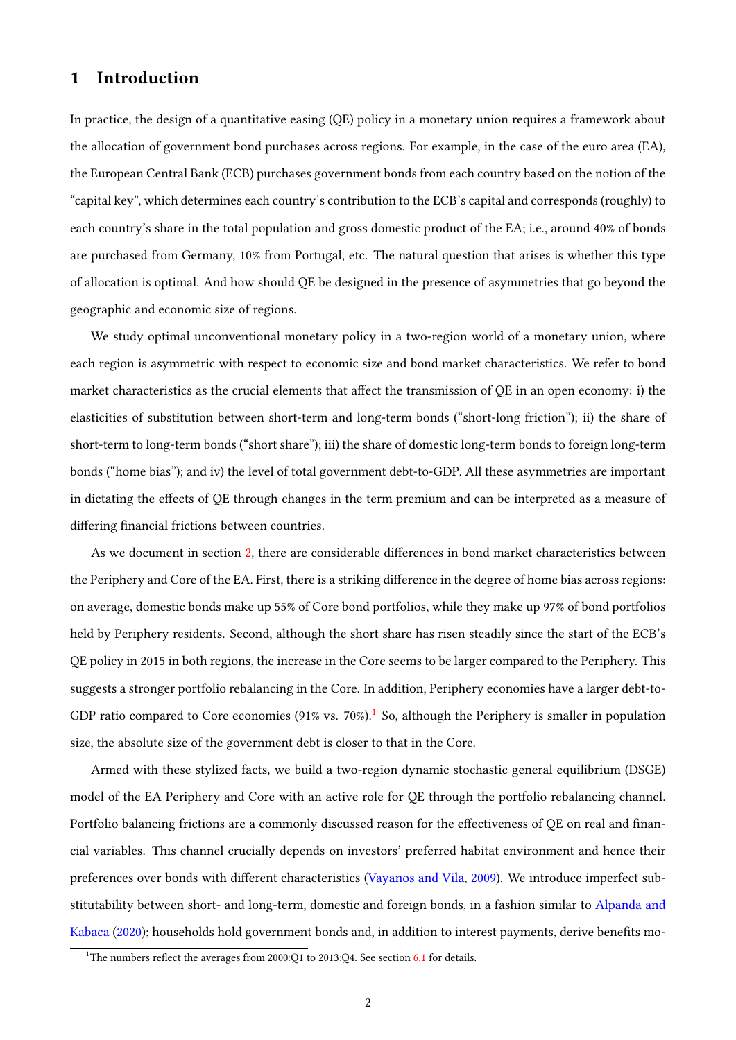# 1 Introduction

In practice, the design of a quantitative easing (QE) policy in a monetary union requires a framework about the allocation of government bond purchases across regions. For example, in the case of the euro area (EA), the European Central Bank (ECB) purchases government bonds from each country based on the notion of the "capital key", which determines each country's contribution to the ECB's capital and corresponds (roughly) to each country's share in the total population and gross domestic product of the EA; i.e., around 40% of bonds are purchased from Germany, 10% from Portugal, etc. The natural question that arises is whether this type of allocation is optimal. And how should QE be designed in the presence of asymmetries that go beyond the geographic and economic size of regions.

We study optimal unconventional monetary policy in a two-region world of a monetary union, where each region is asymmetric with respect to economic size and bond market characteristics. We refer to bond market characteristics as the crucial elements that affect the transmission of  $QE$  in an open economy: i) the elasticities of substitution between short-term and long-term bonds ("short-long friction"); ii) the share of short-term to long-term bonds ("short share"); iii) the share of domestic long-term bonds to foreign long-term bonds ("home bias"); and iv) the level of total government debt-to-GDP. All these asymmetries are important in dictating the effects of QE through changes in the term premium and can be interpreted as a measure of differing financial frictions between countries.

As we document in section [2,](#page-5-0) there are considerable differences in bond market characteristics between the Periphery and Core of the EA. First, there is a striking difference in the degree of home bias across regions: on average, domestic bonds make up 55% of Core bond portfolios, while they make up 97% of bond portfolios held by Periphery residents. Second, although the short share has risen steadily since the start of the ECB's QE policy in 2015 in both regions, the increase in the Core seems to be larger compared to the Periphery. This suggests a stronger portfolio rebalancing in the Core. In addition, Periphery economies have a larger debt-to-GDP ratio compared to Core economies (9[1](#page-1-0)% vs. 70%).<sup>1</sup> So, although the Periphery is smaller in population size, the absolute size of the government debt is closer to that in the Core.

Armed with these stylized facts, we build a two-region dynamic stochastic general equilibrium (DSGE) model of the EA Periphery and Core with an active role for QE through the portfolio rebalancing channel. Portfolio balancing frictions are a commonly discussed reason for the effectiveness of QE on real and financial variables. This channel crucially depends on investors' preferred habitat environment and hence their preferences over bonds with different characteristics [\(Vayanos and Vila,](#page-47-0) [2009\)](#page-47-0). We introduce imperfect substitutability between short- and long-term, domestic and foreign bonds, in a fashion similar to [Alpanda and](#page-44-0) [Kabaca](#page-44-0) [\(2020\)](#page-44-0); households hold government bonds and, in addition to interest payments, derive benets mo-

<span id="page-1-0"></span><sup>&</sup>lt;sup>1</sup>The numbers reflect the averages from 2000:Q1 to 2013:Q4. See section  $6.1$  for details.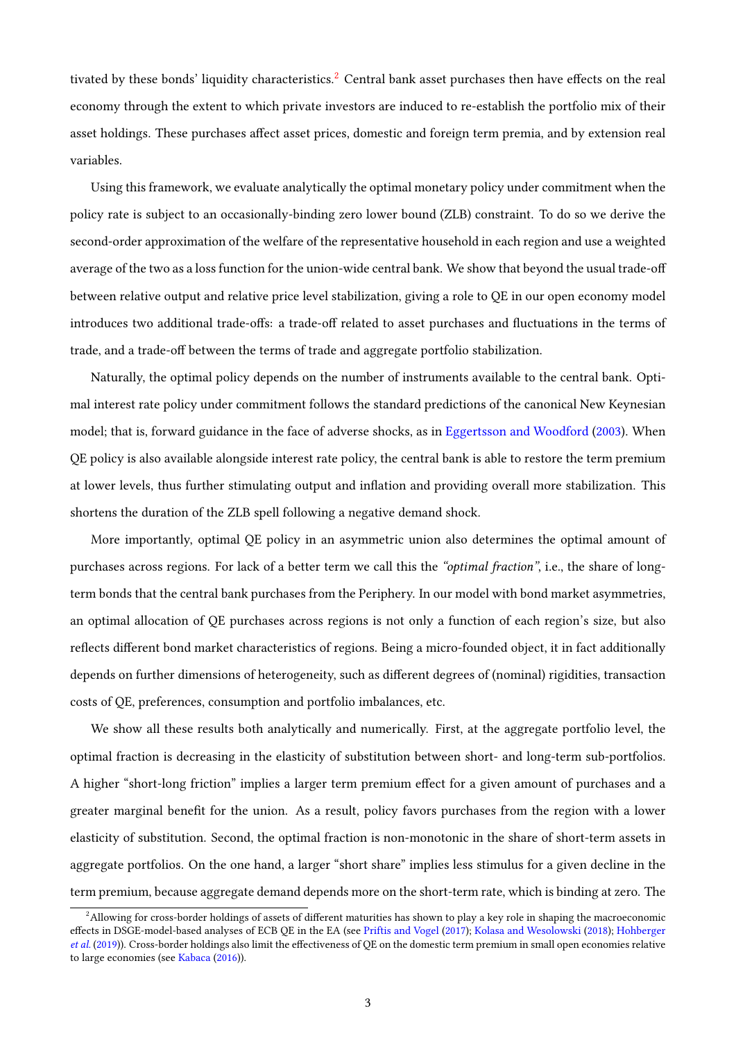tivated by these bonds' liquidity characteristics.<sup>[2](#page-2-0)</sup> Central bank asset purchases then have effects on the real economy through the extent to which private investors are induced to re-establish the portfolio mix of their asset holdings. These purchases affect asset prices, domestic and foreign term premia, and by extension real variables.

Using this framework, we evaluate analytically the optimal monetary policy under commitment when the policy rate is subject to an occasionally-binding zero lower bound (ZLB) constraint. To do so we derive the second-order approximation of the welfare of the representative household in each region and use a weighted average of the two as a loss function for the union-wide central bank. We show that beyond the usual trade-o between relative output and relative price level stabilization, giving a role to QE in our open economy model introduces two additional trade-offs: a trade-off related to asset purchases and fluctuations in the terms of trade, and a trade-off between the terms of trade and aggregate portfolio stabilization.

Naturally, the optimal policy depends on the number of instruments available to the central bank. Optimal interest rate policy under commitment follows the standard predictions of the canonical New Keynesian model; that is, forward guidance in the face of adverse shocks, as in [Eggertsson and Woodford](#page-46-0) [\(2003\)](#page-46-0). When QE policy is also available alongside interest rate policy, the central bank is able to restore the term premium at lower levels, thus further stimulating output and inflation and providing overall more stabilization. This shortens the duration of the ZLB spell following a negative demand shock.

More importantly, optimal QE policy in an asymmetric union also determines the optimal amount of purchases across regions. For lack of a better term we call this the "optimal fraction", i.e., the share of longterm bonds that the central bank purchases from the Periphery. In our model with bond market asymmetries, an optimal allocation of QE purchases across regions is not only a function of each region's size, but also reflects different bond market characteristics of regions. Being a micro-founded object, it in fact additionally depends on further dimensions of heterogeneity, such as different degrees of (nominal) rigidities, transaction costs of QE, preferences, consumption and portfolio imbalances, etc.

We show all these results both analytically and numerically. First, at the aggregate portfolio level, the optimal fraction is decreasing in the elasticity of substitution between short- and long-term sub-portfolios. A higher "short-long friction" implies a larger term premium effect for a given amount of purchases and a greater marginal benefit for the union. As a result, policy favors purchases from the region with a lower elasticity of substitution. Second, the optimal fraction is non-monotonic in the share of short-term assets in aggregate portfolios. On the one hand, a larger "short share" implies less stimulus for a given decline in the term premium, because aggregate demand depends more on the short-term rate, which is binding at zero. The

<span id="page-2-0"></span><sup>&</sup>lt;sup>2</sup>Allowing for cross-border holdings of assets of different maturities has shown to play a key role in shaping the macroeconomic effects in DSGE-model-based analyses of ECB QE in the EA (see [Priftis and Vogel](#page-47-1) [\(2017\)](#page-47-1); [Kolasa and Wesolowski](#page-47-2) [\(2018\)](#page-47-2); [Hohberger](#page-47-3) [et al.](#page-47-3) [\(2019\)](#page-47-3)). Cross-border holdings also limit the effectiveness of QE on the domestic term premium in small open economies relative to large economies (see [Kabaca](#page-47-4) [\(2016\)](#page-47-4)).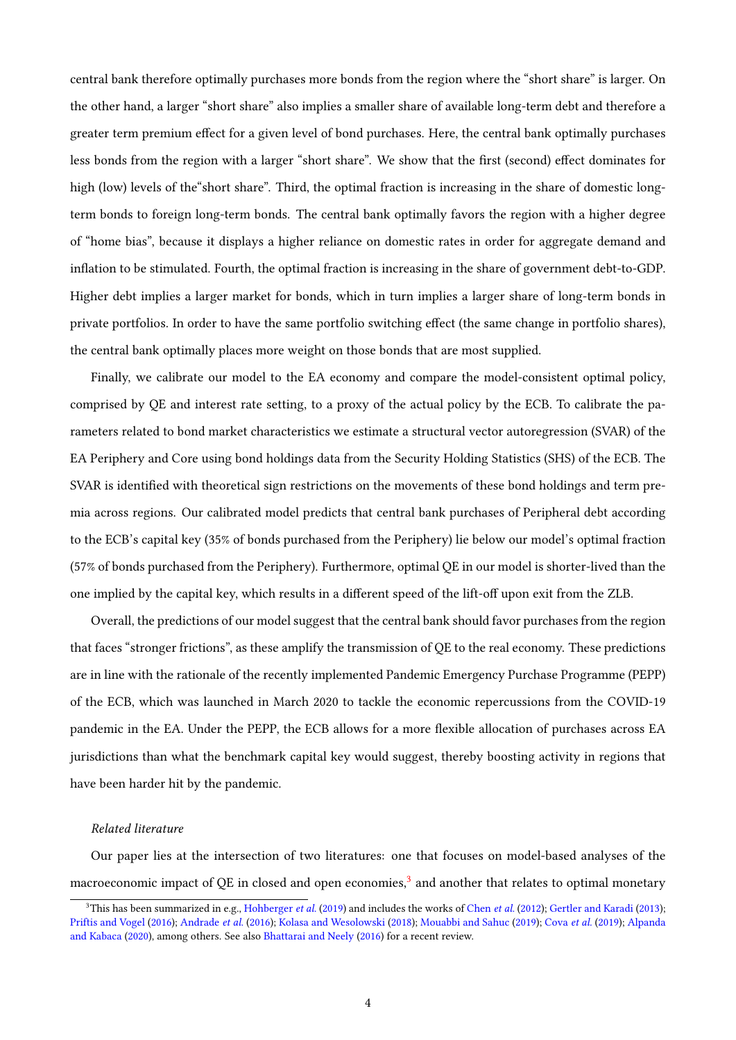central bank therefore optimally purchases more bonds from the region where the "short share" is larger. On the other hand, a larger "short share" also implies a smaller share of available long-term debt and therefore a greater term premium effect for a given level of bond purchases. Here, the central bank optimally purchases less bonds from the region with a larger "short share". We show that the first (second) effect dominates for high (low) levels of the "short share". Third, the optimal fraction is increasing in the share of domestic longterm bonds to foreign long-term bonds. The central bank optimally favors the region with a higher degree of "home bias", because it displays a higher reliance on domestic rates in order for aggregate demand and inflation to be stimulated. Fourth, the optimal fraction is increasing in the share of government debt-to-GDP. Higher debt implies a larger market for bonds, which in turn implies a larger share of long-term bonds in private portfolios. In order to have the same portfolio switching effect (the same change in portfolio shares), the central bank optimally places more weight on those bonds that are most supplied.

Finally, we calibrate our model to the EA economy and compare the model-consistent optimal policy, comprised by QE and interest rate setting, to a proxy of the actual policy by the ECB. To calibrate the parameters related to bond market characteristics we estimate a structural vector autoregression (SVAR) of the EA Periphery and Core using bond holdings data from the Security Holding Statistics (SHS) of the ECB. The SVAR is identified with theoretical sign restrictions on the movements of these bond holdings and term premia across regions. Our calibrated model predicts that central bank purchases of Peripheral debt according to the ECB's capital key (35% of bonds purchased from the Periphery) lie below our model's optimal fraction (57% of bonds purchased from the Periphery). Furthermore, optimal QE in our model is shorter-lived than the one implied by the capital key, which results in a different speed of the lift-off upon exit from the ZLB.

Overall, the predictions of our model suggest that the central bank should favor purchases from the region that faces "stronger frictions", as these amplify the transmission of QE to the real economy. These predictions are in line with the rationale of the recently implemented Pandemic Emergency Purchase Programme (PEPP) of the ECB, which was launched in March 2020 to tackle the economic repercussions from the COVID-19 pandemic in the EA. Under the PEPP, the ECB allows for a more flexible allocation of purchases across EA jurisdictions than what the benchmark capital key would suggest, thereby boosting activity in regions that have been harder hit by the pandemic.

### Related literature

Our paper lies at the intersection of two literatures: one that focuses on model-based analyses of the macroeconomic impact of QE in closed and open economies, $^3$  $^3$  and another that relates to optimal monetary

<span id="page-3-0"></span><sup>&</sup>lt;sup>3</sup>This has been summarized in e.g., [Hohberger](#page-47-3) *et al.* [\(2019\)](#page-47-3) and includes the works of [Chen](#page-45-0) *et al.* [\(2012\)](#page-45-0); [Gertler and Karadi](#page-46-1) [\(2013\)](#page-46-1); [Priftis and Vogel](#page-47-5) [\(2016\)](#page-47-5); [Andrade](#page-44-1) et al. [\(2016\)](#page-44-1); [Kolasa and Wesolowski](#page-47-2) [\(2018\)](#page-47-2); [Mouabbi and Sahuc](#page-47-6) [\(2019\)](#page-47-6); [Cova](#page-46-2) et al. [\(2019\)](#page-46-2); [Alpanda](#page-44-0) [and Kabaca](#page-44-0) [\(2020\)](#page-44-0), among others. See also [Bhattarai and Neely](#page-45-1) [\(2016\)](#page-45-1) for a recent review.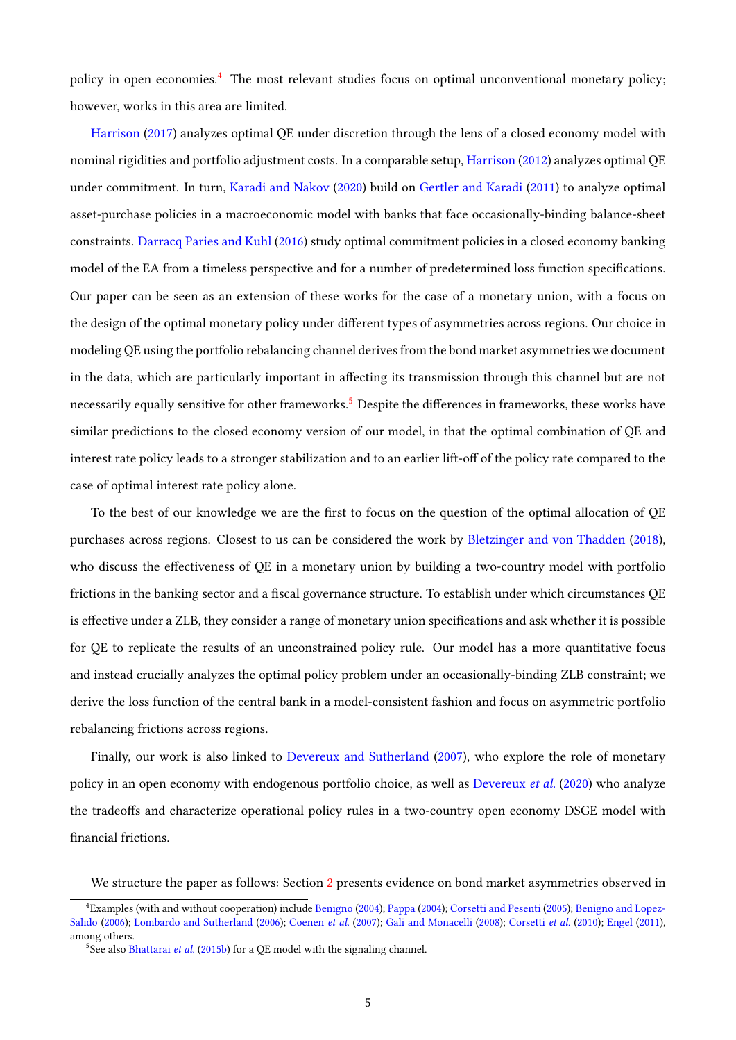policy in open economies.[4](#page-4-0) The most relevant studies focus on optimal unconventional monetary policy; however, works in this area are limited.

[Harrison](#page-47-7) [\(2017\)](#page-47-7) analyzes optimal QE under discretion through the lens of a closed economy model with nominal rigidities and portfolio adjustment costs. In a comparable setup, [Harrison](#page-46-3) [\(2012\)](#page-46-3) analyzes optimal QE under commitment. In turn, [Karadi and Nakov](#page-47-8) [\(2020\)](#page-47-8) build on [Gertler and Karadi](#page-46-4) [\(2011\)](#page-46-4) to analyze optimal asset-purchase policies in a macroeconomic model with banks that face occasionally-binding balance-sheet constraints. [Darracq Paries and Kuhl](#page-46-5) [\(2016\)](#page-46-5) study optimal commitment policies in a closed economy banking model of the EA from a timeless perspective and for a number of predetermined loss function specifications. Our paper can be seen as an extension of these works for the case of a monetary union, with a focus on the design of the optimal monetary policy under different types of asymmetries across regions. Our choice in modeling QE using the portfolio rebalancing channel derives from the bond market asymmetries we document in the data, which are particularly important in affecting its transmission through this channel but are not necessarily equally sensitive for other frameworks.<sup>[5](#page-4-1)</sup> Despite the differences in frameworks, these works have similar predictions to the closed economy version of our model, in that the optimal combination of QE and interest rate policy leads to a stronger stabilization and to an earlier lift-off of the policy rate compared to the case of optimal interest rate policy alone.

To the best of our knowledge we are the first to focus on the question of the optimal allocation of QE purchases across regions. Closest to us can be considered the work by [Bletzinger and von Thadden](#page-45-2) [\(2018\)](#page-45-2), who discuss the effectiveness of QE in a monetary union by building a two-country model with portfolio frictions in the banking sector and a fiscal governance structure. To establish under which circumstances QE is effective under a ZLB, they consider a range of monetary union specifications and ask whether it is possible for QE to replicate the results of an unconstrained policy rule. Our model has a more quantitative focus and instead crucially analyzes the optimal policy problem under an occasionally-binding ZLB constraint; we derive the loss function of the central bank in a model-consistent fashion and focus on asymmetric portfolio rebalancing frictions across regions.

Finally, our work is also linked to [Devereux and Sutherland](#page-46-6) [\(2007\)](#page-46-6), who explore the role of monetary policy in an open economy with endogenous portfolio choice, as well as [Devereux](#page-46-7) et al. [\(2020\)](#page-46-7) who analyze the tradeoffs and characterize operational policy rules in a two-country open economy DSGE model with financial frictions.

We structure the paper as follows: Section [2](#page-5-0) presents evidence on bond market asymmetries observed in

<span id="page-4-0"></span><sup>4</sup> Examples (with and without cooperation) include [Benigno](#page-44-2) [\(2004\)](#page-44-2); [Pappa](#page-47-9) [\(2004\)](#page-47-9); [Corsetti and Pesenti](#page-45-3) [\(2005\)](#page-45-3); [Benigno and Lopez-](#page-45-4)[Salido](#page-45-4) [\(2006\)](#page-47-10); [Lombardo and Sutherland](#page-47-10) (2006); [Coenen](#page-45-5) et al. [\(2007\)](#page-45-5); [Gali and Monacelli](#page-46-8) [\(2008\)](#page-46-8); [Corsetti](#page-45-6) et al. [\(2010\)](#page-45-6); [Engel](#page-46-9) [\(2011\)](#page-46-9), among others.

<span id="page-4-1"></span> $5$ See also [Bhattarai](#page-45-7) et al. [\(2015b\)](#page-45-7) for a QE model with the signaling channel.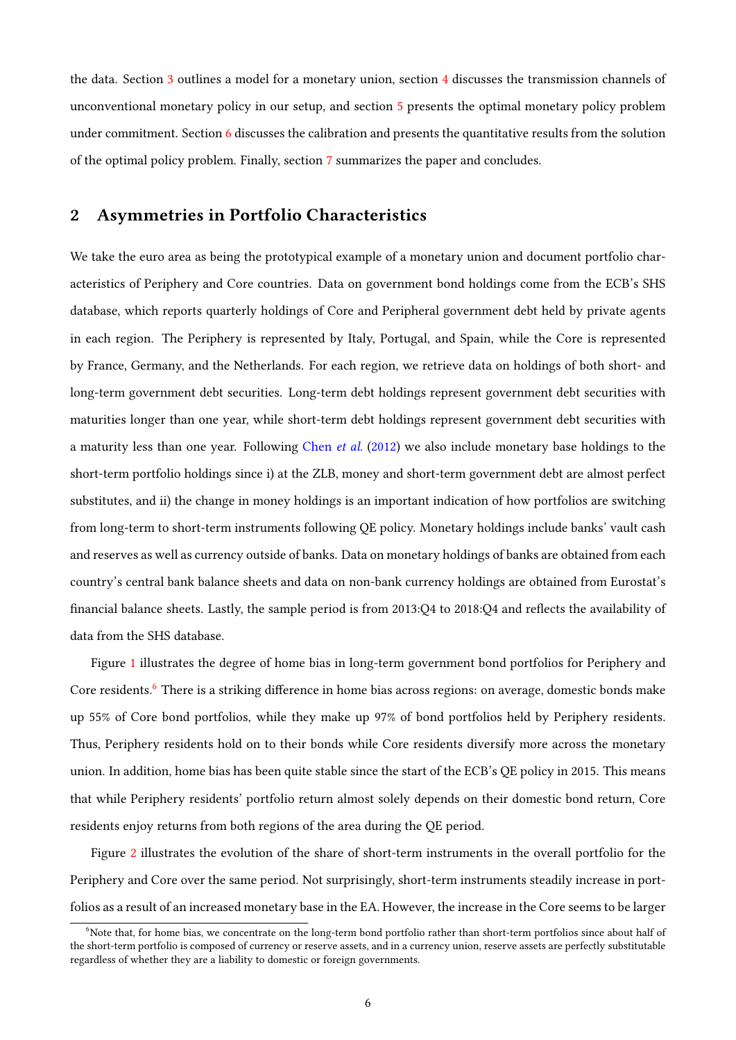the data. Section [3](#page-7-0) outlines a model for a monetary union, section [4](#page-14-0) discusses the transmission channels of unconventional monetary policy in our setup, and section [5](#page-17-0) presents the optimal monetary policy problem under commitment. Section [6](#page-24-1) discusses the calibration and presents the quantitative results from the solution of the optimal policy problem. Finally, section [7](#page-44-3) summarizes the paper and concludes.

# <span id="page-5-0"></span>2 Asymmetries in Portfolio Characteristics

We take the euro area as being the prototypical example of a monetary union and document portfolio characteristics of Periphery and Core countries. Data on government bond holdings come from the ECB's SHS database, which reports quarterly holdings of Core and Peripheral government debt held by private agents in each region. The Periphery is represented by Italy, Portugal, and Spain, while the Core is represented by France, Germany, and the Netherlands. For each region, we retrieve data on holdings of both short- and long-term government debt securities. Long-term debt holdings represent government debt securities with maturities longer than one year, while short-term debt holdings represent government debt securities with a maturity less than one year. Following [Chen](#page-45-0) et al. [\(2012\)](#page-45-0) we also include monetary base holdings to the short-term portfolio holdings since i) at the ZLB, money and short-term government debt are almost perfect substitutes, and ii) the change in money holdings is an important indication of how portfolios are switching from long-term to short-term instruments following QE policy. Monetary holdings include banks' vault cash and reserves as well as currency outside of banks. Data on monetary holdings of banks are obtained from each country's central bank balance sheets and data on non-bank currency holdings are obtained from Eurostat's financial balance sheets. Lastly, the sample period is from 2013:Q4 to 2018:Q4 and reflects the availability of data from the SHS database.

Figure [1](#page-6-0) illustrates the degree of home bias in long-term government bond portfolios for Periphery and Core residents.<sup>[6](#page-5-1)</sup> There is a striking difference in home bias across regions: on average, domestic bonds make up 55% of Core bond portfolios, while they make up 97% of bond portfolios held by Periphery residents. Thus, Periphery residents hold on to their bonds while Core residents diversify more across the monetary union. In addition, home bias has been quite stable since the start of the ECB's QE policy in 2015. This means that while Periphery residents' portfolio return almost solely depends on their domestic bond return, Core residents enjoy returns from both regions of the area during the QE period.

Figure [2](#page-6-1) illustrates the evolution of the share of short-term instruments in the overall portfolio for the Periphery and Core over the same period. Not surprisingly, short-term instruments steadily increase in portfolios as a result of an increased monetary base in the EA. However, the increase in the Core seems to be larger

<span id="page-5-1"></span><sup>&</sup>lt;sup>6</sup>Note that, for home bias, we concentrate on the long-term bond portfolio rather than short-term portfolios since about half of the short-term portfolio is composed of currency or reserve assets, and in a currency union, reserve assets are perfectly substitutable regardless of whether they are a liability to domestic or foreign governments.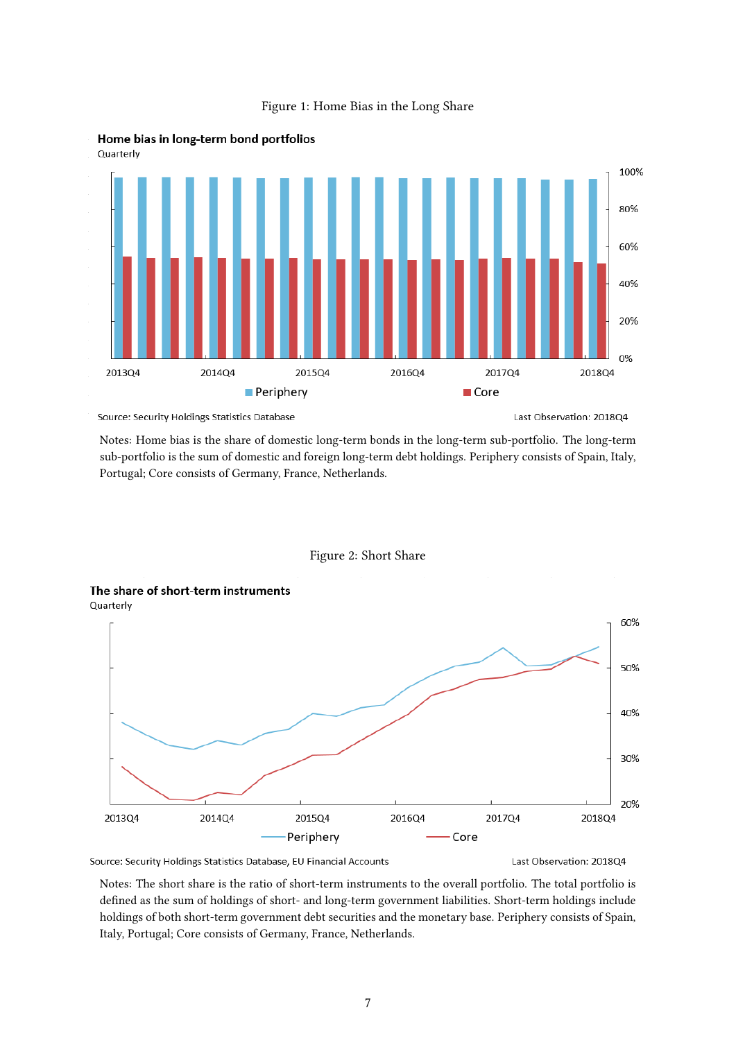

### Figure 1: Home Bias in the Long Share

<span id="page-6-0"></span>

Source: Security Holdings Statistics Database

Last Observation: 201804

Notes: Home bias is the share of domestic long-term bonds in the long-term sub-portfolio. The long-term sub-portfolio is the sum of domestic and foreign long-term debt holdings. Periphery consists of Spain, Italy, Portugal; Core consists of Germany, France, Netherlands.



<span id="page-6-1"></span>

Source: Security Holdings Statistics Database, EU Financial Accounts

Last Observation: 201804

Notes: The short share is the ratio of short-term instruments to the overall portfolio. The total portfolio is defined as the sum of holdings of short- and long-term government liabilities. Short-term holdings include holdings of both short-term government debt securities and the monetary base. Periphery consists of Spain, Italy, Portugal; Core consists of Germany, France, Netherlands.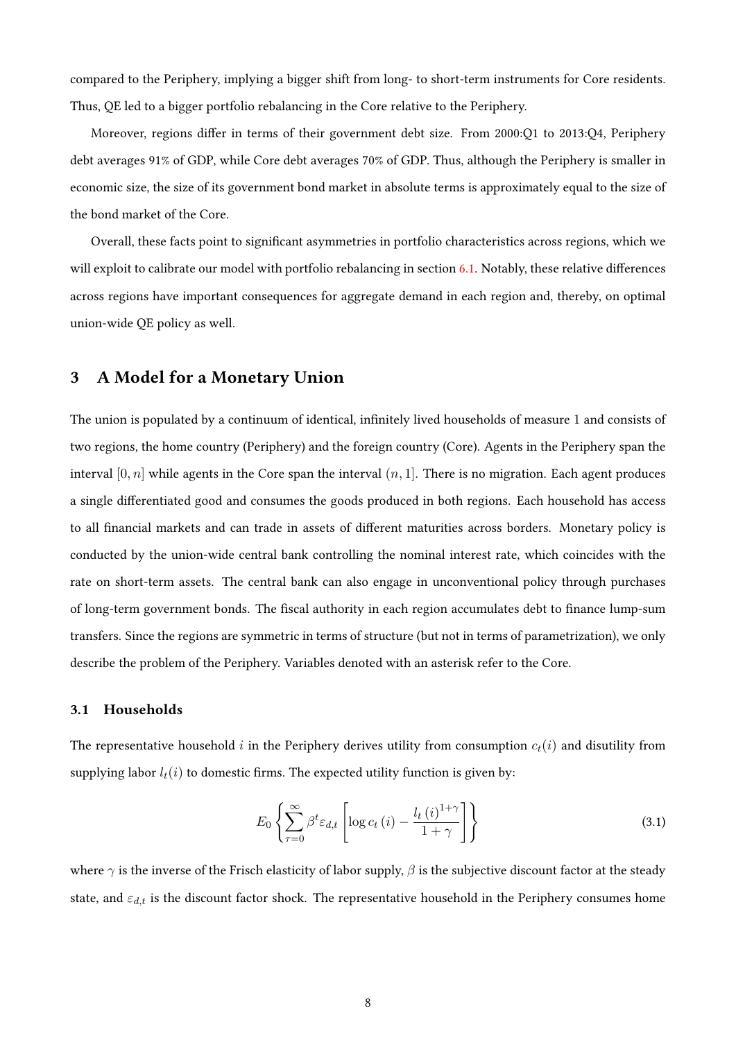compared to the Periphery, implying a bigger shift from long- to short-term instruments for Core residents. Thus, QE led to a bigger portfolio rebalancing in the Core relative to the Periphery.

Moreover, regions differ in terms of their government debt size. From 2000:Q1 to 2013:Q4, Periphery debt averages 91% of GDP, while Core debt averages 70% of GDP. Thus, although the Periphery is smaller in economic size, the size of its government bond market in absolute terms is approximately equal to the size of the bond market of the Core.

Overall, these facts point to significant asymmetries in portfolio characteristics across regions, which we will exploit to calibrate our model with portfolio rebalancing in section [6.1.](#page-24-0) Notably, these relative differences across regions have important consequences for aggregate demand in each region and, thereby, on optimal union-wide QE policy as well.

# <span id="page-7-0"></span>3 A Model for a Monetary Union

The union is populated by a continuum of identical, infinitely lived households of measure 1 and consists of two regions, the home country (Periphery) and the foreign country (Core). Agents in the Periphery span the interval  $[0, n]$  while agents in the Core span the interval  $(n, 1]$ . There is no migration. Each agent produces a single differentiated good and consumes the goods produced in both regions. Each household has access to all financial markets and can trade in assets of different maturities across borders. Monetary policy is conducted by the union-wide central bank controlling the nominal interest rate, which coincides with the rate on short-term assets. The central bank can also engage in unconventional policy through purchases of long-term government bonds. The fiscal authority in each region accumulates debt to finance lump-sum transfers. Since the regions are symmetric in terms of structure (but not in terms of parametrization), we only describe the problem of the Periphery. Variables denoted with an asterisk refer to the Core.

### 3.1 Households

The representative household i in the Periphery derives utility from consumption  $c_t(i)$  and disutility from supplying labor  $l_t(i)$  to domestic firms. The expected utility function is given by:

<span id="page-7-1"></span>
$$
E_0 \left\{ \sum_{\tau=0}^{\infty} \beta^t \varepsilon_{d,t} \left[ \log c_t \left( i \right) - \frac{l_t \left( i \right)^{1+\gamma}}{1+\gamma} \right] \right\} \tag{3.1}
$$

where  $\gamma$  is the inverse of the Frisch elasticity of labor supply,  $\beta$  is the subjective discount factor at the steady state, and  $\varepsilon_{d,t}$  is the discount factor shock. The representative household in the Periphery consumes home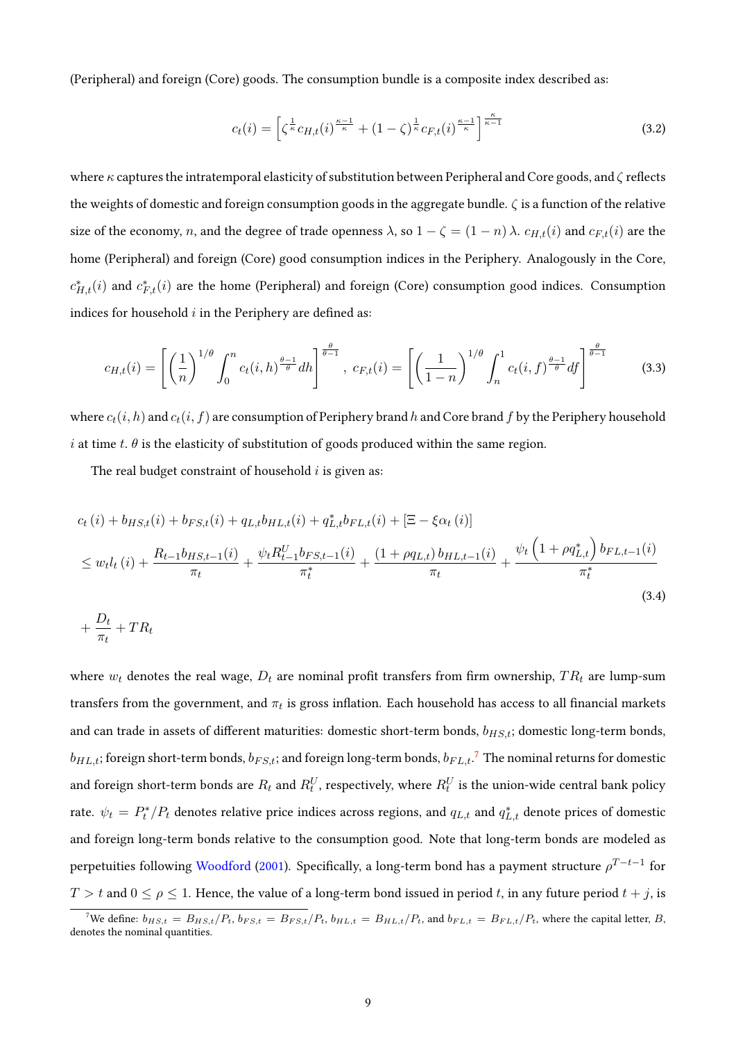(Peripheral) and foreign (Core) goods. The consumption bundle is a composite index described as:

$$
c_t(i) = \left[\zeta^{\frac{1}{\kappa}} c_{H,t}(i)^{\frac{\kappa-1}{\kappa}} + (1-\zeta)^{\frac{1}{\kappa}} c_{F,t}(i)^{\frac{\kappa-1}{\kappa}}\right]^{\frac{\kappa}{\kappa-1}}
$$
(3.2)

where  $\kappa$  captures the intratemporal elasticity of substitution between Peripheral and Core goods, and  $\zeta$  reflects the weights of domestic and foreign consumption goods in the aggregate bundle.  $\zeta$  is a function of the relative size of the economy, n, and the degree of trade openness  $\lambda$ , so  $1 - \zeta = (1 - n)\lambda$ .  $c_{H,t}(i)$  and  $c_{F,t}(i)$  are the home (Peripheral) and foreign (Core) good consumption indices in the Periphery. Analogously in the Core,  $c_{H,t}^*(i)$  and  $c_{F,t}^*(i)$  are the home (Peripheral) and foreign (Core) consumption good indices. Consumption indices for household  $i$  in the Periphery are defined as:

$$
c_{H,t}(i) = \left[ \left( \frac{1}{n} \right)^{1/\theta} \int_0^n c_t(i, h)^{\frac{\theta - 1}{\theta}} dh \right]^{\frac{\theta}{\theta - 1}}, \ c_{F,t}(i) = \left[ \left( \frac{1}{1 - n} \right)^{1/\theta} \int_n^1 c_t(i, f)^{\frac{\theta - 1}{\theta}} df \right]^{\frac{\theta}{\theta - 1}} \tag{3.3}
$$

where  $c_t(i, h)$  and  $c_t(i, f)$  are consumption of Periphery brand h and Core brand f by the Periphery household i at time t.  $\theta$  is the elasticity of substitution of goods produced within the same region.

The real budget constraint of household  $i$  is given as:

<span id="page-8-1"></span> $\frac{D_t}{\pi_t} + TR_t$ 

$$
c_{t}(i) + b_{HS,t}(i) + b_{FS,t}(i) + q_{L,t}b_{HL,t}(i) + q_{L,t}^{*}b_{FL,t}(i) + \left[\Xi - \xi\alpha_{t}(i)\right]
$$
  
\n
$$
\leq w_{t}l_{t}(i) + \frac{R_{t-1}b_{HS,t-1}(i)}{\pi_{t}} + \frac{\psi_{t}R_{t-1}^{U}b_{FS,t-1}(i)}{\pi_{t}^{*}} + \frac{(1 + \rho q_{L,t})b_{HL,t-1}(i)}{\pi_{t}} + \frac{\psi_{t}\left(1 + \rho q_{L,t}^{*}\right)b_{FL,t-1}(i)}{\pi_{t}^{*}}
$$
\n
$$
+ \frac{D_{t}}{L} + TR_{t}
$$
\n(3.4)

where 
$$
w_t
$$
 denotes the real wage,  $D_t$  are nominal profit transfers from firm ownership,  $TR_t$  are lump-sum  
transfers from the government, and  $\pi_t$  is gross inflation. Each household has access to all financial markets  
and can trade in assets of different maturities: domestic short-term bonds,  $b_{H S, t}$ ; domestic long-term bonds,  
 $b_{H L, t}$ ; foreign short-term bonds,  $b_{F S, t}$ ; and foreign long-term bonds,  $b_{F L, t}$ .<sup>7</sup> The nominal returns for domestic  
and foreign short-term bonds are  $R_t$  and  $R_t^U$ , respectively, where  $R_t^U$  is the union-wide central bank policy  
rate.  $\psi_t = P_t^*/P_t$  denotes relative price indices across regions, and  $q_{L,t}$  and  $q_{L,t}^*$  denote prices of domestic  
and foreign long-term bonds relative to the consumption good. Note that long-term bonds are modeled as  
perpetuities following Woodford (2001). Specifically, a long-term bond has a payment structure  $\rho^{T-t-1}$  for  
 $T > t$  and  $0 \le \rho \le 1$ . Hence, the value of a long-term bond issued in period  $t$ , in any future period  $t + j$ , is

<span id="page-8-0"></span><sup>&</sup>lt;sup>7</sup>We define:  $b_{HS,t} = B_{HS,t}/P_t$ ,  $b_{FS,t} = B_{FS,t}/P_t$ ,  $b_{HL,t} = B_{HL,t}/P_t$ , and  $b_{FL,t} = B_{FL,t}/P_t$ , where the capital letter, B, denotes the nominal quantities.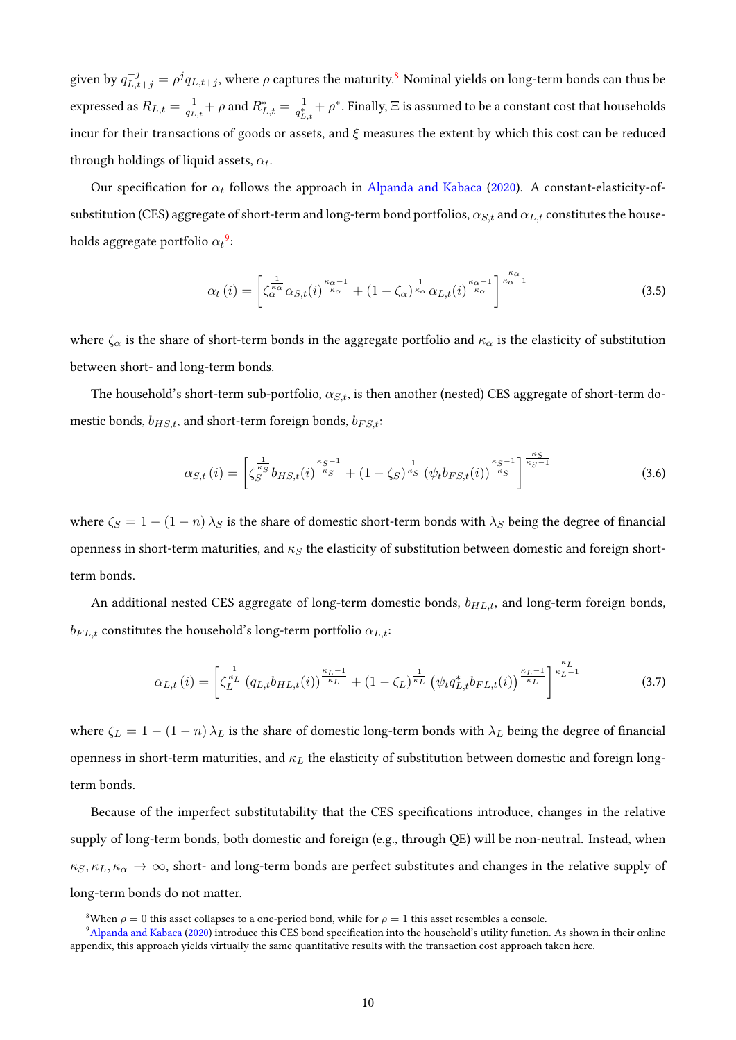given by  $q_{L,t+j}^{-j}=\rho^jq_{L,t+j},$  where  $\rho$  captures the maturity. $^8$  $^8$  Nominal yields on long-term bonds can thus be expressed as  $R_{L,t} = \frac{1}{a_t}$  $\frac{1}{q_{L,t}}+\rho$  and  $R^*_{L,t}=\frac{1}{q^*_L}$  $\frac{1}{q_{L,t}^*} + \rho^*$ . Finally,  $\Xi$  is assumed to be a constant cost that households incur for their transactions of goods or assets, and  $\xi$  measures the extent by which this cost can be reduced through holdings of liquid assets,  $\alpha_t.$ 

Our specification for  $\alpha_t$  follows the approach in [Alpanda and Kabaca](#page-44-0) [\(2020\)](#page-44-0). A constant-elasticity-ofsubstitution (CES) aggregate of short-term and long-term bond portfolios,  $\alpha_{S,t}$  and  $\alpha_{L,t}$  constitutes the households aggregate portfolio  ${\alpha_t}^9$  ${\alpha_t}^9$ :

$$
\alpha_t(i) = \left[ \zeta_{\alpha}^{\frac{1}{\kappa_{\alpha}}} \alpha_{S,t}(i)^{\frac{\kappa_{\alpha}-1}{\kappa_{\alpha}}} + (1 - \zeta_{\alpha})^{\frac{1}{\kappa_{\alpha}}} \alpha_{L,t}(i)^{\frac{\kappa_{\alpha}-1}{\kappa_{\alpha}}}\right]^{\frac{\kappa_{\alpha}}{\kappa_{\alpha}-1}}
$$
(3.5)

where  $\zeta_\alpha$  is the share of short-term bonds in the aggregate portfolio and  $\kappa_\alpha$  is the elasticity of substitution between short- and long-term bonds.

The household's short-term sub-portfolio,  $\alpha_{S,t}$ , is then another (nested) CES aggregate of short-term domestic bonds,  $b_{HS,t}$ , and short-term foreign bonds,  $b_{FS,t}$ :

$$
\alpha_{S,t}(i) = \left[ \zeta_S^{\frac{1}{\kappa_S}} b_{HS,t}(i) \frac{\kappa_S - 1}{\kappa_S} + (1 - \zeta_S)^{\frac{1}{\kappa_S}} (\psi_t b_{FS,t}(i)) \frac{\kappa_S - 1}{\kappa_S} \right]^{\frac{\kappa_S}{\kappa_S - 1}}
$$
(3.6)

where  $\zeta_S = 1 - (1 - n) \lambda_S$  is the share of domestic short-term bonds with  $\lambda_S$  being the degree of financial openness in short-term maturities, and  $\kappa_S$  the elasticity of substitution between domestic and foreign shortterm bonds.

An additional nested CES aggregate of long-term domestic bonds,  $b_{HL,t}$ , and long-term foreign bonds,  $b_{FL,t}$  constitutes the household's long-term portfolio  $\alpha_{L,t}$ :

$$
\alpha_{L,t}(i) = \left[ \zeta_L^{\frac{1}{\kappa_L}} \left( q_{L,t} b_{HL,t}(i) \right)^{\frac{\kappa_L - 1}{\kappa_L}} + (1 - \zeta_L)^{\frac{1}{\kappa_L}} \left( \psi_t q_{L,t}^* b_{FL,t}(i) \right)^{\frac{\kappa_L - 1}{\kappa_L}} \right]^{\frac{\kappa_L}{\kappa_L - 1}} \tag{3.7}
$$

where  $\zeta_L = 1 - (1 - n) \lambda_L$  is the share of domestic long-term bonds with  $\lambda_L$  being the degree of financial openness in short-term maturities, and  $\kappa_L$  the elasticity of substitution between domestic and foreign longterm bonds.

Because of the imperfect substitutability that the CES specifications introduce, changes in the relative supply of long-term bonds, both domestic and foreign (e.g., through QE) will be non-neutral. Instead, when  $\kappa_S, \kappa_L, \kappa_\alpha \to \infty$ , short- and long-term bonds are perfect substitutes and changes in the relative supply of long-term bonds do not matter.

<span id="page-9-1"></span><span id="page-9-0"></span><sup>&</sup>lt;sup>8</sup>When  $\rho = 0$  this asset collapses to a one-period bond, while for  $\rho = 1$  this asset resembles a console.

<sup>&</sup>lt;sup>9</sup>[Alpanda and Kabaca](#page-44-0) [\(2020\)](#page-44-0) introduce this CES bond specification into the household's utility function. As shown in their online appendix, this approach yields virtually the same quantitative results with the transaction cost approach taken here.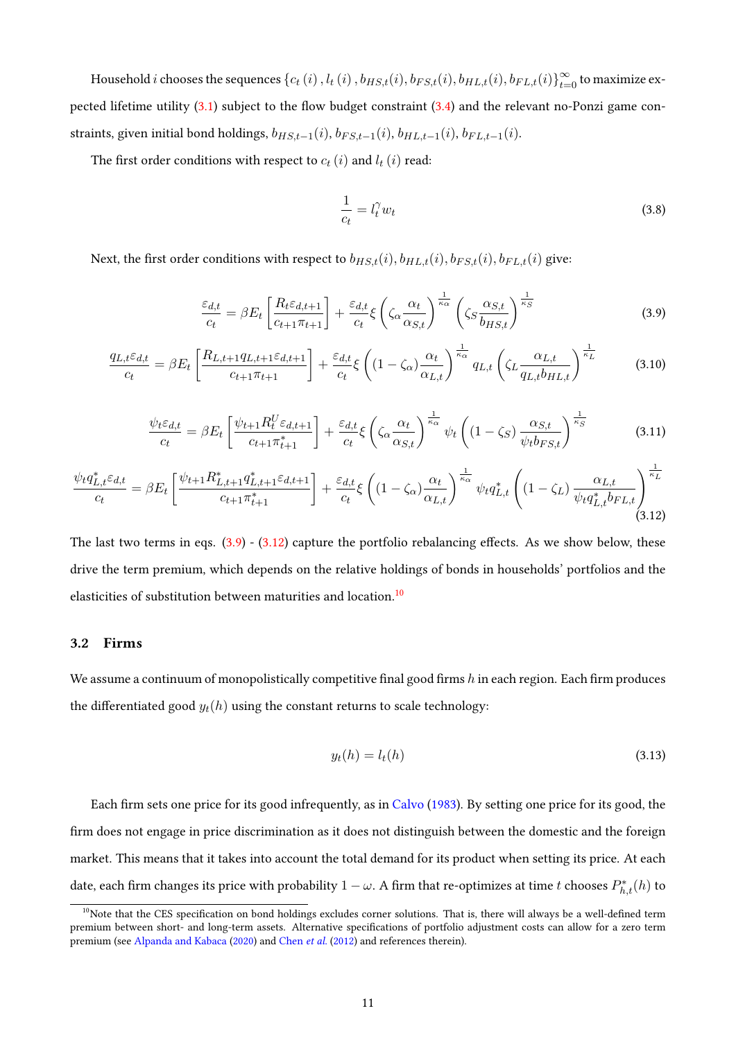Household  $i$  chooses the sequences  $\{c_t(i),$   $l_t(i),$   $b_{HS,t}(i),$   $b_{FS,t}(i),$   $b_{HL,t}(i),$   $b_{FL,t}(i)\}_{t=0}^\infty$  to maximize expected lifetime utility  $(3.1)$  subject to the flow budget constraint  $(3.4)$  and the relevant no-Ponzi game constraints, given initial bond holdings,  $b_{H S, t-1}(i)$ ,  $b_{F S, t-1}(i)$ ,  $b_{H L,t-1}(i)$ ,  $b_{F L,t-1}(i)$ .

The first order conditions with respect to  $c_t(i)$  and  $l_t(i)$  read:

$$
\frac{1}{c_t} = l_t^{\gamma} w_t \tag{3.8}
$$

Next, the first order conditions with respect to  $b_{H,S,t}(i), b_{H,L,t}(i), b_{FS,t}(i), b_{FL,t}(i)$  give:

<span id="page-10-0"></span>
$$
\frac{\varepsilon_{d,t}}{c_t} = \beta E_t \left[ \frac{R_t \varepsilon_{d,t+1}}{c_{t+1} \pi_{t+1}} \right] + \frac{\varepsilon_{d,t}}{c_t} \xi \left( \zeta_\alpha \frac{\alpha_t}{\alpha_{S,t}} \right)^{\frac{1}{\kappa_\alpha}} \left( \zeta_S \frac{\alpha_{S,t}}{b_{HS,t}} \right)^{\frac{1}{\kappa_S}} \tag{3.9}
$$

<span id="page-10-4"></span>
$$
\frac{q_{L,t}\varepsilon_{d,t}}{c_t} = \beta E_t \left[ \frac{R_{L,t+1}q_{L,t+1}\varepsilon_{d,t+1}}{c_{t+1}\pi_{t+1}} \right] + \frac{\varepsilon_{d,t}}{c_t} \xi \left( (1 - \zeta_\alpha) \frac{\alpha_t}{\alpha_{L,t}} \right)^{\frac{1}{\kappa_\alpha}} q_{L,t} \left( \zeta_L \frac{\alpha_{L,t}}{q_{L,t}b_{HL,t}} \right)^{\frac{1}{\kappa_L}}
$$
(3.10)

<span id="page-10-5"></span>
$$
\frac{\psi_t \varepsilon_{d,t}}{c_t} = \beta E_t \left[ \frac{\psi_{t+1} R_t^U \varepsilon_{d,t+1}}{c_{t+1} \pi_{t+1}^*} \right] + \frac{\varepsilon_{d,t}}{c_t} \xi \left( \zeta_\alpha \frac{\alpha_t}{\alpha_{S,t}} \right)^{\frac{1}{\kappa_\alpha}} \psi_t \left( (1 - \zeta_S) \frac{\alpha_{S,t}}{\psi_t b_{FS,t}} \right)^{\frac{1}{\kappa_S}} \tag{3.11}
$$

<span id="page-10-1"></span>
$$
\frac{\psi_t q_{L,t}^* \varepsilon_{d,t}}{c_t} = \beta E_t \left[ \frac{\psi_{t+1} R_{L,t+1}^* q_{L,t+1}^* \varepsilon_{d,t+1}}{c_{t+1} \pi_{t+1}^*} \right] + \frac{\varepsilon_{d,t}}{c_t} \xi \left( (1 - \zeta_\alpha) \frac{\alpha_t}{\alpha_{L,t}} \right)^{\frac{1}{\kappa_\alpha}} \psi_t q_{L,t}^* \left( (1 - \zeta_L) \frac{\alpha_{L,t}}{\psi_t q_{L,t}^* b_{FL,t}} \right)^{\frac{1}{\kappa_L}} (3.12)
$$

The last two terms in eqs.  $(3.9)$  -  $(3.12)$  capture the portfolio rebalancing effects. As we show below, these drive the term premium, which depends on the relative holdings of bonds in households' portfolios and the elasticities of substitution between maturities and location.<sup>[10](#page-10-2)</sup>

### 3.2 Firms

We assume a continuum of monopolistically competitive final good firms  $h$  in each region. Each firm produces the differentiated good  $y_t(h)$  using the constant returns to scale technology:

<span id="page-10-3"></span>
$$
y_t(h) = l_t(h) \tag{3.13}
$$

Each firm sets one price for its good infrequently, as in [Calvo](#page-45-8) [\(1983\)](#page-45-8). By setting one price for its good, the firm does not engage in price discrimination as it does not distinguish between the domestic and the foreign market. This means that it takes into account the total demand for its product when setting its price. At each date, each firm changes its price with probability  $1-\omega$ . A firm that re-optimizes at time  $t$  chooses  $P^*_{h,t}(h)$  to

<span id="page-10-2"></span> $10$ Note that the CES specification on bond holdings excludes corner solutions. That is, there will always be a well-defined term premium between short- and long-term assets. Alternative specifications of portfolio adjustment costs can allow for a zero term premium (see [Alpanda and Kabaca](#page-44-0) [\(2020\)](#page-44-0) and [Chen](#page-45-0) et al. [\(2012\)](#page-45-0) and references therein).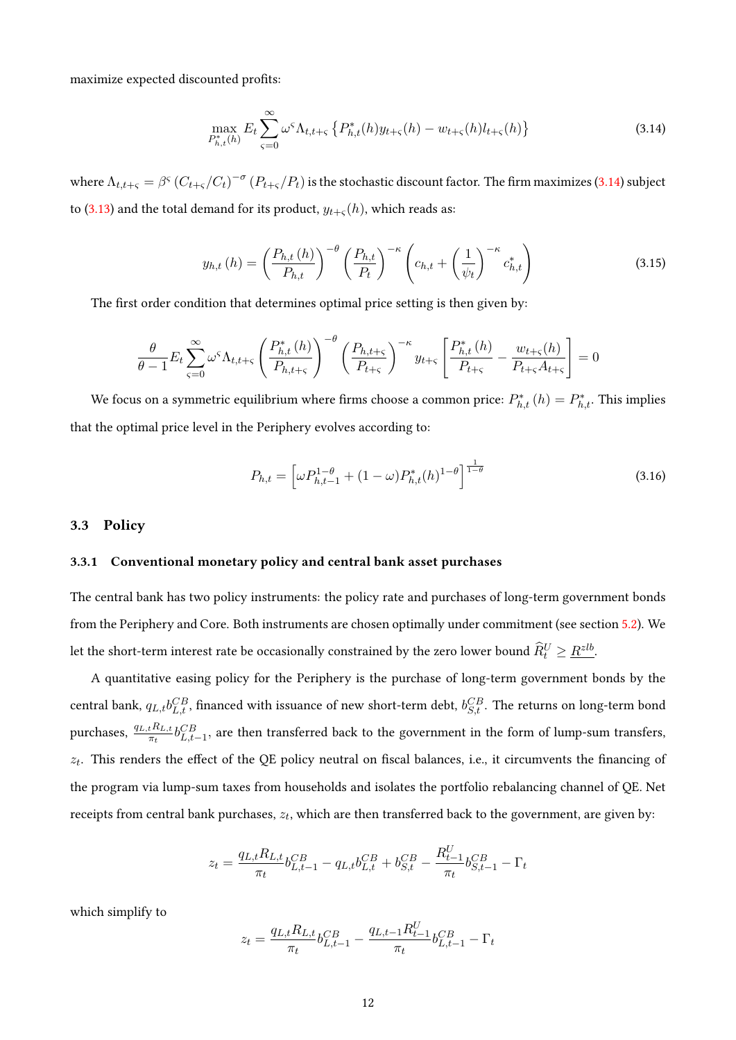maximize expected discounted profits:

<span id="page-11-0"></span>
$$
\max_{P_{h,t}^*(h)} E_t \sum_{\varsigma=0}^{\infty} \omega^{\varsigma} \Lambda_{t,t+\varsigma} \left\{ P_{h,t}^*(h) y_{t+\varsigma}(h) - w_{t+\varsigma}(h) l_{t+\varsigma}(h) \right\} \tag{3.14}
$$

where  $\Lambda_{t,t+\varsigma}=\beta^\varsigma\,(C_{t+\varsigma}/C_t)^{-\sigma}\,(P_{t+\varsigma}/P_t)$  is the stochastic discount factor. The firm maximizes [\(3.14\)](#page-11-0) subject to [\(3.13\)](#page-10-3) and the total demand for its product,  $y_{t+\varsigma}(h)$ , which reads as:

$$
y_{h,t}(h) = \left(\frac{P_{h,t}(h)}{P_{h,t}}\right)^{-\theta} \left(\frac{P_{h,t}}{P_t}\right)^{-\kappa} \left(c_{h,t} + \left(\frac{1}{\psi_t}\right)^{-\kappa} c_{h,t}^*\right)
$$
(3.15)

The first order condition that determines optimal price setting is then given by:

$$
\frac{\theta}{\theta-1} E_t \sum_{\varsigma=0}^{\infty} \omega^{\varsigma} \Lambda_{t,t+\varsigma} \left( \frac{P_{h,t}^*(h)}{P_{h,t+\varsigma}} \right)^{-\theta} \left( \frac{P_{h,t+\varsigma}}{P_{t+\varsigma}} \right)^{-\kappa} y_{t+\varsigma} \left[ \frac{P_{h,t}^*(h)}{P_{t+\varsigma}} - \frac{w_{t+\varsigma}(h)}{P_{t+\varsigma}A_{t+\varsigma}} \right] = 0
$$

We focus on a symmetric equilibrium where firms choose a common price:  $P_{h,t}^*(h) = P_{h,t}^*$ . This implies that the optimal price level in the Periphery evolves according to:

$$
P_{h,t} = \left[\omega P_{h,t-1}^{1-\theta} + (1-\omega)P_{h,t}^*(h)^{1-\theta}\right]^{\frac{1}{1-\theta}}
$$
\n(3.16)

### 3.3 Policy

### 3.3.1 Conventional monetary policy and central bank asset purchases

The central bank has two policy instruments: the policy rate and purchases of long-term government bonds from the Periphery and Core. Both instruments are chosen optimally under commitment (see section [5.2\)](#page-21-0). We let the short-term interest rate be occasionally constrained by the zero lower bound  $\widehat{R}_t^U \geq \underline{R}^{zlb}$ .

A quantitative easing policy for the Periphery is the purchase of long-term government bonds by the central bank,  $q_{L,t}b_{L,t}^{CB}$ , financed with issuance of new short-term debt,  $b_{S,t}^{CB}$ . The returns on long-term bond purchases,  $\frac{q_{L,t}R_{L,t}}{\pi_t}b_{L,t-1}^{CB}$ , are then transferred back to the government in the form of lump-sum transfers,  $z_t$ . This renders the effect of the QE policy neutral on fiscal balances, i.e., it circumvents the financing of the program via lump-sum taxes from households and isolates the portfolio rebalancing channel of QE. Net receipts from central bank purchases,  $z_t$ , which are then transferred back to the government, are given by:

$$
z_t = \frac{q_{L,t}R_{L,t}}{\pi_t}b_{L,t-1}^{CB} - q_{L,t}b_{L,t}^{CB} + b_{S,t}^{CB} - \frac{R_{t-1}^U}{\pi_t}b_{S,t-1}^{CB} - \Gamma_t
$$

which simplify to

$$
z_t = \frac{q_{L,t}R_{L,t}}{\pi_t}b_{L,t-1}^{CB} - \frac{q_{L,t-1}R_{t-1}^U}{\pi_t}b_{L,t-1}^{CB} - \Gamma_t
$$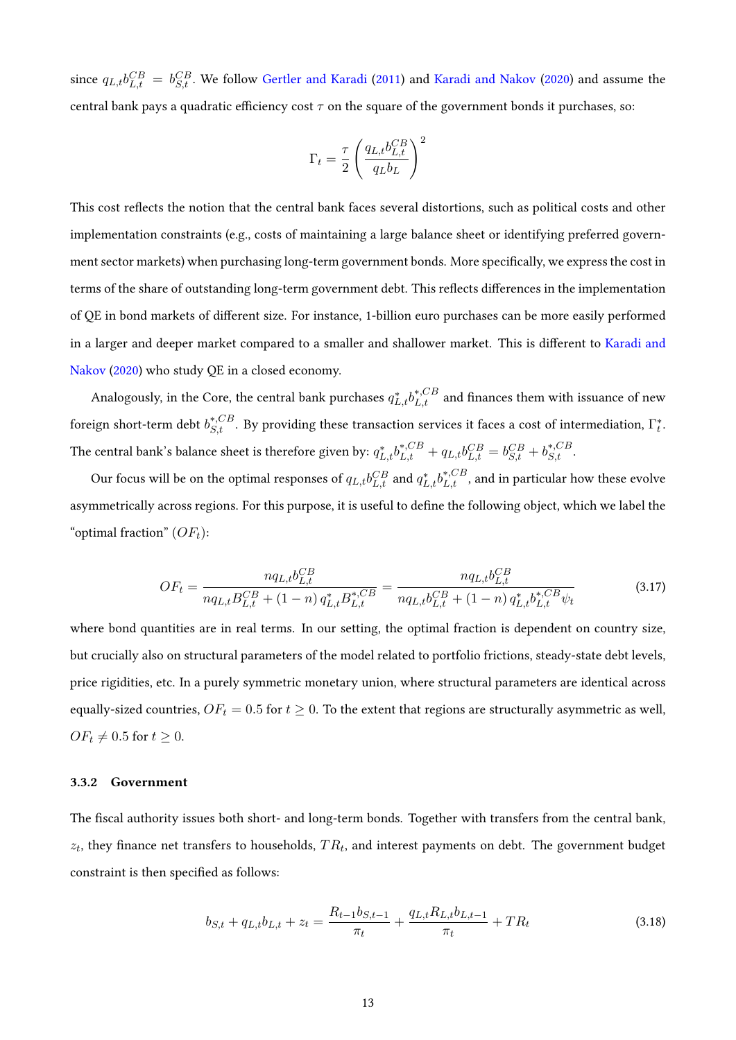since  $q_{L,t}b_{L,t}^{CB} = b_{S,t}^{CB}$ . We follow [Gertler and Karadi](#page-46-4) [\(2011\)](#page-46-4) and [Karadi and Nakov](#page-47-8) [\(2020\)](#page-47-8) and assume the central bank pays a quadratic efficiency cost  $\tau$  on the square of the government bonds it purchases, so:

$$
\Gamma_t = \frac{\tau}{2} \left( \frac{q_{L,t} b_{L,t}^{CB}}{q_L b_L} \right)^2
$$

This cost reflects the notion that the central bank faces several distortions, such as political costs and other implementation constraints (e.g., costs of maintaining a large balance sheet or identifying preferred government sector markets) when purchasing long-term government bonds. More specifically, we express the cost in terms of the share of outstanding long-term government debt. This reflects differences in the implementation of QE in bond markets of different size. For instance, 1-billion euro purchases can be more easily performed in a larger and deeper market compared to a smaller and shallower market. This is different to [Karadi and](#page-47-8) [Nakov](#page-47-8) [\(2020\)](#page-47-8) who study QE in a closed economy.

Analogously, in the Core, the central bank purchases  $q_{L,t}^* b_{L,t}^{*,CB}$  and finances them with issuance of new foreign short-term debt  $b_{S,t}^{*,CB}$ . By providing these transaction services it faces a cost of intermediation,  $\Gamma_t^*$ . The central bank's balance sheet is therefore given by:  $q_{L,t}^* b_{L,t}^{*,CB} + q_{L,t} b_{L,t}^{CB} = b_{S,t}^{CB} + b_{S,t}^{*,CB}.$ 

Our focus will be on the optimal responses of  $q_{L,t}b_{L,t}^{CB}$  and  $q_{L,t}^*b_{L,t}^{*,CB}$ , and in particular how these evolve asymmetrically across regions. For this purpose, it is useful to define the following object, which we label the "optimal fraction"  $(OF_t)$ :

<span id="page-12-0"></span>
$$
OF_{t} = \frac{nq_{L,t}b_{L,t}^{CB}}{nq_{L,t}B_{L,t}^{CB} + (1-n)q_{L,t}^{*}B_{L,t}^{*,CB}} = \frac{nq_{L,t}b_{L,t}^{CB}}{nq_{L,t}b_{L,t}^{CB} + (1-n)q_{L,t}^{*}b_{L,t}^{*,CB}\psi_{t}}
$$
(3.17)

where bond quantities are in real terms. In our setting, the optimal fraction is dependent on country size, but crucially also on structural parameters of the model related to portfolio frictions, steady-state debt levels, price rigidities, etc. In a purely symmetric monetary union, where structural parameters are identical across equally-sized countries,  $OF_t = 0.5$  for  $t \geq 0$ . To the extent that regions are structurally asymmetric as well,  $OF_t \neq 0.5$  for  $t \geq 0$ .

#### 3.3.2 Government

The fiscal authority issues both short- and long-term bonds. Together with transfers from the central bank,  $z_t$ , they finance net transfers to households,  $TR_t$ , and interest payments on debt. The government budget constraint is then specified as follows:

$$
b_{S,t} + q_{L,t}b_{L,t} + z_t = \frac{R_{t-1}b_{S,t-1}}{\pi_t} + \frac{q_{L,t}R_{L,t}b_{L,t-1}}{\pi_t} + TR_t
$$
\n(3.18)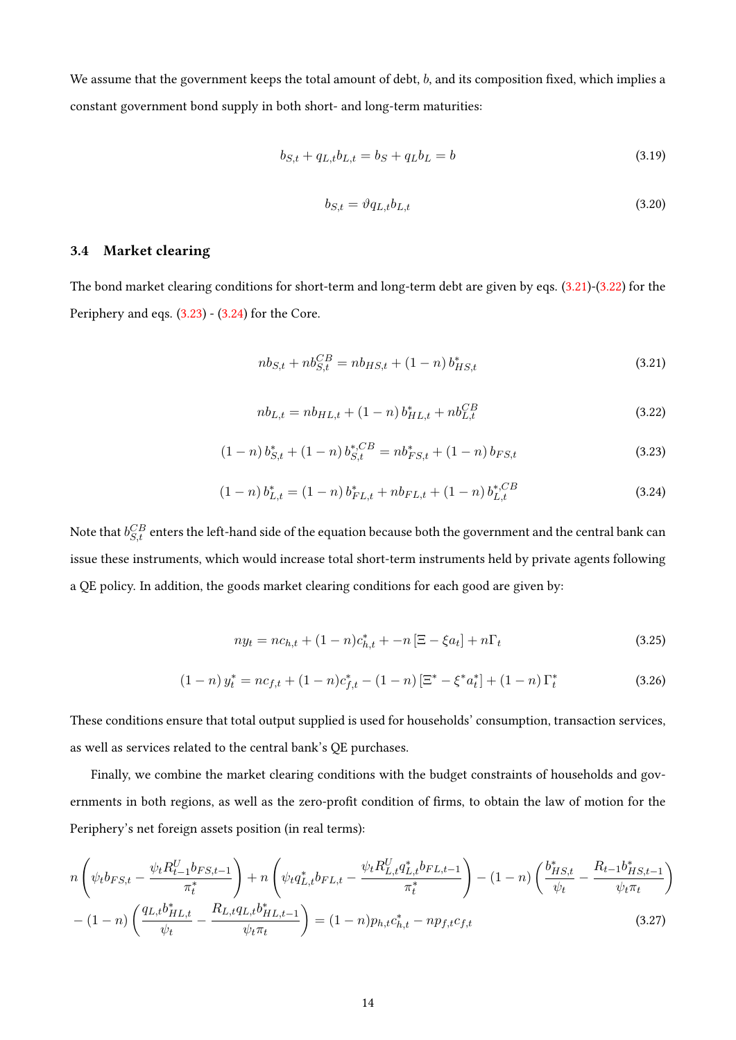We assume that the government keeps the total amount of debt,  $b$ , and its composition fixed, which implies a constant government bond supply in both short- and long-term maturities:

$$
b_{S,t} + q_{L,t}b_{L,t} = b_S + q_L b_L = b \tag{3.19}
$$

$$
b_{S,t} = \vartheta q_{L,t} b_{L,t} \tag{3.20}
$$

# 3.4 Market clearing

The bond market clearing conditions for short-term and long-term debt are given by eqs. [\(3.21\)](#page-13-0)-[\(3.22\)](#page-13-1) for the Periphery and eqs. [\(3.23\)](#page-13-2) - [\(3.24\)](#page-13-3) for the Core.

<span id="page-13-0"></span>
$$
nb_{S,t} + nb_{S,t}^{CB} = nb_{HS,t} + (1 - n)b_{HS,t}^{*}
$$
\n(3.21)

<span id="page-13-1"></span>
$$
nb_{L,t} = nb_{HL,t} + (1 - n) b_{HL,t}^* + nb_{L,t}^{CB}
$$
\n(3.22)

<span id="page-13-2"></span>
$$
(1 - n) b_{S,t}^* + (1 - n) b_{S,t}^{*,CB} = nb_{FS,t}^* + (1 - n) b_{FS,t}
$$
\n(3.23)

<span id="page-13-3"></span>
$$
(1 - n) b_{L,t}^* = (1 - n) b_{FL,t}^* + n b_{FL,t} + (1 - n) b_{L,t}^{*,CB}
$$
\n(3.24)

Note that  $b_{S,t}^{CB}$  enters the left-hand side of the equation because both the government and the central bank can issue these instruments, which would increase total short-term instruments held by private agents following a QE policy. In addition, the goods market clearing conditions for each good are given by:

$$
ny_{t} = nc_{h,t} + (1 - n)c_{h,t}^{*} + -n[\Xi - \xi a_{t}] + n\Gamma_{t}
$$
\n(3.25)

$$
(1 - n) y_t^* = nc_{f,t} + (1 - n)c_{f,t}^* - (1 - n) \left[\Xi^* - \xi^* a_t^*\right] + (1 - n) \Gamma_t^*
$$
\n(3.26)

These conditions ensure that total output supplied is used for households' consumption, transaction services, as well as services related to the central bank's QE purchases.

Finally, we combine the market clearing conditions with the budget constraints of households and governments in both regions, as well as the zero-profit condition of firms, to obtain the law of motion for the Periphery's net foreign assets position (in real terms):

$$
n\left(\psi_t b_{FS,t} - \frac{\psi_t R_{t-1}^U b_{FS,t-1}}{\pi_t^*}\right) + n\left(\psi_t q_{L,t}^* b_{FL,t} - \frac{\psi_t R_{L,t}^U q_{L,t}^* b_{FL,t-1}}{\pi_t^*}\right) - (1-n)\left(\frac{b_{HS,t}^*}{\psi_t} - \frac{R_{t-1}b_{HS,t-1}^*}{\psi_t \pi_t}\right) - (1-n)\left(\frac{q_{L,t}b_{HL,t}^*}{\psi_t} - \frac{R_{L,t}q_{L,t}b_{HL,t-1}^*}{\psi_t \pi_t}\right) = (1-n)p_{h,t}c_{h,t}^* - np_{f,t}c_{f,t}
$$
\n(3.27)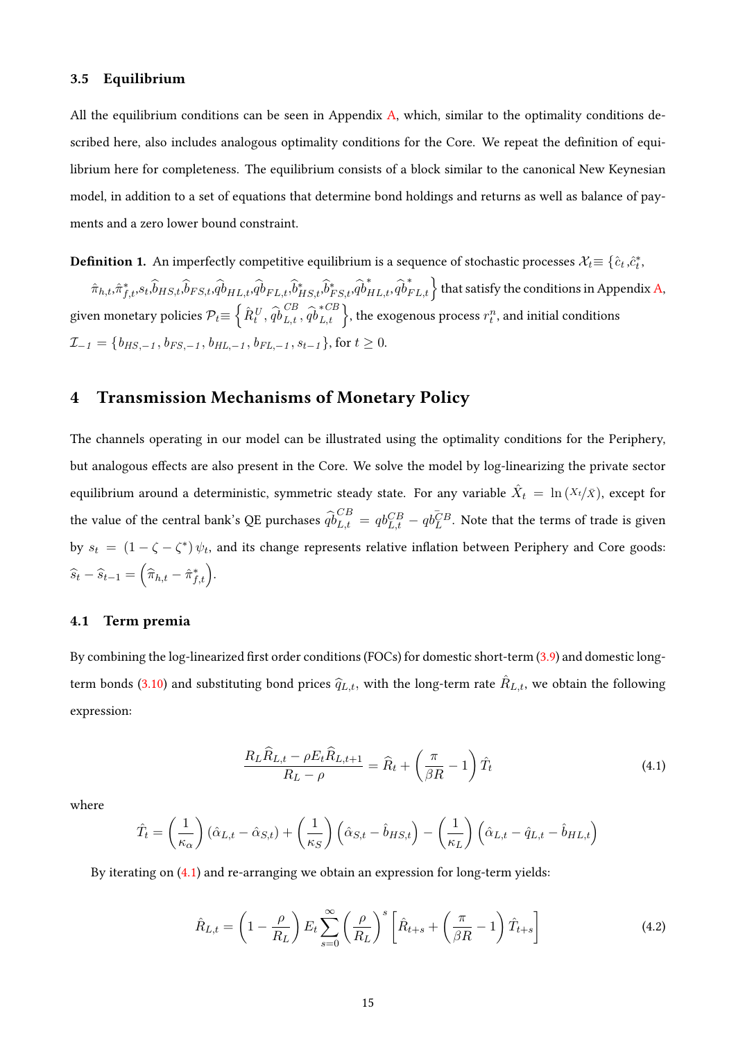### 3.5 Equilibrium

All the equilibrium conditions can be seen in Appendix [A,](#page-48-0) which, similar to the optimality conditions described here, also includes analogous optimality conditions for the Core. We repeat the definition of equilibrium here for completeness. The equilibrium consists of a block similar to the canonical New Keynesian model, in addition to a set of equations that determine bond holdings and returns as well as balance of payments and a zero lower bound constraint.

**Definition 1.** An imperfectly competitive equilibrium is a sequence of stochastic processes  $\mathcal{X}_t\!\equiv \{\hat{c}_t,\hat{c}_t^*,$  $\{\hat{m}_{h,t},\hat{\pi}_{f,t}^*,s_t,\hat{\theta}_{HS,t},\hat{\theta}_{FS,t},\hat{q}_{HL,t}^*,\hat{\theta}_{HS,t}^*,\hat{\theta}_{FS,t}^*,\hat{q}_{HL,t}^*,\hat{q}_{FL,t}^*\}$  that satisfy the conditions in Appendix [A,](#page-48-0) given monetary policies  $\mathcal{P}_t{\equiv}\left\{\hat{R}^{\mathit{U}}_t,\hat{q}\hat{\mathit{b}}_{L,t}^{\mathit{CB}}\right\}$  $\overrightarrow{CB}$ <sub>L,t</sub>,  $\widehat{qb}_{L,t}^{*CB}$  $\left\{L, t \atop L, t}\right\},$  the exogenous process  $r_t^n$ , and initial conditions  $\mathcal{I}_{-1} = \{b_{HS,-1}, b_{FS,-1}, b_{HL,-1}, b_{FL,-1}, s_{t-1}\},$  for  $t \geq 0$ .

# <span id="page-14-0"></span>4 Transmission Mechanisms of Monetary Policy

The channels operating in our model can be illustrated using the optimality conditions for the Periphery, but analogous effects are also present in the Core. We solve the model by log-linearizing the private sector equilibrium around a deterministic, symmetric steady state. For any variable  $\hat{X}_t\ =\ \ln{(X_t/\bar{X})}$ , except for the value of the central bank's QE purchases  $\widehat{qb}_{L,t}^{CB} = qb_{L,t}^{CB} - qb_L^{CB}$ . Note that the terms of trade is given by  $s_t = (1 - \zeta - \zeta^*) \psi_t$ , and its change represents relative inflation between Periphery and Core goods:  $\widehat{s}_t - \widehat{s}_{t-1} = (\widehat{\pi}_{h,t} - \widehat{\pi}_{f,t}^*)$ .

### 4.1 Term premia

By combining the log-linearized first order conditions (FOCs) for domestic short-term  $(3.9)$  and domestic long-term bonds [\(3.10\)](#page-10-4) and substituting bond prices  $\widehat q_{L,t},$  with the long-term rate  $\hat R_{L,t},$  we obtain the following expression:

<span id="page-14-1"></span>
$$
\frac{R_L \hat{R}_{L,t} - \rho E_t \hat{R}_{L,t+1}}{R_L - \rho} = \hat{R}_t + \left(\frac{\pi}{\beta R} - 1\right) \hat{T}_t
$$
\n(4.1)

where

$$
\hat{T}_t = \left(\frac{1}{\kappa_{\alpha}}\right)(\hat{\alpha}_{L,t} - \hat{\alpha}_{S,t}) + \left(\frac{1}{\kappa_{S}}\right)(\hat{\alpha}_{S,t} - \hat{b}_{HS,t}) - \left(\frac{1}{\kappa_{L}}\right)(\hat{\alpha}_{L,t} - \hat{q}_{L,t} - \hat{b}_{HL,t})
$$

By iterating on [\(4.1\)](#page-14-1) and re-arranging we obtain an expression for long-term yields:

<span id="page-14-2"></span>
$$
\hat{R}_{L,t} = \left(1 - \frac{\rho}{R_L}\right) E_t \sum_{s=0}^{\infty} \left(\frac{\rho}{R_L}\right)^s \left[\hat{R}_{t+s} + \left(\frac{\pi}{\beta R} - 1\right) \hat{T}_{t+s}\right]
$$
\n(4.2)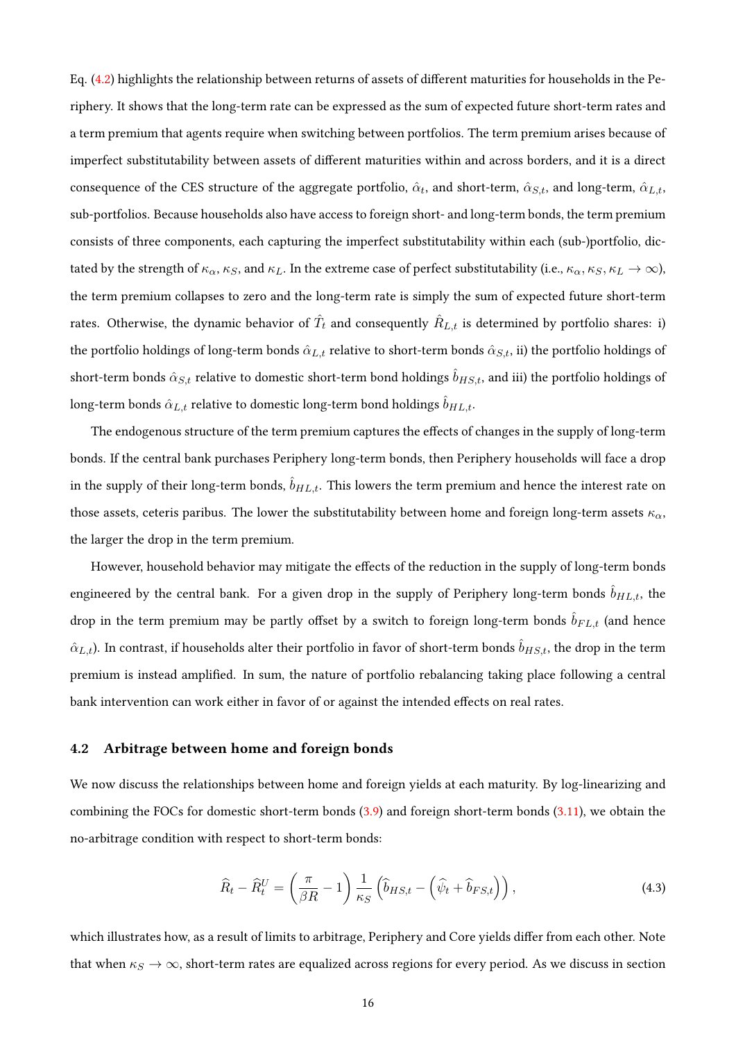Eq.  $(4.2)$  highlights the relationship between returns of assets of different maturities for households in the Periphery. It shows that the long-term rate can be expressed as the sum of expected future short-term rates and a term premium that agents require when switching between portfolios. The term premium arises because of imperfect substitutability between assets of different maturities within and across borders, and it is a direct consequence of the CES structure of the aggregate portfolio,  $\hat{\alpha}_t$ , and short-term,  $\hat{\alpha}_{S,t}$ , and long-term,  $\hat{\alpha}_{L,t}$ , sub-portfolios. Because households also have access to foreign short- and long-term bonds, the term premium consists of three components, each capturing the imperfect substitutability within each (sub-)portfolio, dictated by the strength of  $\kappa_{\alpha}$ ,  $\kappa_{S}$ , and  $\kappa_{L}$ . In the extreme case of perfect substitutability (i.e.,  $\kappa_{\alpha}$ ,  $\kappa_{S}$ ,  $\kappa_{L} \to \infty$ ), the term premium collapses to zero and the long-term rate is simply the sum of expected future short-term rates. Otherwise, the dynamic behavior of  $\hat T_t$  and consequently  $\hat R_{L,t}$  is determined by portfolio shares: i) the portfolio holdings of long-term bonds  $\hat{\alpha}_{L,t}$  relative to short-term bonds  $\hat{\alpha}_{S,t}$ , ii) the portfolio holdings of short-term bonds  $\hat{\alpha}_{S,t}$  relative to domestic short-term bond holdings  $\hat{b}_{H S,t}$ , and iii) the portfolio holdings of long-term bonds  $\hat{\alpha}_{L,t}$  relative to domestic long-term bond holdings  $\hat{b}_{HL,t}$ .

The endogenous structure of the term premium captures the effects of changes in the supply of long-term bonds. If the central bank purchases Periphery long-term bonds, then Periphery households will face a drop in the supply of their long-term bonds,  $\hat{b}_{HL,t}$ . This lowers the term premium and hence the interest rate on those assets, ceteris paribus. The lower the substitutability between home and foreign long-term assets  $\kappa_{\alpha}$ , the larger the drop in the term premium.

However, household behavior may mitigate the effects of the reduction in the supply of long-term bonds engineered by the central bank. For a given drop in the supply of Periphery long-term bonds  $\hat{b}_{HL,t}$ , the drop in the term premium may be partly offset by a switch to foreign long-term bonds  $\hat{b}_{FL,t}$  (and hence  $\hat{\alpha}_{L,t}$ ). In contrast, if households alter their portfolio in favor of short-term bonds  $\hat{b}_{HS,t}$ , the drop in the term premium is instead amplied. In sum, the nature of portfolio rebalancing taking place following a central bank intervention can work either in favor of or against the intended effects on real rates.

### 4.2 Arbitrage between home and foreign bonds

We now discuss the relationships between home and foreign yields at each maturity. By log-linearizing and combining the FOCs for domestic short-term bonds [\(3.9\)](#page-10-0) and foreign short-term bonds [\(3.11\)](#page-10-5), we obtain the no-arbitrage condition with respect to short-term bonds:

<span id="page-15-0"></span>
$$
\widehat{R}_t - \widehat{R}_t^U = \left(\frac{\pi}{\beta R} - 1\right) \frac{1}{\kappa_S} \left(\widehat{b}_{HS,t} - \left(\widehat{\psi}_t + \widehat{b}_{FS,t}\right)\right),\tag{4.3}
$$

which illustrates how, as a result of limits to arbitrage, Periphery and Core yields differ from each other. Note that when  $\kappa_S \to \infty$ , short-term rates are equalized across regions for every period. As we discuss in section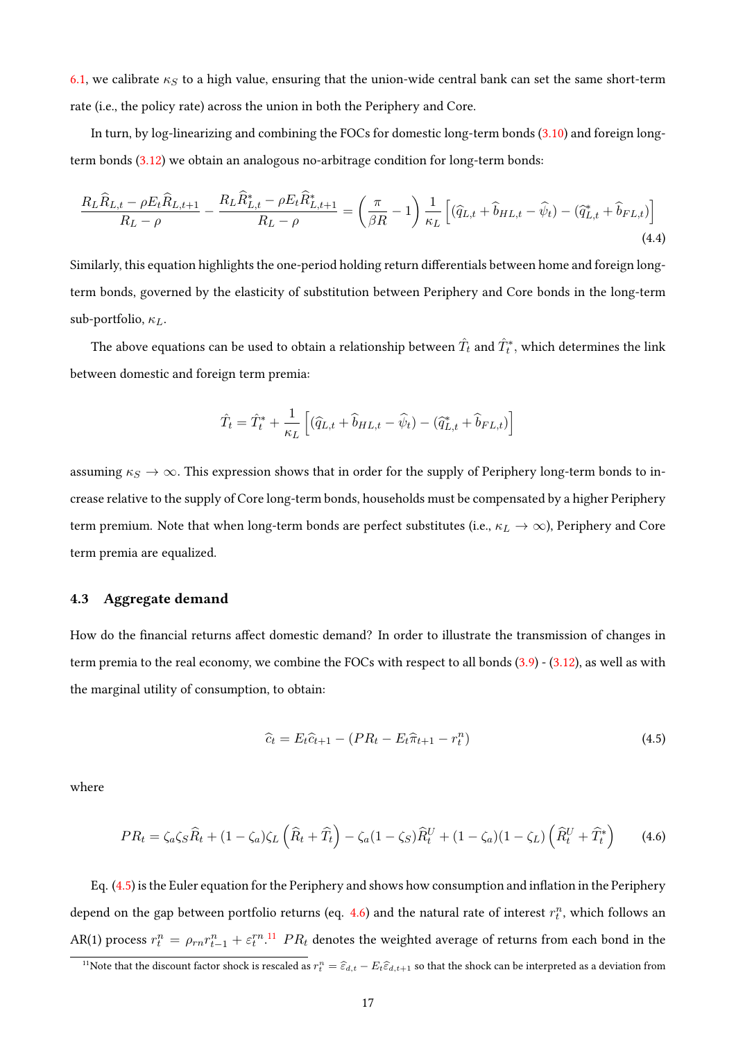[6.1,](#page-24-0) we calibrate  $\kappa_S$  to a high value, ensuring that the union-wide central bank can set the same short-term rate (i.e., the policy rate) across the union in both the Periphery and Core.

In turn, by log-linearizing and combining the FOCs for domestic long-term bonds [\(3.10\)](#page-10-4) and foreign longterm bonds [\(3.12\)](#page-10-1) we obtain an analogous no-arbitrage condition for long-term bonds:

<span id="page-16-3"></span>
$$
\frac{R_L \hat{R}_{L,t} - \rho E_t \hat{R}_{L,t+1}}{R_L - \rho} - \frac{R_L \hat{R}_{L,t}^* - \rho E_t \hat{R}_{L,t+1}^*}{R_L - \rho} = \left(\frac{\pi}{\beta R} - 1\right) \frac{1}{\kappa_L} \left[ (\hat{q}_{L,t} + \hat{b}_{HL,t} - \hat{\psi}_t) - (\hat{q}_{L,t}^* + \hat{b}_{FL,t})\right]
$$
\n(4.4)

Similarly, this equation highlights the one-period holding return differentials between home and foreign longterm bonds, governed by the elasticity of substitution between Periphery and Core bonds in the long-term sub-portfolio,  $\kappa_L$ .

The above equations can be used to obtain a relationship between  $\hat{T_t}$  and  $\hat{T_t^*},$  which determines the link between domestic and foreign term premia:

$$
\hat{T}_t = \hat{T}_t^* + \frac{1}{\kappa_L} \left[ (\hat{q}_{L,t} + \hat{b}_{HL,t} - \hat{\psi}_t) - (\hat{q}_{L,t}^* + \hat{b}_{FL,t}) \right]
$$

assuming  $\kappa_S \to \infty$ . This expression shows that in order for the supply of Periphery long-term bonds to increase relative to the supply of Core long-term bonds, households must be compensated by a higher Periphery term premium. Note that when long-term bonds are perfect substitutes (i.e.,  $\kappa_L \to \infty$ ), Periphery and Core term premia are equalized.

### 4.3 Aggregate demand

How do the financial returns affect domestic demand? In order to illustrate the transmission of changes in term premia to the real economy, we combine the FOCs with respect to all bonds [\(3.9\)](#page-10-0) - [\(3.12\)](#page-10-1), as well as with the marginal utility of consumption, to obtain:

<span id="page-16-0"></span>
$$
\hat{c}_t = E_t \hat{c}_{t+1} - (PR_t - E_t \hat{\pi}_{t+1} - r_t^n)
$$
\n(4.5)

where

<span id="page-16-1"></span>
$$
PR_t = \zeta_a \zeta_S \widehat{R}_t + (1 - \zeta_a) \zeta_L \left( \widehat{R}_t + \widehat{T}_t \right) - \zeta_a (1 - \zeta_S) \widehat{R}_t^U + (1 - \zeta_a) (1 - \zeta_L) \left( \widehat{R}_t^U + \widehat{T}_t^* \right) \tag{4.6}
$$

Eq.  $(4.5)$  is the Euler equation for the Periphery and shows how consumption and inflation in the Periphery depend on the gap between portfolio returns (eq. [4.6\)](#page-16-1) and the natural rate of interest  $r_t^n$ , which follows an AR(1) process  $r_t^n = \rho_{rn} r_{t-1}^n + \varepsilon_t^{rn}$ .<sup>[11](#page-16-2)</sup>  $PR_t$  denotes the weighted average of returns from each bond in the

<span id="page-16-2"></span><sup>&</sup>lt;sup>11</sup>Note that the discount factor shock is rescaled as  $r_t^n = \hat{\epsilon}_{d,t} - E_t \hat{\epsilon}_{d,t+1}$  so that the shock can be interpreted as a deviation from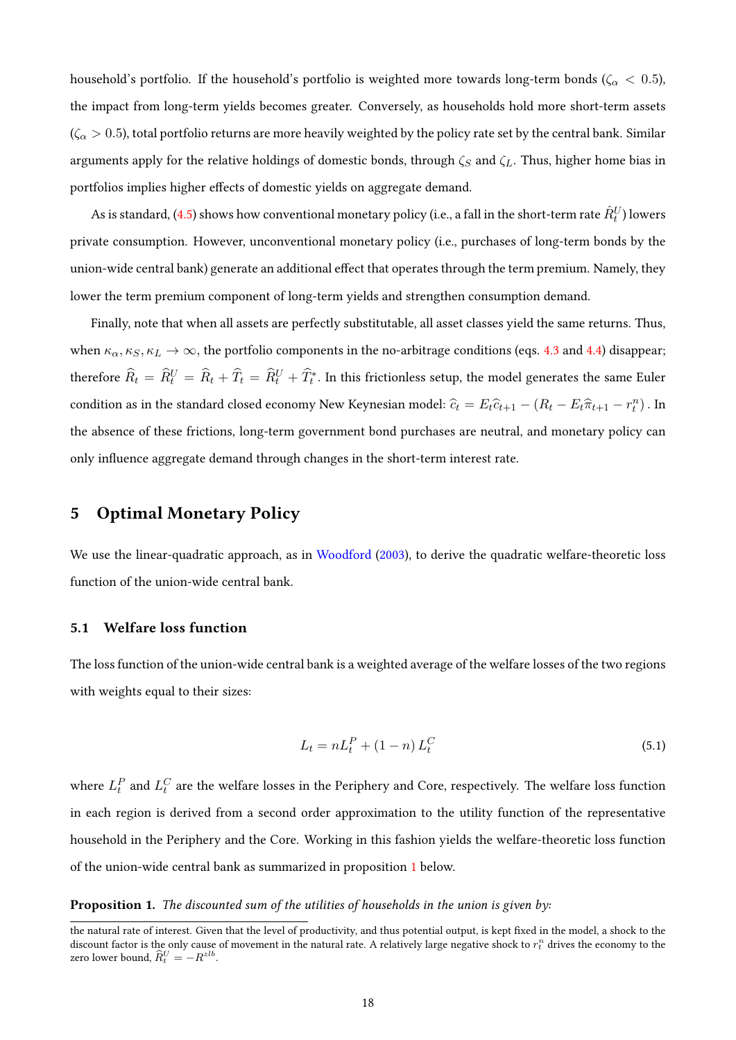household's portfolio. If the household's portfolio is weighted more towards long-term bonds ( $\zeta_{\alpha} < 0.5$ ), the impact from long-term yields becomes greater. Conversely, as households hold more short-term assets  $(\zeta_{\alpha} > 0.5)$ , total portfolio returns are more heavily weighted by the policy rate set by the central bank. Similar arguments apply for the relative holdings of domestic bonds, through  $\zeta_S$  and  $\zeta_L$ . Thus, higher home bias in portfolios implies higher effects of domestic yields on aggregate demand.

As is standard, [\(4.5\)](#page-16-0) shows how conventional monetary policy (i.e., a fall in the short-term rate  $\hat{R}_t^U$ ) lowers private consumption. However, unconventional monetary policy (i.e., purchases of long-term bonds by the union-wide central bank) generate an additional effect that operates through the term premium. Namely, they lower the term premium component of long-term yields and strengthen consumption demand.

Finally, note that when all assets are perfectly substitutable, all asset classes yield the same returns. Thus, when  $\kappa_{\alpha}, \kappa_S, \kappa_L \to \infty$ , the portfolio components in the no-arbitrage conditions (eqs. [4.3](#page-15-0) and [4.4\)](#page-16-3) disappear; therefore  $\widehat R_t = \widehat R^U_t = \widehat R_t + \widehat T_t = \widehat R^U_t + \widehat T_t^*$ . In this frictionless setup, the model generates the same Euler condition as in the standard closed economy New Keynesian model:  $\hat{c}_t = E_t\hat{c}_{t+1} - (R_t - E_t\hat{\pi}_{t+1} - r_t^n)$ . In the absence of these frictions, long-term government bond purchases are neutral, and monetary policy can only influence aggregate demand through changes in the short-term interest rate.

# <span id="page-17-0"></span>5 Optimal Monetary Policy

We use the linear-quadratic approach, as in [Woodford](#page-47-12) [\(2003\)](#page-47-12), to derive the quadratic welfare-theoretic loss function of the union-wide central bank.

### 5.1 Welfare loss function

The loss function of the union-wide central bank is a weighted average of the welfare losses of the two regions with weights equal to their sizes:

$$
L_t = nL_t^P + (1 - n)L_t^C
$$
\n(5.1)

where  $L_t^P$  and  $L_t^C$  are the welfare losses in the Periphery and Core, respectively. The welfare loss function in each region is derived from a second order approximation to the utility function of the representative household in the Periphery and the Core. Working in this fashion yields the welfare-theoretic loss function of the union-wide central bank as summarized in proposition [1](#page-17-1) below.

### <span id="page-17-1"></span>**Proposition 1.** The discounted sum of the utilities of households in the union is given by:

the natural rate of interest. Given that the level of productivity, and thus potential output, is kept fixed in the model, a shock to the discount factor is the only cause of movement in the natural rate. A relatively large negative shock to  $r_t^n$  drives the economy to the zero lower bound,  $\widehat{R}_t^U = -R^{zlb}$ .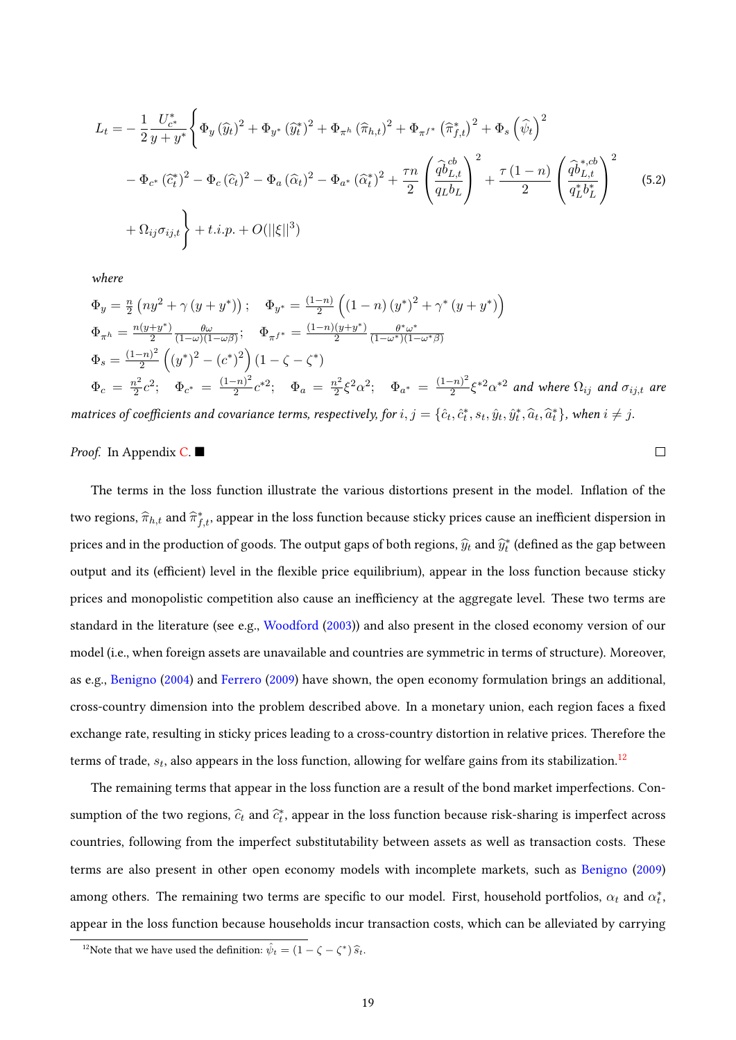$$
L_{t} = -\frac{1}{2} \frac{U_{c^{*}}^{*}}{y + y^{*}} \left\{ \Phi_{y} \left(\widehat{y}_{t}\right)^{2} + \Phi_{y^{*}} \left(\widehat{y}_{t}^{*}\right)^{2} + \Phi_{\pi^{h}} \left(\widehat{\pi}_{h,t}\right)^{2} + \Phi_{\pi^{f^{*}}} \left(\widehat{\pi}_{f,t}^{*}\right)^{2} + \Phi_{s} \left(\widehat{\psi}_{t}\right)^{2} \right. \\ \left. - \Phi_{c^{*}} \left(\widehat{c}_{t}^{*}\right)^{2} - \Phi_{c} \left(\widehat{c}_{t}\right)^{2} - \Phi_{a} \left(\widehat{\alpha}_{t}\right)^{2} - \Phi_{a^{*}} \left(\widehat{\alpha}_{t}^{*}\right)^{2} + \frac{\tau n}{2} \left(\frac{\widehat{q}b_{L,t}^{cb}}{q_{L}b_{L}}\right)^{2} + \frac{\tau (1 - n)}{2} \left(\frac{\widehat{q}b_{L,t}^{*,cb}}{q_{L}^{*}b_{L}^{*}}\right)^{2} \right. \\ \left. + \Omega_{ij}\sigma_{ij,t} \right\} + t.i.p. + O(||\xi||^{3}) \tag{5.2}
$$

where

$$
\Phi_y = \frac{n}{2} \left( n y^2 + \gamma \left( y + y^* \right) \right); \quad \Phi_{y^*} = \frac{(1-n)}{2} \left( \left( 1 - n \right) \left( y^* \right)^2 + \gamma^* \left( y + y^* \right) \right)
$$
\n
$$
\Phi_{\pi^h} = \frac{n(y + y^*)}{2} \frac{\theta \omega}{(1 - \omega)(1 - \omega \beta)}; \quad \Phi_{\pi^{f^*}} = \frac{(1-n)(y + y^*)}{2} \frac{\theta^* \omega^*}{(1 - \omega^*)(1 - \omega^* \beta)}
$$
\n
$$
\Phi_s = \frac{(1-n)^2}{2} \left( \left( y^* \right)^2 - \left( c^* \right)^2 \right) \left( 1 - \zeta - \zeta^* \right)
$$
\n
$$
\Phi_c = \frac{n^2}{2} c^2; \quad \Phi_{c^*} = \frac{(1-n)^2}{2} c^{*2}; \quad \Phi_a = \frac{n^2}{2} \xi^2 \alpha^2; \quad \Phi_{a^*} = \frac{(1-n)^2}{2} \xi^{*2} \alpha^{*2} \text{ and where } \Omega_{ij} \text{ and } \sigma_{ij,t} \text{ are}
$$

<span id="page-18-1"></span> $\Box$ 

matrices of coefficients and covariance terms, respectively, for  $i, j = \{\hat{c}_t, \hat{c}_t^*, s_t, \hat{y}_t, \hat{y}_t^*, \hat{a}_t, \hat{a}_t^*\}$ , when  $i \neq j$ .

### *Proof.* In Appendix  $C$ .

The terms in the loss function illustrate the various distortions present in the model. Inflation of the two regions,  $\widehat{\pi}_{h,t}$  and  $\widehat{\pi}_{f,t}^*$ , appear in the loss function because sticky prices cause an inefficient dispersion in prices and in the production of goods. The output gaps of both regions,  $\widehat{y}_t$  and  $\widehat{y}_t^*$  (defined as the gap between output and its (efficient) level in the flexible price equilibrium), appear in the loss function because sticky prices and monopolistic competition also cause an inefficiency at the aggregate level. These two terms are standard in the literature (see e.g., [Woodford](#page-47-12) [\(2003\)](#page-47-12)) and also present in the closed economy version of our model (i.e., when foreign assets are unavailable and countries are symmetric in terms of structure). Moreover, as e.g., [Benigno](#page-44-2) [\(2004\)](#page-44-2) and [Ferrero](#page-46-10) [\(2009\)](#page-46-10) have shown, the open economy formulation brings an additional, cross-country dimension into the problem described above. In a monetary union, each region faces a fixed exchange rate, resulting in sticky prices leading to a cross-country distortion in relative prices. Therefore the terms of trade,  $s_t$ , also appears in the loss function, allowing for welfare gains from its stabilization. $^{12}$  $^{12}$  $^{12}$ 

The remaining terms that appear in the loss function are a result of the bond market imperfections. Consumption of the two regions,  $\widehat{c}_t$  and  $\widehat{c}_t^*$ , appear in the loss function because risk-sharing is imperfect across countries, following from the imperfect substitutability between assets as well as transaction costs. These terms are also present in other open economy models with incomplete markets, such as [Benigno](#page-45-9) [\(2009\)](#page-45-9) among others. The remaining two terms are specific to our model. First, household portfolios,  $\alpha_t$  and  $\alpha_t^*$ , appear in the loss function because households incur transaction costs, which can be alleviated by carrying

<span id="page-18-0"></span><sup>&</sup>lt;sup>12</sup>Note that we have used the definition:  $\hat{\psi}_t = (1 - \zeta - \zeta^*) \hat{s}_t$ .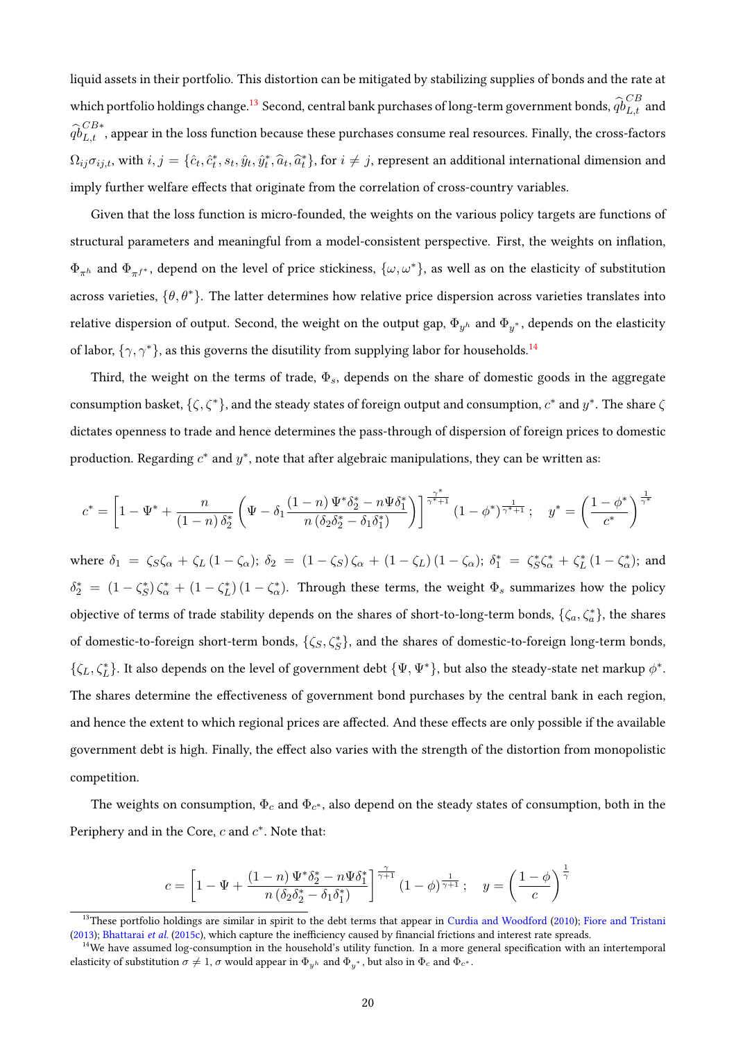liquid assets in their portfolio. This distortion can be mitigated by stabilizing supplies of bonds and the rate at which portfolio holdings change. $^{13}$  $^{13}$  $^{13}$  Second, central bank purchases of long-term government bonds,  $\widehat{qb}^{CB}_{L,t}$  and  $\widehat{qb}^{CB*}_{L,t}$  , appear in the loss function because these purchases consume real resources. Finally, the cross-factors  $\Omega_{ij}\sigma_{ij,t}$ , with  $i,j=\{\hat{c}_t,\hat{c}_t^*,s_t,\hat{y}_t,\hat{y}_t^*,\hat{a}_t,\hat{a}_t^*\}$ , for  $i\neq j$ , represent an additional international dimension and imply further welfare effects that originate from the correlation of cross-country variables.

Given that the loss function is micro-founded, the weights on the various policy targets are functions of structural parameters and meaningful from a model-consistent perspective. First, the weights on inflation,  $\Phi_{\pi h}$  and  $\Phi_{\pi f^*}$ , depend on the level of price stickiness,  $\{\omega, \omega^*\}$ , as well as on the elasticity of substitution across varieties,  $\{\theta, \theta^*\}$ . The latter determines how relative price dispersion across varieties translates into relative dispersion of output. Second, the weight on the output gap,  $\Phi_{y^h}$  and  $\Phi_{y^*}$ , depends on the elasticity of labor,  $\{\gamma, \gamma^*\}$ , as this governs the disutility from supplying labor for households.<sup>[14](#page-19-1)</sup>

Third, the weight on the terms of trade,  $\Phi_s$ , depends on the share of domestic goods in the aggregate consumption basket,  $\{\zeta,\zeta^*\}$ , and the steady states of foreign output and consumption,  $c^*$  and  $y^*$ . The share  $\zeta$ dictates openness to trade and hence determines the pass-through of dispersion of foreign prices to domestic production. Regarding  $c^*$  and  $y^*$ , note that after algebraic manipulations, they can be written as:

$$
c^* = \left[1 - \Psi^* + \frac{n}{(1-n)\,\delta_2^*}\left(\Psi - \delta_1\frac{(1-n)\,\Psi^*\delta_2^* - n\Psi\delta_1^*}{n\left(\delta_2\delta_2^* - \delta_1\delta_1^*\right)}\right)\right]^{\frac{\gamma^*}{\gamma^*+1}}(1-\phi^*)^{\frac{1}{\gamma^*+1}}\,;\quad y^* = \left(\frac{1-\phi^*}{c^*}\right)^{\frac{1}{\gamma^*}}
$$

where  $\delta_1 = \zeta_S \zeta_\alpha + \zeta_L (1 - \zeta_\alpha)$ ;  $\delta_2 = (1 - \zeta_S) \zeta_\alpha + (1 - \zeta_L) (1 - \zeta_\alpha)$ ;  $\delta_1^* = \zeta_S^* \zeta_\alpha^* + \zeta_L^* (1 - \zeta_\alpha^*)$ ; and  $\delta_2^* = (1 - \zeta_S^*) \zeta_\alpha^* + (1 - \zeta_L^*) (1 - \zeta_\alpha^*)$ . Through these terms, the weight  $\Phi_s$  summarizes how the policy objective of terms of trade stability depends on the shares of short-to-long-term bonds,  $\{\zeta_a,\zeta_a^*\}$ , the shares of domestic-to-foreign short-term bonds,  $\{\zeta_S, \zeta_S^*\}$ , and the shares of domestic-to-foreign long-term bonds,  $\{\zeta_L,\zeta_L^*\}$ . It also depends on the level of government debt  $\{\Psi,\Psi^*\}$ , but also the steady-state net markup  $\phi^*$ . The shares determine the effectiveness of government bond purchases by the central bank in each region, and hence the extent to which regional prices are affected. And these effects are only possible if the available government debt is high. Finally, the effect also varies with the strength of the distortion from monopolistic competition.

The weights on consumption,  $\Phi_c$  and  $\Phi_{c^*}$ , also depend on the steady states of consumption, both in the Periphery and in the Core,  $c$  and  $c^*$ . Note that:

$$
c = \left[1 - \Psi + \frac{(1-n)\,\Psi^*\delta_2^* - n\Psi\delta_1^*}{n\left(\delta_2\delta_2^* - \delta_1\delta_1^*\right)}\right]^{\frac{\gamma}{\gamma+1}}\left(1 - \phi\right)^{\frac{1}{\gamma+1}}; \quad y = \left(\frac{1-\phi}{c}\right)^{\frac{1}{\gamma}}
$$

<span id="page-19-0"></span> $13$ These portfolio holdings are similar in spirit to the debt terms that appear in [Curdia and Woodford](#page-46-11) [\(2010\)](#page-46-11); [Fiore and Tristani](#page-46-12) [\(2013\)](#page-46-12); [Bhattarai](#page-45-10) et al. [\(2015c\)](#page-45-10), which capture the inefficiency caused by financial frictions and interest rate spreads.

<span id="page-19-1"></span><sup>&</sup>lt;sup>14</sup>We have assumed log-consumption in the household's utility function. In a more general specification with an intertemporal elasticity of substitution  $\sigma\neq 1$ ,  $\sigma$  would appear in  $\Phi_{y^h}$  and  $\Phi_{y^*}$ , but also in  $\Phi_c$  and  $\Phi_{c^*}.$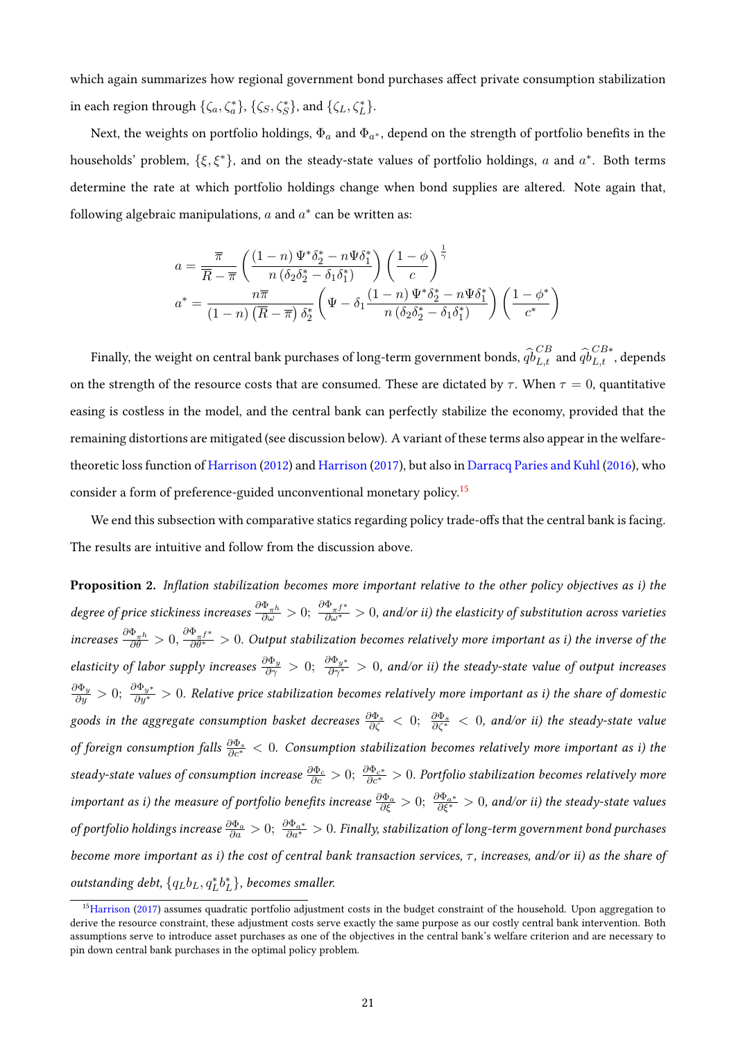which again summarizes how regional government bond purchases affect private consumption stabilization in each region through  $\{\zeta_a, \zeta_a^*\}, \{\zeta_S, \zeta_S^*\}$ , and  $\{\zeta_L, \zeta_L^*\}.$ 

Next, the weights on portfolio holdings,  $\Phi_a$  and  $\Phi_{a^*}$ , depend on the strength of portfolio benefits in the households' problem,  $\{\xi, \xi^*\}$ , and on the steady-state values of portfolio holdings, a and  $a^*$ . Both terms determine the rate at which portfolio holdings change when bond supplies are altered. Note again that, following algebraic manipulations,  $a$  and  $a^*$  can be written as:

$$
a = \frac{\overline{\pi}}{\overline{R} - \overline{\pi}} \left( \frac{(1-n) \Psi^* \delta_2^* - n \Psi \delta_1^*}{n \left( \delta_2 \delta_2^* - \delta_1 \delta_1^* \right)} \right) \left( \frac{1-\phi}{c} \right)^{\frac{1}{\gamma}}
$$

$$
a^* = \frac{n \overline{\pi}}{(1-n) \left( \overline{R} - \overline{\pi} \right) \delta_2^*} \left( \Psi - \delta_1 \frac{(1-n) \Psi^* \delta_2^* - n \Psi \delta_1^*}{n \left( \delta_2 \delta_2^* - \delta_1 \delta_1^* \right)} \right) \left( \frac{1-\phi^*}{c^*} \right)
$$

Finally, the weight on central bank purchases of long-term government bonds,  $\widehat{qb}^{CB}_{L,t}$  and  $\widehat{qb}^{CB*}_{L,t}$ , depends on the strength of the resource costs that are consumed. These are dictated by  $\tau$ . When  $\tau = 0$ , quantitative easing is costless in the model, and the central bank can perfectly stabilize the economy, provided that the remaining distortions are mitigated (see discussion below). A variant of these terms also appear in the welfaretheoretic loss function of [Harrison](#page-46-3) [\(2012\)](#page-46-3) and [Harrison](#page-47-7) [\(2017\)](#page-47-7), but also in [Darracq Paries and Kuhl](#page-46-5) [\(2016\)](#page-46-5), who consider a form of preference-guided unconventional monetary policy.[15](#page-20-0)

We end this subsection with comparative statics regarding policy trade-offs that the central bank is facing. The results are intuitive and follow from the discussion above.

Proposition 2. Inflation stabilization becomes more important relative to the other policy objectives as i) the degree of price stickiness increases  $\frac{\partial \Phi_{\pi^h}}{\partial \omega}>0;$   $\frac{\partial \Phi_{\pi^f*}}{\partial \omega^*}>0$ , and/or ii) the elasticity of substitution across varieties increases  $\frac{\partial \Phi_{\pi} h}{\partial \theta} > 0$ ,  $\frac{\partial \Phi_{\pi} f^*}{\partial \theta^*} > 0$ . Output stabilization becomes relatively more important as i) the inverse of the elasticity of labor supply increases  $\frac{\partial \Phi_y}{\partial \gamma}}>0$ ;  $\frac{\partial \Phi_{y^*}}{\partial \gamma^*}>0$ , and/or ii) the steady-state value of output increases  $\frac{\partial\Phi_y}{\partial y}>0;\ \frac{\partial\Phi_{y^*}}{\partial y^*}>0.$  Relative price stabilization becomes relatively more important as i) the share of domestic goods in the aggregate consumption basket decreases  $\frac{\partial \Phi_s}{\partial \zeta} < 0;$   $\frac{\partial \Phi_s}{\partial \zeta^*} < 0$ , and/or ii) the steady-state value of foreign consumption falls  $\frac{\partial \Phi_s}{\partial c^*} < 0$ . Consumption stabilization becomes relatively more important as i) the steady-state values of consumption increase  $\frac{\partial \Phi_c}{\partial c}>0;$   $\frac{\partial \Phi_{c^*}}{\partial c^*}>0$ . Portfolio stabilization becomes relatively more important as i) the measure of portfolio benefits increase  $\frac{\partial \Phi_a}{\partial \xi} > 0$ ;  $\frac{\partial \Phi_{a^*}}{\partial \xi^*} > 0$ , and/or ii) the steady-state values of portfolio holdings increase  $\frac{\partial \Phi_a}{\partial a}>0;$   $\frac{\partial \Phi_a*}{\partial a^*}>0.$  Finally, stabilization of long-term government bond purchases become more important as i) the cost of central bank transaction services,  $\tau$ , increases, and/or ii) as the share of outstanding debt,  $\{q_L b_L, q^*_L b^*_L\}$ , becomes smaller.

<span id="page-20-0"></span> $15$ [Harrison](#page-47-7) [\(2017\)](#page-47-7) assumes quadratic portfolio adjustment costs in the budget constraint of the household. Upon aggregation to derive the resource constraint, these adjustment costs serve exactly the same purpose as our costly central bank intervention. Both assumptions serve to introduce asset purchases as one of the objectives in the central bank's welfare criterion and are necessary to pin down central bank purchases in the optimal policy problem.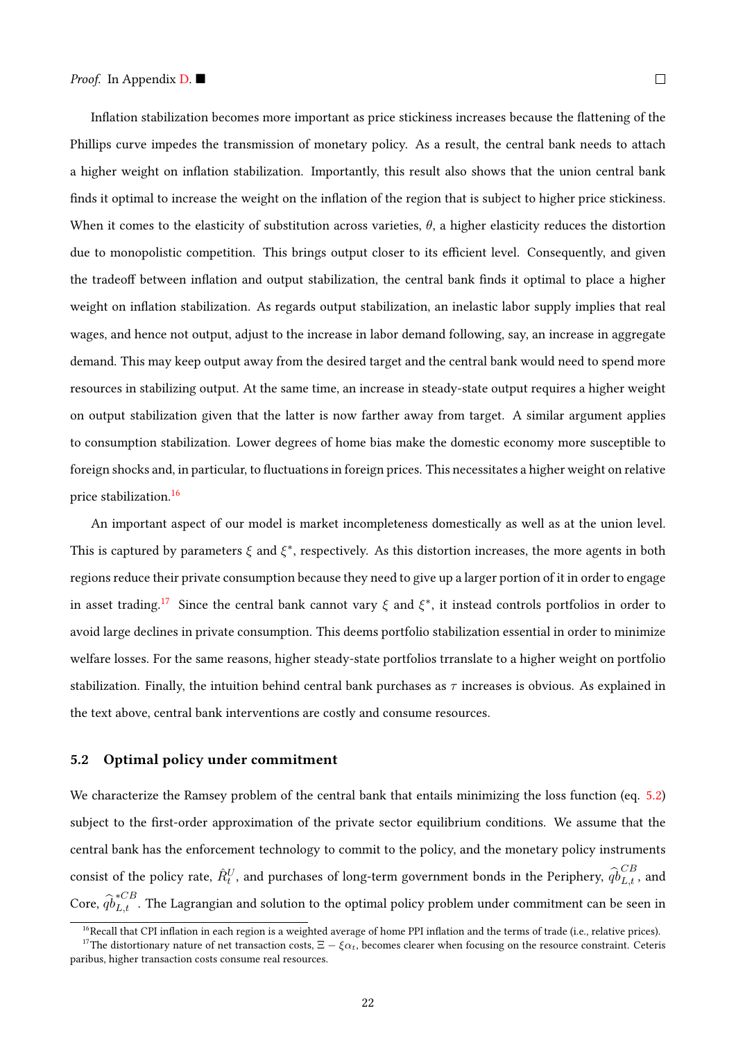Inflation stabilization becomes more important as price stickiness increases because the flattening of the Phillips curve impedes the transmission of monetary policy. As a result, the central bank needs to attach a higher weight on inflation stabilization. Importantly, this result also shows that the union central bank finds it optimal to increase the weight on the inflation of the region that is subject to higher price stickiness. When it comes to the elasticity of substitution across varieties,  $\theta$ , a higher elasticity reduces the distortion due to monopolistic competition. This brings output closer to its efficient level. Consequently, and given the tradeoff between inflation and output stabilization, the central bank finds it optimal to place a higher weight on inflation stabilization. As regards output stabilization, an inelastic labor supply implies that real wages, and hence not output, adjust to the increase in labor demand following, say, an increase in aggregate demand. This may keep output away from the desired target and the central bank would need to spend more resources in stabilizing output. At the same time, an increase in steady-state output requires a higher weight

on output stabilization given that the latter is now farther away from target. A similar argument applies to consumption stabilization. Lower degrees of home bias make the domestic economy more susceptible to foreign shocks and, in particular, to fluctuations in foreign prices. This necessitates a higher weight on relative price stabilization.[16](#page-21-1)

An important aspect of our model is market incompleteness domestically as well as at the union level. This is captured by parameters  $\xi$  and  $\xi^*$ , respectively. As this distortion increases, the more agents in both regions reduce their private consumption because they need to give up a larger portion of it in order to engage in asset trading.<sup>[17](#page-21-2)</sup> Since the central bank cannot vary  $\xi$  and  $\xi^*$ , it instead controls portfolios in order to avoid large declines in private consumption. This deems portfolio stabilization essential in order to minimize welfare losses. For the same reasons, higher steady-state portfolios trranslate to a higher weight on portfolio stabilization. Finally, the intuition behind central bank purchases as  $\tau$  increases is obvious. As explained in the text above, central bank interventions are costly and consume resources.

### <span id="page-21-0"></span>5.2 Optimal policy under commitment

We characterize the Ramsey problem of the central bank that entails minimizing the loss function (eq. [5.2\)](#page-18-1) subject to the first-order approximation of the private sector equilibrium conditions. We assume that the central bank has the enforcement technology to commit to the policy, and the monetary policy instruments consist of the policy rate,  $\hat{R}_t^U$ , and purchases of long-term government bonds in the Periphery,  $\widehat{q}_{L,t}^{CB}$ , and Core,  $\widehat{qb}^{*CB}_{L,t}$  . The Lagrangian and solution to the optimal policy problem under commitment can be seen in

<span id="page-21-2"></span><span id="page-21-1"></span> $16$ Recall that CPI inflation in each region is a weighted average of home PPI inflation and the terms of trade (i.e., relative prices).

<sup>&</sup>lt;sup>17</sup>The distortionary nature of net transaction costs,  $\Xi - \xi \alpha_t$ , becomes clearer when focusing on the resource constraint. Ceteris paribus, higher transaction costs consume real resources.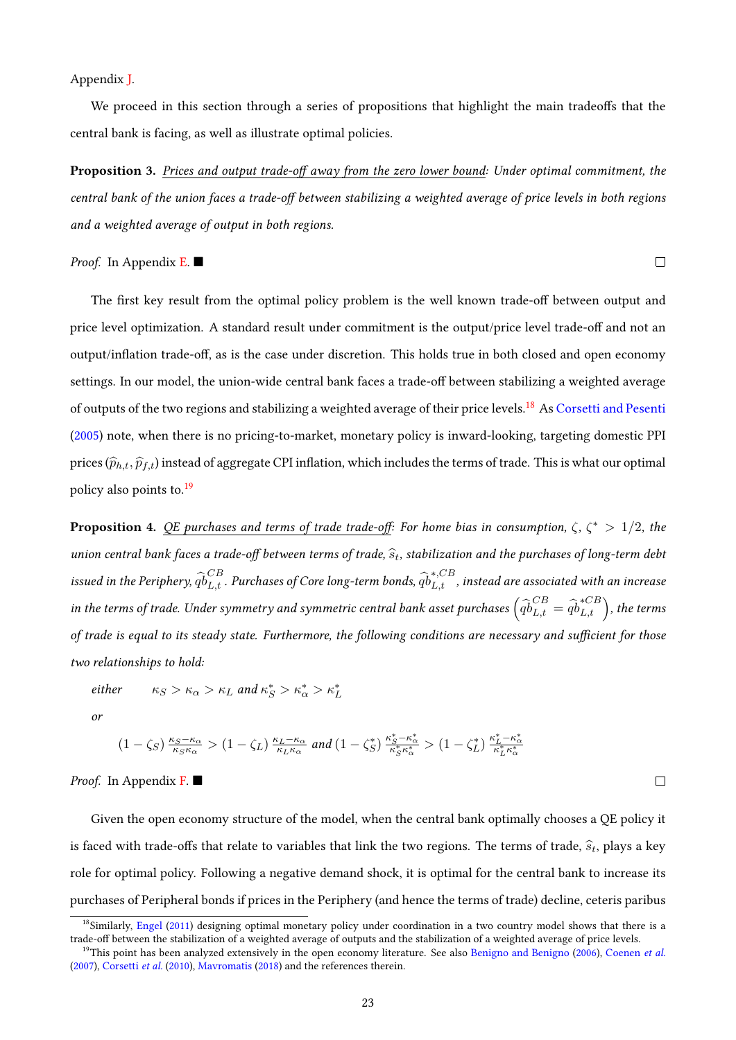#### Appendix [J.](#page-65-0)

We proceed in this section through a series of propositions that highlight the main tradeoffs that the central bank is facing, as well as illustrate optimal policies.

**Proposition 3.** Prices and output trade-off away from the zero lower bound: Under optimal commitment, the central bank of the union faces a trade-off between stabilizing a weighted average of price levels in both regions and a weighted average of output in both regions.

 $\Box$ 

 $\Box$ 

*Proof.* In Appendix [E.](#page-59-1)

The first key result from the optimal policy problem is the well known trade-off between output and price level optimization. A standard result under commitment is the output/price level trade-off and not an output/inflation trade-off, as is the case under discretion. This holds true in both closed and open economy settings. In our model, the union-wide central bank faces a trade-off between stabilizing a weighted average of outputs of the two regions and stabilizing a weighted average of their price levels.[18](#page-22-0) As [Corsetti and Pesenti](#page-45-3) [\(2005\)](#page-45-3) note, when there is no pricing-to-market, monetary policy is inward-looking, targeting domestic PPI prices  $(\widehat{p}_{h,t}, \widehat{p}_{f,t})$  instead of aggregate CPI inflation, which includes the terms of trade. This is what our optimal policy also points to.[19](#page-22-1)

<span id="page-22-2"></span>**Proposition 4.** QE purchases and terms of trade trade-off: For home bias in consumption,  $\zeta$ ,  $\zeta^* > 1/2$ , the union central bank faces a trade-off between terms of trade,  $\widehat{s}_t$ , stabilization and the purchases of long-term debt<br>CR issued in the Periphery,  $\widehat{qb}_{L,t}^{CB}$  . Purchases of Core long-term bonds,  $\widehat{qb}_{L,t}^{*,CB}$  , instead are associated with an increase in the terms of trade. Under symmetry and symmetric central bank asset purchases  $\left(\widehat{qb}^{CB}_{L,t}=\widehat{qb}^{*CB}_{L,t}\right)$ , the terms of trade is equal to its steady state. Furthermore, the following conditions are necessary and sufficient for those two relationships to hold:

$$
\text{either} \qquad \kappa_S > \kappa_\alpha > \kappa_L \text{ and } \kappa_S^* > \kappa_\alpha^* > \kappa_L^*
$$

or

$$
\left(1-\zeta_S\right)\tfrac{\kappa_S-\kappa_\alpha}{\kappa_S\kappa_\alpha} > \left(1-\zeta_L\right)\tfrac{\kappa_L-\kappa_\alpha}{\kappa_L\kappa_\alpha} \text{ and } \left(1-\zeta_S^*\right)\tfrac{\kappa_S^*-\kappa_\alpha^*}{\kappa_S^*\kappa_\alpha^*} > \left(1-\zeta_L^*\right)\tfrac{\kappa_L^*-\kappa_\alpha^*}{\kappa_L^*\kappa_\alpha^*}
$$

*Proof.* In Appendix  $\bf{F}$ .

Given the open economy structure of the model, when the central bank optimally chooses a QE policy it is faced with trade-offs that relate to variables that link the two regions. The terms of trade,  $\widehat{s}_t$ , plays a key role for optimal policy. Following a negative demand shock, it is optimal for the central bank to increase its purchases of Peripheral bonds if prices in the Periphery (and hence the terms of trade) decline, ceteris paribus

<span id="page-22-0"></span> $18$ Similarly, [Engel](#page-46-9) [\(2011\)](#page-46-9) designing optimal monetary policy under coordination in a two country model shows that there is a trade-off between the stabilization of a weighted average of outputs and the stabilization of a weighted average of price levels.

<span id="page-22-1"></span><sup>&</sup>lt;sup>19</sup>This point has been analyzed extensively in the open economy literature. See also [Benigno and Benigno](#page-44-4) [\(2006\)](#page-44-4), [Coenen](#page-45-5) et al. [\(2007\)](#page-45-5), [Corsetti](#page-45-6) et al. [\(2010\)](#page-45-6), [Mavromatis](#page-47-13) [\(2018\)](#page-47-13) and the references therein.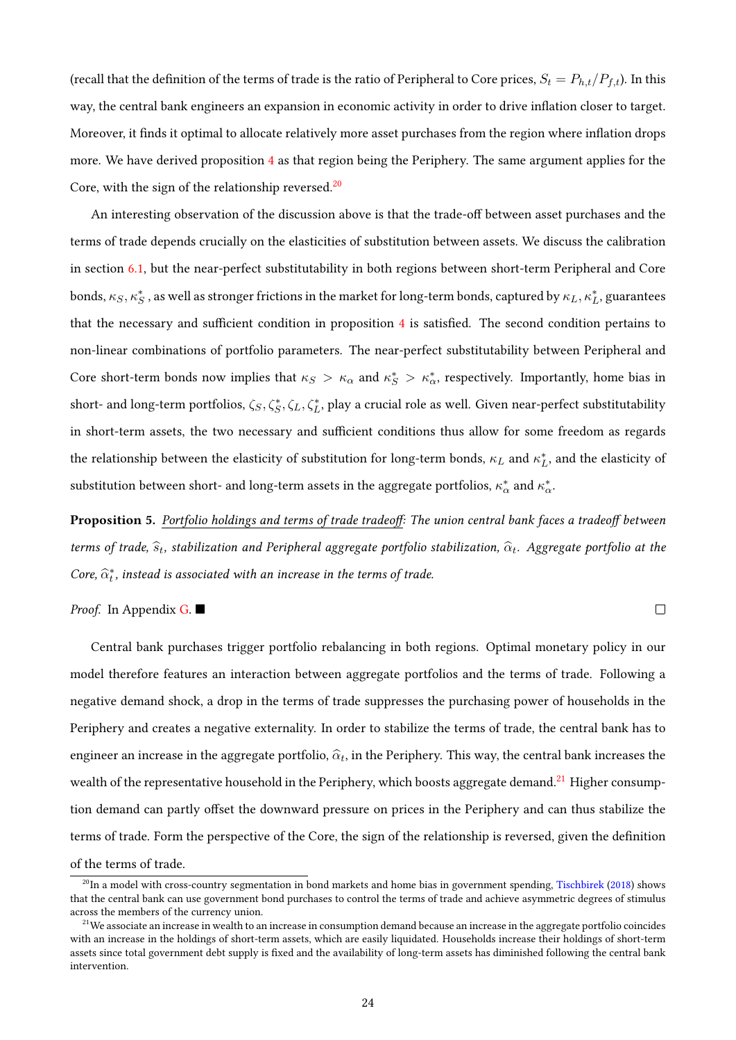(recall that the definition of the terms of trade is the ratio of Peripheral to Core prices,  $S_t = P_{h,t}/P_{f,t}$ ). In this way, the central bank engineers an expansion in economic activity in order to drive inflation closer to target. Moreover, it finds it optimal to allocate relatively more asset purchases from the region where inflation drops more. We have derived proposition [4](#page-22-2) as that region being the Periphery. The same argument applies for the Core, with the sign of the relationship reversed.<sup>[20](#page-23-0)</sup>

An interesting observation of the discussion above is that the trade-off between asset purchases and the terms of trade depends crucially on the elasticities of substitution between assets. We discuss the calibration in section [6.1,](#page-24-0) but the near-perfect substitutability in both regions between short-term Peripheral and Core bonds,  $\kappa_S$ ,  $\kappa_S^*$  , as well as stronger frictions in the market for long-term bonds, captured by  $\kappa_L$ ,  $\kappa_L^*$ , guarantees that the necessary and sufficient condition in proposition  $4$  is satisfied. The second condition pertains to non-linear combinations of portfolio parameters. The near-perfect substitutability between Peripheral and Core short-term bonds now implies that  $\kappa_S > \kappa_\alpha$  and  $\kappa_S^* > \kappa_\alpha^*$ , respectively. Importantly, home bias in short- and long-term portfolios,  $\zeta_S, \zeta_S^*, \zeta_L, \zeta_L^*$ , play a crucial role as well. Given near-perfect substitutability in short-term assets, the two necessary and sufficient conditions thus allow for some freedom as regards the relationship between the elasticity of substitution for long-term bonds,  $\kappa_L$  and  $\kappa_L^*$ , and the elasticity of substitution between short- and long-term assets in the aggregate portfolios,  $\kappa^*_\alpha$  and  $\kappa^*_\alpha$ .

Proposition 5. Portfolio holdings and terms of trade tradeoff: The union central bank faces a tradeoff between terms of trade,  $\widehat{s}_t$ , stabilization and Peripheral aggregate portfolio stabilization,  $\widehat{\alpha}_t$ . Aggregate portfolio at the Core,  $\widehat{\alpha}^*_t$ , instead is associated with an increase in the terms of trade.

*Proof.* In Appendix  $G$ .

 $\Box$ 

Central bank purchases trigger portfolio rebalancing in both regions. Optimal monetary policy in our model therefore features an interaction between aggregate portfolios and the terms of trade. Following a negative demand shock, a drop in the terms of trade suppresses the purchasing power of households in the Periphery and creates a negative externality. In order to stabilize the terms of trade, the central bank has to engineer an increase in the aggregate portfolio,  $\widehat{\alpha}_t$ , in the Periphery. This way, the central bank increases the wealth of the representative household in the Periphery, which boosts aggregate demand.<sup>[21](#page-23-1)</sup> Higher consumption demand can partly offset the downward pressure on prices in the Periphery and can thus stabilize the terms of trade. Form the perspective of the Core, the sign of the relationship is reversed, given the denition of the terms of trade.

<span id="page-23-0"></span> $^{20}$ In a model with cross-country segmentation in bond markets and home bias in government spending, [Tischbirek](#page-47-14) [\(2018\)](#page-47-14) shows that the central bank can use government bond purchases to control the terms of trade and achieve asymmetric degrees of stimulus across the members of the currency union.

<span id="page-23-1"></span> $21$ We associate an increase in wealth to an increase in consumption demand because an increase in the aggregate portfolio coincides with an increase in the holdings of short-term assets, which are easily liquidated. Households increase their holdings of short-term assets since total government debt supply is fixed and the availability of long-term assets has diminished following the central bank intervention.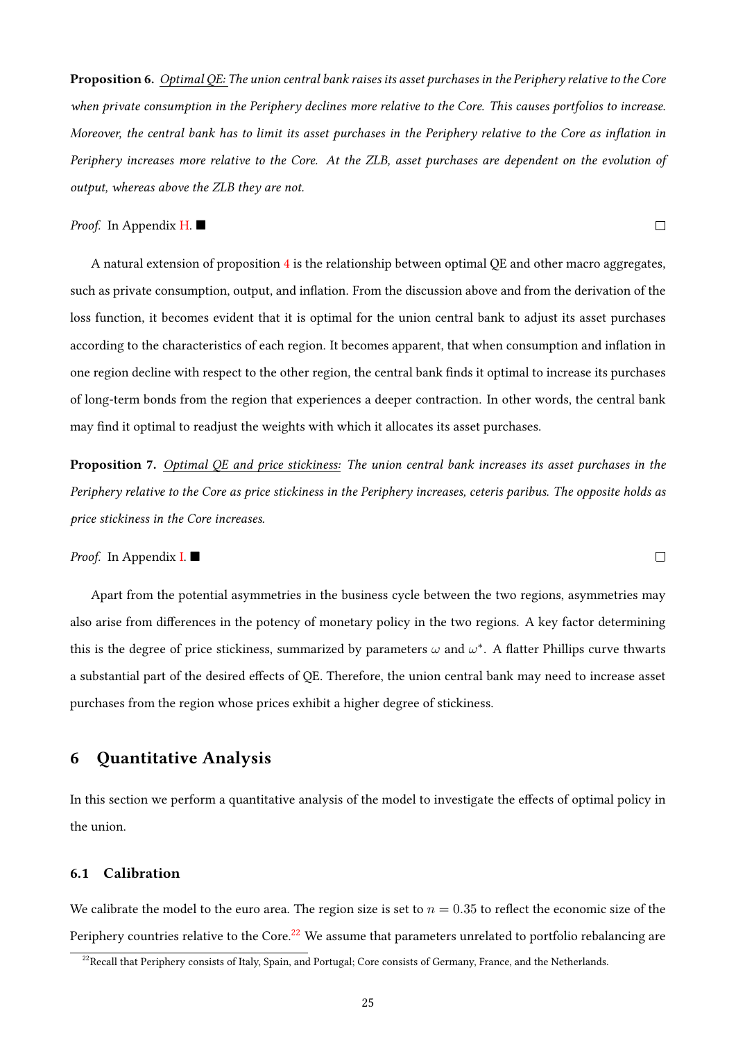Proposition 6. Optimal QE: The union central bank raises its asset purchases in the Periphery relative to the Core when private consumption in the Periphery declines more relative to the Core. This causes portfolios to increase. Moreover, the central bank has to limit its asset purchases in the Periphery relative to the Core as inflation in Periphery increases more relative to the Core. At the ZLB, asset purchases are dependent on the evolution of output, whereas above the ZLB they are not.

 $\Box$ 

 $\Box$ 

### Proof. In Appendix **H**. ■

A natural extension of proposition [4](#page-22-2) is the relationship between optimal QE and other macro aggregates, such as private consumption, output, and inflation. From the discussion above and from the derivation of the loss function, it becomes evident that it is optimal for the union central bank to adjust its asset purchases according to the characteristics of each region. It becomes apparent, that when consumption and inflation in one region decline with respect to the other region, the central bank finds it optimal to increase its purchases of long-term bonds from the region that experiences a deeper contraction. In other words, the central bank may find it optimal to readjust the weights with which it allocates its asset purchases.

Proposition 7. Optimal OE and price stickiness: The union central bank increases its asset purchases in the Periphery relative to the Core as price stickiness in the Periphery increases, ceteris paribus. The opposite holds as price stickiness in the Core increases.

*Proof.* In Appendix **[I.](#page-64-0)** 

Apart from the potential asymmetries in the business cycle between the two regions, asymmetries may also arise from differences in the potency of monetary policy in the two regions. A key factor determining this is the degree of price stickiness, summarized by parameters  $\omega$  and  $\omega^*$ . A flatter Phillips curve thwarts a substantial part of the desired effects of QE. Therefore, the union central bank may need to increase asset purchases from the region whose prices exhibit a higher degree of stickiness.

# <span id="page-24-1"></span>6 Quantitative Analysis

In this section we perform a quantitative analysis of the model to investigate the effects of optimal policy in the union.

### <span id="page-24-0"></span>6.1 Calibration

We calibrate the model to the euro area. The region size is set to  $n = 0.35$  to reflect the economic size of the Periphery countries relative to the Core.<sup>[22](#page-24-2)</sup> We assume that parameters unrelated to portfolio rebalancing are

<span id="page-24-2"></span> $22$ Recall that Periphery consists of Italy, Spain, and Portugal; Core consists of Germany, France, and the Netherlands.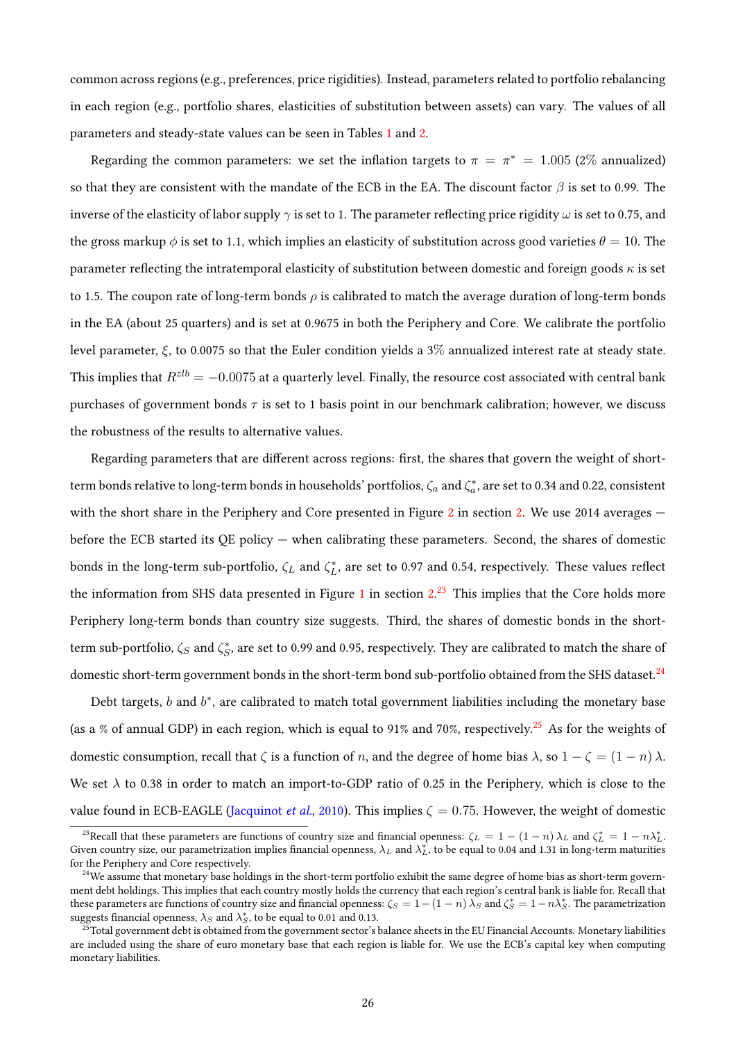common across regions (e.g., preferences, price rigidities). Instead, parameters related to portfolio rebalancing in each region (e.g., portfolio shares, elasticities of substitution between assets) can vary. The values of all parameters and steady-state values can be seen in Tables [1](#page-27-0) and [2.](#page-27-1)

Regarding the common parameters: we set the inflation targets to  $\pi = \pi^* = 1.005$  (2% annualized) so that they are consistent with the mandate of the ECB in the EA. The discount factor  $\beta$  is set to 0.99. The inverse of the elasticity of labor supply  $\gamma$  is set to 1. The parameter reflecting price rigidity  $\omega$  is set to 0.75, and the gross markup  $\phi$  is set to 1.1, which implies an elasticity of substitution across good varieties  $\theta = 10$ . The parameter reflecting the intratemporal elasticity of substitution between domestic and foreign goods  $\kappa$  is set to 1.5. The coupon rate of long-term bonds  $\rho$  is calibrated to match the average duration of long-term bonds in the EA (about 25 quarters) and is set at 0.9675 in both the Periphery and Core. We calibrate the portfolio level parameter,  $\xi$ , to 0.0075 so that the Euler condition yields a 3% annualized interest rate at steady state. This implies that  $R^{zlb} = -0.0075$  at a quarterly level. Finally, the resource cost associated with central bank purchases of government bonds  $\tau$  is set to 1 basis point in our benchmark calibration; however, we discuss the robustness of the results to alternative values.

Regarding parameters that are different across regions: first, the shares that govern the weight of shortterm bonds relative to long-term bonds in households' portfolios,  $\zeta_a$  and  $\zeta_a^*$ , are set to 0.34 and 0.22, consistent with the short share in the Periphery and Core presented in Figure [2](#page-6-1) in section [2.](#page-5-0) We use  $2014$  averages  $$ before the ECB started its QE policy — when calibrating these parameters. Second, the shares of domestic bonds in the long-term sub-portfolio,  $\zeta_L$  and  $\zeta_L^*$ , are set to 0.97 and 0.54, respectively. These values reflect the information from SHS data presented in Figure [1](#page-6-0) in section [2.](#page-5-0)<sup>[23](#page-25-0)</sup> This implies that the Core holds more Periphery long-term bonds than country size suggests. Third, the shares of domestic bonds in the shortterm sub-portfolio,  $\zeta_S$  and  $\zeta_S^*$ , are set to 0.99 and 0.95, respectively. They are calibrated to match the share of domestic short-term government bonds in the short-term bond sub-portfolio obtained from the SHS dataset.<sup>[24](#page-25-1)</sup>

Debt targets,  $b$  and  $b^*$ , are calibrated to match total government liabilities including the monetary base (as a % of annual GDP) in each region, which is equal to 91% and 70%, respectively.<sup>[25](#page-25-2)</sup> As for the weights of domestic consumption, recall that  $\zeta$  is a function of n, and the degree of home bias  $\lambda$ , so  $1 - \zeta = (1 - n)\lambda$ . We set  $\lambda$  to 0.38 in order to match an import-to-GDP ratio of 0.25 in the Periphery, which is close to the value found in ECB-EAGLE [\(Jacquinot](#page-47-15) *et al.*, [2010\)](#page-47-15). This implies  $\zeta = 0.75$ . However, the weight of domestic

<span id="page-25-0"></span><sup>&</sup>lt;sup>23</sup>Recall that these parameters are functions of country size and financial openness:  $\zeta_L = 1 - (1 - n)\lambda_L$  and  $\zeta_L^* = 1 - n\lambda_L^*$ . Given country size, our parametrization implies financial openness,  $\lambda_L$  and  $\lambda_L^*$ , to be equal to 0.04 and 1.31 in long-term maturities for the Periphery and Core respectively.

<span id="page-25-1"></span> $^{24}$ We assume that monetary base holdings in the short-term portfolio exhibit the same degree of home bias as short-term government debt holdings. This implies that each country mostly holds the currency that each region's central bank is liable for. Recall that these parameters are functions of country size and financial openness:  $\zeta_S = 1-(1-n)\,\lambda_S$  and  $\zeta_S^* = 1-n\lambda_S^*$ . The parametrization suggests financial openness,  $\lambda_S$  and  $\lambda_S^*$ , to be equal to 0.01 and 0.13.

<span id="page-25-2"></span> $^{25}$ Total government debt is obtained from the government sector's balance sheets in the EU Financial Accounts. Monetary liabilities are included using the share of euro monetary base that each region is liable for. We use the ECB's capital key when computing monetary liabilities.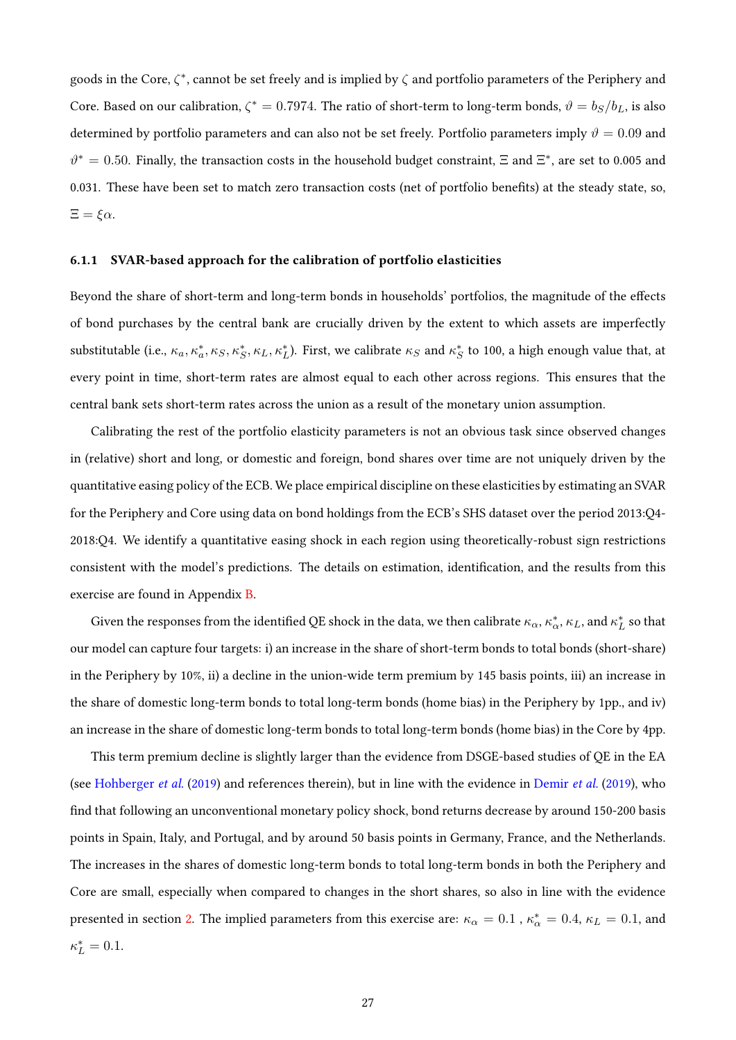goods in the Core,  $\zeta^*$ , cannot be set freely and is implied by  $\zeta$  and portfolio parameters of the Periphery and Core. Based on our calibration,  $\zeta^* = 0.7974$ . The ratio of short-term to long-term bonds,  $\vartheta = b_S/b_L$ , is also determined by portfolio parameters and can also not be set freely. Portfolio parameters imply  $\vartheta = 0.09$  and  $\vartheta^* = 0.50$ . Finally, the transaction costs in the household budget constraint,  $\Xi$  and  $\Xi^*$ , are set to 0.005 and 0.031. These have been set to match zero transaction costs (net of portfolio benefits) at the steady state, so,  $\Xi = \xi \alpha$ .

### 6.1.1 SVAR-based approach for the calibration of portfolio elasticities

Beyond the share of short-term and long-term bonds in households' portfolios, the magnitude of the effects of bond purchases by the central bank are crucially driven by the extent to which assets are imperfectly substitutable (i.e.,  $\kappa_a$ ,  $\kappa_a^*, \kappa_S$ ,  $\kappa_L^*, \kappa_L$ ,  $\kappa_L^*$ ). First, we calibrate  $\kappa_S$  and  $\kappa_S^*$  to 100, a high enough value that, at every point in time, short-term rates are almost equal to each other across regions. This ensures that the central bank sets short-term rates across the union as a result of the monetary union assumption.

Calibrating the rest of the portfolio elasticity parameters is not an obvious task since observed changes in (relative) short and long, or domestic and foreign, bond shares over time are not uniquely driven by the quantitative easing policy of the ECB. We place empirical discipline on these elasticities by estimating an SVAR for the Periphery and Core using data on bond holdings from the ECB's SHS dataset over the period 2013:Q4- 2018:Q4. We identify a quantitative easing shock in each region using theoretically-robust sign restrictions consistent with the model's predictions. The details on estimation, identification, and the results from this exercise are found in Appendix [B.](#page-51-0)

Given the responses from the identified QE shock in the data, we then calibrate  $\kappa_\alpha,\kappa^*_\alpha,\kappa_L$ , and  $\kappa^*_L$  so that our model can capture four targets: i) an increase in the share of short-term bonds to total bonds (short-share) in the Periphery by 10%, ii) a decline in the union-wide term premium by 145 basis points, iii) an increase in the share of domestic long-term bonds to total long-term bonds (home bias) in the Periphery by 1pp., and iv) an increase in the share of domestic long-term bonds to total long-term bonds (home bias) in the Core by 4pp.

This term premium decline is slightly larger than the evidence from DSGE-based studies of QE in the EA (see [Hohberger](#page-47-3) et al. [\(2019\)](#page-46-13) and references therein), but in line with the evidence in [Demir](#page-46-13) et al. (2019), who find that following an unconventional monetary policy shock, bond returns decrease by around 150-200 basis points in Spain, Italy, and Portugal, and by around 50 basis points in Germany, France, and the Netherlands. The increases in the shares of domestic long-term bonds to total long-term bonds in both the Periphery and Core are small, especially when compared to changes in the short shares, so also in line with the evidence presented in section [2.](#page-5-0) The implied parameters from this exercise are:  $\kappa_\alpha=0.1$  ,  $\kappa_\alpha^*=0.4$ ,  $\kappa_L=0.1$ , and  $\kappa_L^* = 0.1.$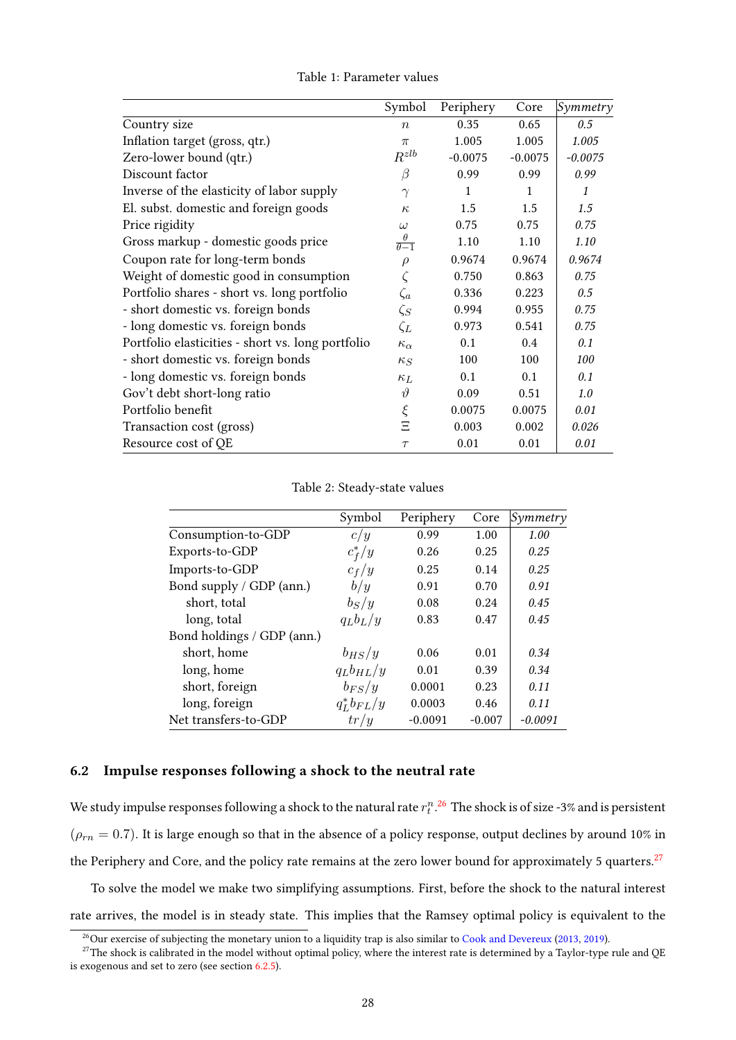<span id="page-27-0"></span>

|                                                   | Symbol                            | Periphery    | Core      | Symmetry  |
|---------------------------------------------------|-----------------------------------|--------------|-----------|-----------|
| Country size                                      | $\boldsymbol{n}$                  | 0.35         | 0.65      | 0.5       |
| Inflation target (gross, qtr.)                    | $\pi$                             | 1.005        | 1.005     | 1.005     |
| Zero-lower bound (qtr.)                           | $R^{zlb}$                         | $-0.0075$    | $-0.0075$ | $-0.0075$ |
| Discount factor                                   | β                                 | 0.99         | 0.99      | 0.99      |
| Inverse of the elasticity of labor supply         | $\gamma$                          | $\mathbf{1}$ | 1         | 1         |
| El. subst. domestic and foreign goods             | $\kappa$                          | 1.5          | 1.5       | 1.5       |
| Price rigidity                                    | $\omega$                          | 0.75         | 0.75      | 0.75      |
| Gross markup - domestic goods price               | $\theta$<br>$\overline{\theta-1}$ | 1.10         | 1.10      | 1.10      |
| Coupon rate for long-term bonds                   | $\rho$                            | 0.9674       | 0.9674    | 0.9674    |
| Weight of domestic good in consumption            |                                   | 0.750        | 0.863     | 0.75      |
| Portfolio shares - short vs. long portfolio       | $\zeta_a$                         | 0.336        | 0.223     | 0.5       |
| - short domestic vs. foreign bonds                | $\zeta_S$                         | 0.994        | 0.955     | 0.75      |
| - long domestic vs. foreign bonds                 | $\zeta_L$                         | 0.973        | 0.541     | 0.75      |
| Portfolio elasticities - short vs. long portfolio | $\kappa_{\alpha}$                 | 0.1          | 0.4       | 0.1       |
| - short domestic vs. foreign bonds                | $\kappa_S$                        | 100          | 100       | 100       |
| - long domestic vs. foreign bonds                 | $\kappa_L$                        | 0.1          | 0.1       | 0.1       |
| Gov't debt short-long ratio                       | $\vartheta$                       | 0.09         | 0.51      | 1.0       |
| Portfolio benefit                                 | $\xi$                             | 0.0075       | 0.0075    | 0.01      |
| Transaction cost (gross)                          | Ξ                                 | 0.003        | 0.002     | 0.026     |
| Resource cost of QE                               | $\tau$                            | 0.01         | 0.01      | 0.01      |

Table 1: Parameter values

Table 2: Steady-state values

<span id="page-27-1"></span>

|                            | Symbol           | Periphery | Core     | Symmetry  |
|----------------------------|------------------|-----------|----------|-----------|
| Consumption-to-GDP         | c/y              | 0.99      | 1.00     | 1.00      |
| Exports-to-GDP             | $c_f^*/y$        | 0.26      | 0.25     | 0.25      |
| Imports-to-GDP             | $c_f/y$          | 0.25      | 0.14     | 0.25      |
| Bond supply / GDP (ann.)   | b/y              | 0.91      | 0.70     | 0.91      |
| short, total               | $b_S/y$          | 0.08      | 0.24     | 0.45      |
| long, total                | $q_L b_L/y$      | 0.83      | 0.47     | 0.45      |
| Bond holdings / GDP (ann.) |                  |           |          |           |
| short, home                | $b_{HS}/y$       | 0.06      | 0.01     | 0.34      |
| long, home                 | $q_L b_{HL}/y$   | 0.01      | 0.39     | 0.34      |
| short, foreign             | $b_{FS}/y$       | 0.0001    | 0.23     | 0.11      |
| long, foreign              | $q_L^* b_{FL}/y$ | 0.0003    | 0.46     | 0.11      |
| Net transfers-to-GDP       | tr/y             | $-0.0091$ | $-0.007$ | $-0.0091$ |

### 6.2 Impulse responses following a shock to the neutral rate

We study impulse responses following a shock to the natural rate  $r_t^n. ^{26}$  $r_t^n. ^{26}$  $r_t^n. ^{26}$  The shock is of size -3% and is persistent  $(\rho_{rn} = 0.7)$ . It is large enough so that in the absence of a policy response, output declines by around 10% in the Periphery and Core, and the policy rate remains at the zero lower bound for approximately 5 quarters.<sup>[27](#page-27-3)</sup>

To solve the model we make two simplifying assumptions. First, before the shock to the natural interest rate arrives, the model is in steady state. This implies that the Ramsey optimal policy is equivalent to the

<span id="page-27-3"></span><span id="page-27-2"></span> $^{26}$ Our exercise of subjecting the monetary union to a liquidity trap is also similar to [Cook and Devereux](#page-45-11) [\(2013,](#page-45-11) [2019\)](#page-45-12).

 $^{27}$ The shock is calibrated in the model without optimal policy, where the interest rate is determined by a Taylor-type rule and QE is exogenous and set to zero (see section [6.2.5\)](#page-42-0).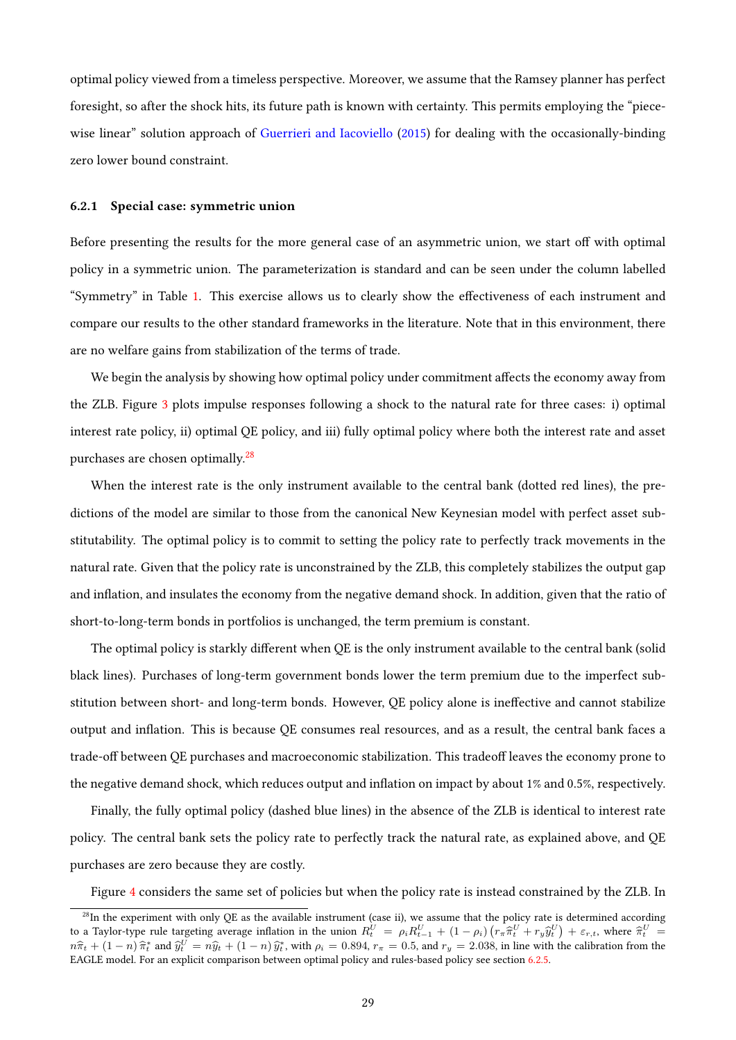optimal policy viewed from a timeless perspective. Moreover, we assume that the Ramsey planner has perfect foresight, so after the shock hits, its future path is known with certainty. This permits employing the "piece-wise linear" solution approach of [Guerrieri and Iacoviello](#page-46-14) [\(2015\)](#page-46-14) for dealing with the occasionally-binding zero lower bound constraint.

#### 6.2.1 Special case: symmetric union

Before presenting the results for the more general case of an asymmetric union, we start off with optimal policy in a symmetric union. The parameterization is standard and can be seen under the column labelled "Symmetry" in Table [1.](#page-27-0) This exercise allows us to clearly show the effectiveness of each instrument and compare our results to the other standard frameworks in the literature. Note that in this environment, there are no welfare gains from stabilization of the terms of trade.

We begin the analysis by showing how optimal policy under commitment affects the economy away from the ZLB. Figure [3](#page-29-0) plots impulse responses following a shock to the natural rate for three cases: i) optimal interest rate policy, ii) optimal QE policy, and iii) fully optimal policy where both the interest rate and asset purchases are chosen optimally.[28](#page-28-0)

When the interest rate is the only instrument available to the central bank (dotted red lines), the predictions of the model are similar to those from the canonical New Keynesian model with perfect asset substitutability. The optimal policy is to commit to setting the policy rate to perfectly track movements in the natural rate. Given that the policy rate is unconstrained by the ZLB, this completely stabilizes the output gap and inflation, and insulates the economy from the negative demand shock. In addition, given that the ratio of short-to-long-term bonds in portfolios is unchanged, the term premium is constant.

The optimal policy is starkly different when QE is the only instrument available to the central bank (solid black lines). Purchases of long-term government bonds lower the term premium due to the imperfect substitution between short- and long-term bonds. However, QE policy alone is ineffective and cannot stabilize output and inflation. This is because QE consumes real resources, and as a result, the central bank faces a trade-off between QE purchases and macroeconomic stabilization. This tradeoff leaves the economy prone to the negative demand shock, which reduces output and inflation on impact by about 1% and 0.5%, respectively.

Finally, the fully optimal policy (dashed blue lines) in the absence of the ZLB is identical to interest rate policy. The central bank sets the policy rate to perfectly track the natural rate, as explained above, and QE purchases are zero because they are costly.

Figure [4](#page-31-0) considers the same set of policies but when the policy rate is instead constrained by the ZLB. In

<span id="page-28-0"></span> $28$ In the experiment with only QE as the available instrument (case ii), we assume that the policy rate is determined according to a Taylor-type rule targeting average inflation in the union  $R_U^U = \rho_i R_{t-1}^U + (1 - \rho_i) \left( r_\pi \hat{\pi}_U^U + r_y \hat{y}_U^U \right) + \varepsilon_{r,t}$ , where  $\hat{\pi}_U^U =$  $n\hat{\pi}_t + (1 - n)\hat{\pi}_t^*$  and  $\hat{y}_t^U = n\hat{y}_t + (1 - n)\hat{y}_t^*$ , with  $\rho_i = 0.894$ ,  $r_\pi = 0.5$ , and  $r_y = 2.038$ , in line with the calibration from the EACLE model. For an evolvisit comparison between optimal policy and rules b EAGLE model. For an explicit comparison between optimal policy and rules-based policy see section [6.2.5.](#page-42-0)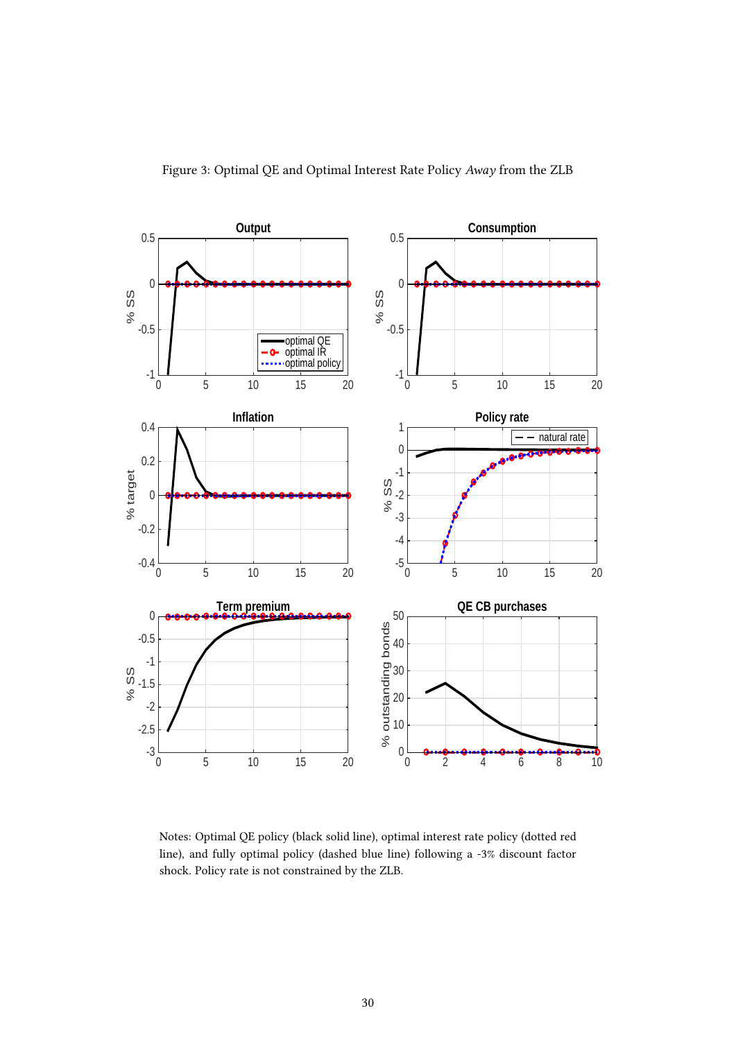<span id="page-29-0"></span>

Notes: Optimal QE policy (black solid line), optimal interest rate policy (dotted red line), and fully optimal policy (dashed blue line) following a -3% discount factor shock. Policy rate is not constrained by the ZLB.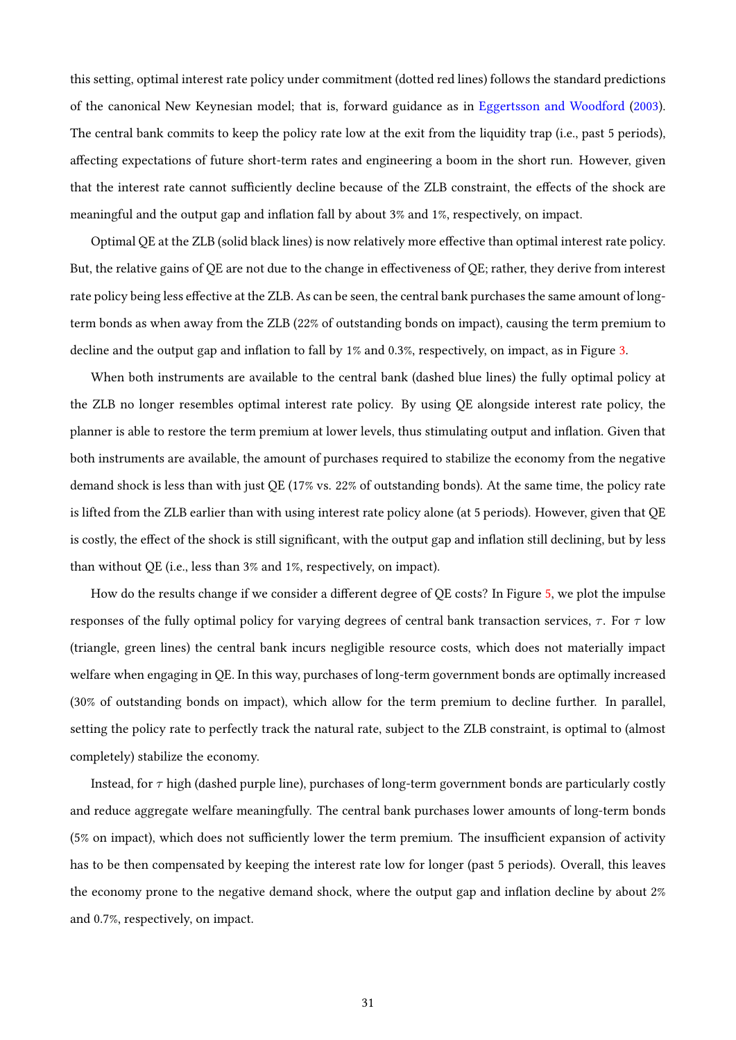this setting, optimal interest rate policy under commitment (dotted red lines) follows the standard predictions of the canonical New Keynesian model; that is, forward guidance as in [Eggertsson and Woodford](#page-46-0) [\(2003\)](#page-46-0). The central bank commits to keep the policy rate low at the exit from the liquidity trap (i.e., past 5 periods), affecting expectations of future short-term rates and engineering a boom in the short run. However, given that the interest rate cannot sufficiently decline because of the ZLB constraint, the effects of the shock are meaningful and the output gap and inflation fall by about  $3\%$  and  $1\%$ , respectively, on impact.

Optimal QE at the ZLB (solid black lines) is now relatively more effective than optimal interest rate policy. But, the relative gains of QE are not due to the change in effectiveness of QE; rather, they derive from interest rate policy being less effective at the ZLB. As can be seen, the central bank purchases the same amount of longterm bonds as when away from the ZLB (22% of outstanding bonds on impact), causing the term premium to decline and the output gap and inflation to fall by  $1\%$  and  $0.3\%$ , respectively, on impact, as in Figure [3.](#page-29-0)

When both instruments are available to the central bank (dashed blue lines) the fully optimal policy at the ZLB no longer resembles optimal interest rate policy. By using QE alongside interest rate policy, the planner is able to restore the term premium at lower levels, thus stimulating output and inflation. Given that both instruments are available, the amount of purchases required to stabilize the economy from the negative demand shock is less than with just QE (17% vs. 22% of outstanding bonds). At the same time, the policy rate is lifted from the ZLB earlier than with using interest rate policy alone (at 5 periods). However, given that QE is costly, the effect of the shock is still significant, with the output gap and inflation still declining, but by less than without QE (i.e., less than 3% and 1%, respectively, on impact).

How do the results change if we consider a different degree of QE costs? In Figure [5,](#page-32-0) we plot the impulse responses of the fully optimal policy for varying degrees of central bank transaction services,  $\tau$ . For  $\tau$  low (triangle, green lines) the central bank incurs negligible resource costs, which does not materially impact welfare when engaging in QE. In this way, purchases of long-term government bonds are optimally increased (30% of outstanding bonds on impact), which allow for the term premium to decline further. In parallel, setting the policy rate to perfectly track the natural rate, subject to the ZLB constraint, is optimal to (almost completely) stabilize the economy.

Instead, for  $\tau$  high (dashed purple line), purchases of long-term government bonds are particularly costly and reduce aggregate welfare meaningfully. The central bank purchases lower amounts of long-term bonds (5% on impact), which does not sufficiently lower the term premium. The insufficient expansion of activity has to be then compensated by keeping the interest rate low for longer (past 5 periods). Overall, this leaves the economy prone to the negative demand shock, where the output gap and inflation decline by about  $2\%$ and 0.7%, respectively, on impact.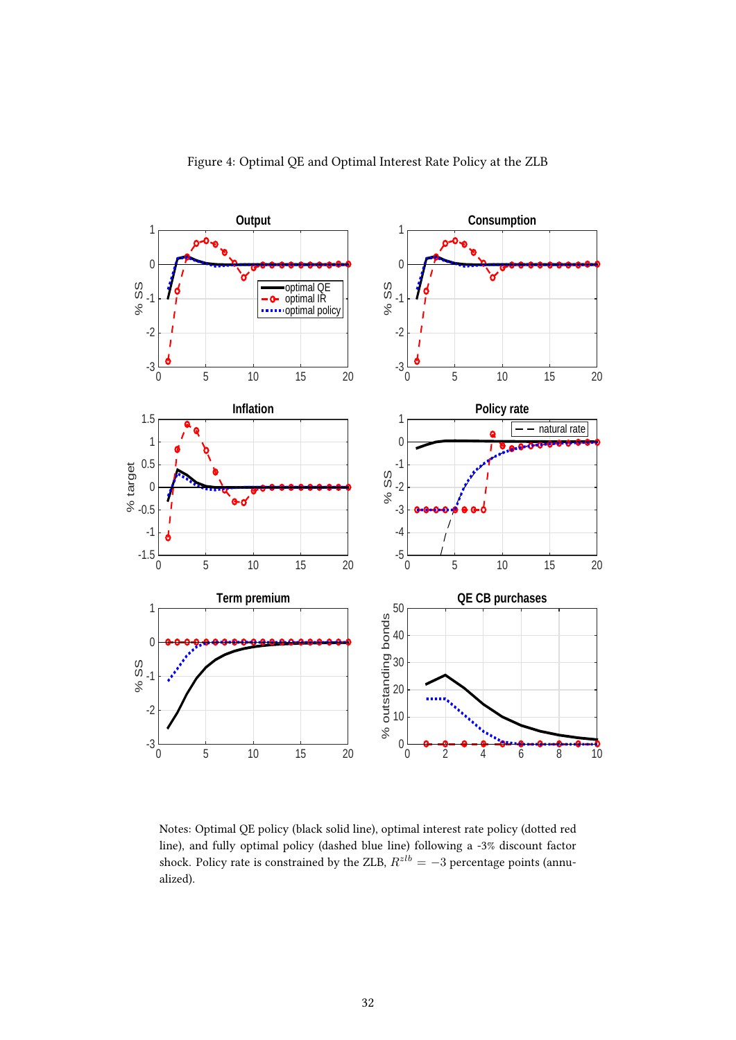<span id="page-31-0"></span>

Notes: Optimal QE policy (black solid line), optimal interest rate policy (dotted red line), and fully optimal policy (dashed blue line) following a -3% discount factor shock. Policy rate is constrained by the ZLB,  $R^{zlb} = -3$  percentage points (annualized).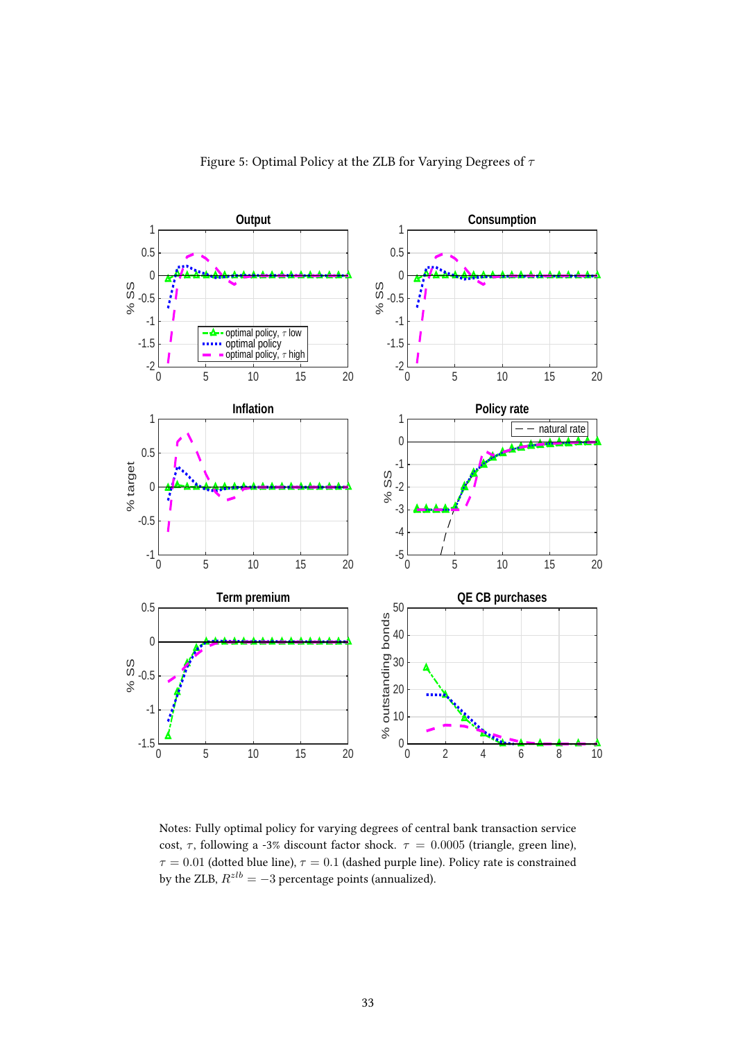<span id="page-32-0"></span>

Notes: Fully optimal policy for varying degrees of central bank transaction service cost,  $\tau$ , following a -3% discount factor shock.  $\tau = 0.0005$  (triangle, green line),  $\tau = 0.01$  (dotted blue line),  $\tau = 0.1$  (dashed purple line). Policy rate is constrained by the ZLB,  $R^{zlb} = -3$  percentage points (annualized).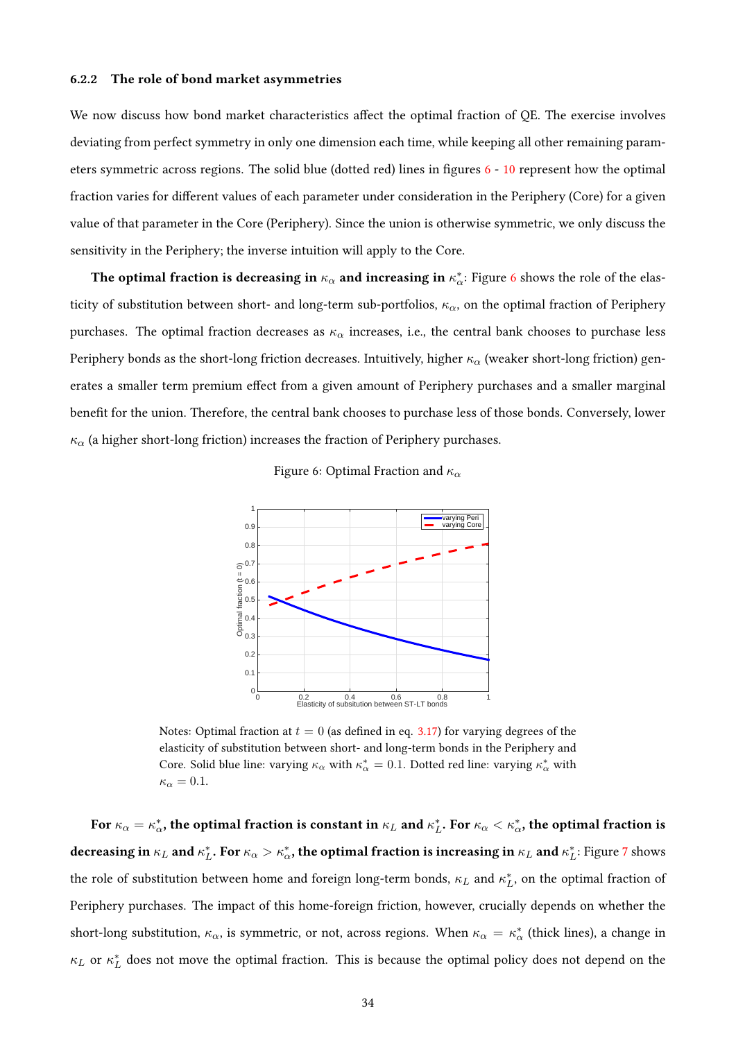### 6.2.2 The role of bond market asymmetries

We now discuss how bond market characteristics affect the optimal fraction of QE. The exercise involves deviating from perfect symmetry in only one dimension each time, while keeping all other remaining param-eters symmetric across regions. The solid blue (dotted red) lines in figures [6](#page-33-0) - [10](#page-36-0) represent how the optimal fraction varies for different values of each parameter under consideration in the Periphery (Core) for a given value of that parameter in the Core (Periphery). Since the union is otherwise symmetric, we only discuss the sensitivity in the Periphery; the inverse intuition will apply to the Core.

The optimal fraction is decreasing in  $\kappa_\alpha$  and increasing in  $\kappa_\alpha^*$ : Figure [6](#page-33-0) shows the role of the elasticity of substitution between short- and long-term sub-portfolios,  $\kappa_{\alpha}$ , on the optimal fraction of Periphery purchases. The optimal fraction decreases as  $\kappa_{\alpha}$  increases, i.e., the central bank chooses to purchase less Periphery bonds as the short-long friction decreases. Intuitively, higher  $\kappa_{\alpha}$  (weaker short-long friction) generates a smaller term premium effect from a given amount of Periphery purchases and a smaller marginal benefit for the union. Therefore, the central bank chooses to purchase less of those bonds. Conversely, lower  $\kappa_{\alpha}$  (a higher short-long friction) increases the fraction of Periphery purchases.



<span id="page-33-0"></span>

Notes: Optimal fraction at  $t = 0$  (as defined in eq. [3.17\)](#page-12-0) for varying degrees of the elasticity of substitution between short- and long-term bonds in the Periphery and Core. Solid blue line: varying  $\kappa_\alpha$  with  $\kappa_\alpha^* = 0.1$ . Dotted red line: varying  $\kappa_\alpha^*$  with  $\kappa_{\alpha} = 0.1.$ 

For  $\kappa_\alpha=\kappa_\alpha^*$ , the optimal fraction is constant in  $\kappa_L$  and  $\kappa_L^*$ . For  $\kappa_\alpha<\kappa_\alpha^*$ , the optimal fraction is decreasing in  $\kappa_L$  and  $\kappa_L^*$ . For  $\kappa_\alpha>\kappa_\alpha^*$ , the optimal fraction is increasing in  $\kappa_L$  and  $\kappa_L^*$ : Figure [7](#page-34-0) shows the role of substitution between home and foreign long-term bonds,  $\kappa_L$  and  $\kappa_L^*$ , on the optimal fraction of Periphery purchases. The impact of this home-foreign friction, however, crucially depends on whether the short-long substitution,  $\kappa_\alpha$ , is symmetric, or not, across regions. When  $\kappa_\alpha = \kappa_\alpha^*$  (thick lines), a change in  $\kappa_L$  or  $\kappa_L^*$  does not move the optimal fraction. This is because the optimal policy does not depend on the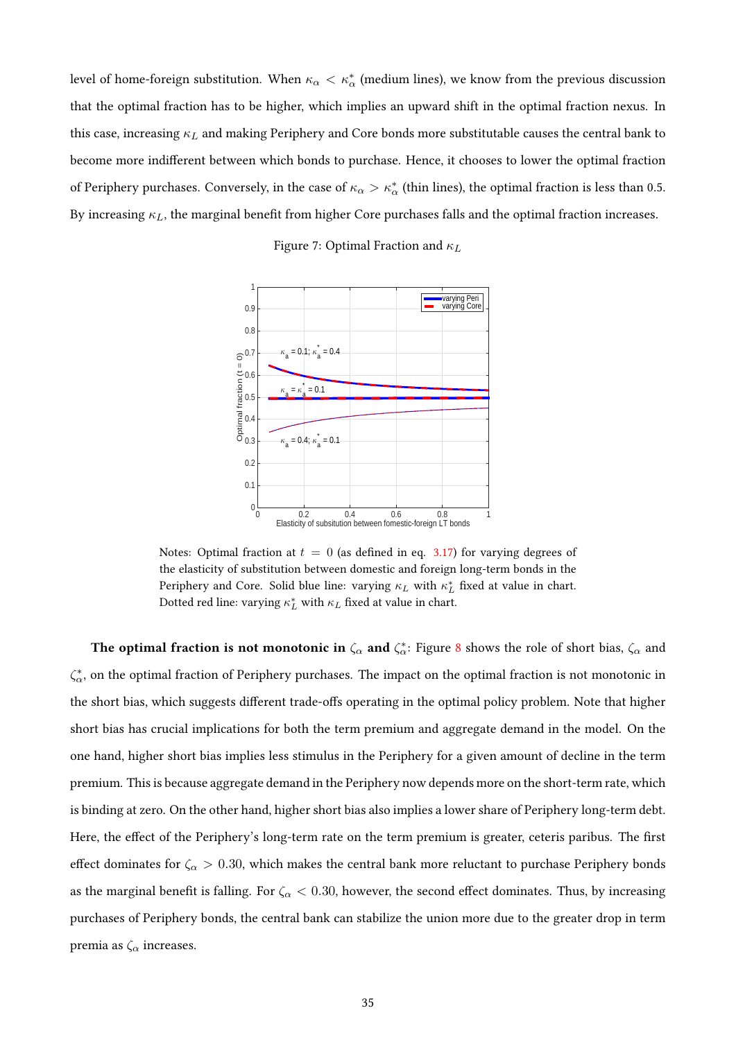<span id="page-34-0"></span>level of home-foreign substitution. When  $\kappa_\alpha<\kappa^*_\alpha$  (medium lines), we know from the previous discussion that the optimal fraction has to be higher, which implies an upward shift in the optimal fraction nexus. In this case, increasing  $\kappa_L$  and making Periphery and Core bonds more substitutable causes the central bank to become more indifferent between which bonds to purchase. Hence, it chooses to lower the optimal fraction of Periphery purchases. Conversely, in the case of  $\kappa_\alpha>\kappa^*_\alpha$  (thin lines), the optimal fraction is less than 0.5. By increasing  $\kappa_L$ , the marginal benefit from higher Core purchases falls and the optimal fraction increases.

Figure 7: Optimal Fraction and  $\kappa_L$ 



Notes: Optimal fraction at  $t = 0$  (as defined in eq. [3.17\)](#page-12-0) for varying degrees of the elasticity of substitution between domestic and foreign long-term bonds in the Periphery and Core. Solid blue line: varying  $\kappa_L$  with  $\kappa_L^*$  fixed at value in chart. Dotted red line: varying  $\kappa_L^*$  with  $\kappa_L$  fixed at value in chart.

The optimal fraction is not monotonic in  $\zeta_\alpha$  and  $\zeta_\alpha^*$ : Figure [8](#page-35-0) shows the role of short bias,  $\zeta_\alpha$  and  $\zeta^*_\alpha$ , on the optimal fraction of Periphery purchases. The impact on the optimal fraction is not monotonic in the short bias, which suggests different trade-offs operating in the optimal policy problem. Note that higher short bias has crucial implications for both the term premium and aggregate demand in the model. On the one hand, higher short bias implies less stimulus in the Periphery for a given amount of decline in the term premium. This is because aggregate demand in the Periphery now depends more on the short-term rate, which is binding at zero. On the other hand, higher short bias also implies a lower share of Periphery long-term debt. Here, the effect of the Periphery's long-term rate on the term premium is greater, ceteris paribus. The first effect dominates for  $\zeta_{\alpha} > 0.30$ , which makes the central bank more reluctant to purchase Periphery bonds as the marginal benefit is falling. For  $\zeta_\alpha < 0.30$ , however, the second effect dominates. Thus, by increasing purchases of Periphery bonds, the central bank can stabilize the union more due to the greater drop in term premia as  $\zeta_{\alpha}$  increases.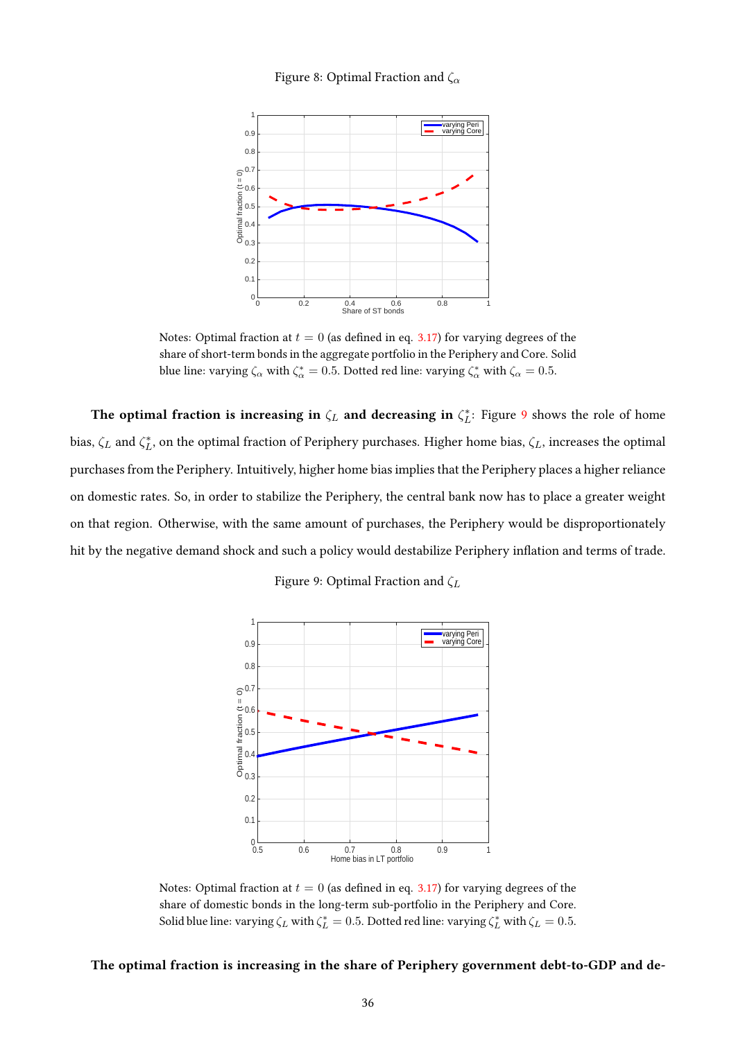# Figure 8: Optimal Fraction and  $\zeta_{\alpha}$

<span id="page-35-0"></span>

Notes: Optimal fraction at  $t = 0$  (as defined in eq. [3.17\)](#page-12-0) for varying degrees of the share of short-term bonds in the aggregate portfolio in the Periphery and Core. Solid blue line: varying  $\zeta_{\alpha}$  with  $\zeta_{\alpha}^* = 0.5$ . Dotted red line: varying  $\zeta_{\alpha}^*$  with  $\zeta_{\alpha} = 0.5$ .

The optimal fraction is increasing in  $\zeta_L$  and decreasing in  $\zeta_L^*$ : Figure [9](#page-35-1) shows the role of home bias,  $\zeta_L$  and  $\zeta_L^*$ , on the optimal fraction of Periphery purchases. Higher home bias,  $\zeta_L$ , increases the optimal purchases from the Periphery. Intuitively, higher home bias implies that the Periphery places a higher reliance on domestic rates. So, in order to stabilize the Periphery, the central bank now has to place a greater weight on that region. Otherwise, with the same amount of purchases, the Periphery would be disproportionately hit by the negative demand shock and such a policy would destabilize Periphery inflation and terms of trade.

Figure 9: Optimal Fraction and  $\zeta_L$ 

<span id="page-35-1"></span>

Notes: Optimal fraction at  $t = 0$  (as defined in eq. [3.17\)](#page-12-0) for varying degrees of the share of domestic bonds in the long-term sub-portfolio in the Periphery and Core. Solid blue line: varying  $\zeta_L$  with  $\zeta_L^* = 0.5$ . Dotted red line: varying  $\zeta_L^*$  with  $\zeta_L = 0.5$ .

### The optimal fraction is increasing in the share of Periphery government debt-to-GDP and de-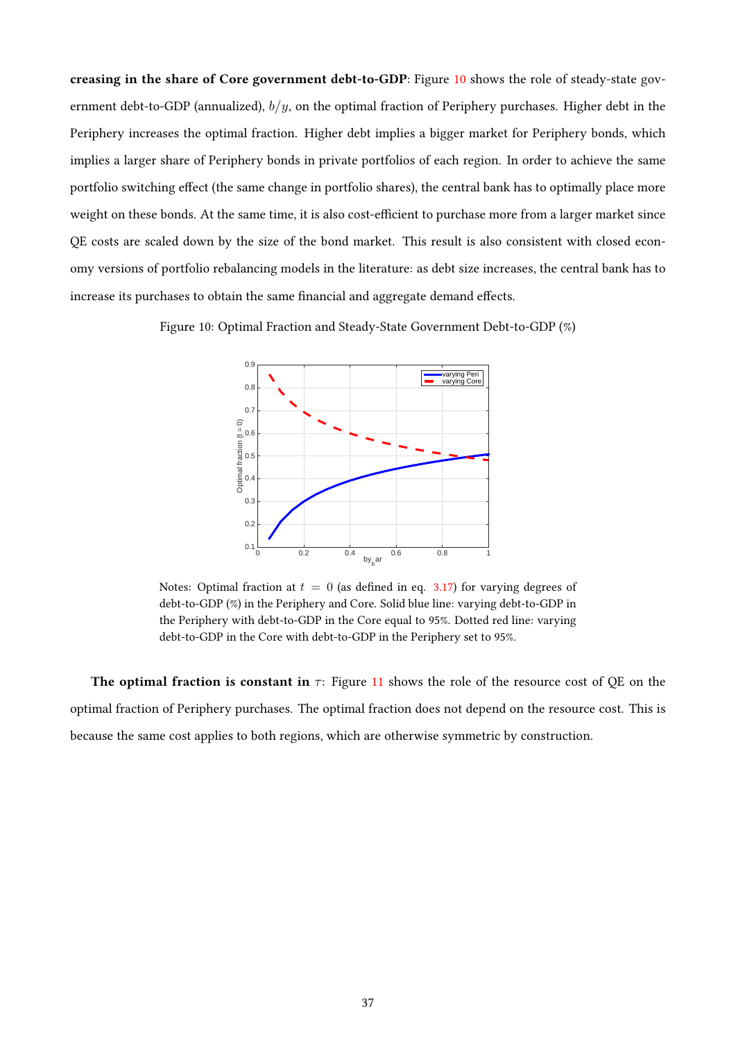creasing in the share of Core government debt-to-GDP: Figure [10](#page-36-0) shows the role of steady-state government debt-to-GDP (annualized),  $b/y$ , on the optimal fraction of Periphery purchases. Higher debt in the Periphery increases the optimal fraction. Higher debt implies a bigger market for Periphery bonds, which implies a larger share of Periphery bonds in private portfolios of each region. In order to achieve the same portfolio switching effect (the same change in portfolio shares), the central bank has to optimally place more weight on these bonds. At the same time, it is also cost-efficient to purchase more from a larger market since QE costs are scaled down by the size of the bond market. This result is also consistent with closed economy versions of portfolio rebalancing models in the literature: as debt size increases, the central bank has to increase its purchases to obtain the same financial and aggregate demand effects.

<span id="page-36-0"></span>Figure 10: Optimal Fraction and Steady-State Government Debt-to-GDP (%)



Notes: Optimal fraction at  $t = 0$  (as defined in eq. [3.17\)](#page-12-0) for varying degrees of debt-to-GDP (%) in the Periphery and Core. Solid blue line: varying debt-to-GDP in the Periphery with debt-to-GDP in the Core equal to 95%. Dotted red line: varying debt-to-GDP in the Core with debt-to-GDP in the Periphery set to 95%.

The optimal fraction is constant in  $\tau$ : Figure [11](#page-37-0) shows the role of the resource cost of QE on the optimal fraction of Periphery purchases. The optimal fraction does not depend on the resource cost. This is because the same cost applies to both regions, which are otherwise symmetric by construction.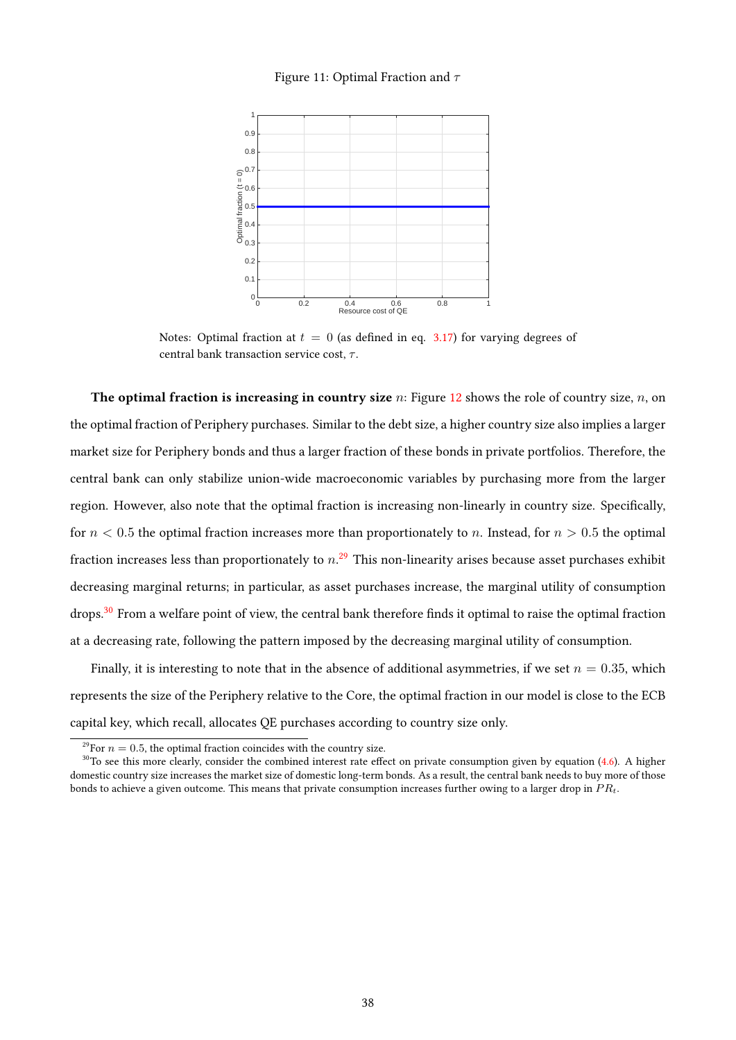#### Figure 11: Optimal Fraction and  $\tau$

<span id="page-37-0"></span>

Notes: Optimal fraction at  $t = 0$  (as defined in eq. [3.17\)](#page-12-0) for varying degrees of central bank transaction service cost,  $\tau$ .

The optimal fraction is increasing in country size  $n$ : Figure [12](#page-38-0) shows the role of country size,  $n$ , on the optimal fraction of Periphery purchases. Similar to the debt size, a higher country size also implies a larger market size for Periphery bonds and thus a larger fraction of these bonds in private portfolios. Therefore, the central bank can only stabilize union-wide macroeconomic variables by purchasing more from the larger region. However, also note that the optimal fraction is increasing non-linearly in country size. Specifically, for  $n < 0.5$  the optimal fraction increases more than proportionately to n. Instead, for  $n > 0.5$  the optimal fraction increases less than proportionately to  $n.^{29}$  $n.^{29}$  $n.^{29}$  This non-linearity arises because asset purchases exhibit decreasing marginal returns; in particular, as asset purchases increase, the marginal utility of consumption drops.<sup>[30](#page-37-2)</sup> From a welfare point of view, the central bank therefore finds it optimal to raise the optimal fraction at a decreasing rate, following the pattern imposed by the decreasing marginal utility of consumption.

Finally, it is interesting to note that in the absence of additional asymmetries, if we set  $n = 0.35$ , which represents the size of the Periphery relative to the Core, the optimal fraction in our model is close to the ECB capital key, which recall, allocates QE purchases according to country size only.

<span id="page-37-2"></span><span id="page-37-1"></span><sup>&</sup>lt;sup>29</sup>For  $n = 0.5$ , the optimal fraction coincides with the country size.

 $30$ To see this more clearly, consider the combined interest rate effect on private consumption given by equation [\(4.6\)](#page-16-0). A higher domestic country size increases the market size of domestic long-term bonds. As a result, the central bank needs to buy more of those bonds to achieve a given outcome. This means that private consumption increases further owing to a larger drop in  $PR_t$ .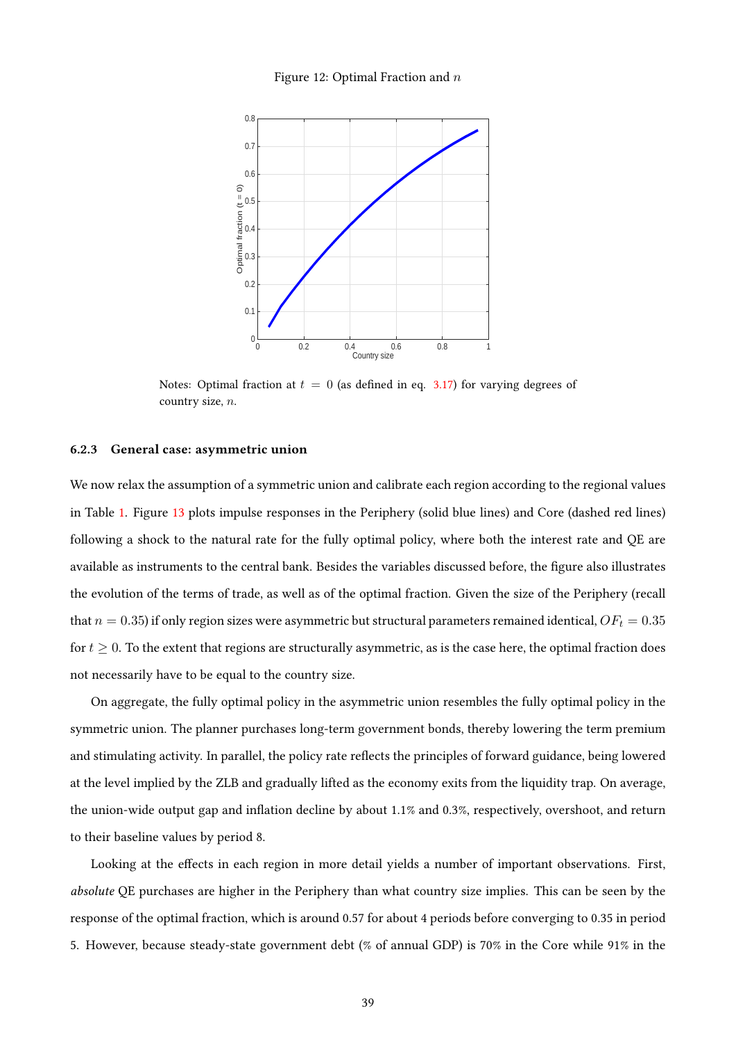#### Figure 12: Optimal Fraction and  $n$

<span id="page-38-0"></span>

Notes: Optimal fraction at  $t = 0$  (as defined in eq. [3.17\)](#page-12-0) for varying degrees of country size, n.

#### <span id="page-38-1"></span>6.2.3 General case: asymmetric union

We now relax the assumption of a symmetric union and calibrate each region according to the regional values in Table [1.](#page-27-0) Figure [13](#page-40-0) plots impulse responses in the Periphery (solid blue lines) and Core (dashed red lines) following a shock to the natural rate for the fully optimal policy, where both the interest rate and QE are available as instruments to the central bank. Besides the variables discussed before, the figure also illustrates the evolution of the terms of trade, as well as of the optimal fraction. Given the size of the Periphery (recall that  $n = 0.35$ ) if only region sizes were asymmetric but structural parameters remained identical,  $OF_t = 0.35$ for  $t \geq 0$ . To the extent that regions are structurally asymmetric, as is the case here, the optimal fraction does not necessarily have to be equal to the country size.

On aggregate, the fully optimal policy in the asymmetric union resembles the fully optimal policy in the symmetric union. The planner purchases long-term government bonds, thereby lowering the term premium and stimulating activity. In parallel, the policy rate reflects the principles of forward guidance, being lowered at the level implied by the ZLB and gradually lifted as the economy exits from the liquidity trap. On average, the union-wide output gap and inflation decline by about  $1.1\%$  and  $0.3\%$ , respectively, overshoot, and return to their baseline values by period 8.

Looking at the effects in each region in more detail yields a number of important observations. First, absolute QE purchases are higher in the Periphery than what country size implies. This can be seen by the response of the optimal fraction, which is around 0.57 for about 4 periods before converging to 0.35 in period 5. However, because steady-state government debt (% of annual GDP) is 70% in the Core while 91% in the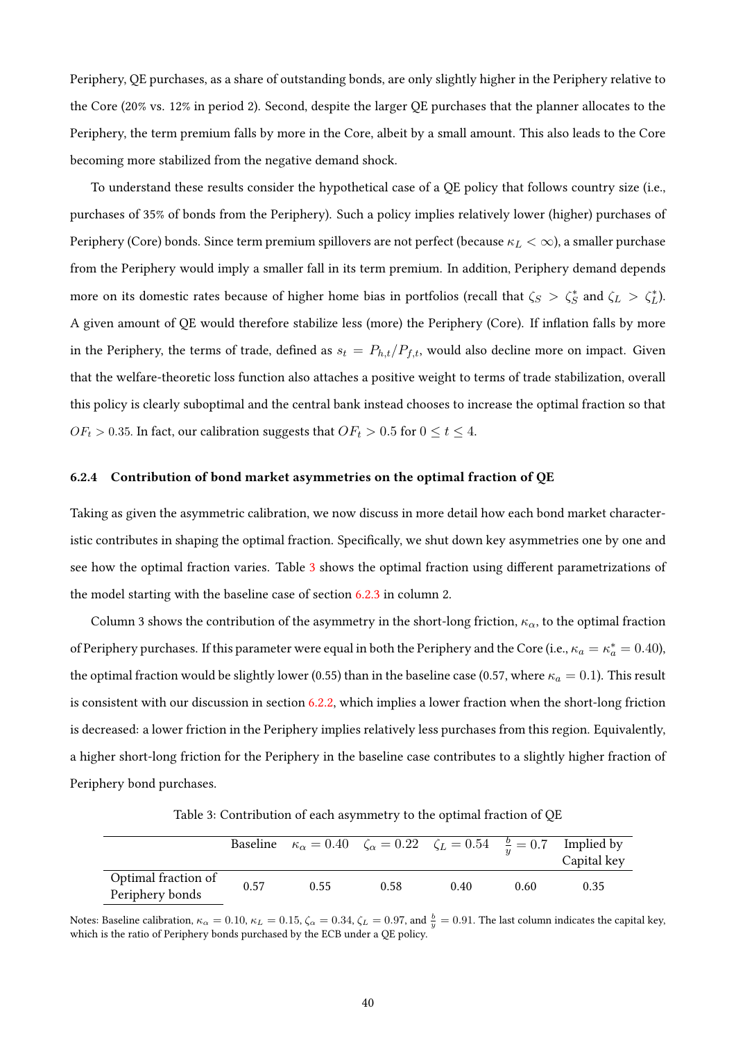Periphery, QE purchases, as a share of outstanding bonds, are only slightly higher in the Periphery relative to the Core (20% vs. 12% in period 2). Second, despite the larger QE purchases that the planner allocates to the Periphery, the term premium falls by more in the Core, albeit by a small amount. This also leads to the Core becoming more stabilized from the negative demand shock.

To understand these results consider the hypothetical case of a QE policy that follows country size (i.e., purchases of 35% of bonds from the Periphery). Such a policy implies relatively lower (higher) purchases of Periphery (Core) bonds. Since term premium spillovers are not perfect (because  $\kappa_L < \infty$ ), a smaller purchase from the Periphery would imply a smaller fall in its term premium. In addition, Periphery demand depends more on its domestic rates because of higher home bias in portfolios (recall that  $\zeta_S > \zeta_S^*$  and  $\zeta_L > \zeta_L^*$ ). A given amount of QE would therefore stabilize less (more) the Periphery (Core). If inflation falls by more in the Periphery, the terms of trade, defined as  $s_t = P_{h,t}/P_{f,t}$ , would also decline more on impact. Given that the welfare-theoretic loss function also attaches a positive weight to terms of trade stabilization, overall this policy is clearly suboptimal and the central bank instead chooses to increase the optimal fraction so that  $OF_t > 0.35.$  In fact, our calibration suggests that  $OF_t > 0.5$  for  $0 \leq t \leq 4.$ 

#### 6.2.4 Contribution of bond market asymmetries on the optimal fraction of QE

Taking as given the asymmetric calibration, we now discuss in more detail how each bond market characteristic contributes in shaping the optimal fraction. Specifically, we shut down key asymmetries one by one and see how the optimal fraction varies. Table [3](#page-39-0) shows the optimal fraction using different parametrizations of the model starting with the baseline case of section [6.2.3](#page-38-1) in column 2.

Column 3 shows the contribution of the asymmetry in the short-long friction,  $\kappa_{\alpha}$ , to the optimal fraction of Periphery purchases. If this parameter were equal in both the Periphery and the Core (i.e.,  $\kappa_a=\kappa^*_a=0.40$ ), the optimal fraction would be slightly lower (0.55) than in the baseline case (0.57, where  $\kappa_a = 0.1$ ). This result is consistent with our discussion in section [6.2.2,](#page-33-0) which implies a lower fraction when the short-long friction is decreased: a lower friction in the Periphery implies relatively less purchases from this region. Equivalently, a higher short-long friction for the Periphery in the baseline case contributes to a slightly higher fraction of Periphery bond purchases.

Table 3: Contribution of each asymmetry to the optimal fraction of QE

<span id="page-39-0"></span>

|                                        |      | Baseline $\kappa_{\alpha} = 0.40$ $\zeta_{\alpha} = 0.22$ $\zeta_{L} = 0.54$ $\frac{b}{u} = 0.7$ Implied by |      |      |      | Capital key |
|----------------------------------------|------|-------------------------------------------------------------------------------------------------------------|------|------|------|-------------|
| Optimal fraction of<br>Periphery bonds | 0.57 | 0.55                                                                                                        | 0.58 | 0.40 | 0.60 | 0.35        |

Notes: Baseline calibration,  $\kappa_{\alpha} = 0.10$ ,  $\kappa_{L} = 0.15$ ,  $\zeta_{\alpha} = 0.34$ ,  $\zeta_{L} = 0.97$ , and  $\frac{b}{y} = 0.91$ . The last column indicates the capital key, which is the ratio of Periphery bonds purchased by the ECB under a QE policy.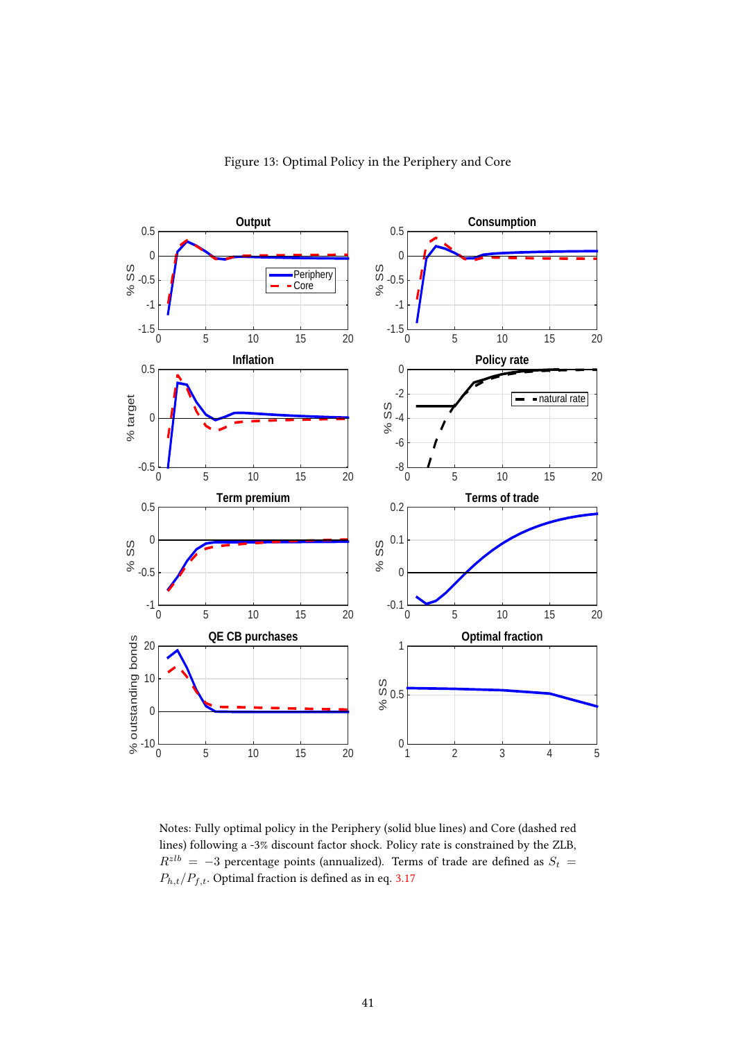<span id="page-40-0"></span>

Figure 13: Optimal Policy in the Periphery and Core

Notes: Fully optimal policy in the Periphery (solid blue lines) and Core (dashed red lines) following a -3% discount factor shock. Policy rate is constrained by the ZLB,  $R^{zlb} = -3$  percentage points (annualized). Terms of trade are defined as  $S_t =$  $P_{h,t}/P_{f,t}$ . Optimal fraction is defined as in eq. [3.17](#page-12-0)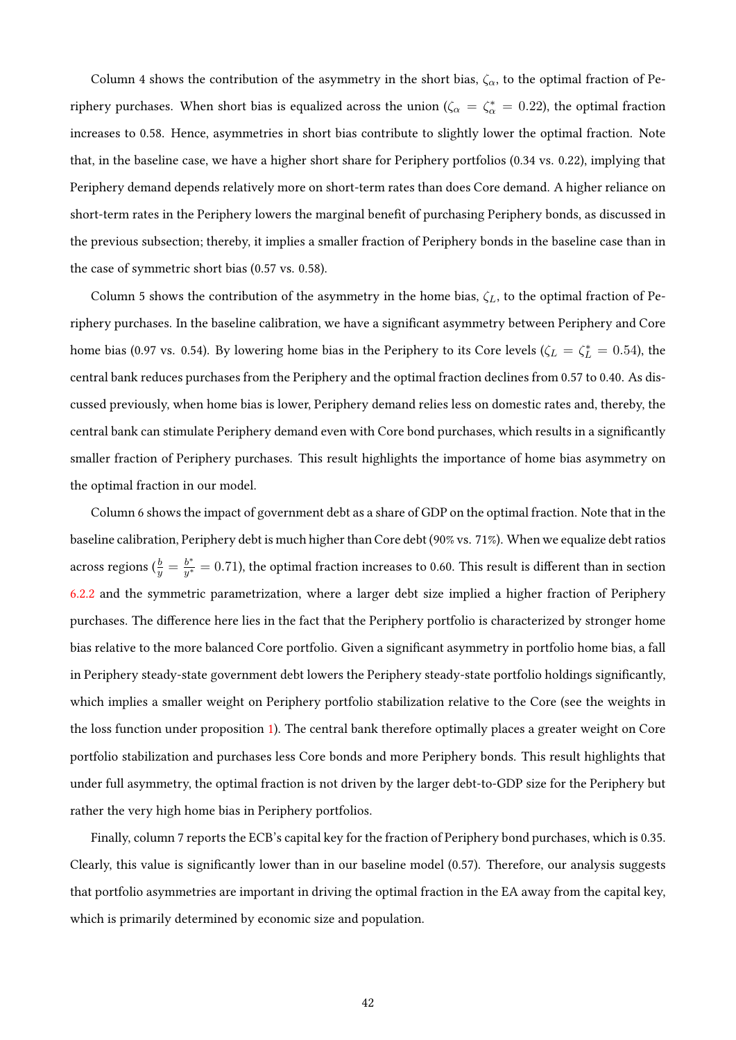Column 4 shows the contribution of the asymmetry in the short bias,  $\zeta_{\alpha}$ , to the optimal fraction of Periphery purchases. When short bias is equalized across the union ( $\zeta_{\alpha} = \zeta_{\alpha}^* = 0.22$ ), the optimal fraction increases to 0.58. Hence, asymmetries in short bias contribute to slightly lower the optimal fraction. Note that, in the baseline case, we have a higher short share for Periphery portfolios (0.34 vs. 0.22), implying that Periphery demand depends relatively more on short-term rates than does Core demand. A higher reliance on short-term rates in the Periphery lowers the marginal benefit of purchasing Periphery bonds, as discussed in the previous subsection; thereby, it implies a smaller fraction of Periphery bonds in the baseline case than in the case of symmetric short bias (0.57 vs. 0.58).

Column 5 shows the contribution of the asymmetry in the home bias,  $\zeta_L$ , to the optimal fraction of Periphery purchases. In the baseline calibration, we have a significant asymmetry between Periphery and Core home bias (0.97 vs. 0.54). By lowering home bias in the Periphery to its Core levels ( $\zeta_L = \zeta_L^* = 0.54$ ), the central bank reduces purchases from the Periphery and the optimal fraction declines from 0.57 to 0.40. As discussed previously, when home bias is lower, Periphery demand relies less on domestic rates and, thereby, the central bank can stimulate Periphery demand even with Core bond purchases, which results in a significantly smaller fraction of Periphery purchases. This result highlights the importance of home bias asymmetry on the optimal fraction in our model.

Column 6 shows the impact of government debt as a share of GDP on the optimal fraction. Note that in the baseline calibration, Periphery debt is much higher than Core debt (90% vs. 71%). When we equalize debt ratios across regions ( $\frac{b}{y}=\frac{b^*}{y^*}$  $\frac{b^*}{y^*}=0.71$ ), the optimal fraction increases to 0.60. This result is different than in section [6.2.2](#page-33-0) and the symmetric parametrization, where a larger debt size implied a higher fraction of Periphery purchases. The difference here lies in the fact that the Periphery portfolio is characterized by stronger home bias relative to the more balanced Core portfolio. Given a signicant asymmetry in portfolio home bias, a fall in Periphery steady-state government debt lowers the Periphery steady-state portfolio holdings signicantly, which implies a smaller weight on Periphery portfolio stabilization relative to the Core (see the weights in the loss function under proposition [1\)](#page-17-0). The central bank therefore optimally places a greater weight on Core portfolio stabilization and purchases less Core bonds and more Periphery bonds. This result highlights that under full asymmetry, the optimal fraction is not driven by the larger debt-to-GDP size for the Periphery but rather the very high home bias in Periphery portfolios.

Finally, column 7 reports the ECB's capital key for the fraction of Periphery bond purchases, which is 0.35. Clearly, this value is signicantly lower than in our baseline model (0.57). Therefore, our analysis suggests that portfolio asymmetries are important in driving the optimal fraction in the EA away from the capital key, which is primarily determined by economic size and population.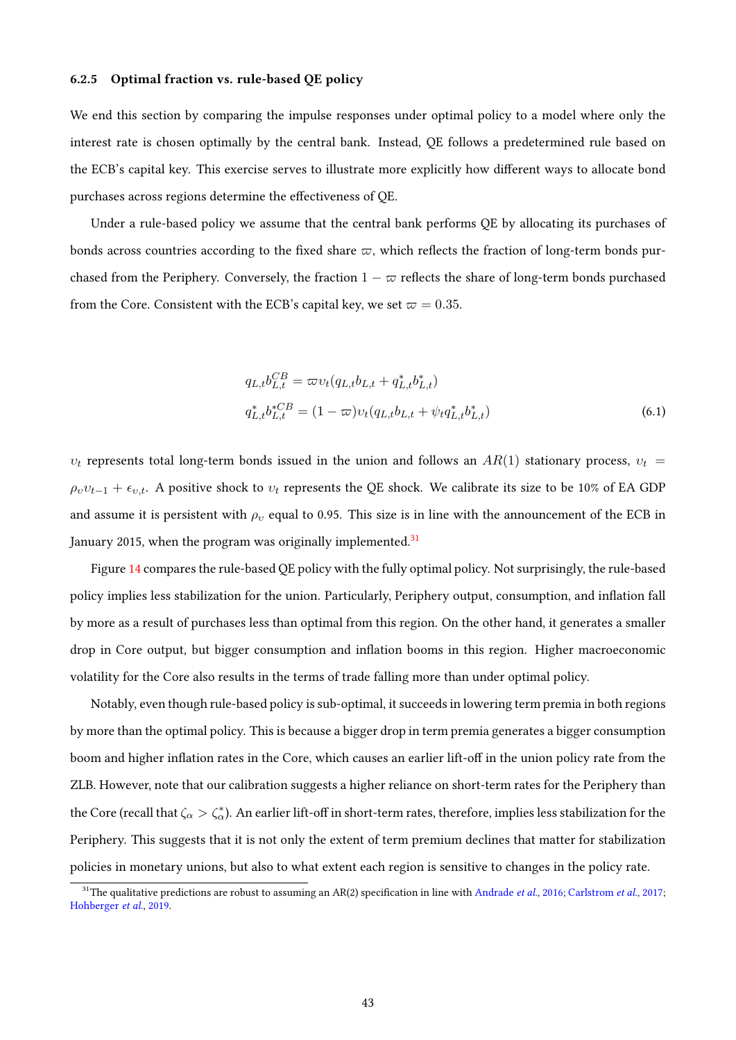#### <span id="page-42-2"></span>6.2.5 Optimal fraction vs. rule-based QE policy

We end this section by comparing the impulse responses under optimal policy to a model where only the interest rate is chosen optimally by the central bank. Instead, QE follows a predetermined rule based on the ECB's capital key. This exercise serves to illustrate more explicitly how different ways to allocate bond purchases across regions determine the effectiveness of QE.

Under a rule-based policy we assume that the central bank performs QE by allocating its purchases of bonds across countries according to the fixed share  $\varpi$ , which reflects the fraction of long-term bonds purchased from the Periphery. Conversely, the fraction  $1 - \varpi$  reflects the share of long-term bonds purchased from the Core. Consistent with the ECB's capital key, we set  $\varpi = 0.35$ .

<span id="page-42-1"></span>
$$
q_{L,t}b_{L,t}^{CB} = \varpi v_t (q_{L,t}b_{L,t} + q_{L,t}^* b_{L,t}^*)
$$
  
\n
$$
q_{L,t}^* b_{L,t}^{*CB} = (1 - \varpi) v_t (q_{L,t}b_{L,t} + \psi_t q_{L,t}^* b_{L,t}^*)
$$
\n(6.1)

 $v_t$  represents total long-term bonds issued in the union and follows an  $AR(1)$  stationary process,  $v_t =$  $\rho_v v_{t-1} + \epsilon_{v,t}$ . A positive shock to  $v_t$  represents the QE shock. We calibrate its size to be 10% of EA GDP and assume it is persistent with  $\rho_v$  equal to 0.95. This size is in line with the announcement of the ECB in January 2015, when the program was originally implemented.<sup>[31](#page-42-0)</sup>

Figure [14](#page-43-0) compares the rule-based QE policy with the fully optimal policy. Not surprisingly, the rule-based policy implies less stabilization for the union. Particularly, Periphery output, consumption, and inflation fall by more as a result of purchases less than optimal from this region. On the other hand, it generates a smaller drop in Core output, but bigger consumption and inflation booms in this region. Higher macroeconomic volatility for the Core also results in the terms of trade falling more than under optimal policy.

Notably, even though rule-based policy is sub-optimal, it succeeds in lowering term premia in both regions by more than the optimal policy. This is because a bigger drop in term premia generates a bigger consumption boom and higher inflation rates in the Core, which causes an earlier lift-off in the union policy rate from the ZLB. However, note that our calibration suggests a higher reliance on short-term rates for the Periphery than the Core (recall that  $\zeta_\alpha>\zeta_\alpha^*$ ). An earlier lift-off in short-term rates, therefore, implies less stabilization for the Periphery. This suggests that it is not only the extent of term premium declines that matter for stabilization policies in monetary unions, but also to what extent each region is sensitive to changes in the policy rate.

<span id="page-42-0"></span><sup>&</sup>lt;sup>31</sup>The qualitative predictions are robust to assuming an AR(2) specification in line with [Andrade](#page-44-0) et al., [2016;](#page-44-0) [Carlstrom](#page-45-0) et al., [2017;](#page-45-0) [Hohberger](#page-47-0) et al., [2019.](#page-47-0)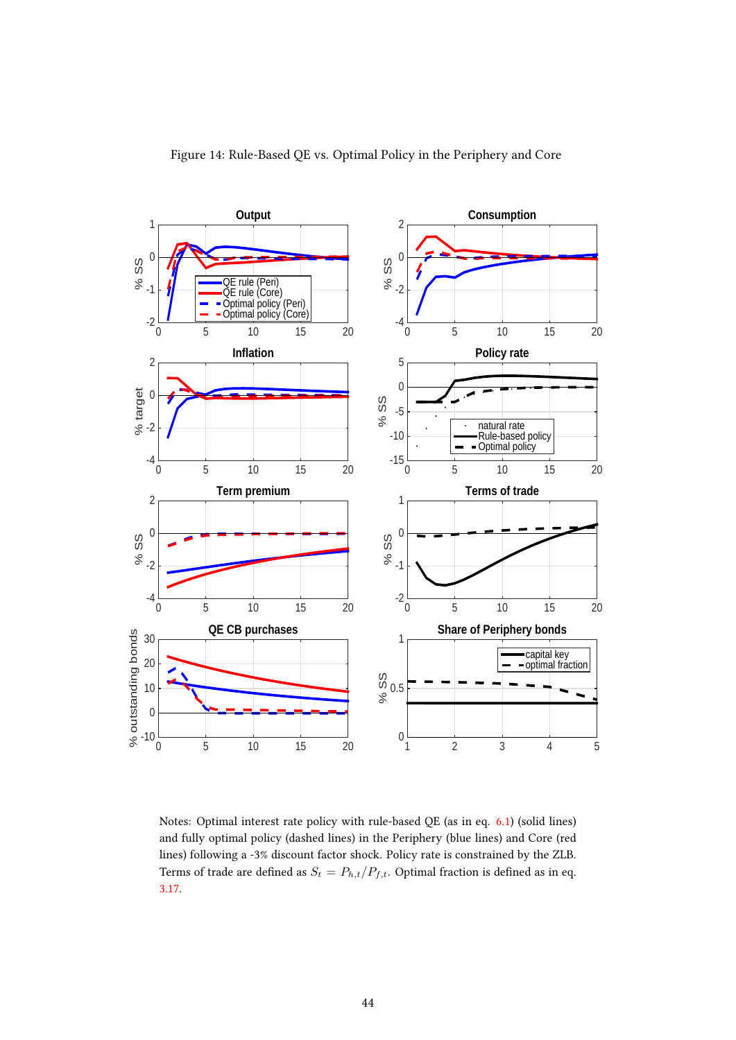<span id="page-43-0"></span>

Notes: Optimal interest rate policy with rule-based QE (as in eq. [6.1\)](#page-42-1) (solid lines) and fully optimal policy (dashed lines) in the Periphery (blue lines) and Core (red lines) following a -3% discount factor shock. Policy rate is constrained by the ZLB. Terms of trade are defined as  $S_t = P_{h,t}/P_{f,t}$ . Optimal fraction is defined as in eq. [3.17.](#page-12-0)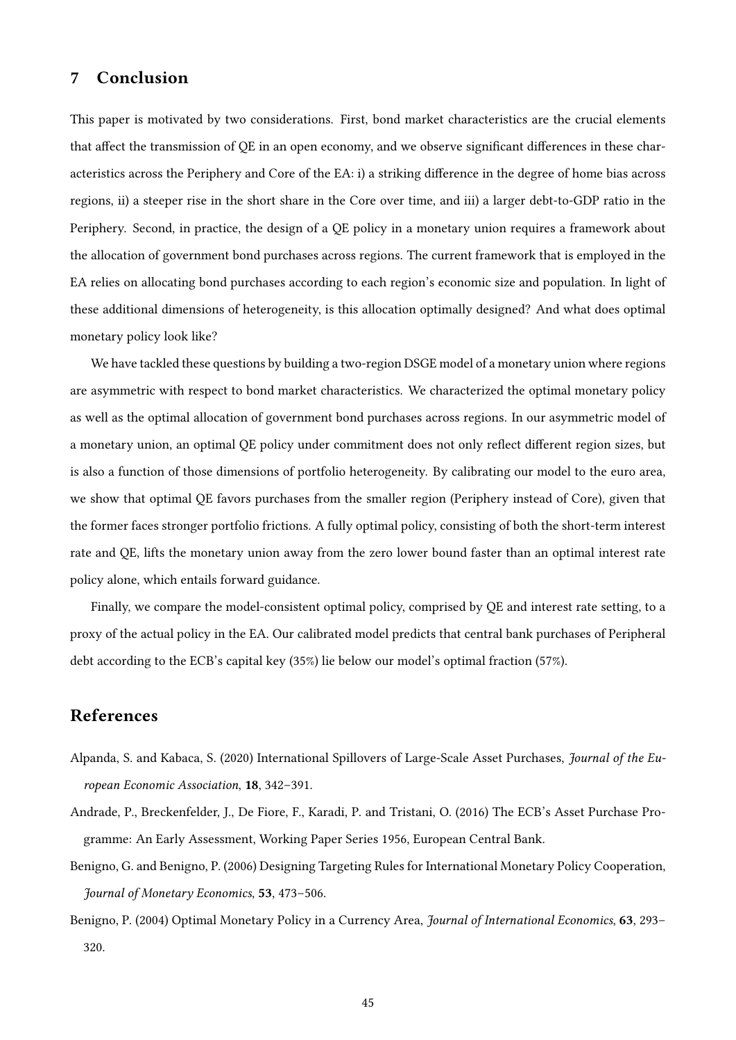## 7 Conclusion

This paper is motivated by two considerations. First, bond market characteristics are the crucial elements that affect the transmission of QE in an open economy, and we observe significant differences in these characteristics across the Periphery and Core of the EA: i) a striking difference in the degree of home bias across regions, ii) a steeper rise in the short share in the Core over time, and iii) a larger debt-to-GDP ratio in the Periphery. Second, in practice, the design of a QE policy in a monetary union requires a framework about the allocation of government bond purchases across regions. The current framework that is employed in the EA relies on allocating bond purchases according to each region's economic size and population. In light of these additional dimensions of heterogeneity, is this allocation optimally designed? And what does optimal monetary policy look like?

We have tackled these questions by building a two-region DSGE model of a monetary union where regions are asymmetric with respect to bond market characteristics. We characterized the optimal monetary policy as well as the optimal allocation of government bond purchases across regions. In our asymmetric model of a monetary union, an optimal QE policy under commitment does not only reflect different region sizes, but is also a function of those dimensions of portfolio heterogeneity. By calibrating our model to the euro area, we show that optimal QE favors purchases from the smaller region (Periphery instead of Core), given that the former faces stronger portfolio frictions. A fully optimal policy, consisting of both the short-term interest rate and QE, lifts the monetary union away from the zero lower bound faster than an optimal interest rate policy alone, which entails forward guidance.

Finally, we compare the model-consistent optimal policy, comprised by QE and interest rate setting, to a proxy of the actual policy in the EA. Our calibrated model predicts that central bank purchases of Peripheral debt according to the ECB's capital key (35%) lie below our model's optimal fraction (57%).

### References

- Alpanda, S. and Kabaca, S. (2020) International Spillovers of Large-Scale Asset Purchases, Journal of the European Economic Association, 18, 342–391.
- <span id="page-44-0"></span>Andrade, P., Breckenfelder, J., De Fiore, F., Karadi, P. and Tristani, O. (2016) The ECB's Asset Purchase Programme: An Early Assessment, Working Paper Series 1956, European Central Bank.
- Benigno, G. and Benigno, P. (2006) Designing Targeting Rules for International Monetary Policy Cooperation, Journal of Monetary Economics, 53, 473–506.
- Benigno, P. (2004) Optimal Monetary Policy in a Currency Area, Journal of International Economics, 63, 293– 320.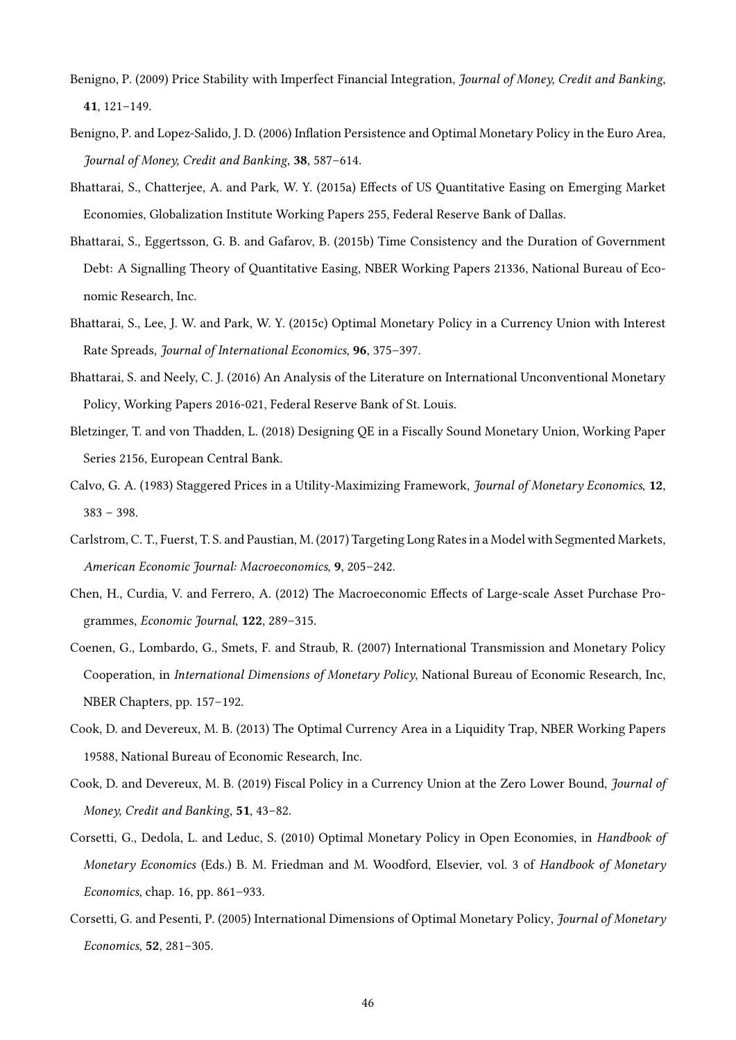- Benigno, P. (2009) Price Stability with Imperfect Financial Integration, Journal of Money, Credit and Banking, 41, 121–149.
- Benigno, P. and Lopez-Salido, J. D. (2006) Inflation Persistence and Optimal Monetary Policy in the Euro Area, Journal of Money, Credit and Banking, 38, 587–614.
- <span id="page-45-1"></span>Bhattarai, S., Chatterjee, A. and Park, W. Y. (2015a) Effects of US Quantitative Easing on Emerging Market Economies, Globalization Institute Working Papers 255, Federal Reserve Bank of Dallas.
- Bhattarai, S., Eggertsson, G. B. and Gafarov, B. (2015b) Time Consistency and the Duration of Government Debt: A Signalling Theory of Quantitative Easing, NBER Working Papers 21336, National Bureau of Economic Research, Inc.
- Bhattarai, S., Lee, J. W. and Park, W. Y. (2015c) Optimal Monetary Policy in a Currency Union with Interest Rate Spreads, Journal of International Economics, 96, 375–397.
- Bhattarai, S. and Neely, C. J. (2016) An Analysis of the Literature on International Unconventional Monetary Policy, Working Papers 2016-021, Federal Reserve Bank of St. Louis.
- Bletzinger, T. and von Thadden, L. (2018) Designing QE in a Fiscally Sound Monetary Union, Working Paper Series 2156, European Central Bank.
- Calvo, G. A. (1983) Staggered Prices in a Utility-Maximizing Framework, Journal of Monetary Economics, 12, 383 – 398.
- <span id="page-45-0"></span>Carlstrom, C. T., Fuerst, T. S. and Paustian, M. (2017) Targeting Long Rates in a Model with Segmented Markets, American Economic Journal: Macroeconomics, 9, 205–242.
- Chen, H., Curdia, V. and Ferrero, A. (2012) The Macroeconomic Effects of Large-scale Asset Purchase Programmes, Economic Journal, 122, 289–315.
- Coenen, G., Lombardo, G., Smets, F. and Straub, R. (2007) International Transmission and Monetary Policy Cooperation, in International Dimensions of Monetary Policy, National Bureau of Economic Research, Inc, NBER Chapters, pp. 157–192.
- Cook, D. and Devereux, M. B. (2013) The Optimal Currency Area in a Liquidity Trap, NBER Working Papers 19588, National Bureau of Economic Research, Inc.
- Cook, D. and Devereux, M. B. (2019) Fiscal Policy in a Currency Union at the Zero Lower Bound, Journal of Money, Credit and Banking, 51, 43–82.
- Corsetti, G., Dedola, L. and Leduc, S. (2010) Optimal Monetary Policy in Open Economies, in Handbook of Monetary Economics (Eds.) B. M. Friedman and M. Woodford, Elsevier, vol. 3 of Handbook of Monetary Economics, chap. 16, pp. 861–933.
- Corsetti, G. and Pesenti, P. (2005) International Dimensions of Optimal Monetary Policy, Journal of Monetary Economics, 52, 281–305.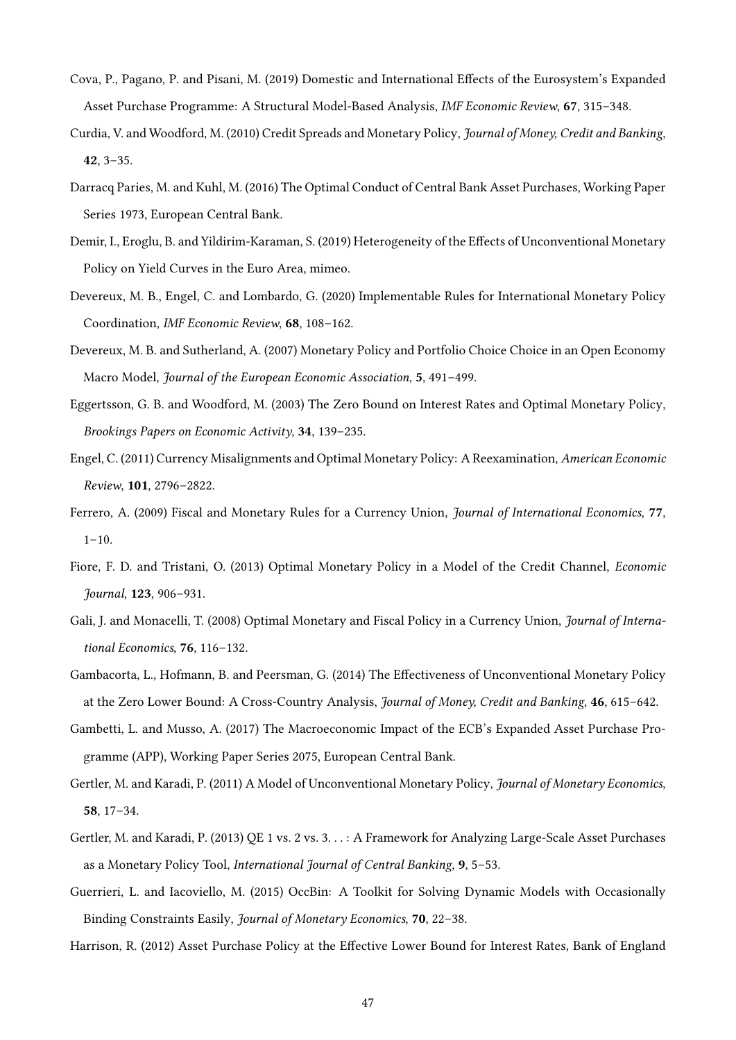- Cova, P., Pagano, P. and Pisani, M. (2019) Domestic and International Effects of the Eurosystem's Expanded Asset Purchase Programme: A Structural Model-Based Analysis, IMF Economic Review, 67, 315–348.
- Curdia, V. and Woodford, M. (2010) Credit Spreads and Monetary Policy, Journal of Money, Credit and Banking, 42, 3–35.
- Darracq Paries, M. and Kuhl, M. (2016) The Optimal Conduct of Central Bank Asset Purchases, Working Paper Series 1973, European Central Bank.
- <span id="page-46-2"></span>Demir, I., Eroglu, B. and Yildirim-Karaman, S. (2019) Heterogeneity of the Effects of Unconventional Monetary Policy on Yield Curves in the Euro Area, mimeo.
- Devereux, M. B., Engel, C. and Lombardo, G. (2020) Implementable Rules for International Monetary Policy Coordination, IMF Economic Review, 68, 108–162.
- Devereux, M. B. and Sutherland, A. (2007) Monetary Policy and Portfolio Choice Choice in an Open Economy Macro Model, Journal of the European Economic Association, 5, 491–499.
- Eggertsson, G. B. and Woodford, M. (2003) The Zero Bound on Interest Rates and Optimal Monetary Policy, Brookings Papers on Economic Activity, 34, 139–235.
- Engel, C. (2011) Currency Misalignments and Optimal Monetary Policy: A Reexamination, American Economic Review, 101, 2796–2822.
- Ferrero, A. (2009) Fiscal and Monetary Rules for a Currency Union, Journal of International Economics, 77,  $1-10.$
- Fiore, F. D. and Tristani, O. (2013) Optimal Monetary Policy in a Model of the Credit Channel, Economic Journal, 123, 906–931.
- Gali, J. and Monacelli, T. (2008) Optimal Monetary and Fiscal Policy in a Currency Union, Journal of International Economics, 76, 116–132.
- <span id="page-46-0"></span>Gambacorta, L., Hofmann, B. and Peersman, G. (2014) The Effectiveness of Unconventional Monetary Policy at the Zero Lower Bound: A Cross-Country Analysis, Journal of Money, Credit and Banking, 46, 615–642.
- <span id="page-46-1"></span>Gambetti, L. and Musso, A. (2017) The Macroeconomic Impact of the ECB's Expanded Asset Purchase Programme (APP), Working Paper Series 2075, European Central Bank.
- Gertler, M. and Karadi, P. (2011) A Model of Unconventional Monetary Policy, Journal of Monetary Economics, 58, 17–34.
- Gertler, M. and Karadi, P. (2013) QE 1 vs. 2 vs. 3. . . : A Framework for Analyzing Large-Scale Asset Purchases as a Monetary Policy Tool, International Journal of Central Banking, 9, 5–53.
- Guerrieri, L. and Iacoviello, M. (2015) OccBin: A Toolkit for Solving Dynamic Models with Occasionally Binding Constraints Easily, Journal of Monetary Economics, 70, 22–38.
- Harrison, R. (2012) Asset Purchase Policy at the Effective Lower Bound for Interest Rates, Bank of England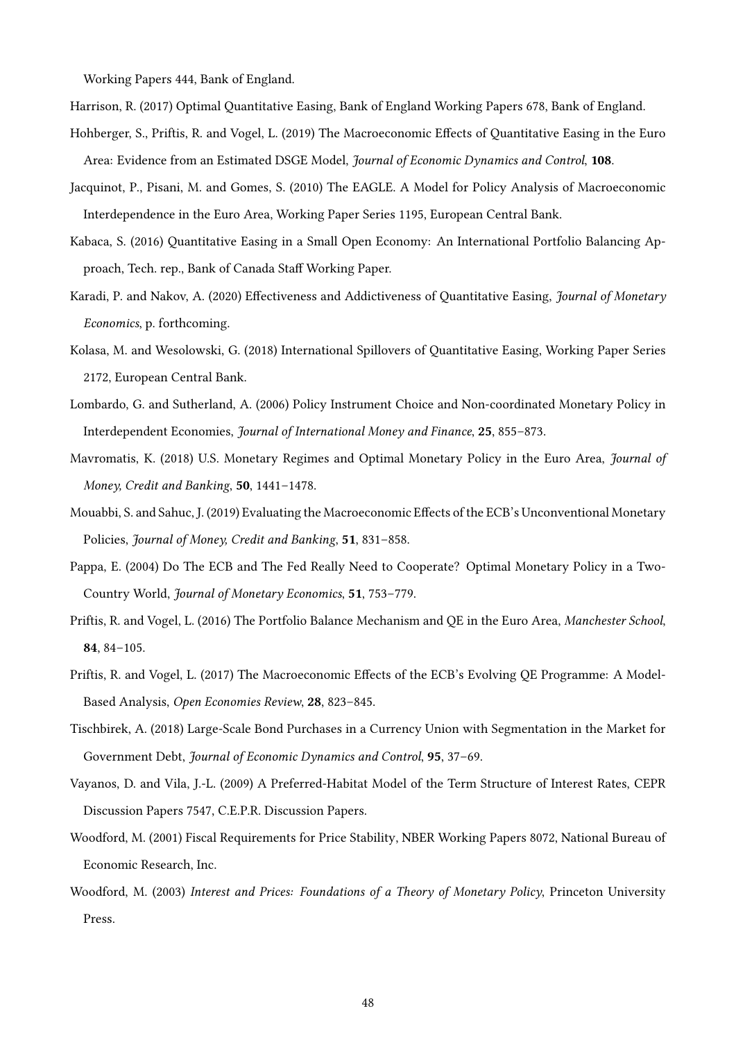Working Papers 444, Bank of England.

<span id="page-47-0"></span>Harrison, R. (2017) Optimal Quantitative Easing, Bank of England Working Papers 678, Bank of England.

- Hohberger, S., Priftis, R. and Vogel, L. (2019) The Macroeconomic Effects of Quantitative Easing in the Euro Area: Evidence from an Estimated DSGE Model, Journal of Economic Dynamics and Control, 108.
- Jacquinot, P., Pisani, M. and Gomes, S. (2010) The EAGLE. A Model for Policy Analysis of Macroeconomic Interdependence in the Euro Area, Working Paper Series 1195, European Central Bank.
- Kabaca, S. (2016) Quantitative Easing in a Small Open Economy: An International Portfolio Balancing Approach, Tech. rep., Bank of Canada Staff Working Paper.
- Karadi, P. and Nakov, A. (2020) Effectiveness and Addictiveness of Quantitative Easing, Journal of Monetary Economics, p. forthcoming.
- Kolasa, M. and Wesolowski, G. (2018) International Spillovers of Quantitative Easing, Working Paper Series 2172, European Central Bank.
- Lombardo, G. and Sutherland, A. (2006) Policy Instrument Choice and Non-coordinated Monetary Policy in Interdependent Economies, Journal of International Money and Finance, 25, 855–873.
- Mavromatis, K. (2018) U.S. Monetary Regimes and Optimal Monetary Policy in the Euro Area, Journal of Money, Credit and Banking, 50, 1441–1478.
- Mouabbi, S. and Sahuc, J. (2019) Evaluating the Macroeconomic Effects of the ECB's Unconventional Monetary Policies, Journal of Money, Credit and Banking, 51, 831–858.
- Pappa, E. (2004) Do The ECB and The Fed Really Need to Cooperate? Optimal Monetary Policy in a Two-Country World, Journal of Monetary Economics, 51, 753–779.
- Priftis, R. and Vogel, L. (2016) The Portfolio Balance Mechanism and QE in the Euro Area, Manchester School, 84, 84–105.
- Priftis, R. and Vogel, L. (2017) The Macroeconomic Effects of the ECB's Evolving QE Programme: A Model-Based Analysis, Open Economies Review, 28, 823–845.
- Tischbirek, A. (2018) Large-Scale Bond Purchases in a Currency Union with Segmentation in the Market for Government Debt, Journal of Economic Dynamics and Control, 95, 37–69.
- Vayanos, D. and Vila, J.-L. (2009) A Preferred-Habitat Model of the Term Structure of Interest Rates, CEPR Discussion Papers 7547, C.E.P.R. Discussion Papers.
- Woodford, M. (2001) Fiscal Requirements for Price Stability, NBER Working Papers 8072, National Bureau of Economic Research, Inc.
- Woodford, M. (2003) Interest and Prices: Foundations of a Theory of Monetary Policy, Princeton University Press.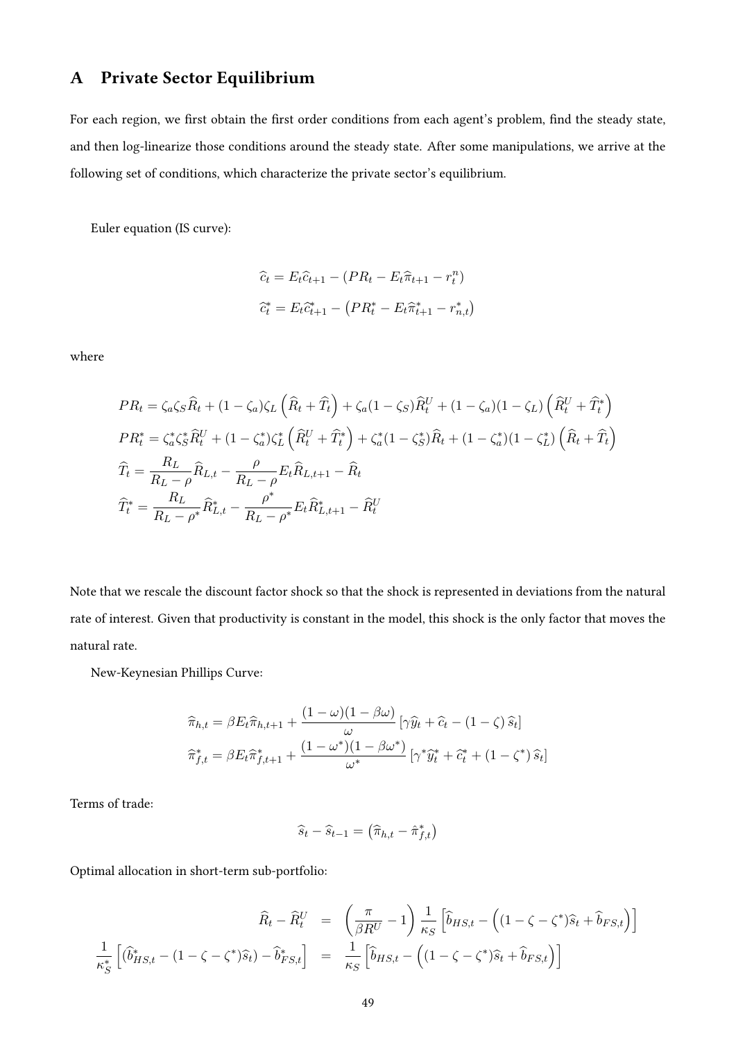# A Private Sector Equilibrium

For each region, we first obtain the first order conditions from each agent's problem, find the steady state, and then log-linearize those conditions around the steady state. After some manipulations, we arrive at the following set of conditions, which characterize the private sector's equilibrium.

Euler equation (IS curve):

$$
\hat{c}_t = E_t \hat{c}_{t+1} - (PR_t - E_t \hat{\pi}_{t+1} - r_t^n)
$$

$$
\hat{c}_t^* = E_t \hat{c}_{t+1}^* - (PR_t^* - E_t \hat{\pi}_{t+1}^* - r_{n,t}^*)
$$

where

$$
PR_t = \zeta_a \zeta_s \hat{R}_t + (1 - \zeta_a) \zeta_L \left( \hat{R}_t + \hat{T}_t \right) + \zeta_a (1 - \zeta_s) \hat{R}_t^U + (1 - \zeta_a) (1 - \zeta_L) \left( \hat{R}_t^U + \hat{T}_t^* \right)
$$
  
\n
$$
PR_t^* = \zeta_a^* \zeta_s^* \hat{R}_t^U + (1 - \zeta_a^*) \zeta_L^* \left( \hat{R}_t^U + \hat{T}_t^* \right) + \zeta_a^* (1 - \zeta_s^*) \hat{R}_t + (1 - \zeta_a^*) (1 - \zeta_L^*) \left( \hat{R}_t + \hat{T}_t \right)
$$
  
\n
$$
\hat{T}_t = \frac{R_L}{R_L - \rho} \hat{R}_{L,t} - \frac{\rho}{R_L - \rho} E_t \hat{R}_{L,t+1} - \hat{R}_t
$$
  
\n
$$
\hat{T}_t^* = \frac{R_L}{R_L - \rho^*} \hat{R}_{L,t}^* - \frac{\rho^*}{R_L - \rho^*} E_t \hat{R}_{L,t+1}^* - \hat{R}_t^U
$$

Note that we rescale the discount factor shock so that the shock is represented in deviations from the natural rate of interest. Given that productivity is constant in the model, this shock is the only factor that moves the natural rate.

New-Keynesian Phillips Curve:

$$
\widehat{\pi}_{h,t} = \beta E_t \widehat{\pi}_{h,t+1} + \frac{(1 - \omega)(1 - \beta \omega)}{\omega} \left[ \gamma \widehat{y}_t + \widehat{c}_t - (1 - \zeta) \widehat{s}_t \right]
$$

$$
\widehat{\pi}_{f,t}^* = \beta E_t \widehat{\pi}_{f,t+1}^* + \frac{(1 - \omega^*)(1 - \beta \omega^*)}{\omega^*} \left[ \gamma^* \widehat{y}_t^* + \widehat{c}_t^* + (1 - \zeta^*) \widehat{s}_t \right]
$$

Terms of trade:

$$
\widehat{s}_t - \widehat{s}_{t-1} = \left(\widehat{\pi}_{h,t} - \widehat{\pi}_{f,t}^*\right)
$$

Optimal allocation in short-term sub-portfolio:

$$
\widehat{R}_t - \widehat{R}_t^U = \left(\frac{\pi}{\beta R^U} - 1\right) \frac{1}{\kappa_S} \left[\widehat{b}_{HS,t} - \left((1 - \zeta - \zeta^*)\widehat{s}_t + \widehat{b}_{FS,t}\right)\right]
$$

$$
\frac{1}{\kappa_S^*} \left[\widehat{b}_{HS,t} - (1 - \zeta - \zeta^*)\widehat{s}_t\right) - \widehat{b}_{FS,t}^*\right] = \frac{1}{\kappa_S} \left[\widehat{b}_{HS,t} - \left((1 - \zeta - \zeta^*)\widehat{s}_t + \widehat{b}_{FS,t}\right)\right]
$$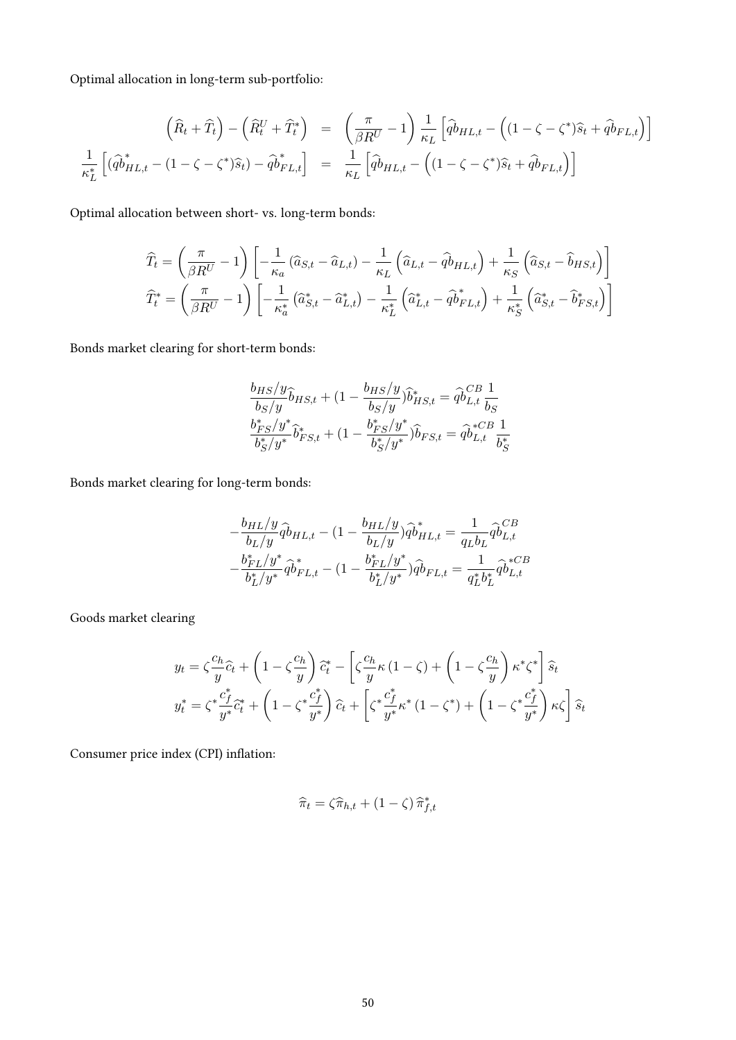Optimal allocation in long-term sub-portfolio:

$$
\left(\widehat{R}_t + \widehat{T}_t\right) - \left(\widehat{R}_t^U + \widehat{T}_t^*\right) = \left(\frac{\pi}{\beta R^U} - 1\right) \frac{1}{\kappa_L} \left[\widehat{q}\widehat{b}_{HL,t} - \left((1 - \zeta - \zeta^*)\widehat{s}_t + \widehat{q}\widehat{b}_{FL,t}\right)\right]
$$

$$
\frac{1}{\kappa_L^*} \left[\left(\widehat{q}\widehat{b}_{HL,t}^* - (1 - \zeta - \zeta^*)\widehat{s}_t\right) - \widehat{q}\widehat{b}_{FL,t}^*\right] = \frac{1}{\kappa_L} \left[\widehat{q}\widehat{b}_{HL,t} - \left((1 - \zeta - \zeta^*)\widehat{s}_t + \widehat{q}\widehat{b}_{FL,t}\right)\right]
$$

Optimal allocation between short- vs. long-term bonds:

$$
\widehat{T}_t = \left(\frac{\pi}{\beta R^U} - 1\right) \left[ -\frac{1}{\kappa_a} \left( \widehat{a}_{S,t} - \widehat{a}_{L,t} \right) - \frac{1}{\kappa_L} \left( \widehat{a}_{L,t} - \widehat{q}_{L,t} \right) + \frac{1}{\kappa_S} \left( \widehat{a}_{S,t} - \widehat{b}_{HS,t} \right) \right]
$$
\n
$$
\widehat{T}_t^* = \left( \frac{\pi}{\beta R^U} - 1 \right) \left[ -\frac{1}{\kappa_a^*} \left( \widehat{a}_{S,t}^* - \widehat{a}_{L,t}^* \right) - \frac{1}{\kappa_L^*} \left( \widehat{a}_{L,t}^* - \widehat{q}_{F,L,t}^* \right) + \frac{1}{\kappa_S^*} \left( \widehat{a}_{S,t}^* - \widehat{b}_{FS,t}^* \right) \right]
$$

Bonds market clearing for short-term bonds:

$$
\frac{b_{HS}/y}{b_S/y}\hat{b}_{HS,t} + (1 - \frac{b_{HS}/y}{b_S/y})\hat{b}_{HS,t}^* = \hat{q}b_{L,t}^{CB} \frac{1}{b_S}
$$

$$
\frac{b_{FS}^*/y^*}{b_S^*/y^*}\hat{b}_{FS,t}^* + (1 - \frac{b_{FS}^*/y^*}{b_S^*/y^*})\hat{b}_{FS,t} = \hat{q}b_{L,t}^{*CB} \frac{1}{b_S^*}
$$

Bonds market clearing for long-term bonds:

$$
-\frac{b_{HL}/y}{b_L/y} \hat{q} b_{HL,t} - (1 - \frac{b_{HL}/y}{b_L/y}) \hat{q} b_{HL,t}^* = \frac{1}{q_L b_L} \hat{q} b_{L,t}^{CB}
$$

$$
-\frac{b_{FL}^* / y^*}{b_L^* / y^*} \hat{q} b_{FL,t}^* - (1 - \frac{b_{FL}^* / y^*}{b_L^* / y^*}) \hat{q} b_{FL,t} = \frac{1}{q_L^* b_L^*} \hat{q} b_{L,t}^{*CB}
$$

Goods market clearing

$$
y_t = \zeta \frac{c_h}{y} \hat{c}_t + \left(1 - \zeta \frac{c_h}{y}\right) \hat{c}_t^* - \left[\zeta \frac{c_h}{y} \kappa \left(1 - \zeta\right) + \left(1 - \zeta \frac{c_h}{y}\right) \kappa^* \zeta^*\right] \hat{s}_t
$$
  

$$
y_t^* = \zeta^* \frac{c_f^*}{y^*} \hat{c}_t^* + \left(1 - \zeta^* \frac{c_f^*}{y^*}\right) \hat{c}_t + \left[\zeta^* \frac{c_f^*}{y^*} \kappa^* \left(1 - \zeta^*\right) + \left(1 - \zeta^* \frac{c_f^*}{y^*}\right) \kappa \zeta\right] \hat{s}_t
$$

Consumer price index (CPI) inflation:

$$
\widehat{\pi}_t = \zeta \widehat{\pi}_{h,t} + (1 - \zeta) \widehat{\pi}_{f,t}^*
$$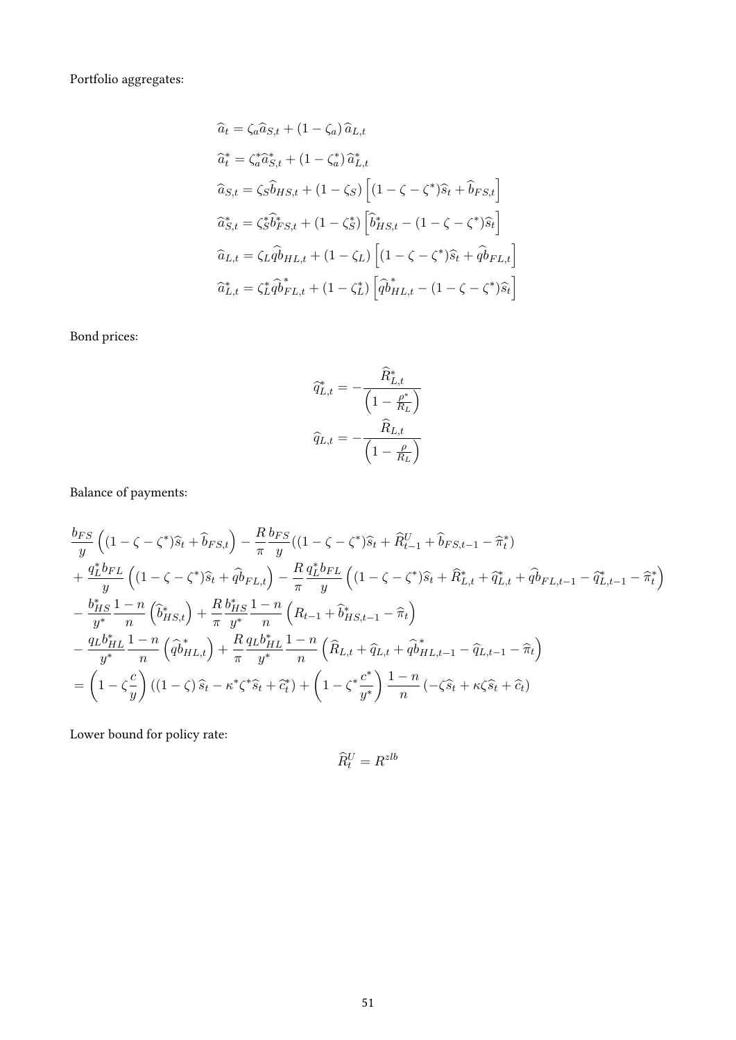Portfolio aggregates:

$$
\begin{aligned}\n\widehat{a}_t &= \zeta_a \widehat{a}_{S,t} + (1 - \zeta_a) \widehat{a}_{L,t} \\
\widehat{a}_t^* &= \zeta_a^* \widehat{a}_{S,t}^* + (1 - \zeta_a^*) \widehat{a}_{L,t}^* \\
\widehat{a}_{S,t} &= \zeta_s \widehat{b}_{HS,t} + (1 - \zeta_s) \left[ (1 - \zeta - \zeta^*) \widehat{s}_t + \widehat{b}_{FS,t} \right] \\
\widehat{a}_{S,t}^* &= \zeta_s^* \widehat{b}_{FS,t}^* + (1 - \zeta_s^*) \left[ \widehat{b}_{HS,t}^* - (1 - \zeta - \zeta^*) \widehat{s}_t \right] \\
\widehat{a}_{L,t} &= \zeta_L \widehat{a}_{H,L,t} + (1 - \zeta_L) \left[ (1 - \zeta - \zeta^*) \widehat{s}_t + \widehat{a}_{F,L,t} \right] \\
\widehat{a}_{L,t}^* &= \zeta_L^* \widehat{a}_{F,L,t}^* + (1 - \zeta_L^*) \left[ \widehat{a}_{H,L,t}^* - (1 - \zeta - \zeta^*) \widehat{s}_t \right]\n\end{aligned}
$$

Bond prices:

$$
\begin{aligned}\n\widehat{q}_{L,t}^* &= -\frac{\widehat{R}_{L,t}^*}{\left(1 - \frac{\rho^*}{R_L}\right)} \\
\widehat{q}_{L,t} &= -\frac{\widehat{R}_{L,t}}{\left(1 - \frac{\rho}{R_L}\right)}\n\end{aligned}
$$

Balance of payments:

$$
\frac{b_{FS}}{y} \left( (1 - \zeta - \zeta^*) \hat{s}_t + \hat{b}_{FS,t} \right) - \frac{R}{\pi} \frac{b_{FS}}{y} ((1 - \zeta - \zeta^*) \hat{s}_t + \hat{R}_{t-1}^U + \hat{b}_{FS,t-1} - \hat{\pi}_t^*) \n+ \frac{q_L^* b_{FL}}{y} \left( (1 - \zeta - \zeta^*) \hat{s}_t + \hat{q} \hat{b}_{FL,t} \right) - \frac{R}{\pi} \frac{q_L^* b_{FL}}{y} \left( (1 - \zeta - \zeta^*) \hat{s}_t + \hat{R}_{L,t}^* + \hat{q} \hat{b}_{FL,t-1} - \hat{q} \hat{b}_{L,t-1} - \hat{\pi}_t^* \right) \n- \frac{b_{HS}^*}{y^*} \frac{1 - n}{n} \left( \hat{b}_{HS,t}^* \right) + \frac{R}{\pi} \frac{b_{HS}^*}{y^*} \frac{1 - n}{n} \left( R_{t-1} + \hat{b}_{HS,t-1}^* - \hat{\pi}_t \right) \n- \frac{q_L b_{HL}^*}{y^*} \frac{1 - n}{n} \left( \hat{q} \hat{b}_{HL,t}^* \right) + \frac{R}{\pi} \frac{q_L b_{HL}^*}{y^*} \frac{1 - n}{n} \left( \hat{R}_{L,t} + \hat{q} \hat{b}_{HL,t-1} - \hat{q} \hat{b}_{LL-1} - \hat{\pi}_t \right) \n= \left( 1 - \zeta \frac{c}{y} \right) ((1 - \zeta) \hat{s}_t - \kappa^* \zeta^* \hat{s}_t + \hat{c}_t^*) + \left( 1 - \zeta^* \frac{c^*}{y^*} \right) \frac{1 - n}{n} \left( -\zeta \hat{s}_t + \kappa \zeta \hat{s}_t + \hat{c}_t \right)
$$

Lower bound for policy rate:

$$
\widehat{R}_t^U = R^{zlb}
$$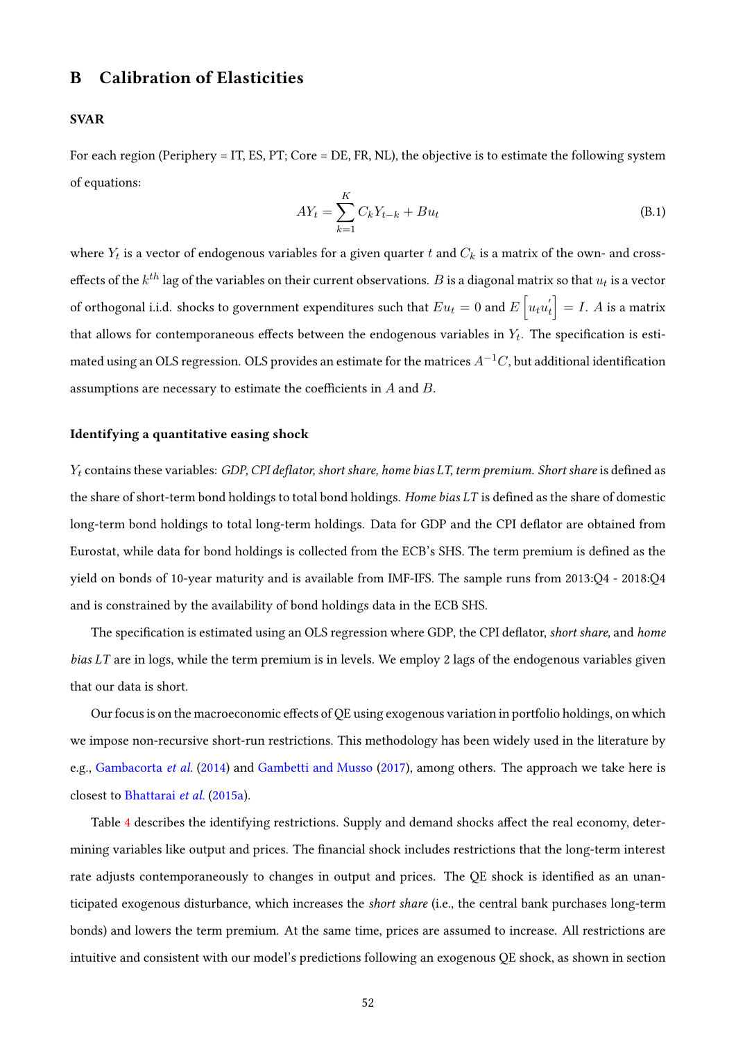## B Calibration of Elasticities

#### SVAR

For each region (Periphery = IT, ES, PT; Core = DE, FR, NL), the objective is to estimate the following system of equations:

$$
AY_t = \sum_{k=1}^{K} C_k Y_{t-k} + Bu_t
$$
 (B.1)

where  $Y_t$  is a vector of endogenous variables for a given quarter  $t$  and  $C_k$  is a matrix of the own- and crosseffects of the  $k^{th}$  lag of the variables on their current observations.  $B$  is a diagonal matrix so that  $u_t$  is a vector of orthogonal i.i.d. shocks to government expenditures such that  $Eu_t=0$  and  $E\left[u_tu_t^{'}\right]=I.$   $A$  is a matrix that allows for contemporaneous effects between the endogenous variables in  $Y_t.$  The specification is estimated using an OLS regression. OLS provides an estimate for the matrices  $A^{-1}C$ , but additional identification assumptions are necessary to estimate the coefficients in  $A$  and  $B$ .

#### Identifying a quantitative easing shock

 $Y_t$  contains these variables: GDP, CPI deflator, short share, home bias LT, term premium. Short share is defined as the share of short-term bond holdings to total bond holdings. Home bias  $LT$  is defined as the share of domestic long-term bond holdings to total long-term holdings. Data for GDP and the CPI deflator are obtained from Eurostat, while data for bond holdings is collected from the ECB's SHS. The term premium is defined as the yield on bonds of 10-year maturity and is available from IMF-IFS. The sample runs from 2013:Q4 - 2018:Q4 and is constrained by the availability of bond holdings data in the ECB SHS.

The specification is estimated using an OLS regression where GDP, the CPI deflator, short share, and home bias LT are in logs, while the term premium is in levels. We employ 2 lags of the endogenous variables given that our data is short.

Our focus is on the macroeconomic effects of QE using exogenous variation in portfolio holdings, on which we impose non-recursive short-run restrictions. This methodology has been widely used in the literature by e.g., [Gambacorta](#page-46-0) et al. [\(2014\)](#page-46-0) and [Gambetti and Musso](#page-46-1) [\(2017\)](#page-46-1), among others. The approach we take here is closest to [Bhattarai](#page-45-1) et al. [\(2015a\)](#page-45-1).

Table [4](#page-52-0) describes the identifying restrictions. Supply and demand shocks affect the real economy, determining variables like output and prices. The financial shock includes restrictions that the long-term interest rate adjusts contemporaneously to changes in output and prices. The QE shock is identified as an unanticipated exogenous disturbance, which increases the short share (i.e., the central bank purchases long-term bonds) and lowers the term premium. At the same time, prices are assumed to increase. All restrictions are intuitive and consistent with our model's predictions following an exogenous QE shock, as shown in section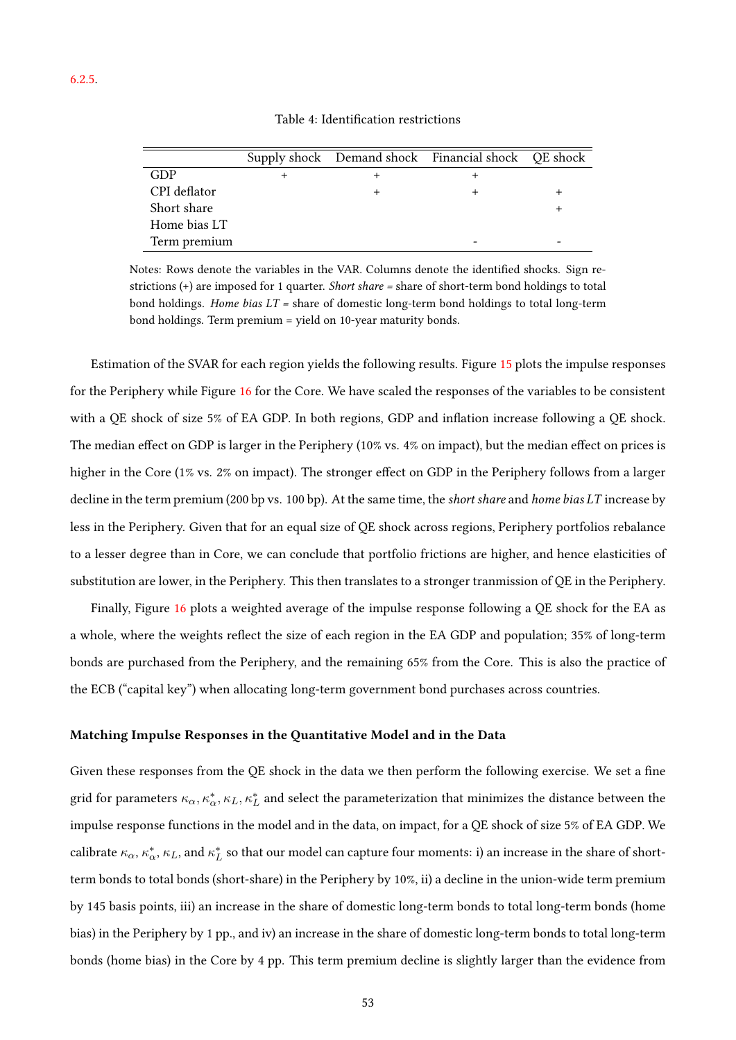<span id="page-52-0"></span>

|              |  | Supply shock Demand shock Financial shock QE shock |  |
|--------------|--|----------------------------------------------------|--|
| GDP          |  |                                                    |  |
| CPI deflator |  |                                                    |  |
| Short share  |  |                                                    |  |
| Home bias LT |  |                                                    |  |
| Term premium |  |                                                    |  |

Notes: Rows denote the variables in the VAR. Columns denote the identified shocks. Sign restrictions (+) are imposed for 1 quarter. Short share = share of short-term bond holdings to total bond holdings. Home bias  $LT$  = share of domestic long-term bond holdings to total long-term bond holdings. Term premium = yield on 10-year maturity bonds.

Estimation of the SVAR for each region yields the following results. Figure [15](#page-53-0) plots the impulse responses for the Periphery while Figure [16](#page-53-1) for the Core. We have scaled the responses of the variables to be consistent with a QE shock of size 5% of EA GDP. In both regions, GDP and inflation increase following a QE shock. The median effect on GDP is larger in the Periphery (10% vs. 4% on impact), but the median effect on prices is higher in the Core (1% vs. 2% on impact). The stronger effect on GDP in the Periphery follows from a larger decline in the term premium (200 bp vs. 100 bp). At the same time, the short share and home bias LT increase by less in the Periphery. Given that for an equal size of QE shock across regions, Periphery portfolios rebalance to a lesser degree than in Core, we can conclude that portfolio frictions are higher, and hence elasticities of substitution are lower, in the Periphery. This then translates to a stronger tranmission of QE in the Periphery.

Finally, Figure [16](#page-53-1) plots a weighted average of the impulse response following a QE shock for the EA as a whole, where the weights reflect the size of each region in the EA GDP and population; 35% of long-term bonds are purchased from the Periphery, and the remaining 65% from the Core. This is also the practice of the ECB ("capital key") when allocating long-term government bond purchases across countries.

#### Matching Impulse Responses in the Quantitative Model and in the Data

Given these responses from the QE shock in the data we then perform the following exercise. We set a fine grid for parameters  $\kappa_\alpha,\kappa^*_\alpha,\kappa_L,\kappa^*_L$  and select the parameterization that minimizes the distance between the impulse response functions in the model and in the data, on impact, for a QE shock of size 5% of EA GDP. We calibrate  $\kappa_\alpha,\kappa^*_\alpha,\kappa_L$ , and  $\kappa^*_L$  so that our model can capture four moments: i) an increase in the share of shortterm bonds to total bonds (short-share) in the Periphery by 10%, ii) a decline in the union-wide term premium by 145 basis points, iii) an increase in the share of domestic long-term bonds to total long-term bonds (home bias) in the Periphery by 1 pp., and iv) an increase in the share of domestic long-term bonds to total long-term bonds (home bias) in the Core by 4 pp. This term premium decline is slightly larger than the evidence from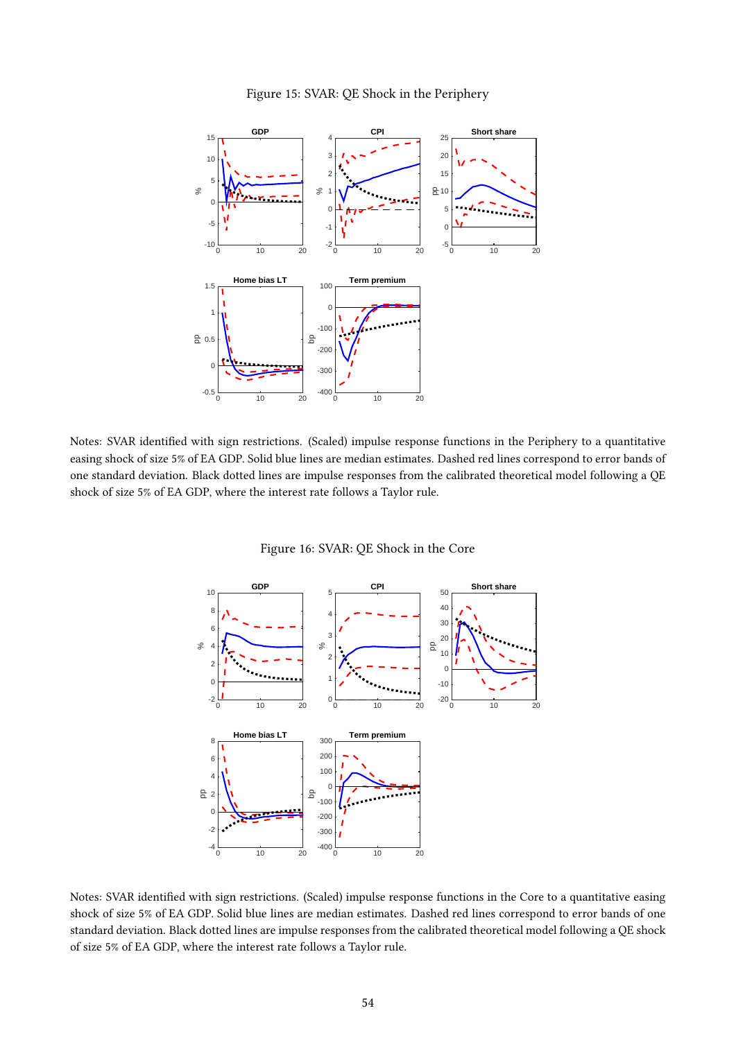

<span id="page-53-0"></span>

<span id="page-53-1"></span>Notes: SVAR identied with sign restrictions. (Scaled) impulse response functions in the Periphery to a quantitative easing shock of size 5% of EA GDP. Solid blue lines are median estimates. Dashed red lines correspond to error bands of one standard deviation. Black dotted lines are impulse responses from the calibrated theoretical model following a QE shock of size 5% of EA GDP, where the interest rate follows a Taylor rule.

Figure 16: SVAR: QE Shock in the Core



Notes: SVAR identified with sign restrictions. (Scaled) impulse response functions in the Core to a quantitative easing shock of size 5% of EA GDP. Solid blue lines are median estimates. Dashed red lines correspond to error bands of one standard deviation. Black dotted lines are impulse responses from the calibrated theoretical model following a QE shock of size 5% of EA GDP, where the interest rate follows a Taylor rule.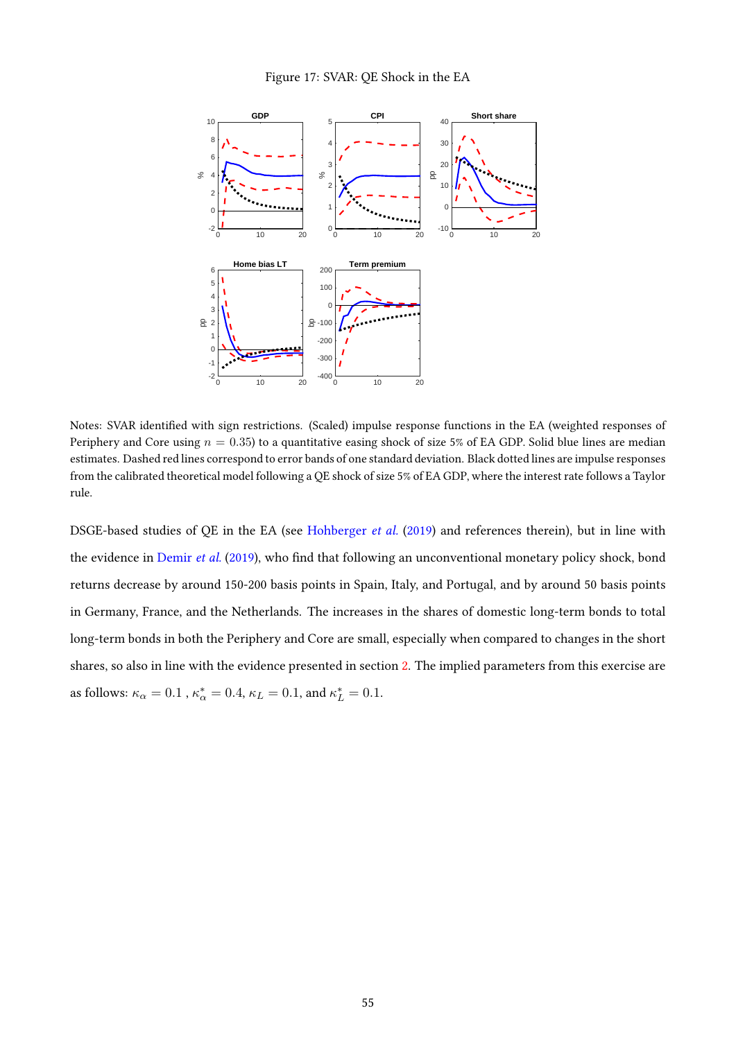#### Figure 17: SVAR: QE Shock in the EA



Notes: SVAR identied with sign restrictions. (Scaled) impulse response functions in the EA (weighted responses of Periphery and Core using  $n = 0.35$ ) to a quantitative easing shock of size 5% of EA GDP. Solid blue lines are median estimates. Dashed red lines correspond to error bands of one standard deviation. Black dotted lines are impulse responses from the calibrated theoretical model following a QE shock of size 5% of EA GDP, where the interest rate follows a Taylor rule.

DSGE-based studies of QE in the EA (see [Hohberger](#page-47-0) et al. [\(2019\)](#page-47-0) and references therein), but in line with the evidence in [Demir](#page-46-2) et al. [\(2019\)](#page-46-2), who find that following an unconventional monetary policy shock, bond returns decrease by around 150-200 basis points in Spain, Italy, and Portugal, and by around 50 basis points in Germany, France, and the Netherlands. The increases in the shares of domestic long-term bonds to total long-term bonds in both the Periphery and Core are small, especially when compared to changes in the short shares, so also in line with the evidence presented in section [2.](#page-5-0) The implied parameters from this exercise are as follows:  $\kappa_{\alpha} = 0.1$  ,  $\kappa_{\alpha}^{*} = 0.4$ ,  $\kappa_{L} = 0.1$ , and  $\kappa_{L}^{*} = 0.1$ .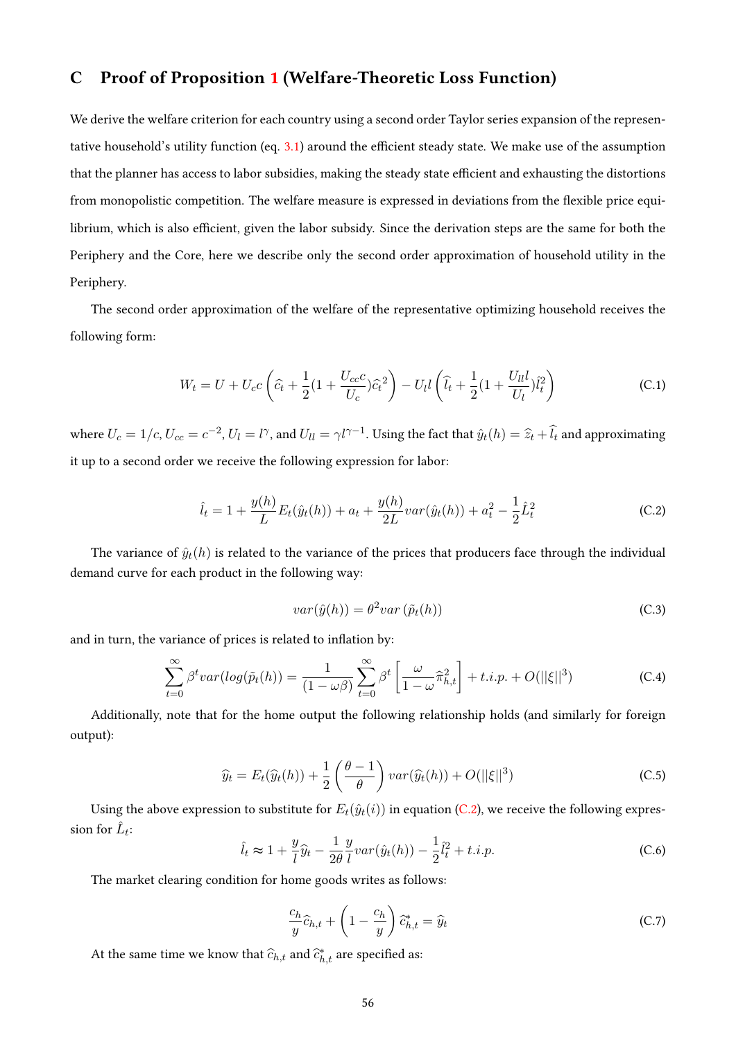## C Proof of Proposition [1](#page-17-0) (Welfare-Theoretic Loss Function)

We derive the welfare criterion for each country using a second order Taylor series expansion of the represen-tative household's utility function (eq. [3.1\)](#page-7-0) around the efficient steady state. We make use of the assumption that the planner has access to labor subsidies, making the steady state efficient and exhausting the distortions from monopolistic competition. The welfare measure is expressed in deviations from the flexible price equilibrium, which is also efficient, given the labor subsidy. Since the derivation steps are the same for both the Periphery and the Core, here we describe only the second order approximation of household utility in the Periphery.

The second order approximation of the welfare of the representative optimizing household receives the following form:

$$
W_t = U + U_c c \left(\hat{c}_t + \frac{1}{2} (1 + \frac{U_{cc}c}{U_c})\hat{c}_t^2\right) - U_l l \left(\hat{l}_t + \frac{1}{2} (1 + \frac{U_{ll}l}{U_l})\hat{l}_t^2\right)
$$
 (C.1)

where  $U_c = 1/c$ ,  $U_{cc} = c^{-2}$ ,  $U_l = l^{\gamma}$ , and  $U_{ll} = \gamma l^{\gamma-1}$ . Using the fact that  $\hat{y}_t(h) = \hat{z}_t + \hat{l}_t$  and approximating it up to a second order we receive the following expression for labor:

<span id="page-55-0"></span>
$$
\hat{l}_t = 1 + \frac{y(h)}{L} E_t(\hat{y}_t(h)) + a_t + \frac{y(h)}{2L} var(\hat{y}_t(h)) + a_t^2 - \frac{1}{2} \hat{L}_t^2
$$
\n(C.2)

The variance of  $\hat{y}_t(h)$  is related to the variance of the prices that producers face through the individual demand curve for each product in the following way:

<span id="page-55-4"></span><span id="page-55-3"></span>
$$
var(\hat{y}(h)) = \theta^2 var(\tilde{p}_t(h))
$$
\n(C.3)

and in turn, the variance of prices is related to inflation by:

<span id="page-55-5"></span>
$$
\sum_{t=0}^{\infty} \beta^t var(log(\tilde{p}_t(h)) = \frac{1}{(1 - \omega \beta)} \sum_{t=0}^{\infty} \beta^t \left[ \frac{\omega}{1 - \omega} \hat{\pi}_{h,t}^2 \right] + t.i.p. + O(||\xi||^3)
$$
 (C.4)

Additionally, note that for the home output the following relationship holds (and similarly for foreign output):

<span id="page-55-1"></span>
$$
\widehat{y}_t = E_t(\widehat{y}_t(h)) + \frac{1}{2} \left( \frac{\theta - 1}{\theta} \right) var(\widehat{y}_t(h)) + O(||\xi||^3)
$$
\n(C.5)

Using the above expression to substitute for  $E_t(\hat{y}_t(i))$  in equation [\(C.2\)](#page-55-0), we receive the following expression for  $\hat{L}_t$ :

<span id="page-55-2"></span>
$$
\hat{l}_t \approx 1 + \frac{y}{l}\hat{y}_t - \frac{1}{2\theta} \frac{y}{l} var(\hat{y}_t(h)) - \frac{1}{2}\hat{l}_t^2 + t.i.p.
$$
 (C.6)

The market clearing condition for home goods writes as follows:

$$
\frac{c_h}{y}\widehat{c}_{h,t} + \left(1 - \frac{c_h}{y}\right)\widehat{c}_{h,t}^* = \widehat{y}_t
$$
\n(C.7)

At the same time we know that  $\widehat{c}_{h,t}$  and  $\widehat{c}_{h,t}^*$  are specified as: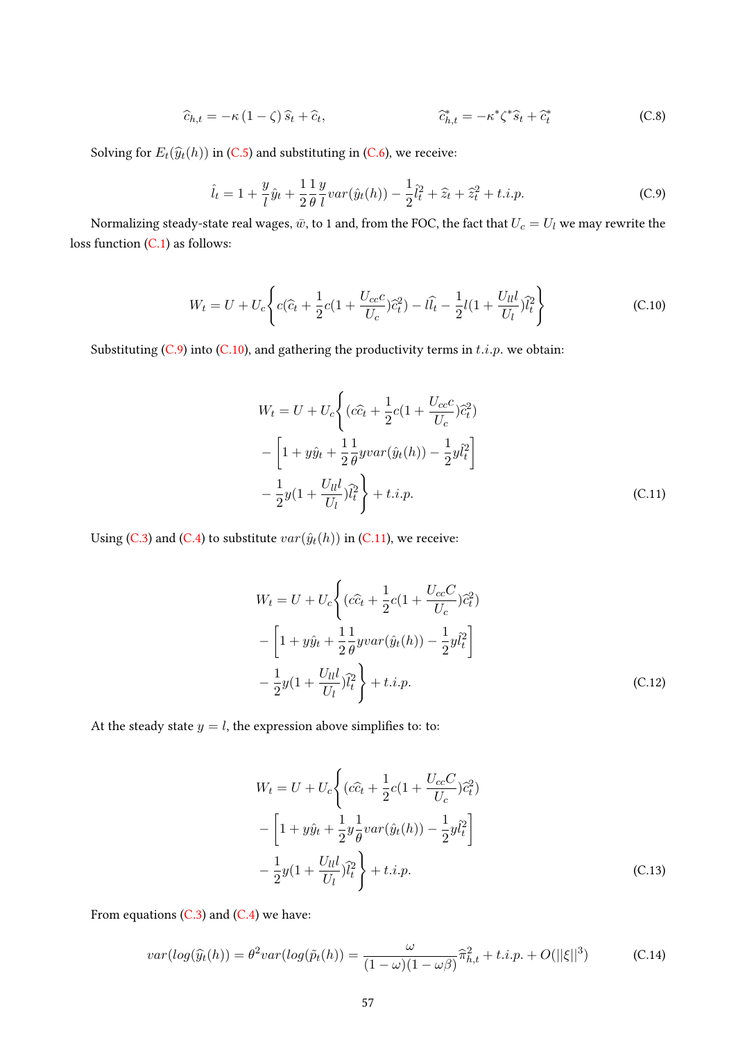$$
\widehat{c}_{h,t} = -\kappa (1 - \zeta) \widehat{s}_t + \widehat{c}_t, \qquad \qquad \widehat{c}_{h,t}^* = -\kappa^* \zeta^* \widehat{s}_t + \widehat{c}_t^* \qquad (C.8)
$$

Solving for  $E_t(\widehat{y}_t(h))$  in [\(C.5\)](#page-55-1) and substituting in [\(C.6\)](#page-55-2), we receive:

<span id="page-56-0"></span>
$$
\hat{l}_t = 1 + \frac{y}{l}\hat{y}_t + \frac{1}{2}\frac{1}{\theta}\frac{y}{l}var(\hat{y}_t(h)) - \frac{1}{2}\hat{l}_t^2 + \hat{z}_t + \hat{z}_t^2 + t.i.p.
$$
 (C.9)

Normalizing steady-state real wages,  $\bar{w}$ , to 1 and, from the FOC, the fact that  $U_c = U_l$  we may rewrite the loss function [\(C.1\)](#page-55-3) as follows:

$$
W_t = U + U_c \left\{ c(\hat{c}_t + \frac{1}{2}c(1 + \frac{U_{cc}c}{U_c})\hat{c}_t^2) - l\hat{l}_t - \frac{1}{2}l(1 + \frac{U_{ll}l}{U_l})\hat{l}_t^2 \right\}
$$
(C.10)

Substituting [\(C.9\)](#page-56-0) into [\(C.10\)](#page-56-1), and gathering the productivity terms in  $t.i.p.$  we obtain:

<span id="page-56-2"></span><span id="page-56-1"></span>
$$
W_t = U + U_c \left\{ (c\hat{c}_t + \frac{1}{2}c(1 + \frac{U_{cc}c}{U_c})\hat{c}_t^2) - \left[1 + y\hat{y}_t + \frac{1}{2}\frac{1}{\theta}yvar(\hat{y}_t(h)) - \frac{1}{2}y\hat{l}_t^2\right] - \frac{1}{2}y(1 + \frac{U_{ll}l}{U_l})\hat{l}_t^2 \right\} + t.i.p.
$$
\n(C.11)

Using [\(C.3\)](#page-55-4) and [\(C.4\)](#page-55-5) to substitute  $var(\hat{y}_t(h))$  in [\(C.11\)](#page-56-2), we receive:

$$
W_t = U + U_c \left\{ (c\hat{c}_t + \frac{1}{2}c(1 + \frac{U_{cc}C}{U_c})\hat{c}_t^2) - \left[1 + y\hat{y}_t + \frac{1}{2}\frac{1}{\theta}yvar(\hat{y}_t(h)) - \frac{1}{2}y\hat{l}_t^2\right] - \frac{1}{2}y(1 + \frac{U_{ll}}{U_l})\hat{l}_t^2 \right\} + t.i.p.
$$
\n(C.12)

At the steady state  $y = l$ , the expression above simplifies to: to:

<span id="page-56-4"></span>
$$
W_t = U + U_c \left\{ (c\hat{c}_t + \frac{1}{2}c(1 + \frac{U_{cc}C}{U_c})\hat{c}_t^2) - \left[1 + y\hat{y}_t + \frac{1}{2}y\frac{1}{\theta}var(\hat{y}_t(h)) - \frac{1}{2}y\hat{l}_t^2\right] - \frac{1}{2}y(1 + \frac{U_{ll}l}{U_l})\hat{l}_t^2 \right\} + t.i.p.
$$
\n(C.13)

From equations  $(C.3)$  and  $(C.4)$  we have:

<span id="page-56-3"></span>
$$
var(log(\widehat{y}_t(h)) = \theta^2 var(log(\widetilde{p}_t(h)) = \frac{\omega}{(1-\omega)(1-\omega\beta)} \widehat{\pi}_{h,t}^2 + t.i.p. + O(||\xi||^3)
$$
 (C.14)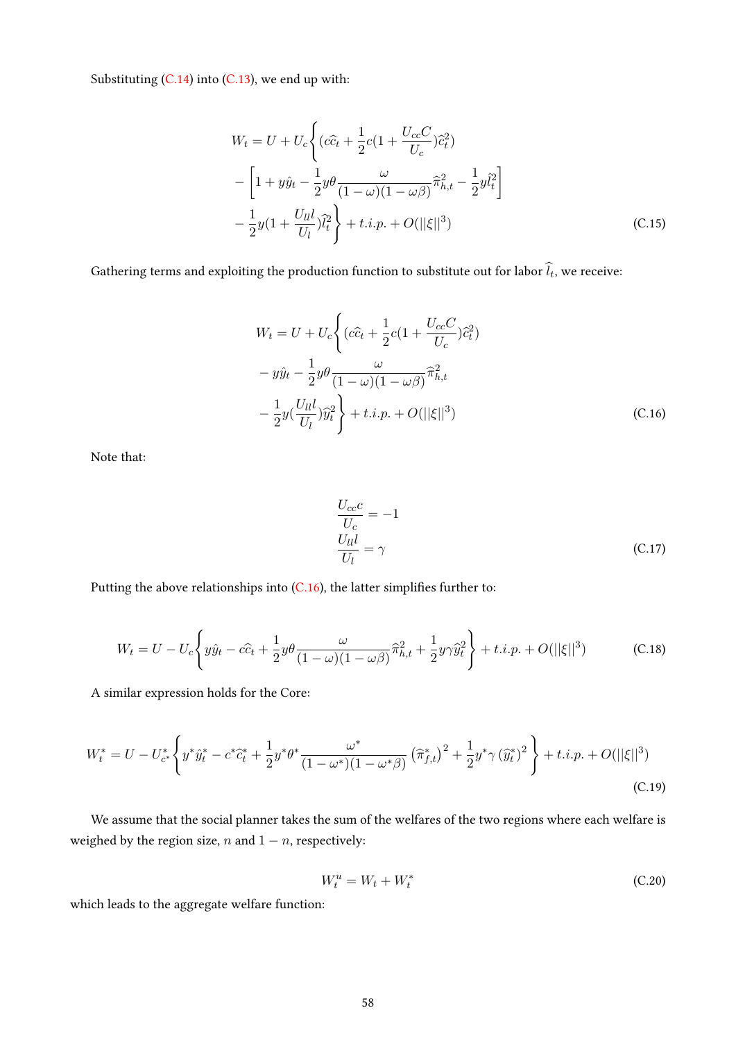Substituting  $(C.14)$  into  $(C.13)$ , we end up with:

$$
W_t = U + U_c \left\{ (c\hat{c}_t + \frac{1}{2}c(1 + \frac{U_{cc}C}{U_c})\hat{c}_t^2) - \left[1 + y\hat{y}_t - \frac{1}{2}y\theta \frac{\omega}{(1 - \omega)(1 - \omega\beta)}\hat{\pi}_{h,t}^2 - \frac{1}{2}y\hat{l}_t^2 \right] - \frac{1}{2}y(1 + \frac{U_{ll}l}{U_l})\hat{l}_t^2 \right\} + t.i.p. + O(||\xi||^3)
$$
\n(C.15)

Gathering terms and exploiting the production function to substitute out for labor  $l_t$ , we receive:

$$
W_t = U + U_c \left\{ (c\hat{c}_t + \frac{1}{2}c(1 + \frac{U_{cc}C}{U_c})\hat{c}_t^2) - y\hat{y}_t - \frac{1}{2}y\theta \frac{\omega}{(1 - \omega)(1 - \omega\beta)}\hat{\pi}_{h,t}^2 - \frac{1}{2}y(\frac{U_{ll}l}{U_l})\hat{y}_t^2 \right\} + t.i.p. + O(||\xi||^3)
$$
\n(C.16)

Note that:

<span id="page-57-0"></span>
$$
\frac{U_{cc}c}{U_c} = -1
$$
  
\n
$$
\frac{U_{ll}l}{U_l} = \gamma
$$
 (C.17)

Putting the above relationships into  $(C.16)$ , the latter simplifies further to:

$$
W_t = U - U_c \left\{ y\hat{y}_t - c\hat{c}_t + \frac{1}{2}y\theta \frac{\omega}{(1 - \omega)(1 - \omega\beta)} \hat{\pi}_{h,t}^2 + \frac{1}{2}y\gamma \hat{y}_t^2 \right\} + t.i.p. + O(||\xi||^3)
$$
 (C.18)

A similar expression holds for the Core:

$$
W_t^* = U - U_{c^*}^* \left\{ y^* \hat{y}_t^* - c^* \hat{c}_t^* + \frac{1}{2} y^* \theta^* \frac{\omega^*}{(1 - \omega^*) (1 - \omega^*)} \left( \hat{\pi}_{f,t}^* \right)^2 + \frac{1}{2} y^* \gamma \left( \hat{y}_t^* \right)^2 \right\} + t.i.p. + O(||\xi||^3)
$$
\n(C.19)

We assume that the social planner takes the sum of the welfares of the two regions where each welfare is weighed by the region size,  $n$  and  $1 - n$ , respectively:

$$
W_t^u = W_t + W_t^* \tag{C.20}
$$

which leads to the aggregate welfare function: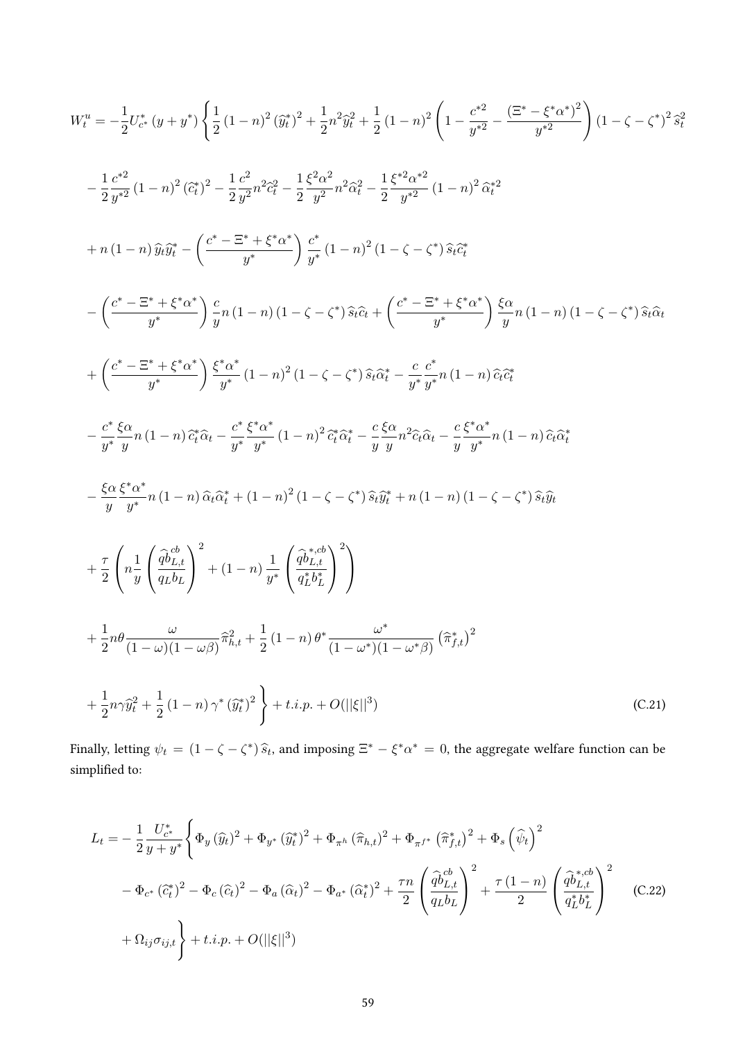$$
W_{t}^{u} = -\frac{1}{2}U_{c^{+}}^{*}(y+y^{*})\left\{\frac{1}{2}(1-n)^{2}(\hat{y}_{t}^{*})^{2} + \frac{1}{2}n^{2}\hat{y}_{t}^{2} + \frac{1}{2}(1-n)^{2}\left(1-\frac{c^{*2}}{y^{*2}}-\frac{(\Xi^{*}-\xi^{*}\alpha^{*})^{2}}{y^{*2}}\right)(1-\zeta-\zeta^{*})^{2}\hat{s}_{t}^{2}
$$
  

$$
-\frac{1}{2}\frac{c^{*2}}{y^{*2}}(1-n)^{2}(\hat{c}_{t}^{*})^{2} - \frac{1}{2}\frac{c^{2}}{y^{2}}n^{2}\hat{c}_{t}^{2} - \frac{1}{2}\frac{\xi^{2}\alpha^{2}}{y^{2}}n^{2}\hat{c}_{t}^{2} - \frac{1}{2}\frac{\xi^{*2}\alpha^{*2}}{y^{*2}}(1-n)^{2}\hat{\alpha}_{t}^{*2}
$$
  

$$
+n(1-n)\hat{y}_{t}\hat{y}_{t}^{*} - \left(\frac{c^{*}-\Xi^{*}+\xi^{*}\alpha^{*}}{y^{*}}\right)\frac{c^{*}}{y^{*}}(1-n)^{2}(1-\zeta-\zeta^{*})\hat{s}_{t}\hat{c}_{t}^{*}
$$
  

$$
-\left(\frac{c^{*}-\Xi^{*}+\xi^{*}\alpha^{*}}{y^{*}}\right)\frac{c}{y}n(1-n)(1-\zeta-\zeta^{*})\hat{s}_{t}\hat{c}_{t} + \left(\frac{c^{*}-\Xi^{*}+\xi^{*}\alpha^{*}}{y^{*}}\right)\frac{\xi\alpha}{y}n(1-n)(1-\zeta-\zeta^{*})\hat{s}_{t}\hat{\alpha}_{t}
$$
  

$$
+\left(\frac{c^{*}-\Xi^{*}+\xi^{*}\alpha^{*}}{y^{*}}\right)\frac{\xi^{*}\alpha^{*}}{y^{*}}(1-n)^{2}(1-\zeta-\zeta^{*})\hat{s}_{t}\hat{\alpha}_{t}^{*} - \frac{c}{y^{*}}\frac{c^{*}}{y^{*}}n(1-n)\hat{c}_{t}\hat{\alpha}_{t}^{*}
$$
  

$$
-\frac{c^{*}}{y^{*}}\frac{\xi\alpha}{y}n(1-n)\hat{c}_{t}^{*}\hat{\alpha}_{t} - \frac{c^{*}}{y^{*}}\
$$

Finally, letting  $\psi_t = (1 - \zeta - \zeta^*) \hat{s}_t$ , and imposing  $\Xi^* - \xi^* \alpha^* = 0$ , the aggregate welfare function can be simplified to:

$$
L_{t} = -\frac{1}{2} \frac{U_{c^{*}}^{*}}{y + y^{*}} \left\{ \Phi_{y} (\hat{y}_{t})^{2} + \Phi_{y^{*}} (\hat{y}_{t}^{*})^{2} + \Phi_{\pi^{h}} (\hat{\pi}_{h,t})^{2} + \Phi_{\pi^{f^{*}}} (\hat{\pi}_{f,t}^{*})^{2} + \Phi_{s} (\hat{\psi}_{t})^{2} \right.
$$
  

$$
- \Phi_{c^{*}} (\hat{c}_{t}^{*})^{2} - \Phi_{c} (\hat{c}_{t})^{2} - \Phi_{a} (\hat{\alpha}_{t})^{2} - \Phi_{a^{*}} (\hat{\alpha}_{t}^{*})^{2} + \frac{\tau n}{2} \left( \frac{\hat{q} \hat{b}_{L,t}^{cb}}{q_{L} b_{L}} \right)^{2} + \frac{\tau (1 - n)}{2} \left( \frac{\hat{q} \hat{b}_{L,t}^{*,cb}}{q_{L}^{*} b_{L}^{*}} \right)^{2}
$$
(C.22)  

$$
+ \Omega_{ij} \sigma_{ij,t} \right\} + t.i.p. + O(||\xi||^{3})
$$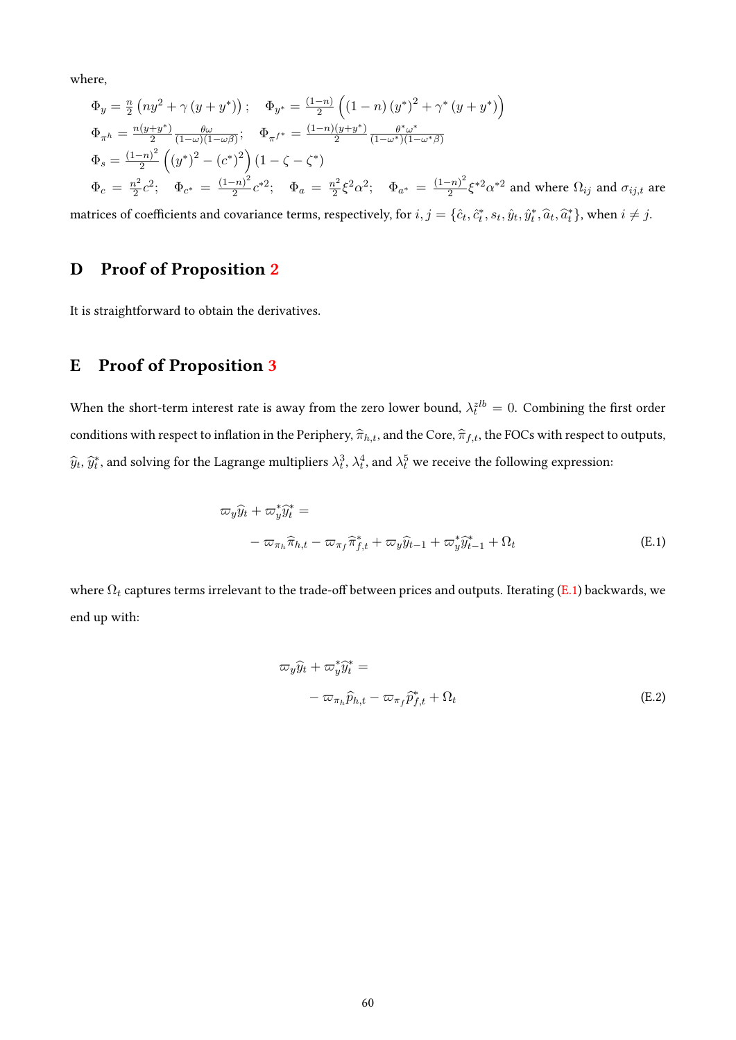where,

$$
\Phi_y = \frac{n}{2} \left( n y^2 + \gamma \left( y + y^* \right) \right); \quad \Phi_{y^*} = \frac{(1-n)}{2} \left( (1-n) \left( y^* \right)^2 + \gamma^* \left( y + y^* \right) \right)
$$
\n
$$
\Phi_{\pi^h} = \frac{n(y+y^*)}{2} \frac{\theta \omega}{(1-\omega)(1-\omega\beta)}; \quad \Phi_{\pi^{f^*}} = \frac{(1-n)(y+y^*)}{2} \frac{\theta^* \omega^*}{(1-\omega^*)(1-\omega^*\beta)}
$$
\n
$$
\Phi_s = \frac{(1-n)^2}{2} \left( \left( y^* \right)^2 - \left( c^* \right)^2 \right) \left( 1 - \zeta - \zeta^* \right)
$$
\n
$$
\Phi_c = \frac{n^2}{2} c^2; \quad \Phi_{c^*} = \frac{(1-n)^2}{2} c^{*2}; \quad \Phi_a = \frac{n^2}{2} \xi^2 \alpha^2; \quad \Phi_{a^*} = \frac{(1-n)^2}{2} \xi^{*2} \alpha^{*2} \text{ and where } \Omega_{ij} \text{ and } \sigma_{ij,t} \text{ are}
$$

matrices of coefficients and covariance terms, respectively, for  $i, j = \{\hat{c}_t, \hat{c}_t^*, s_t, \hat{y}_t, \hat{y}_t^*, \hat{a}_t, \hat{a}_t^*\}$ , when  $i \neq j$ .

# D Proof of Proposition [2](#page-20-0)

It is straightforward to obtain the derivatives.

## E Proof of Proposition [3](#page-22-0)

When the short-term interest rate is away from the zero lower bound,  $\lambda_t^{zlb} = 0$ . Combining the first order conditions with respect to inflation in the Periphery,  $\hat{\pi}_{h,t}$ , and the Core,  $\hat{\pi}_{f,t}$ , the FOCs with respect to outputs,  $\widehat{y}_t, \widehat{y}_t^*$ , and solving for the Lagrange multipliers  $\lambda_t^3, \lambda_t^4$ , and  $\lambda_t^5$  we receive the following expression:

$$
\varpi_y \hat{y}_t + \varpi_y^* \hat{y}_t^* =
$$
  

$$
- \varpi_{\pi_h} \hat{\pi}_{h,t} - \varpi_{\pi_f} \hat{\pi}_{f,t}^* + \varpi_y \hat{y}_{t-1} + \varpi_y^* \hat{y}_{t-1}^* + \Omega_t
$$
  
(E.1)

where  $\Omega_t$  captures terms irrelevant to the trade-off between prices and outputs. Iterating [\(E.1\)](#page-59-0) backwards, we end up with:

<span id="page-59-0"></span>
$$
\varpi_y \hat{y}_t + \varpi_y^* \hat{y}_t^* =
$$
  
- 
$$
\varpi_{\pi_h} \hat{p}_{h,t} - \varpi_{\pi_f} \hat{p}_{f,t}^* + \Omega_t
$$
 (E.2)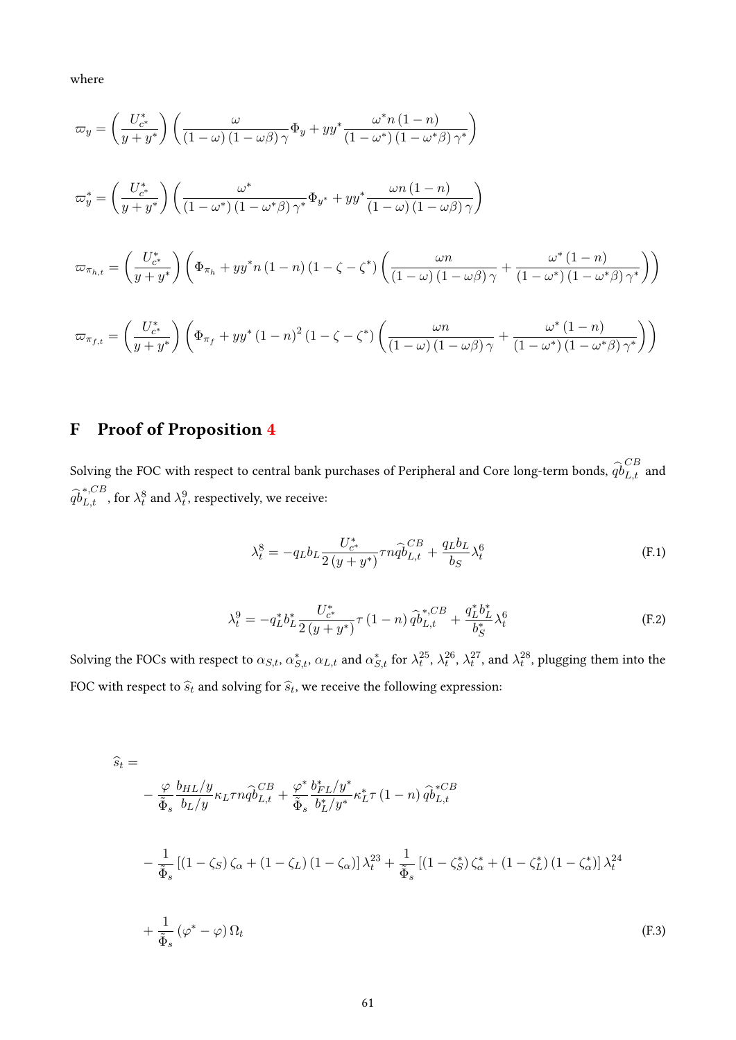where

$$
\varpi_y = \left(\frac{U_{c^*}^*}{y + y^*}\right) \left(\frac{\omega}{(1 - \omega)(1 - \omega\beta)\gamma}\Phi_y + yy^* \frac{\omega^* n (1 - n)}{(1 - \omega^*)(1 - \omega^*\beta)\gamma^*}\right)
$$
  

$$
\varpi_y^* = \left(\frac{U_{c^*}^*}{y + y^*}\right) \left(\frac{\omega^*}{(1 - \omega^*)(1 - \omega^*\beta)\gamma^*}\Phi_{y^*} + yy^* \frac{\omega n (1 - n)}{(1 - \omega)(1 - \omega\beta)\gamma}\right)
$$
  

$$
\varpi_{\pi_{h,t}} = \left(\frac{U_{c^*}^*}{y + y^*}\right) \left(\Phi_{\pi_h} + yy^* n (1 - n) (1 - \zeta - \zeta^*) \left(\frac{\omega n}{(1 - \omega)(1 - \omega\beta)\gamma} + \frac{\omega^* (1 - n)}{(1 - \omega^*)(1 - \omega^*\beta)\gamma^*}\right)\right)
$$
  

$$
\varpi_{\pi_{f,t}} = \left(\frac{U_{c^*}^*}{y + y^*}\right) \left(\Phi_{\pi_f} + yy^* (1 - n)^2 (1 - \zeta - \zeta^*) \left(\frac{\omega n}{(1 - \omega)(1 - \omega\beta)\gamma} + \frac{\omega^* (1 - n)}{(1 - \omega^*)(1 - \omega^*\beta)\gamma^*}\right)\right)
$$

# F Proof of Proposition [4](#page-22-1)

Solving the FOC with respect to central bank purchases of Peripheral and Core long-term bonds,  $\widehat{qb}_{L,t}^{CB}$  and  $\widehat{qb}^{*,CB}_{L,t}$ , for  $\lambda^8_t$  and  $\lambda^9_t$ , respectively, we receive:

$$
\lambda_t^8 = -q_L b_L \frac{U_{c^*}^*}{2(y + y^*)} \tau n \hat{q} \hat{b}_{L,t}^{CB} + \frac{q_L b_L}{b_S} \lambda_t^6
$$
 (F.1)

<span id="page-60-0"></span>
$$
\lambda_t^9 = -q_L^* b_L^* \frac{U_{c^*}^*}{2(y+y^*)} \tau (1-n) \hat{q} b_{L,t}^{*,CB} + \frac{q_L^* b_L^*}{b_S^*} \lambda_t^6
$$
 (F.2)

Solving the FOCs with respect to  $\alpha_{S,t},$   $\alpha_{S,t}^*$ ,  $\alpha_{L,t}$  and  $\alpha_{S,t}^*$  for  $\lambda_t^{25}$ ,  $\lambda_t^{26}$ ,  $\lambda_t^{27}$ , and  $\lambda_t^{28}$ , plugging them into the FOC with respect to  $\widehat{s}_t$  and solving for  $\widehat{s}_t$ , we receive the following expression:

$$
\hat{s}_t = -\frac{\varphi}{\tilde{\Phi}_s} \frac{b_{HL}/y}{b_L/y} \kappa_L \tau n \hat{q} \hat{b}_{L,t}^C + \frac{\varphi^*}{\tilde{\Phi}_s} \frac{b_{FL}^*/y^*}{b_L^*/y^*} \kappa_L^* \tau (1 - n) \hat{q} \hat{b}_{L,t}^{*CB}
$$
\n
$$
-\frac{1}{\tilde{\Phi}_s} \left[ (1 - \zeta_S) \zeta_\alpha + (1 - \zeta_L) (1 - \zeta_\alpha) \right] \lambda_t^{23} + \frac{1}{\tilde{\Phi}_s} \left[ (1 - \zeta_S^*) \zeta_\alpha^* + (1 - \zeta_L^*) (1 - \zeta_\alpha^*) \right] \lambda_t^{24}
$$
\n
$$
+\frac{1}{\tilde{\Phi}_s} (\varphi^* - \varphi) \Omega_t \tag{F.3}
$$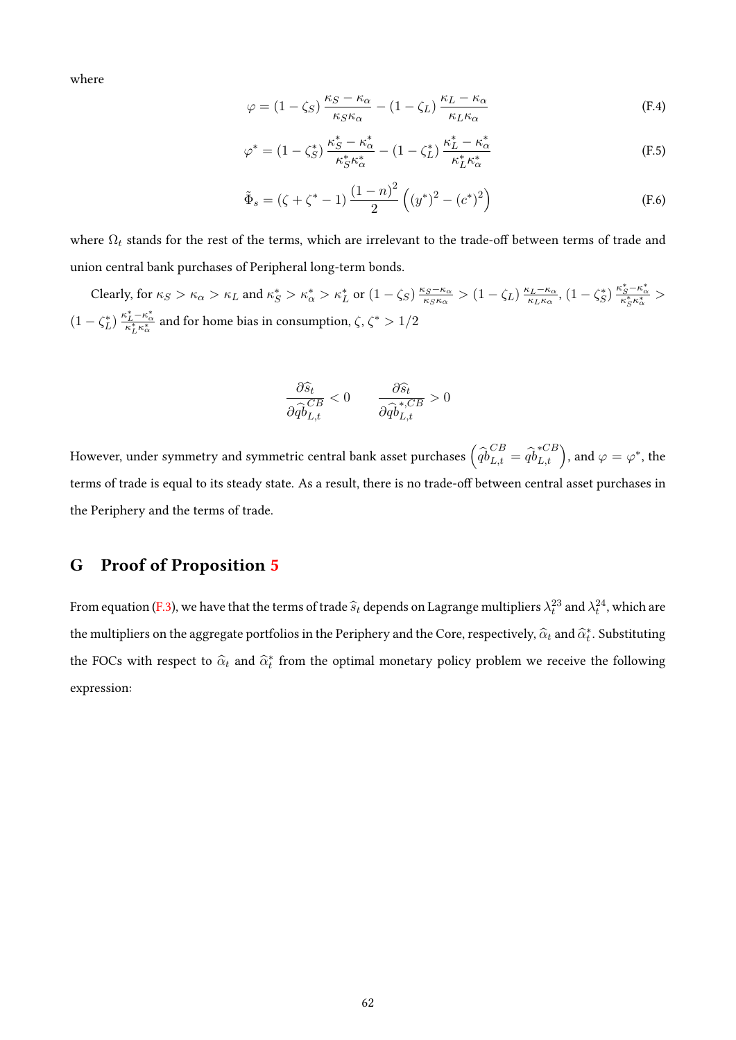where

$$
\varphi = (1 - \zeta_S) \frac{\kappa_S - \kappa_\alpha}{\kappa_S \kappa_\alpha} - (1 - \zeta_L) \frac{\kappa_L - \kappa_\alpha}{\kappa_L \kappa_\alpha} \tag{F.4}
$$

$$
\varphi^* = (1 - \zeta_S^*) \frac{\kappa_S^* - \kappa_\alpha^*}{\kappa_S^* \kappa_\alpha^*} - (1 - \zeta_L^*) \frac{\kappa_L^* - \kappa_\alpha^*}{\kappa_L^* \kappa_\alpha^*} \tag{F.5}
$$

$$
\tilde{\Phi}_s = (\zeta + \zeta^* - 1) \frac{(1-n)^2}{2} ((y^*)^2 - (c^*)^2)
$$
\n(F.6)

where  $\Omega_t$  stands for the rest of the terms, which are irrelevant to the trade-off between terms of trade and union central bank purchases of Peripheral long-term bonds.

Clearly, for  $\kappa_S > \kappa_\alpha > \kappa_L$  and  $\kappa_S^* > \kappa_\alpha^* > \kappa_L^*$  or  $(1 - \zeta_S) \frac{\kappa_S - \kappa_\alpha}{\kappa_S \kappa_\alpha}$  $\frac{\kappa_S - \kappa_\alpha}{\kappa_S \kappa_\alpha} > (1 - \zeta_L) \frac{\kappa_L - \kappa_\alpha}{\kappa_L \kappa_\alpha}$  $\frac{\kappa_L - \kappa_\alpha}{\kappa_L \kappa_\alpha}, (1 - \zeta_S^*) \frac{\kappa_S^* - \kappa_\alpha^*}{\kappa_S^* \kappa_\alpha^*} >$  $(1-\zeta_L^*)\, \frac{\kappa_L^*-\kappa_\alpha^*}{\kappa_L^* \kappa_\alpha^*}$  and for home bias in consumption,  $\zeta,\, \zeta^*>1/2$ 

$$
\frac{\partial \widehat{s}_t}{\partial \widehat{q}^{CB}_{L,t}} < 0 \qquad \frac{\partial \widehat{s}_t}{\partial \widehat{q}^{*,CB}_{L,t}} > 0
$$

However, under symmetry and symmetric central bank asset purchases  $\left(\widehat{qb}^{CB}_{L,t}=\widehat{qb}^{*CB}_{L,t}\right)$ , and  $\varphi=\varphi^*$ , the terms of trade is equal to its steady state. As a result, there is no trade-off between central asset purchases in the Periphery and the terms of trade.

## G Proof of Proposition [5](#page-23-0)

From equation [\(F.3\)](#page-60-0), we have that the terms of trade  $\widehat{s}_t$  depends on Lagrange multipliers  $\lambda_t^{23}$  and  $\lambda_t^{24}$ , which are the multipliers on the aggregate portfolios in the Periphery and the Core, respectively,  $\widehat{\alpha}_t$  and  $\widehat{\alpha}_t^*$ . Substituting the FOCs with respect to  $\hat{\alpha}_t$  and  $\hat{\alpha}_t^*$  from the optimal monetary policy problem we receive the following expression: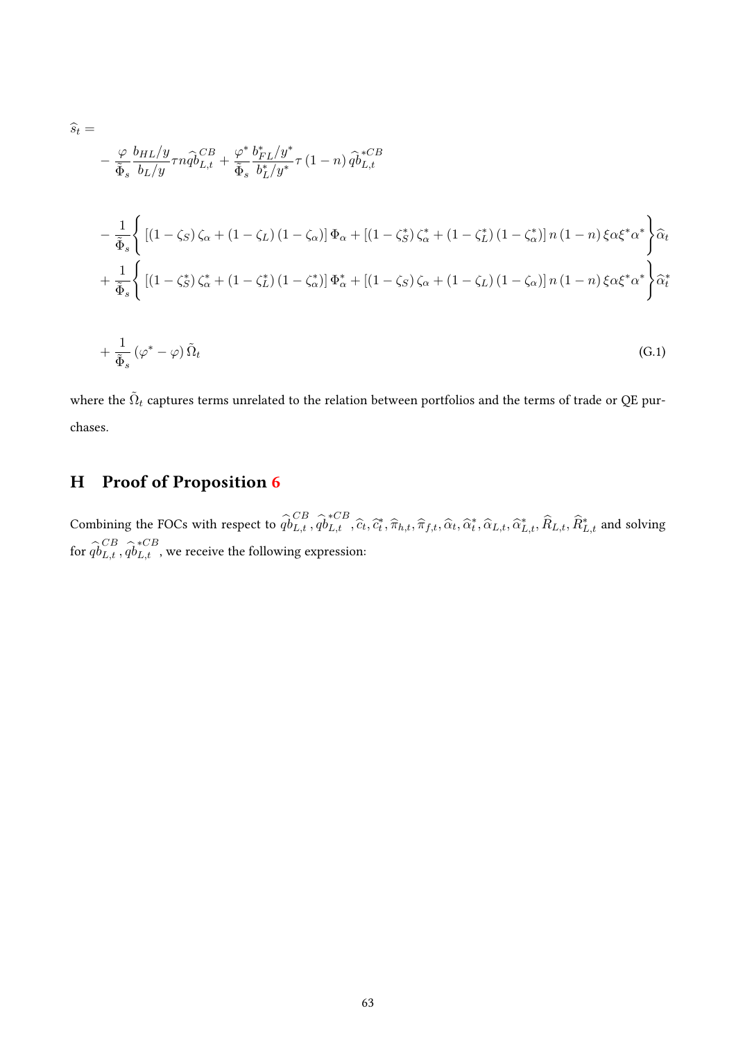$$
\hat{s}_t = -\frac{\varphi}{\tilde{\Phi}_s} \frac{b_{HL}/y}{b_L/y} \tau n \hat{q} \delta_{L,t}^{CB} + \frac{\varphi^*}{\tilde{\Phi}_s} \frac{b_{FL}^* / y^*}{b_L^* / y^*} \tau (1 - n) \hat{q} \delta_{L,t}^{*CB}
$$
\n
$$
-\frac{1}{\tilde{\Phi}_s} \left\{ \left[ (1 - \zeta_S) \zeta_\alpha + (1 - \zeta_L) (1 - \zeta_\alpha) \right] \Phi_\alpha + \left[ (1 - \zeta_S^*) \zeta_\alpha^* + (1 - \zeta_L^*) (1 - \zeta_\alpha^*) \right] n (1 - n) \xi \alpha \xi^* \alpha^* \right\} \hat{\alpha}_t
$$
\n
$$
+\frac{1}{\tilde{\Phi}_s} \left\{ \left[ (1 - \zeta_S^*) \zeta_\alpha^* + (1 - \zeta_L^*) (1 - \zeta_\alpha^*) \right] \Phi_\alpha^* + \left[ (1 - \zeta_S) \zeta_\alpha + (1 - \zeta_L) (1 - \zeta_\alpha) \right] n (1 - n) \xi \alpha \xi^* \alpha^* \right\} \hat{\alpha}_t^*
$$
\n
$$
+\frac{1}{\tilde{\Phi}_s} (\varphi^* - \varphi) \tilde{\Omega}_t \tag{G.1}
$$

where the  $\tilde{\Omega}_t$  captures terms unrelated to the relation between portfolios and the terms of trade or QE purchases.

# H Proof of Proposition [6](#page-24-0)

Combining the FOCs with respect to  $\hat{q}_{L,t}^{CB}$ ,  $\hat{q}_{L,t}^{*CB}$ ,  $\hat{c}_t$ ,  $\hat{\tau}_t$ ,  $\hat{\pi}_{h,t}$ ,  $\hat{\pi}_{f,t}$ ,  $\hat{\alpha}_t$ ,  $\hat{\alpha}_t^*$ ,  $\hat{\alpha}_{L,t}$ ,  $\hat{\alpha}_{L,t}^*$ ,  $\hat{R}_{L,t}$ ,  $\hat{R}_{L,t}^*$  and solving for  $\widehat{qb}^{CB}_{L,t}$  ,  $\widehat{qb}^{*CB}_{L,t}$  , we receive the following expression: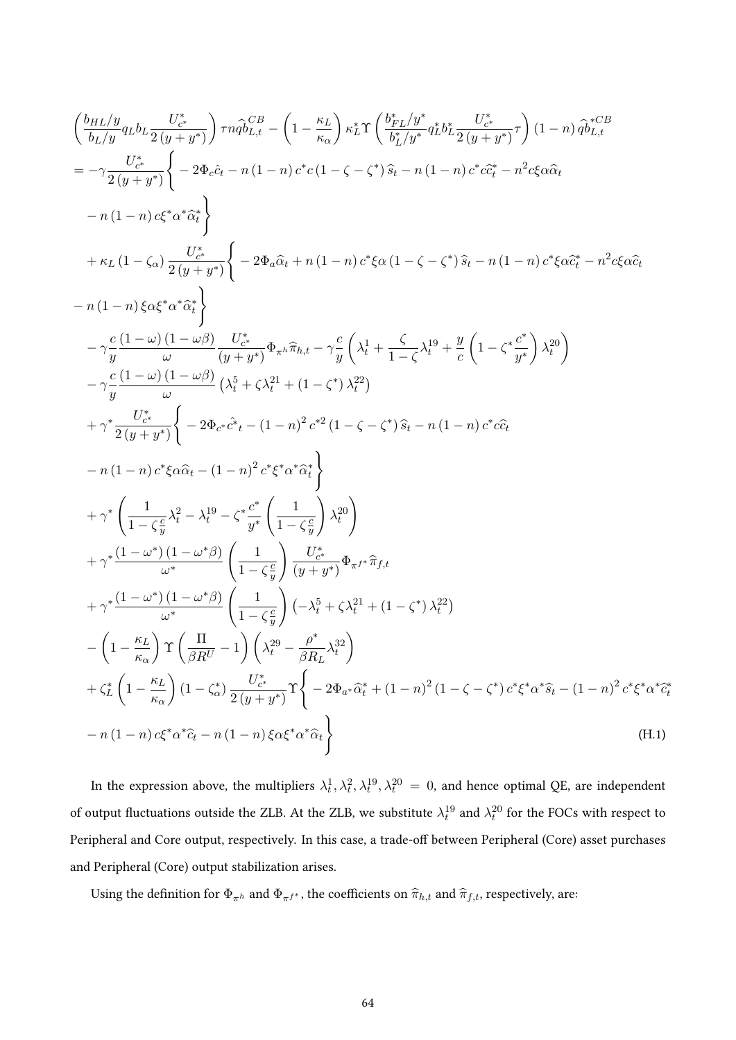$$
\left(\frac{b_{HL}/y}{b_{L}/y}q_{Lb}L\frac{U_{e^*}^*}{2(y+y^*)}\right)\pi\hat{q}\hat{b}_{L,t}^{CB} - \left(1 - \frac{\kappa_L}{\kappa_{\alpha}}\right)\kappa_L^* \Upsilon\left(\frac{b_{FL}/y^*}{b_{L}/y^*}q_{Lb}^*b_{L}^* \frac{U_{e^*}^*}{2(y+y^*)}\right)(1-n)\hat{q}\hat{b}_{L,t}^{CB}
$$
\n
$$
= -\gamma \frac{U_{e^*}^*}{2(y+y^*)}\left\{-2\Phi_{e}\hat{c}_{t} - n\left(1-n\right)c^*c\left(1-\zeta-\zeta^*\right)\hat{s}_{t} - n\left(1-n\right)c^*c\hat{c}_{t}^* - n^2c\xi\hat{\alpha}\hat{c}_{t}\right\}
$$
\n
$$
-n\left(1-n\right)c\xi^*\alpha^*\hat{\alpha}^*\right\}
$$
\n
$$
+ \kappa_L\left(1-\zeta_{\alpha}\right)\frac{U_{e^*}^*}{2(y+y^*)}\left\{-2\Phi_{a}\hat{\alpha}_{t}+n\left(1-n\right)c^*\xi\alpha\left(1-\zeta-\zeta^*\right)\hat{s}_{t} - n\left(1-n\right)c^*\xi\hat{\alpha}\hat{c}_{t}^* - n^2c\xi\hat{\alpha}\hat{c}_{t}\right\}
$$
\n
$$
-n\left(1-n\right)c\xi\alpha^*\hat{\alpha}^*\hat{\alpha}^*\right\}
$$
\n
$$
-\gamma\frac{c}{y}\frac{\left(1-\omega\right)\left(1-\omega\beta\right)}{\omega}\frac{U_{e^*}^*}{(y+y^*)}\Phi_{\pi^k}\hat{\pi}_{h,t} - \gamma\frac{c}{y}\left(\lambda_t^1 + \frac{\zeta}{1-\zeta}\lambda_t^{19} + \frac{y}{c}\left(1-\zeta^*\frac{c^*}{y^*}\right)\lambda_t^{20}\right)}{-\gamma\frac{c}{y}\frac{\left(1-\omega\right)\left(1-\omega\beta\right)}{\omega}\left(\lambda_t^5 + \zeta\lambda_t^{21} + \left(1-\zeta^*)\lambda_t^{22}\right)}
$$
\n
$$
+ \gamma^*\frac{U_{e^*}^*}{2(y+y^*)}\left\{-2\Phi_{e^*}\hat{c}^*t - \left
$$

In the expression above, the multipliers  $\lambda_t^1, \lambda_t^2, \lambda_t^{19}, \lambda_t^{20} = 0$ , and hence optimal QE, are independent of output fluctuations outside the ZLB. At the ZLB, we substitute  $\lambda_t^{19}$  and  $\lambda_t^{20}$  for the FOCs with respect to Peripheral and Core output, respectively. In this case, a trade-off between Peripheral (Core) asset purchases and Peripheral (Core) output stabilization arises.

Using the definition for  $\Phi_{\pi^h}$  and  $\Phi_{\pi^{f^*}}$ , the coefficients on  $\widehat \pi_{h,t}$  and  $\widehat \pi_{f,t},$  respectively, are: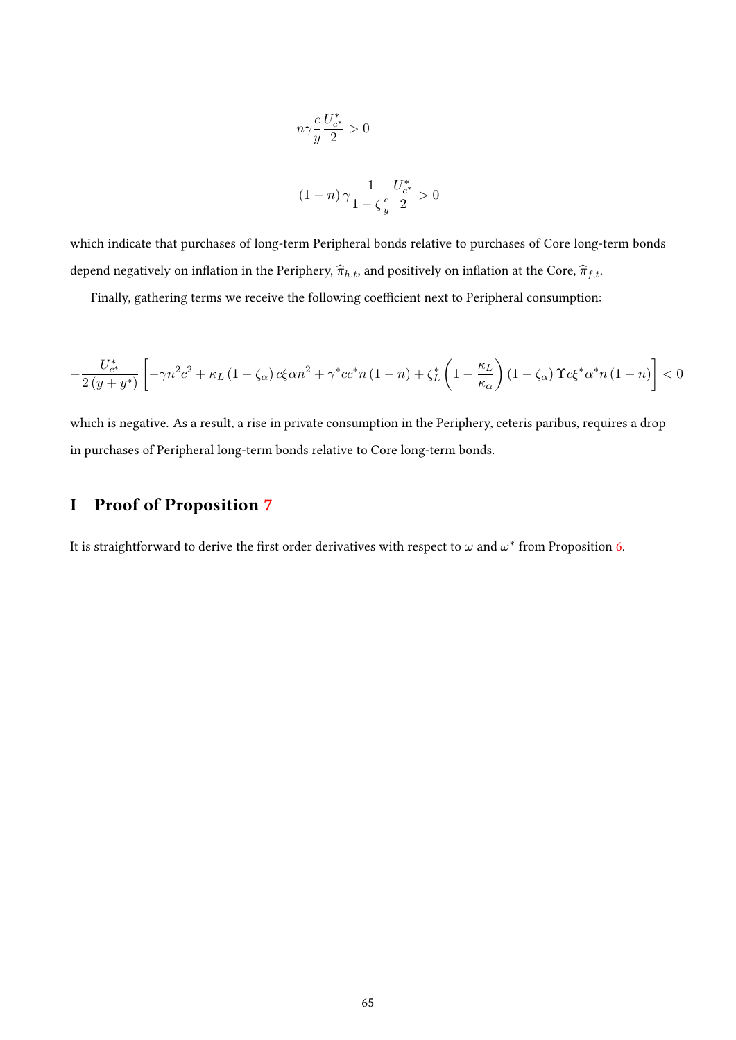$$
n\gamma \frac{c}{y} \frac{U_{c^*}^*}{2} > 0
$$
  

$$
(1-n)\gamma \frac{1}{1-\zeta \frac{c}{y}} \frac{U_{c^*}^*}{2} > 0
$$

which indicate that purchases of long-term Peripheral bonds relative to purchases of Core long-term bonds depend negatively on inflation in the Periphery,  $\hat{\pi}_{h,t}$ , and positively on inflation at the Core,  $\hat{\pi}_{f,t}$ .

Finally, gathering terms we receive the following coefficient next to Peripheral consumption:

$$
-\frac{U_{c^*}^*}{2\left(y+y^*\right)}\left[-\gamma n^2c^2+\kappa_L\left(1-\zeta_\alpha\right)c\xi\alpha n^2+\gamma^*cc^*n\left(1-n\right)+\zeta_L^*\left(1-\frac{\kappa_L}{\kappa_\alpha}\right)\left(1-\zeta_\alpha\right)\Upsilon c\xi^*\alpha^*n\left(1-n\right)\right]<0
$$

which is negative. As a result, a rise in private consumption in the Periphery, ceteris paribus, requires a drop in purchases of Peripheral long-term bonds relative to Core long-term bonds.

## I Proof of Proposition [7](#page-24-1)

It is straightforward to derive the first order derivatives with respect to  $\omega$  and  $\omega^*$  from Proposition [6.](#page-24-0)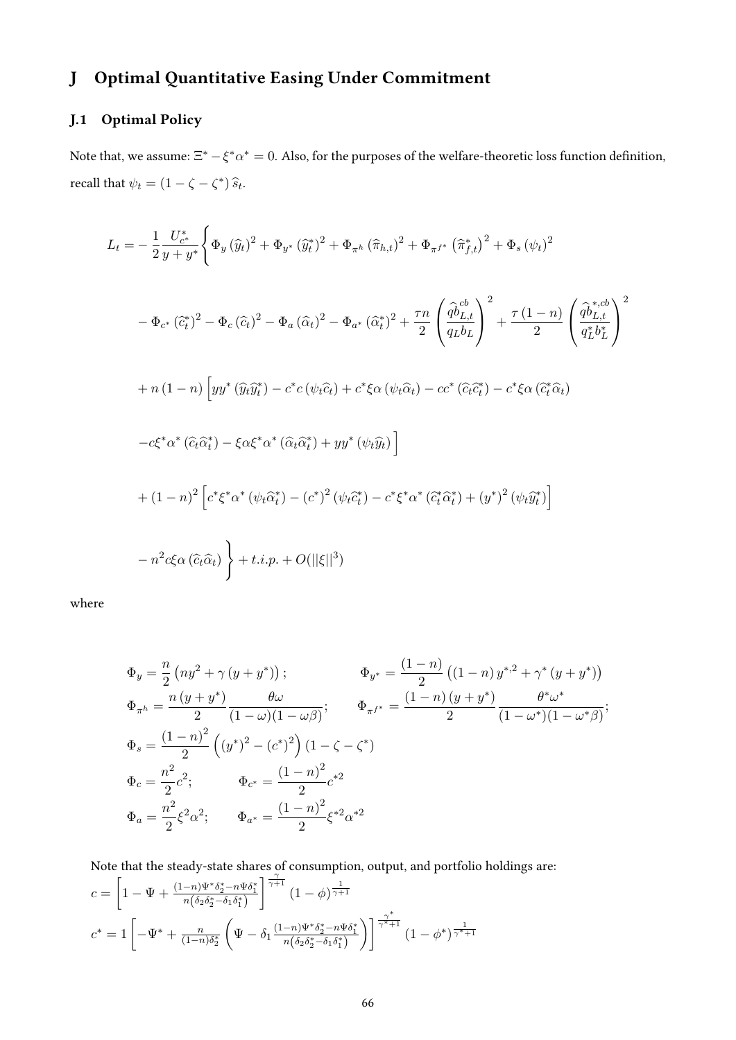# J Optimal Quantitative Easing Under Commitment

# J.1 Optimal Policy

Note that, we assume:  $\Xi^*-\xi^*\alpha^*=0$ . Also, for the purposes of the welfare-theoretic loss function definition, recall that  $\psi_t = (1 - \zeta - \zeta^*) \hat{s}_t$ .

$$
L_{t} = -\frac{1}{2} \frac{U_{c^{*}}^{*}}{y + y^{*}} \left\{ \Phi_{y} \left( \hat{y}_{t} \right)^{2} + \Phi_{y^{*}} \left( \hat{y}_{t}^{*} \right)^{2} + \Phi_{\pi^{h}} \left( \hat{\pi}_{h,t} \right)^{2} + \Phi_{\pi^{f^{*}}} \left( \hat{\pi}_{f,t}^{*} \right)^{2} + \Phi_{s} \left( \psi_{t} \right)^{2} \right.
$$
  
\n
$$
- \Phi_{c^{*}} \left( \hat{c}_{t}^{*} \right)^{2} - \Phi_{c} \left( \hat{c}_{t} \right)^{2} - \Phi_{a} \left( \hat{\alpha}_{t} \right)^{2} - \Phi_{a^{*}} \left( \hat{\alpha}_{t}^{*} \right)^{2} + \frac{\tau n}{2} \left( \frac{\hat{q} \hat{b}_{L,t}^{cb}}{q_{L} b_{L}} \right)^{2} + \frac{\tau (1 - n)}{2} \left( \frac{\hat{q} \hat{b}_{L,t}^{*,cb}}{q_{L}^{*} b_{L}^{*}} \right)^{2}
$$
  
\n
$$
+ n (1 - n) \left[ y y^{*} \left( \hat{y}_{t} \hat{y}_{t}^{*} \right) - c^{*} c \left( \psi_{t} \hat{c}_{t} \right) + c^{*} \xi \alpha \left( \psi_{t} \hat{\alpha}_{t} \right) - c c^{*} \left( \hat{c}_{t} \hat{c}_{t}^{*} \right) - c^{*} \xi \alpha \left( \hat{c}_{t}^{*} \hat{\alpha}_{t} \right)
$$
  
\n
$$
- c \xi^{*} \alpha^{*} \left( \hat{c}_{t} \hat{\alpha}_{t}^{*} \right) - \xi \alpha \xi^{*} \alpha^{*} \left( \hat{\alpha}_{t} \hat{\alpha}_{t}^{*} \right) + y y^{*} \left( \psi_{t} \hat{y}_{t} \right) \right]
$$
  
\n
$$
+ (1 - n)^{2} \left[ c^{*} \xi^{*} \alpha^{*} \left( \psi_{t} \hat{\alpha}_{t}^{*} \right) - (c^{*})^{2} \left( \psi_{t} \hat{c}_{t}^{*} \right) - c^{*} \xi^{*} \alpha^{*} \left( \hat{c}_{t}
$$

where

$$
\Phi_y = \frac{n}{2} \left( n y^2 + \gamma \left( y + y^* \right) \right); \qquad \Phi_{y^*} = \frac{(1 - n)}{2} \left( (1 - n) y^{*,2} + \gamma^* \left( y + y^* \right) \right)
$$
\n
$$
\Phi_{\pi^h} = \frac{n \left( y + y^* \right)}{2} \frac{\theta \omega}{(1 - \omega)(1 - \omega \beta)}; \qquad \Phi_{\pi^{f^*}} = \frac{(1 - n) \left( y + y^* \right)}{2} \frac{\theta^* \omega^*}{(1 - \omega^*) (1 - \omega^*) \beta};
$$
\n
$$
\Phi_s = \frac{(1 - n)^2}{2} \left( (y^*)^2 - (c^*)^2 \right) \left( 1 - \zeta - \zeta^* \right)
$$
\n
$$
\Phi_c = \frac{n^2}{2} c^2; \qquad \Phi_{c^*} = \frac{(1 - n)^2}{2} c^{*2}
$$
\n
$$
\Phi_a = \frac{n^2}{2} \xi^2 \alpha^2; \qquad \Phi_{a^*} = \frac{(1 - n)^2}{2} \xi^{*2} \alpha^{*2}
$$

Note that the steady-state shares of consumption, output, and portfolio holdings are:

$$
c = \left[1 - \Psi + \frac{(1-n)\Psi^*\delta_2^* - n\Psi\delta_1^*}{n(\delta_2\delta_2^* - \delta_1\delta_1^*)}\right]^{\frac{\gamma}{\gamma+1}} (1-\phi)^{\frac{1}{\gamma+1}}
$$
  

$$
c^* = 1 \left[-\Psi^* + \frac{n}{(1-n)\delta_2^*} \left(\Psi - \delta_1 \frac{(1-n)\Psi^*\delta_2^* - n\Psi\delta_1^*}{n(\delta_2\delta_2^* - \delta_1\delta_1^*)}\right)\right]^{\frac{\gamma^*}{\gamma^*+1}} (1-\phi^*)^{\frac{1}{\gamma^*+1}}
$$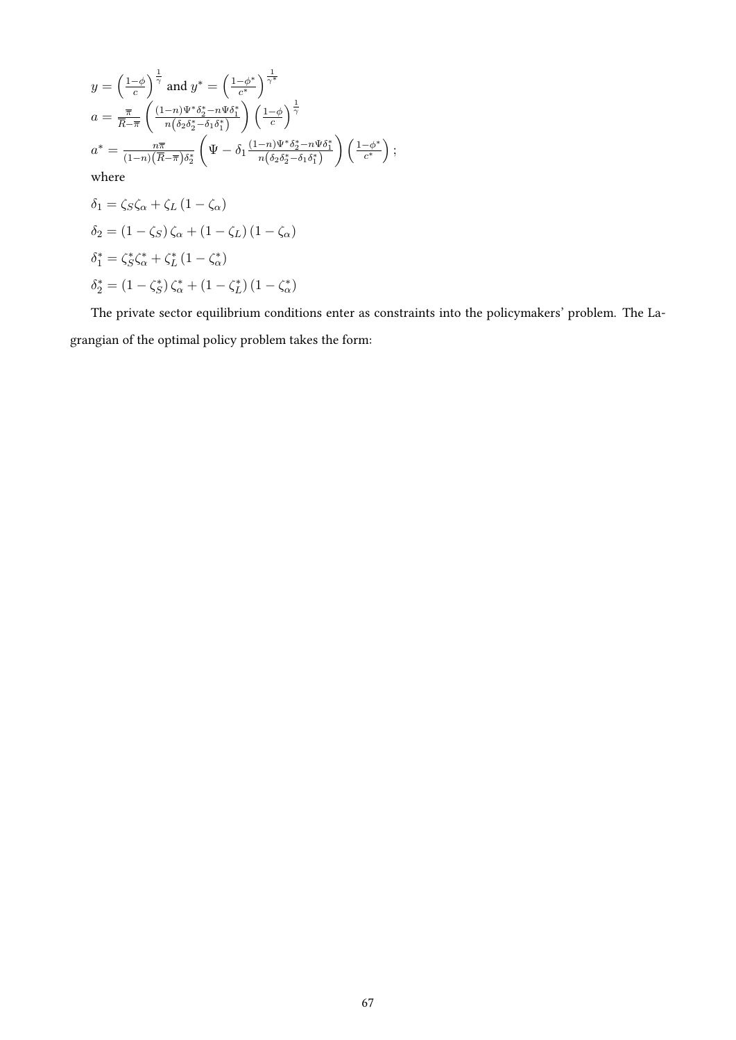$$
y = \left(\frac{1-\phi}{c}\right)^{\frac{1}{\gamma}} \text{ and } y^* = \left(\frac{1-\phi^*}{c^*}\right)^{\frac{1}{\gamma^*}}
$$
  
\n
$$
a = \frac{\overline{\pi}}{\overline{R} - \overline{\pi}} \left(\frac{(1-n)\Psi^* \delta_2^* - n\Psi \delta_1^*}{n(\delta_2 \delta_2^* - \delta_1 \delta_1^*)}\right) \left(\frac{1-\phi}{c}\right)^{\frac{1}{\gamma}}
$$
  
\n
$$
a^* = \frac{n\overline{\pi}}{(1-n)(\overline{R} - \overline{\pi})\delta_2^*} \left(\Psi - \delta_1 \frac{(1-n)\Psi^* \delta_2^* - n\Psi \delta_1^*}{n(\delta_2 \delta_2^* - \delta_1 \delta_1^*)}\right) \left(\frac{1-\phi^*}{c^*}\right);
$$
  
\nwhere  
\n
$$
\delta_1 = \zeta_S \zeta_\alpha + \zeta_L (1 - \zeta_\alpha)
$$
  
\n
$$
\delta_2 = (1 - \zeta_S) \zeta_\alpha + (1 - \zeta_L) (1 - \zeta_\alpha)
$$
  
\n
$$
\delta_1^* = \zeta_S^* \zeta_\alpha^* + \zeta_L^* (1 - \zeta_\alpha^*)
$$
  
\n
$$
\delta_2^* = (1 - \zeta_S^*) \zeta_\alpha^* + (1 - \zeta_L^*) (1 - \zeta_\alpha^*)
$$

The private sector equilibrium conditions enter as constraints into the policymakers' problem. The Lagrangian of the optimal policy problem takes the form: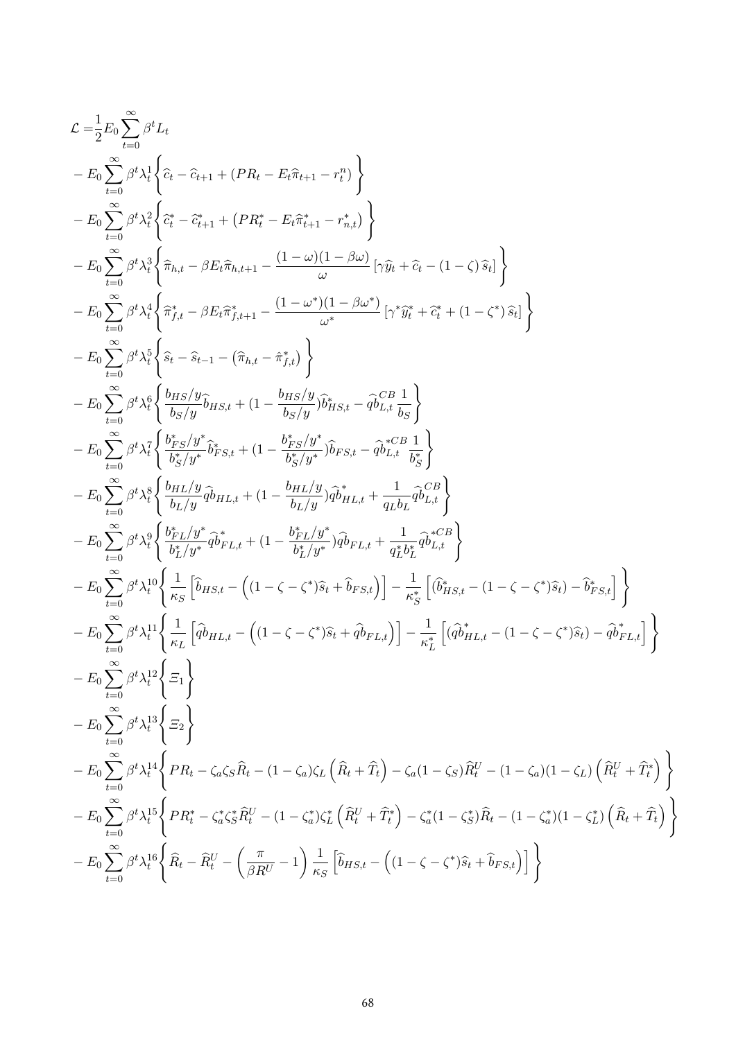$$
\begin{split} &\mathcal{L}=\frac{1}{2}E_{0}\sum_{t=0}^{\infty}\beta^{t}L_{t}\\ &-E_{0}\sum_{t=0}^{\infty}\beta^{t} \lambda_{t}^{1}\left\{\hat{c}_{t}-\hat{c}_{t+1}+(PR_{t}-E_{t}\hat{\pi}_{t+1}-r_{t}^{n})\right\}\\ &-E_{0}\sum_{t=0}^{\infty}\beta^{t} \lambda_{t}^{2}\left\{\hat{c}_{t}^{*}-\hat{c}_{t+1}^{*}+ (PR_{t}^{*}-E_{t}\hat{\pi}_{t+1}^{*}-r_{n,t}^{*})\right\}\\ &-E_{0}\sum_{t=0}^{\infty}\beta^{t} \lambda_{t}^{3}\left\{\hat{\pi}_{h,t}-\beta E_{t}\hat{\pi}_{h,t+1}-\frac{(1-\omega)(1-\beta\omega)}{\omega}\left[\gamma\hat{y}_{h}+\hat{c}_{t}-(1-\zeta)\hat{s}_{t}\right]\right\}\\ &-E_{0}\sum_{t=0}^{\infty}\beta^{t} \lambda_{t}^{4}\left\{\hat{\pi}_{f,t}^{*}-\beta E_{t}\hat{\pi}_{f,t+1}^{*}-\frac{(1-\omega^{*})(1-\beta\omega^{*})}{\omega^{*}}\left[\gamma^{*}\hat{y}_{t}^{*}+\hat{c}_{t}^{*}+(1-\zeta^{*})\hat{s}_{t}\right]\right\}\\ &-E_{0}\sum_{t=0}^{\infty}\beta^{t} \lambda_{t}^{5}\left\{\hat{s}_{t}-\hat{s}_{t-1}-(\hat{\pi}_{h,t}-\hat{\pi}_{f,t}^{*})\right\}\\ &-E_{0}\sum_{t=0}^{\infty}\beta^{t} \lambda_{t}^{5}\left\{\frac{\delta_{HS}/y}{\delta_{S}/y}\hat{b}_{HS,t}+(1-\frac{\delta_{HS}/y}{\delta_{S}/y})\hat{b}_{HS,t}-\hat{\phi}_{L,t}^{CIB}\frac{1}{\delta_{S}}\right\}\\ &-E_{0}\sum_{t=0}^{\infty}\beta^{t} \lambda_{t}^{5}\left\{\frac{\delta_{HS}/y}{\delta_{S}/y}\hat{b}_{HS,t}+(1-\frac{\delta_{HS}/y}{\delta_{S}/y})\hat{b}_{HS,t}-\hat{\phi}_{L,t}^{CIB}\frac{1}{\delta_{S}}\right\}\\ &-E_{0}\sum_{t=0}^{\infty}\beta^{t} \lambda_{t}^{3}\left\{\frac{\delta_{HS}/y}{\delta_{S
$$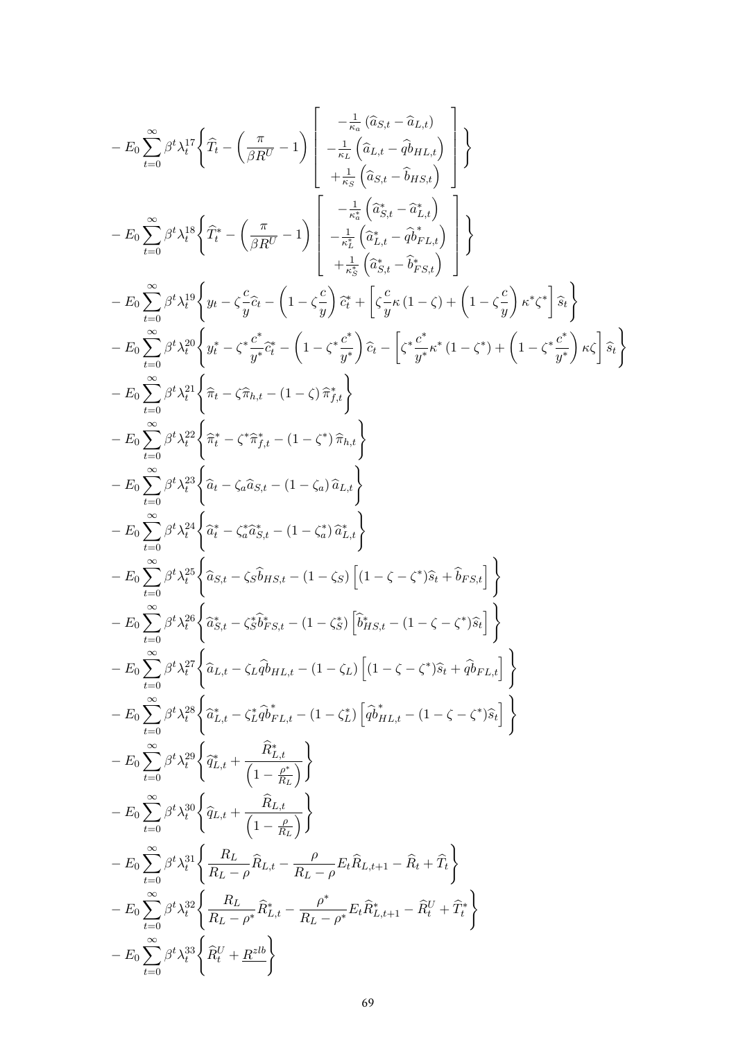$$
-E_0 \sum_{t=0}^{\infty} \beta^t \lambda_t^{17} \left\{ \hat{T}_t - \left( \frac{\pi}{\beta R^U} - 1 \right) \begin{bmatrix} -\frac{1}{n_c} \left( \hat{a}_{L,t} - \hat{q}_{L,t} \right) \\ -\frac{1}{n_c} \left( \hat{a}_{L,t} - \hat{q}_{H,L,t} \right) \\ +\frac{1}{n_c} \left( \hat{a}_{S,t} - \hat{a}_{L,t} \right) \end{bmatrix} \right\}
$$
  
\n
$$
-E_0 \sum_{t=0}^{\infty} \beta^t \lambda_t^{18} \left\{ \hat{T}_t^* - \left( \frac{\pi}{\beta R^U} - 1 \right) \begin{bmatrix} -\frac{1}{n_c^+} \left( \hat{a}_{S,t}^* - \hat{q}_{L,t} \right) \\ -\frac{1}{n_c^+} \left( \hat{a}_{S,t}^* - \hat{q}_{L,t} \right) \\ +\frac{1}{n_c^+} \left( \hat{a}_{S,t}^* - \hat{q}_{S,t} \right) \end{bmatrix} \right\}
$$
  
\n
$$
-E_0 \sum_{t=0}^{\infty} \beta^t \lambda_t^{19} \left\{ y_t - \zeta \frac{c}{y} \hat{c}_t - \left( 1 - \zeta \frac{c}{y} \right) \hat{c}_t^* + \left[ \zeta \frac{c}{y} \kappa (1 - \zeta) + \left( 1 - \zeta \frac{c}{y} \right) \kappa^* \zeta^* \right] \hat{s}_t \right\}
$$
  
\n
$$
-E_0 \sum_{t=0}^{\infty} \beta^t \lambda_t^{21} \left\{ \hat{\pi}_t - \zeta \frac{c}{y} \hat{c}_t^* - \left( 1 - \zeta^+ \frac{c}{y} \right) \hat{c}_t - \left[ \zeta \frac{c}{y} \kappa (1 - \zeta) + \left( 1 - \zeta^+ \frac{c}{y} \right) \kappa \zeta^* \right] \hat{s}_t \right\}
$$
  
\n
$$
-E_0 \sum_{t=0}^{\infty} \beta^t \lambda_t^{21} \left\{ \hat{\pi}_t - \zeta \hat{\pi}_{t,t} - (1 - \zeta^+) \hat{\pi}_{t
$$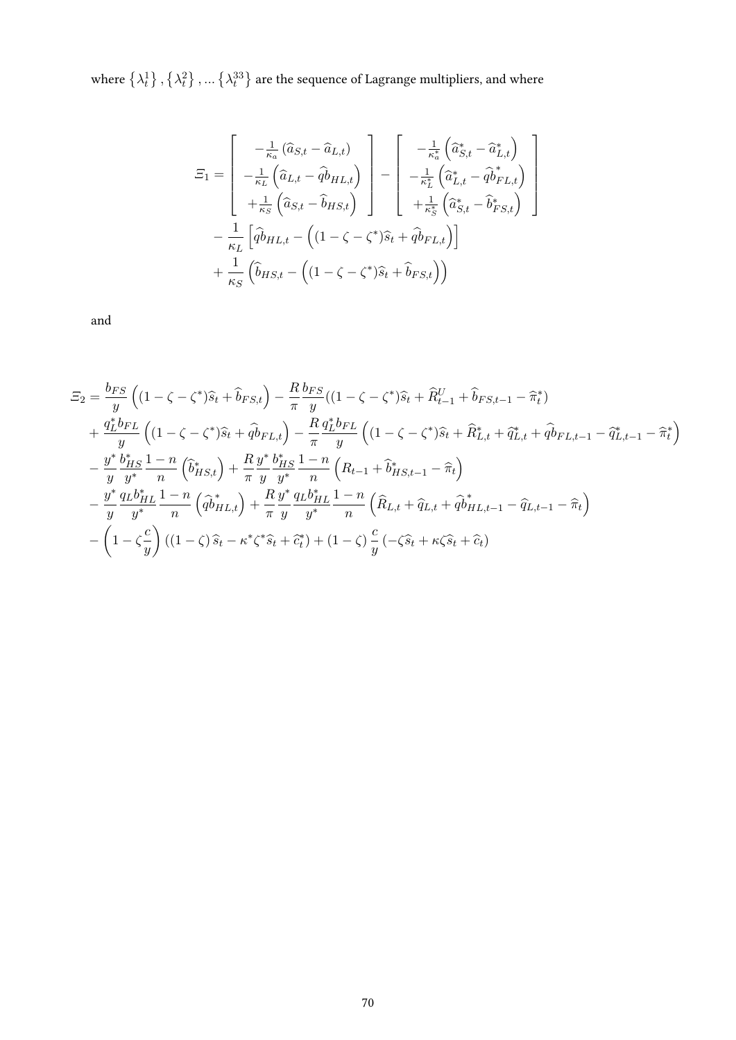where  $\left\{\lambda^1_t\right\},\left\{\lambda^2_t\right\},...\left\{\lambda^{33}_t\right\}$  are the sequence of Lagrange multipliers, and where

$$
E_1 = \begin{bmatrix} -\frac{1}{\kappa_a} (\hat{a}_{S,t} - \hat{a}_{L,t}) \\ -\frac{1}{\kappa_L} (\hat{a}_{L,t} - \hat{q} \hat{b}_{HL,t}) \\ +\frac{1}{\kappa_S} (\hat{a}_{S,t} - \hat{b}_{HS,t}) \end{bmatrix} - \begin{bmatrix} -\frac{1}{\kappa_a^*} (\hat{a}_{S,t}^* - \hat{a}_{L,t}^*) \\ -\frac{1}{\kappa_L^*} (\hat{a}_{L,t}^* - \hat{q} \hat{b}_{FL,t}^*) \\ +\frac{1}{\kappa_s^*} (\hat{a}_{S,t}^* - \hat{b}_{FS,t}^*) \end{bmatrix} \\ - \frac{1}{\kappa_L} [\hat{q} \hat{b}_{HL,t} - ((1 - \zeta - \zeta^*) \hat{s}_t + \hat{q} \hat{b}_{FL,t})] \\ + \frac{1}{\kappa_S} (\hat{b}_{HS,t} - ((1 - \zeta - \zeta^*) \hat{s}_t + \hat{b}_{FS,t}))
$$

and

$$
\begin{split}\n\Xi_{2} &= \frac{b_{FS}}{y} \left( (1 - \zeta - \zeta^{*}) \hat{s}_{t} + \hat{b}_{FS,t} \right) - \frac{R}{\pi} \frac{b_{FS}}{y} ((1 - \zeta - \zeta^{*}) \hat{s}_{t} + \hat{R}_{t-1}^{U} + \hat{b}_{FS,t-1} - \hat{\pi}_{t}^{*}) \\
&+ \frac{q_{L}^{*} b_{FL}}{y} \left( (1 - \zeta - \zeta^{*}) \hat{s}_{t} + \hat{q} \hat{b}_{FL,t} \right) - \frac{R}{\pi} \frac{q_{L}^{*} b_{FL}}{y} \left( (1 - \zeta - \zeta^{*}) \hat{s}_{t} + \hat{R}_{L,t}^{*} + \hat{q} \hat{b}_{FL,t-1} - \hat{q} \hat{b}_{L,t-1} - \hat{\pi}_{t}^{*} \right) \\
&- \frac{y^{*}}{y} \frac{b_{HS}^{*}}{y^{*}} \frac{1 - n}{n} \left( \hat{b}_{HS,t}^{*} \right) + \frac{R}{\pi} \frac{y^{*}}{y} \frac{b_{HS}^{*}}{y^{*}} \frac{1 - n}{n} \left( R_{t-1} + \hat{b}_{HS,t-1}^{*} - \hat{\pi}_{t} \right) \\
&- \frac{y^{*}}{y} \frac{q_{L} b_{HL}^{*}}{y^{*}} \frac{1 - n}{n} \left( \hat{q} \hat{b}_{HL,t}^{*} \right) + \frac{R}{\pi} \frac{y^{*}}{y} \frac{q_{L} b_{HL}^{*}}{y^{*}} \frac{1 - n}{n} \left( \hat{R}_{L,t} + \hat{q} \hat{b}_{HL,t-1} - \hat{q} \hat{b}_{L,t-1} - \hat{\pi}_{t} \right) \\
&- \left( 1 - \zeta \frac{c}{y} \right) \left( (1 - \zeta) \hat{s}_{t} - \kappa^{*} \zeta^{*} \hat{s}_{t} + \hat{c}_{t}^{*} \right) + (1 - \zeta) \frac{c}{y} \left( - \zeta \hat{s}_{t} + \kappa \zeta \hat{s}_{t} + \hat{c}_{t} \right)\n\end{split}
$$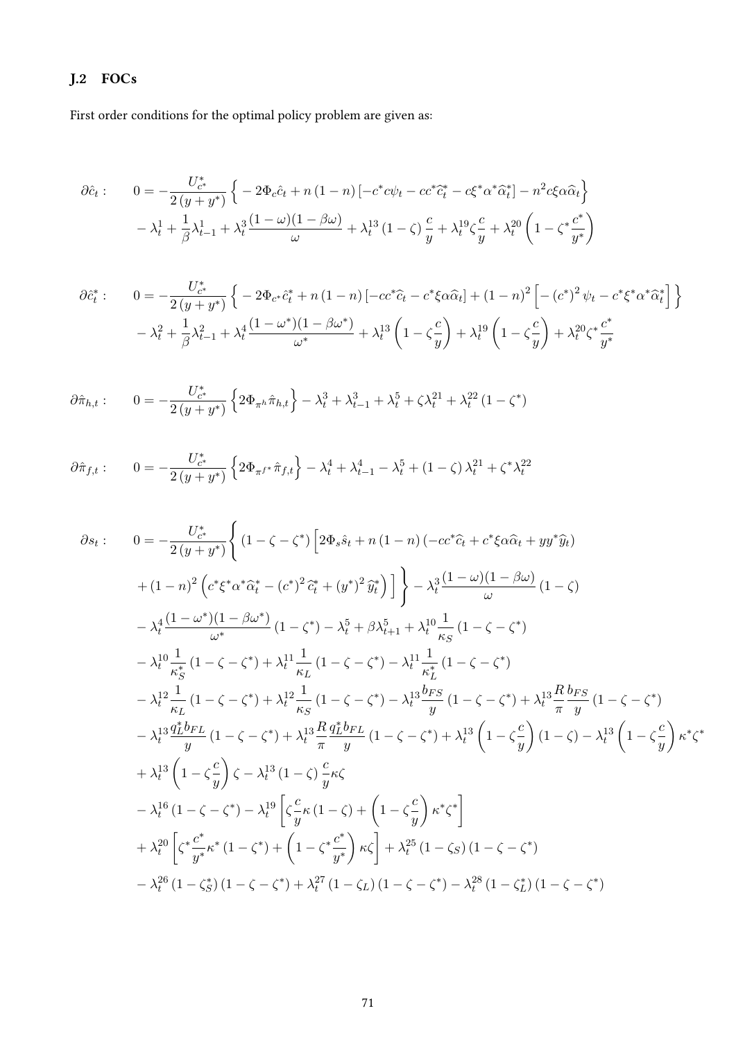# J.2 FOCs

First order conditions for the optimal policy problem are given as:

$$
\partial \hat{c}_t: \qquad 0 = -\frac{U_{c^*}^*}{2(y + y^*)} \left\{ -2\Phi_c \hat{c}_t + n(1 - n) \left[ -c^* c\psi_t - c c^* \hat{c}_t^* - c \xi^* \alpha^* \hat{\alpha}_t^* \right] - n^2 c \xi \alpha \hat{\alpha}_t \right\} \n- \lambda_t^1 + \frac{1}{\beta} \lambda_{t-1}^1 + \lambda_t^3 \frac{(1 - \omega)(1 - \beta\omega)}{\omega} + \lambda_t^{13} (1 - \zeta) \frac{c}{y} + \lambda_t^{19} \zeta \frac{c}{y} + \lambda_t^{20} \left( 1 - \zeta^* \frac{c^*}{y^*} \right)
$$

$$
\partial \hat{c}_t^* : \qquad 0 = -\frac{U_{c^*}^*}{2(y + y^*)} \left\{ -2\Phi_{c^*} \hat{c}_t^* + n(1 - n) \left[ -cc^* \hat{c}_t - c^* \xi \alpha \hat{\alpha}_t \right] + (1 - n)^2 \left[ -\left( c^* \right)^2 \psi_t - c^* \xi^* \alpha^* \hat{\alpha}_t^* \right] \right\}
$$

$$
- \lambda_t^2 + \frac{1}{\beta} \lambda_{t-1}^2 + \lambda_t^4 \frac{(1 - \omega^*)(1 - \beta \omega^*)}{\omega^*} + \lambda_t^{13} \left( 1 - \zeta \frac{c}{y} \right) + \lambda_t^{19} \left( 1 - \zeta \frac{c}{y} \right) + \lambda_t^{20} \zeta^* \frac{c^*}{y^*}
$$

$$
\partial \hat{\pi}_{h,t} : \qquad 0 = -\frac{U_{c^*}^*}{2\left(y + y^*\right)} \left\{ 2\Phi_{\pi^h} \hat{\pi}_{h,t} \right\} - \lambda_t^3 + \lambda_{t-1}^3 + \lambda_t^5 + \zeta \lambda_t^{21} + \lambda_t^{22} \left(1 - \zeta^*\right)
$$

$$
\partial \hat{\pi}_{f,t} : \qquad 0 = -\frac{U_{c^*}^*}{2(y+y^*)} \left\{ 2\Phi_{\pi f^*} \hat{\pi}_{f,t} \right\} - \lambda_t^4 + \lambda_{t-1}^4 - \lambda_t^5 + (1-\zeta)\lambda_t^{21} + \zeta^* \lambda_t^{22}
$$

$$
\partial s_{t}: \qquad 0 = -\frac{U_{c}^{*}}{2(y+y^{*})} \Biggl\{ (1-\zeta-\zeta^{*}) \left[ 2\Phi_{s}\hat{s}_{t} + n(1-n) \left( -cc^{*}\hat{c}_{t} + c^{*}\xi\alpha\hat{\alpha}_{t} + yy^{*}\hat{y}_{t} \right) \right. \\ \left. + (1-n)^{2} \left( c^{*}\xi^{*}\alpha^{*}\hat{\alpha}_{t}^{*} - (c^{*})^{2}\hat{c}_{t}^{*} + (y^{*})^{2}\hat{y}_{t}^{*} \right) \right] \Biggr\} - \lambda_{t}^{3} \frac{(1-\omega)(1-\beta\omega)}{\omega} (1-\zeta) \\ - \lambda_{t}^{4} \frac{(1-\omega^{*})(1-\beta\omega^{*})}{\omega^{*}} (1-\zeta^{*}) - \lambda_{t}^{5} + \beta\lambda_{t+1}^{5} + \lambda_{t}^{10} \frac{1}{\kappa_{S}} (1-\zeta-\zeta^{*}) \\ - \lambda_{t}^{10} \frac{1}{\kappa_{S}^{*}} (1-\zeta-\zeta^{*}) + \lambda_{t}^{11} \frac{1}{\kappa_{L}} (1-\zeta-\zeta^{*}) - \lambda_{t}^{11} \frac{1}{\kappa_{L}^{*}} (1-\zeta-\zeta^{*}) \\ - \lambda_{t}^{12} \frac{1}{\kappa_{L}} (1-\zeta-\zeta^{*}) + \lambda_{t}^{12} \frac{1}{\kappa_{S}} (1-\zeta-\zeta^{*}) - \lambda_{t}^{13} \frac{b_{FS}}{y} (1-\zeta-\zeta^{*}) + \lambda_{t}^{13} \frac{R}{\pi} \frac{b_{FS}}{y} (1-\zeta-\zeta^{*}) \\ - \lambda_{t}^{13} \frac{q_{L}^{*}b_{FL}}{y} (1-\zeta-\zeta^{*}) + \lambda_{t}^{13} \frac{R}{\pi} \frac{q_{L}^{*}b_{FL}}{y} (1-\zeta-\zeta^{*}) + \lambda_{t}^{13} \left( 1-\zeta\frac{c}{y} \right) (1-\zeta) - \lambda_{t}^{13} \left( 1-\zeta\frac{c}{y} \right) \kappa^{*}\zeta^{*} \\ + \lambda_{t}^{13} \left( 1-\zeta\frac{c}{y} \right) \zeta - \lambda_{t}^{13
$$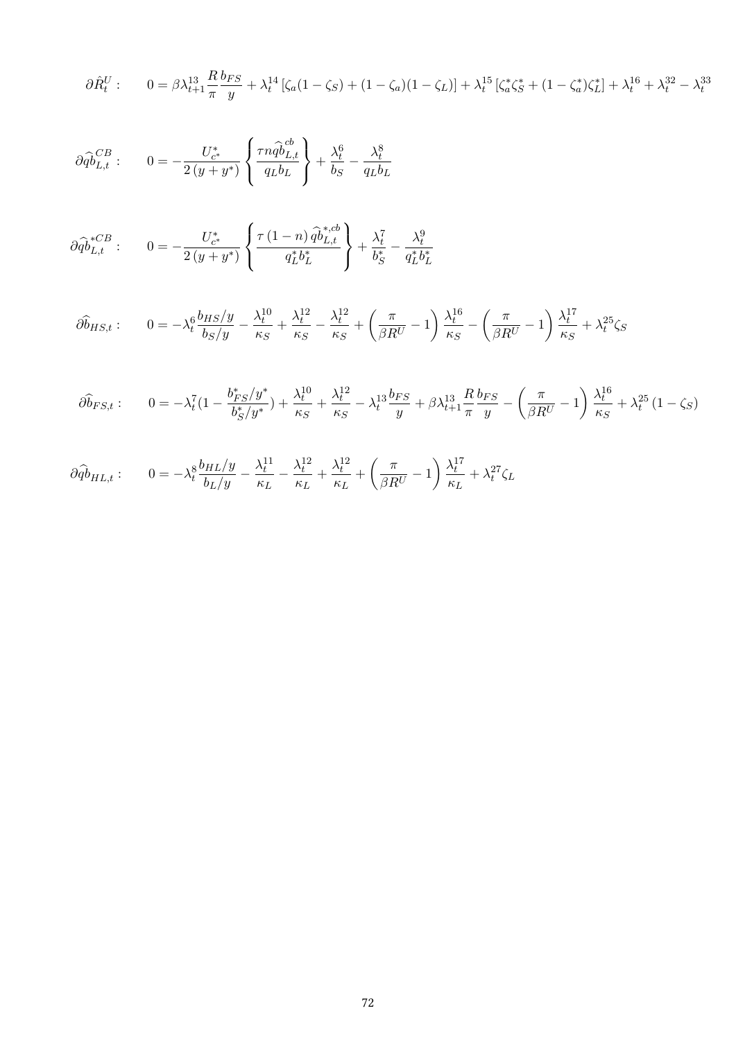$$
\partial \hat{R}^U_t: \qquad 0 = \beta \lambda_{t+1}^{13} \frac{R}{\pi} \frac{b_{FS}}{y} + \lambda_t^{14} \left[ \zeta_a (1 - \zeta_S) + (1 - \zeta_a)(1 - \zeta_L) \right] + \lambda_t^{15} \left[ \zeta_a^* \zeta_S^* + (1 - \zeta_a^*) \zeta_L^* \right] + \lambda_t^{16} + \lambda_t^{32} - \lambda_t^{33}
$$

$$
\partial \widehat{\dot{q}}_{L,t}^{CB} : \qquad 0 = -\frac{U_{c^*}^*}{2(y + y^*)} \left\{ \frac{\tau n \widehat{\dot{q}}_{L,t}^{cb}}{q_L b_L} \right\} + \frac{\lambda_t^6}{b_S} - \frac{\lambda_t^8}{q_L b_L}
$$

$$
\partial \widehat{\phi}_{L,t}^{*CB} : \qquad 0 = -\frac{U_{c^*}^*}{2(y + y^*)} \left\{ \frac{\tau (1 - n) \widehat{\phi}_{L,t}^{*,cb}}{q_L^* b_L^*} \right\} + \frac{\lambda_t^7}{b_S^*} - \frac{\lambda_t^9}{q_L^* b_L^*}
$$

$$
\partial \widehat{b}_{HS,t} : \qquad 0 = -\lambda_t^6 \frac{b_{HS}/y}{b_S/y} - \frac{\lambda_t^{10}}{\kappa_S} + \frac{\lambda_t^{12}}{\kappa_S} - \frac{\lambda_t^{12}}{\kappa_S} + \left(\frac{\pi}{\beta R^U} - 1\right) \frac{\lambda_t^{16}}{\kappa_S} - \left(\frac{\pi}{\beta R^U} - 1\right) \frac{\lambda_t^{17}}{\kappa_S} + \lambda_t^{25} \zeta_S
$$

$$
\hat{\partial b}_{FS,t}:\qquad 0=-\lambda_t^7(1-\frac{b_{FS}^*/y^*}{b_S^*/y^*})+\frac{\lambda_t^{10}}{\kappa_S}+\frac{\lambda_t^{12}}{\kappa_S}-\lambda_t^{13}\frac{b_{FS}}{y}+\beta\lambda_{t+1}^{13}\frac{R}{\pi}\frac{b_{FS}}{y}-\left(\frac{\pi}{\beta R^U}-1\right)\frac{\lambda_t^{16}}{\kappa_S}+\lambda_t^{25}\left(1-\zeta_S\right)
$$

$$
\partial \widehat{\phi}_{HL,t}:\qquad 0=-\lambda_t^8\frac{b_{HL}/y}{b_L/y}-\frac{\lambda_t^{11}}{\kappa_L}-\frac{\lambda_t^{12}}{\kappa_L}+\frac{\lambda_t^{12}}{\kappa_L}+\left(\frac{\pi}{\beta R^U}-1\right)\frac{\lambda_t^{17}}{\kappa_L}+\lambda_t^{27}\zeta_L
$$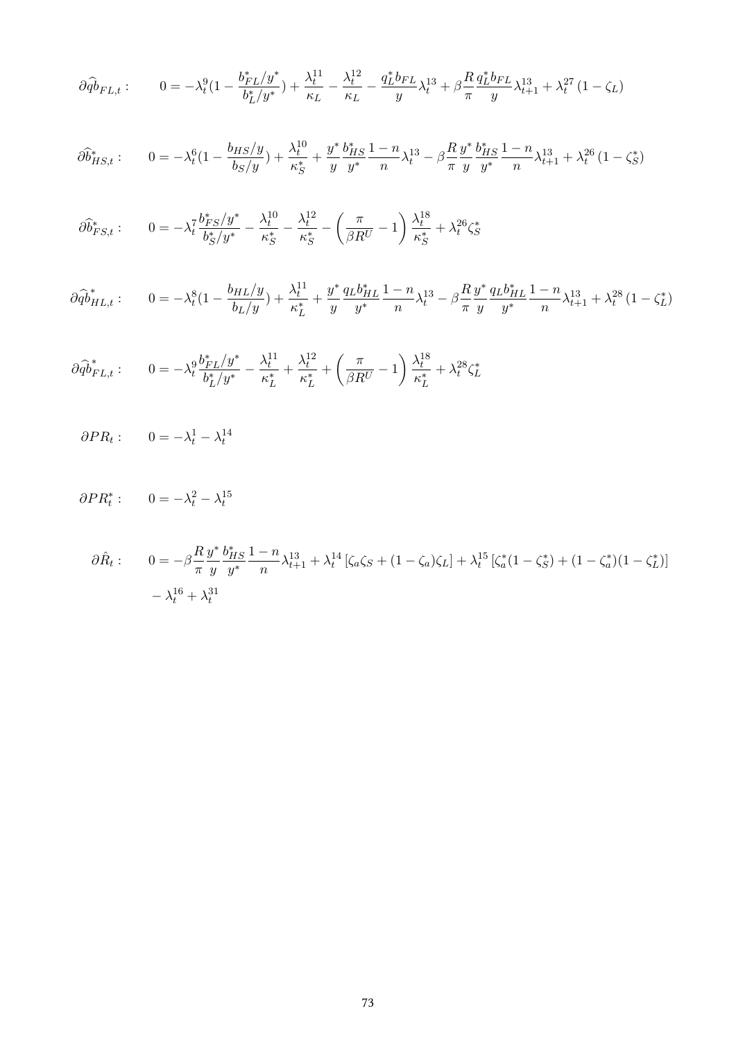$$
\partial \widehat{\phi}_{FL,t}: \qquad 0 = -\lambda_t^9 (1 - \frac{b_{FL}^* / y^*}{b_L^* / y^*}) + \frac{\lambda_t^{11}}{\kappa_L} - \frac{\lambda_t^{12}}{\kappa_L} - \frac{q_L^* b_{FL}}{y} \lambda_t^{13} + \beta \frac{R}{\pi} \frac{q_L^* b_{FL}}{y} \lambda_{t+1}^{13} + \lambda_t^{27} (1 - \zeta_L)
$$

$$
\partial \widehat{b}_{HS,t}^* : \qquad 0 = -\lambda_t^6 \left(1 - \frac{b_{HS}/y}{b_S/y}\right) + \frac{\lambda_t^{10}}{\kappa_S^*} + \frac{y^*}{y} \frac{b_{HS}^*}{y^*} \frac{1 - n}{n} \lambda_t^{13} - \beta \frac{R}{\pi} \frac{y^*}{y} \frac{b_{HS}^*}{y^*} \frac{1 - n}{n} \lambda_{t+1}^{13} + \lambda_t^{26} \left(1 - \zeta_S^*\right)
$$

$$
\partial \widehat{b}^*_{FS,t}: \qquad 0=-\lambda_t^7\frac{b^*_{FS}/y^*}{b^*_S/y^*}-\frac{\lambda_t^{10}}{\kappa_S^*}-\frac{\lambda_t^{12}}{\kappa_S^*}-\left(\frac{\pi}{\beta R^U}-1\right)\frac{\lambda_t^{18}}{\kappa_S^*}+\lambda_t^{26}\zeta_S^*
$$

$$
\partial \widehat{\phi}_{HL,t}^* : \qquad 0 = -\lambda_t^8 \left(1 - \frac{b_{HL}/y}{b_L/y}\right) + \frac{\lambda_t^{11}}{\kappa_L^*} + \frac{y^*}{y} \frac{q_L b_{HL}^*}{y^*} \frac{1 - n}{n} \lambda_t^{13} - \beta \frac{R}{\pi} \frac{y^*}{y} \frac{q_L b_{HL}^*}{y^*} \frac{1 - n}{n} \lambda_{t+1}^{13} + \lambda_t^{28} \left(1 - \zeta_L^*\right)
$$

$$
\partial \widehat{\phi}_{FL,t}^* : \qquad 0 = -\lambda_t^9 \frac{b_{FL}^*/y^*}{b_L^*/y^*} - \frac{\lambda_t^{11}}{\kappa_L^*} + \frac{\lambda_t^{12}}{\kappa_L^*} + \left(\frac{\pi}{\beta R^U} - 1\right) \frac{\lambda_t^{18}}{\kappa_L^*} + \lambda_t^{28} \zeta_L^*
$$

$$
\partial PR_t: \qquad 0 = -\lambda_t^1 - \lambda_t^{14}
$$

$$
\partial PR_t^* : \qquad 0 = -\lambda_t^2 - \lambda_t^{15}
$$

$$
\partial \hat{R}_t: \qquad 0 = -\beta \frac{R}{\pi} \frac{y^*}{y} \frac{b_{HS}^*}{y^*} \frac{1-n}{n} \lambda_{t+1}^{13} + \lambda_t^{14} \left[ \zeta_a \zeta_S + (1-\zeta_a)\zeta_L \right] + \lambda_t^{15} \left[ \zeta_a^*(1-\zeta_S^*) + (1-\zeta_a^*)(1-\zeta_L^*) \right] - \lambda_t^{16} + \lambda_t^{31}
$$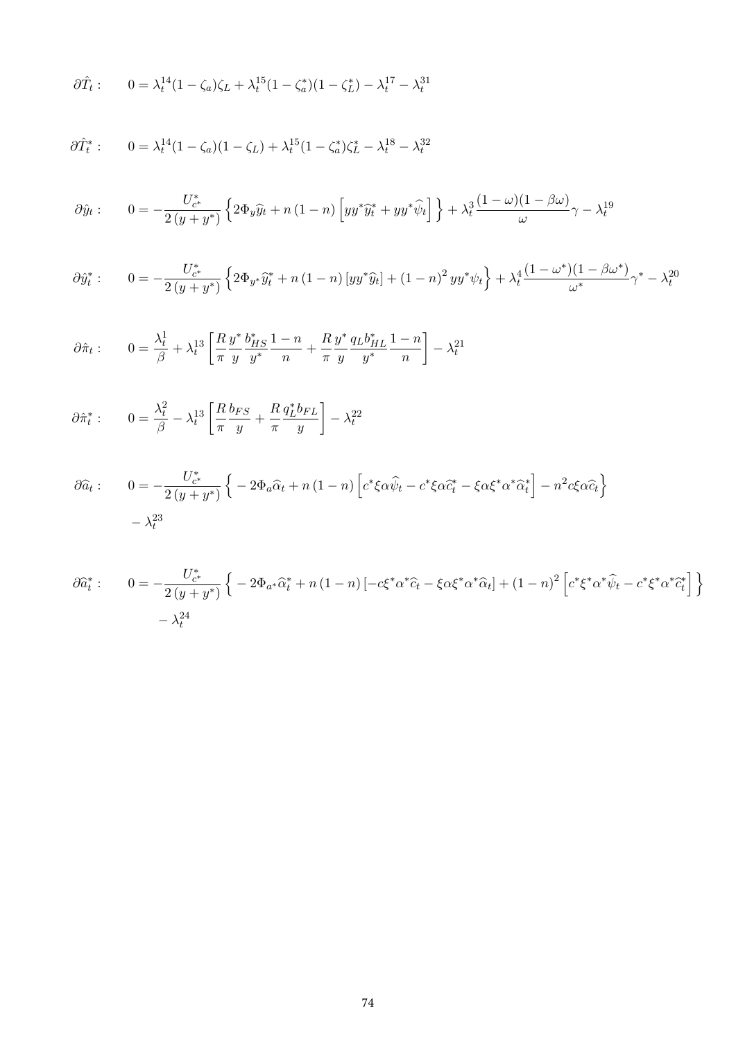$$
\partial \hat{T}_t: \qquad 0 = \lambda_t^{14} (1 - \zeta_a) \zeta_L + \lambda_t^{15} (1 - \zeta_a^*) (1 - \zeta_L^*) - \lambda_t^{17} - \lambda_t^{31}
$$

$$
\partial \hat{T}_t^* : 0 = \lambda_t^{14} (1 - \zeta_a)(1 - \zeta_L) + \lambda_t^{15} (1 - \zeta_a^*) \zeta_L^* - \lambda_t^{18} - \lambda_t^{32}
$$

$$
\partial \hat{y}_t: \qquad 0 = -\frac{U_{c^*}^*}{2\left(y + y^*\right)} \left\{ 2\Phi_y \hat{y}_t + n\left(1 - n\right) \left[ y y^* \hat{y}_t^* + y y^* \hat{\psi}_t \right] \right\} + \lambda_t^3 \frac{(1 - \omega)(1 - \beta\omega)}{\omega} \gamma - \lambda_t^{19}
$$

$$
\partial \hat{y}_t^* : \qquad 0 = -\frac{U_{c^*}^*}{2\left(y + y^*\right)} \left\{ 2\Phi_{y^*} \hat{y}_t^* + n\left(1 - n\right) \left[ y y^* \hat{y}_t \right] + \left(1 - n\right)^2 y y^* \psi_t \right\} + \lambda_t^4 \frac{(1 - \omega^*) (1 - \beta \omega^*)}{\omega^*} \gamma^* - \lambda_t^{20}
$$

$$
\partial \hat{\pi}_t: \qquad 0 = \frac{\lambda_t^1}{\beta} + \lambda_t^{13} \left[ \frac{R}{\pi} \frac{y^*}{y} \frac{b_{HS}^*}{y^*} \frac{1-n}{n} + \frac{R}{\pi} \frac{y^*}{y} \frac{q_L b_{HL}^*}{y^*} \frac{1-n}{n} \right] - \lambda_t^{21}
$$

$$
\partial \hat{\pi}_t^* : \qquad 0 = \frac{\lambda_t^2}{\beta} - \lambda_t^{13} \left[ \frac{R}{\pi} \frac{b_{FS}}{y} + \frac{R}{\pi} \frac{q_L^* b_{FL}}{y} \right] - \lambda_t^{22}
$$

$$
\partial \widehat{a}_t: \qquad 0 = -\frac{U_{c^*}^*}{2\left(y + y^*\right)} \left\{ -2\Phi_a \widehat{\alpha}_t + n\left(1 - n\right) \left[c^* \xi \alpha \widehat{\psi}_t - c^* \xi \alpha \widehat{c}_t^* - \xi \alpha \xi^* \alpha^* \widehat{\alpha}_t^*\right] - n^2 c \xi \alpha \widehat{c}_t\right\}
$$

$$
-\lambda_t^{23}
$$

$$
\partial \hat{a}_t^* : \qquad 0 = -\frac{U_{c^*}^*}{2\left(y + y^*\right)} \left\{ -2\Phi_{a^*} \hat{\alpha}_t^* + n\left(1 - n\right) \left[ -c\xi^* \alpha^* \hat{c}_t - \xi \alpha \xi^* \alpha^* \hat{\alpha}_t \right] + (1 - n)^2 \left[ c^* \xi^* \alpha^* \hat{\psi}_t - c^* \xi^* \alpha^* \hat{c}_t^* \right] \right\}
$$

$$
- \lambda_t^{24}
$$